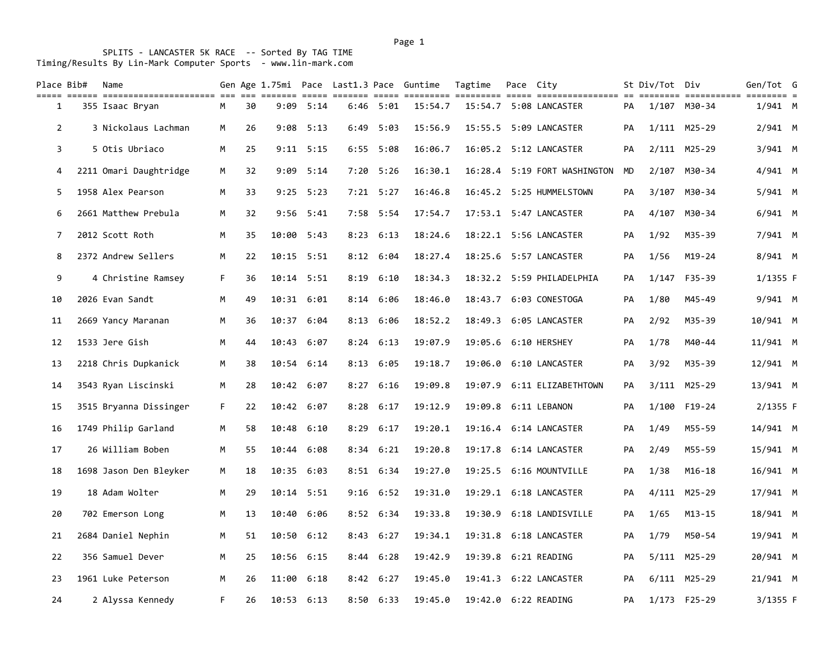| Place Bib#     | Name                   |    |    |       |            |      |               | Gen Age 1.75mi Pace Last1.3 Pace Guntime | Tagtime | Pace City |                              |    | St Div/Tot Div |              | Gen/Tot G  |  |
|----------------|------------------------|----|----|-------|------------|------|---------------|------------------------------------------|---------|-----------|------------------------------|----|----------------|--------------|------------|--|
| 1              | 355 Isaac Bryan        | М  | 30 | 9:09  | 5:14       |      | $6:46$ $5:01$ | 15:54.7                                  |         |           | 15:54.7 5:08 LANCASTER       | PA |                | 1/107 M30-34 | $1/941$ M  |  |
| $\overline{2}$ | 3 Nickolaus Lachman    | M  | 26 | 9:08  | 5:13       | 6:49 | 5:03          | 15:56.9                                  |         |           | 15:55.5 5:09 LANCASTER       | PA |                | 1/111 M25-29 | $2/941$ M  |  |
| 3              | 5 Otis Ubriaco         | M  | 25 | 9:11  | 5:15       | 6:55 | 5:08          | 16:06.7                                  |         |           | 16:05.2 5:12 LANCASTER       | PA |                | 2/111 M25-29 | 3/941 M    |  |
| 4              | 2211 Omari Daughtridge | M  | 32 | 9:09  | 5:14       | 7:20 | 5:26          | 16:30.1                                  |         |           | 16:28.4 5:19 FORT WASHINGTON | MD | 2/107          | M30-34       | 4/941 M    |  |
| 5              | 1958 Alex Pearson      | M  | 33 | 9:25  | 5:23       |      | $7:21$ 5:27   | 16:46.8                                  |         |           | 16:45.2 5:25 HUMMELSTOWN     | PА | 3/107          | M30-34       | 5/941 M    |  |
| 6              | 2661 Matthew Prebula   | М  | 32 | 9:56  | 5:41       |      | $7:58$ 5:54   | 17:54.7                                  |         |           |                              | PA | 4/107          | M30-34       | $6/941$ M  |  |
| 7              | 2012 Scott Roth        | М  | 35 | 10:00 | 5:43       | 8:23 | 6:13          | 18:24.6                                  |         |           | 18:22.1 5:56 LANCASTER       | PA | 1/92           | M35-39       | 7/941 M    |  |
| 8              | 2372 Andrew Sellers    | М  | 22 |       | 10:15 5:51 |      | $8:12$ $6:04$ | 18:27.4                                  |         |           | 18:25.6 5:57 LANCASTER       | PA | 1/56           | $M19 - 24$   | 8/941 M    |  |
| 9              | 4 Christine Ramsey     | F. | 36 | 10:14 | 5:51       | 8:19 | 6:10          | 18:34.3                                  |         |           | 18:32.2 5:59 PHILADELPHIA    | PA | 1/147          | F35-39       | $1/1355$ F |  |
| 10             | 2026 Evan Sandt        | M  | 49 |       | 10:31 6:01 |      | $8:14$ 6:06   | 18:46.0                                  |         |           | 18:43.7 6:03 CONESTOGA       | PA | 1/80           | M45-49       | 9/941 M    |  |
| 11             | 2669 Yancy Maranan     | M  | 36 | 10:37 | 6:04       |      | $8:13$ $6:06$ | 18:52.2                                  |         |           | 18:49.3 6:05 LANCASTER       | PA | 2/92           | M35-39       | 10/941 M   |  |
| 12             | 1533 Jere Gish         | М  | 44 |       | 10:43 6:07 |      | $8:24$ 6:13   | 19:07.9                                  |         |           | 19:05.6 6:10 HERSHEY         | PA | 1/78           | M40-44       | 11/941 M   |  |
| 13             | 2218 Chris Dupkanick   | М  | 38 | 10:54 | 6:14       |      | $8:13$ $6:05$ | 19:18.7                                  |         |           | 19:06.0 6:10 LANCASTER       | PA | 3/92           | M35-39       | 12/941 M   |  |
| 14             | 3543 Ryan Liscinski    | M  | 28 |       | 10:42 6:07 |      | $8:27$ $6:16$ | 19:09.8                                  |         |           | 19:07.9 6:11 ELIZABETHTOWN   | PA |                | 3/111 M25-29 | 13/941 M   |  |
| 15             | 3515 Bryanna Dissinger | F. | 22 | 10:42 | 6:07       |      | $8:28$ $6:17$ | 19:12.9                                  |         |           | 19:09.8 6:11 LEBANON         | PА | 1/100          | F19-24       | 2/1355 F   |  |
| 16             | 1749 Philip Garland    | М  | 58 | 10:48 | 6:10       | 8:29 | 6:17          | 19:20.1                                  |         |           | 19:16.4 6:14 LANCASTER       | PA | 1/49           | M55-59       | 14/941 M   |  |
| 17             | 26 William Boben       | M  | 55 | 10:44 | 6:08       |      | $8:34$ $6:21$ | 19:20.8                                  |         |           | 19:17.8 6:14 LANCASTER       | PA | 2/49           | M55-59       | 15/941 M   |  |
| 18             | 1698 Jason Den Bleyker | M  | 18 | 10:35 | 6:03       |      | $8:51$ $6:34$ | 19:27.0                                  |         |           | 19:25.5 6:16 MOUNTVILLE      | PA | 1/38           | $M16 - 18$   | 16/941 M   |  |
| 19             | 18 Adam Wolter         | M  | 29 | 10:14 | 5:51       |      | $9:16$ $6:52$ | 19:31.0                                  |         |           | 19:29.1 6:18 LANCASTER       | PA | 4/111          | M25-29       | 17/941 M   |  |
| 20             | 702 Emerson Long       | М  | 13 | 10:40 | 6:06       |      | $8:52$ $6:34$ | 19:33.8                                  | 19:30.9 |           | 6:18 LANDISVILLE             | PA | 1/65           | $M13 - 15$   | 18/941 M   |  |
| 21             | 2684 Daniel Nephin     | M  | 51 | 10:50 | 6:12       |      | $8:43$ $6:27$ | 19:34.1                                  |         |           | 19:31.8 6:18 LANCASTER       | PA | 1/79           | M50-54       | 19/941 M   |  |
| 22             | 356 Samuel Dever       | M  | 25 | 10:56 | 6:15       | 8:44 | 6:28          | 19:42.9                                  |         |           | 19:39.8 6:21 READING         | PA |                | 5/111 M25-29 | 20/941 M   |  |
| 23             | 1961 Luke Peterson     | М  | 26 | 11:00 | 6:18       |      | $8:42$ $6:27$ | 19:45.0                                  |         |           | 19:41.3 6:22 LANCASTER       | PA |                | 6/111 M25-29 | 21/941 M   |  |
| 24             | 2 Alyssa Kennedy       | F. | 26 | 10:53 | 6:13       |      | $8:50$ $6:33$ | 19:45.0                                  |         |           | 19:42.0 6:22 READING         | PA |                | 1/173 F25-29 | $3/1355$ F |  |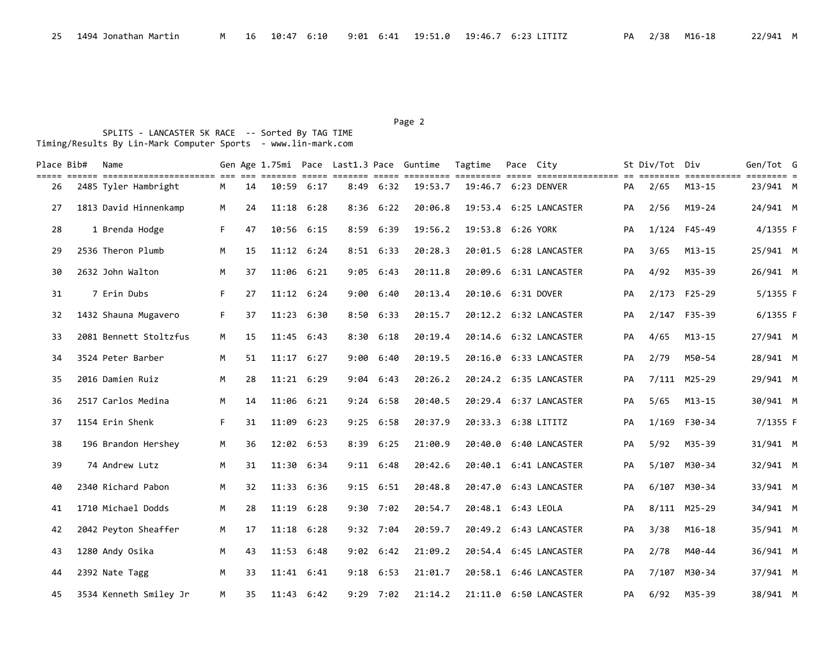## Page 2 and the contract of the contract of the contract of the contract of the contract of the contract of the contract of the contract of the contract of the contract of the contract of the contract of the contract of the

| Place Bib# | Name                                                            |    |    |                |      |      |                             | Gen Age 1.75mi Pace Last1.3 Pace Guntime | Tagtime             | Pace City |                        |    | St Div/Tot Div |                           | Gen/Tot G            |  |
|------------|-----------------------------------------------------------------|----|----|----------------|------|------|-----------------------------|------------------------------------------|---------------------|-----------|------------------------|----|----------------|---------------------------|----------------------|--|
| 26         | . 112   112221112222112222222222   1222<br>2485 Tyler Hambright | M  | 14 | 10:59          | 6:17 | 8:49 | $=$ $=$ $=$ $=$ $=$<br>6:32 | 19:53.7                                  | 19:46.7 6:23 DENVER |           |                        | PA | 2/65           | ===========<br>$M13 - 15$ | $== = =$<br>23/941 M |  |
| 27         | 1813 David Hinnenkamp                                           | M  | 24 | 11:18          | 6:28 |      | $8:36$ $6:22$               | 20:06.8                                  |                     |           | 19:53.4 6:25 LANCASTER | PA | 2/56           | $M19 - 24$                | 24/941 M             |  |
| 28         | 1 Brenda Hodge                                                  | F. | 47 | 10:56 6:15     |      |      | 8:59 6:39                   | 19:56.2                                  | 19:53.8 6:26 YORK   |           |                        | PA |                | 1/124 F45-49              | 4/1355 F             |  |
| 29         | 2536 Theron Plumb                                               | M  | 15 | $11:12$ $6:24$ |      |      | $8:51$ $6:33$               | 20:28.3                                  |                     |           | 20:01.5 6:28 LANCASTER | PA | 3/65           | $M13 - 15$                | 25/941 M             |  |
| 30         | 2632 John Walton                                                | M  | 37 | 11:06          | 6:21 |      | $9:05$ $6:43$               | 20:11.8                                  |                     |           | 20:09.6 6:31 LANCASTER | PA | 4/92           | M35-39                    | 26/941 M             |  |
| 31         | 7 Erin Dubs                                                     | F. | 27 | $11:12$ $6:24$ |      |      | 9:00 6:40                   | 20:13.4                                  | 20:10.6 6:31 DOVER  |           |                        | PA |                | 2/173 F25-29              | 5/1355 F             |  |
| 32         | 1432 Shauna Mugavero                                            | F. | 37 | 11:23          | 6:30 |      | $8:50$ $6:33$               | 20:15.7                                  |                     |           | 20:12.2 6:32 LANCASTER | PA |                | 2/147 F35-39              | 6/1355 F             |  |
| 33         | 2081 Bennett Stoltzfus                                          | M  | 15 | 11:45          | 6:43 |      | $8:30$ $6:18$               | 20:19.4                                  |                     |           |                        | PA | 4/65           | $M13 - 15$                | 27/941 M             |  |
| 34         | 3524 Peter Barber                                               | M  | 51 | 11:17          | 6:27 |      | 9:00 6:40                   | 20:19.5                                  |                     |           | 20:16.0 6:33 LANCASTER | PA | 2/79           | M50-54                    | 28/941 M             |  |
| 35         | 2016 Damien Ruiz                                                | M  | 28 | $11:21$ 6:29   |      |      | $9:04$ 6:43                 | 20:26.2                                  |                     |           | 20:24.2 6:35 LANCASTER | PA |                | 7/111 M25-29              | 29/941 M             |  |
| 36         | 2517 Carlos Medina                                              | M  | 14 | 11:06 6:21     |      |      | $9:24$ 6:58                 | 20:40.5                                  |                     |           | 20:29.4 6:37 LANCASTER | PA | 5/65           | $M13 - 15$                | 30/941 M             |  |
| 37         | 1154 Erin Shenk                                                 | F. | 31 | 11:09          | 6:23 |      | $9:25$ $6:58$               | 20:37.9                                  | 20:33.3 6:38 LITITZ |           |                        | PA |                | 1/169 F30-34              | 7/1355 F             |  |
| 38         | 196 Brandon Hershey                                             | M  | 36 | 12:02 6:53     |      | 8:39 | 6:25                        | 21:00.9                                  |                     |           | 20:40.0 6:40 LANCASTER | PA | 5/92           | M35-39                    | 31/941 M             |  |
| 39         | 74 Andrew Lutz                                                  | M  | 31 | 11:30          | 6:34 |      | $9:11$ $6:48$               | 20:42.6                                  |                     |           | 20:40.1 6:41 LANCASTER | PA |                | 5/107 M30-34              | 32/941 M             |  |
| 40         | 2340 Richard Pabon                                              | М  | 32 | 11:33 6:36     |      |      | $9:15$ $6:51$               | 20:48.8                                  |                     |           | 20:47.0 6:43 LANCASTER | PA |                | 6/107 M30-34              | 33/941 M             |  |
| 41         | 1710 Michael Dodds                                              | M  | 28 | 11:19          | 6:28 |      | $9:30$ 7:02                 | 20:54.7                                  | 20:48.1 6:43 LEOLA  |           |                        | PA |                | 8/111 M25-29              | 34/941 M             |  |
| 42         | 2042 Peyton Sheaffer                                            | M  | 17 | $11:18$ $6:28$ |      |      | $9:32$ 7:04                 | 20:59.7                                  |                     |           | 20:49.2 6:43 LANCASTER | PA | 3/38           | $M16-18$                  | 35/941 M             |  |
| 43         | 1280 Andy Osika                                                 | M  | 43 | 11:53          | 6:48 |      | $9:02$ $6:42$               | 21:09.2                                  |                     |           | 20:54.4 6:45 LANCASTER | PA | 2/78           | M40-44                    | 36/941 M             |  |
| 44         | 2392 Nate Tagg                                                  | М  | 33 | 11:41          | 6:41 | 9:18 | 6:53                        | 21:01.7                                  |                     |           | 20:58.1 6:46 LANCASTER | PA | 7/107          | M30-34                    | 37/941 M             |  |
| 45         | 3534 Kenneth Smiley Jr                                          | M  | 35 | $11:43$ $6:42$ |      |      | $9:29$ 7:02                 | 21:14.2                                  |                     |           | 21:11.0 6:50 LANCASTER | PA | 6/92           | M35-39                    | 38/941 M             |  |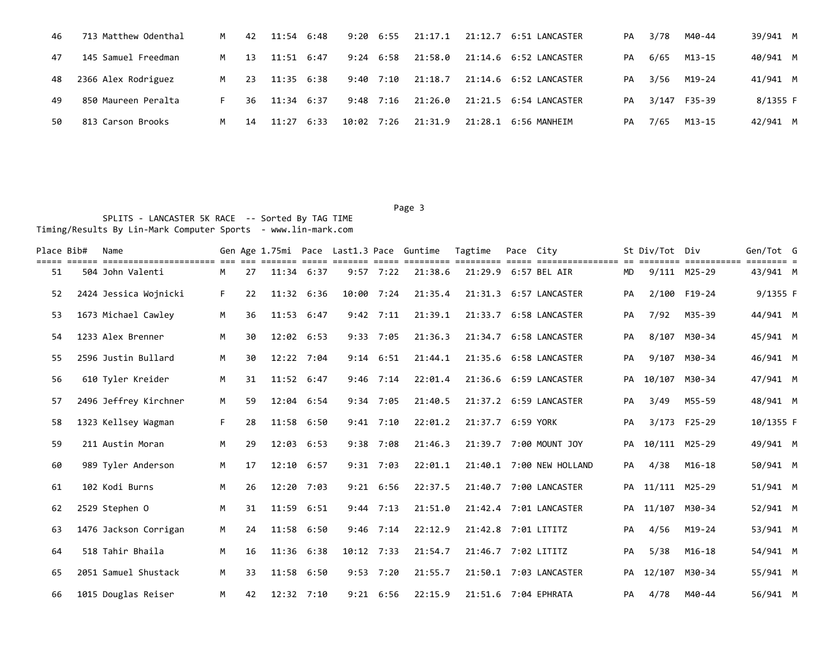| 46 | 713 Matthew Odenthal | M   | 42  | 11:54        | 6:48 | 9:20        | 6:55        | 21:17.1 |                              | PA | 3/78 | M40-44       | 39/941 M |
|----|----------------------|-----|-----|--------------|------|-------------|-------------|---------|------------------------------|----|------|--------------|----------|
| 47 | 145 Samuel Freedman  | M . | 13  | $11:51$ 6:47 |      | $9:24$ 6:58 |             | 21:58.0 | 21:14.6    6:52    LANCASTER | PA | 6/65 | M13-15       | 40/941 M |
| 48 | 2366 Alex Rodriguez  | M   | -23 | 11:35 6:38   |      | 9:40 7:10   |             | 21:18.7 | 21:14.6    6:52    LANCASTER | PA | 3/56 | M19-24       | 41/941 M |
| 49 | 850 Maureen Peralta  | F.  | 36  | $11:34$ 6:37 |      |             | $9:48$ 7:16 | 21:26.0 |                              | PA |      | 3/147 F35-39 | 8/1355 F |
| 50 | 813 Carson Brooks    | M   | 14  | $11:27$ 6:33 |      | 10:02 7:26  |             | 21:31.9 | 21:28.1 6:56 MANHEIM         | PA | 7/65 | M13-15       | 42/941 M |

Page 3 and 2012 and 2012 and 2012 and 2012 and 2012 and 2012 and 2012 and 2012 and 2012 and 2012 and 2012 and SPLITS - LANCASTER 5K RACE -- Sorted By TAG TIME Timing/Results By Lin-Mark Computer Sports - www.lin-mark.com

| Place Bib# | Name                                        |    |    |                |      |              |               | Gen Age 1.75mi Pace Last1.3 Pace Guntime | Tagtime             | Pace City |                              |    | St Div/Tot Div   |                             | Gen/Tot G                           |  |
|------------|---------------------------------------------|----|----|----------------|------|--------------|---------------|------------------------------------------|---------------------|-----------|------------------------------|----|------------------|-----------------------------|-------------------------------------|--|
| 51         | =======================<br>504 John Valenti | M  | 27 | $11:34$ 6:37   |      |              | $9:57$ 7:22   | 21:38.6                                  |                     |           | 21:29.9 6:57 BEL AIR         | MD |                  | ===========<br>9/111 M25-29 | $=$ $=$ $=$ $=$ $=$ $=$<br>43/941 M |  |
| 52         | 2424 Jessica Wojnicki                       | F. | 22 | 11:32 6:36     |      | 10:00 7:24   |               | 21:35.4                                  | 21:31.3             |           | 6:57 LANCASTER               | PA |                  | 2/100 F19-24                | 9/1355 F                            |  |
| 53         | 1673 Michael Cawley                         | M  | 36 | $11:53$ 6:47   |      |              | $9:42$ 7:11   | 21:39.1                                  |                     |           | 21:33.7 6:58 LANCASTER       | PA | 7/92             | M35-39                      | 44/941 M                            |  |
| 54         | 1233 Alex Brenner                           | M  | 30 | 12:02 6:53     |      |              | $9:33$ 7:05   | 21:36.3                                  |                     |           | 21:34.7 6:58 LANCASTER       | PA |                  | 8/107 M30-34                | 45/941 M                            |  |
| 55         | 2596 Justin Bullard                         | М  | 30 | 12:22 7:04     |      |              | $9:14$ $6:51$ | 21:44.1                                  |                     |           | 21:35.6 6:58 LANCASTER       | PA |                  | 9/107 M30-34                | 46/941 M                            |  |
| 56         | 610 Tyler Kreider                           | M  | 31 | $11:52$ 6:47   |      |              | $9:46$ 7:14   | 22:01.4                                  |                     |           | 21:36.6    6:59    LANCASTER | PA | 10/107           | M30-34                      | 47/941 M                            |  |
| 57         | 2496 Jeffrey Kirchner                       | M  | 59 | 12:04 6:54     |      |              | $9:34$ 7:05   | 21:40.5                                  |                     |           | 21:37.2 6:59 LANCASTER       | PA | 3/49             | M55-59                      | 48/941 M                            |  |
| 58         | 1323 Kellsey Wagman                         | F. | 28 | 11:58 6:50     |      |              | $9:41$ 7:10   | 22:01.2                                  | 21:37.7 6:59 YORK   |           |                              | PA |                  | 3/173 F25-29                | 10/1355 F                           |  |
| 59         | 211 Austin Moran                            | M  | 29 | 12:03 6:53     |      |              | $9:38$ 7:08   | 21:46.3                                  |                     |           | 21:39.7 7:00 MOUNT JOY       | PA | 10/111 M25-29    |                             | 49/941 M                            |  |
| 60         | 989 Tyler Anderson                          | M  | 17 | $12:10$ 6:57   |      |              | $9:31$ 7:03   | 22:01.1                                  |                     |           | 21:40.1 7:00 NEW HOLLAND     | PA | 4/38             | $M16 - 18$                  | 50/941 M                            |  |
| 61         | 102 Kodi Burns                              | M  | 26 | 12:20 7:03     |      |              | $9:21$ 6:56   | 22:37.5                                  |                     |           | 21:40.7 7:00 LANCASTER       |    | PA 11/111 M25-29 |                             | 51/941 M                            |  |
| 62         | 2529 Stephen 0                              | M  | 31 | 11:59 6:51     |      |              | $9:44$ 7:13   | 21:51.0                                  |                     |           | 21:42.4 7:01 LANCASTER       |    | PA 11/107 M30-34 |                             | 52/941 M                            |  |
| 63         | 1476 Jackson Corrigan                       | M  | 24 | 11:58 6:50     |      |              | $9:46$ 7:14   | 22:12.9                                  | 21:42.8 7:01 LITITZ |           |                              | PA | 4/56             | M19-24                      | 53/941 M                            |  |
| 64         | 518 Tahir Bhaila                            | M  | 16 | $11:36$ $6:38$ |      | $10:12$ 7:33 |               | 21:54.7                                  | 21:46.7 7:02 LITITZ |           |                              | PA | 5/38             | $M16-18$                    | 54/941 M                            |  |
| 65         | 2051 Samuel Shustack                        | M  | 33 | 11:58          | 6:50 |              | $9:53$ 7:20   | 21:55.7                                  |                     |           | 21:50.1 7:03 LANCASTER       | PA | 12/107           | M30-34                      | 55/941 M                            |  |
| 66         | 1015 Douglas Reiser                         | M  | 42 | $12:32$ 7:10   |      |              | $9:21$ $6:56$ | 22:15.9                                  |                     |           | 21:51.6 7:04 EPHRATA         | PA | 4/78             | M40-44                      | 56/941 M                            |  |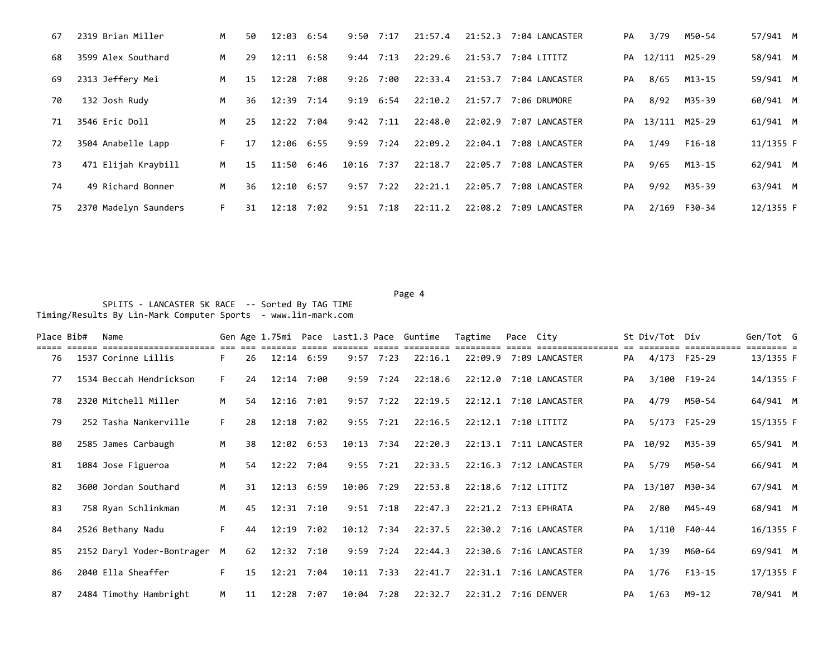| 67 | 2319 Brian Miller     | M  | 50  | 12:03        | 6:54 | 9:50         | 7:17        | 21:57.4 | 21:52.3 | 7:04 LANCASTER         | PA | 3/79 | M50-54           | 57/941 M  |  |
|----|-----------------------|----|-----|--------------|------|--------------|-------------|---------|---------|------------------------|----|------|------------------|-----------|--|
| 68 | 3599 Alex Southard    | M  | 29  | $12:11$ 6:58 |      | 9:44         | 7:13        | 22:29.6 |         | 21:53.7 7:04 LITITZ    |    |      | PA 12/111 M25-29 | 58/941 M  |  |
| 69 | 2313 Jeffery Mei      | M  | 15  | 12:28        | 7:08 | 9:26         | 7:00        | 22:33.4 | 21:53.7 | 7:04 LANCASTER         | PA | 8/65 | M13-15           | 59/941 M  |  |
| 70 | 132 Josh Rudy         | M  | 36  | 12:39 7:14   |      | 9:19         | 6:54        | 22:10.2 | 21:57.7 | 7:06 DRUMORE           | PA | 8/92 | M35-39           | 60/941 M  |  |
| 71 | 3546 Eric Doll        | M  | 25. | 12:22        | 7:04 | 9:42         | 7:11        | 22:48.0 | 22:02.9 | 7:07 LANCASTER         |    |      | PA 13/111 M25-29 | 61/941 M  |  |
| 72 | 3504 Anabelle Lapp    | F. | 17  | 12:06 6:55   |      |              | $9:59$ 7:24 | 22:09.2 |         | 22:04.1 7:08 LANCASTER | PA | 1/49 | F16-18           | 11/1355 F |  |
| 73 | 471 Elijah Kraybill   | M  | 15  | 11:50        | 6:46 | $10:16$ 7:37 |             | 22:18.7 | 22:05.7 | 7:08 LANCASTER         | PA | 9/65 | M13-15           | 62/941 M  |  |
| 74 | 49 Richard Bonner     | M  | 36  | 12:10        | 6:57 | 9:57         | 7:22        | 22:21.1 |         | 22:05.7 7:08 LANCASTER | PA | 9/92 | M35-39           | 63/941 M  |  |
| 75 | 2370 Madelyn Saunders | F. | 31  | 12:18        | 7:02 | 9:51         | 7:18        | 22:11.2 |         | 22:08.2 7:09 LANCASTER | PA |      | 2/169 F30-34     | 12/1355 F |  |

Page 4 and the state of the state of the state of the state of the state of the state of the state of the state of the state of the state of the state of the state of the state of the state of the state of the state of the SPLITS - LANCASTER 5K RACE -- Sorted By TAG TIME Timing/Results By Lin-Mark Computer Sports - www.lin-mark.com

Place Bib# Name 6en Sen Age 1.75mi Pace Last1.3 Pace Guntime Tagtime Pace City 5t Div/Tot Div Gen/Tot G ===== ====== ====================== === === ======= ===== ======= ===== ========= ========= ===== ================ == ======== =========== ======== = 76 1537 Corinne Lillis F 26 12:14 6:59 9:57 7:23 22:16.1 22:09.9 7:09 LANCASTER PA 4/173 F25-29 13/1355 F 77 1534 Beccah Hendrickson F 24 12:14 7:00 9:59 7:24 22:18.6 22:12.0 7:10 LANCASTER PA 3/100 F19-24 14/1355 F 78 2320 Mitchell Miller M 54 12:16 7:01 9:57 7:22 22:19.5 22:12.1 7:10 LANCASTER PA 4/79 M50-54 64/941 M 79 252 Tasha Nankerville F 28 12:18 7:02 9:55 7:21 22:16.5 22:12.1 7:10 LITITZ PA 5/173 F25-29 15/1355 F 80 2585 James Carbaugh M 38 12:02 6:53 10:13 7:34 22:20.3 22:13.1 7:11 LANCASTER PA 10/92 M35-39 65/941 M 81 1084 Jose Figueroa M 54 12:22 7:04 9:55 7:21 22:33.5 22:16.3 7:12 LANCASTER PA 5/79 M50-54 66/941 M 82 3600 Jordan Southard M 31 12:13 6:59 10:06 7:29 22:53.8 22:18.6 7:12 LITITZ PA 13/107 M30-34 67/941 M 83 758 Ryan Schlinkman M 45 12:31 7:10 9:51 7:18 22:47.3 22:21.2 7:13 EPHRATA PA 2/80 M45-49 68/941 M 84 2526 Bethany Nadu F 44 12:19 7:02 10:12 7:34 22:37.5 22:30.2 7:16 LANCASTER PA 1/110 F40-44 16/1355 F 85 2152 Daryl Yoder-Bontrager M 62 12:32 7:10 9:59 7:24 22:44.3 22:30.6 7:16 LANCASTER PA 1/39 M60-64 69/941 M 86 2040 Ella Sheaffer F 15 12:21 7:04 10:11 7:33 22:41.7 22:31.1 7:16 LANCASTER PA 1/76 F13-15 17/1355 F 87 2484 Timothy Hambright M 11 12:28 7:07 10:04 7:28 22:32.7 22:31.2 7:16 DENVER PA 1/63 M9-12 70/941 M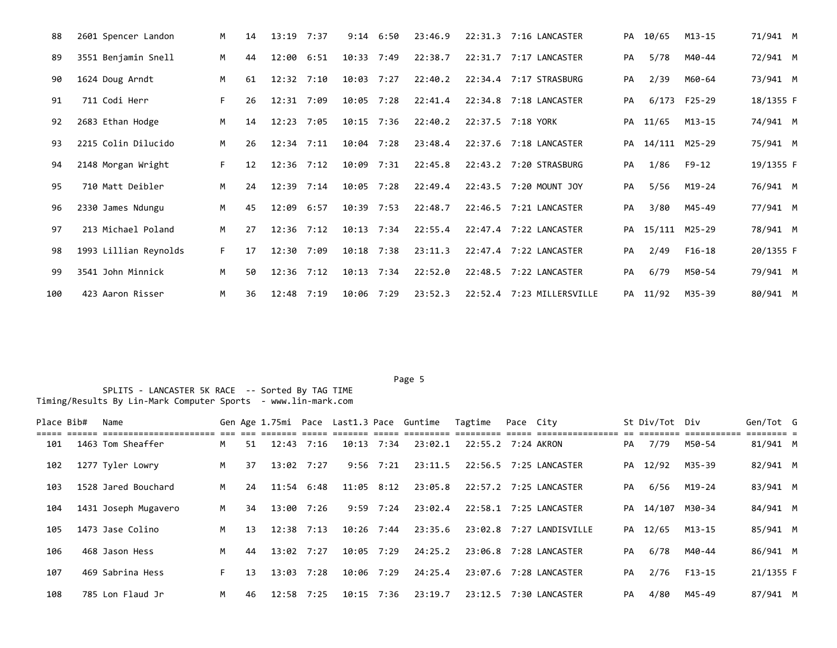| 88  | 2601 Spencer Landon   | M  | 14 | 13:19 7:37     |      | 9:14           | 6:50 | 23:46.9 | 22:31.3 | 7:16 LANCASTER            | PA | 10/65            | $M13 - 15$   | 71/941 M  |  |
|-----|-----------------------|----|----|----------------|------|----------------|------|---------|---------|---------------------------|----|------------------|--------------|-----------|--|
| 89  | 3551 Benjamin Snell   | M  | 44 | 12:00 6:51     |      | $10:33$ 7:49   |      | 22:38.7 |         | 22:31.7 7:17 LANCASTER    | PA | 5/78             | M40-44       | 72/941 M  |  |
| 90  | 1624 Doug Arndt       | M  | 61 | $12:32$ $7:10$ |      | $10:03$ 7:27   |      | 22:40.2 |         | 22:34.4 7:17 STRASBURG    | PA | 2/39             | M60-64       | 73/941 M  |  |
| 91  | 711 Codi Herr         | F. | 26 | $12:31$ 7:09   |      | $10:05$ 7:28   |      | 22:41.4 |         | 22:34.8 7:18 LANCASTER    | PA |                  | 6/173 F25-29 | 18/1355 F |  |
| 92  | 2683 Ethan Hodge      | M  | 14 | $12:23$ 7:05   |      | 10:15 7:36     |      | 22:40.2 |         | 22:37.5 7:18 YORK         | PA | 11/65            | M13-15       | 74/941 M  |  |
| 93  | 2215 Colin Dilucido   | M  | 26 | $12:34$ $7:11$ |      | 10:04 7:28     |      | 23:48.4 |         | 22:37.6 7:18 LANCASTER    | PA | 14/111 M25-29    |              | 75/941 M  |  |
| 94  | 2148 Morgan Wright    | F. | 12 | $12:36$ $7:12$ |      | 10:09 7:31     |      | 22:45.8 |         | 22:43.2 7:20 STRASBURG    | PA | 1/86             | F9-12        | 19/1355 F |  |
| 95  | 710 Matt Deibler      | M  | 24 | $12:39$ $7:14$ |      | 10:05 7:28     |      | 22:49.4 |         | 22:43.5 7:20 MOUNT JOY    | PA | 5/56             | M19-24       | 76/941 M  |  |
| 96  | 2330 James Ndungu     | M  | 45 | $12:09$ 6:57   |      | $10:39$ 7:53   |      | 22:48.7 |         | 22:46.5 7:21 LANCASTER    | PA | 3/80             | M45-49       | 77/941 M  |  |
| 97  | 213 Michael Poland    | M  | 27 | $12:36$ $7:12$ |      | $10:13$ $7:34$ |      | 22:55.4 |         | 22:47.4 7:22 LANCASTER    |    | PA 15/111 M25-29 |              | 78/941 M  |  |
| 98  | 1993 Lillian Reynolds | F. | 17 | $12:30$ 7:09   |      | $10:18$ 7:38   |      | 23:11.3 |         | 22:47.4 7:22 LANCASTER    | PA | 2/49             | F16-18       | 20/1355 F |  |
| 99  | 3541 John Minnick     | M  | 50 | 12:36          | 7:12 | $10:13$ 7:34   |      | 22:52.0 | 22:48.5 | 7:22 LANCASTER            | PA | 6/79             | M50-54       | 79/941 M  |  |
| 100 | 423 Aaron Risser      | M  | 36 | 12:48          | 7:19 | $10:06$ 7:29   |      | 23:52.3 |         | 22:52.4 7:23 MILLERSVILLE |    | PA 11/92         | M35-39       | 80/941 M  |  |

Page 5 and the state of the state of the state of the state of the state of the state of the state of the state of the state of the state of the state of the state of the state of the state of the state of the state of the

| Place Bib# | Name                 |     |    |                |                |               | Gen Age 1.75mi Pace Last1.3 Pace Guntime Tagtime |                    | Pace Citv |                          |    | St Div/Tot Div   |        | Gen/Tot G |  |
|------------|----------------------|-----|----|----------------|----------------|---------------|--------------------------------------------------|--------------------|-----------|--------------------------|----|------------------|--------|-----------|--|
| 101        | 1463 Tom Sheaffer    | M   | 51 | $12:43$ $7:16$ | $10:13$ $7:34$ |               | 23:02.1                                          | 22:55.2 7:24 AKRON |           |                          | PA | 7/79             | M50-54 | 81/941 M  |  |
| 102        | 1277 Tyler Lowry     | M . | 37 | 13:02 7:27     |                | $9:56$ $7:21$ | 23:11.5                                          |                    |           | 22:56.5 7:25 LANCASTER   |    | PA 12/92         | M35-39 | 82/941 M  |  |
| 103        | 1528 Jared Bouchard  | M   | 24 | 11:54 6:48     | $11:05$ $8:12$ |               | 23:05.8                                          |                    |           | 22:57.2 7:25 LANCASTER   | PA | 6/56             | M19-24 | 83/941 M  |  |
| 104        | 1431 Joseph Mugavero | M   | 34 | 13:00 7:26     |                | $9:59$ 7:24   | 23:02.4                                          |                    |           | 22:58.1 7:25 LANCASTER   |    | PA 14/107 M30-34 |        | 84/941 M  |  |
| 105        | 1473 Jase Colino     | M   | 13 | 12:38 7:13     | 10:26 7:44     |               | 23:35.6                                          |                    |           | 23:02.8 7:27 LANDISVILLE |    | PA 12/65         | M13-15 | 85/941 M  |  |
| 106        | 468 Jason Hess       | M   | 44 | $13:02$ $7:27$ | 10:05 7:29     |               | 24:25.2                                          | 23:06.8            |           | 7:28 LANCASTER           | PA | 6/78             | M40-44 | 86/941 M  |  |
| 107        | 469 Sabrina Hess     | F.  | 13 | 13:03 7:28     | 10:06 7:29     |               | 24:25.4                                          |                    |           | 23:07.6 7:28 LANCASTER   | PA | 2/76             | F13-15 | 21/1355 F |  |
| 108        | 785 Lon Flaud Jr     | M   | 46 | 12:58 7:25     | 10:15 7:36     |               | 23:19.7                                          |                    |           | 23:12.5 7:30 LANCASTER   | PA | 4/80             | M45-49 | 87/941 M  |  |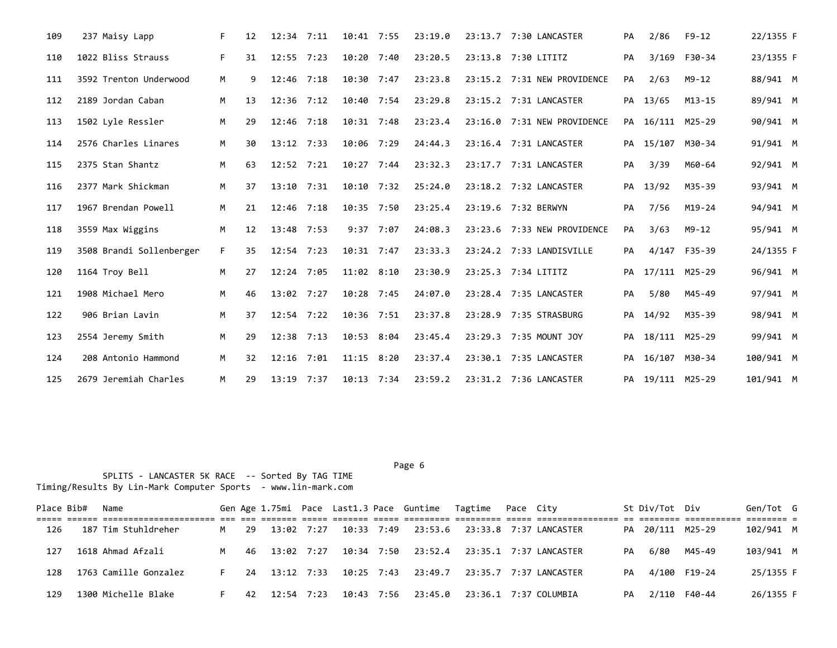| 109 | 237 Maisy Lapp           | F. | 12 | $12:34$ $7:11$ |      | 10:41 7:55     | 23:19.0 | 23:13.7 7:30 LANCASTER      | PA | 2/86             | $F9-12$      | 22/1355 F |  |
|-----|--------------------------|----|----|----------------|------|----------------|---------|-----------------------------|----|------------------|--------------|-----------|--|
| 110 | 1022 Bliss Strauss       | F. | 31 | 12:55 7:23     |      | 10:20 7:40     | 23:20.5 | 23:13.8 7:30 LITITZ         | PA |                  | 3/169 F30-34 | 23/1355 F |  |
| 111 | 3592 Trenton Underwood   | М  | 9  | 12:46          | 7:18 | 10:30 7:47     | 23:23.8 | 23:15.2 7:31 NEW PROVIDENCE | PA | 2/63             | $M9 - 12$    | 88/941 M  |  |
| 112 | 2189 Jordan Caban        | M  | 13 | 12:36          | 7:12 | 10:40 7:54     | 23:29.8 | 23:15.2 7:31 LANCASTER      | PA | 13/65            | $M13 - 15$   | 89/941 M  |  |
| 113 | 1502 Lyle Ressler        | M  | 29 | $12:46$ 7:18   |      | $10:31$ 7:48   | 23:23.4 | 23:16.0 7:31 NEW PROVIDENCE |    | PA 16/111 M25-29 |              | 90/941 M  |  |
| 114 | 2576 Charles Linares     | M  | 30 | $13:12$ $7:33$ |      | 10:06 7:29     | 24:44.3 | 23:16.4 7:31 LANCASTER      | PA | 15/107           | M30-34       | 91/941 M  |  |
| 115 | 2375 Stan Shantz         | M  | 63 | $12:52$ $7:21$ |      | $10:27$ 7:44   | 23:32.3 | 23:17.7 7:31 LANCASTER      | PA | 3/39             | M60-64       | 92/941 M  |  |
| 116 | 2377 Mark Shickman       | M  | 37 | 13:10          | 7:31 | $10:10$ 7:32   | 25:24.0 | 23:18.2 7:32 LANCASTER      | PA | 13/92            | M35-39       | 93/941 M  |  |
| 117 | 1967 Brendan Powell      | M  | 21 | $12:46$ 7:18   |      | $10:35$ 7:50   | 23:25.4 | 23:19.6 7:32 BERWYN         | PA | 7/56             | M19-24       | 94/941 M  |  |
| 118 | 3559 Max Wiggins         | M  | 12 | 13:48 7:53     |      | $9:37$ 7:07    | 24:08.3 | 23:23.6 7:33 NEW PROVIDENCE | PA | 3/63             | $M9 - 12$    | 95/941 M  |  |
| 119 | 3508 Brandi Sollenberger | F. | 35 | 12:54 7:23     |      | 10:31 7:47     | 23:33.3 | 23:24.2 7:33 LANDISVILLE    | PA |                  | 4/147 F35-39 | 24/1355 F |  |
| 120 | 1164 Troy Bell           | M  | 27 | $12:24$ 7:05   |      | $11:02$ $8:10$ | 23:30.9 | 23:25.3 7:34 LITITZ         | PA | 17/111 M25-29    |              | 96/941 M  |  |
| 121 | 1908 Michael Mero        | M  | 46 | $13:02$ 7:27   |      | $10:28$ 7:45   | 24:07.0 | 23:28.4 7:35 LANCASTER      | PA | 5/80             | M45-49       | 97/941 M  |  |
| 122 | 906 Brian Lavin          | M  | 37 | $12:54$ 7:22   |      | 10:36 7:51     | 23:37.8 | 23:28.9 7:35 STRASBURG      | PA | 14/92            | M35-39       | 98/941 M  |  |
| 123 | 2554 Jeremy Smith        | M  | 29 | 12:38          | 7:13 | 10:53 8:04     | 23:45.4 | 23:29.3 7:35 MOUNT JOY      | PA | 18/111 M25-29    |              | 99/941 M  |  |
| 124 | 208 Antonio Hammond      | M  | 32 | 12:16          | 7:01 | $11:15$ $8:20$ | 23:37.4 | 23:30.1 7:35 LANCASTER      | PA | 16/107 M30-34    |              | 100/941 M |  |
| 125 | 2679 Jeremiah Charles    | M  | 29 | $13:19$ 7:37   |      | $10:13$ 7:34   | 23:59.2 | 23:31.2 7:36 LANCASTER      |    | PA 19/111 M25-29 |              | 101/941 M |  |

Page 6 and the contract of the contract of the contract of the contract of the contract of the contract of the contract of the contract of the contract of the contract of the contract of the contract of the contract of the

| Place Bib# | Name                  |     |     |               |                          | Gen Age 1.75mi Pace Last1.3 Pace Guntime Tagtime Pace City |  |                                                         |    | St Div/Tot Div   |              | Gen/Tot G  |  |
|------------|-----------------------|-----|-----|---------------|--------------------------|------------------------------------------------------------|--|---------------------------------------------------------|----|------------------|--------------|------------|--|
|            |                       |     |     |               |                          |                                                            |  |                                                         |    |                  |              | -------- - |  |
| 126        | 187 Tim Stuhldreher   | M   | -29 | 13:02 7:27    | 10:33 7:49               |                                                            |  |                                                         |    | PA 20/111 M25-29 |              | 102/941 M  |  |
| 127        | 1618 Ahmad Afzali     | M . |     |               |                          |                                                            |  | 46 13:02 7:27 10:34 7:50 23:52.4 23:35.1 7:37 LANCASTER | PA | 6/80             | M45-49       | 103/941 M  |  |
| 128        | 1763 Camille Gonzalez | F.  |     |               | 24 13:12 7:33 10:25 7:43 |                                                            |  |                                                         | PA | 4/100 F19-24     |              | 25/1355 F  |  |
| 129        | 1300 Michelle Blake   |     |     | 42 12:54 7:23 |                          | 10:43 7:56 23:45.0 23:36.1 7:37 COLUMBIA                   |  |                                                         | PA |                  | 2/110 F40-44 | 26/1355 F  |  |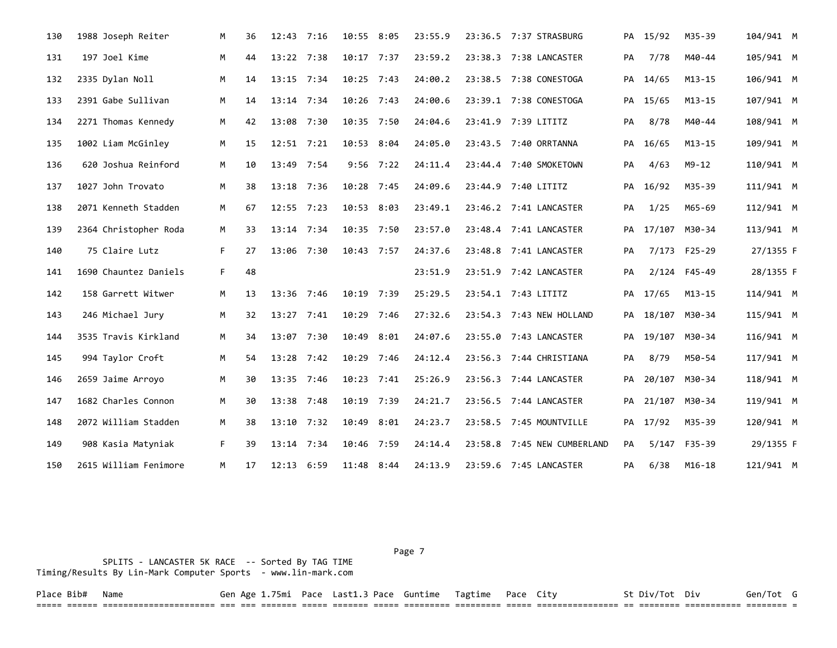| 130 | 1988 Joseph Reiter    | M  | 36 | $12:43$ 7:16   |      | 10:55 8:05   | 23:55.9 | 23:36.5 7:37 STRASBURG      |    | PA 15/92      | M35-39       | 104/941 M |  |
|-----|-----------------------|----|----|----------------|------|--------------|---------|-----------------------------|----|---------------|--------------|-----------|--|
| 131 | 197 Joel Kime         | М  | 44 | 13:22 7:38     |      | $10:17$ 7:37 | 23:59.2 | 23:38.3 7:38 LANCASTER      | PA | 7/78          | M40-44       | 105/941 M |  |
| 132 | 2335 Dylan Noll       | M  | 14 | $13:15$ 7:34   |      | $10:25$ 7:43 | 24:00.2 | 23:38.5 7:38 CONESTOGA      | PA | 14/65         | $M13 - 15$   | 106/941 M |  |
| 133 | 2391 Gabe Sullivan    | М  | 14 | $13:14$ 7:34   |      | $10:26$ 7:43 | 24:00.6 | 23:39.1 7:38 CONESTOGA      | PA | 15/65         | $M13 - 15$   | 107/941 M |  |
| 134 | 2271 Thomas Kennedy   | M  | 42 | 13:08 7:30     |      | 10:35 7:50   | 24:04.6 | 23:41.9 7:39 LITITZ         | PA | 8/78          | M40-44       | 108/941 M |  |
| 135 | 1002 Liam McGinley    | M  | 15 | $12:51$ $7:21$ |      | 10:53 8:04   | 24:05.0 | 23:43.5 7:40 ORRTANNA       |    | PA 16/65      | $M13 - 15$   | 109/941 M |  |
| 136 | 620 Joshua Reinford   | M  | 10 | 13:49 7:54     |      | $9:56$ 7:22  | 24:11.4 | 23:44.4 7:40 SMOKETOWN      | PA | 4/63          | M9-12        | 110/941 M |  |
| 137 | 1027 John Trovato     | M  | 38 | 13:18 7:36     |      | 10:28 7:45   | 24:09.6 | 23:44.9 7:40 LITITZ         | PA | 16/92         | M35-39       | 111/941 M |  |
| 138 | 2071 Kenneth Stadden  | M  | 67 | $12:55$ 7:23   |      | 10:53 8:03   | 23:49.1 | 23:46.2 7:41 LANCASTER      | PA | 1/25          | M65-69       | 112/941 M |  |
| 139 | 2364 Christopher Roda | М  | 33 | $13:14$ 7:34   |      | 10:35 7:50   | 23:57.0 | 23:48.4 7:41 LANCASTER      | PA | 17/107 M30-34 |              | 113/941 M |  |
| 140 | 75 Claire Lutz        | F. | 27 | 13:06 7:30     |      | 10:43 7:57   | 24:37.6 | 23:48.8 7:41 LANCASTER      | PA |               | 7/173 F25-29 | 27/1355 F |  |
| 141 | 1690 Chauntez Daniels | F. | 48 |                |      |              | 23:51.9 | 23:51.9 7:42 LANCASTER      | PA |               | 2/124 F45-49 | 28/1355 F |  |
| 142 | 158 Garrett Witwer    | M  | 13 | 13:36 7:46     |      | 10:19 7:39   | 25:29.5 | 23:54.1 7:43 LITITZ         | PA | 17/65         | $M13 - 15$   | 114/941 M |  |
| 143 | 246 Michael Jury      | M  | 32 | $13:27$ 7:41   |      | 10:29 7:46   | 27:32.6 | 23:54.3 7:43 NEW HOLLAND    | PA | 18/107 M30-34 |              | 115/941 M |  |
| 144 | 3535 Travis Kirkland  | M  | 34 | 13:07 7:30     |      | 10:49 8:01   | 24:07.6 | 23:55.0 7:43 LANCASTER      | PA | 19/107 M30-34 |              | 116/941 M |  |
| 145 | 994 Taylor Croft      | M  | 54 | 13:28 7:42     |      | 10:29 7:46   | 24:12.4 | 23:56.3 7:44 CHRISTIANA     | PA | 8/79          | M50-54       | 117/941 M |  |
| 146 | 2659 Jaime Arroyo     | M  | 30 | 13:35 7:46     |      | 10:23 7:41   | 25:26.9 | 23:56.3 7:44 LANCASTER      | PA | 20/107 M30-34 |              | 118/941 M |  |
| 147 | 1682 Charles Connon   | M  | 30 | $13:38$ 7:48   |      | 10:19 7:39   | 24:21.7 | 23:56.5 7:44 LANCASTER      | PA | 21/107 M30-34 |              | 119/941 M |  |
| 148 | 2072 William Stadden  | M  | 38 | 13:10 7:32     |      | 10:49 8:01   | 24:23.7 | 23:58.5 7:45 MOUNTVILLE     |    | PA 17/92      | M35-39       | 120/941 M |  |
| 149 | 908 Kasia Matyniak    | F. | 39 | 13:14          | 7:34 | 10:46 7:59   | 24:14.4 | 23:58.8 7:45 NEW CUMBERLAND | PA |               | 5/147 F35-39 | 29/1355 F |  |
| 150 | 2615 William Fenimore | M  | 17 | 12:13 6:59     |      | 11:48 8:44   | 24:13.9 | 23:59.6 7:45 LANCASTER      | PA | 6/38          | M16-18       | 121/941 M |  |

Page 7 and the contract of the contract of the contract of the contract of the contract of the contract of the contract of the contract of the contract of the contract of the contract of the contract of the contract of the SPLITS - LANCASTER 5K RACE -- Sorted By TAG TIME Timing/Results By Lin-Mark Computer Sports - www.lin-mark.com

Place Bib# Name Gen Age 1.75mi Pace Last1.3 Pace Guntime Tagtime Pace City St Div/Tot Div Gen/Tot G ===== ====== ====================== === === ======= ===== ======= ===== ========= ========= ===== ================ == ======== =========== ======== =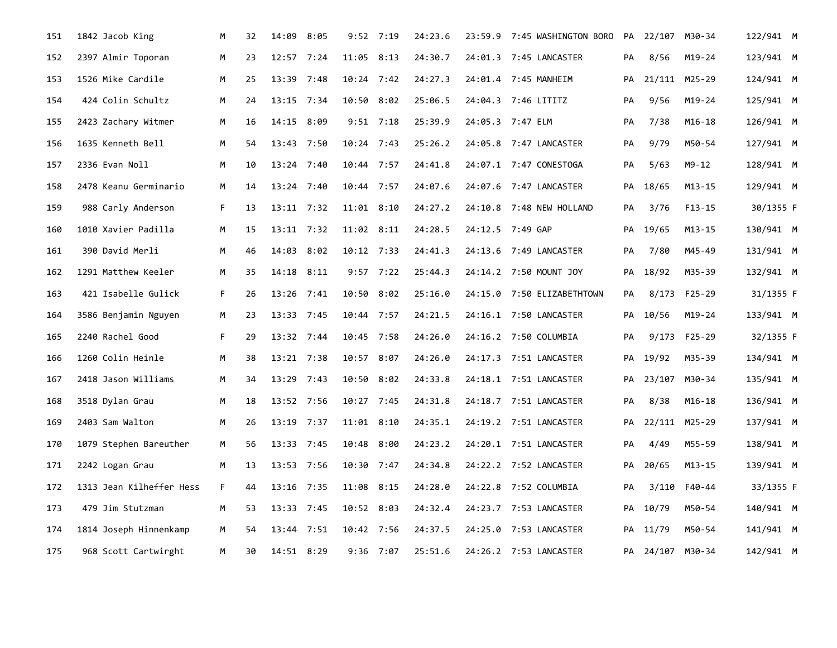| 151 | 1842 Jacob King          | М  | 32 | 14:09 8:05     |      | $9:52$ 7:19    |             | 24:23.6 | 23:59.9 7:45 WASHINGTON BORO | PA |                  | 22/107 M30-34 | 122/941 M |  |
|-----|--------------------------|----|----|----------------|------|----------------|-------------|---------|------------------------------|----|------------------|---------------|-----------|--|
| 152 | 2397 Almir Toporan       | М  | 23 | $12:57$ 7:24   |      | $11:05$ 8:13   |             | 24:30.7 | 24:01.3 7:45 LANCASTER       | PA | 8/56             | M19-24        | 123/941 M |  |
| 153 | 1526 Mike Cardile        | M  | 25 | 13:39 7:48     |      | $10:24$ 7:42   |             | 24:27.3 | 24:01.4 7:45 MANHEIM         | PA |                  | 21/111 M25-29 | 124/941 M |  |
| 154 | 424 Colin Schultz        | M  | 24 | 13:15 7:34     |      | 10:50 8:02     |             | 25:06.5 | 24:04.3 7:46 LITITZ          | PA | 9/56             | M19-24        | 125/941 M |  |
| 155 | 2423 Zachary Witmer      | M  | 16 | 14:15 8:09     |      | $9:51$ 7:18    |             | 25:39.9 | 24:05.3 7:47 ELM             | PA | 7/38             | M16-18        | 126/941 M |  |
| 156 | 1635 Kenneth Bell        | М  | 54 | 13:43 7:50     |      | 10:24 7:43     |             | 25:26.2 | 24:05.8 7:47 LANCASTER       | PA | 9/79             | M50-54        | 127/941 M |  |
| 157 | 2336 Evan Noll           | м  | 10 | 13:24 7:40     |      | $10:44$ 7:57   |             | 24:41.8 | 24:07.1 7:47 CONESTOGA       | PA | 5/63             | $M9 - 12$     | 128/941 M |  |
| 158 | 2478 Keanu Germinario    | М  | 14 | $13:24$ 7:40   |      | 10:44 7:57     |             | 24:07.6 | 24:07.6 7:47 LANCASTER       | PA | 18/65            | M13-15        | 129/941 M |  |
| 159 | 988 Carly Anderson       | F. | 13 | $13:11$ 7:32   |      | $11:01$ $8:10$ |             | 24:27.2 | 24:10.8 7:48 NEW HOLLAND     | PA | 3/76             | F13-15        | 30/1355 F |  |
| 160 | 1010 Xavier Padilla      | M  | 15 | $13:11$ 7:32   |      | $11:02$ $8:11$ |             | 24:28.5 | 24:12.5 7:49 GAP             | PA | 19/65            | M13-15        | 130/941 M |  |
| 161 | 390 David Merli          | M  | 46 | 14:03 8:02     |      | 10:12 7:33     |             | 24:41.3 | 24:13.6 7:49 LANCASTER       | PA | 7/80             | M45-49        | 131/941 M |  |
| 162 | 1291 Matthew Keeler      | M  | 35 | $14:18$ $8:11$ |      |                | $9:57$ 7:22 | 25:44.3 | 24:14.2 7:50 MOUNT JOY       | PA | 18/92            | M35-39        | 132/941 M |  |
| 163 | 421 Isabelle Gulick      | F. | 26 | 13:26 7:41     |      | 10:50 8:02     |             | 25:16.0 | 24:15.0 7:50 ELIZABETHTOWN   | PA |                  | 8/173 F25-29  | 31/1355 F |  |
| 164 | 3586 Benjamin Nguyen     | M  | 23 | 13:33 7:45     |      | 10:44 7:57     |             | 24:21.5 | 24:16.1 7:50 LANCASTER       | PA | 10/56            | $M19-24$      | 133/941 M |  |
| 165 | 2240 Rachel Good         | F. | 29 | 13:32 7:44     |      | 10:45 7:58     |             | 24:26.0 | 24:16.2 7:50 COLUMBIA        | PA |                  | 9/173 F25-29  | 32/1355 F |  |
| 166 | 1260 Colin Heinle        | M  | 38 | $13:21$ 7:38   |      | 10:57 8:07     |             | 24:26.0 | 24:17.3 7:51 LANCASTER       | PA | 19/92            | M35-39        | 134/941 M |  |
| 167 | 2418 Jason Williams      | M  | 34 | 13:29 7:43     |      | 10:50 8:02     |             | 24:33.8 | 24:18.1 7:51 LANCASTER       | PA |                  | 23/107 M30-34 | 135/941 M |  |
| 168 | 3518 Dylan Grau          | M  | 18 | 13:52 7:56     |      | 10:27 7:45     |             | 24:31.8 | 24:18.7 7:51 LANCASTER       | PA | 8/38             | M16-18        | 136/941 M |  |
| 169 | 2403 Sam Walton          | M  | 26 | 13:19 7:37     |      | 11:01 8:10     |             | 24:35.1 | 24:19.2 7:51 LANCASTER       | PА |                  | 22/111 M25-29 | 137/941 M |  |
| 170 | 1079 Stephen Bareuther   | M  | 56 | 13:33 7:45     |      | 10:48 8:00     |             | 24:23.2 | 24:20.1 7:51 LANCASTER       | PA | 4/49             | M55-59        | 138/941 M |  |
| 171 | 2242 Logan Grau          | м  | 13 | 13:53 7:56     |      | 10:30 7:47     |             | 24:34.8 | 24:22.2 7:52 LANCASTER       | PA | 20/65            | $M13 - 15$    | 139/941 M |  |
| 172 | 1313 Jean Kilheffer Hess | F. | 44 | 13:16 7:35     |      | 11:08 8:15     |             | 24:28.0 | 24:22.8 7:52 COLUMBIA        | PA | 3/110            | F40-44        | 33/1355 F |  |
| 173 | 479 Jim Stutzman         | M  | 53 | 13:33 7:45     |      | 10:52 8:03     |             | 24:32.4 | 24:23.7 7:53 LANCASTER       | PA | 10/79            | M50-54        | 140/941 M |  |
| 174 | 1814 Joseph Hinnenkamp   | M  | 54 | 13:44          | 7:51 | 10:42 7:56     |             | 24:37.5 | 24:25.0 7:53 LANCASTER       | PA | 11/79            | M50-54        | 141/941 M |  |
| 175 | 968 Scott Cartwirght     | м  | 30 | 14:51 8:29     |      | $9:36$ 7:07    |             | 25:51.6 | 24:26.2 7:53 LANCASTER       |    | PA 24/107 M30-34 |               | 142/941 M |  |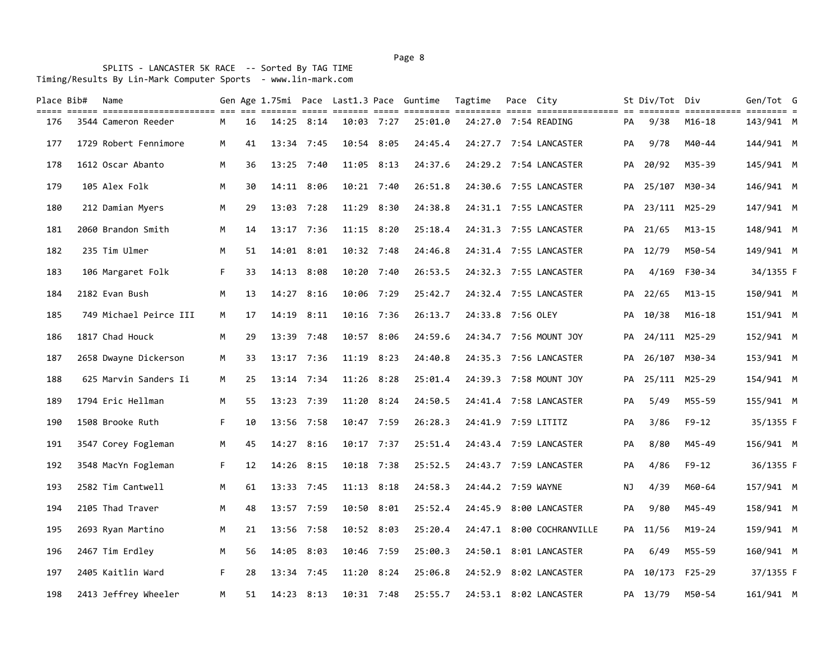SPLITS - LANCASTER 5K RACE -- Sorted By TAG TIME Timing/Results By Lin-Mark Computer Sports - www.lin-mark.com

| Place Bib#<br>===== | Name<br>sitic continualization of the count come count come continue continue and continuation of continue continue continue |    |    |            |              |                | Gen Age 1.75mi Pace Last1.3 Pace Guntime | Tagtime             | Pace City |                           |     | St Div/Tot Div   |               | Gen/Tot G |  |
|---------------------|------------------------------------------------------------------------------------------------------------------------------|----|----|------------|--------------|----------------|------------------------------------------|---------------------|-----------|---------------------------|-----|------------------|---------------|-----------|--|
| 176                 | 3544 Cameron Reeder                                                                                                          | M  | 16 | 14:25      | 8:14         | 10:03 7:27     | 25:01.0                                  |                     |           | 24:27.0 7:54 READING      | PA  | 9/38             | M16-18        | 143/941 M |  |
| 177                 | 1729 Robert Fennimore                                                                                                        | M  | 41 |            | $13:34$ 7:45 | 10:54 8:05     | 24:45.4                                  |                     |           | 24:27.7 7:54 LANCASTER    | PA  | 9/78             | M40-44        | 144/941 M |  |
| 178                 | 1612 Oscar Abanto                                                                                                            | M  | 36 |            | 13:25 7:40   | 11:05 8:13     | 24:37.6                                  |                     |           | 24:29.2 7:54 LANCASTER    | PA  | 20/92            | M35-39        | 145/941 M |  |
| 179                 | 105 Alex Folk                                                                                                                | М  | 30 |            | 14:11 8:06   | 10:21 7:40     | 26:51.8                                  |                     |           | 24:30.6 7:55 LANCASTER    |     | PA 25/107 M30-34 |               | 146/941 M |  |
| 180                 | 212 Damian Myers                                                                                                             | М  | 29 |            | 13:03 7:28   | $11:29$ 8:30   | 24:38.8                                  |                     |           | 24:31.1 7:55 LANCASTER    | PA  | 23/111 M25-29    |               | 147/941 M |  |
| 181                 | 2060 Brandon Smith                                                                                                           | M  | 14 |            | 13:17 7:36   | $11:15$ 8:20   | 25:18.4                                  |                     |           | 24:31.3 7:55 LANCASTER    |     | PA 21/65         | M13-15        | 148/941 M |  |
| 182                 | 235 Tim Ulmer                                                                                                                | M  | 51 |            | 14:01 8:01   | $10:32$ 7:48   | 24:46.8                                  |                     |           | 24:31.4 7:55 LANCASTER    |     | PA 12/79         | M50-54        | 149/941 M |  |
| 183                 | 106 Margaret Folk                                                                                                            | F. | 33 | 14:13      | 8:08         | 10:20 7:40     | 26:53.5                                  |                     |           | 24:32.3 7:55 LANCASTER    | PA  | 4/169            | F30-34        | 34/1355 F |  |
| 184                 | 2182 Evan Bush                                                                                                               | M  | 13 |            | 14:27 8:16   | 10:06 7:29     | 25:42.7                                  |                     |           | 24:32.4 7:55 LANCASTER    |     | PA 22/65         | $M13 - 15$    | 150/941 M |  |
| 185                 | 749 Michael Peirce III                                                                                                       | М  | 17 | 14:19      | 8:11         | 10:16 7:36     | 26:13.7                                  | 24:33.8 7:56 OLEY   |           |                           | PA  | 10/38            | M16-18        | 151/941 M |  |
| 186                 | 1817 Chad Houck                                                                                                              | М  | 29 |            | 13:39 7:48   | 10:57 8:06     | 24:59.6                                  |                     |           | 24:34.7 7:56 MOUNT JOY    |     | PA 24/111 M25-29 |               | 152/941 M |  |
| 187                 | 2658 Dwayne Dickerson                                                                                                        | M  | 33 |            | 13:17 7:36   | $11:19$ $8:23$ | 24:40.8                                  |                     |           | 24:35.3 7:56 LANCASTER    | PA  |                  | 26/107 M30-34 | 153/941 M |  |
| 188                 | 625 Marvin Sanders Ii                                                                                                        | М  | 25 |            | $13:14$ 7:34 | $11:26$ 8:28   | 25:01.4                                  |                     |           | 24:39.3 7:58 MOUNT JOY    | PA  |                  | 25/111 M25-29 | 154/941 M |  |
| 189                 | 1794 Eric Hellman                                                                                                            | M  | 55 |            | 13:23 7:39   | 11:20 8:24     | 24:50.5                                  |                     |           | 24:41.4 7:58 LANCASTER    | PA  | 5/49             | M55-59        | 155/941 M |  |
| 190                 | 1508 Brooke Ruth                                                                                                             | F. | 10 |            | 13:56 7:58   | 10:47 7:59     | 26:28.3                                  | 24:41.9 7:59 LITITZ |           |                           | PА  | 3/86             | $F9-12$       | 35/1355 F |  |
| 191                 | 3547 Corey Fogleman                                                                                                          | M  | 45 | 14:27 8:16 |              | 10:17 7:37     | 25:51.4                                  |                     |           | 24:43.4 7:59 LANCASTER    | PA  | 8/80             | M45-49        | 156/941 M |  |
| 192                 | 3548 MacYn Fogleman                                                                                                          | F. | 12 |            | 14:26 8:15   | $10:18$ 7:38   | 25:52.5                                  |                     |           | 24:43.7 7:59 LANCASTER    | PA  | 4/86             | F9-12         | 36/1355 F |  |
| 193                 | 2582 Tim Cantwell                                                                                                            | M  | 61 |            | $13:33$ 7:45 | $11:13$ $8:18$ | 24:58.3                                  | 24:44.2 7:59 WAYNE  |           |                           | ΝJ  | 4/39             | M60-64        | 157/941 M |  |
| 194                 | 2105 Thad Traver                                                                                                             | M  | 48 |            | 13:57 7:59   | 10:50 8:01     | 25:52.4                                  |                     |           | 24:45.9 8:00 LANCASTER    | PA  | 9/80             | M45-49        | 158/941 M |  |
| 195                 | 2693 Ryan Martino                                                                                                            | M  | 21 |            | 13:56 7:58   | 10:52 8:03     | 25:20.4                                  |                     |           | 24:47.1 8:00 COCHRANVILLE | PA. | 11/56            | $M19 - 24$    | 159/941 M |  |
| 196                 | 2467 Tim Erdley                                                                                                              | М  | 56 | 14:05      | 8:03         | 10:46 7:59     | 25:00.3                                  |                     |           | 24:50.1 8:01 LANCASTER    | PA  | 6/49             | M55-59        | 160/941 M |  |
| 197                 | 2405 Kaitlin Ward                                                                                                            | F. | 28 |            | $13:34$ 7:45 | $11:20$ 8:24   | 25:06.8                                  |                     |           | 24:52.9 8:02 LANCASTER    | PA  | 10/173 F25-29    |               | 37/1355 F |  |
| 198                 | 2413 Jeffrey Wheeler                                                                                                         | M  | 51 |            | $14:23$ 8:13 | 10:31 7:48     | 25:55.7                                  |                     |           | 24:53.1 8:02 LANCASTER    |     | PA 13/79         | M50-54        | 161/941 M |  |

Page 8 and 2012 and 2012 and 2012 and 2012 and 2012 and 2012 and 2012 and 2012 and 2012 and 2012 and 2012 and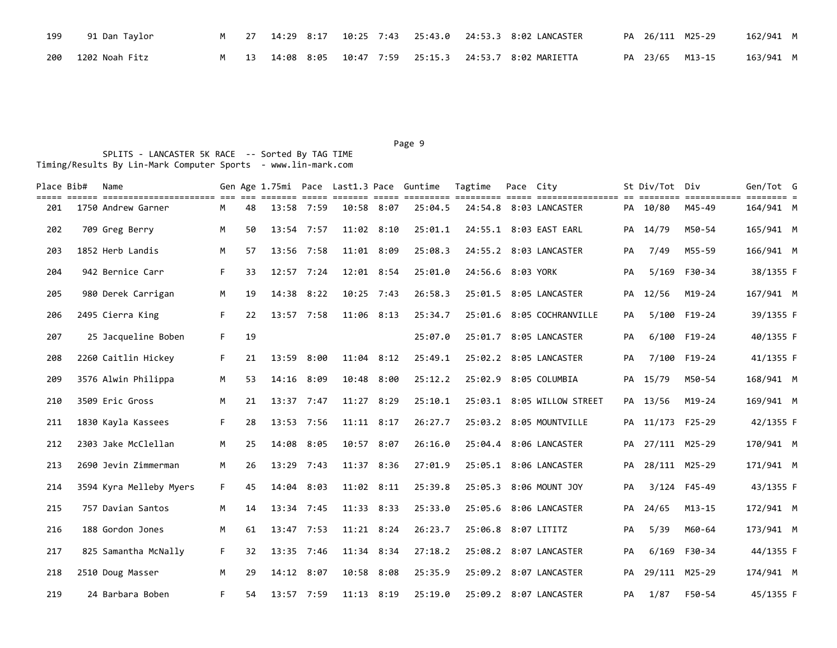| 199 | 91 Dan Taylor      |  |  |  | M 27 14:29 8:17 10:25 7:43 25:43.0 24:53.3 8:02 LANCASTER |  | PA 26/111 M25-29 | 162/941 M |  |
|-----|--------------------|--|--|--|-----------------------------------------------------------|--|------------------|-----------|--|
|     | 200 1202 Noah Fitz |  |  |  | M 13 14:08 8:05 10:47 7:59 25:15.3 24:53.7 8:02 MARIETTA  |  | PA 23/65 M13-15  | 163/941 M |  |

Page 9 and 2012 and 2012 and 2012 and 2012 and 2012 and 2012 and 2012 and 2012 and 2012 and 2012 and 2012 and

| Place Bib# | Name<br>sich schic concidencializer in di conti com conti cont chicari concide continue com concidente in contine concident c |    |    |              |      |                | Gen Age 1.75mi Pace Last1.3 Pace Guntime | Tagtime             | Pace City |                            |    | St Div/Tot Div   |              | Gen/Tot G |  |
|------------|-------------------------------------------------------------------------------------------------------------------------------|----|----|--------------|------|----------------|------------------------------------------|---------------------|-----------|----------------------------|----|------------------|--------------|-----------|--|
| 201        | 1750 Andrew Garner                                                                                                            | M  | 48 | 13:58 7:59   |      | 10:58 8:07     | 25:04.5                                  |                     |           | 24:54.8 8:03 LANCASTER     |    | PA 10/80         | M45-49       | 164/941 M |  |
| 202        | 709 Greg Berry                                                                                                                | M  | 50 | $13:54$ 7:57 |      | $11:02$ $8:10$ | 25:01.1                                  |                     |           | 24:55.1 8:03 EAST EARL     | PA | 14/79            | M50-54       | 165/941 M |  |
| 203        | 1852 Herb Landis                                                                                                              | M  | 57 | 13:56 7:58   |      | 11:01 8:09     | 25:08.3                                  |                     |           | 24:55.2 8:03 LANCASTER     | PA | 7/49             | M55-59       | 166/941 M |  |
| 204        | 942 Bernice Carr                                                                                                              | F. | 33 | $12:57$ 7:24 |      | 12:01 8:54     | 25:01.0                                  | 24:56.6 8:03 YORK   |           |                            | PA | 5/169            | F30-34       | 38/1355 F |  |
| 205        | 980 Derek Carrigan                                                                                                            | М  | 19 | 14:38        | 8:22 | $10:25$ 7:43   | 26:58.3                                  |                     |           | 25:01.5 8:05 LANCASTER     | PA | 12/56            | $M19 - 24$   | 167/941 M |  |
| 206        | 2495 Cierra King                                                                                                              | F. | 22 | 13:57 7:58   |      | 11:06 8:13     | 25:34.7                                  |                     |           | 25:01.6 8:05 COCHRANVILLE  | PA |                  | 5/100 F19-24 | 39/1355 F |  |
| 207        | 25 Jacqueline Boben                                                                                                           | F. | 19 |              |      |                | 25:07.0                                  |                     |           | 25:01.7 8:05 LANCASTER     | PA |                  | 6/100 F19-24 | 40/1355 F |  |
| 208        | 2260 Caitlin Hickey                                                                                                           | F. | 21 | 13:59 8:00   |      | 11:04 8:12     | 25:49.1                                  |                     |           | 25:02.2 8:05 LANCASTER     | PA |                  | 7/100 F19-24 | 41/1355 F |  |
| 209        | 3576 Alwin Philippa                                                                                                           | M  | 53 | 14:16 8:09   |      | 10:48 8:00     | 25:12.2                                  |                     |           | 25:02.9 8:05 COLUMBIA      |    | PA 15/79         | M50-54       | 168/941 M |  |
| 210        | 3509 Eric Gross                                                                                                               | M  | 21 | $13:37$ 7:47 |      | $11:27$ 8:29   | 25:10.1                                  |                     |           | 25:03.1 8:05 WILLOW STREET |    | PA 13/56         | M19-24       | 169/941 M |  |
| 211        | 1830 Kayla Kassees                                                                                                            | F. | 28 | 13:53 7:56   |      | $11:11$ 8:17   | 26:27.7                                  |                     |           | 25:03.2 8:05 MOUNTVILLE    |    | PA 11/173 F25-29 |              | 42/1355 F |  |
| 212        | 2303 Jake McClellan                                                                                                           | M  | 25 | 14:08        | 8:05 | 10:57 8:07     | 26:16.0                                  |                     |           | 25:04.4 8:06 LANCASTER     | PA | 27/111 M25-29    |              | 170/941 M |  |
| 213        | 2690 Jevin Zimmerman                                                                                                          | M  | 26 | 13:29        | 7:43 | 11:37 8:36     | 27:01.9                                  |                     |           | 25:05.1 8:06 LANCASTER     | PA | 28/111 M25-29    |              | 171/941 M |  |
| 214        | 3594 Kyra Melleby Myers                                                                                                       | F. | 45 | 14:04        | 8:03 | $11:02$ 8:11   | 25:39.8                                  | 25:05.3             |           | 8:06 MOUNT JOY             | PA |                  | 3/124 F45-49 | 43/1355 F |  |
| 215        | 757 Davian Santos                                                                                                             | М  | 14 | $13:34$ 7:45 |      | $11:33$ $8:33$ | 25:33.0                                  |                     |           | 25:05.6 8:06 LANCASTER     | PA | 24/65            | $M13 - 15$   | 172/941 M |  |
| 216        | 188 Gordon Jones                                                                                                              | M  | 61 | 13:47 7:53   |      | $11:21$ 8:24   | 26:23.7                                  | 25:06.8 8:07 LITITZ |           |                            | PA | 5/39             | M60-64       | 173/941 M |  |
| 217        | 825 Samantha McNally                                                                                                          | F. | 32 | 13:35 7:46   |      | 11:34 8:34     | 27:18.2                                  |                     |           | 25:08.2 8:07 LANCASTER     | PA | 6/169            | F30-34       | 44/1355 F |  |
| 218        | 2510 Doug Masser                                                                                                              | M  | 29 | 14:12 8:07   |      | 10:58 8:08     | 25:35.9                                  |                     |           | 25:09.2 8:07 LANCASTER     | PA | 29/111 M25-29    |              | 174/941 M |  |
| 219        | 24 Barbara Boben                                                                                                              | F. | 54 | 13:57 7:59   |      | $11:13$ $8:19$ | 25:19.0                                  |                     |           | 25:09.2 8:07 LANCASTER     | PA | 1/87             | F50-54       | 45/1355 F |  |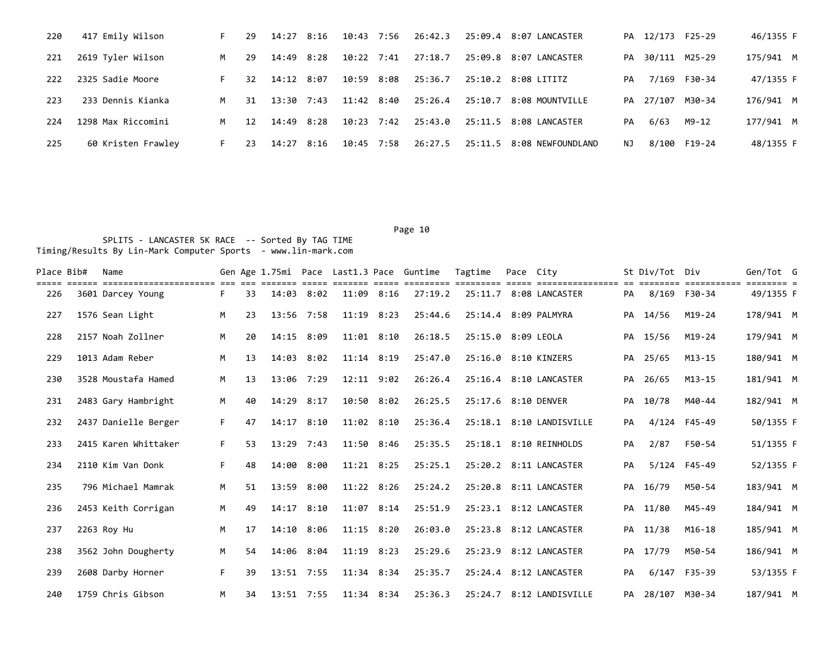| 220 | 417 Emily Wilson   | F. | 29  | 14:27          | 8:16 | 10:43          | 7:56 | 26:42.3 |         | 25:09.4 8:07 LANCASTER |     | PA 12/173 F25-29 |                  | 46/1355 F |
|-----|--------------------|----|-----|----------------|------|----------------|------|---------|---------|------------------------|-----|------------------|------------------|-----------|
| 221 | 2619 Tyler Wilson  | M  | 29  | 14:49          | 8:28 | $10:22$ 7:41   |      | 27:18.7 |         | 25:09.8 8:07 LANCASTER |     |                  | PA 30/111 M25-29 | 175/941 M |
| 222 | 2325 Sadie Moore   | F. | 32. | 14:12 8:07     |      | 10:59          | 8:08 | 25:36.7 |         | 25:10.2 8:08 LITITZ    | PA  |                  | 7/169 F30-34     | 47/1355 F |
| 223 | 233 Dennis Kianka  | M  | 31  | $13:30$ $7:43$ |      | $11:42$ $8:40$ |      | 25:26.4 | 25:10.7 | 8:08 MOUNTVILLE        |     | PA 27/107        | M30-34           | 176/941 M |
| 224 | 1298 Max Riccomini | M  | 12  | 14:49          | 8:28 | $10:23$ 7:42   |      | 25:43.0 |         | 25:11.5 8:08 LANCASTER | PA  | 6/63             | M9-12            | 177/941 M |
| 225 | 60 Kristen Frawley | F. | -23 | 14:27          | 8:16 | 10:45          | 7:58 | 26:27.5 | 25:11.5 | 8:08 NEWFOUNDLAND      | NJ. |                  | 8/100 F19-24     | 48/1355 F |

| Place Bib# | Name<br>----------------------- |    |    |                |      |                |      | Gen Age 1.75mi Pace Last1.3 Pace Guntime | Tagtime              | Pace City |                          |    | St Div/Tot Div   | ===========  | Gen/Tot G |  |
|------------|---------------------------------|----|----|----------------|------|----------------|------|------------------------------------------|----------------------|-----------|--------------------------|----|------------------|--------------|-----------|--|
| 226        | 3601 Darcey Young               | F. | 33 | $14:03$ $8:02$ |      | 11:09          | 8:16 | 27:19.2                                  | 25:11.7              |           | 8:08 LANCASTER           | PA | 8/169 F30-34     |              | 49/1355 F |  |
| 227        | 1576 Sean Light                 | M  | 23 | 13:56 7:58     |      | $11:19$ $8:23$ |      | 25:44.6                                  | 25:14.4 8:09 PALMYRA |           |                          |    | PA 14/56         | M19-24       | 178/941 M |  |
| 228        | 2157 Noah Zollner               | M  | 20 | 14:15 8:09     |      | $11:01$ $8:10$ |      | 26:18.5                                  | 25:15.0 8:09 LEOLA   |           |                          |    | PA 15/56         | M19-24       | 179/941 M |  |
| 229        | 1013 Adam Reber                 | M  | 13 | 14:03          | 8:02 | $11:14$ 8:19   |      | 25:47.0                                  | 25:16.0              |           | 8:10 KINZERS             | PA | 25/65            | $M13 - 15$   | 180/941 M |  |
| 230        | 3528 Moustafa Hamed             | M  | 13 | 13:06 7:29     |      | $12:11$ $9:02$ |      | 26:26.4                                  |                      |           | 25:16.4 8:10 LANCASTER   |    | PA 26/65         | $M13 - 15$   | 181/941 M |  |
| 231        | 2483 Gary Hambright             | M  | 40 | 14:29          | 8:17 | 10:50 8:02     |      | 26:25.5                                  | 25:17.6 8:10 DENVER  |           |                          | PA | 10/78            | M40-44       | 182/941 M |  |
| 232        | 2437 Danielle Berger            | F. | 47 | 14:17          | 8:10 | $11:02$ $8:10$ |      | 25:36.4                                  |                      |           | 25:18.1 8:10 LANDISVILLE | PA |                  | 4/124 F45-49 | 50/1355 F |  |
| 233        | 2415 Karen Whittaker            | F. | 53 | $13:29$ 7:43   |      | 11:50 8:46     |      | 25:35.5                                  |                      |           | 25:18.1 8:10 REINHOLDS   | PA | 2/87             | F50-54       | 51/1355 F |  |
| 234        | 2110 Kim Van Donk               | F. | 48 | 14:00          | 8:00 | $11:21$ 8:25   |      | 25:25.1                                  |                      |           | 25:20.2 8:11 LANCASTER   | PA |                  | 5/124 F45-49 | 52/1355 F |  |
| 235        | 796 Michael Mamrak              | M  | 51 | 13:59          | 8:00 | $11:22$ 8:26   |      | 25:24.2                                  |                      |           | 25:20.8 8:11 LANCASTER   |    | PA 16/79         | M50-54       | 183/941 M |  |
| 236        | 2453 Keith Corrigan             | M  | 49 | 14:17          | 8:10 | 11:07 8:14     |      | 25:51.9                                  |                      |           | 25:23.1 8:12 LANCASTER   | PA | 11/80            | M45-49       | 184/941 M |  |
| 237        | 2263 Roy Hu                     | M  | 17 | 14:10          | 8:06 | $11:15$ $8:20$ |      | 26:03.0                                  |                      |           | 25:23.8 8:12 LANCASTER   | PA | 11/38            | $M16-18$     | 185/941 M |  |
| 238        | 3562 John Dougherty             | M  | 54 | 14:06 8:04     |      | 11:19 8:23     |      | 25:29.6                                  | 25:23.9              |           | 8:12 LANCASTER           | PA | 17/79            | M50-54       | 186/941 M |  |
| 239        | 2608 Darby Horner               | F. | 39 | 13:51 7:55     |      | 11:34 8:34     |      | 25:35.7                                  |                      |           | 25:24.4 8:12 LANCASTER   | PA | 6/147 F35-39     |              | 53/1355 F |  |
| 240        | 1759 Chris Gibson               | M  | 34 | 13:51 7:55     |      | $11:34$ $8:34$ |      | 25:36.3                                  |                      |           | 25:24.7 8:12 LANDISVILLE |    | PA 28/107 M30-34 |              | 187/941 M |  |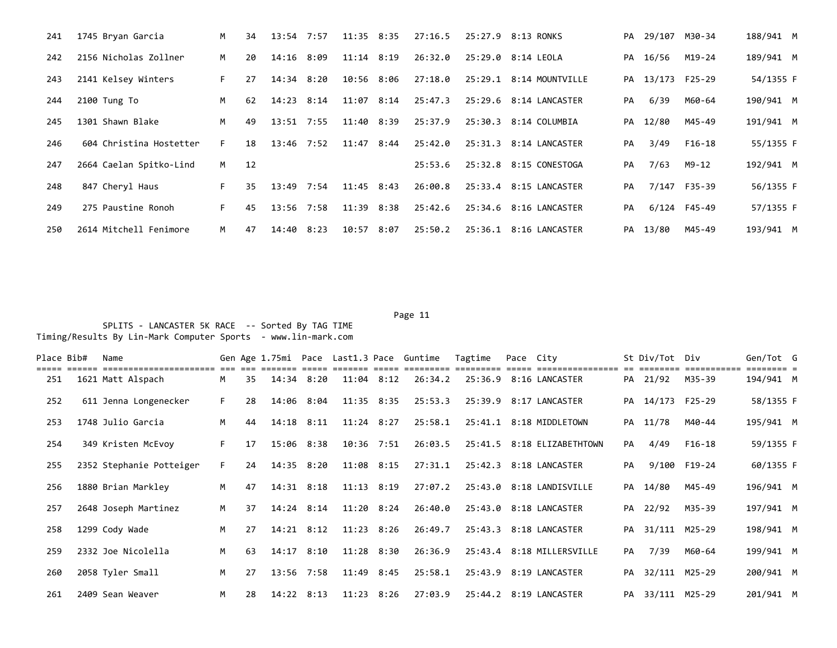| 241 | 1745 Bryan Garcia       | M   | 34 | 13:54 7:57   |      | $11:35$ $8:35$ |      | 27:16.5 | 25:27.9 | 8:13 RONKS              |    | PA 29/107 M30-34 |              | 188/941 M |  |
|-----|-------------------------|-----|----|--------------|------|----------------|------|---------|---------|-------------------------|----|------------------|--------------|-----------|--|
| 242 | 2156 Nicholas Zollner   | M   | 20 | $14:16$ 8:09 |      | $11:14$ $8:19$ |      | 26:32.0 |         | 25:29.0 8:14 LEOLA      | PA | 16/56            | M19-24       | 189/941 M |  |
| 243 | 2141 Kelsey Winters     | F.  | 27 | 14:34 8:20   |      | 10:56 8:06     |      | 27:18.0 |         | 25:29.1 8:14 MOUNTVILLE |    | PA 13/173 F25-29 |              | 54/1355 F |  |
| 244 | 2100 Tung To            | M   | 62 | 14:23 8:14   |      | $11:07$ $8:14$ |      | 25:47.3 |         | 25:29.6 8:14 LANCASTER  | PA | 6/39             | M60-64       | 190/941 M |  |
| 245 | 1301 Shawn Blake        | M   | 49 | $13:51$ 7:55 |      | 11:40 8:39     |      | 25:37.9 |         | 25:30.3 8:14 COLUMBIA   | PA | 12/80            | M45-49       | 191/941 M |  |
| 246 | 604 Christina Hostetter | F.  | 18 | $13:46$ 7:52 |      | $11:47$ 8:44   |      | 25:42.0 | 25:31.3 | 8:14 LANCASTER          | PA | 3/49             | F16-18       | 55/1355 F |  |
| 247 | 2664 Caelan Spitko-Lind | M . | 12 |              |      |                |      | 25:53.6 |         | 25:32.8 8:15 CONESTOGA  | PA | 7/63             | M9-12        | 192/941 M |  |
| 248 | 847 Cheryl Haus         | F.  | 35 | 13:49        | 7:54 | $11:45$ 8:43   |      | 26:00.8 |         | 25:33.4 8:15 LANCASTER  | PA |                  | 7/147 F35-39 | 56/1355 F |  |
| 249 | 275 Paustine Ronoh      | F.  | 45 | 13:56        | 7:58 | 11:39 8:38     |      | 25:42.6 |         | 25:34.6 8:16 LANCASTER  | PA |                  | 6/124 F45-49 | 57/1355 F |  |
| 250 | 2614 Mitchell Fenimore  | M   | 47 | 14:40        | 8:23 | 10:57          | 8:07 | 25:50.2 | 25:36.1 | 8:16 LANCASTER          |    | PA 13/80         | M45-49       | 193/941 M |  |

Page 11 and the state of the state of the state of the state of the state of the state of the state of the state of the state of the state of the state of the state of the state of the state of the state of the state of th SPLITS - LANCASTER 5K RACE -- Sorted By TAG TIME Timing/Results By Lin-Mark Computer Sports - www.lin-mark.com

Place Bib# Name 6en Sen Age 1.75mi Pace Last1.3 Pace Guntime Tagtime Pace City 5t Div/Tot Div 6en/Tot G ===== ====== ====================== === === ======= ===== ======= ===== ========= ========= ===== ================ == ======== =========== ======== = 251 1621 Matt Alspach M 35 14:34 8:20 11:04 8:12 26:34.2 25:36.9 8:16 LANCASTER PA 21/92 M35-39 194/941 M 252 611 Jenna Longenecker F 28 14:06 8:04 11:35 8:35 25:53.3 25:39.9 8:17 LANCASTER PA 14/173 F25-29 58/1355 F 253 1748 Julio Garcia M 44 14:18 8:11 11:24 8:27 25:58.1 25:41.1 8:18 MIDDLETOWN PA 11/78 M40-44 195/941 M 254 349 Kristen McEvoy F 17 15:06 8:38 10:36 7:51 26:03.5 25:41.5 8:18 ELIZABETHTOWN PA 4/49 F16-18 59/1355 F 255 2352 Stephanie Potteiger F 24 14:35 8:20 11:08 8:15 27:31.1 25:42.3 8:18 LANCASTER PA 9/100 F19-24 60/1355 F 256 1880 Brian Markley M 47 14:31 8:18 11:13 8:19 27:07.2 25:43.0 8:18 LANDISVILLE PA 14/80 M45-49 196/941 M 257 2648 Joseph Martinez M 37 14:24 8:14 11:20 8:24 26:40.0 25:43.0 8:18 LANCASTER PA 22/92 M35-39 197/941 M 258 1299 Cody Wade M 27 14:21 8:12 11:23 8:26 26:49.7 25:43.3 8:18 LANCASTER PA 31/111 M25-29 198/941 M 259 2332 Joe Nicolella M 63 14:17 8:10 11:28 8:30 26:36.9 25:43.4 8:18 MILLERSVILLE PA 7/39 M60-64 199/941 M 260 2058 Tyler Small M 27 13:56 7:58 11:49 8:45 25:58.1 25:43.9 8:19 LANCASTER PA 32/111 M25-29 200/941 M 261 2409 Sean Weaver M 28 14:22 8:13 11:23 8:26 27:03.9 25:44.2 8:19 LANCASTER PA 33/111 M25-29 201/941 M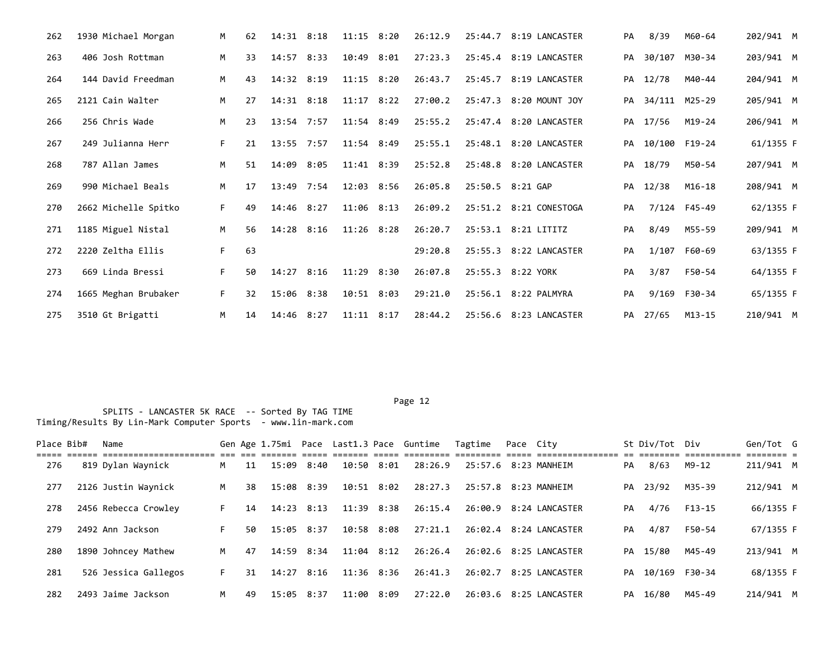| 262 | 1930 Michael Morgan  | М  | 62 | $14:31$ $8:18$ |      | $11:15$ $8:20$ | 26:12.9 | 25:44.7 8:19 LANCASTER | PA | 8/39             | M60-64       | 202/941 M |  |
|-----|----------------------|----|----|----------------|------|----------------|---------|------------------------|----|------------------|--------------|-----------|--|
| 263 | 406 Josh Rottman     | M  | 33 | $14:57$ 8:33   |      | $10:49$ $8:01$ | 27:23.3 | 25:45.4 8:19 LANCASTER |    | PA 30/107 M30-34 |              | 203/941 M |  |
| 264 | 144 David Freedman   | M  | 43 | 14:32 8:19     |      | $11:15$ $8:20$ | 26:43.7 | 25:45.7 8:19 LANCASTER | PA | 12/78            | M40-44       | 204/941 M |  |
| 265 | 2121 Cain Walter     | M  | 27 | $14:31$ $8:18$ |      | $11:17$ $8:22$ | 27:00.2 | 25:47.3 8:20 MOUNT JOY |    | PA 34/111 M25-29 |              | 205/941 M |  |
| 266 | 256 Chris Wade       | M  | 23 | $13:54$ 7:57   |      | $11:54$ 8:49   | 25:55.2 | 25:47.4 8:20 LANCASTER | PA | 17/56            | M19-24       | 206/941 M |  |
| 267 | 249 Julianna Herr    | F. | 21 | $13:55$ 7:57   |      | 11:54 8:49     | 25:55.1 | 25:48.1 8:20 LANCASTER | PA | 10/100 F19-24    |              | 61/1355 F |  |
| 268 | 787 Allan James      | M  | 51 | 14:09          | 8:05 | 11:41 8:39     | 25:52.8 | 25:48.8 8:20 LANCASTER | PA | 18/79            | M50-54       | 207/941 M |  |
| 269 | 990 Michael Beals    | M  | 17 | 13:49 7:54     |      | 12:03 8:56     | 26:05.8 | 25:50.5 8:21 GAP       | PA | 12/38            | M16-18       | 208/941 M |  |
| 270 | 2662 Michelle Spitko | F. | 49 | $14:46$ 8:27   |      | $11:06$ 8:13   | 26:09.2 | 25:51.2 8:21 CONESTOGA | PA |                  | 7/124 F45-49 | 62/1355 F |  |
| 271 | 1185 Miguel Nistal   | M  | 56 | 14:28          | 8:16 | $11:26$ 8:28   | 26:20.7 | 25:53.1 8:21 LITITZ    | PA | 8/49             | M55-59       | 209/941 M |  |
| 272 | 2220 Zeltha Ellis    | F. | 63 |                |      |                | 29:20.8 | 25:55.3 8:22 LANCASTER | PA |                  | 1/107 F60-69 | 63/1355 F |  |
| 273 | 669 Linda Bressi     | F. | 50 | $14:27$ 8:16   |      | 11:29 8:30     | 26:07.8 | 25:55.3 8:22 YORK      | PA | 3/87             | F50-54       | 64/1355 F |  |
| 274 | 1665 Meghan Brubaker | F. | 32 | 15:06 8:38     |      | 10:51 8:03     | 29:21.0 | 25:56.1 8:22 PALMYRA   | PA |                  | 9/169 F30-34 | 65/1355 F |  |
| 275 | 3510 Gt Brigatti     | M  | 14 | $14:46$ 8:27   |      | $11:11$ $8:17$ | 28:44.2 | 25:56.6 8:23 LANCASTER |    | PA 27/65         | M13-15       | 210/941 M |  |

Page 12 SPLITS - LANCASTER 5K RACE -- Sorted By TAG TIME Timing/Results By Lin-Mark Computer Sports - www.lin-mark.com

Place Bib# Name 6en Sen Age 1.75mi Pace Last1.3 Pace Guntime Tagtime Pace City 5t Div/Tot Div Gen/Tot G ===== ====== ====================== === === ======= ===== ======= ===== ========= ========= ===== ================ == ======== =========== ======== = 276 819 Dylan Waynick M 11 15:09 8:40 10:50 8:01 28:26.9 25:57.6 8:23 MANHEIM PA 8/63 M9-12 211/941 M 277 2126 Justin Waynick M 38 15:08 8:39 10:51 8:02 28:27.3 25:57.8 8:23 MANHEIM PA 23/92 M35-39 212/941 M 278 2456 Rebecca Crowley F 14 14:23 8:13 11:39 8:38 26:15.4 26:00.9 8:24 LANCASTER PA 4/76 F13-15 66/1355 F 279 2492 Ann Jackson F 50 15:05 8:37 10:58 8:08 27:21.1 26:02.4 8:24 LANCASTER PA 4/87 F50-54 67/1355 F 280 1890 Johncey Mathew M 47 14:59 8:34 11:04 8:12 26:26.4 26:02.6 8:25 LANCASTER PA 15/80 M45-49 213/941 M 281 526 Jessica Gallegos F 31 14:27 8:16 11:36 8:36 26:41.3 26:02.7 8:25 LANCASTER PA 10/169 F30-34 68/1355 F 282 2493 Jaime Jackson M 49 15:05 8:37 11:00 8:09 27:22.0 26:03.6 8:25 LANCASTER PA 16/80 M45-49 214/941 M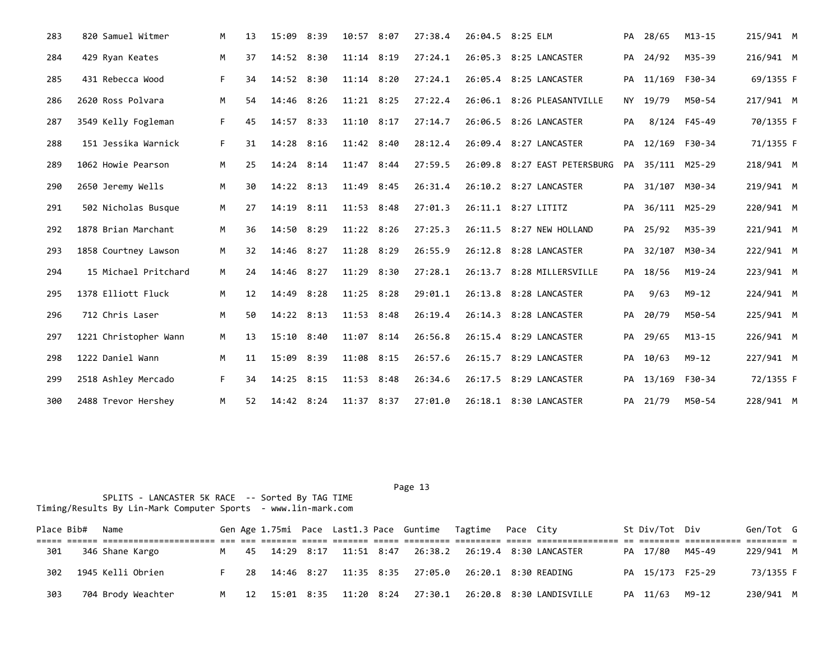| 283 | 820 Samuel Witmer     | M  | 13 | 15:09        | 8:39 | 10:57 8:07     | 27:38.4 | 26:04.5 8:25 ELM             |    | PA 28/65         | $M13 - 15$   | 215/941 M |  |
|-----|-----------------------|----|----|--------------|------|----------------|---------|------------------------------|----|------------------|--------------|-----------|--|
| 284 | 429 Ryan Keates       | M  | 37 | 14:52 8:30   |      | $11:14$ 8:19   | 27:24.1 | 26:05.3 8:25 LANCASTER       | PA | 24/92            | M35-39       | 216/941 M |  |
| 285 | 431 Rebecca Wood      | F. | 34 | 14:52 8:30   |      | $11:14$ 8:20   | 27:24.1 | 26:05.4 8:25 LANCASTER       | PA | 11/169 F30-34    |              | 69/1355 F |  |
| 286 | 2620 Ross Polvara     | M  | 54 | 14:46        | 8:26 | $11:21$ 8:25   | 27:22.4 | 26:06.1 8:26 PLEASANTVILLE   |    | NY 19/79         | M50-54       | 217/941 M |  |
| 287 | 3549 Kelly Fogleman   | F. | 45 | 14:57        | 8:33 | $11:10$ 8:17   | 27:14.7 | 26:06.5 8:26 LANCASTER       | PA |                  | 8/124 F45-49 | 70/1355 F |  |
| 288 | 151 Jessika Warnick   | F. | 31 | 14:28        | 8:16 | $11:42$ 8:40   | 28:12.4 | 26:09.4 8:27 LANCASTER       | PA | 12/169 F30-34    |              | 71/1355 F |  |
| 289 | 1062 Howie Pearson    | M  | 25 | 14:24        | 8:14 | $11:47$ 8:44   | 27:59.5 | 26:09.8 8:27 EAST PETERSBURG | PA | 35/111 M25-29    |              | 218/941 M |  |
| 290 | 2650 Jeremy Wells     | M  | 30 | $14:22$ 8:13 |      | 11:49 8:45     | 26:31.4 | 26:10.2 8:27 LANCASTER       |    | PA 31/107 M30-34 |              | 219/941 M |  |
| 291 | 502 Nicholas Busque   | M  | 27 | 14:19        | 8:11 | 11:53 8:48     | 27:01.3 | 26:11.1 8:27 LITITZ          | PA | 36/111 M25-29    |              | 220/941 M |  |
| 292 | 1878 Brian Marchant   | M  | 36 | 14:50        | 8:29 | $11:22$ $8:26$ | 27:25.3 | 26:11.5 8:27 NEW HOLLAND     |    | PA 25/92         | M35-39       | 221/941 M |  |
| 293 | 1858 Courtney Lawson  | M  | 32 | 14:46        | 8:27 | 11:28 8:29     | 26:55.9 | 26:12.8 8:28 LANCASTER       | PA | 32/107           | M30-34       | 222/941 M |  |
| 294 | 15 Michael Pritchard  | M  | 24 | 14:46        | 8:27 | $11:29$ $8:30$ | 27:28.1 | 26:13.7 8:28 MILLERSVILLE    | PA | 18/56            | $M19-24$     | 223/941 M |  |
| 295 | 1378 Elliott Fluck    | M  | 12 | 14:49        | 8:28 | $11:25$ 8:28   | 29:01.1 | 26:13.8 8:28 LANCASTER       | PA | 9/63             | $M9 - 12$    | 224/941 M |  |
| 296 | 712 Chris Laser       | M  | 50 | 14:22 8:13   |      | $11:53$ 8:48   | 26:19.4 | 26:14.3 8:28 LANCASTER       | PA | 20/79            | M50-54       | 225/941 M |  |
| 297 | 1221 Christopher Wann | М  | 13 | 15:10        | 8:40 | 11:07 8:14     | 26:56.8 | 26:15.4 8:29 LANCASTER       | PA | 29/65            | $M13 - 15$   | 226/941 M |  |
| 298 | 1222 Daniel Wann      | M  | 11 | 15:09        | 8:39 | 11:08 8:15     | 26:57.6 | 26:15.7 8:29 LANCASTER       | PA | 10/63            | $M9 - 12$    | 227/941 M |  |
| 299 | 2518 Ashley Mercado   | F. | 34 | 14:25 8:15   |      | 11:53 8:48     | 26:34.6 | 26:17.5 8:29 LANCASTER       |    | PA 13/169 F30-34 |              | 72/1355 F |  |
| 300 | 2488 Trevor Hershey   | М  | 52 | 14:42 8:24   |      | $11:37$ 8:37   | 27:01.0 | 26:18.1 8:30 LANCASTER       |    | PA 21/79         | M50-54       | 228/941 M |  |

| Place Bib# | Name               |  |  |  | Gen Age 1.75mi Pace Last1.3 Pace Guntime Tagtime Pace City       |  |                                                             | St Div/Tot Div   | Gen/Tot G |  |
|------------|--------------------|--|--|--|------------------------------------------------------------------|--|-------------------------------------------------------------|------------------|-----------|--|
|            |                    |  |  |  | <u>tooppoo oposo oposooo oposo oposooooo oposoooo oposo oo</u> : |  |                                                             |                  |           |  |
| 301        | 346 Shane Kargo    |  |  |  |                                                                  |  | M 45 14:29 8:17 11:51 8:47 26:38.2 26:19.4 8:30 LANCASTER   | PA 17/80 M45-49  | 229/941 M |  |
| 302        | 1945 Kelli Obrien  |  |  |  | 28  14:46  8:27  11:35  8:35  27:05.0  26:20.1  8:30  READING    |  |                                                             | PA 15/173 F25-29 | 73/1355 F |  |
| 303        | 704 Brody Weachter |  |  |  |                                                                  |  | M 12 15:01 8:35 11:20 8:24 27:30.1 26:20.8 8:30 LANDISVILLE | PA 11/63 M9-12   | 230/941 M |  |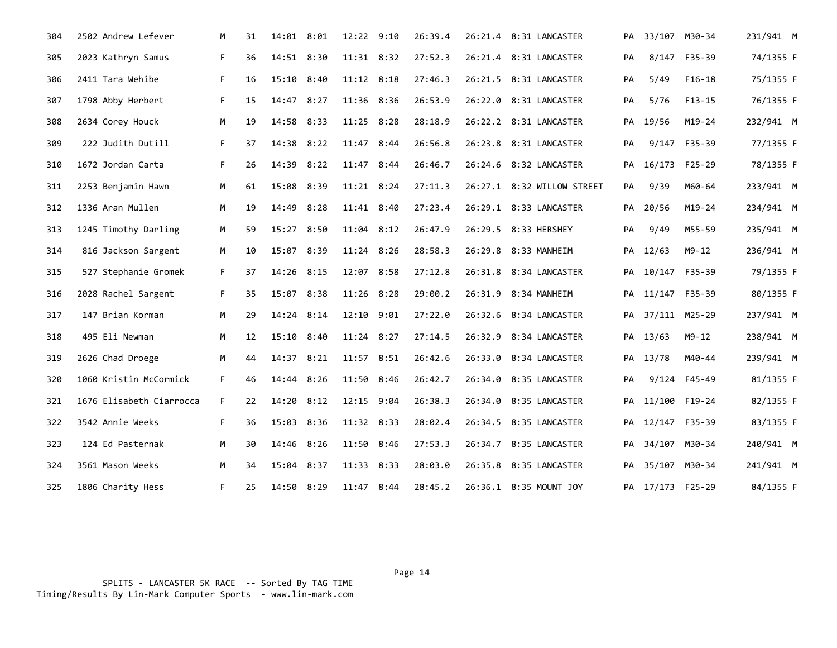| 304 | 2502 Andrew Lefever      | M  | 31 | 14:01 8:01 |      | 12:22 9:10     |      | 26:39.4 | 26:21.4 8:31 LANCASTER     |    | PA 33/107 M30-34 |               | 231/941 M |
|-----|--------------------------|----|----|------------|------|----------------|------|---------|----------------------------|----|------------------|---------------|-----------|
| 305 | 2023 Kathryn Samus       | F. | 36 | 14:51      | 8:30 | $11:31$ $8:32$ |      | 27:52.3 | 26:21.4 8:31 LANCASTER     | PA | 8/147            | F35-39        | 74/1355 F |
| 306 | 2411 Tara Wehibe         | F. | 16 | 15:10      | 8:40 | $11:12$ 8:18   |      | 27:46.3 | 26:21.5 8:31 LANCASTER     | PA | 5/49             | $F16-18$      | 75/1355 F |
| 307 | 1798 Abby Herbert        | F. | 15 | 14:47 8:27 |      | 11:36 8:36     |      | 26:53.9 | 26:22.0 8:31 LANCASTER     | PA | 5/76             | $F13-15$      | 76/1355 F |
| 308 | 2634 Corey Houck         | M  | 19 | 14:58      | 8:33 | $11:25$ 8:28   |      | 28:18.9 | 26:22.2 8:31 LANCASTER     | PA | 19/56            | $M19 - 24$    | 232/941 M |
| 309 | 222 Judith Dutill        | F. | 37 | 14:38      | 8:22 | 11:47 8:44     |      | 26:56.8 | 26:23.8 8:31 LANCASTER     | PA |                  | 9/147 F35-39  | 77/1355 F |
| 310 | 1672 Jordan Carta        | F. | 26 | 14:39      | 8:22 | 11:47 8:44     |      | 26:46.7 | 26:24.6 8:32 LANCASTER     | PA |                  | 16/173 F25-29 | 78/1355 F |
| 311 | 2253 Benjamin Hawn       | M  | 61 | 15:08 8:39 |      | $11:21$ 8:24   |      | 27:11.3 | 26:27.1 8:32 WILLOW STREET | PA | 9/39             | M60-64        | 233/941 M |
| 312 | 1336 Aran Mullen         | M  | 19 | 14:49      | 8:28 | 11:41 8:40     |      | 27:23.4 | 26:29.1 8:33 LANCASTER     | PA | 20/56            | $M19-24$      | 234/941 M |
| 313 | 1245 Timothy Darling     | M  | 59 | 15:27      | 8:50 | 11:04 8:12     |      | 26:47.9 | 26:29.5 8:33 HERSHEY       | PA | 9/49             | M55-59        | 235/941 M |
| 314 | 816 Jackson Sargent      | М  | 10 | 15:07      | 8:39 | 11:24 8:26     |      | 28:58.3 | 26:29.8 8:33 MANHEIM       | PA | 12/63            | M9-12         | 236/941 M |
| 315 | 527 Stephanie Gromek     | F. | 37 | 14:26 8:15 |      | 12:07 8:58     |      | 27:12.8 | 26:31.8 8:34 LANCASTER     | PA | 10/147 F35-39    |               | 79/1355 F |
| 316 | 2028 Rachel Sargent      | F. | 35 | 15:07      | 8:38 | $11:26$ 8:28   |      | 29:00.2 | 26:31.9 8:34 MANHEIM       | PA | 11/147 F35-39    |               | 80/1355 F |
| 317 | 147 Brian Korman         | М  | 29 | 14:24      | 8:14 | 12:10 9:01     |      | 27:22.0 | 26:32.6 8:34 LANCASTER     | PA |                  | 37/111 M25-29 | 237/941 M |
| 318 | 495 Eli Newman           | М  | 12 | 15:10 8:40 |      | $11:24$ 8:27   |      | 27:14.5 | 26:32.9 8:34 LANCASTER     |    | PA 13/63         | $M9 - 12$     | 238/941 M |
| 319 | 2626 Chad Droege         | M  | 44 | 14:37      | 8:21 | $11:57$ 8:51   |      | 26:42.6 | 26:33.0 8:34 LANCASTER     | PA | 13/78            | M40-44        | 239/941 M |
| 320 | 1060 Kristin McCormick   | F. | 46 | 14:44      | 8:26 | 11:50 8:46     |      | 26:42.7 | 26:34.0 8:35 LANCASTER     | PA |                  | 9/124 F45-49  | 81/1355 F |
| 321 | 1676 Elisabeth Ciarrocca | F. | 22 | 14:20      | 8:12 | 12:15 9:04     |      | 26:38.3 | 26:34.0 8:35 LANCASTER     | PA | 11/100 F19-24    |               | 82/1355 F |
| 322 | 3542 Annie Weeks         | F. | 36 | 15:03 8:36 |      | 11:32 8:33     |      | 28:02.4 | 26:34.5 8:35 LANCASTER     |    | PA 12/147 F35-39 |               | 83/1355 F |
| 323 | 124 Ed Pasternak         | M  | 30 | 14:46      | 8:26 | 11:50 8:46     |      | 27:53.3 | 26:34.7 8:35 LANCASTER     | PA |                  | 34/107 M30-34 | 240/941 M |
| 324 | 3561 Mason Weeks         | М  | 34 | 15:04      | 8:37 | 11:33          | 8:33 | 28:03.0 | 26:35.8 8:35 LANCASTER     | PА |                  | 35/107 M30-34 | 241/941 M |
| 325 | 1806 Charity Hess        | F. | 25 | 14:50 8:29 |      | 11:47 8:44     |      | 28:45.2 | 26:36.1 8:35 MOUNT JOY     |    | PA 17/173 F25-29 |               | 84/1355 F |

 SPLITS - LANCASTER 5K RACE -- Sorted By TAG TIME Timing/Results By Lin-Mark Computer Sports - www.lin-mark.com

en de la provincia de la provincia de la provincia de la provincia de la provincia de la provincia de la provi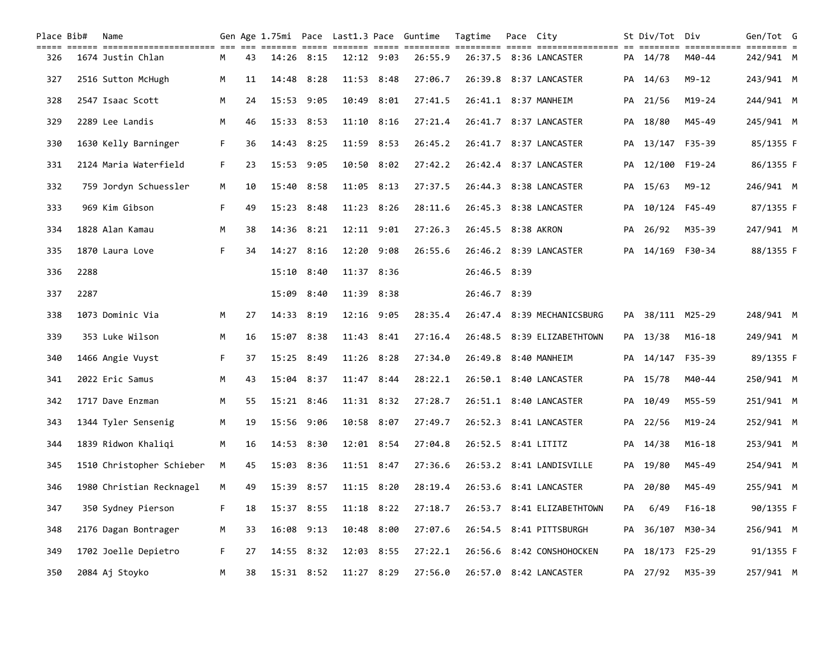| Place Bib# |      | Name                      |    |    |                |      |                |                | Gen Age 1.75mi Pace Last1.3 Pace Guntime | Tagtime             | Pace City |                            |    | St Div/Tot Div   |            | Gen/Tot G |  |
|------------|------|---------------------------|----|----|----------------|------|----------------|----------------|------------------------------------------|---------------------|-----------|----------------------------|----|------------------|------------|-----------|--|
| 326        |      | 1674 Justin Chlan         | M  | 43 | 14:26 8:15     |      |                | $12:12$ $9:03$ | 26:55.9                                  |                     |           | 26:37.5 8:36 LANCASTER     |    | PA 14/78         | M40-44     | 242/941 M |  |
| 327        |      | 2516 Sutton McHugh        | M  | 11 | 14:48          | 8:28 | $11:53$ $8:48$ |                | 27:06.7                                  |                     |           | 26:39.8 8:37 LANCASTER     |    | PA 14/63         | $M9 - 12$  | 243/941 M |  |
| 328        |      | 2547 Isaac Scott          | M  | 24 | 15:53          | 9:05 |                | 10:49 8:01     | 27:41.5                                  |                     |           | 26:41.1 8:37 MANHEIM       | PA | 21/56            | $M19 - 24$ | 244/941 M |  |
| 329        |      | 2289 Lee Landis           | M  | 46 | 15:33          | 8:53 | $11:10$ $8:16$ |                | 27:21.4                                  |                     |           | 26:41.7 8:37 LANCASTER     | PA | 18/80            | M45-49     | 245/941 M |  |
| 330        |      | 1630 Kelly Barninger      | F. | 36 | 14:43 8:25     |      | 11:59 8:53     |                | 26:45.2                                  |                     |           | 26:41.7 8:37 LANCASTER     |    | PA 13/147 F35-39 |            | 85/1355 F |  |
| 331        |      | 2124 Maria Waterfield     | F  | 23 | 15:53          | 9:05 |                | 10:50 8:02     | 27:42.2                                  |                     |           | 26:42.4 8:37 LANCASTER     | PA | 12/100           | F19-24     | 86/1355 F |  |
| 332        |      | 759 Jordyn Schuessler     | M  | 10 | 15:40 8:58     |      | 11:05 8:13     |                | 27:37.5                                  |                     |           | 26:44.3 8:38 LANCASTER     |    | PA 15/63         | M9-12      | 246/941 M |  |
| 333        |      | 969 Kim Gibson            | F. | 49 | 15:23 8:48     |      | $11:23$ $8:26$ |                | 28:11.6                                  |                     |           | 26:45.3 8:38 LANCASTER     | PA | 10/124 F45-49    |            | 87/1355 F |  |
| 334        |      | 1828 Alan Kamau           | M  | 38 | 14:36 8:21     |      | 12:11 9:01     |                | 27:26.3                                  | 26:45.5 8:38 AKRON  |           |                            | PA | 26/92            | M35-39     | 247/941 M |  |
| 335        |      | 1870 Laura Love           | F. | 34 | 14:27          | 8:16 | 12:20 9:08     |                | 26:55.6                                  |                     |           | 26:46.2 8:39 LANCASTER     | PA | 14/169           | F30-34     | 88/1355 F |  |
| 336        | 2288 |                           |    |    | $15:10$ $8:40$ |      | 11:37 8:36     |                |                                          | 26:46.5 8:39        |           |                            |    |                  |            |           |  |
| 337        | 2287 |                           |    |    | 15:09          | 8:40 | 11:39          | 8:38           |                                          | 26:46.7 8:39        |           |                            |    |                  |            |           |  |
| 338        |      | 1073 Dominic Via          | M  | 27 | 14:33 8:19     |      | 12:16 9:05     |                | 28:35.4                                  |                     |           | 26:47.4 8:39 MECHANICSBURG |    | PA 38/111 M25-29 |            | 248/941 M |  |
| 339        |      | 353 Luke Wilson           | M  | 16 | 15:07          | 8:38 | $11:43$ $8:41$ |                | 27:16.4                                  |                     |           | 26:48.5 8:39 ELIZABETHTOWN | PA | 13/38            | $M16 - 18$ | 249/941 M |  |
| 340        |      | 1466 Angie Vuyst          | F  | 37 | 15:25          | 8:49 | 11:26 8:28     |                | 27:34.0                                  |                     |           | 26:49.8 8:40 MANHEIM       | PA | 14/147           | F35-39     | 89/1355 F |  |
| 341        |      | 2022 Eric Samus           | M  | 43 | 15:04          | 8:37 | 11:47 8:44     |                | 28:22.1                                  |                     |           | 26:50.1 8:40 LANCASTER     |    | PA 15/78         | M40-44     | 250/941 M |  |
| 342        |      | 1717 Dave Enzman          | M  | 55 | 15:21          | 8:46 |                | $11:31$ $8:32$ | 27:28.7                                  |                     |           | 26:51.1 8:40 LANCASTER     | PA | 10/49            | M55-59     | 251/941 M |  |
| 343        |      | 1344 Tyler Sensenig       | М  | 19 | 15:56          | 9:06 | 10:58 8:07     |                | 27:49.7                                  |                     |           | 26:52.3 8:41 LANCASTER     |    | PA 22/56         | $M19 - 24$ | 252/941 M |  |
| 344        |      | 1839 Ridwon Khaliqi       | M  | 16 | 14:53 8:30     |      | 12:01 8:54     |                | 27:04.8                                  | 26:52.5 8:41 LITITZ |           |                            |    | PA 14/38         | $M16 - 18$ | 253/941 M |  |
| 345        |      | 1510 Christopher Schieber | M  | 45 | 15:03 8:36     |      | $11:51$ 8:47   |                | 27:36.6                                  |                     |           | 26:53.2 8:41 LANDISVILLE   |    | PA 19/80         | M45-49     | 254/941 M |  |
| 346        |      | 1980 Christian Recknagel  | M  | 49 | 15:39 8:57     |      | $11:15$ $8:20$ |                | 28:19.4                                  |                     |           | 26:53.6 8:41 LANCASTER     | PА | 20/80            | M45-49     | 255/941 M |  |
| 347        |      | 350 Sydney Pierson        | F. | 18 | 15:37 8:55     |      |                | 11:18 8:22     | 27:18.7                                  |                     |           | 26:53.7 8:41 ELIZABETHTOWN | PA | 6/49             | $F16-18$   | 90/1355 F |  |
| 348        |      | 2176 Dagan Bontrager      | м  | 33 | 16:08          | 9:13 |                | 10:48 8:00     | 27:07.6                                  |                     |           | 26:54.5 8:41 PITTSBURGH    | PА | 36/107           | M30-34     | 256/941 M |  |
| 349        |      | 1702 Joelle Depietro      | F. | 27 | 14:55 8:32     |      | 12:03 8:55     |                | 27:22.1                                  |                     |           | 26:56.6 8:42 CONSHOHOCKEN  | PA | 18/173 F25-29    |            | 91/1355 F |  |
| 350        |      | 2084 Aj Stoyko            | М  | 38 | 15:31 8:52     |      | 11:27 8:29     |                | 27:56.0                                  |                     |           | 26:57.0 8:42 LANCASTER     |    | PA 27/92         | M35-39     | 257/941 M |  |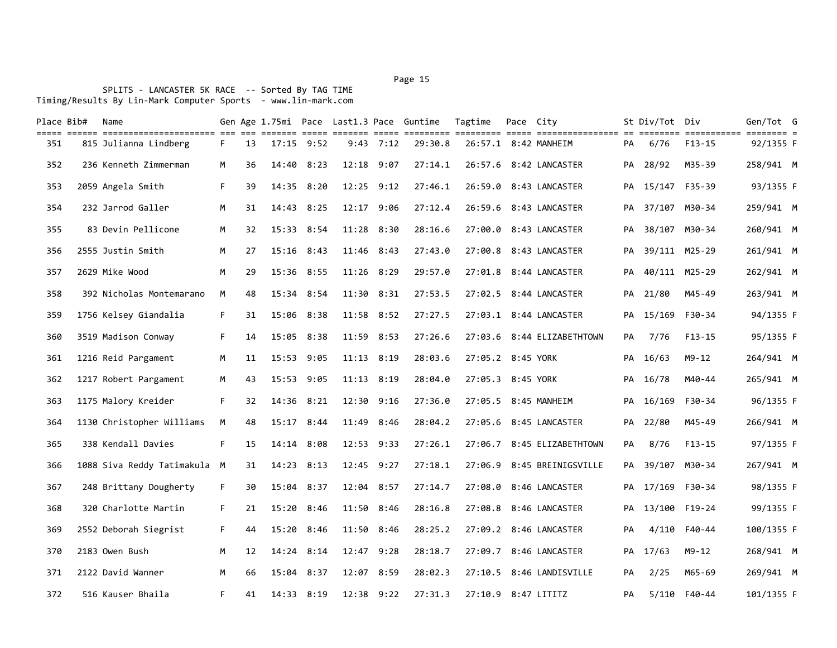| Place Bib# | Name                         |    |    |            |                |                | Gen Age 1.75mi Pace Last1.3 Pace Guntime | Tagtime             | Pace City |                            |    | St Div/Tot Div   |               | Gen/Tot G  |  |
|------------|------------------------------|----|----|------------|----------------|----------------|------------------------------------------|---------------------|-----------|----------------------------|----|------------------|---------------|------------|--|
| 351        | 815 Julianna Lindberg        | F. | 13 |            | $17:15$ $9:52$ | $9:43$ $7:12$  | 29:30.8                                  |                     |           | 26:57.1 8:42 MANHEIM       | PA | 6/76             | F13-15        | 92/1355 F  |  |
| 352        | 236 Kenneth Zimmerman        | M  | 36 | 14:40      | 8:23           | $12:18$ 9:07   | 27:14.1                                  |                     |           | 26:57.6 8:42 LANCASTER     |    | PA 28/92         | M35-39        | 258/941 M  |  |
| 353        | 2059 Angela Smith            | F. | 39 | 14:35      | 8:20           | 12:25 9:12     | 27:46.1                                  | 26:59.0             |           | 8:43 LANCASTER             | PA |                  | 15/147 F35-39 | 93/1355 F  |  |
| 354        | 232 Jarrod Galler            | M  | 31 | 14:43      | 8:25           | 12:17 9:06     | 27:12.4                                  |                     |           | 26:59.6 8:43 LANCASTER     | PA |                  | 37/107 M30-34 | 259/941 M  |  |
| 355        | 83 Devin Pellicone           | M  | 32 |            | 15:33 8:54     | $11:28$ $8:30$ | 28:16.6                                  |                     |           | 27:00.0 8:43 LANCASTER     |    | PA 38/107 M30-34 |               | 260/941 M  |  |
| 356        | 2555 Justin Smith            | M  | 27 |            | $15:16$ 8:43   | 11:46 8:43     | 27:43.0                                  |                     |           | 27:00.8 8:43 LANCASTER     | PA |                  | 39/111 M25-29 | 261/941 M  |  |
| 357        | 2629 Mike Wood               | M  | 29 |            | $15:36$ 8:55   | $11:26$ $8:29$ | 29:57.0                                  |                     |           | 27:01.8 8:44 LANCASTER     | PA |                  | 40/111 M25-29 | 262/941 M  |  |
| 358        | 392 Nicholas Montemarano     | M  | 48 | 15:34 8:54 |                | $11:30$ $8:31$ | 27:53.5                                  |                     |           | 27:02.5 8:44 LANCASTER     | PA | 21/80            | M45-49        | 263/941 M  |  |
| 359        | 1756 Kelsey Giandalia        | F. | 31 | 15:06      | 8:38           | $11:58$ $8:52$ | 27:27.5                                  |                     |           | 27:03.1 8:44 LANCASTER     | PA | 15/169           | F30-34        | 94/1355 F  |  |
| 360        | 3519 Madison Conway          | F. | 14 | 15:05      | 8:38           | 11:59 8:53     | 27:26.6                                  |                     |           | 27:03.6 8:44 ELIZABETHTOWN | PA | 7/76             | $F13 - 15$    | 95/1355 F  |  |
| 361        | 1216 Reid Pargament          | M  | 11 | 15:53      | 9:05           | 11:13 8:19     | 28:03.6                                  | 27:05.2 8:45 YORK   |           |                            | PA | 16/63            | $M9 - 12$     | 264/941 M  |  |
| 362        | 1217 Robert Pargament        | М  | 43 | 15:53 9:05 |                | 11:13 8:19     | 28:04.0                                  | 27:05.3 8:45 YORK   |           |                            | PA | 16/78            | M40-44        | 265/941 M  |  |
| 363        | 1175 Malory Kreider          | F. | 32 | 14:36      | 8:21           | 12:30 9:16     | 27:36.0                                  |                     |           | 27:05.5 8:45 MANHEIM       | PA | 16/169           | F30-34        | 96/1355 F  |  |
| 364        | 1130 Christopher Williams    | M  | 48 | 15:17      | 8:44           | 11:49 8:46     | 28:04.2                                  |                     |           | 27:05.6 8:45 LANCASTER     | PA | 22/80            | M45-49        | 266/941 M  |  |
| 365        | 338 Kendall Davies           | F. | 15 | 14:14      | 8:08           | $12:53$ $9:33$ | 27:26.1                                  |                     |           | 27:06.7 8:45 ELIZABETHTOWN | PA | 8/76             | $F13-15$      | 97/1355 F  |  |
| 366        | 1088 Siva Reddy Tatimakula M |    | 31 | 14:23      | 8:13           | $12:45$ $9:27$ | 27:18.1                                  | 27:06.9             |           | 8:45 BREINIGSVILLE         | PA |                  | 39/107 M30-34 | 267/941 M  |  |
| 367        | 248 Brittany Dougherty       | F. | 30 | 15:04      | 8:37           | 12:04 8:57     | 27:14.7                                  | 27:08.0             |           | 8:46 LANCASTER             |    | PA 17/169 F30-34 |               | 98/1355 F  |  |
| 368        | 320 Charlotte Martin         | F. | 21 | 15:20      | 8:46           | 11:50 8:46     | 28:16.8                                  |                     |           | 27:08.8 8:46 LANCASTER     | PА |                  | 13/100 F19-24 | 99/1355 F  |  |
| 369        | 2552 Deborah Siegrist        | F. | 44 | 15:20      | 8:46           | 11:50 8:46     | 28:25.2                                  |                     |           | 27:09.2 8:46 LANCASTER     | PA |                  | 4/110 F40-44  | 100/1355 F |  |
| 370        | 2183 Owen Bush               | M  | 12 | 14:24      | 8:14           | 12:47 9:28     | 28:18.7                                  |                     |           | 27:09.7 8:46 LANCASTER     | PA | 17/63            | $M9 - 12$     | 268/941 M  |  |
| 371        | 2122 David Wanner            | M  | 66 | 15:04      | 8:37           | 12:07 8:59     | 28:02.3                                  |                     |           | 27:10.5 8:46 LANDISVILLE   | PA | 2/25             | M65-69        | 269/941 M  |  |
| 372        | 516 Kauser Bhaila            | F. | 41 |            | 14:33 8:19     | 12:38 9:22     | 27:31.3                                  | 27:10.9 8:47 LITITZ |           |                            | PA |                  | 5/110 F40-44  | 101/1355 F |  |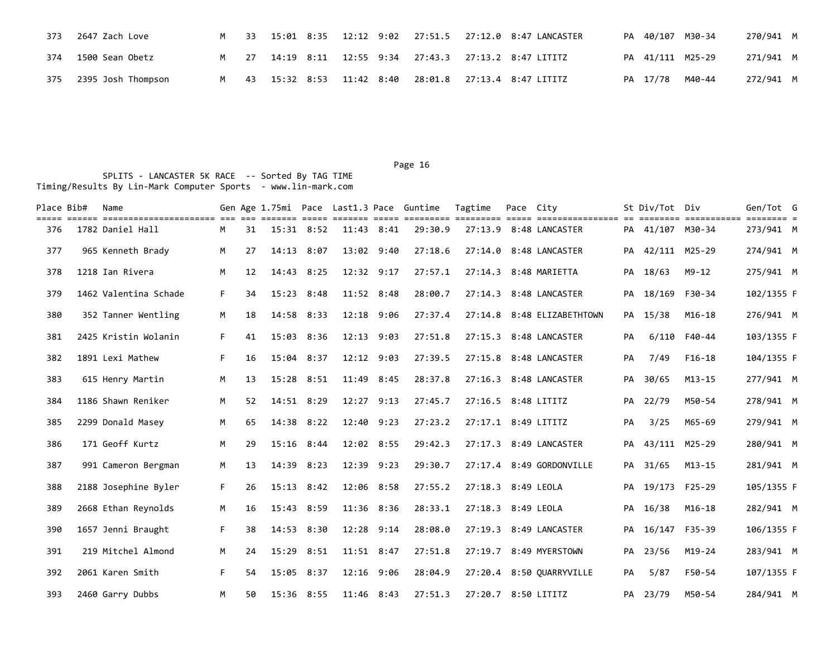| 373 | 2647 Zach Love         |     |  |  |  | M 33 15:01 8:35 12:12 9:02 27:51.5 27:12.0 8:47 LANCASTER |  | PA 40/107 M30-34 | 270/941 M |  |
|-----|------------------------|-----|--|--|--|-----------------------------------------------------------|--|------------------|-----------|--|
|     | 374 1500 Sean Obetz    |     |  |  |  | M 27 14:19 8:11 12:55 9:34 27:43.3 27:13.2 8:47 LITITZ    |  | PA 41/111 M25-29 | 271/941 M |  |
|     | 375 2395 Josh Thompson | M . |  |  |  | 43 15:32 8:53 11:42 8:40 28:01.8 27:13.4 8:47 LITITZ      |  | PA 17/78 M40-44  | 272/941 M |  |

| Place Bib# | Name                  |    |    |                |      |                | Gen Age 1.75mi Pace Last1.3 Pace Guntime | Tagtime             | Pace City |                            |    | St Div/Tot Div   |                                   | Gen/Tot G  |  |
|------------|-----------------------|----|----|----------------|------|----------------|------------------------------------------|---------------------|-----------|----------------------------|----|------------------|-----------------------------------|------------|--|
| 376        | 1782 Daniel Hall      | M  | 31 | $15:31$ $8:52$ |      | $11:43$ $8:41$ | 29:30.9                                  |                     |           | 27:13.9 8:48 LANCASTER     |    | PA 41/107 M30-34 | ========= ============ ======== = | 273/941 M  |  |
| 377        | 965 Kenneth Brady     | M  | 27 | 14:13          | 8:07 | 13:02 9:40     | 27:18.6                                  |                     |           | 27:14.0 8:48 LANCASTER     |    | PA 42/111 M25-29 |                                   | 274/941 M  |  |
| 378        | 1218 Ian Rivera       | M  | 12 | 14:43          | 8:25 | 12:32 9:17     | 27:57.1                                  |                     |           | 27:14.3 8:48 MARIETTA      |    | PA 18/63         | M9-12                             | 275/941 M  |  |
| 379        | 1462 Valentina Schade | F. | 34 | 15:23          | 8:48 | $11:52$ 8:48   | 28:00.7                                  |                     |           | 27:14.3 8:48 LANCASTER     |    | PA 18/169 F30-34 |                                   | 102/1355 F |  |
| 380        | 352 Tanner Wentling   | M  | 18 | 14:58 8:33     |      | 12:18 9:06     | 27:37.4                                  |                     |           | 27:14.8 8:48 ELIZABETHTOWN |    | PA 15/38         | $M16-18$                          | 276/941 M  |  |
| 381        | 2425 Kristin Wolanin  | F. | 41 | 15:03          | 8:36 | 12:13 9:03     | 27:51.8                                  |                     |           | 27:15.3 8:48 LANCASTER     | PA |                  | 6/110 F40-44                      | 103/1355 F |  |
| 382        | 1891 Lexi Mathew      | F. | 16 | 15:04          | 8:37 | $12:12$ $9:03$ | 27:39.5                                  |                     |           | 27:15.8 8:48 LANCASTER     | PA | 7/49             | $F16-18$                          | 104/1355 F |  |
| 383        | 615 Henry Martin      | M  | 13 | $15:28$ $8:51$ |      | 11:49 8:45     | 28:37.8                                  |                     |           | 27:16.3 8:48 LANCASTER     | PA | 30/65            | $M13 - 15$                        | 277/941 M  |  |
| 384        | 1186 Shawn Reniker    | M  | 52 | 14:51 8:29     |      | $12:27$ 9:13   | 27:45.7                                  | 27:16.5 8:48 LITITZ |           |                            |    | PA 22/79         | M50-54                            | 278/941 M  |  |
| 385        | 2299 Donald Masey     | M  | 65 | 14:38          | 8:22 | 12:40 9:23     | 27:23.2                                  | 27:17.1 8:49 LITITZ |           |                            | PA | 3/25             | M65-69                            | 279/941 M  |  |
| 386        | 171 Geoff Kurtz       | M  | 29 | 15:16 8:44     |      | 12:02 8:55     | 29:42.3                                  |                     |           | 27:17.3 8:49 LANCASTER     |    | PA 43/111 M25-29 |                                   | 280/941 M  |  |
| 387        | 991 Cameron Bergman   | M  | 13 | 14:39          | 8:23 | 12:39 9:23     | 29:30.7                                  |                     |           | 27:17.4 8:49 GORDONVILLE   |    | PA 31/65         | $M13 - 15$                        | 281/941 M  |  |
| 388        | 2188 Josephine Byler  | F. | 26 | $15:13$ $8:42$ |      | 12:06 8:58     | 27:55.2                                  | 27:18.3 8:49 LEOLA  |           |                            |    | PA 19/173 F25-29 |                                   | 105/1355 F |  |
| 389        | 2668 Ethan Reynolds   | M  | 16 | 15:43          | 8:59 | 11:36 8:36     | 28:33.1                                  | 27:18.3 8:49 LEOLA  |           |                            |    | PA 16/38         | $M16 - 18$                        | 282/941 M  |  |
| 390        | 1657 Jenni Braught    | F. | 38 | 14:53          | 8:30 | $12:28$ $9:14$ | 28:08.0                                  |                     |           | 27:19.3 8:49 LANCASTER     |    | PA 16/147 F35-39 |                                   | 106/1355 F |  |
| 391        | 219 Mitchel Almond    | M  | 24 | 15:29          | 8:51 | $11:51$ 8:47   | 27:51.8                                  |                     |           | 27:19.7 8:49 MYERSTOWN     |    | PA 23/56         | M19-24                            | 283/941 M  |  |
| 392        | 2061 Karen Smith      | F. | 54 | 15:05          | 8:37 | 12:16 9:06     | 28:04.9                                  |                     |           | 27:20.4 8:50 QUARRYVILLE   | PA | 5/87             | F50-54                            | 107/1355 F |  |
| 393        | 2460 Garry Dubbs      | M  | 50 | 15:36 8:55     |      | 11:46 8:43     | 27:51.3                                  | 27:20.7 8:50 LITITZ |           |                            |    | PA 23/79         | M50-54                            | 284/941 M  |  |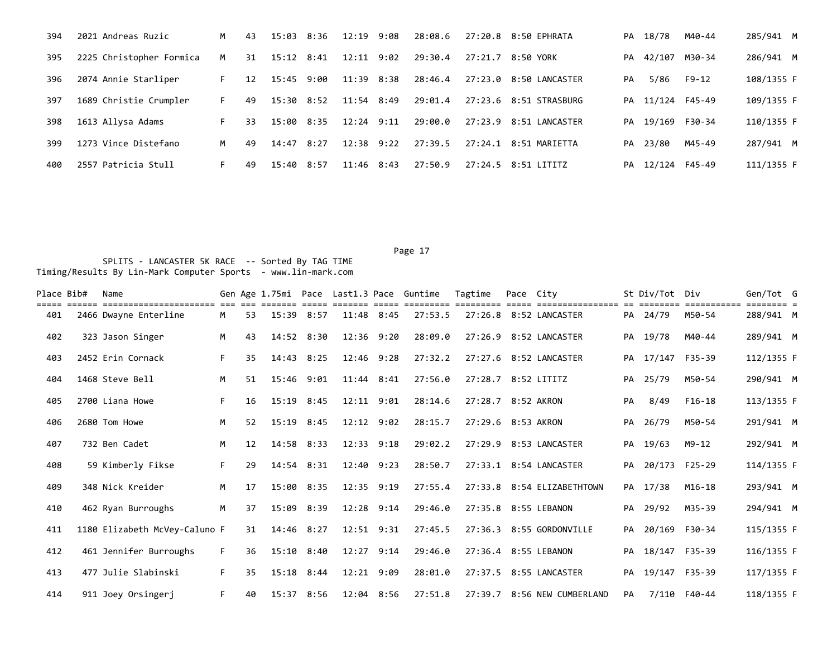| 394 | 2021 Andreas Ruzic       | M  | 43 | 15:03 8:36 |      | 12:19 9:08     |      | 28:08.6 |         | 27:20.8 8:50 EPHRATA  | PA | 18/78            | M40-44        | 285/941 M  |
|-----|--------------------------|----|----|------------|------|----------------|------|---------|---------|-----------------------|----|------------------|---------------|------------|
| 395 | 2225 Christopher Formica | M  | 31 | 15:12 8:41 |      | $12:11$ $9:02$ |      | 29:30.4 | 27:21.7 | 8:50 YORK             | PA | 42/107           | M30-34        | 286/941 M  |
| 396 | 2074 Annie Starliper     | F. | 12 | 15:45 9:00 |      | 11:39          | 8:38 | 28:46.4 | 27:23.0 | 8:50 LANCASTER        | PA | 5/86             | F9-12         | 108/1355 F |
| 397 | 1689 Christie Crumpler   | F. | 49 | 15:30 8:52 |      | $11:54$ 8:49   |      | 29:01.4 | 27:23.6 | 8:51 STRASBURG        |    | PA 11/124 F45-49 |               | 109/1355 F |
| 398 | 1613 Allysa Adams        | F. | 33 | 15:00 8:35 |      | $12:24$ 9:11   |      | 29:00.0 | 27:23.9 | 8:51 LANCASTER        | PA |                  | 19/169 F30-34 | 110/1355 F |
| 399 | 1273 Vince Distefano     | M  | 49 | 14:47      | 8:27 | $12:38$ $9:22$ |      | 27:39.5 |         | 27:24.1 8:51 MARIETTA | PA | 23/80            | M45-49        | 287/941 M  |
| 400 | 2557 Patricia Stull      | F. | 49 | 15:40      | 8:57 | $11:46$ 8:43   |      | 27:50.9 |         | 27:24.5 8:51 LITITZ   |    | PA 12/124 F45-49 |               | 111/1355 F |

| Place Bib# | Name                          |    |    |                |      |                | Gen Age 1.75mi Pace Last1.3 Pace Guntime | Tagtime             | Pace City |                             |    | St Div/Tot       | Div          | Gen/Tot G  |  |
|------------|-------------------------------|----|----|----------------|------|----------------|------------------------------------------|---------------------|-----------|-----------------------------|----|------------------|--------------|------------|--|
| 401        | 2466 Dwayne Enterline         | M  | 53 | 15:39 8:57     |      | 11:48 8:45     | 27:53.5                                  |                     |           | 27:26.8 8:52 LANCASTER      |    | PA 24/79         | M50-54       | 288/941 M  |  |
| 402        | 323 Jason Singer              | M  | 43 | 14:52 8:30     |      | 12:36 9:20     | 28:09.0                                  |                     |           | 27:26.9 8:52 LANCASTER      | PA | 19/78            | M40-44       | 289/941 M  |  |
| 403        | 2452 Erin Cornack             | F. | 35 | 14:43          | 8:25 | 12:46 9:28     | 27:32.2                                  |                     |           | 27:27.6 8:52 LANCASTER      |    | PA 17/147 F35-39 |              | 112/1355 F |  |
| 404        | 1468 Steve Bell               | M  | 51 | 15:46 9:01     |      | $11:44$ 8:41   | 27:56.0                                  | 27:28.7 8:52 LITITZ |           |                             |    | PA 25/79         | M50-54       | 290/941 M  |  |
| 405        | 2700 Liana Howe               | F. | 16 | $15:19$ $8:45$ |      | $12:11$ $9:01$ | 28:14.6                                  | 27:28.7 8:52 AKRON  |           |                             | PA | 8/49             | $F16-18$     | 113/1355 F |  |
| 406        | 2680 Tom Howe                 | M  | 52 | $15:19$ $8:45$ |      | $12:12$ $9:02$ | 28:15.7                                  | 27:29.6 8:53 AKRON  |           |                             |    | PA 26/79         | M50-54       | 291/941 M  |  |
| 407        | 732 Ben Cadet                 | M  | 12 | 14:58 8:33     |      | $12:33$ $9:18$ | 29:02.2                                  |                     |           | 27:29.9 8:53 LANCASTER      |    | PA 19/63         | M9-12        | 292/941 M  |  |
| 408        | 59 Kimberly Fikse             | F. | 29 | 14:54 8:31     |      | $12:40$ $9:23$ | 28:50.7                                  |                     |           | 27:33.1 8:54 LANCASTER      | PA | 20/173 F25-29    |              | 114/1355 F |  |
| 409        | 348 Nick Kreider              | M  | 17 | 15:00 8:35     |      | 12:35 9:19     | 27:55.4                                  |                     |           | 27:33.8 8:54 ELIZABETHTOWN  |    | PA 17/38         | M16-18       | 293/941 M  |  |
| 410        | 462 Ryan Burroughs            | M  | 37 | 15:09 8:39     |      | 12:28 9:14     | 29:46.0                                  |                     |           | 27:35.8 8:55 LEBANON        | PA | 29/92            | M35-39       | 294/941 M  |  |
| 411        | 1180 Elizabeth McVey-Caluno F |    | 31 | 14:46 8:27     |      | 12:51 9:31     | 27:45.5                                  |                     |           | 27:36.3 8:55 GORDONVILLE    | PA | 20/169 F30-34    |              | 115/1355 F |  |
| 412        | 461 Jennifer Burroughs        | F. | 36 | 15:10 8:40     |      | $12:27$ 9:14   | 29:46.0                                  |                     |           | 27:36.4 8:55 LEBANON        | PA | 18/147 F35-39    |              | 116/1355 F |  |
| 413        | 477 Julie Slabinski           | F. | 35 | $15:18$ $8:44$ |      | 12:21 9:09     | 28:01.0                                  |                     |           | 27:37.5 8:55 LANCASTER      | PA | 19/147 F35-39    |              | 117/1355 F |  |
| 414        | 911 Joey Orsingerj            | F. | 40 | 15:37 8:56     |      | 12:04 8:56     | 27:51.8                                  |                     |           | 27:39.7 8:56 NEW CUMBERLAND | PA |                  | 7/110 F40-44 | 118/1355 F |  |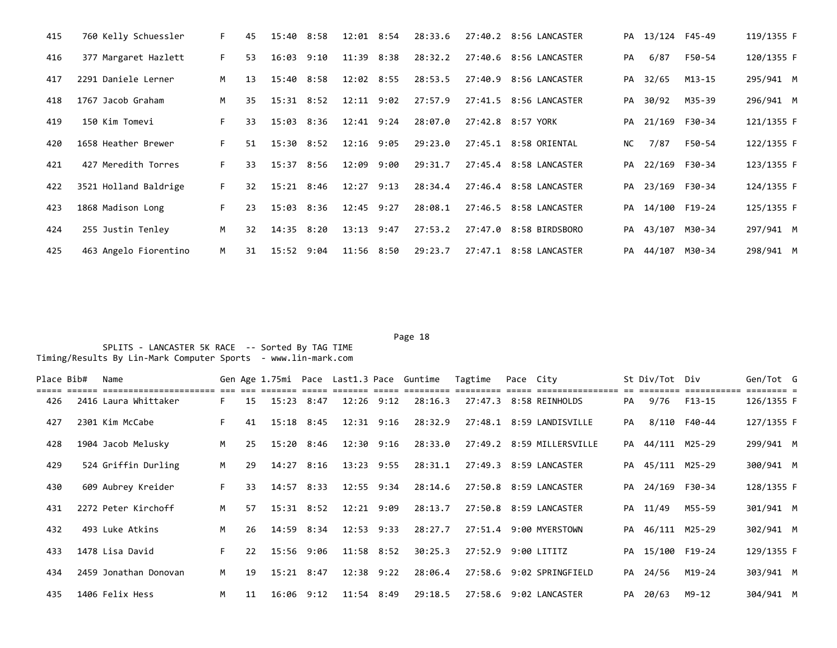| 415 | 760 Kelly Schuessler  | F. | 45              | 15:40 8:58     | 12:01 8:54     | 28:33.6 | 27:40.2 8:56 LANCASTER |      | PA 13/124 F45-49 |        | 119/1355 F |
|-----|-----------------------|----|-----------------|----------------|----------------|---------|------------------------|------|------------------|--------|------------|
| 416 | 377 Margaret Hazlett  | F. | 53              | $16:03$ $9:10$ | 11:39 8:38     | 28:32.2 | 27:40.6 8:56 LANCASTER | PA   | 6/87             | F50-54 | 120/1355 F |
| 417 | 2291 Daniele Lerner   | M  | 13              | 15:40 8:58     | 12:02 8:55     | 28:53.5 | 27:40.9 8:56 LANCASTER |      | PA 32/65         | M13-15 | 295/941 M  |
| 418 | 1767 Jacob Graham     | M  | 35              | 15:31 8:52     | 12:11 9:02     | 27:57.9 | 27:41.5 8:56 LANCASTER |      | PA 30/92         | M35-39 | 296/941 M  |
| 419 | 150 Kim Tomevi        | F. | 33              | 15:03 8:36     | $12:41$ $9:24$ | 28:07.0 | 27:42.8 8:57 YORK      |      | PA 21/169 F30-34 |        | 121/1355 F |
| 420 | 1658 Heather Brewer   | F. | 51              | 15:30 8:52     | 12:16 9:05     | 29:23.0 | 27:45.1 8:58 ORIENTAL  | NC . | 7/87             | F50-54 | 122/1355 F |
| 421 | 427 Meredith Torres   | F. | 33              | 15:37 8:56     | 12:09 9:00     | 29:31.7 | 27:45.4 8:58 LANCASTER |      | PA 22/169 F30-34 |        | 123/1355 F |
| 422 | 3521 Holland Baldrige | F. | 32 <sub>2</sub> | 15:21 8:46     | $12:27$ $9:13$ | 28:34.4 | 27:46.4 8:58 LANCASTER |      | PA 23/169 F30-34 |        | 124/1355 F |
| 423 | 1868 Madison Long     | F. | 23              | 15:03 8:36     | $12:45$ $9:27$ | 28:08.1 | 27:46.5 8:58 LANCASTER |      | PA 14/100 F19-24 |        | 125/1355 F |
| 424 | 255 Justin Tenley     | M  | 32              | 14:35 8:20     | $13:13$ $9:47$ | 27:53.2 | 27:47.0 8:58 BIRDSBORO |      | PA 43/107 M30-34 |        | 297/941 M  |
| 425 | 463 Angelo Fiorentino | M  | 31              | 15:52 9:04     | 11:56 8:50     | 29:23.7 | 27:47.1 8:58 LANCASTER |      | PA 44/107 M30-34 |        | 298/941 M  |

| Place Bib# | Name                  |    |    |                |                | Gen Age 1.75mi Pace Last1.3 Pace Guntime | Tagtime             | Pace City |                           |    | St Div/Tot Div   |              | Gen/Tot G  |  |
|------------|-----------------------|----|----|----------------|----------------|------------------------------------------|---------------------|-----------|---------------------------|----|------------------|--------------|------------|--|
| 426        | 2416 Laura Whittaker  | F. | 15 | $15:23$ $8:47$ | $12:26$ $9:12$ | 28:16.3                                  |                     |           | 27:47.3 8:58 REINHOLDS    | PA | 9/76             | F13-15       | 126/1355 F |  |
| 427        | 2301 Kim McCabe       |    | 41 | 15:18 8:45     | 12:31 9:16     | 28:32.9                                  |                     |           | 27:48.1 8:59 LANDISVILLE  | PA |                  | 8/110 F40-44 | 127/1355 F |  |
| 428        | 1904 Jacob Melusky    | M  | 25 | 15:20 8:46     | 12:30 9:16     | 28:33.0                                  |                     |           | 27:49.2 8:59 MILLERSVILLE |    | PA 44/111 M25-29 |              | 299/941 M  |  |
| 429        | 524 Griffin Durling   | M  | 29 | 14:27 8:16     | 13:23 9:55     | 28:31.1                                  |                     |           | 27:49.3 8:59 LANCASTER    |    | PA 45/111 M25-29 |              | 300/941 M  |  |
| 430        | 609 Aubrey Kreider    | F. | 33 | 14:57 8:33     | 12:55 9:34     | 28:14.6                                  |                     |           | 27:50.8 8:59 LANCASTER    |    | PA 24/169 F30-34 |              | 128/1355 F |  |
| 431        | 2272 Peter Kirchoff   | M  | 57 | $15:31$ $8:52$ | $12:21$ $9:09$ | 28:13.7                                  |                     |           | 27:50.8 8:59 LANCASTER    |    | PA 11/49         | M55-59       | 301/941 M  |  |
| 432        | 493 Luke Atkins       | M  | 26 | 14:59 8:34     | $12:53$ $9:33$ | 28:27.7                                  |                     |           | 27:51.4 9:00 MYERSTOWN    |    | PA 46/111 M25-29 |              | 302/941 M  |  |
| 433        | 1478 Lisa David       | F. | 22 | 15:56 9:06     | 11:58 8:52     | 30:25.3                                  | 27:52.9 9:00 LITITZ |           |                           |    | PA 15/100 F19-24 |              | 129/1355 F |  |
| 434        | 2459 Jonathan Donovan | M  | 19 | $15:21$ $8:47$ | $12:38$ $9:22$ | 28:06.4                                  |                     |           | 27:58.6 9:02 SPRINGFIELD  |    | PA 24/56         | M19-24       | 303/941 M  |  |
| 435        | 1406 Felix Hess       | M  | 11 | 16:06 9:12     | $11:54$ 8:49   | 29:18.5                                  |                     |           | 27:58.6 9:02 LANCASTER    |    | PA 20/63         | M9-12        | 304/941 M  |  |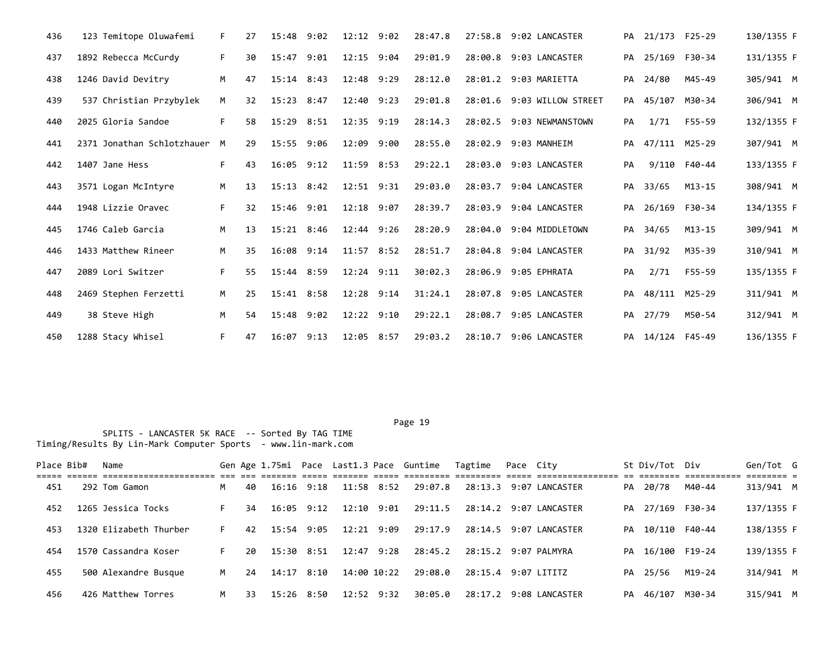| 436 | 123 Temitope Oluwafemi     | F. | 27 | 15:48          | 9:02 | $12:12$ $9:02$ | 28:47.8 |         | 27:58.8 9:02 LANCASTER     |    | PA 21/173 F25-29 |              | 130/1355 F |  |
|-----|----------------------------|----|----|----------------|------|----------------|---------|---------|----------------------------|----|------------------|--------------|------------|--|
| 437 | 1892 Rebecca McCurdy       | F. | 30 | 15:47          | 9:01 | 12:15 9:04     | 29:01.9 |         | 28:00.8 9:03 LANCASTER     | PA | 25/169 F30-34    |              | 131/1355 F |  |
| 438 | 1246 David Devitry         | M  | 47 | $15:14$ $8:43$ |      | 12:48 9:29     | 28:12.0 |         | 28:01.2 9:03 MARIETTA      | PA | 24/80            | M45-49       | 305/941 M  |  |
| 439 | 537 Christian Przybylek    | M  | 32 | 15:23          | 8:47 | 12:40 9:23     | 29:01.8 |         | 28:01.6 9:03 WILLOW STREET | PA | 45/107 M30-34    |              | 306/941 M  |  |
| 440 | 2025 Gloria Sandoe         | F. | 58 | $15:29$ $8:51$ |      | 12:35 9:19     | 28:14.3 |         | 28:02.5 9:03 NEWMANSTOWN   | PA | 1/71             | F55-59       | 132/1355 F |  |
| 441 | 2371 Jonathan Schlotzhauer | M  | 29 | 15:55 9:06     |      | 12:09 9:00     | 28:55.0 |         | 28:02.9 9:03 MANHEIM       | PA | 47/111 M25-29    |              | 307/941 M  |  |
| 442 | 1407 Jane Hess             | F. | 43 | $16:05$ 9:12   |      | $11:59$ 8:53   | 29:22.1 |         | 28:03.0 9:03 LANCASTER     | PA |                  | 9/110 F40-44 | 133/1355 F |  |
| 443 | 3571 Logan McIntyre        | M  | 13 | $15:13$ $8:42$ |      | $12:51$ $9:31$ | 29:03.0 |         | 28:03.7 9:04 LANCASTER     |    | PA 33/65         | $M13 - 15$   | 308/941 M  |  |
| 444 | 1948 Lizzie Oravec         | F. | 32 | 15:46 9:01     |      | $12:18$ $9:07$ | 28:39.7 |         | 28:03.9 9:04 LANCASTER     |    | PA 26/169 F30-34 |              | 134/1355 F |  |
| 445 | 1746 Caleb Garcia          | M  | 13 | $15:21$ $8:46$ |      | $12:44$ $9:26$ | 28:20.9 |         | 28:04.0 9:04 MIDDLETOWN    |    | PA 34/65         | M13-15       | 309/941 M  |  |
| 446 | 1433 Matthew Rineer        | M  | 35 | 16:08 9:14     |      | $11:57$ 8:52   | 28:51.7 |         | 28:04.8 9:04 LANCASTER     | PA | 31/92            | M35-39       | 310/941 M  |  |
| 447 | 2089 Lori Switzer          | F. | 55 | 15:44 8:59     |      | $12:24$ $9:11$ | 30:02.3 |         | 28:06.9 9:05 EPHRATA       | PA | 2/71             | F55-59       | 135/1355 F |  |
| 448 | 2469 Stephen Ferzetti      | M  | 25 | 15:41 8:58     |      | 12:28 9:14     | 31:24.1 |         | 28:07.8 9:05 LANCASTER     | PA | 48/111 M25-29    |              | 311/941 M  |  |
| 449 | 38 Steve High              | M  | 54 | 15:48 9:02     |      | 12:22 9:10     | 29:22.1 | 28:08.7 | 9:05 LANCASTER             | PA | 27/79            | M50-54       | 312/941 M  |  |
| 450 | 1288 Stacy Whisel          | F. | 47 | $16:07$ $9:13$ |      | 12:05 8:57     | 29:03.2 |         | 28:10.7 9:06 LANCASTER     |    | PA 14/124 F45-49 |              | 136/1355 F |  |

| Place Bib# | Name                   |   |     |                |      |             |                | Gen Age 1.75mi Pace Last1.3 Pace Guntime Tagtime |                     | Pace City |                        | St Div/Tot Div   |        | Gen/Tot G  |  |
|------------|------------------------|---|-----|----------------|------|-------------|----------------|--------------------------------------------------|---------------------|-----------|------------------------|------------------|--------|------------|--|
| 451        | 292 Tom Gamon          | M | 40  | $16:16$ 9:18   |      | 11:58 8:52  |                | 29:07.8                                          |                     |           | 28:13.3 9:07 LANCASTER | PA 20/78         | M40-44 | 313/941 M  |  |
| 452        | 1265 Jessica Tocks     |   | 34  | 16:05 9:12     |      | 12:10 9:01  |                | 29:11.5                                          |                     |           | 28:14.2 9:07 LANCASTER | PA 27/169 F30-34 |        | 137/1355 F |  |
| 453        | 1320 Elizabeth Thurber |   | 42  | $15:54$ 9:05   |      | 12:21 9:09  |                | 29:17.9                                          |                     |           | 28:14.5 9:07 LANCASTER | PA 10/110 F40-44 |        | 138/1355 F |  |
| 454        | 1570 Cassandra Koser   |   | 20  | $15:30$ $8:51$ |      | 12:47 9:28  |                | 28:45.2                                          |                     |           | 28:15.2 9:07 PALMYRA   | PA 16/100 F19-24 |        | 139/1355 F |  |
| 455        | 500 Alexandre Busque   | M | 24  | 14:17 8:10     |      | 14:00 10:22 |                | 29:08.0                                          | 28:15.4 9:07 LITITZ |           |                        | PA 25/56         | M19-24 | 314/941 M  |  |
| 456        | 426 Matthew Torres     | м | 33. | 15:26          | 8:50 |             | $12:52$ $9:32$ | 30:05.0                                          |                     |           | 28:17.2 9:08 LANCASTER | PA 46/107        | M30-34 | 315/941 M  |  |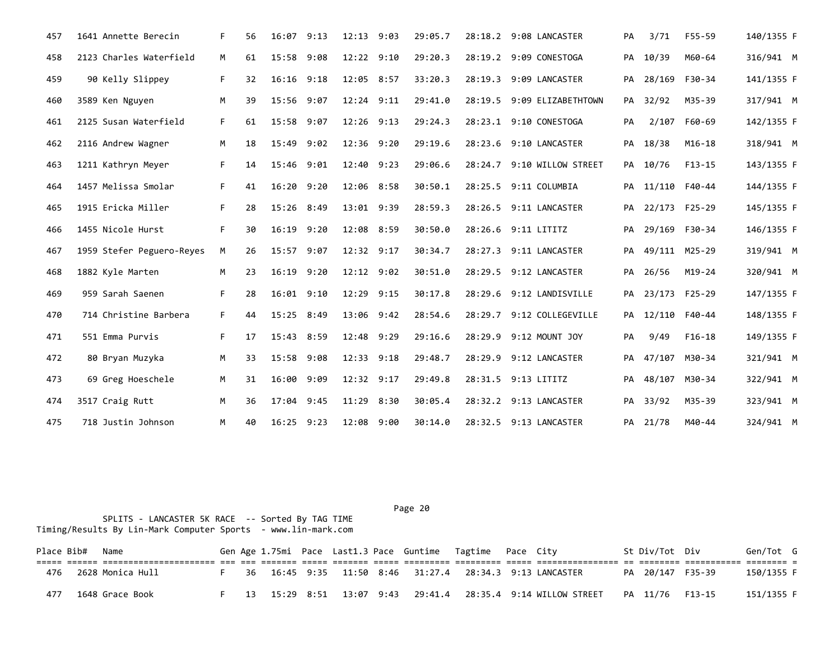| 457 | 1641 Annette Berecin      | F. | 56 | 16:07        | 9:13 | 12:13 9:03   | 29:05.7 | 28:18.2 9:08 LANCASTER     | PA | 3/71             | F55-59       | 140/1355 F |  |
|-----|---------------------------|----|----|--------------|------|--------------|---------|----------------------------|----|------------------|--------------|------------|--|
| 458 | 2123 Charles Waterfield   | M  | 61 | 15:58        | 9:08 | 12:22 9:10   | 29:20.3 | 28:19.2 9:09 CONESTOGA     | PA | 10/39            | M60-64       | 316/941 M  |  |
| 459 | 90 Kelly Slippey          | F. | 32 | 16:16        | 9:18 | 12:05 8:57   | 33:20.3 | 28:19.3 9:09 LANCASTER     | PA | 28/169 F30-34    |              | 141/1355 F |  |
| 460 | 3589 Ken Nguyen           | М  | 39 | 15:56        | 9:07 | 12:24 9:11   | 29:41.0 | 28:19.5 9:09 ELIZABETHTOWN |    | PA 32/92         | M35-39       | 317/941 M  |  |
| 461 | 2125 Susan Waterfield     | F. | 61 | 15:58        | 9:07 | $12:26$ 9:13 | 29:24.3 | 28:23.1 9:10 CONESTOGA     | PA |                  | 2/107 F60-69 | 142/1355 F |  |
| 462 | 2116 Andrew Wagner        | M  | 18 | 15:49        | 9:02 | 12:36 9:20   | 29:19.6 | 28:23.6 9:10 LANCASTER     | PA | 18/38            | $M16-18$     | 318/941 M  |  |
| 463 | 1211 Kathryn Meyer        | F. | 14 | 15:46        | 9:01 | 12:40 9:23   | 29:06.6 | 28:24.7 9:10 WILLOW STREET |    | PA 10/76         | $F13-15$     | 143/1355 F |  |
| 464 | 1457 Melissa Smolar       | F. | 41 | 16:20        | 9:20 | 12:06 8:58   | 30:50.1 | 28:25.5 9:11 COLUMBIA      |    | PA 11/110 F40-44 |              | 144/1355 F |  |
| 465 | 1915 Ericka Miller        | F. | 28 | 15:26 8:49   |      | 13:01 9:39   | 28:59.3 | 28:26.5 9:11 LANCASTER     |    | PA 22/173 F25-29 |              | 145/1355 F |  |
| 466 | 1455 Nicole Hurst         | F. | 30 | 16:19        | 9:20 | 12:08 8:59   | 30:50.0 | 28:26.6 9:11 LITITZ        |    | PA 29/169 F30-34 |              | 146/1355 F |  |
| 467 | 1959 Stefer Peguero-Reyes | М  | 26 | 15:57        | 9:07 | 12:32 9:17   | 30:34.7 | 28:27.3 9:11 LANCASTER     |    | PA 49/111 M25-29 |              | 319/941 M  |  |
| 468 | 1882 Kyle Marten          | M  | 23 | 16:19        | 9:20 | 12:12 9:02   | 30:51.0 | 28:29.5 9:12 LANCASTER     |    | PA 26/56         | $M19-24$     | 320/941 M  |  |
| 469 | 959 Sarah Saenen          | F. | 28 | 16:01        | 9:10 | 12:29 9:15   | 30:17.8 | 28:29.6 9:12 LANDISVILLE   |    | PA 23/173 F25-29 |              | 147/1355 F |  |
| 470 | 714 Christine Barbera     | F. | 44 | 15:25        | 8:49 | 13:06 9:42   | 28:54.6 | 28:29.7 9:12 COLLEGEVILLE  |    | PA 12/110 F40-44 |              | 148/1355 F |  |
| 471 | 551 Emma Purvis           | F. | 17 | 15:43        | 8:59 | 12:48 9:29   | 29:16.6 | 28:29.9 9:12 MOUNT JOY     | PA | 9/49             | $F16-18$     | 149/1355 F |  |
| 472 | 80 Bryan Muzyka           | M  | 33 | 15:58        | 9:08 | 12:33 9:18   | 29:48.7 | 28:29.9 9:12 LANCASTER     |    | PA 47/107 M30-34 |              | 321/941 M  |  |
| 473 | 69 Greg Hoeschele         | M  | 31 | 16:00        | 9:09 | 12:32 9:17   | 29:49.8 | 28:31.5 9:13 LITITZ        | PA | 48/107 M30-34    |              | 322/941 M  |  |
| 474 | 3517 Craig Rutt           | M  | 36 | 17:04        | 9:45 | 11:29 8:30   | 30:05.4 | 28:32.2 9:13 LANCASTER     |    | PA 33/92         | M35-39       | 323/941 M  |  |
| 475 | 718 Justin Johnson        | M  | 40 | $16:25$ 9:23 |      | 12:08 9:00   | 30:14.0 | 28:32.5 9:13 LANCASTER     |    | PA 21/78         | M40-44       | 324/941 M  |  |

 SPLITS - LANCASTER 5K RACE -- Sorted By TAG TIME Timing/Results By Lin-Mark Computer Sports - www.lin-mark.com

Place Bib# Name 6en Sen Age 1.75mi Pace Last1.3 Pace Guntime Tagtime Pace City 5t Div/Tot Div Gen/Tot G ===== ====== ====================== === === ======= ===== ======= ===== ========= ========= ===== ================ == ======== =========== ======== = 476 2628 Monica Hull F 36 16:45 9:35 11:50 8:46 31:27.4 28:34.3 9:13 LANCASTER PA 20/147 F35-39 150/1355 F 477 1648 Grace Book F 13 15:29 8:51 13:07 9:43 29:41.4 28:35.4 9:14 WILLOW STREET PA 11/76 F13-15 151/1355 F

Page 20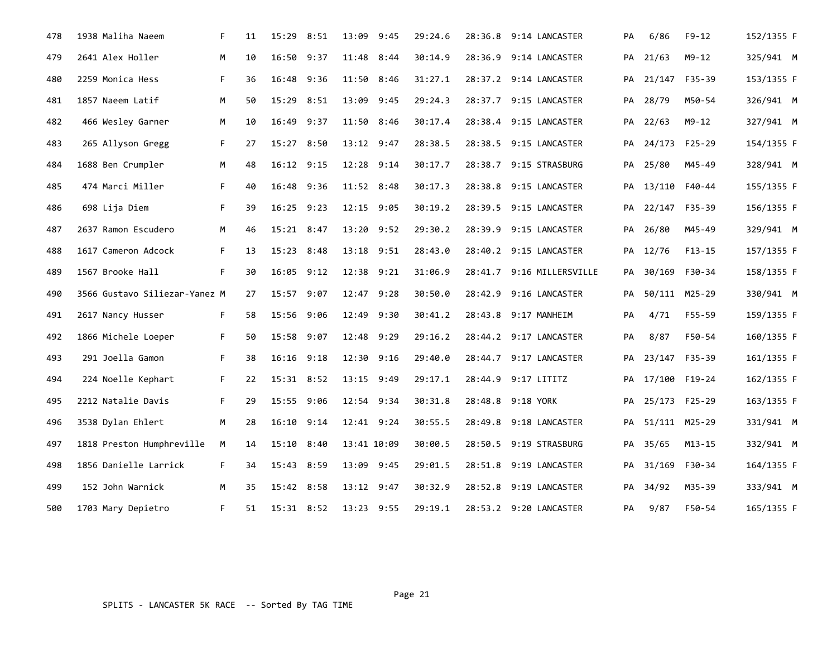| 478 | 1938 Maliha Naeem             | F. | 11 | 15:29 8:51   |      | 13:09 9:45     | 29:24.6 | 28:36.8 9:14 LANCASTER    | PA | 6/86             | $F9-12$ | 152/1355 F |  |
|-----|-------------------------------|----|----|--------------|------|----------------|---------|---------------------------|----|------------------|---------|------------|--|
| 479 | 2641 Alex Holler              | M  | 10 | 16:50        | 9:37 | 11:48 8:44     | 30:14.9 | 28:36.9 9:14 LANCASTER    | PА | 21/63            | M9-12   | 325/941 M  |  |
| 480 | 2259 Monica Hess              | F. | 36 | 16:48        | 9:36 | 11:50 8:46     | 31:27.1 | 28:37.2 9:14 LANCASTER    | PA | 21/147 F35-39    |         | 153/1355 F |  |
| 481 | 1857 Naeem Latif              | М  | 50 | 15:29 8:51   |      | 13:09 9:45     | 29:24.3 | 28:37.7 9:15 LANCASTER    |    | PA 28/79         | M50-54  | 326/941 M  |  |
| 482 | 466 Wesley Garner             | M  | 10 | 16:49        | 9:37 | 11:50 8:46     | 30:17.4 | 28:38.4 9:15 LANCASTER    | PA | 22/63            | M9-12   | 327/941 M  |  |
| 483 | 265 Allyson Gregg             | F. | 27 | 15:27 8:50   |      | $13:12$ $9:47$ | 28:38.5 | 28:38.5 9:15 LANCASTER    |    | PA 24/173 F25-29 |         | 154/1355 F |  |
| 484 | 1688 Ben Crumpler             | M  | 48 | $16:12$ 9:15 |      | 12:28 9:14     | 30:17.7 | 28:38.7 9:15 STRASBURG    |    | PA 25/80         | M45-49  | 328/941 M  |  |
| 485 | 474 Marci Miller              | F. | 40 | 16:48 9:36   |      | 11:52 8:48     | 30:17.3 | 28:38.8 9:15 LANCASTER    | PA | 13/110 F40-44    |         | 155/1355 F |  |
| 486 | 698 Lija Diem                 | F. | 39 | 16:25 9:23   |      | 12:15 9:05     | 30:19.2 | 28:39.5 9:15 LANCASTER    | PA | 22/147 F35-39    |         | 156/1355 F |  |
| 487 | 2637 Ramon Escudero           | M  | 46 | 15:21        | 8:47 | 13:20 9:52     | 29:30.2 | 28:39.9 9:15 LANCASTER    | PA | 26/80            | M45-49  | 329/941 M  |  |
| 488 | 1617 Cameron Adcock           | F. | 13 | 15:23 8:48   |      | 13:18 9:51     | 28:43.0 | 28:40.2 9:15 LANCASTER    | PA | 12/76            | F13-15  | 157/1355 F |  |
| 489 | 1567 Brooke Hall              | F. | 30 | 16:05 9:12   |      | 12:38 9:21     | 31:06.9 | 28:41.7 9:16 MILLERSVILLE |    | PA 30/169 F30-34 |         | 158/1355 F |  |
| 490 | 3566 Gustavo Siliezar-Yanez M |    | 27 | 15:57        | 9:07 | $12:47$ $9:28$ | 30:50.0 | 28:42.9 9:16 LANCASTER    | PA | 50/111 M25-29    |         | 330/941 M  |  |
| 491 | 2617 Nancy Husser             | F. | 58 | 15:56        | 9:06 | 12:49 9:30     | 30:41.2 | 28:43.8 9:17 MANHEIM      | PA | 4/71             | F55-59  | 159/1355 F |  |
| 492 | 1866 Michele Loeper           | F. | 50 | 15:58 9:07   |      | 12:48 9:29     | 29:16.2 | 28:44.2 9:17 LANCASTER    | PA | 8/87             | F50-54  | 160/1355 F |  |
| 493 | 291 Joella Gamon              | F. | 38 | 16:16        | 9:18 | 12:30 9:16     | 29:40.0 | 28:44.7 9:17 LANCASTER    | PA | 23/147 F35-39    |         | 161/1355 F |  |
| 494 | 224 Noelle Kephart            | F. | 22 | 15:31 8:52   |      | 13:15 9:49     | 29:17.1 | 28:44.9 9:17 LITITZ       | PA | 17/100 F19-24    |         | 162/1355 F |  |
| 495 | 2212 Natalie Davis            | F. | 29 | 15:55 9:06   |      | $12:54$ 9:34   | 30:31.8 | 28:48.8 9:18 YORK         |    | PA 25/173 F25-29 |         | 163/1355 F |  |
| 496 | 3538 Dylan Ehlert             | M  | 28 | 16:10        | 9:14 | 12:41 9:24     | 30:55.5 | 28:49.8 9:18 LANCASTER    | PA | 51/111 M25-29    |         | 331/941 M  |  |
| 497 | 1818 Preston Humphreville     | М  | 14 | 15:10        | 8:40 | 13:41 10:09    | 30:00.5 | 28:50.5 9:19 STRASBURG    | PA | 35/65            | M13-15  | 332/941 M  |  |
| 498 | 1856 Danielle Larrick         | F. | 34 | 15:43 8:59   |      | 13:09 9:45     | 29:01.5 | 28:51.8 9:19 LANCASTER    | PA | 31/169 F30-34    |         | 164/1355 F |  |
| 499 | 152 John Warnick              | М  | 35 | 15:42 8:58   |      | 13:12 9:47     | 30:32.9 | 28:52.8 9:19 LANCASTER    | PA | 34/92            | M35-39  | 333/941 M  |  |
| 500 | 1703 Mary Depietro            | F. | 51 | 15:31 8:52   |      | 13:23 9:55     | 29:19.1 | 28:53.2 9:20 LANCASTER    | PA | 9/87             | F50-54  | 165/1355 F |  |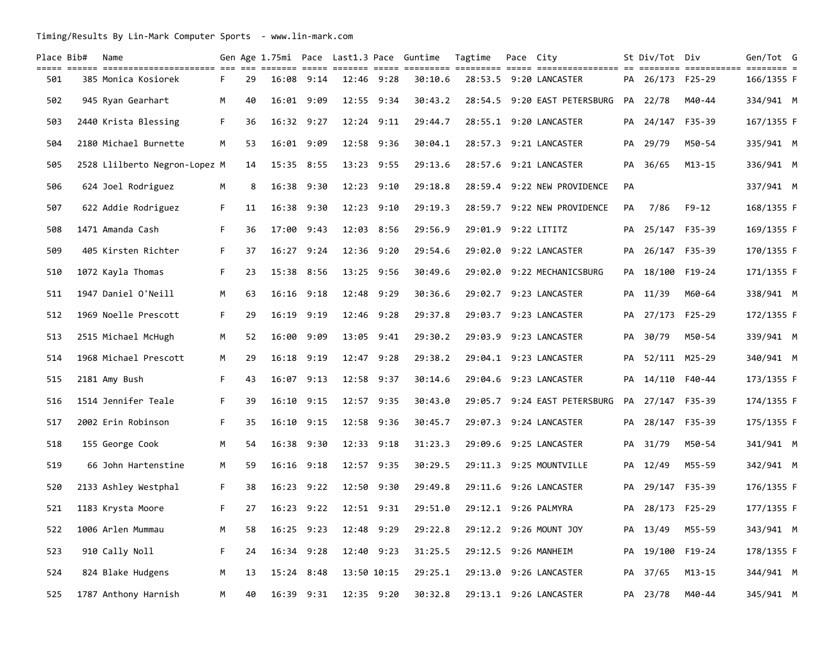| Place Bib# | Name                                                    |    |    |                |      |                | Gen Age 1.75mi Pace Last1.3 Pace Guntime | Tagtime             | Pace City |                                               |    | St Div/Tot Div   |                                 | Gen/Tot G             |  |
|------------|---------------------------------------------------------|----|----|----------------|------|----------------|------------------------------------------|---------------------|-----------|-----------------------------------------------|----|------------------|---------------------------------|-----------------------|--|
| 501        | ________________________________<br>385 Monica Kosiorek | F. | 29 | 16:08          | 9:14 | 12:46 9:28     | 30:10.6                                  |                     |           | ================ ==<br>28:53.5 9:20 LANCASTER |    | PA 26/173        | ========= ===========<br>F25-29 | $= - -$<br>166/1355 F |  |
| 502        | 945 Ryan Gearhart                                       | M  | 40 | 16:01 9:09     |      | 12:55 9:34     | 30:43.2                                  |                     |           | 28:54.5 9:20 EAST PETERSBURG                  |    | PA 22/78         | M40-44                          | 334/941 M             |  |
| 503        | 2440 Krista Blessing                                    | F. | 36 | $16:32$ $9:27$ |      | 12:24 9:11     | 29:44.7                                  |                     |           | 28:55.1 9:20 LANCASTER                        |    | PA 24/147 F35-39 |                                 | 167/1355 F            |  |
| 504        | 2180 Michael Burnette                                   | М  | 53 | 16:01 9:09     |      | 12:58 9:36     | 30:04.1                                  |                     |           | 28:57.3 9:21 LANCASTER                        | PA | 29/79            | M50-54                          | 335/941 M             |  |
| 505        | 2528 Llilberto Negron-Lopez M                           |    | 14 | 15:35 8:55     |      | 13:23 9:55     | 29:13.6                                  |                     |           | 28:57.6 9:21 LANCASTER                        |    | PA 36/65         | $M13 - 15$                      | 336/941 M             |  |
| 506        | 624 Joel Rodriguez                                      | М  | 8  | 16:38 9:30     |      | 12:23 9:10     | 29:18.8                                  |                     |           | 28:59.4 9:22 NEW PROVIDENCE                   | PA |                  |                                 | 337/941 M             |  |
| 507        | 622 Addie Rodriguez                                     | F. | 11 | $16:38$ $9:30$ |      | $12:23$ $9:10$ | 29:19.3                                  |                     |           | 28:59.7 9:22 NEW PROVIDENCE                   | PA | 7/86             | F9-12                           | 168/1355 F            |  |
| 508        | 1471 Amanda Cash                                        | F. | 36 | 17:00          | 9:43 | 12:03 8:56     | 29:56.9                                  | 29:01.9 9:22 LITITZ |           |                                               | PA | 25/147 F35-39    |                                 | 169/1355 F            |  |
| 509        | 405 Kirsten Richter                                     | F. | 37 | $16:27$ 9:24   |      | 12:36 9:20     | 29:54.6                                  |                     |           | 29:02.0 9:22 LANCASTER                        | PA | 26/147 F35-39    |                                 | 170/1355 F            |  |
| 510        | 1072 Kayla Thomas                                       | F. | 23 | 15:38          | 8:56 | 13:25 9:56     | 30:49.6                                  |                     |           | 29:02.0 9:22 MECHANICSBURG                    |    | PA 18/100        | F19-24                          | 171/1355 F            |  |
| 511        | 1947 Daniel O'Neill                                     | M  | 63 | $16:16$ $9:18$ |      | 12:48 9:29     | 30:36.6                                  |                     |           | 29:02.7 9:23 LANCASTER                        | PA | 11/39            | M60-64                          | 338/941 M             |  |
| 512        | 1969 Noelle Prescott                                    | F. | 29 | 16:19          | 9:19 | 12:46 9:28     | 29:37.8                                  |                     |           | 29:03.7 9:23 LANCASTER                        | PA | 27/173 F25-29    |                                 | 172/1355 F            |  |
| 513        | 2515 Michael McHugh                                     | M  | 52 | 16:00          | 9:09 | 13:05 9:41     | 29:30.2                                  |                     |           | 29:03.9 9:23 LANCASTER                        | PA | 30/79            | M50-54                          | 339/941 M             |  |
| 514        | 1968 Michael Prescott                                   | М  | 29 | $16:18$ 9:19   |      | 12:47 9:28     | 29:38.2                                  |                     |           | 29:04.1 9:23 LANCASTER                        | PA | 52/111 M25-29    |                                 | 340/941 M             |  |
| 515        | 2181 Amy Bush                                           | F. | 43 | $16:07$ 9:13   |      | 12:58 9:37     | 30:14.6                                  |                     |           | 29:04.6 9:23 LANCASTER                        | PA | 14/110 F40-44    |                                 | 173/1355 F            |  |
| 516        | 1514 Jennifer Teale                                     | F. | 39 | $16:10$ $9:15$ |      | 12:57 9:35     | 30:43.0                                  |                     |           | 29:05.7 9:24 EAST PETERSBURG                  |    | PA 27/147 F35-39 |                                 | 174/1355 F            |  |
| 517        | 2002 Erin Robinson                                      | F. | 35 | $16:10$ 9:15   |      | 12:58 9:36     | 30:45.7                                  |                     |           | 29:07.3 9:24 LANCASTER                        |    | PA 28/147 F35-39 |                                 | 175/1355 F            |  |
| 518        | 155 George Cook                                         | M  | 54 | 16:38 9:30     |      | 12:33 9:18     | 31:23.3                                  |                     |           | 29:09.6 9:25 LANCASTER                        |    | PA 31/79         | M50-54                          | 341/941 M             |  |
| 519        | 66 John Hartenstine                                     | M  | 59 | $16:16$ $9:18$ |      | 12:57 9:35     | 30:29.5                                  |                     |           | 29:11.3 9:25 MOUNTVILLE                       | PA | 12/49            | M55-59                          | 342/941 M             |  |
| 520        | 2133 Ashley Westphal                                    | F. | 38 | $16:23$ 9:22   |      | 12:50 9:30     | 29:49.8                                  |                     |           | 29:11.6 9:26 LANCASTER                        | PA | 29/147 F35-39    |                                 | 176/1355 F            |  |
| 521        | 1183 Krysta Moore                                       | F. | 27 | $16:23$ $9:22$ |      | $12:51$ $9:31$ | 29:51.0                                  |                     |           | 29:12.1 9:26 PALMYRA                          | PA | 28/173 F25-29    |                                 | 177/1355 F            |  |
| 522        | 1006 Arlen Mummau                                       | M  | 58 | 16:25 9:23     |      | 12:48 9:29     | 29:22.8                                  |                     |           | 29:12.2 9:26 MOUNT JOY                        |    | PA 13/49         | M55-59                          | 343/941 M             |  |
| 523        | 910 Cally Noll                                          | F  | 24 | 16:34          | 9:28 | 12:40 9:23     | 31:25.5                                  |                     |           | 29:12.5 9:26 MANHEIM                          | PA | 19/100           | F19-24                          | 178/1355 F            |  |
| 524        | 824 Blake Hudgens                                       | M  | 13 | 15:24          | 8:48 | 13:50 10:15    | 29:25.1                                  |                     |           | 29:13.0 9:26 LANCASTER                        | PA | 37/65            | M13-15                          | 344/941 M             |  |
| 525        | 1787 Anthony Harnish                                    | M  | 40 | 16:39          | 9:31 | 12:35 9:20     | 30:32.8                                  |                     |           | 29:13.1 9:26 LANCASTER                        |    | PA 23/78         | M40-44                          | 345/941 M             |  |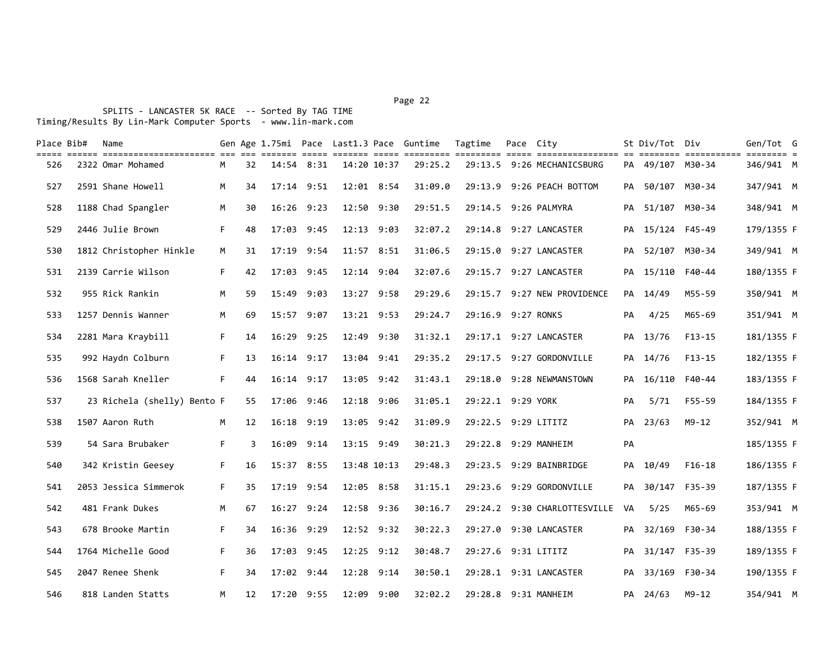## Page 22 and the contract of the contract of the contract of the contract of the contract of the contract of the contract of the contract of the contract of the contract of the contract of the contract of the contract of th

| Place Bib# | Name |                                                                                                                                                                                                                                                                                                                                                                                                                                          |                             |       |      |                                                                                                                                                                                                                                         |      |                                                                                                                                                                                                                                                                                                     | Tagtime                                  |                               |                                                                                                                                                                                                                                                                                                                                                                                                                                                                                                                                                                                 |        |                                                                      |                                                                                                                                                                                           |                                                                                                                                                                                                                                                                                                                                                           |
|------------|------|------------------------------------------------------------------------------------------------------------------------------------------------------------------------------------------------------------------------------------------------------------------------------------------------------------------------------------------------------------------------------------------------------------------------------------------|-----------------------------|-------|------|-----------------------------------------------------------------------------------------------------------------------------------------------------------------------------------------------------------------------------------------|------|-----------------------------------------------------------------------------------------------------------------------------------------------------------------------------------------------------------------------------------------------------------------------------------------------------|------------------------------------------|-------------------------------|---------------------------------------------------------------------------------------------------------------------------------------------------------------------------------------------------------------------------------------------------------------------------------------------------------------------------------------------------------------------------------------------------------------------------------------------------------------------------------------------------------------------------------------------------------------------------------|--------|----------------------------------------------------------------------|-------------------------------------------------------------------------------------------------------------------------------------------------------------------------------------------|-----------------------------------------------------------------------------------------------------------------------------------------------------------------------------------------------------------------------------------------------------------------------------------------------------------------------------------------------------------|
|            |      | M                                                                                                                                                                                                                                                                                                                                                                                                                                        | 32                          |       |      |                                                                                                                                                                                                                                         |      |                                                                                                                                                                                                                                                                                                     |                                          |                               |                                                                                                                                                                                                                                                                                                                                                                                                                                                                                                                                                                                 |        |                                                                      |                                                                                                                                                                                           |                                                                                                                                                                                                                                                                                                                                                           |
|            |      | M                                                                                                                                                                                                                                                                                                                                                                                                                                        | 34                          |       |      |                                                                                                                                                                                                                                         |      | 31:09.0                                                                                                                                                                                                                                                                                             |                                          |                               |                                                                                                                                                                                                                                                                                                                                                                                                                                                                                                                                                                                 |        |                                                                      |                                                                                                                                                                                           |                                                                                                                                                                                                                                                                                                                                                           |
|            |      | M                                                                                                                                                                                                                                                                                                                                                                                                                                        | 30                          |       |      |                                                                                                                                                                                                                                         |      | 29:51.5                                                                                                                                                                                                                                                                                             |                                          |                               |                                                                                                                                                                                                                                                                                                                                                                                                                                                                                                                                                                                 |        |                                                                      |                                                                                                                                                                                           |                                                                                                                                                                                                                                                                                                                                                           |
|            |      | F.                                                                                                                                                                                                                                                                                                                                                                                                                                       | 48                          |       | 9:45 |                                                                                                                                                                                                                                         |      | 32:07.2                                                                                                                                                                                                                                                                                             |                                          |                               |                                                                                                                                                                                                                                                                                                                                                                                                                                                                                                                                                                                 |        |                                                                      |                                                                                                                                                                                           |                                                                                                                                                                                                                                                                                                                                                           |
|            |      | М                                                                                                                                                                                                                                                                                                                                                                                                                                        | 31                          |       | 9:54 |                                                                                                                                                                                                                                         |      | 31:06.5                                                                                                                                                                                                                                                                                             |                                          |                               | PA                                                                                                                                                                                                                                                                                                                                                                                                                                                                                                                                                                              |        |                                                                      |                                                                                                                                                                                           |                                                                                                                                                                                                                                                                                                                                                           |
|            |      | F.                                                                                                                                                                                                                                                                                                                                                                                                                                       | 42                          |       |      |                                                                                                                                                                                                                                         |      | 32:07.6                                                                                                                                                                                                                                                                                             |                                          |                               |                                                                                                                                                                                                                                                                                                                                                                                                                                                                                                                                                                                 |        |                                                                      |                                                                                                                                                                                           |                                                                                                                                                                                                                                                                                                                                                           |
|            |      | M                                                                                                                                                                                                                                                                                                                                                                                                                                        | 59                          | 15:49 | 9:03 |                                                                                                                                                                                                                                         |      | 29:29.6                                                                                                                                                                                                                                                                                             |                                          |                               |                                                                                                                                                                                                                                                                                                                                                                                                                                                                                                                                                                                 |        | M55-59                                                               |                                                                                                                                                                                           |                                                                                                                                                                                                                                                                                                                                                           |
|            |      | M                                                                                                                                                                                                                                                                                                                                                                                                                                        | 69                          |       |      |                                                                                                                                                                                                                                         |      | 29:24.7                                                                                                                                                                                                                                                                                             |                                          |                               | PA                                                                                                                                                                                                                                                                                                                                                                                                                                                                                                                                                                              | 4/25   | M65-69                                                               |                                                                                                                                                                                           |                                                                                                                                                                                                                                                                                                                                                           |
|            |      | F.                                                                                                                                                                                                                                                                                                                                                                                                                                       | 14                          |       | 9:25 |                                                                                                                                                                                                                                         |      | 31:32.1                                                                                                                                                                                                                                                                                             |                                          |                               |                                                                                                                                                                                                                                                                                                                                                                                                                                                                                                                                                                                 |        | $F13 - 15$                                                           |                                                                                                                                                                                           |                                                                                                                                                                                                                                                                                                                                                           |
|            |      | F.                                                                                                                                                                                                                                                                                                                                                                                                                                       | 13                          |       |      |                                                                                                                                                                                                                                         |      |                                                                                                                                                                                                                                                                                                     |                                          |                               |                                                                                                                                                                                                                                                                                                                                                                                                                                                                                                                                                                                 |        | $F13-15$                                                             |                                                                                                                                                                                           |                                                                                                                                                                                                                                                                                                                                                           |
|            |      | F.                                                                                                                                                                                                                                                                                                                                                                                                                                       | 44                          |       | 9:17 |                                                                                                                                                                                                                                         |      | 31:43.1                                                                                                                                                                                                                                                                                             |                                          |                               |                                                                                                                                                                                                                                                                                                                                                                                                                                                                                                                                                                                 | 16/110 | F40-44                                                               |                                                                                                                                                                                           |                                                                                                                                                                                                                                                                                                                                                           |
|            |      |                                                                                                                                                                                                                                                                                                                                                                                                                                          | 55                          |       | 9:46 |                                                                                                                                                                                                                                         |      | 31:05.1                                                                                                                                                                                                                                                                                             |                                          |                               | PA                                                                                                                                                                                                                                                                                                                                                                                                                                                                                                                                                                              | 5/71   | F55-59                                                               |                                                                                                                                                                                           |                                                                                                                                                                                                                                                                                                                                                           |
|            |      | M                                                                                                                                                                                                                                                                                                                                                                                                                                        | 12                          |       | 9:19 |                                                                                                                                                                                                                                         |      | 31:09.9                                                                                                                                                                                                                                                                                             |                                          |                               |                                                                                                                                                                                                                                                                                                                                                                                                                                                                                                                                                                                 |        | $M9 - 12$                                                            |                                                                                                                                                                                           |                                                                                                                                                                                                                                                                                                                                                           |
|            |      | F.                                                                                                                                                                                                                                                                                                                                                                                                                                       | 3                           |       | 9:14 |                                                                                                                                                                                                                                         |      | 30:21.3                                                                                                                                                                                                                                                                                             |                                          |                               | PA                                                                                                                                                                                                                                                                                                                                                                                                                                                                                                                                                                              |        |                                                                      |                                                                                                                                                                                           |                                                                                                                                                                                                                                                                                                                                                           |
|            |      | F.                                                                                                                                                                                                                                                                                                                                                                                                                                       | 16                          |       |      |                                                                                                                                                                                                                                         |      | 29:48.3                                                                                                                                                                                                                                                                                             |                                          |                               | PA                                                                                                                                                                                                                                                                                                                                                                                                                                                                                                                                                                              | 10/49  | $F16-18$                                                             |                                                                                                                                                                                           |                                                                                                                                                                                                                                                                                                                                                           |
|            |      | F.                                                                                                                                                                                                                                                                                                                                                                                                                                       | 35                          |       | 9:54 |                                                                                                                                                                                                                                         |      | 31:15.1                                                                                                                                                                                                                                                                                             |                                          |                               | PA                                                                                                                                                                                                                                                                                                                                                                                                                                                                                                                                                                              | 30/147 | F35-39                                                               |                                                                                                                                                                                           |                                                                                                                                                                                                                                                                                                                                                           |
|            |      | M                                                                                                                                                                                                                                                                                                                                                                                                                                        | 67                          |       |      |                                                                                                                                                                                                                                         |      | 30:16.7                                                                                                                                                                                                                                                                                             |                                          |                               |                                                                                                                                                                                                                                                                                                                                                                                                                                                                                                                                                                                 | 5/25   | M65-69                                                               |                                                                                                                                                                                           |                                                                                                                                                                                                                                                                                                                                                           |
|            |      | F.                                                                                                                                                                                                                                                                                                                                                                                                                                       | 34                          |       | 9:29 |                                                                                                                                                                                                                                         |      | 30:22.3                                                                                                                                                                                                                                                                                             |                                          |                               |                                                                                                                                                                                                                                                                                                                                                                                                                                                                                                                                                                                 |        |                                                                      |                                                                                                                                                                                           |                                                                                                                                                                                                                                                                                                                                                           |
|            |      | F.                                                                                                                                                                                                                                                                                                                                                                                                                                       | 36                          |       | 9:45 |                                                                                                                                                                                                                                         |      | 30:48.7                                                                                                                                                                                                                                                                                             |                                          |                               | PA                                                                                                                                                                                                                                                                                                                                                                                                                                                                                                                                                                              |        |                                                                      |                                                                                                                                                                                           |                                                                                                                                                                                                                                                                                                                                                           |
|            |      | F.                                                                                                                                                                                                                                                                                                                                                                                                                                       | 34                          |       | 9:44 |                                                                                                                                                                                                                                         | 9:14 | 30:50.1                                                                                                                                                                                                                                                                                             |                                          |                               |                                                                                                                                                                                                                                                                                                                                                                                                                                                                                                                                                                                 |        |                                                                      |                                                                                                                                                                                           |                                                                                                                                                                                                                                                                                                                                                           |
|            |      | M                                                                                                                                                                                                                                                                                                                                                                                                                                        | 12                          |       |      |                                                                                                                                                                                                                                         |      |                                                                                                                                                                                                                                                                                                     |                                          |                               |                                                                                                                                                                                                                                                                                                                                                                                                                                                                                                                                                                                 |        | M9-12                                                                |                                                                                                                                                                                           |                                                                                                                                                                                                                                                                                                                                                           |
|            |      | 2322 Omar Mohamed<br>2591 Shane Howell<br>1188 Chad Spangler<br>2446 Julie Brown<br>1812 Christopher Hinkle<br>2139 Carrie Wilson<br>955 Rick Rankin<br>1257 Dennis Wanner<br>2281 Mara Kraybill<br>992 Haydn Colburn<br>1568 Sarah Kneller<br>1507 Aaron Ruth<br>54 Sara Brubaker<br>342 Kristin Geesey<br>2053 Jessica Simmerok<br>481 Frank Dukes<br>678 Brooke Martin<br>1764 Michelle Good<br>2047 Renee Shenk<br>818 Landen Statts | 23 Richela (shelly) Bento F |       |      | $14:54$ 8:31<br>$17:14$ 9:51<br>$16:26$ 9:23<br>17:03<br>17:19<br>17:03 9:45<br>15:57 9:07<br>16:29<br>$16:14$ 9:17<br>16:14<br>17:06<br>16:18<br>16:09<br>15:37 8:55<br>17:19<br>$16:27$ 9:24<br>16:36<br>17:03<br>17:02<br>17:20 9:55 |      | 14:20 10:37<br>12:01 8:54<br>12:50 9:30<br>12:13 9:03<br>11:57 8:51<br>12:14 9:04<br>13:27 9:58<br>13:21 9:53<br>12:49 9:30<br>13:04 9:41<br>13:05 9:42<br>12:18 9:06<br>13:05 9:42<br>13:15 9:49<br>13:48 10:13<br>12:05 8:58<br>12:58 9:36<br>$12:52$ $9:32$<br>12:25 9:12<br>12:28<br>12:09 9:00 | Gen Age 1.75mi Pace Last1.3 Pace Guntime | 29:25.2<br>29:35.2<br>32:02.2 | Pace City<br>29:13.5 9:26 MECHANICSBURG<br>29:13.9 9:26 PEACH BOTTOM<br>29:14.5 9:26 PALMYRA<br>29:14.8 9:27 LANCASTER<br>29:15.0 9:27 LANCASTER<br>29:15.7 9:27 LANCASTER<br>29:15.7 9:27 NEW PROVIDENCE<br>29:16.9 9:27 RONKS<br>29:17.1 9:27 LANCASTER<br>29:17.5 9:27 GORDONVILLE<br>29:18.0 9:28 NEWMANSTOWN<br>29:22.1 9:29 YORK<br>29:22.5 9:29 LITITZ<br>29:22.8 9:29 MANHEIM<br>29:23.5 9:29 BAINBRIDGE<br>29:23.6 9:29 GORDONVILLE<br>29:24.2 9:30 CHARLOTTESVILLE<br>29:27.0 9:30 LANCASTER<br>29:27.6 9:31 LITITZ<br>29:28.1 9:31 LANCASTER<br>29:28.8 9:31 MANHEIM | VA     | PA<br>PA 14/49<br>PA 13/76<br>PA 14/76<br>PA<br>PA 23/63<br>PA 24/63 | St Div/Tot Div<br>PA 49/107 M30-34<br>PA 50/107 M30-34<br>PA 51/107 M30-34<br>15/124 F45-49<br>52/107 M30-34<br>PA 15/110 F40-44<br>PA 32/169 F30-34<br>31/147 F35-39<br>PA 33/169 F30-34 | Gen/Tot G<br>======== ===========<br>$=$ $=$ $=$ $=$ $=$ $=$<br>346/941 M<br>347/941 M<br>348/941 M<br>179/1355 F<br>349/941 M<br>180/1355 F<br>350/941 M<br>351/941 M<br>181/1355 F<br>182/1355 F<br>183/1355 F<br>184/1355 F<br>352/941 M<br>185/1355 F<br>186/1355 F<br>187/1355 F<br>353/941 M<br>188/1355 F<br>189/1355 F<br>190/1355 F<br>354/941 M |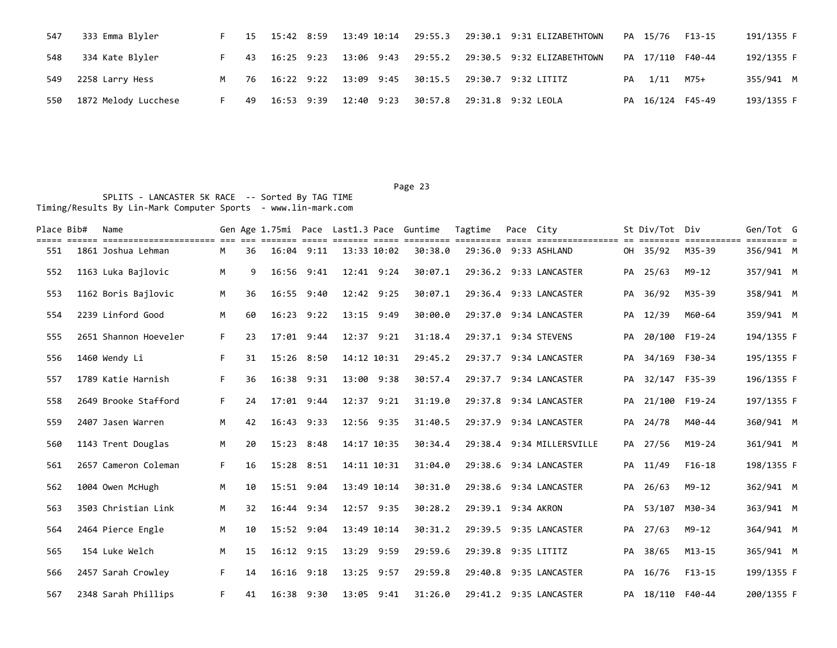| 547 | 333 Emma Blyler      |                | 15 | 15:42 8:59 |            |  |                                                                     | PA 15/76         | F13-15 | 191/1355 F |
|-----|----------------------|----------------|----|------------|------------|--|---------------------------------------------------------------------|------------------|--------|------------|
| 548 | 334 Kate Blyler      |                |    |            |            |  | 43  16:25  9:23  13:06  9:43  29:55.2  29:30.5  9:32  ELIZABETHTOWN | PA 17/110 F40-44 |        | 192/1355 F |
| 549 | 2258 Larry Hess      | M <sub>N</sub> |    |            |            |  | 76 16:22 9:22 13:09 9:45 30:15.5 29:30.7 9:32 LITITZ                | PA 1/11          | M75+   | 355/941 M  |
| 550 | 1872 Melody Lucchese |                | 49 | 16:53 9:39 | 12:40 9:23 |  | 30:57.8 29:31.8 9:32 LEOLA                                          | PA 16/124 F45-49 |        | 193/1355 F |

| Place Bib# | Name                                                 |    |    |                |      |             |             | Gen Age 1.75mi Pace Last1.3 Pace Guntime | Tagtime             | Pace City |                                          |    | St Div/Tot Div   |            | Gen/Tot G                        |  |
|------------|------------------------------------------------------|----|----|----------------|------|-------------|-------------|------------------------------------------|---------------------|-----------|------------------------------------------|----|------------------|------------|----------------------------------|--|
| 551        | ====== =======================<br>1861 Joshua Lehman | м  | 36 | $16:04$ $9:11$ |      |             | 13:33 10:02 | 30:38.0                                  | =====               |           | ================<br>29:36.0 9:33 ASHLAND |    | OH 35/92         | M35-39     | $=$ $=$ $=$ $=$ $=$<br>356/941 M |  |
| 552        | 1163 Luka Bajlovic                                   | M  | 9  | 16:56 9:41     |      |             | 12:41 9:24  | 30:07.1                                  |                     |           | 29:36.2 9:33 LANCASTER                   |    | PA 25/63         | $M9 - 12$  | 357/941 M                        |  |
| 553        | 1162 Boris Bajlovic                                  | M  | 36 | 16:55          | 9:40 |             | 12:42 9:25  | 30:07.1                                  |                     |           | 29:36.4 9:33 LANCASTER                   |    | PA 36/92         | M35-39     | 358/941 M                        |  |
| 554        | 2239 Linford Good                                    | M  | 60 | $16:23$ $9:22$ |      |             | 13:15 9:49  | 30:00.0                                  |                     |           | 29:37.0 9:34 LANCASTER                   |    | PA 12/39         | M60-64     | 359/941 M                        |  |
| 555        | 2651 Shannon Hoeveler                                | F. | 23 | 17:01          | 9:44 |             | 12:37 9:21  | 31:18.4                                  |                     |           | 29:37.1 9:34 STEVENS                     | PA | 20/100 F19-24    |            | 194/1355 F                       |  |
| 556        | 1460 Wendy Li                                        | F. | 31 | 15:26          | 8:50 |             | 14:12 10:31 | 29:45.2                                  |                     |           | 29:37.7 9:34 LANCASTER                   | PA | 34/169 F30-34    |            | 195/1355 F                       |  |
| 557        | 1789 Katie Harnish                                   | F. | 36 | 16:38          | 9:31 |             | 13:00 9:38  | 30:57.4                                  |                     |           | 29:37.7 9:34 LANCASTER                   | PA | 32/147 F35-39    |            | 196/1355 F                       |  |
| 558        | 2649 Brooke Stafford                                 | F. | 24 | 17:01          | 9:44 |             | 12:37 9:21  | 31:19.0                                  |                     |           | 29:37.8 9:34 LANCASTER                   |    | PA 21/100 F19-24 |            | 197/1355 F                       |  |
| 559        | 2407 Jasen Warren                                    | M  | 42 | 16:43 9:33     |      |             | 12:56 9:35  | 31:40.5                                  |                     |           | 29:37.9 9:34 LANCASTER                   |    | PA 24/78         | M40-44     | 360/941 M                        |  |
| 560        | 1143 Trent Douglas                                   | M  | 20 | 15:23 8:48     |      |             | 14:17 10:35 | 30:34.4                                  |                     |           | 29:38.4 9:34 MILLERSVILLE                |    | PA 27/56         | M19-24     | 361/941 M                        |  |
| 561        | 2657 Cameron Coleman                                 | F. | 16 | 15:28 8:51     |      |             | 14:11 10:31 | 31:04.0                                  |                     |           | 29:38.6 9:34 LANCASTER                   |    | PA 11/49         | $F16-18$   | 198/1355 F                       |  |
| 562        | 1004 Owen McHugh                                     | M  | 10 | 15:51 9:04     |      |             | 13:49 10:14 | 30:31.0                                  |                     |           | 29:38.6 9:34 LANCASTER                   | PA | 26/63            | M9-12      | 362/941 M                        |  |
| 563        | 3503 Christian Link                                  | M  | 32 | 16:44          | 9:34 |             | 12:57 9:35  | 30:28.2                                  | 29:39.1 9:34 AKRON  |           |                                          |    | PA 53/107        | M30-34     | 363/941 M                        |  |
| 564        | 2464 Pierce Engle                                    | M  | 10 | 15:52          | 9:04 | 13:49 10:14 |             | 30:31.2                                  |                     |           | 29:39.5 9:35 LANCASTER                   | PA | 27/63            | $M9 - 12$  | 364/941 M                        |  |
| 565        | 154 Luke Welch                                       | M  | 15 | 16:12          | 9:15 |             | 13:29 9:59  | 29:59.6                                  | 29:39.8 9:35 LITITZ |           |                                          | PA | 38/65            | $M13 - 15$ | 365/941 M                        |  |
| 566        | 2457 Sarah Crowley                                   | F. | 14 | $16:16$ $9:18$ |      |             | 13:25 9:57  | 29:59.8                                  |                     |           | 29:40.8 9:35 LANCASTER                   |    | PA 16/76         | $F13-15$   | 199/1355 F                       |  |
| 567        | 2348 Sarah Phillips                                  | F. | 41 | 16:38 9:30     |      |             | 13:05 9:41  | 31:26.0                                  |                     |           | 29:41.2 9:35 LANCASTER                   |    | PA 18/110 F40-44 |            | 200/1355 F                       |  |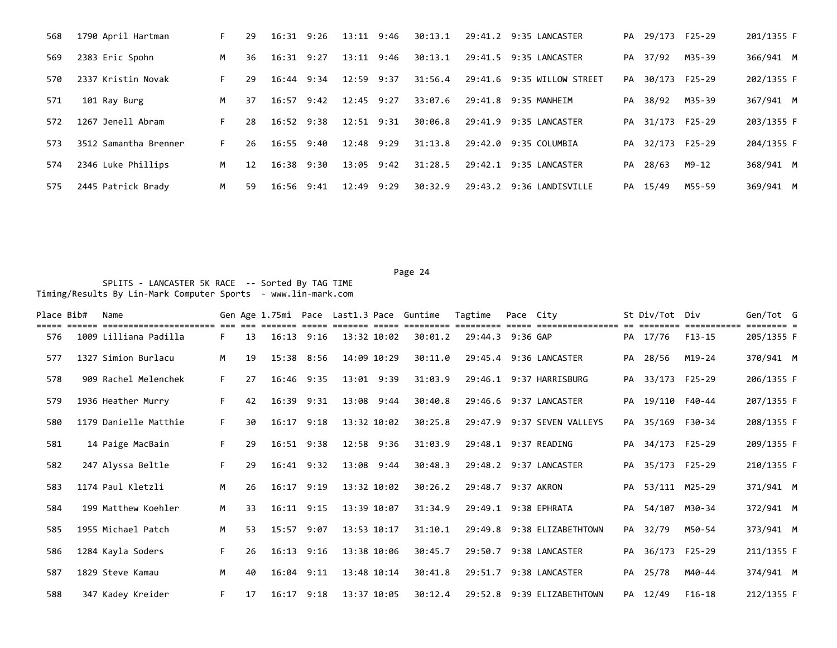| 568 | 1790 April Hartman    | F. | 29 | 16:31 9:26     |      | 13:11 9:46     |      | 30:13.1 |         | 29:41.2 9:35 LANCASTER   |    | PA 29/173 F25-29 |        | 201/1355 F |
|-----|-----------------------|----|----|----------------|------|----------------|------|---------|---------|--------------------------|----|------------------|--------|------------|
| 569 | 2383 Eric Spohn       | M  | 36 | $16:31$ $9:27$ |      | $13:11$ $9:46$ |      | 30:13.1 |         | 29:41.5 9:35 LANCASTER   | PA | 37/92            | M35-39 | 366/941 M  |
| 570 | 2337 Kristin Novak    | F. | 29 | 16:44          | 9:34 | 12:59 9:37     |      | 31:56.4 | 29:41.6 | 9:35 WILLOW STREET       | PA | 30/173           | F25-29 | 202/1355 F |
| 571 | 101 Ray Burg          | M  | 37 | $16:57$ 9:42   |      | $12:45$ $9:27$ |      | 33:07.6 |         | 29:41.8 9:35 MANHEIM     | PA | 38/92            | M35-39 | 367/941 M  |
| 572 | 1267 Jenell Abram     | F. | 28 | $16:52$ 9:38   |      | $12:51$ $9:31$ |      | 30:06.8 | 29:41.9 | 9:35 LANCASTER           | PA | 31/173 F25-29    |        | 203/1355 F |
| 573 | 3512 Samantha Brenner | F. | 26 | 16:55 9:40     |      | 12:48 9:29     |      | 31:13.8 | 29:42.0 | 9:35 COLUMBIA            |    | PA 32/173 F25-29 |        | 204/1355 F |
| 574 | 2346 Luke Phillips    | M  | 12 | 16:38 9:30     |      | 13:05 9:42     |      | 31:28.5 |         | 29:42.1 9:35 LANCASTER   | PA | 28/63            | M9-12  | 368/941 M  |
| 575 | 2445 Patrick Brady    | M  | 59 | $16:56$ 9:41   |      | 12:49          | 9:29 | 30:32.9 |         | 29:43.2 9:36 LANDISVILLE |    | PA 15/49         | M55-59 | 369/941 M  |

| Place Bib# | Name                  |    |    |                |                |                 | Gen Age 1.75mi Pace Last1.3 Pace Guntime | Tagtime            | Pace City |                            |    | St Div/Tot Div   |        | Gen/Tot G  |  |
|------------|-----------------------|----|----|----------------|----------------|-----------------|------------------------------------------|--------------------|-----------|----------------------------|----|------------------|--------|------------|--|
| 576        | 1009 Lilliana Padilla | F. | 13 | $16:13$ $9:16$ |                | 13:32 10:02     | 30:01.2                                  | 29:44.3 9:36 GAP   |           |                            |    | PA 17/76         | F13-15 | 205/1355 F |  |
| 577        | 1327 Simion Burlacu   | M  | 19 | 15:38 8:56     |                | 14:09 10:29     | 30:11.0                                  |                    |           | 29:45.4 9:36 LANCASTER     |    | PA 28/56         | M19-24 | 370/941 M  |  |
| 578        | 909 Rachel Melenchek  | F. | 27 |                | $16:46$ 9:35   | 13:01 9:39      | 31:03.9                                  |                    |           | 29:46.1 9:37 HARRISBURG    |    | PA 33/173 F25-29 |        | 206/1355 F |  |
| 579        | 1936 Heather Murry    | F. | 42 | 16:39 9:31     |                | 13:08 9:44      | 30:40.8                                  |                    |           | 29:46.6 9:37 LANCASTER     |    | PA 19/110 F40-44 |        | 207/1355 F |  |
| 580        | 1179 Danielle Matthie | F. | 30 | $16:17$ $9:18$ |                | 13:32 10:02     | 30:25.8                                  |                    |           | 29:47.9 9:37 SEVEN VALLEYS |    | PA 35/169 F30-34 |        | 208/1355 F |  |
| 581        | 14 Paige MacBain      | F. | 29 | 16:51 9:38     |                | 12:58 9:36      | 31:03.9                                  |                    |           | 29:48.1 9:37 READING       |    | PA 34/173 F25-29 |        | 209/1355 F |  |
| 582        | 247 Alyssa Beltle     | F. | 29 | $16:41$ $9:32$ |                | 13:08 9:44      | 30:48.3                                  |                    |           | 29:48.2 9:37 LANCASTER     |    | PA 35/173 F25-29 |        | 210/1355 F |  |
| 583        | 1174 Paul Kletzli     | M  | 26 | $16:17$ $9:19$ |                | 13:32 10:02     | 30:26.2                                  | 29:48.7 9:37 AKRON |           |                            |    | PA 53/111 M25-29 |        | 371/941 M  |  |
| 584        | 199 Matthew Koehler   | M  | 33 | $16:11$ $9:15$ |                | 13:39 10:07     | 31:34.9                                  |                    |           | 29:49.1 9:38 EPHRATA       |    | PA 54/107 M30-34 |        | 372/941 M  |  |
| 585        | 1955 Michael Patch    | M  | 53 | $15:57$ 9:07   |                | $13:53$ $10:17$ | 31:10.1                                  |                    |           | 29:49.8 9:38 ELIZABETHTOWN |    | PA 32/79         | M50-54 | 373/941 M  |  |
| 586        | 1284 Kayla Soders     | F. | 26 | $16:13$ $9:16$ |                | 13:38 10:06     | 30:45.7                                  | 29:50.7            |           | 9:38 LANCASTER             | PA | 36/173 F25-29    |        | 211/1355 F |  |
| 587        | 1829 Steve Kamau      | M  | 40 |                | $16:04$ $9:11$ | 13:48 10:14     | 30:41.8                                  |                    |           | 29:51.7 9:38 LANCASTER     |    | PA 25/78         | M40-44 | 374/941 M  |  |
| 588        | 347 Kadey Kreider     | F. | 17 | $16:17$ $9:18$ |                | 13:37 10:05     | 30:12.4                                  |                    |           | 29:52.8 9:39 ELIZABETHTOWN |    | PA 12/49         | F16-18 | 212/1355 F |  |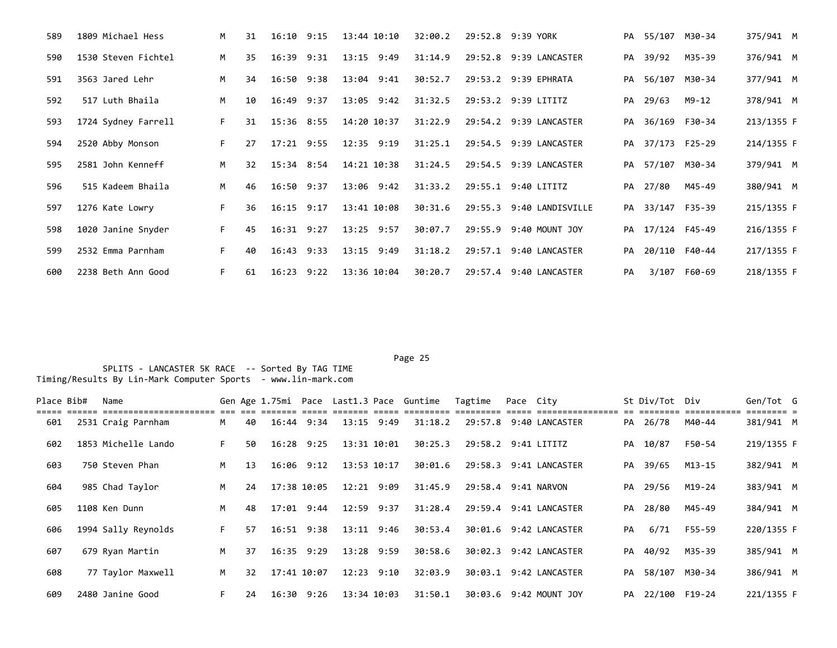| 589 | 1809 Michael Hess   | M  | 31 | $16:10$ 9:15   |      | 13:44 10:10    | 32:00.2 |         | 29:52.8 9:39 YORK        |    | PA 55/107 M30-34 |              | 375/941 M  |
|-----|---------------------|----|----|----------------|------|----------------|---------|---------|--------------------------|----|------------------|--------------|------------|
| 590 | 1530 Steven Fichtel | M  | 35 | 16:39          | 9:31 | 13:15 9:49     | 31:14.9 |         | 29:52.8 9:39 LANCASTER   |    | PA 39/92         | M35-39       | 376/941 M  |
| 591 | 3563 Jared Lehr     | M  | 34 | $16:50$ $9:38$ |      | 13:04 9:41     | 30:52.7 |         | 29:53.2 9:39 EPHRATA     |    | PA 56/107 M30-34 |              | 377/941 M  |
| 592 | 517 Luth Bhaila     | M  | 10 | 16:49 9:37     |      | 13:05 9:42     | 31:32.5 |         | 29:53.2 9:39 LITITZ      |    | PA 29/63         | M9-12        | 378/941 M  |
| 593 | 1724 Sydney Farrell | F. | 31 | 15:36 8:55     |      | 14:20 10:37    | 31:22.9 |         | 29:54.2 9:39 LANCASTER   | PA | 36/169 F30-34    |              | 213/1355 F |
| 594 | 2520 Abby Monson    | F. | 27 | $17:21$ 9:55   |      | $12:35$ $9:19$ | 31:25.1 |         | 29:54.5 9:39 LANCASTER   |    | PA 37/173 F25-29 |              | 214/1355 F |
| 595 | 2581 John Kenneff   | M  | 32 | $15:34$ 8:54   |      | 14:21 10:38    | 31:24.5 |         | 29:54.5 9:39 LANCASTER   |    | PA 57/107 M30-34 |              | 379/941 M  |
| 596 | 515 Kadeem Bhaila   | M  | 46 | $16:50$ $9:37$ |      | 13:06 9:42     | 31:33.2 |         | 29:55.1 9:40 LITITZ      |    | PA 27/80         | M45-49       | 380/941 M  |
| 597 | 1276 Kate Lowry     | F. | 36 | $16:15$ $9:17$ |      | 13:41 10:08    | 30:31.6 |         | 29:55.3 9:40 LANDISVILLE |    | PA 33/147 F35-39 |              | 215/1355 F |
| 598 | 1020 Janine Snyder  | F. | 45 | $16:31$ $9:27$ |      | $13:25$ 9:57   | 30:07.7 |         | 29:55.9 9:40 MOUNT JOY   |    | PA 17/124 F45-49 |              | 216/1355 F |
| 599 | 2532 Emma Parnham   | F. | 40 | $16:43$ $9:33$ |      | $13:15$ $9:49$ | 31:18.2 | 29:57.1 | 9:40 LANCASTER           | PA | 20/110 F40-44    |              | 217/1355 F |
| 600 | 2238 Beth Ann Good  | F. | 61 | $16:23$ $9:22$ |      | 13:36 10:04    | 30:20.7 |         | 29:57.4 9:40 LANCASTER   | PA |                  | 3/107 F60-69 | 218/1355 F |

## Page 25 and the state of the state of the state of the state of the state of the state of the state of the state of the state of the state of the state of the state of the state of the state of the state of the state of th

| Place Bib# | Name                |    |                 |                |                |                | Gen Age 1.75mi Pace Last1.3 Pace Guntime | Tagtime             | Pace City |                        |    | St Div/Tot Div   |        | Gen/Tot G  |  |
|------------|---------------------|----|-----------------|----------------|----------------|----------------|------------------------------------------|---------------------|-----------|------------------------|----|------------------|--------|------------|--|
| 601        | 2531 Craig Parnham  | M  | 40              |                | $16:44$ $9:34$ | 13:15 9:49     | 31:18.2                                  |                     |           | 29:57.8 9:40 LANCASTER |    | PA 26/78         | M40-44 | 381/941 M  |  |
| 602        | 1853 Michelle Lando | F. | 50              | 16:28 9:25     |                | 13:31 10:01    | 30:25.3                                  | 29:58.2 9:41 LITITZ |           |                        |    | PA 10/87         | F50-54 | 219/1355 F |  |
| 603        | 750 Steven Phan     | M  | 13              | 16:06 9:12     |                | 13:53 10:17    | 30:01.6                                  |                     |           | 29:58.3 9:41 LANCASTER |    | PA 39/65         | M13-15 | 382/941 M  |  |
| 604        | 985 Chad Taylor     | M  | 24              | 17:38 10:05    |                | $12:21$ $9:09$ | 31:45.9                                  | 29:58.4 9:41 NARVON |           |                        |    | PA 29/56         | M19-24 | 383/941 M  |  |
| 605        | 1108 Ken Dunn       | M  | 48              | 17:01 9:44     |                | $12:59$ $9:37$ | 31:28.4                                  |                     |           | 29:59.4 9:41 LANCASTER |    | PA 28/80         | M45-49 | 384/941 M  |  |
| 606        | 1994 Sally Reynolds | F. | 57              |                | $16:51$ $9:38$ | $13:11$ $9:46$ | 30:53.4                                  |                     |           | 30:01.6 9:42 LANCASTER | PA | 6/71             | F55-59 | 220/1355 F |  |
| 607        | 679 Ryan Martin     | M  | 37              | $16:35$ $9:29$ |                | 13:28 9:59     | 30:58.6                                  | 30:02.3             |           | 9:42 LANCASTER         |    | PA 40/92         | M35-39 | 385/941 M  |  |
| 608        | 77 Taylor Maxwell   | M  | 32 <sub>2</sub> | 17:41 10:07    |                | $12:23$ $9:10$ | 32:03.9                                  |                     |           | 30:03.1 9:42 LANCASTER |    | PA 58/107        | M30-34 | 386/941 M  |  |
| 609        | 2480 Janine Good    | F. | 24              | 16:30 9:26     |                | 13:34 10:03    | 31:50.1                                  |                     |           | 30:03.6 9:42 MOUNT JOY |    | PA 22/100 F19-24 |        | 221/1355 F |  |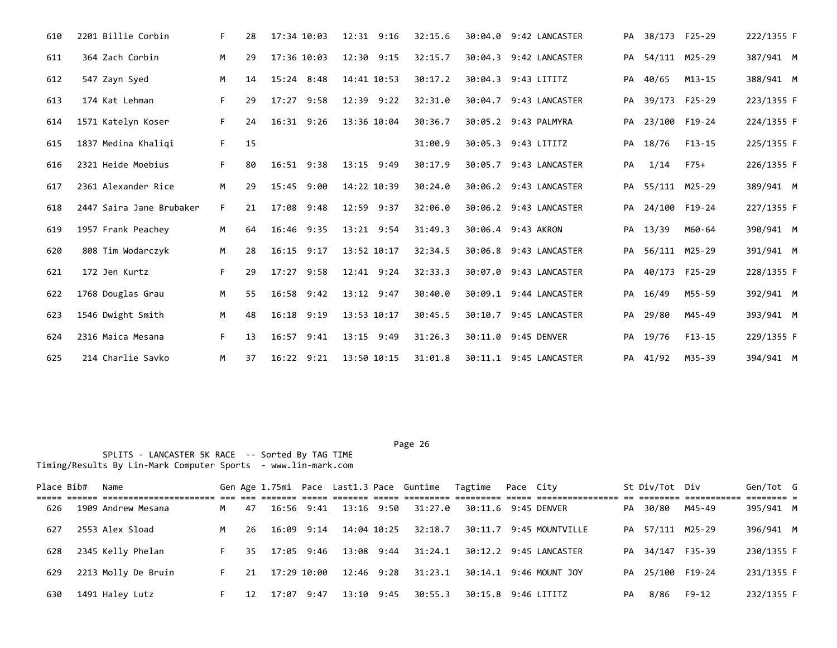| 610 | 2201 Billie Corbin       | F. | 28 | 17:34 10:03    | $12:31$ $9:16$ | 32:15.6 | 30:04.0 9:42 LANCASTER |    | PA 38/173 F25-29 |               | 222/1355 F |
|-----|--------------------------|----|----|----------------|----------------|---------|------------------------|----|------------------|---------------|------------|
| 611 | 364 Zach Corbin          | M  | 29 | 17:36 10:03    | $12:30$ $9:15$ | 32:15.7 | 30:04.3 9:42 LANCASTER |    | PA 54/111 M25-29 |               | 387/941 M  |
| 612 | 547 Zayn Syed            | M  | 14 | 15:24 8:48     | 14:41 10:53    | 30:17.2 | 30:04.3 9:43 LITITZ    | PA | 40/65            | $M13 - 15$    | 388/941 M  |
| 613 | 174 Kat Lehman           | F. | 29 | 17:27<br>9:58  | 12:39 9:22     | 32:31.0 | 30:04.7 9:43 LANCASTER | PA |                  | 39/173 F25-29 | 223/1355 F |
| 614 | 1571 Katelyn Koser       | F. | 24 | 16:31<br>9:26  | 13:36 10:04    | 30:36.7 | 30:05.2 9:43 PALMYRA   | PA |                  | 23/100 F19-24 | 224/1355 F |
| 615 | 1837 Medina Khaliqi      | F. | 15 |                |                | 31:00.9 | 30:05.3 9:43 LITITZ    |    | PA 18/76         | F13-15        | 225/1355 F |
| 616 | 2321 Heide Moebius       | F. | 80 | 16:51 9:38     | 13:15 9:49     | 30:17.9 | 30:05.7 9:43 LANCASTER | PA | 1/14             | F75+          | 226/1355 F |
| 617 | 2361 Alexander Rice      | M  | 29 | 15:45<br>9:00  | 14:22 10:39    | 30:24.0 | 30:06.2 9:43 LANCASTER |    | PA 55/111 M25-29 |               | 389/941 M  |
| 618 | 2447 Saira Jane Brubaker | F. | 21 | 17:08 9:48     | 12:59 9:37     | 32:06.0 | 30:06.2 9:43 LANCASTER | PA |                  | 24/100 F19-24 | 227/1355 F |
| 619 | 1957 Frank Peachey       | M  | 64 | 16:46 9:35     | 13:21 9:54     | 31:49.3 | 30:06.4 9:43 AKRON     |    | PA 13/39         | M60-64        | 390/941 M  |
| 620 | 808 Tim Wodarczyk        | M  | 28 | $16:15$ 9:17   | 13:52 10:17    | 32:34.5 | 30:06.8 9:43 LANCASTER | PA |                  | 56/111 M25-29 | 391/941 M  |
| 621 | 172 Jen Kurtz            | F. | 29 | $17:27$ 9:58   | $12:41$ $9:24$ | 32:33.3 | 30:07.0 9:43 LANCASTER | PA |                  | 40/173 F25-29 | 228/1355 F |
| 622 | 1768 Douglas Grau        | M  | 55 | 16:58 9:42     | 13:12 9:47     | 30:40.0 | 30:09.1 9:44 LANCASTER | PA | 16/49            | M55-59        | 392/941 M  |
| 623 | 1546 Dwight Smith        | M  | 48 | $16:18$ 9:19   | 13:53 10:17    | 30:45.5 | 30:10.7 9:45 LANCASTER |    | PA 29/80         | M45-49        | 393/941 M  |
| 624 | 2316 Maica Mesana        | F. | 13 | 9:41<br>16:57  | 13:15 9:49     | 31:26.3 | 30:11.0 9:45 DENVER    |    | PA 19/76         | $F13-15$      | 229/1355 F |
| 625 | 214 Charlie Savko        | M  | 37 | $16:22$ $9:21$ | 13:50 10:15    | 31:01.8 | 30:11.1 9:45 LANCASTER |    | PA 41/92         | M35-39        | 394/941 M  |

| Place Bib# | Name                |    |     |                |                |            | Gen Age 1.75mi Pace Last1.3 Pace Guntime | Tagtime             | Pace Citv |                         |    | St Div/Tot Div   |        | Gen/Tot G               |  |
|------------|---------------------|----|-----|----------------|----------------|------------|------------------------------------------|---------------------|-----------|-------------------------|----|------------------|--------|-------------------------|--|
| 626        | 1909 Andrew Mesana  | M  | 47  | $16:56$ $9:41$ | 13:16 9:50     |            | 31:27.0                                  | 30:11.6 9:45 DENVER |           |                         |    | PA 30/80         | M45-49 | -------- -<br>395/941 M |  |
| 627        | 2553 Alex Sload     |    | 26  | $16:09$ $9:14$ | 14:04 10:25    |            | 32:18.7                                  |                     |           | 30:11.7 9:45 MOUNTVILLE |    | PA 57/111 M25-29 |        | 396/941 M               |  |
| 628        | 2345 Kelly Phelan   |    | 35. | 17:05 9:46     | 13:08 9:44     |            | 31:24.1                                  |                     |           | 30:12.2 9:45 LANCASTER  |    | PA 34/147 F35-39 |        | 230/1355 F              |  |
| 629        | 2213 Molly De Bruin | F. | 21  | 17:29 10:00    | $12:46$ $9:28$ |            | 31:23.1                                  |                     |           | 30:14.1 9:46 MOUNT JOY  |    | PA 25/100 F19-24 |        | 231/1355 F              |  |
| 630        | 1491 Haley Lutz     |    | 12. | 17:07 9:47     |                | 13:10 9:45 | 30:55.3                                  | 30:15.8 9:46 LITITZ |           |                         | PA | 8/86             | F9-12  | 232/1355 F              |  |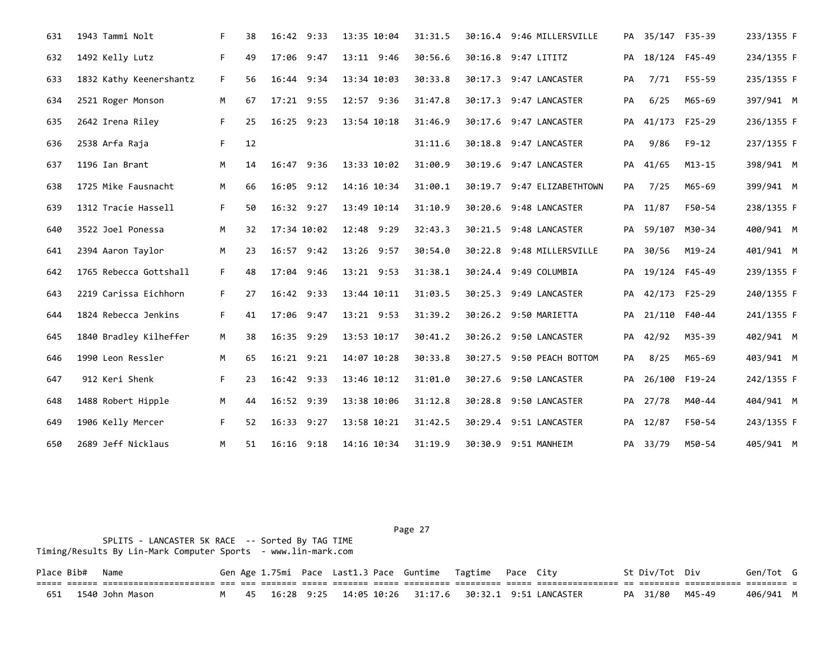| 631 | 1943 Tammi Nolt         | F. | 38 | 16:42 9:33     | 13:35 10:04 | 31:31.5 | 30:16.4 9:46 MILLERSVILLE  |    | PA 35/147 F35-39 |               | 233/1355 F |
|-----|-------------------------|----|----|----------------|-------------|---------|----------------------------|----|------------------|---------------|------------|
| 632 | 1492 Kelly Lutz         | F. | 49 | 17:06 9:47     | 13:11 9:46  | 30:56.6 | 30:16.8 9:47 LITITZ        |    | PA 18/124 F45-49 |               | 234/1355 F |
| 633 | 1832 Kathy Keenershantz | F. | 56 | 16:44 9:34     | 13:34 10:03 | 30:33.8 | 30:17.3 9:47 LANCASTER     | PA | 7/71             | F55-59        | 235/1355 F |
| 634 | 2521 Roger Monson       | M  | 67 | $17:21$ 9:55   | 12:57 9:36  | 31:47.8 | 30:17.3 9:47 LANCASTER     | PA | 6/25             | M65-69        | 397/941 M  |
| 635 | 2642 Irena Riley        | F. | 25 | $16:25$ 9:23   | 13:54 10:18 | 31:46.9 | 30:17.6 9:47 LANCASTER     | PA |                  | 41/173 F25-29 | 236/1355 F |
| 636 | 2538 Arfa Raja          | F. | 12 |                |             | 31:11.6 | 30:18.8 9:47 LANCASTER     | PA | 9/86             | $F9 - 12$     | 237/1355 F |
| 637 | 1196 Ian Brant          | M  | 14 | 16:47 9:36     | 13:33 10:02 | 31:00.9 | 30:19.6 9:47 LANCASTER     | PA | 41/65            | $M13 - 15$    | 398/941 M  |
| 638 | 1725 Mike Fausnacht     | М  | 66 | 16:05 9:12     | 14:16 10:34 | 31:00.1 | 30:19.7 9:47 ELIZABETHTOWN | PA | 7/25             | M65-69        | 399/941 M  |
| 639 | 1312 Tracie Hassell     | F. | 50 | 16:32 9:27     | 13:49 10:14 | 31:10.9 | 30:20.6 9:48 LANCASTER     |    | PA 11/87         | F50-54        | 238/1355 F |
| 640 | 3522 Joel Ponessa       | M  | 32 | 17:34 10:02    | 12:48 9:29  | 32:43.3 | 30:21.5 9:48 LANCASTER     |    | PA 59/107 M30-34 |               | 400/941 M  |
| 641 | 2394 Aaron Taylor       | M  | 23 | $16:57$ 9:42   | 13:26 9:57  | 30:54.0 | 30:22.8 9:48 MILLERSVILLE  |    | PA 30/56         | M19-24        | 401/941 M  |
| 642 | 1765 Rebecca Gottshall  | F. | 48 | 17:04<br>9:46  | 13:21 9:53  | 31:38.1 | 30:24.4 9:49 COLUMBIA      |    | PA 19/124 F45-49 |               | 239/1355 F |
| 643 | 2219 Carissa Eichhorn   | F. | 27 | 16:42 9:33     | 13:44 10:11 | 31:03.5 | 30:25.3 9:49 LANCASTER     | PA |                  | 42/173 F25-29 | 240/1355 F |
| 644 | 1824 Rebecca Jenkins    | F. | 41 | 17:06 9:47     | 13:21 9:53  | 31:39.2 | 30:26.2 9:50 MARIETTA      | PA | 21/110 F40-44    |               | 241/1355 F |
| 645 | 1840 Bradley Kilheffer  | M  | 38 | 16:35 9:29     | 13:53 10:17 | 30:41.2 | 30:26.2 9:50 LANCASTER     |    | PA 42/92         | M35-39        | 402/941 M  |
| 646 | 1990 Leon Ressler       | M  | 65 | 16:21 9:21     | 14:07 10:28 | 30:33.8 | 30:27.5 9:50 PEACH BOTTOM  | PA | 8/25             | M65-69        | 403/941 M  |
| 647 | 912 Keri Shenk          | F. | 23 | 16:42 9:33     | 13:46 10:12 | 31:01.0 | 30:27.6 9:50 LANCASTER     | PA |                  | 26/100 F19-24 | 242/1355 F |
| 648 | 1488 Robert Hipple      | M  | 44 | 16:52 9:39     | 13:38 10:06 | 31:12.8 | 30:28.8 9:50 LANCASTER     | PA | 27/78            | M40-44        | 404/941 M  |
| 649 | 1906 Kelly Mercer       | F. | 52 | 16:33<br>9:27  | 13:58 10:21 | 31:42.5 | 30:29.4 9:51 LANCASTER     | PA | 12/87            | F50-54        | 243/1355 F |
| 650 | 2689 Jeff Nicklaus      | M  | 51 | $16:16$ $9:18$ | 14:16 10:34 | 31:19.9 | 30:30.9 9:51 MANHEIM       |    | PA 33/79         | M50-54        | 405/941 M  |

 SPLITS - LANCASTER 5K RACE -- Sorted By TAG TIME Timing/Results By Lin-Mark Computer Sports - www.lin-mark.com

Place Bib# Name 6en Gen Age 1.75mi Pace Last1.3 Pace Guntime Tagtime Pace City 5t Div/Tot Div Gen/Tot G ===== ====== ====================== === === ======= ===== ======= ===== ========= ========= ===== ================ == ======== =========== ======== = 651 1540 John Mason M 45 16:28 9:25 14:05 10:26 31:17.6 30:32.1 9:51 LANCASTER PA 31/80 M45-49 406/941 M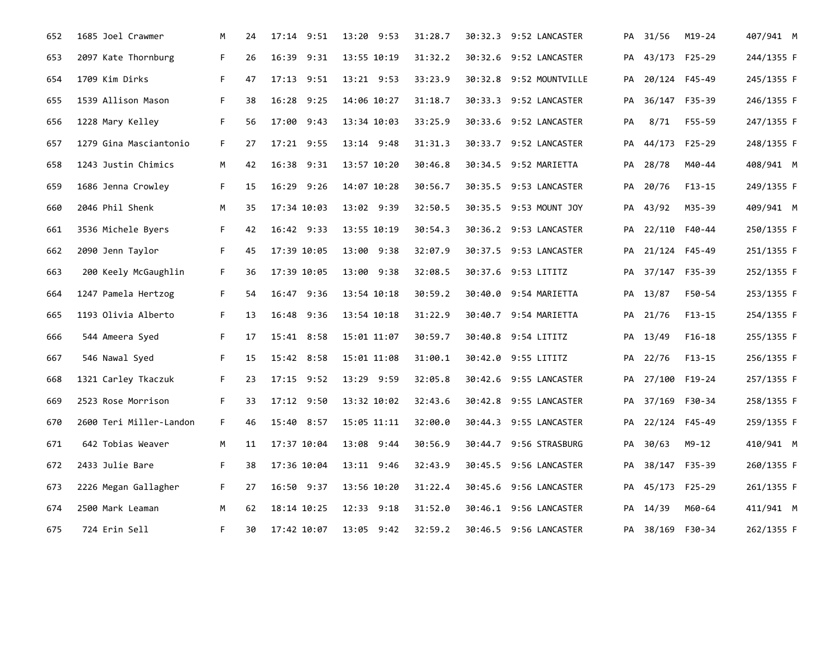| 652 | 1685 Joel Crawmer       | М  | 24 | 17:14 9:51  | 13:20 9:53     | 31:28.7 | 30:32.3 9:52 LANCASTER  |    | PA 31/56         | $M19 - 24$    | 407/941 M  |
|-----|-------------------------|----|----|-------------|----------------|---------|-------------------------|----|------------------|---------------|------------|
| 653 | 2097 Kate Thornburg     | F. | 26 | 16:39 9:31  | 13:55 10:19    | 31:32.2 | 30:32.6 9:52 LANCASTER  | PA |                  | 43/173 F25-29 | 244/1355 F |
| 654 | 1709 Kim Dirks          | F. | 47 | 17:13 9:51  | 13:21 9:53     | 33:23.9 | 30:32.8 9:52 MOUNTVILLE |    | PA 20/124 F45-49 |               | 245/1355 F |
| 655 | 1539 Allison Mason      | F. | 38 | 16:28 9:25  | 14:06 10:27    | 31:18.7 | 30:33.3 9:52 LANCASTER  | PA |                  | 36/147 F35-39 | 246/1355 F |
| 656 | 1228 Mary Kelley        | F. | 56 | 17:00 9:43  | 13:34 10:03    | 33:25.9 | 30:33.6 9:52 LANCASTER  | PА | 8/71             | F55-59        | 247/1355 F |
| 657 | 1279 Gina Masciantonio  | F. | 27 | 17:21 9:55  | 13:14 9:48     | 31:31.3 | 30:33.7 9:52 LANCASTER  | PA |                  | 44/173 F25-29 | 248/1355 F |
| 658 | 1243 Justin Chimics     | M  | 42 | 16:38 9:31  | 13:57 10:20    | 30:46.8 | 30:34.5 9:52 MARIETTA   | PA | 28/78            | M40-44        | 408/941 M  |
| 659 | 1686 Jenna Crowley      | F. | 15 | 16:29 9:26  | 14:07 10:28    | 30:56.7 | 30:35.5 9:53 LANCASTER  |    | PA 20/76         | F13-15        | 249/1355 F |
| 660 | 2046 Phil Shenk         | M  | 35 | 17:34 10:03 | 13:02 9:39     | 32:50.5 | 30:35.5 9:53 MOUNT JOY  | PA | 43/92            | M35-39        | 409/941 M  |
| 661 | 3536 Michele Byers      | F. | 42 | 16:42 9:33  | 13:55 10:19    | 30:54.3 | 30:36.2 9:53 LANCASTER  |    | PA 22/110 F40-44 |               | 250/1355 F |
| 662 | 2090 Jenn Taylor        | F. | 45 | 17:39 10:05 | 13:00 9:38     | 32:07.9 | 30:37.5 9:53 LANCASTER  | PA |                  | 21/124 F45-49 | 251/1355 F |
| 663 | 200 Keely McGaughlin    | F. | 36 | 17:39 10:05 | 13:00 9:38     | 32:08.5 | 30:37.6 9:53 LITITZ     | PA |                  | 37/147 F35-39 | 252/1355 F |
| 664 | 1247 Pamela Hertzog     | F. | 54 | 16:47 9:36  | 13:54 10:18    | 30:59.2 | 30:40.0 9:54 MARIETTA   |    | PA 13/87         | F50-54        | 253/1355 F |
| 665 | 1193 Olivia Alberto     | F. | 13 | 16:48 9:36  | 13:54 10:18    | 31:22.9 | 30:40.7 9:54 MARIETTA   | PA | 21/76            | $F13-15$      | 254/1355 F |
| 666 | 544 Ameera Syed         | F. | 17 | 15:41 8:58  | 15:01 11:07    | 30:59.7 | 30:40.8 9:54 LITITZ     |    | PA 13/49         | F16-18        | 255/1355 F |
| 667 | 546 Nawal Syed          | F. | 15 | 15:42 8:58  | 15:01 11:08    | 31:00.1 | 30:42.0 9:55 LITITZ     |    | PA 22/76         | F13-15        | 256/1355 F |
| 668 | 1321 Carley Tkaczuk     | F. | 23 | 17:15 9:52  | 13:29 9:59     | 32:05.8 | 30:42.6 9:55 LANCASTER  |    | PA 27/100 F19-24 |               | 257/1355 F |
| 669 | 2523 Rose Morrison      | F. | 33 | 17:12 9:50  | 13:32 10:02    | 32:43.6 | 30:42.8 9:55 LANCASTER  |    | PA 37/169 F30-34 |               | 258/1355 F |
| 670 | 2600 Teri Miller-Landon | F. | 46 | 15:40 8:57  | 15:05 11:11    | 32:00.0 | 30:44.3 9:55 LANCASTER  | PA |                  | 22/124 F45-49 | 259/1355 F |
| 671 | 642 Tobias Weaver       | M  | 11 | 17:37 10:04 | 13:08 9:44     | 30:56.9 | 30:44.7 9:56 STRASBURG  | PA | 30/63            | M9-12         | 410/941 M  |
| 672 | 2433 Julie Bare         | F. | 38 | 17:36 10:04 | $13:11$ $9:46$ | 32:43.9 | 30:45.5 9:56 LANCASTER  | PA |                  | 38/147 F35-39 | 260/1355 F |
| 673 | 2226 Megan Gallagher    | F. | 27 | 16:50 9:37  | 13:56 10:20    | 31:22.4 | 30:45.6 9:56 LANCASTER  |    | PA 45/173 F25-29 |               | 261/1355 F |
| 674 | 2500 Mark Leaman        | M  | 62 | 18:14 10:25 | $12:33$ $9:18$ | 31:52.0 | 30:46.1 9:56 LANCASTER  | PA | 14/39            | M60-64        | 411/941 M  |
| 675 | 724 Erin Sell           | F. | 30 | 17:42 10:07 | $13:05$ $9:42$ | 32:59.2 | 30:46.5 9:56 LANCASTER  |    | PA 38/169 F30-34 |               | 262/1355 F |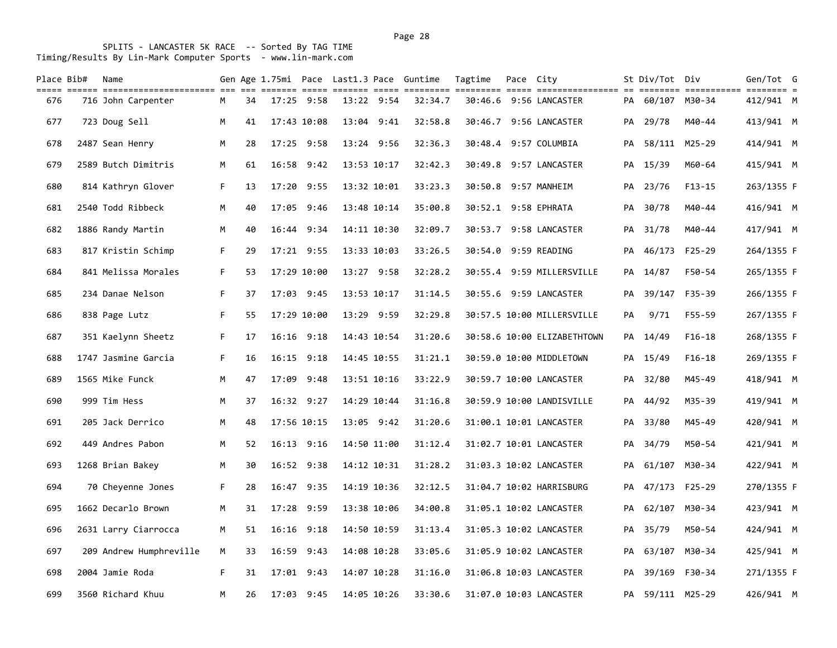| Place Bib# | Name                                                                                                                                 |    |    |       |                |             | Gen Age 1.75mi Pace Last1.3 Pace Guntime | Tagtime | Pace City |                             |    | St Div/Tot Div   |               | Gen/Tot G  |  |
|------------|--------------------------------------------------------------------------------------------------------------------------------------|----|----|-------|----------------|-------------|------------------------------------------|---------|-----------|-----------------------------|----|------------------|---------------|------------|--|
| 676        | till ander bebegendengendenen der der senden denn andere anden den dennen denn andengendenen an bebegen andene<br>716 John Carpenter | M  | 34 |       | $17:25$ 9:58   | 13:22 9:54  | 32:34.7                                  |         |           | 30:46.6 9:56 LANCASTER      |    | PA 60/107 M30-34 |               | 412/941 M  |  |
| 677        | 723 Doug Sell                                                                                                                        | M  | 41 |       | 17:43 10:08    | 13:04 9:41  | 32:58.8                                  | 30:46.7 |           | 9:56 LANCASTER              | PA | 29/78            | M40-44        | 413/941 M  |  |
| 678        | 2487 Sean Henry                                                                                                                      | M  | 28 |       | 17:25 9:58     | 13:24 9:56  | 32:36.3                                  |         |           | 30:48.4 9:57 COLUMBIA       | PA |                  | 58/111 M25-29 | 414/941 M  |  |
| 679        | 2589 Butch Dimitris                                                                                                                  | M  | 61 | 16:58 | 9:42           | 13:53 10:17 | 32:42.3                                  |         |           | 30:49.8 9:57 LANCASTER      |    | PA 15/39         | M60-64        | 415/941 M  |  |
| 680        | 814 Kathryn Glover                                                                                                                   | F. | 13 | 17:20 | 9:55           | 13:32 10:01 | 33:23.3                                  |         |           | 30:50.8 9:57 MANHEIM        |    | PA 23/76         | $F13-15$      | 263/1355 F |  |
| 681        | 2540 Todd Ribbeck                                                                                                                    | M  | 40 |       | 17:05 9:46     | 13:48 10:14 | 35:00.8                                  |         |           | 30:52.1 9:58 EPHRATA        | PA | 30/78            | M40-44        | 416/941 M  |  |
| 682        | 1886 Randy Martin                                                                                                                    | M  | 40 |       | 16:44 9:34     | 14:11 10:30 | 32:09.7                                  | 30:53.7 |           | 9:58 LANCASTER              | PA | 31/78            | M40-44        | 417/941 M  |  |
| 683        | 817 Kristin Schimp                                                                                                                   | F. | 29 |       | 17:21 9:55     | 13:33 10:03 | 33:26.5                                  |         |           | 30:54.0 9:59 READING        | PA | 46/173 F25-29    |               | 264/1355 F |  |
| 684        | 841 Melissa Morales                                                                                                                  | F. | 53 |       | 17:29 10:00    | 13:27 9:58  | 32:28.2                                  |         |           | 30:55.4 9:59 MILLERSVILLE   | PA | 14/87            | F50-54        | 265/1355 F |  |
| 685        | 234 Danae Nelson                                                                                                                     | F. | 37 |       | $17:03$ 9:45   | 13:53 10:17 | 31:14.5                                  |         |           | 30:55.6 9:59 LANCASTER      |    | PA 39/147 F35-39 |               | 266/1355 F |  |
| 686        | 838 Page Lutz                                                                                                                        | F. | 55 |       | 17:29 10:00    | 13:29 9:59  | 32:29.8                                  |         |           | 30:57.5 10:00 MILLERSVILLE  | PA | 9/71             | F55-59        | 267/1355 F |  |
| 687        | 351 Kaelynn Sheetz                                                                                                                   | F. | 17 |       | $16:16$ $9:18$ | 14:43 10:54 | 31:20.6                                  |         |           | 30:58.6 10:00 ELIZABETHTOWN |    | PA 14/49         | $F16-18$      | 268/1355 F |  |
| 688        | 1747 Jasmine Garcia                                                                                                                  | F. | 16 |       | 16:15 9:18     | 14:45 10:55 | 31:21.1                                  |         |           | 30:59.0 10:00 MIDDLETOWN    |    | PA 15/49         | $F16-18$      | 269/1355 F |  |
| 689        | 1565 Mike Funck                                                                                                                      | M  | 47 |       | 17:09 9:48     | 13:51 10:16 | 33:22.9                                  |         |           | 30:59.7 10:00 LANCASTER     |    | PA 32/80         | M45-49        | 418/941 M  |  |
| 690        | 999 Tim Hess                                                                                                                         | M  | 37 |       | $16:32$ $9:27$ | 14:29 10:44 | 31:16.8                                  |         |           | 30:59.9 10:00 LANDISVILLE   | PA | 44/92            | M35-39        | 419/941 M  |  |
| 691        | 205 Jack Derrico                                                                                                                     | M  | 48 |       | 17:56 10:15    | 13:05 9:42  | 31:20.6                                  |         |           | 31:00.1 10:01 LANCASTER     |    | PA 33/80         | M45-49        | 420/941 M  |  |
| 692        | 449 Andres Pabon                                                                                                                     | M  | 52 |       | $16:13$ 9:16   | 14:50 11:00 | 31:12.4                                  |         |           | 31:02.7 10:01 LANCASTER     | PA | 34/79            | M50-54        | 421/941 M  |  |
| 693        | 1268 Brian Bakey                                                                                                                     | M  | 30 |       | 16:52 9:38     | 14:12 10:31 | 31:28.2                                  |         |           | 31:03.3 10:02 LANCASTER     | PA | 61/107 M30-34    |               | 422/941 M  |  |
| 694        | 70 Cheyenne Jones                                                                                                                    | F. | 28 |       | 16:47 9:35     | 14:19 10:36 | 32:12.5                                  |         |           | 31:04.7 10:02 HARRISBURG    | PA |                  | 47/173 F25-29 | 270/1355 F |  |
| 695        | 1662 Decarlo Brown                                                                                                                   | M  | 31 | 17:28 | 9:59           | 13:38 10:06 | 34:00.8                                  |         |           | 31:05.1 10:02 LANCASTER     | PA |                  | 62/107 M30-34 | 423/941 M  |  |
| 696        | 2631 Larry Ciarrocca                                                                                                                 | M  | 51 | 16:16 | 9:18           | 14:50 10:59 | 31:13.4                                  |         |           | 31:05.3 10:02 LANCASTER     |    | PA 35/79         | M50-54        | 424/941 M  |  |
| 697        | 209 Andrew Humphreville                                                                                                              | M  | 33 | 16:59 | 9:43           | 14:08 10:28 | 33:05.6                                  |         |           | 31:05.9 10:02 LANCASTER     | PA |                  | 63/107 M30-34 | 425/941 M  |  |
| 698        | 2004 Jamie Roda                                                                                                                      | F. | 31 |       | $17:01$ $9:43$ | 14:07 10:28 | 31:16.0                                  |         |           | 31:06.8 10:03 LANCASTER     |    | PA 39/169 F30-34 |               | 271/1355 F |  |
| 699        | 3560 Richard Khuu                                                                                                                    | M  | 26 |       | 17:03 9:45     | 14:05 10:26 | 33:30.6                                  |         |           | 31:07.0 10:03 LANCASTER     |    | PA 59/111 M25-29 |               | 426/941 M  |  |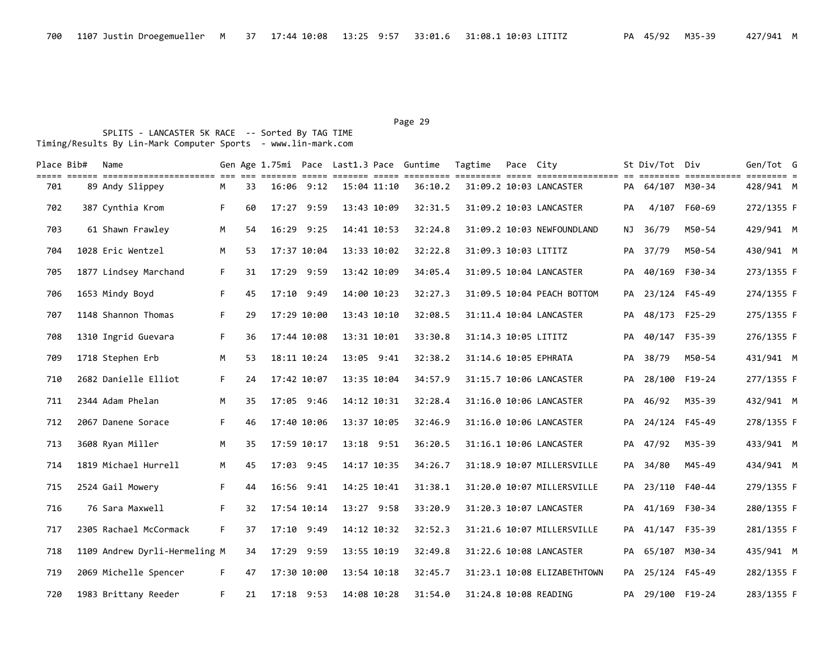| Place Bib# | Name<br>cons soure consecuencementen de se contre cons anno cons constante contres anno consecuences as annone consecuen |    |    |              |            |             |            | Gen Age 1.75mi Pace Last1.3 Pace Guntime | Tagtime              | Pace City |                             |    | St Div/Tot Div   |        | Gen/Tot G<br>$=$ $=$ $=$ $=$ $=$ |  |
|------------|--------------------------------------------------------------------------------------------------------------------------|----|----|--------------|------------|-------------|------------|------------------------------------------|----------------------|-----------|-----------------------------|----|------------------|--------|----------------------------------|--|
| 701        | 89 Andy Slippey                                                                                                          | Μ  | 33 |              | 16:06 9:12 | 15:04 11:10 |            | 36:10.2                                  |                      |           | 31:09.2 10:03 LANCASTER     |    | PA 64/107 M30-34 |        | 428/941 M                        |  |
| 702        | 387 Cynthia Krom                                                                                                         | F. | 60 | 17:27 9:59   |            | 13:43 10:09 |            | 32:31.5                                  |                      |           | 31:09.2 10:03 LANCASTER     | PA | 4/107            | F60-69 | 272/1355 F                       |  |
| 703        | 61 Shawn Frawley                                                                                                         | M  | 54 | 16:29 9:25   |            | 14:41 10:53 |            | 32:24.8                                  |                      |           | 31:09.2 10:03 NEWFOUNDLAND  | ΝJ | 36/79            | M50-54 | 429/941 M                        |  |
| 704        | 1028 Eric Wentzel                                                                                                        | M  | 53 | 17:37 10:04  |            | 13:33 10:02 |            | 32:22.8                                  | 31:09.3 10:03 LITITZ |           |                             |    | PA 37/79         | M50-54 | 430/941 M                        |  |
| 705        | 1877 Lindsey Marchand                                                                                                    | F. | 31 | 17:29 9:59   |            | 13:42 10:09 |            | 34:05.4                                  |                      |           | 31:09.5 10:04 LANCASTER     | PA | 40/169 F30-34    |        | 273/1355 F                       |  |
| 706        | 1653 Mindy Boyd                                                                                                          | F. | 45 | 17:10 9:49   |            | 14:00 10:23 |            | 32:27.3                                  |                      |           | 31:09.5 10:04 PEACH BOTTOM  | PA | 23/124 F45-49    |        | 274/1355 F                       |  |
| 707        | 1148 Shannon Thomas                                                                                                      | F. | 29 | 17:29 10:00  |            | 13:43 10:10 |            | 32:08.5                                  |                      |           | 31:11.4 10:04 LANCASTER     | PA | 48/173 F25-29    |        | 275/1355 F                       |  |
| 708        | 1310 Ingrid Guevara                                                                                                      | F. | 36 | 17:44 10:08  |            | 13:31 10:01 |            | 33:30.8                                  | 31:14.3 10:05 LITITZ |           |                             | PA | 40/147 F35-39    |        | 276/1355 F                       |  |
| 709        | 1718 Stephen Erb                                                                                                         | M  | 53 | 18:11 10:24  |            | 13:05 9:41  |            | 32:38.2                                  |                      |           | 31:14.6 10:05 EPHRATA       |    | PA 38/79         | M50-54 | 431/941 M                        |  |
| 710        | 2682 Danielle Elliot                                                                                                     | F. | 24 | 17:42 10:07  |            | 13:35 10:04 |            | 34:57.9                                  |                      |           | 31:15.7 10:06 LANCASTER     |    | PA 28/100 F19-24 |        | 277/1355 F                       |  |
| 711        | 2344 Adam Phelan                                                                                                         | М  | 35 | 17:05 9:46   |            | 14:12 10:31 |            | 32:28.4                                  |                      |           | 31:16.0 10:06 LANCASTER     | PA | 46/92            | M35-39 | 432/941 M                        |  |
| 712        | 2067 Danene Sorace                                                                                                       | F. | 46 | 17:40 10:06  |            | 13:37 10:05 |            | 32:46.9                                  |                      |           | 31:16.0 10:06 LANCASTER     | PA | 24/124 F45-49    |        | 278/1355 F                       |  |
| 713        | 3608 Ryan Miller                                                                                                         | M  | 35 | 17:59 10:17  |            |             | 13:18 9:51 | 36:20.5                                  |                      |           | 31:16.1 10:06 LANCASTER     | PA | 47/92            | M35-39 | 433/941 M                        |  |
| 714        | 1819 Michael Hurrell                                                                                                     | M  | 45 | 17:03 9:45   |            | 14:17 10:35 |            | 34:26.7                                  |                      |           | 31:18.9 10:07 MILLERSVILLE  |    | PA 34/80         | M45-49 | 434/941 M                        |  |
| 715        | 2524 Gail Mowery                                                                                                         | F. | 44 | 16:56 9:41   |            | 14:25 10:41 |            | 31:38.1                                  |                      |           | 31:20.0 10:07 MILLERSVILLE  |    | PA 23/110 F40-44 |        | 279/1355 F                       |  |
| 716        | 76 Sara Maxwell                                                                                                          | F. | 32 | 17:54 10:14  |            | 13:27 9:58  |            | 33:20.9                                  |                      |           | 31:20.3 10:07 LANCASTER     | PA | 41/169 F30-34    |        | 280/1355 F                       |  |
| 717        | 2305 Rachael McCormack                                                                                                   | F. | 37 | 17:10 9:49   |            | 14:12 10:32 |            | 32:52.3                                  |                      |           | 31:21.6 10:07 MILLERSVILLE  | PA | 41/147 F35-39    |        | 281/1355 F                       |  |
| 718        | 1109 Andrew Dyrli-Hermeling M                                                                                            |    | 34 | 17:29        | 9:59       | 13:55 10:19 |            | 32:49.8                                  |                      |           | 31:22.6 10:08 LANCASTER     | PA | 65/107 M30-34    |        | 435/941 M                        |  |
| 719        | 2069 Michelle Spencer                                                                                                    | F. | 47 | 17:30 10:00  |            | 13:54 10:18 |            | 32:45.7                                  |                      |           | 31:23.1 10:08 ELIZABETHTOWN |    | PA 25/124 F45-49 |        | 282/1355 F                       |  |
| 720        | 1983 Brittany Reeder                                                                                                     | F. | 21 | $17:18$ 9:53 |            | 14:08 10:28 |            | 31:54.0                                  |                      |           | 31:24.8 10:08 READING       |    | PA 29/100 F19-24 |        | 283/1355 F                       |  |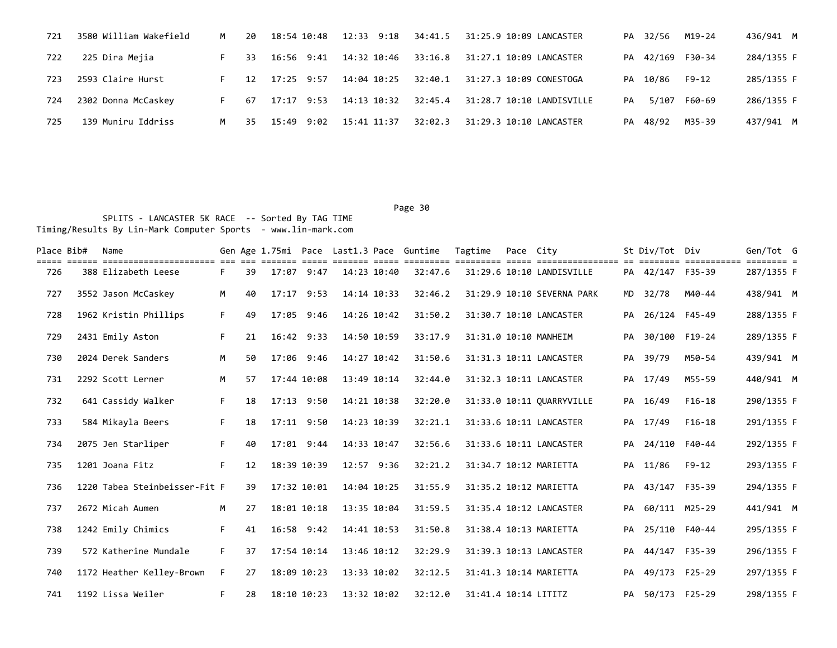| 721 | 3580 William Wakefield | M  | 20  | 18:54 10:48   | 12:33 9:18  | 34:41.5 | 31:25.9 10:09 LANCASTER   |    | PA 32/56 | M19-24           | 436/941 M  |
|-----|------------------------|----|-----|---------------|-------------|---------|---------------------------|----|----------|------------------|------------|
| 722 | 225 Dira Mejia         |    | 33  | 16:56 9:41    | 14:32 10:46 | 33:16.8 | 31:27.1 10:09 LANCASTER   |    |          | PA 42/169 F30-34 | 284/1355 F |
| 723 | 2593 Claire Hurst      |    | 12  | $17:25$ 9:57  | 14:04 10:25 | 32:40.1 | 31:27.3 10:09 CONESTOGA   |    | PA 10/86 | $F9 - 12$        | 285/1355 F |
| 724 | 2302 Donna McCaskey    | F. | 67  | $17:17$ 9:53  | 14:13 10:32 | 32:45.4 | 31:28.7 10:10 LANDISVILLE | PA |          | 5/107 F60-69     | 286/1355 F |
| 725 | 139 Muniru Iddriss     | M  | -35 | 9:02<br>15:49 | 15:41 11:37 | 32:02.3 | 31:29.3 10:10 LANCASTER   |    | PA 48/92 | M35-39           | 437/941 M  |

| Place Bib# | Name                          |    |    |                |      |             | Gen Age 1.75mi Pace Last1.3 Pace Guntime | Tagtime              | Pace City |                            |    | St Div/Tot Div   | essessesses essesses e | Gen/Tot G  |  |
|------------|-------------------------------|----|----|----------------|------|-------------|------------------------------------------|----------------------|-----------|----------------------------|----|------------------|------------------------|------------|--|
| 726        | 388 Elizabeth Leese           | F. | 39 | 17:07 9:47     |      | 14:23 10:40 | 32:47.6                                  |                      |           | 31:29.6 10:10 LANDISVILLE  |    | PA 42/147 F35-39 |                        | 287/1355 F |  |
| 727        | 3552 Jason McCaskey           | M  | 40 | 17:17 9:53     |      | 14:14 10:33 | 32:46.2                                  |                      |           | 31:29.9 10:10 SEVERNA PARK | MD | 32/78            | M40-44                 | 438/941 M  |  |
| 728        | 1962 Kristin Phillips         | F. | 49 | 17:05          | 9:46 | 14:26 10:42 | 31:50.2                                  |                      |           | 31:30.7 10:10 LANCASTER    | PA | 26/124 F45-49    |                        | 288/1355 F |  |
| 729        | 2431 Emily Aston              | F. | 21 | $16:42$ $9:33$ |      | 14:50 10:59 | 33:17.9                                  |                      |           | 31:31.0 10:10 MANHEIM      |    | PA 30/100 F19-24 |                        | 289/1355 F |  |
| 730        | 2024 Derek Sanders            | M  | 50 | 17:06 9:46     |      | 14:27 10:42 | 31:50.6                                  |                      |           | 31:31.3 10:11 LANCASTER    | PA | 39/79            | M50-54                 | 439/941 M  |  |
| 731        | 2292 Scott Lerner             | M  | 57 | 17:44 10:08    |      | 13:49 10:14 | 32:44.0                                  |                      |           | 31:32.3 10:11 LANCASTER    |    | PA 17/49         | M55-59                 | 440/941 M  |  |
| 732        | 641 Cassidy Walker            | F. | 18 | 17:13          | 9:50 | 14:21 10:38 | 32:20.0                                  |                      |           | 31:33.0 10:11 QUARRYVILLE  | PA | 16/49            | $F16-18$               | 290/1355 F |  |
| 733        | 584 Mikayla Beers             | F. | 18 | 17:11 9:50     |      | 14:23 10:39 | 32:21.1                                  |                      |           | 31:33.6 10:11 LANCASTER    |    | PA 17/49         | $F16-18$               | 291/1355 F |  |
| 734        | 2075 Jen Starliper            | F. | 40 | $17:01$ 9:44   |      | 14:33 10:47 | 32:56.6                                  |                      |           | 31:33.6 10:11 LANCASTER    | PA | 24/110 F40-44    |                        | 292/1355 F |  |
| 735        | 1201 Joana Fitz               | F. | 12 | 18:39 10:39    |      | 12:57 9:36  | 32:21.2                                  |                      |           | 31:34.7 10:12 MARIETTA     |    | PA 11/86         | $F9 - 12$              | 293/1355 F |  |
| 736        | 1220 Tabea Steinbeisser-Fit F |    | 39 | 17:32 10:01    |      | 14:04 10:25 | 31:55.9                                  |                      |           | 31:35.2 10:12 MARIETTA     | PA | 43/147 F35-39    |                        | 294/1355 F |  |
| 737        | 2672 Micah Aumen              | M  | 27 | 18:01 10:18    |      | 13:35 10:04 | 31:59.5                                  |                      |           | 31:35.4 10:12 LANCASTER    | PA | 60/111 M25-29    |                        | 441/941 M  |  |
| 738        | 1242 Emily Chimics            | F. | 41 | 16:58 9:42     |      | 14:41 10:53 | 31:50.8                                  |                      |           | 31:38.4 10:13 MARIETTA     | PA | 25/110 F40-44    |                        | 295/1355 F |  |
| 739        | 572 Katherine Mundale         | F. | 37 | 17:54 10:14    |      | 13:46 10:12 | 32:29.9                                  |                      |           | 31:39.3 10:13 LANCASTER    | PA | 44/147 F35-39    |                        | 296/1355 F |  |
| 740        | 1172 Heather Kelley-Brown     | F. | 27 | 18:09 10:23    |      | 13:33 10:02 | 32:12.5                                  |                      |           | 31:41.3 10:14 MARIETTA     | PA | 49/173 F25-29    |                        | 297/1355 F |  |
| 741        | 1192 Lissa Weiler             | F. | 28 | 18:10 10:23    |      | 13:32 10:02 | 32:12.0                                  | 31:41.4 10:14 LITITZ |           |                            |    | PA 50/173 F25-29 |                        | 298/1355 F |  |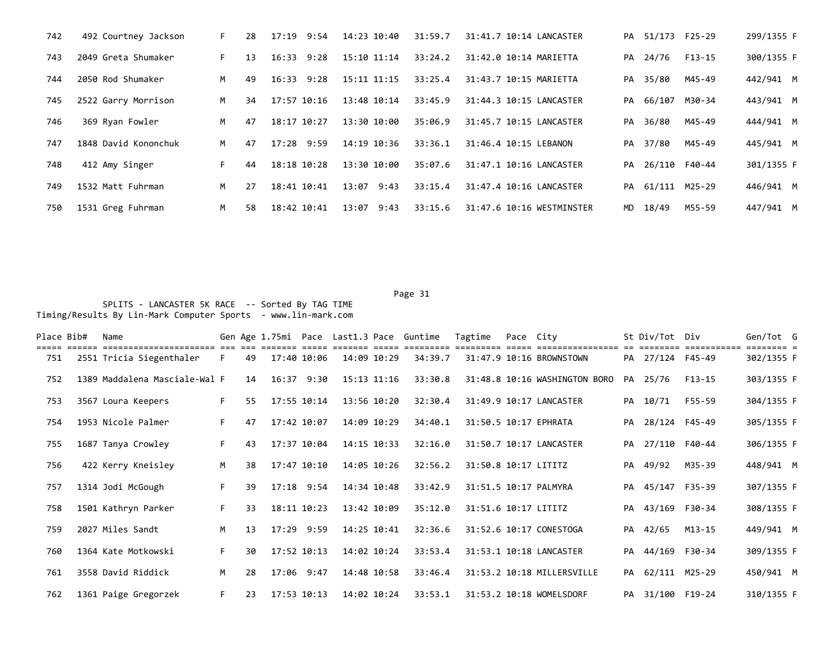| 742 | 492 Courtney Jackson | F. | 28 | 17:19 9:54     | 14:23 10:40    | 31:59.7 | 31:41.7 10:14 LANCASTER   |    | PA 51/173 F25-29 |               | 299/1355 F |
|-----|----------------------|----|----|----------------|----------------|---------|---------------------------|----|------------------|---------------|------------|
| 743 | 2049 Greta Shumaker  | F. | 13 | $16:33$ $9:28$ | 15:10 11:14    | 33:24.2 | 31:42.0 10:14 MARIETTA    |    | PA 24/76         | F13-15        | 300/1355 F |
| 744 | 2050 Rod Shumaker    | M  | 49 | $16:33$ $9:28$ | 15:11 11:15    | 33:25.4 | 31:43.7 10:15 MARIETTA    | PA | 35/80            | M45-49        | 442/941 M  |
| 745 | 2522 Garry Morrison  | M  | 34 | 17:57 10:16    | 13:48 10:14    | 33:45.9 | 31:44.3 10:15 LANCASTER   | PA | 66/107           | M30-34        | 443/941 M  |
| 746 | 369 Ryan Fowler      | M  | 47 | 18:17 10:27    | 13:30 10:00    | 35:06.9 | 31:45.7 10:15 LANCASTER   | PA | 36/80            | M45-49        | 444/941 M  |
| 747 | 1848 David Kononchuk | M  | 47 | 17:28 9:59     | 14:19 10:36    | 33:36.1 | 31:46.4 10:15 LEBANON     |    | PA 37/80         | M45-49        | 445/941 M  |
| 748 | 412 Amy Singer       | F. | 44 | 18:18 10:28    | 13:30 10:00    | 35:07.6 | 31:47.1 10:16 LANCASTER   | PA |                  | 26/110 F40-44 | 301/1355 F |
| 749 | 1532 Matt Fuhrman    | M  | 27 | 18:41 10:41    | $13:07$ $9:43$ | 33:15.4 | 31:47.4 10:16 LANCASTER   |    | PA 61/111        | M25-29        | 446/941 M  |
| 750 | 1531 Greg Fuhrman    | M  | 58 | 18:42 10:41    | $13:07$ $9:43$ | 33:15.6 | 31:47.6 10:16 WESTMINSTER | MD | 18/49            | M55-59        | 447/941 M  |

Page 31 Page 31 SPLITS - LANCASTER 5K RACE -- Sorted By TAG TIME

Timing/Results By Lin-Mark Computer Sports - www.lin-mark.com

| Place Bib# | Name                                             |    |    |              |             | Gen Age 1.75mi Pace Last1.3 Pace Guntime | Tagtime              | Pace City |                               |    | St Div/Tot Div   |             | Gen/Tot G                 |  |
|------------|--------------------------------------------------|----|----|--------------|-------------|------------------------------------------|----------------------|-----------|-------------------------------|----|------------------|-------------|---------------------------|--|
| 751        | ====================<br>2551 Tricia Siegenthaler | F. | 49 | 17:40 10:06  | 14:09 10:29 | 34:39.7                                  |                      |           | 31:47.9 10:16 BROWNSTOWN      |    | PA 27/124 F45-49 | =========== | $= = = = =$<br>302/1355 F |  |
| 752        | 1389 Maddalena Masciale-Wal F                    |    | 14 | 16:37 9:30   | 15:13 11:16 | 33:30.8                                  |                      |           | 31:48.8 10:16 WASHINGTON BORO |    | PA 25/76         | F13-15      | 303/1355 F                |  |
| 753        | 3567 Loura Keepers                               | F. | 55 | 17:55 10:14  | 13:56 10:20 | 32:30.4                                  |                      |           | 31:49.9 10:17 LANCASTER       |    | PA 10/71         | F55-59      | 304/1355 F                |  |
| 754        | 1953 Nicole Palmer                               | F. | 47 | 17:42 10:07  | 14:09 10:29 | 34:40.1                                  |                      |           | 31:50.5 10:17 EPHRATA         |    | PA 28/124 F45-49 |             | 305/1355 F                |  |
| 755        | 1687 Tanya Crowley                               | F. | 43 | 17:37 10:04  | 14:15 10:33 | 32:16.0                                  |                      |           | 31:50.7 10:17 LANCASTER       |    | PA 27/110 F40-44 |             | 306/1355 F                |  |
| 756        | 422 Kerry Kneisley                               | M  | 38 | 17:47 10:10  | 14:05 10:26 | 32:56.2                                  | 31:50.8 10:17 LITITZ |           |                               |    | PA 49/92         | M35-39      | 448/941 M                 |  |
| 757        | 1314 Jodi McGough                                | F. | 39 | $17:18$ 9:54 | 14:34 10:48 | 33:42.9                                  |                      |           | 31:51.5 10:17 PALMYRA         | PA | 45/147 F35-39    |             | 307/1355 F                |  |
| 758        | 1501 Kathryn Parker                              | F. | 33 | 18:11 10:23  | 13:42 10:09 | 35:12.0                                  | 31:51.6 10:17 LITITZ |           |                               |    | PA 43/169 F30-34 |             | 308/1355 F                |  |
| 759        | 2027 Miles Sandt                                 | M  | 13 | 17:29 9:59   | 14:25 10:41 | 32:36.6                                  |                      |           | 31:52.6 10:17 CONESTOGA       | PA | 42/65            | M13-15      | 449/941 M                 |  |
| 760        | 1364 Kate Motkowski                              | F. | 30 | 17:52 10:13  | 14:02 10:24 | 33:53.4                                  |                      |           | 31:53.1 10:18 LANCASTER       | PA | 44/169 F30-34    |             | 309/1355 F                |  |
| 761        | 3558 David Riddick                               | M  | 28 | 17:06 9:47   | 14:48 10:58 | 33:46.4                                  |                      |           | 31:53.2 10:18 MILLERSVILLE    |    | PA 62/111 M25-29 |             | 450/941 M                 |  |
| 762        | 1361 Paige Gregorzek                             | F. | 23 | 17:53 10:13  | 14:02 10:24 | 33:53.1                                  |                      |           | 31:53.2 10:18 WOMELSDORF      |    | PA 31/100 F19-24 |             | 310/1355 F                |  |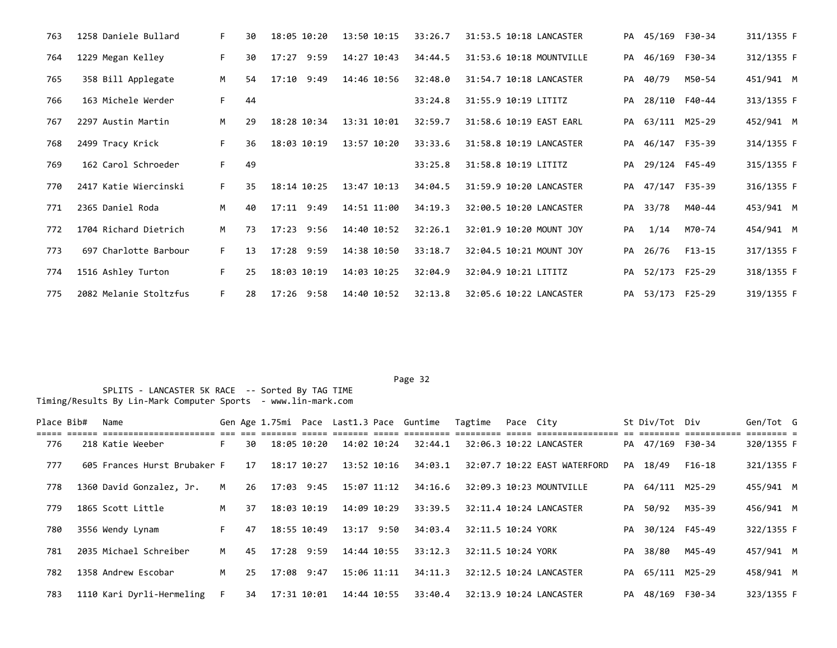| 763 | 1258 Daniele Bullard   | F. | 30 | 18:05 10:20    | 13:50 10:15 | 33:26.7 | 31:53.5 10:18 LANCASTER  |    | PA 45/169 F30-34 |               | 311/1355 F |
|-----|------------------------|----|----|----------------|-------------|---------|--------------------------|----|------------------|---------------|------------|
| 764 | 1229 Megan Kelley      | F. | 30 | 17:27 9:59     | 14:27 10:43 | 34:44.5 | 31:53.6 10:18 MOUNTVILLE | PA |                  | 46/169 F30-34 | 312/1355 F |
| 765 | 358 Bill Applegate     | M  | 54 | $17:10$ 9:49   | 14:46 10:56 | 32:48.0 | 31:54.7 10:18 LANCASTER  | PA | 40/79            | M50-54        | 451/941 M  |
| 766 | 163 Michele Werder     | F. | 44 |                |             | 33:24.8 | 31:55.9 10:19 LITITZ     | PA | 28/110 F40-44    |               | 313/1355 F |
| 767 | 2297 Austin Martin     | M  | 29 | 18:28 10:34    | 13:31 10:01 | 32:59.7 | 31:58.6 10:19 EAST EARL  |    | PA 63/111 M25-29 |               | 452/941 M  |
| 768 | 2499 Tracy Krick       | F. | 36 | 18:03 10:19    | 13:57 10:20 | 33:33.6 | 31:58.8 10:19 LANCASTER  |    | PA 46/147 F35-39 |               | 314/1355 F |
| 769 | 162 Carol Schroeder    | F. | 49 |                |             | 33:25.8 | 31:58.8 10:19 LITITZ     |    | PA 29/124 F45-49 |               | 315/1355 F |
| 770 | 2417 Katie Wiercinski  | F. | 35 | 18:14 10:25    | 13:47 10:13 | 34:04.5 | 31:59.9 10:20 LANCASTER  |    | PA 47/147 F35-39 |               | 316/1355 F |
| 771 | 2365 Daniel Roda       | M  | 40 | $17:11$ $9:49$ | 14:51 11:00 | 34:19.3 | 32:00.5 10:20 LANCASTER  |    | PA 33/78         | M40-44        | 453/941 M  |
| 772 | 1704 Richard Dietrich  | M  | 73 | $17:23$ 9:56   | 14:40 10:52 | 32:26.1 | 32:01.9 10:20 MOUNT JOY  | PA | 1/14             | M70-74        | 454/941 M  |
| 773 | 697 Charlotte Barbour  | F. | 13 | 17:28 9:59     | 14:38 10:50 | 33:18.7 | 32:04.5 10:21 MOUNT JOY  | PA | 26/76            | F13-15        | 317/1355 F |
| 774 | 1516 Ashley Turton     | F. | 25 | 18:03 10:19    | 14:03 10:25 | 32:04.9 | 32:04.9 10:21 LITITZ     |    | PA 52/173 F25-29 |               | 318/1355 F |
| 775 | 2082 Melanie Stoltzfus | F. | 28 | 17:26 9:58     | 14:40 10:52 | 32:13.8 | 32:05.6 10:22 LANCASTER  |    | PA 53/173 F25-29 |               | 319/1355 F |

Page 32 and the state of the state of the state of the state of the state of the state of the state of the state of the state of the state of the state of the state of the state of the state of the state of the state of th

| Place Bib# | Name                         |                |    |              |             |             | Gen Age 1.75mi Pace Last1.3 Pace Guntime Tagtime |                    | Pace City |                              | St Div/Tot Div   |                         | Gen/Tot G  |  |
|------------|------------------------------|----------------|----|--------------|-------------|-------------|--------------------------------------------------|--------------------|-----------|------------------------------|------------------|-------------------------|------------|--|
| 776        | 218 Katie Weeber             | F.             | 30 |              | 18:05 10:20 | 14:02 10:24 | 32:44.1                                          |                    |           | 32:06.3 10:22 LANCASTER      | PA 47/169 F30-34 | as secondos concepcións | 320/1355 F |  |
| 777        | 605 Frances Hurst Brubaker F |                | 17 | 18:17 10:27  |             | 13:52 10:16 | 34:03.1                                          |                    |           | 32:07.7 10:22 EAST WATERFORD | PA 18/49         | F16-18                  | 321/1355 F |  |
| 778        | 1360 David Gonzalez, Jr.     | M              | 26 | 17:03 9:45   |             | 15:07 11:12 | 34:16.6                                          |                    |           | 32:09.3 10:23 MOUNTVILLE     | PA 64/111 M25-29 |                         | 455/941 M  |  |
| 779        | 1865 Scott Little            | M              | 37 | 18:03 10:19  |             | 14:09 10:29 | 33:39.5                                          |                    |           | 32:11.4 10:24 LANCASTER      | PA 50/92         | M35-39                  | 456/941 M  |  |
| 780        | 3556 Wendy Lynam             | F.             | 47 | 18:55 10:49  |             | 13:17 9:50  | 34:03.4                                          | 32:11.5 10:24 YORK |           |                              | PA 30/124 F45-49 |                         | 322/1355 F |  |
| 781        | 2035 Michael Schreiber       | M <sub>1</sub> | 45 | $17:28$ 9:59 |             | 14:44 10:55 | 33:12.3                                          | 32:11.5 10:24 YORK |           |                              | PA 38/80         | M45-49                  | 457/941 M  |  |
| 782        | 1358 Andrew Escobar          | M              | 25 | 17:08 9:47   |             | 15:06 11:11 | 34:11.3                                          |                    |           | 32:12.5 10:24 LANCASTER      | PA 65/111 M25-29 |                         | 458/941 M  |  |
| 783        | 1110 Kari Dyrli-Hermeling    | F.             | 34 | 17:31 10:01  |             | 14:44 10:55 | 33:40.4                                          |                    |           | 32:13.9 10:24 LANCASTER      | PA 48/169 F30-34 |                         | 323/1355 F |  |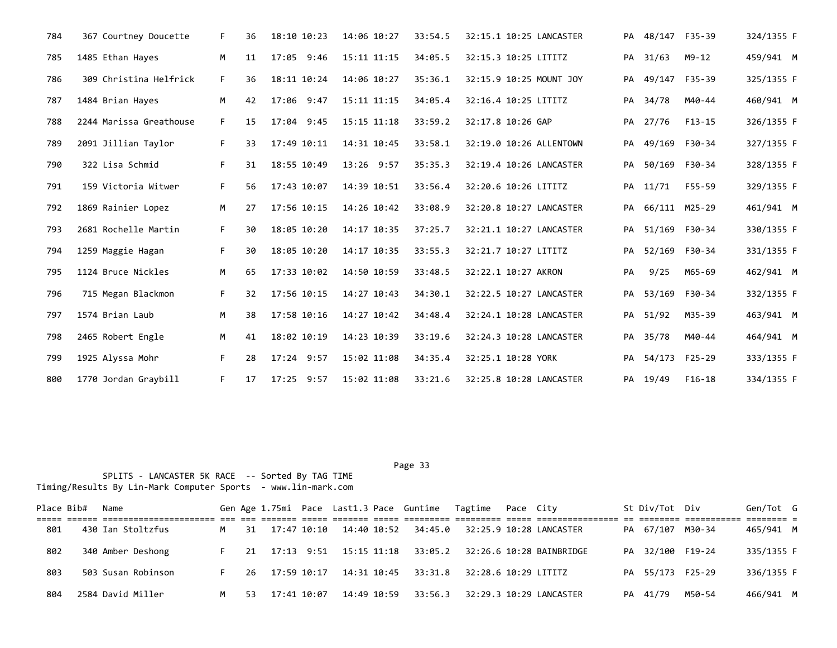| 784 | 367 Courtney Doucette   | F. | 36 | 18:10 10:23  | 14:06 10:27 | 33:54.5 | 32:15.1 10:25 LANCASTER |    | PA 48/147 F35-39 |               | 324/1355 F |
|-----|-------------------------|----|----|--------------|-------------|---------|-------------------------|----|------------------|---------------|------------|
| 785 | 1485 Ethan Hayes        | M  | 11 | 17:05 9:46   | 15:11 11:15 | 34:05.5 | 32:15.3 10:25 LITITZ    | PA | 31/63            | M9-12         | 459/941 M  |
| 786 | 309 Christina Helfrick  | F. | 36 | 18:11 10:24  | 14:06 10:27 | 35:36.1 | 32:15.9 10:25 MOUNT JOY |    | PA 49/147 F35-39 |               | 325/1355 F |
| 787 | 1484 Brian Hayes        | M  | 42 | 17:06 9:47   | 15:11 11:15 | 34:05.4 | 32:16.4 10:25 LITITZ    | PA | 34/78            | M40-44        | 460/941 M  |
| 788 | 2244 Marissa Greathouse | F. | 15 | 17:04 9:45   | 15:15 11:18 | 33:59.2 | 32:17.8 10:26 GAP       |    | PA 27/76         | F13-15        | 326/1355 F |
| 789 | 2091 Jillian Taylor     | F. | 33 | 17:49 10:11  | 14:31 10:45 | 33:58.1 | 32:19.0 10:26 ALLENTOWN | PA | 49/169 F30-34    |               | 327/1355 F |
| 790 | 322 Lisa Schmid         | F. | 31 | 18:55 10:49  | 13:26 9:57  | 35:35.3 | 32:19.4 10:26 LANCASTER | PA |                  | 50/169 F30-34 | 328/1355 F |
| 791 | 159 Victoria Witwer     | F. | 56 | 17:43 10:07  | 14:39 10:51 | 33:56.4 | 32:20.6 10:26 LITITZ    | PA | 11/71            | F55-59        | 329/1355 F |
| 792 | 1869 Rainier Lopez      | M  | 27 | 17:56 10:15  | 14:26 10:42 | 33:08.9 | 32:20.8 10:27 LANCASTER | PA | 66/111 M25-29    |               | 461/941 M  |
| 793 | 2681 Rochelle Martin    | F. | 30 | 18:05 10:20  | 14:17 10:35 | 37:25.7 | 32:21.1 10:27 LANCASTER | PA |                  | 51/169 F30-34 | 330/1355 F |
| 794 | 1259 Maggie Hagan       | F. | 30 | 18:05 10:20  | 14:17 10:35 | 33:55.3 | 32:21.7 10:27 LITITZ    | PA |                  | 52/169 F30-34 | 331/1355 F |
| 795 | 1124 Bruce Nickles      | M  | 65 | 17:33 10:02  | 14:50 10:59 | 33:48.5 | 32:22.1 10:27 AKRON     | PA | 9/25             | M65-69        | 462/941 M  |
| 796 | 715 Megan Blackmon      | F. | 32 | 17:56 10:15  | 14:27 10:43 | 34:30.1 | 32:22.5 10:27 LANCASTER | PA | 53/169 F30-34    |               | 332/1355 F |
| 797 | 1574 Brian Laub         | M  | 38 | 17:58 10:16  | 14:27 10:42 | 34:48.4 | 32:24.1 10:28 LANCASTER |    | PA 51/92         | M35-39        | 463/941 M  |
| 798 | 2465 Robert Engle       | M  | 41 | 18:02 10:19  | 14:23 10:39 | 33:19.6 | 32:24.3 10:28 LANCASTER | PA | 35/78            | M40-44        | 464/941 M  |
| 799 | 1925 Alyssa Mohr        | F. | 28 | $17:24$ 9:57 | 15:02 11:08 | 34:35.4 | 32:25.1 10:28 YORK      |    | PA 54/173 F25-29 |               | 333/1355 F |
| 800 | 1770 Jordan Graybill    | F. | 17 | 17:25 9:57   | 15:02 11:08 | 33:21.6 | 32:25.8 10:28 LANCASTER |    | PA 19/49         | $F16-18$      | 334/1355 F |

| Place Bib# | Name               |   |     |             |             |             | Gen Age 1.75mi Pace Last1.3 Pace Guntime Tagtime Pace City |  |                                                                                                                | St Div/Tot Div   |        | Gen/Tot G   |  |
|------------|--------------------|---|-----|-------------|-------------|-------------|------------------------------------------------------------|--|----------------------------------------------------------------------------------------------------------------|------------------|--------|-------------|--|
|            |                    |   |     |             |             |             |                                                            |  |                                                                                                                |                  |        | --------- - |  |
| 801        | 430 Ian Stoltzfus  | M | 31  |             |             |             |                                                            |  | 17:47 10:10              14:40              10:52              34:45.0              32:25.9              10:28 | PA 67/107 M30-34 |        | 465/941 M   |  |
| 802        | 340 Amber Deshong  |   |     |             |             |             |                                                            |  | 21  17:13  9:51  15:15  11:18  33:05.2  32:26.6  10:28  BAINBRIDGE                                             | PA 32/100 F19-24 |        | 335/1355 F  |  |
| 803        | 503 Susan Robinson |   | 26  | 17:59 10:17 |             |             |                                                            |  |                                                                                                                | PA 55/173 F25-29 |        | 336/1355 F  |  |
| 804        | 2584 David Miller  | M | -53 |             | 17:41 10:07 | 14:49 10:59 |                                                            |  | 33:56.3 32:29.3 10:29 LANCASTER                                                                                | PA 41/79         | M50-54 | 466/941 M   |  |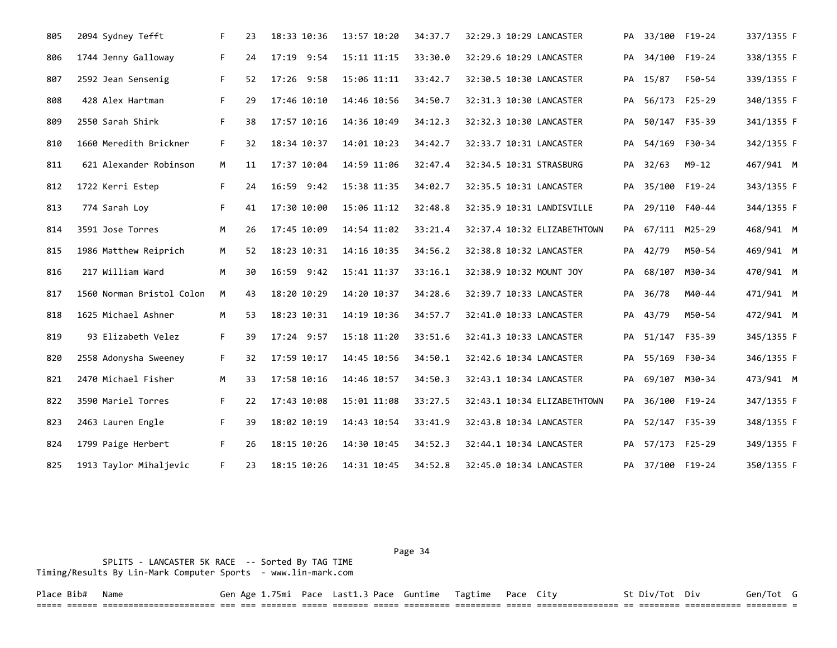| 805 | 2094 Sydney Tefft         | F. | 23 | 18:33 10:36 | 13:57 10:20 | 34:37.7 | 32:29.3 10:29 LANCASTER     |    | PA 33/100 F19-24 |               | 337/1355 F |
|-----|---------------------------|----|----|-------------|-------------|---------|-----------------------------|----|------------------|---------------|------------|
| 806 | 1744 Jenny Galloway       | F. | 24 | 17:19 9:54  | 15:11 11:15 | 33:30.0 | 32:29.6 10:29 LANCASTER     |    | PA 34/100 F19-24 |               | 338/1355 F |
| 807 | 2592 Jean Sensenig        | F. | 52 | 17:26 9:58  | 15:06 11:11 | 33:42.7 | 32:30.5 10:30 LANCASTER     | PA | 15/87            | F50-54        | 339/1355 F |
| 808 | 428 Alex Hartman          | F. | 29 | 17:46 10:10 | 14:46 10:56 | 34:50.7 | 32:31.3 10:30 LANCASTER     | PA | 56/173 F25-29    |               | 340/1355 F |
| 809 | 2550 Sarah Shirk          | F. | 38 | 17:57 10:16 | 14:36 10:49 | 34:12.3 | 32:32.3 10:30 LANCASTER     | PA | 50/147 F35-39    |               | 341/1355 F |
| 810 | 1660 Meredith Brickner    | F. | 32 | 18:34 10:37 | 14:01 10:23 | 34:42.7 | 32:33.7 10:31 LANCASTER     |    | PA 54/169 F30-34 |               | 342/1355 F |
| 811 | 621 Alexander Robinson    | M  | 11 | 17:37 10:04 | 14:59 11:06 | 32:47.4 | 32:34.5 10:31 STRASBURG     |    | PA 32/63         | $M9 - 12$     | 467/941 M  |
| 812 | 1722 Kerri Estep          | F. | 24 | 16:59 9:42  | 15:38 11:35 | 34:02.7 | 32:35.5 10:31 LANCASTER     | PA |                  | 35/100 F19-24 | 343/1355 F |
| 813 | 774 Sarah Loy             | F. | 41 | 17:30 10:00 | 15:06 11:12 | 32:48.8 | 32:35.9 10:31 LANDISVILLE   | PA | 29/110 F40-44    |               | 344/1355 F |
| 814 | 3591 Jose Torres          | M  | 26 | 17:45 10:09 | 14:54 11:02 | 33:21.4 | 32:37.4 10:32 ELIZABETHTOWN |    | PA 67/111 M25-29 |               | 468/941 M  |
| 815 | 1986 Matthew Reiprich     | M  | 52 | 18:23 10:31 | 14:16 10:35 | 34:56.2 | 32:38.8 10:32 LANCASTER     |    | PA 42/79         | M50-54        | 469/941 M  |
| 816 | 217 William Ward          | M  | 30 | 16:59 9:42  | 15:41 11:37 | 33:16.1 | 32:38.9 10:32 MOUNT JOY     |    | PA 68/107 M30-34 |               | 470/941 M  |
| 817 | 1560 Norman Bristol Colon | M  | 43 | 18:20 10:29 | 14:20 10:37 | 34:28.6 | 32:39.7 10:33 LANCASTER     | PA | 36/78            | M40-44        | 471/941 M  |
| 818 | 1625 Michael Ashner       | М  | 53 | 18:23 10:31 | 14:19 10:36 | 34:57.7 | 32:41.0 10:33 LANCASTER     | PA | 43/79            | M50-54        | 472/941 M  |
| 819 | 93 Elizabeth Velez        | F. | 39 | 17:24 9:57  | 15:18 11:20 | 33:51.6 | 32:41.3 10:33 LANCASTER     |    | PA 51/147 F35-39 |               | 345/1355 F |
| 820 | 2558 Adonysha Sweeney     | F. | 32 | 17:59 10:17 | 14:45 10:56 | 34:50.1 | 32:42.6 10:34 LANCASTER     |    | PA 55/169 F30-34 |               | 346/1355 F |
| 821 | 2470 Michael Fisher       | M  | 33 | 17:58 10:16 | 14:46 10:57 | 34:50.3 | 32:43.1 10:34 LANCASTER     |    | PA 69/107 M30-34 |               | 473/941 M  |
| 822 | 3590 Mariel Torres        | F. | 22 | 17:43 10:08 | 15:01 11:08 | 33:27.5 | 32:43.1 10:34 ELIZABETHTOWN |    | PA 36/100 F19-24 |               | 347/1355 F |
| 823 | 2463 Lauren Engle         | F. | 39 | 18:02 10:19 | 14:43 10:54 | 33:41.9 | 32:43.8 10:34 LANCASTER     | PA | 52/147 F35-39    |               | 348/1355 F |
| 824 | 1799 Paige Herbert        | F. | 26 | 18:15 10:26 | 14:30 10:45 | 34:52.3 | 32:44.1 10:34 LANCASTER     | PA |                  | 57/173 F25-29 | 349/1355 F |
| 825 | 1913 Taylor Mihaljevic    | F. | 23 | 18:15 10:26 | 14:31 10:45 | 34:52.8 | 32:45.0 10:34 LANCASTER     |    | PA 37/100 F19-24 |               | 350/1355 F |

 SPLITS - LANCASTER 5K RACE -- Sorted By TAG TIME Timing/Results By Lin-Mark Computer Sports - www.lin-mark.com Page 34

Place Bib# Name Gen Age 1.75mi Pace Last1.3 Pace Guntime Tagtime Pace City St Div/Tot Div Gen/Tot G ===== ====== ====================== === === ======= ===== ======= ===== ========= ========= ===== ================ == ======== =========== ======== =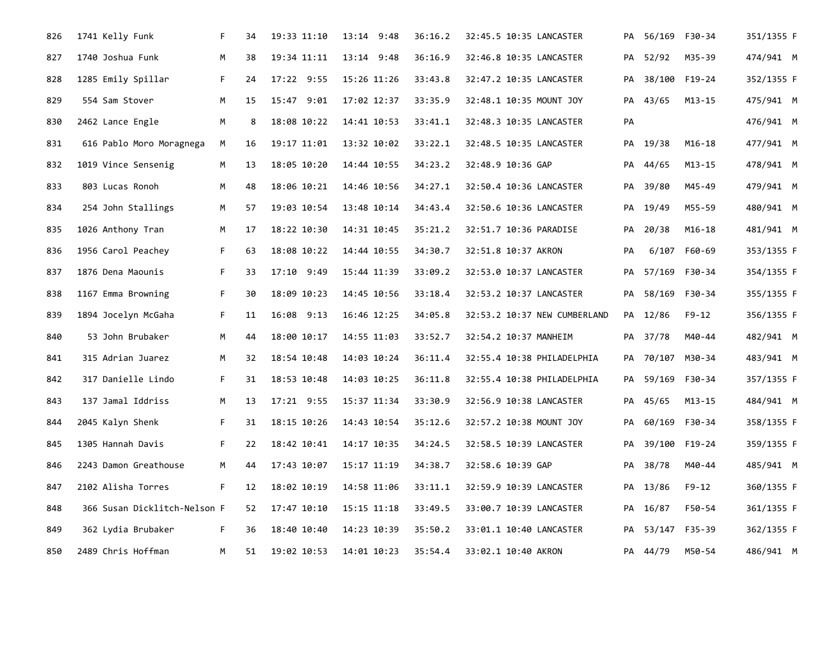| 826 | 1741 Kelly Funk              | F. | 34 | 19:33 11:10 | 13:14 9:48     | 36:16.2 | 32:45.5 10:35 LANCASTER      |    | PA 56/169 F30-34 |               | 351/1355 F |
|-----|------------------------------|----|----|-------------|----------------|---------|------------------------------|----|------------------|---------------|------------|
| 827 | 1740 Joshua Funk             | М  | 38 | 19:34 11:11 | $13:14$ $9:48$ | 36:16.9 | 32:46.8 10:35 LANCASTER      |    | PA 52/92         | M35-39        | 474/941 M  |
| 828 | 1285 Emily Spillar           | F. | 24 | 17:22 9:55  | 15:26 11:26    | 33:43.8 | 32:47.2 10:35 LANCASTER      |    | PA 38/100 F19-24 |               | 352/1355 F |
| 829 | 554 Sam Stover               | M  | 15 | 15:47 9:01  | 17:02 12:37    | 33:35.9 | 32:48.1 10:35 MOUNT JOY      |    | PA 43/65         | M13-15        | 475/941 M  |
| 830 | 2462 Lance Engle             | М  | 8  | 18:08 10:22 | 14:41 10:53    | 33:41.1 | 32:48.3 10:35 LANCASTER      | PA |                  |               | 476/941 M  |
| 831 | 616 Pablo Moro Moragnega     | M  | 16 | 19:17 11:01 | 13:32 10:02    | 33:22.1 | 32:48.5 10:35 LANCASTER      |    | PA 19/38         | M16-18        | 477/941 M  |
| 832 | 1019 Vince Sensenig          | м  | 13 | 18:05 10:20 | 14:44 10:55    | 34:23.2 | 32:48.9 10:36 GAP            |    | PA 44/65         | M13-15        | 478/941 M  |
| 833 | 803 Lucas Ronoh              | M  | 48 | 18:06 10:21 | 14:46 10:56    | 34:27.1 | 32:50.4 10:36 LANCASTER      |    | PA 39/80         | M45-49        | 479/941 M  |
| 834 | 254 John Stallings           | M  | 57 | 19:03 10:54 | 13:48 10:14    | 34:43.4 | 32:50.6 10:36 LANCASTER      |    | PA 19/49         | M55-59        | 480/941 M  |
| 835 | 1026 Anthony Tran            | M  | 17 | 18:22 10:30 | 14:31 10:45    | 35:21.2 | 32:51.7 10:36 PARADISE       | PA | 20/38            | $M16 - 18$    | 481/941 M  |
| 836 | 1956 Carol Peachey           | F. | 63 | 18:08 10:22 | 14:44 10:55    | 34:30.7 | 32:51.8 10:37 AKRON          | PA |                  | 6/107 F60-69  | 353/1355 F |
| 837 | 1876 Dena Maounis            | F. | 33 | 17:10 9:49  | 15:44 11:39    | 33:09.2 | 32:53.0 10:37 LANCASTER      | PA | 57/169           | F30-34        | 354/1355 F |
| 838 | 1167 Emma Browning           | F. | 30 | 18:09 10:23 | 14:45 10:56    | 33:18.4 | 32:53.2 10:37 LANCASTER      | PA |                  | 58/169 F30-34 | 355/1355 F |
| 839 | 1894 Jocelyn McGaha          | F. | 11 | 16:08 9:13  | 16:46 12:25    | 34:05.8 | 32:53.2 10:37 NEW CUMBERLAND |    | PA 12/86         | $F9 - 12$     | 356/1355 F |
| 840 | 53 John Brubaker             | M  | 44 | 18:00 10:17 | 14:55 11:03    | 33:52.7 | 32:54.2 10:37 MANHEIM        |    | PA 37/78         | M40-44        | 482/941 M  |
| 841 | 315 Adrian Juarez            | M  | 32 | 18:54 10:48 | 14:03 10:24    | 36:11.4 | 32:55.4 10:38 PHILADELPHIA   |    | PA 70/107 M30-34 |               | 483/941 M  |
| 842 | 317 Danielle Lindo           | F. | 31 | 18:53 10:48 | 14:03 10:25    | 36:11.8 | 32:55.4 10:38 PHILADELPHIA   | PA |                  | 59/169 F30-34 | 357/1355 F |
| 843 | 137 Jamal Iddriss            | M  | 13 | 17:21 9:55  | 15:37 11:34    | 33:30.9 | 32:56.9 10:38 LANCASTER      |    | PA 45/65         | $M13 - 15$    | 484/941 M  |
| 844 | 2045 Kalyn Shenk             | F. | 31 | 18:15 10:26 | 14:43 10:54    | 35:12.6 | 32:57.2 10:38 MOUNT JOY      |    | PA 60/169        | F30-34        | 358/1355 F |
| 845 | 1305 Hannah Davis            | F. | 22 | 18:42 10:41 | 14:17 10:35    | 34:24.5 | 32:58.5 10:39 LANCASTER      |    | PA 39/100 F19-24 |               | 359/1355 F |
| 846 | 2243 Damon Greathouse        | M  | 44 | 17:43 10:07 | 15:17 11:19    | 34:38.7 | 32:58.6 10:39 GAP            | PA | 38/78            | M40-44        | 485/941 M  |
| 847 | 2102 Alisha Torres           | F. | 12 | 18:02 10:19 | 14:58 11:06    | 33:11.1 | 32:59.9 10:39 LANCASTER      |    | PA 13/86         | F9-12         | 360/1355 F |
| 848 | 366 Susan Dicklitch-Nelson F |    | 52 | 17:47 10:10 | 15:15 11:18    | 33:49.5 | 33:00.7 10:39 LANCASTER      | PA | 16/87            | F50-54        | 361/1355 F |
| 849 | 362 Lydia Brubaker           | F. | 36 | 18:40 10:40 | 14:23 10:39    | 35:50.2 | 33:01.1 10:40 LANCASTER      |    | PA 53/147 F35-39 |               | 362/1355 F |
| 850 | 2489 Chris Hoffman           | M  | 51 | 19:02 10:53 | 14:01 10:23    | 35:54.4 | 33:02.1 10:40 AKRON          |    | PA 44/79         | M50-54        | 486/941 M  |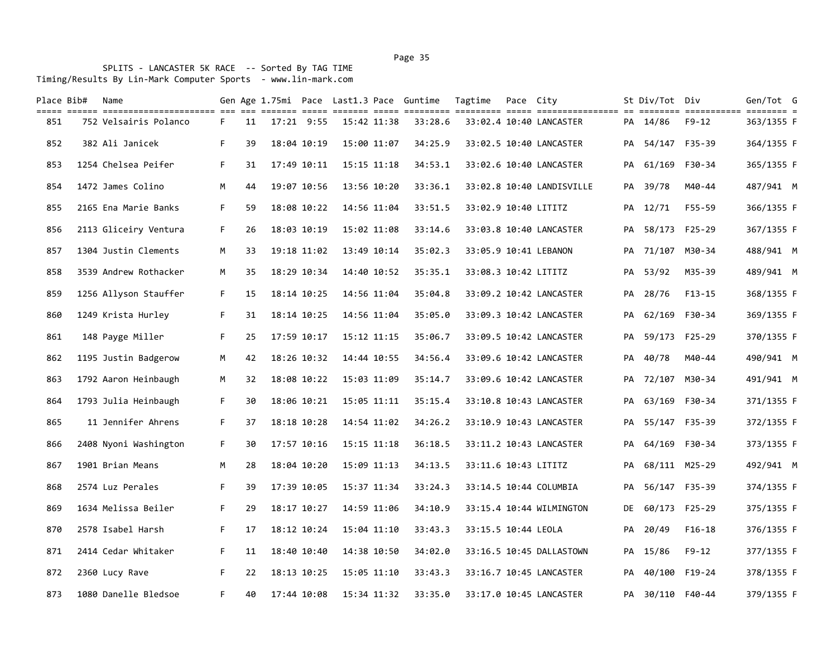Page 35 and the state of the state of the state of the state of the state of the state of the state of the state of the state of the state of the state of the state of the state of the state of the state of the state of th

| Place Bib# | Name                                                                                                                                                              |    |    |             |             |             | Gen Age 1.75mi Pace Last1.3 Pace Guntime | Tagtime              | Pace City |                           |    | St Div/Tot Div   |               | Gen/Tot G  |  |
|------------|-------------------------------------------------------------------------------------------------------------------------------------------------------------------|----|----|-------------|-------------|-------------|------------------------------------------|----------------------|-----------|---------------------------|----|------------------|---------------|------------|--|
| 851        | title elere bittitlerinistitler eit die steiten bitte bitten bitte bittitlen bittitlen bittitleritenen en bittitle bittitlen bittitlen d<br>752 Velsairis Polanco | F. | 11 | 17:21 9:55  | 15:42 11:38 |             | 33:28.6                                  |                      |           | 33:02.4 10:40 LANCASTER   |    | PA 14/86         | F9-12         | 363/1355 F |  |
| 852        | 382 Ali Janicek                                                                                                                                                   | F. | 39 | 18:04 10:19 | 15:00 11:07 |             | 34:25.9                                  |                      |           | 33:02.5 10:40 LANCASTER   |    | PA 54/147 F35-39 |               | 364/1355 F |  |
| 853        | 1254 Chelsea Peifer                                                                                                                                               | F. | 31 | 17:49 10:11 |             | 15:15 11:18 | 34:53.1                                  |                      |           | 33:02.6 10:40 LANCASTER   | PA | 61/169 F30-34    |               | 365/1355 F |  |
| 854        | 1472 James Colino                                                                                                                                                 | M  | 44 | 19:07 10:56 | 13:56 10:20 |             | 33:36.1                                  |                      |           | 33:02.8 10:40 LANDISVILLE |    | PA 39/78         | M40-44        | 487/941 M  |  |
| 855        | 2165 Ena Marie Banks                                                                                                                                              | F. | 59 | 18:08 10:22 |             | 14:56 11:04 | 33:51.5                                  | 33:02.9 10:40 LITITZ |           |                           |    | PA 12/71         | F55-59        | 366/1355 F |  |
| 856        | 2113 Gliceiry Ventura                                                                                                                                             | F. | 26 | 18:03 10:19 |             | 15:02 11:08 | 33:14.6                                  |                      |           | 33:03.8 10:40 LANCASTER   |    | PA 58/173 F25-29 |               | 367/1355 F |  |
| 857        | 1304 Justin Clements                                                                                                                                              | M  | 33 | 19:18 11:02 | 13:49 10:14 |             | 35:02.3                                  |                      |           | 33:05.9 10:41 LEBANON     |    | PA 71/107        | M30-34        | 488/941 M  |  |
| 858        | 3539 Andrew Rothacker                                                                                                                                             | М  | 35 | 18:29 10:34 |             | 14:40 10:52 | 35:35.1                                  | 33:08.3 10:42 LITITZ |           |                           | PA | 53/92            | M35-39        | 489/941 M  |  |
| 859        | 1256 Allyson Stauffer                                                                                                                                             | F. | 15 | 18:14 10:25 |             | 14:56 11:04 | 35:04.8                                  |                      |           | 33:09.2 10:42 LANCASTER   |    | PA 28/76         | $F13-15$      | 368/1355 F |  |
| 860        | 1249 Krista Hurley                                                                                                                                                | F. | 31 | 18:14 10:25 |             | 14:56 11:04 | 35:05.0                                  |                      |           | 33:09.3 10:42 LANCASTER   | PA | 62/169 F30-34    |               | 369/1355 F |  |
| 861        | 148 Payge Miller                                                                                                                                                  | F. | 25 | 17:59 10:17 |             | 15:12 11:15 | 35:06.7                                  |                      |           | 33:09.5 10:42 LANCASTER   |    | PA 59/173 F25-29 |               | 370/1355 F |  |
| 862        | 1195 Justin Badgerow                                                                                                                                              | M  | 42 | 18:26 10:32 | 14:44 10:55 |             | 34:56.4                                  |                      |           | 33:09.6 10:42 LANCASTER   | PA | 40/78            | M40-44        | 490/941 M  |  |
| 863        | 1792 Aaron Heinbaugh                                                                                                                                              | M  | 32 | 18:08 10:22 |             | 15:03 11:09 | 35:14.7                                  |                      |           | 33:09.6 10:42 LANCASTER   |    | PA 72/107 M30-34 |               | 491/941 M  |  |
| 864        | 1793 Julia Heinbaugh                                                                                                                                              | F. | 30 | 18:06 10:21 | 15:05 11:11 |             | 35:15.4                                  |                      |           | 33:10.8 10:43 LANCASTER   |    | PA 63/169 F30-34 |               | 371/1355 F |  |
| 865        | 11 Jennifer Ahrens                                                                                                                                                | F. | 37 | 18:18 10:28 |             | 14:54 11:02 | 34:26.2                                  |                      |           | 33:10.9 10:43 LANCASTER   | PA | 55/147 F35-39    |               | 372/1355 F |  |
| 866        | 2408 Nyoni Washington                                                                                                                                             | F. | 30 | 17:57 10:16 |             | 15:15 11:18 | 36:18.5                                  |                      |           | 33:11.2 10:43 LANCASTER   |    | PA 64/169 F30-34 |               | 373/1355 F |  |
| 867        | 1901 Brian Means                                                                                                                                                  | M  | 28 | 18:04 10:20 |             | 15:09 11:13 | 34:13.5                                  | 33:11.6 10:43 LITITZ |           |                           | PA | 68/111 M25-29    |               | 492/941 M  |  |
| 868        | 2574 Luz Perales                                                                                                                                                  | F. | 39 | 17:39 10:05 |             | 15:37 11:34 | 33:24.3                                  |                      |           | 33:14.5 10:44 COLUMBIA    | PA |                  | 56/147 F35-39 | 374/1355 F |  |
| 869        | 1634 Melissa Beiler                                                                                                                                               | F. | 29 | 18:17 10:27 |             | 14:59 11:06 | 34:10.9                                  |                      |           | 33:15.4 10:44 WILMINGTON  | DE | 60/173 F25-29    |               | 375/1355 F |  |
| 870        | 2578 Isabel Harsh                                                                                                                                                 | F. | 17 | 18:12 10:24 |             | 15:04 11:10 | 33:43.3                                  | 33:15.5 10:44 LEOLA  |           |                           | PA | 20/49            | $F16-18$      | 376/1355 F |  |
| 871        | 2414 Cedar Whitaker                                                                                                                                               | F. | 11 | 18:40 10:40 |             | 14:38 10:50 | 34:02.0                                  |                      |           | 33:16.5 10:45 DALLASTOWN  |    | PA 15/86         | F9-12         | 377/1355 F |  |
| 872        | 2360 Lucy Rave                                                                                                                                                    | F. | 22 | 18:13 10:25 |             | 15:05 11:10 | 33:43.3                                  |                      |           | 33:16.7 10:45 LANCASTER   | PA | 40/100 F19-24    |               | 378/1355 F |  |
| 873        | 1080 Danelle Bledsoe                                                                                                                                              | F. | 40 | 17:44 10:08 | 15:34 11:32 |             | 33:35.0                                  |                      |           | 33:17.0 10:45 LANCASTER   |    | PA 30/110 F40-44 |               | 379/1355 F |  |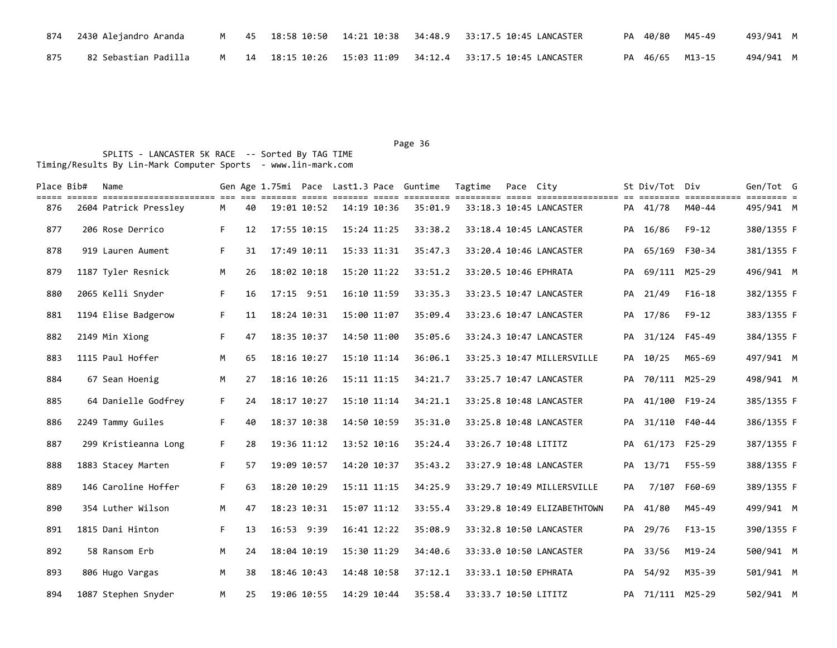|     | 874   2430 Alejandro Aranda |  |  | M 45 18:58 10:50 14:21 10:38 34:48.9 33:17.5 10:45 LANCASTER |  | PA 40/80 M45-49 | 493/941 M |
|-----|-----------------------------|--|--|--------------------------------------------------------------|--|-----------------|-----------|
| 875 | 82 Sebastian Padilla        |  |  | M 14 18:15 10:26 15:03 11:09 34:12.4 33:17.5 10:45 LANCASTER |  | PA 46/65 M13-15 | 494/941 M |

Page 36 and the state of the state of the state of the state of the state of the state of the state of the state of the state of the state of the state of the state of the state of the state of the state of the state of th

| Place Bib# | Name<br>tili ilili ililililililililili il il ililili ilili ilili ilili ililili ililili ililili ilil ililililili i ililili ilililili t |    |    |             |             | Gen Age 1.75mi Pace Last1.3 Pace Guntime | Tagtime               | Pace City |                             |    | St Div/Tot Div   |           | Gen/Tot G  |  |
|------------|---------------------------------------------------------------------------------------------------------------------------------------|----|----|-------------|-------------|------------------------------------------|-----------------------|-----------|-----------------------------|----|------------------|-----------|------------|--|
| 876        | 2604 Patrick Pressley                                                                                                                 | M  | 40 | 19:01 10:52 | 14:19 10:36 | 35:01.9                                  |                       |           | 33:18.3 10:45 LANCASTER     |    | PA 41/78         | M40-44    | 495/941 M  |  |
| 877        | 206 Rose Derrico                                                                                                                      | F. | 12 | 17:55 10:15 | 15:24 11:25 | 33:38.2                                  |                       |           | 33:18.4 10:45 LANCASTER     | PA | 16/86            | $F9 - 12$ | 380/1355 F |  |
| 878        | 919 Lauren Aument                                                                                                                     | F. | 31 | 17:49 10:11 | 15:33 11:31 | 35:47.3                                  |                       |           | 33:20.4 10:46 LANCASTER     | PA | 65/169           | F30-34    | 381/1355 F |  |
| 879        | 1187 Tyler Resnick                                                                                                                    | M  | 26 | 18:02 10:18 | 15:20 11:22 | 33:51.2                                  | 33:20.5 10:46 EPHRATA |           |                             | PA | 69/111 M25-29    |           | 496/941 M  |  |
| 880        | 2065 Kelli Snyder                                                                                                                     | F. | 16 | 17:15 9:51  | 16:10 11:59 | 33:35.3                                  |                       |           | 33:23.5 10:47 LANCASTER     | PA | 21/49            | $F16-18$  | 382/1355 F |  |
| 881        | 1194 Elise Badgerow                                                                                                                   | F. | 11 | 18:24 10:31 | 15:00 11:07 | 35:09.4                                  |                       |           | 33:23.6 10:47 LANCASTER     | PA | 17/86            | $F9 - 12$ | 383/1355 F |  |
| 882        | 2149 Min Xiong                                                                                                                        | F. | 47 | 18:35 10:37 | 14:50 11:00 | 35:05.6                                  |                       |           | 33:24.3 10:47 LANCASTER     | PA | 31/124 F45-49    |           | 384/1355 F |  |
| 883        | 1115 Paul Hoffer                                                                                                                      | M  | 65 | 18:16 10:27 | 15:10 11:14 | 36:06.1                                  |                       |           | 33:25.3 10:47 MILLERSVILLE  |    | PA 10/25         | M65-69    | 497/941 M  |  |
| 884        | 67 Sean Hoenig                                                                                                                        | M  | 27 | 18:16 10:26 | 15:11 11:15 | 34:21.7                                  |                       |           | 33:25.7 10:47 LANCASTER     |    | PA 70/111 M25-29 |           | 498/941 M  |  |
| 885        | 64 Danielle Godfrey                                                                                                                   | F. | 24 | 18:17 10:27 | 15:10 11:14 | 34:21.1                                  |                       |           | 33:25.8 10:48 LANCASTER     |    | PA 41/100 F19-24 |           | 385/1355 F |  |
| 886        | 2249 Tammy Guiles                                                                                                                     | F. | 40 | 18:37 10:38 | 14:50 10:59 | 35:31.0                                  |                       |           | 33:25.8 10:48 LANCASTER     | PA | 31/110 F40-44    |           | 386/1355 F |  |
| 887        | 299 Kristieanna Long                                                                                                                  | F. | 28 | 19:36 11:12 | 13:52 10:16 | 35:24.4                                  | 33:26.7 10:48 LITITZ  |           |                             | PA | 61/173 F25-29    |           | 387/1355 F |  |
| 888        | 1883 Stacey Marten                                                                                                                    | F. | 57 | 19:09 10:57 | 14:20 10:37 | 35:43.2                                  |                       |           | 33:27.9 10:48 LANCASTER     | PA | 13/71            | F55-59    | 388/1355 F |  |
| 889        | 146 Caroline Hoffer                                                                                                                   | F. | 63 | 18:20 10:29 | 15:11 11:15 | 34:25.9                                  |                       |           | 33:29.7 10:49 MILLERSVILLE  | PA | 7/107 F60-69     |           | 389/1355 F |  |
| 890        | 354 Luther Wilson                                                                                                                     | M  | 47 | 18:23 10:31 | 15:07 11:12 | 33:55.4                                  |                       |           | 33:29.8 10:49 ELIZABETHTOWN | PA | 41/80            | M45-49    | 499/941 M  |  |
| 891        | 1815 Dani Hinton                                                                                                                      | F. | 13 | 16:53 9:39  | 16:41 12:22 | 35:08.9                                  |                       |           | 33:32.8 10:50 LANCASTER     | PA | 29/76            | $F13-15$  | 390/1355 F |  |
| 892        | 58 Ransom Erb                                                                                                                         | M  | 24 | 18:04 10:19 | 15:30 11:29 | 34:40.6                                  |                       |           | 33:33.0 10:50 LANCASTER     | PA | 33/56            | $M19-24$  | 500/941 M  |  |
| 893        | 806 Hugo Vargas                                                                                                                       | M  | 38 | 18:46 10:43 | 14:48 10:58 | 37:12.1                                  | 33:33.1 10:50 EPHRATA |           |                             |    | PA 54/92         | M35-39    | 501/941 M  |  |
| 894        | 1087 Stephen Snyder                                                                                                                   | M  | 25 | 19:06 10:55 | 14:29 10:44 | 35:58.4                                  | 33:33.7 10:50 LITITZ  |           |                             |    | PA 71/111 M25-29 |           | 502/941 M  |  |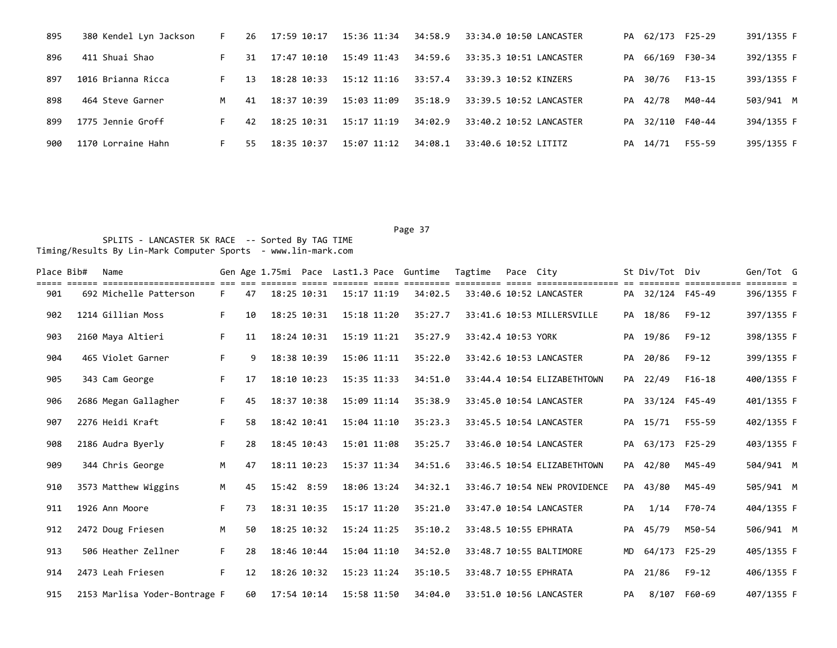| 895 | 380 Kendel Lyn Jackson | F. | 26 | $17:59$ $10:17$ | 15:36 11:34     | 34:58.9 | 33:34.0 10:50 LANCASTER |    | PA 62/173        | F25-29           | 391/1355 F |
|-----|------------------------|----|----|-----------------|-----------------|---------|-------------------------|----|------------------|------------------|------------|
| 896 | 411 Shuai Shao         |    | 31 | 17:47 10:10     | 15:49 11:43     | 34:59.6 | 33:35.3 10:51 LANCASTER |    |                  | PA 66/169 F30-34 | 392/1355 F |
| 897 | 1016 Brianna Ricca     |    | 13 | 18:28 10:33     | 15:12 11:16     | 33:57.4 | 33:39.3 10:52 KINZERS   |    | PA 30/76         | F13-15           | 393/1355 F |
| 898 | 464 Steve Garner       | М  | 41 | $18:37$ $10:39$ | 15:03 11:09     | 35:18.9 | 33:39.5 10:52 LANCASTER | PA | 42/78            | M40-44           | 503/941 M  |
| 899 | 1775 Jennie Groff      |    | 42 | 18:25 10:31     | 15:17 11:19     | 34:02.9 | 33:40.2 10:52 LANCASTER |    | PA 32/110 F40-44 |                  | 394/1355 F |
| 900 | 1170 Lorraine Hahn     | F. | 55 | 18:35 10:37     | $15:07$ $11:12$ | 34:08.1 | 33:40.6 10:52 LITITZ    | PA | 14/71            | F55-59           | 395/1355 F |

| Place Bib# | Name                          |    |    |             |             | Gen Age 1.75mi Pace Last1.3 Pace Guntime |         | Tagtime            | Pace City |                              |           | St Div/Tot Div   | ===========  | Gen/Tot G<br>== = |  |
|------------|-------------------------------|----|----|-------------|-------------|------------------------------------------|---------|--------------------|-----------|------------------------------|-----------|------------------|--------------|-------------------|--|
| 901        | 692 Michelle Patterson        | F. | 47 | 18:25 10:31 |             | 15:17 11:19                              | 34:02.5 |                    |           | 33:40.6 10:52 LANCASTER      |           | PA 32/124 F45-49 |              | 396/1355 F        |  |
| 902        | 1214 Gillian Moss             | F. | 10 | 18:25 10:31 |             | 15:18 11:20                              | 35:27.7 |                    |           | 33:41.6 10:53 MILLERSVILLE   |           | PA 18/86         | $F9 - 12$    | 397/1355 F        |  |
| 903        | 2160 Maya Altieri             | F. | 11 | 18:24 10:31 |             | 15:19 11:21                              | 35:27.9 | 33:42.4 10:53 YORK |           |                              |           | PA 19/86         | $F9 - 12$    | 398/1355 F        |  |
| 904        | 465 Violet Garner             | F. | 9  | 18:38 10:39 |             | 15:06 11:11                              | 35:22.0 |                    |           | 33:42.6 10:53 LANCASTER      | PA        | 20/86            | $F9 - 12$    | 399/1355 F        |  |
| 905        | 343 Cam George                | F. | 17 | 18:10 10:23 |             | 15:35 11:33                              | 34:51.0 |                    |           | 33:44.4 10:54 ELIZABETHTOWN  |           | PA 22/49         | $F16-18$     | 400/1355 F        |  |
| 906        | 2686 Megan Gallagher          | F. | 45 | 18:37 10:38 |             | 15:09 11:14                              | 35:38.9 |                    |           | 33:45.0 10:54 LANCASTER      |           | PA 33/124 F45-49 |              | 401/1355 F        |  |
| 907        | 2276 Heidi Kraft              | F. | 58 | 18:42 10:41 |             | 15:04 11:10                              | 35:23.3 |                    |           | 33:45.5 10:54 LANCASTER      |           | PA 15/71         | F55-59       | 402/1355 F        |  |
| 908        | 2186 Audra Byerly             | F. | 28 | 18:45 10:43 |             | 15:01 11:08                              | 35:25.7 |                    |           | 33:46.0 10:54 LANCASTER      | PA        | 63/173 F25-29    |              | 403/1355 F        |  |
| 909        | 344 Chris George              | M  | 47 | 18:11 10:23 |             | 15:37 11:34                              | 34:51.6 |                    |           | 33:46.5 10:54 ELIZABETHTOWN  | PA        | 42/80            | M45-49       | 504/941 M         |  |
| 910        | 3573 Matthew Wiggins          | M  | 45 | 15:42 8:59  |             | 18:06 13:24                              | 34:32.1 |                    |           | 33:46.7 10:54 NEW PROVIDENCE |           | PA 43/80         | M45-49       | 505/941 M         |  |
| 911        | 1926 Ann Moore                | F. | 73 | 18:31 10:35 |             | 15:17 11:20                              | 35:21.0 |                    |           | 33:47.0 10:54 LANCASTER      | PA        | 1/14             | F70-74       | 404/1355 F        |  |
| 912        | 2472 Doug Friesen             | M  | 50 | 18:25 10:32 |             | $15:24$ $11:25$                          | 35:10.2 |                    |           | 33:48.5 10:55 EPHRATA        | PA        | 45/79            | M50-54       | 506/941 M         |  |
| 913        | 506 Heather Zellner           | F. | 28 | 18:46 10:44 |             | 15:04 11:10                              | 34:52.0 |                    |           | 33:48.7 10:55 BALTIMORE      | <b>MD</b> | 64/173 F25-29    |              | 405/1355 F        |  |
| 914        | 2473 Leah Friesen             | F. | 12 |             | 18:26 10:32 | 15:23 11:24                              | 35:10.5 |                    |           | 33:48.7 10:55 EPHRATA        | PA        | 21/86            | $F9 - 12$    | 406/1355 F        |  |
| 915        | 2153 Marlisa Yoder-Bontrage F |    | 60 | 17:54 10:14 |             | 15:58 11:50                              | 34:04.0 |                    |           | 33:51.0 10:56 LANCASTER      | PA        |                  | 8/107 F60-69 | 407/1355 F        |  |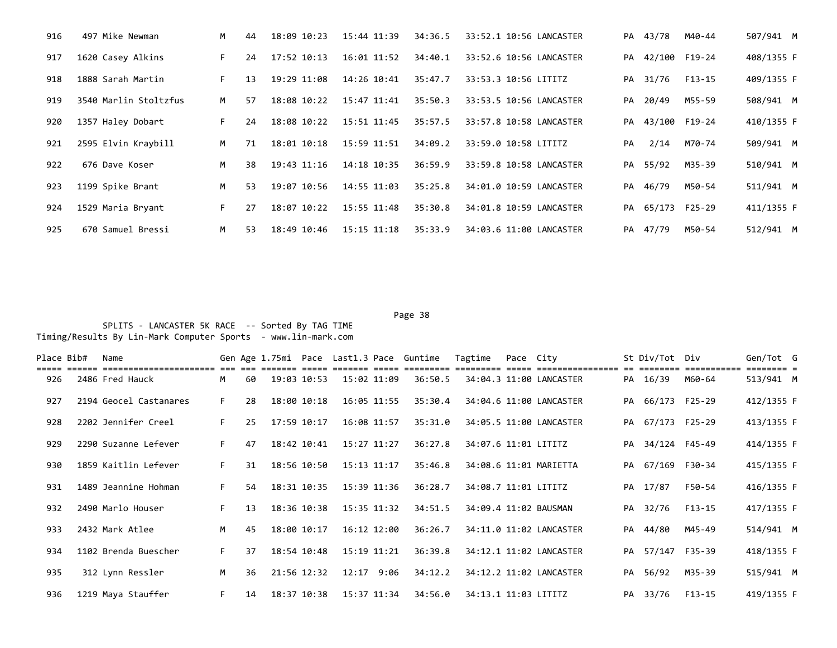| 916 | 497 Mike Newman       | M  | 44 | 18:09 10:23 | 15:44 11:39     | 34:36.5 | 33:52.1 10:56 LANCASTER |    | PA 43/78         | M40-44 | 507/941 M  |
|-----|-----------------------|----|----|-------------|-----------------|---------|-------------------------|----|------------------|--------|------------|
| 917 | 1620 Casey Alkins     | F. | 24 | 17:52 10:13 | 16:01 11:52     | 34:40.1 | 33:52.6 10:56 LANCASTER | PA | 42/100 F19-24    |        | 408/1355 F |
| 918 | 1888 Sarah Martin     | F. | 13 | 19:29 11:08 | 14:26 10:41     | 35:47.7 | 33:53.3 10:56 LITITZ    | PA | 31/76            | F13-15 | 409/1355 F |
| 919 | 3540 Marlin Stoltzfus | M  | 57 | 18:08 10:22 | 15:47 11:41     | 35:50.3 | 33:53.5 10:56 LANCASTER | PA | 20/49            | M55-59 | 508/941 M  |
| 920 | 1357 Haley Dobart     | F. | 24 | 18:08 10:22 | 15:51 11:45     | 35:57.5 | 33:57.8 10:58 LANCASTER |    | PA 43/100 F19-24 |        | 410/1355 F |
| 921 | 2595 Elvin Kraybill   | M  | 71 | 18:01 10:18 | 15:59 11:51     | 34:09.2 | 33:59.0 10:58 LITITZ    | PA | 2/14             | M70-74 | 509/941 M  |
| 922 | 676 Dave Koser        | M  | 38 | 19:43 11:16 | 14:18 10:35     | 36:59.9 | 33:59.8 10:58 LANCASTER |    | PA 55/92         | M35-39 | 510/941 M  |
| 923 | 1199 Spike Brant      | M  | 53 | 19:07 10:56 | 14:55 11:03     | 35:25.8 | 34:01.0 10:59 LANCASTER | PA | 46/79            | M50-54 | 511/941 M  |
| 924 | 1529 Maria Bryant     | F. | 27 | 18:07 10:22 | 15:55 11:48     | 35:30.8 | 34:01.8 10:59 LANCASTER |    | PA 65/173        | F25-29 | 411/1355 F |
| 925 | 670 Samuel Bressi     | M  | 53 | 18:49 10:46 | $15:15$ $11:18$ | 35:33.9 | 34:03.6 11:00 LANCASTER |    | PA 47/79         | M50-54 | 512/941 M  |

e de la provincia de la provincia de la provincia de la provincia de la provincia de la provincia de la provincia de la provincia de la provincia de la provincia de la provincia de la provincia de la provincia de la provin SPLITS - LANCASTER 5K RACE -- Sorted By TAG TIME Timing/Results By Lin-Mark Computer Sports - www.lin-mark.com

| Place Bib# | Name                   |    |    |             |             |                 | Gen Age 1.75mi Pace Last1.3 Pace Guntime | Tagtime               | Pace City |                         | St Div/Tot Div   |        | Gen/Tot G  |  |
|------------|------------------------|----|----|-------------|-------------|-----------------|------------------------------------------|-----------------------|-----------|-------------------------|------------------|--------|------------|--|
| 926        | 2486 Fred Hauck        | M  | 60 | 19:03 10:53 |             | 15:02 11:09     | 36:50.5                                  |                       |           | 34:04.3 11:00 LANCASTER | PA 16/39         | M60-64 | 513/941 M  |  |
| 927        | 2194 Geocel Castanares | F. | 28 | 18:00 10:18 |             | $16:05$ $11:55$ | 35:30.4                                  |                       |           | 34:04.6 11:00 LANCASTER | PA 66/173 F25-29 |        | 412/1355 F |  |
| 928        | 2202 Jennifer Creel    | F. | 25 | 17:59 10:17 |             | 16:08 11:57     | 35:31.0                                  |                       |           | 34:05.5 11:00 LANCASTER | PA 67/173 F25-29 |        | 413/1355 F |  |
| 929        | 2290 Suzanne Lefever   | F. | 47 | 18:42 10:41 |             | $15:27$ $11:27$ | 36:27.8                                  | 34:07.6 11:01 LITITZ  |           |                         | PA 34/124 F45-49 |        | 414/1355 F |  |
| 930        | 1859 Kaitlin Lefever   | F. | 31 | 18:56 10:50 |             | 15:13 11:17     | 35:46.8                                  |                       |           | 34:08.6 11:01 MARIETTA  | PA 67/169 F30-34 |        | 415/1355 F |  |
| 931        | 1489 Jeannine Hohman   | F. | 54 | 18:31 10:35 |             | 15:39 11:36     | 36:28.7                                  | 34:08.7 11:01 LITITZ  |           |                         | PA 17/87         | F50-54 | 416/1355 F |  |
| 932        | 2490 Marlo Houser      | F. | 13 | 18:36 10:38 |             | 15:35 11:32     | 34:51.5                                  | 34:09.4 11:02 BAUSMAN |           |                         | PA 32/76         | F13-15 | 417/1355 F |  |
| 933        | 2432 Mark Atlee        | M  | 45 | 18:00 10:17 |             | 16:12 12:00     | 36:26.7                                  |                       |           | 34:11.0 11:02 LANCASTER | PA 44/80         | M45-49 | 514/941 M  |  |
| 934        | 1102 Brenda Buescher   | F. | 37 |             | 18:54 10:48 | 15:19 11:21     | 36:39.8                                  |                       |           | 34:12.1 11:02 LANCASTER | PA 57/147 F35-39 |        | 418/1355 F |  |
| 935        | 312 Lynn Ressler       | M  | 36 |             | 21:56 12:32 | $12:17$ 9:06    | 34:12.2                                  |                       |           | 34:12.2 11:02 LANCASTER | PA 56/92         | M35-39 | 515/941 M  |  |
| 936        | 1219 Maya Stauffer     | F. | 14 | 18:37 10:38 |             | 15:37 11:34     | 34:56.0                                  | 34:13.1 11:03 LITITZ  |           |                         | PA 33/76         | F13-15 | 419/1355 F |  |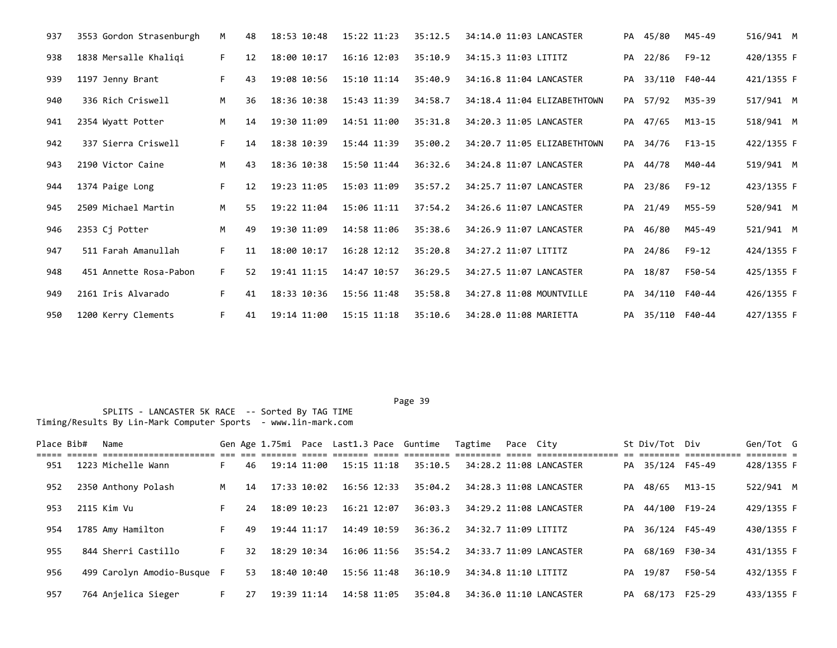| 937 | 3553 Gordon Strasenburgh | M  | 48 | 18:53 10:48 | 15:22 11:23     | 35:12.5 | 34:14.0 11:03 LANCASTER     |    | PA 45/80         | M45-49        | 516/941 M  |
|-----|--------------------------|----|----|-------------|-----------------|---------|-----------------------------|----|------------------|---------------|------------|
| 938 | 1838 Mersalle Khaligi    | F. | 12 | 18:00 10:17 | $16:16$ $12:03$ | 35:10.9 | 34:15.3 11:03 LITITZ        |    | PA 22/86         | $F9 - 12$     | 420/1355 F |
| 939 | 1197 Jenny Brant         | F. | 43 | 19:08 10:56 | 15:10 11:14     | 35:40.9 | 34:16.8 11:04 LANCASTER     | PA |                  | 33/110 F40-44 | 421/1355 F |
| 940 | 336 Rich Criswell        | M  | 36 | 18:36 10:38 | 15:43 11:39     | 34:58.7 | 34:18.4 11:04 ELIZABETHTOWN | PA | 57/92            | M35-39        | 517/941 M  |
| 941 | 2354 Wyatt Potter        | M  | 14 | 19:30 11:09 | 14:51 11:00     | 35:31.8 | 34:20.3 11:05 LANCASTER     | PA | 47/65            | $M13 - 15$    | 518/941 M  |
| 942 | 337 Sierra Criswell      | F. | 14 | 18:38 10:39 | 15:44 11:39     | 35:00.2 | 34:20.7 11:05 ELIZABETHTOWN |    | PA 34/76         | F13-15        | 422/1355 F |
| 943 | 2190 Victor Caine        | M  | 43 | 18:36 10:38 | 15:50 11:44     | 36:32.6 | 34:24.8 11:07 LANCASTER     | PA | 44/78            | M40-44        | 519/941 M  |
| 944 | 1374 Paige Long          | F. | 12 | 19:23 11:05 | 15:03 11:09     | 35:57.2 | 34:25.7 11:07 LANCASTER     | PA | 23/86            | F9-12         | 423/1355 F |
| 945 | 2509 Michael Martin      | M  | 55 | 19:22 11:04 | 15:06 11:11     | 37:54.2 | 34:26.6 11:07 LANCASTER     |    | PA 21/49         | M55-59        | 520/941 M  |
| 946 | 2353 Cj Potter           | M  | 49 | 19:30 11:09 | 14:58 11:06     | 35:38.6 | 34:26.9 11:07 LANCASTER     | PA | 46/80            | M45-49        | 521/941 M  |
| 947 | 511 Farah Amanullah      | F. | 11 | 18:00 10:17 | 16:28 12:12     | 35:20.8 | 34:27.2 11:07 LITITZ        | PA | 24/86            | F9-12         | 424/1355 F |
| 948 | 451 Annette Rosa-Pabon   | F. | 52 | 19:41 11:15 | 14:47 10:57     | 36:29.5 | 34:27.5 11:07 LANCASTER     | PA | 18/87            | F50-54        | 425/1355 F |
| 949 | 2161 Iris Alvarado       | F. | 41 | 18:33 10:36 | 15:56 11:48     | 35:58.8 | 34:27.8 11:08 MOUNTVILLE    | PA |                  | 34/110 F40-44 | 426/1355 F |
| 950 | 1200 Kerry Clements      | F. | 41 | 19:14 11:00 | 15:15 11:18     | 35:10.6 | 34:28.0 11:08 MARIETTA      |    | PA 35/110 F40-44 |               | 427/1355 F |

Page 39 SPLITS - LANCASTER 5K RACE -- Sorted By TAG TIME Timing/Results By Lin-Mark Computer Sports - www.lin-mark.com

Place Bib# Name 6en Sen Age 1.75mi Pace Last1.3 Pace Guntime Tagtime Pace City 5t Div/Tot Div Gen/Tot G ===== ====== ====================== === === ======= ===== ======= ===== ========= ========= ===== ================ == ======== =========== ======== = 951 1223 Michelle Wann F 46 19:14 11:00 15:15 11:18 35:10.5 34:28.2 11:08 LANCASTER PA 35/124 F45-49 428/1355 F 952 2350 Anthony Polash M 14 17:33 10:02 16:56 12:33 35:04.2 34:28.3 11:08 LANCASTER PA 48/65 M13-15 522/941 M 953 2115 Kim Vu F 24 18:09 10:23 16:21 12:07 36:03.3 34:29.2 11:08 LANCASTER PA 44/100 F19-24 429/1355 F 954 1785 Amy Hamilton F 49 19:44 11:17 14:49 10:59 36:36.2 34:32.7 11:09 LITITZ PA 36/124 F45-49 430/1355 F 955 844 Sherri Castillo F 32 18:29 10:34 16:06 11:56 35:54.2 34:33.7 11:09 LANCASTER PA 68/169 F30-34 431/1355 F 956 499 Carolyn Amodio-Busque F 53 18:40 10:40 15:56 11:48 36:10.9 34:34.8 11:10 LITITZ PA 19/87 F50-54 432/1355 F 957 764 Anjelica Sieger F 27 19:39 11:14 14:58 11:05 35:04.8 34:36.0 11:10 LANCASTER PA 68/173 F25-29 433/1355 F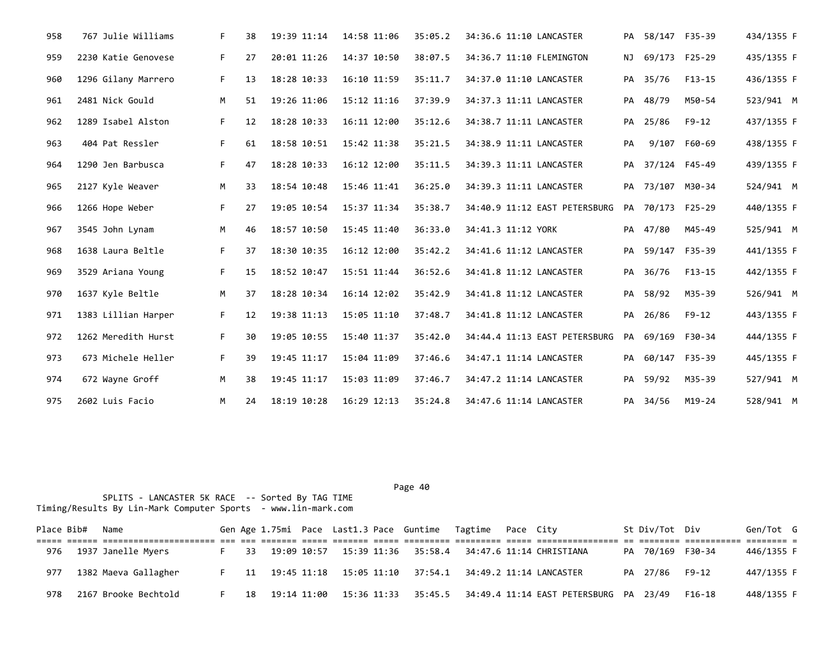| 958 | 767 Julie Williams  | F. | 38 | 19:39 11:14 | 14:58 11:06 | 35:05.2 | 34:36.6 11:10 LANCASTER       |    | PA 58/147 F35-39 |               | 434/1355 F |  |
|-----|---------------------|----|----|-------------|-------------|---------|-------------------------------|----|------------------|---------------|------------|--|
| 959 | 2230 Katie Genovese | F. | 27 | 20:01 11:26 | 14:37 10:50 | 38:07.5 | 34:36.7 11:10 FLEMINGTON      | NJ |                  | 69/173 F25-29 | 435/1355 F |  |
| 960 | 1296 Gilany Marrero | F. | 13 | 18:28 10:33 | 16:10 11:59 | 35:11.7 | 34:37.0 11:10 LANCASTER       |    | PA 35/76         | $F13-15$      | 436/1355 F |  |
| 961 | 2481 Nick Gould     | M  | 51 | 19:26 11:06 | 15:12 11:16 | 37:39.9 | 34:37.3 11:11 LANCASTER       | PA | 48/79            | M50-54        | 523/941 M  |  |
| 962 | 1289 Isabel Alston  | F. | 12 | 18:28 10:33 | 16:11 12:00 | 35:12.6 | 34:38.7 11:11 LANCASTER       | PA | 25/86            | F9-12         | 437/1355 F |  |
| 963 | 404 Pat Ressler     | F. | 61 | 18:58 10:51 | 15:42 11:38 | 35:21.5 | 34:38.9 11:11 LANCASTER       | PA |                  | 9/107 F60-69  | 438/1355 F |  |
| 964 | 1290 Jen Barbusca   | F. | 47 | 18:28 10:33 | 16:12 12:00 | 35:11.5 | 34:39.3 11:11 LANCASTER       | PA | 37/124 F45-49    |               | 439/1355 F |  |
| 965 | 2127 Kyle Weaver    | M  | 33 | 18:54 10:48 | 15:46 11:41 | 36:25.0 | 34:39.3 11:11 LANCASTER       |    | PA 73/107 M30-34 |               | 524/941 M  |  |
| 966 | 1266 Hope Weber     | F. | 27 | 19:05 10:54 | 15:37 11:34 | 35:38.7 | 34:40.9 11:12 EAST PETERSBURG |    | PA 70/173 F25-29 |               | 440/1355 F |  |
| 967 | 3545 John Lynam     | M  | 46 | 18:57 10:50 | 15:45 11:40 | 36:33.0 | 34:41.3 11:12 YORK            |    | PA 47/80         | M45-49        | 525/941 M  |  |
| 968 | 1638 Laura Beltle   | F  | 37 | 18:30 10:35 | 16:12 12:00 | 35:42.2 | 34:41.6 11:12 LANCASTER       | PA | 59/147 F35-39    |               | 441/1355 F |  |
| 969 | 3529 Ariana Young   | F. | 15 | 18:52 10:47 | 15:51 11:44 | 36:52.6 | 34:41.8 11:12 LANCASTER       | PA | 36/76            | F13-15        | 442/1355 F |  |
| 970 | 1637 Kyle Beltle    | M  | 37 | 18:28 10:34 | 16:14 12:02 | 35:42.9 | 34:41.8 11:12 LANCASTER       | PA | 58/92            | M35-39        | 526/941 M  |  |
| 971 | 1383 Lillian Harper | F. | 12 | 19:38 11:13 | 15:05 11:10 | 37:48.7 | 34:41.8 11:12 LANCASTER       |    | PA 26/86         | F9-12         | 443/1355 F |  |
| 972 | 1262 Meredith Hurst | F. | 30 | 19:05 10:55 | 15:40 11:37 | 35:42.0 | 34:44.4 11:13 EAST PETERSBURG | PA | 69/169 F30-34    |               | 444/1355 F |  |
| 973 | 673 Michele Heller  | F. | 39 | 19:45 11:17 | 15:04 11:09 | 37:46.6 | 34:47.1 11:14 LANCASTER       |    | PA 60/147 F35-39 |               | 445/1355 F |  |
| 974 | 672 Wayne Groff     | M  | 38 | 19:45 11:17 | 15:03 11:09 | 37:46.7 | 34:47.2 11:14 LANCASTER       |    | PA 59/92         | M35-39        | 527/941 M  |  |
| 975 | 2602 Luis Facio     | М  | 24 | 18:19 10:28 | 16:29 12:13 | 35:24.8 | 34:47.6 11:14 LANCASTER       |    | PA 34/56         | M19-24        | 528/941 M  |  |

|     | Place Bib# | Name                 |    |  |  | Gen Age 1.75mi Pace Last1.3 Pace Guntime Tagtime Pace City |  |                                                                                       | St Div/Tot Div   |        | Gen/Tot G  |  |
|-----|------------|----------------------|----|--|--|------------------------------------------------------------|--|---------------------------------------------------------------------------------------|------------------|--------|------------|--|
| 976 |            | 1937 Janelle Myers   |    |  |  | soooco ooco oococo ooco oocococo oocococo ooco ooco        |  | F 33 19:09 10:57 15:39 11:36 35:58.4 34:47.6 11:14 CHRISTIANA                         | PA 70/169 F30-34 |        | 446/1355 F |  |
| 977 |            | 1382 Maeva Gallagher | E. |  |  |                                                            |  | 11   19:45  11:18  15:05  11:10  37:54.1  34:49.2  11:14                    LANCASTER | PA 27/86 F9-12   |        | 447/1355 F |  |
| 978 |            | 2167 Brooke Bechtold |    |  |  |                                                            |  | 18  19:14  11:00  15:36  11:33  35:45.5  34:49.4  11:14  EAST PETERSBURG  PA  23/49   |                  | F16-18 | 448/1355 F |  |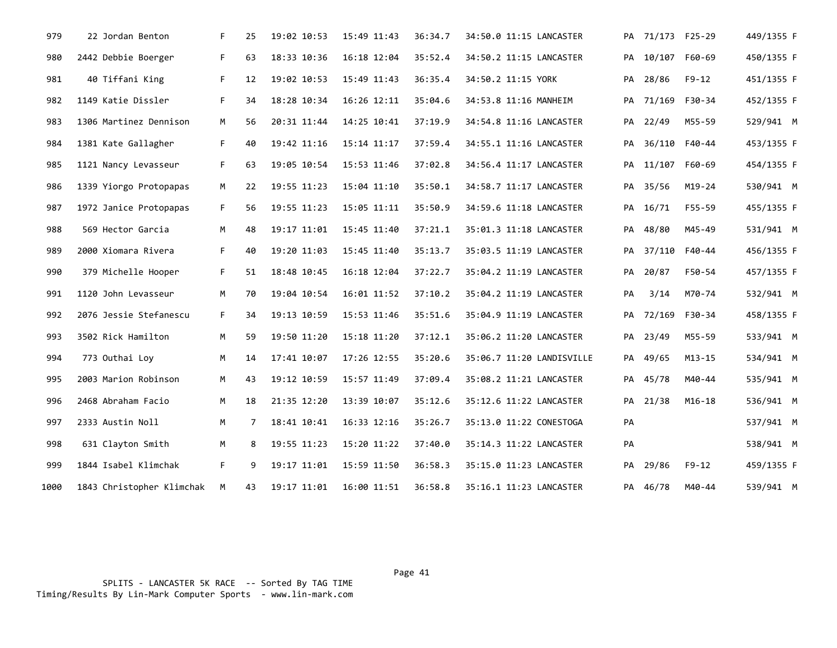| 979  | 22 Jordan Benton          | F. | 25 | 19:02 10:53 | 15:49 11:43 | 36:34.7 | 34:50.0 11:15 LANCASTER   |    | PA 71/173 F25-29 |               | 449/1355 F |
|------|---------------------------|----|----|-------------|-------------|---------|---------------------------|----|------------------|---------------|------------|
| 980  | 2442 Debbie Boerger       | F. | 63 | 18:33 10:36 | 16:18 12:04 | 35:52.4 | 34:50.2 11:15 LANCASTER   |    | PA 10/107 F60-69 |               | 450/1355 F |
| 981  | 40 Tiffani King           | F. | 12 | 19:02 10:53 | 15:49 11:43 | 36:35.4 | 34:50.2 11:15 YORK        | PA | 28/86            | $F9-12$       | 451/1355 F |
| 982  | 1149 Katie Dissler        | F. | 34 | 18:28 10:34 | 16:26 12:11 | 35:04.6 | 34:53.8 11:16 MANHEIM     |    | PA 71/169 F30-34 |               | 452/1355 F |
| 983  | 1306 Martinez Dennison    | M  | 56 | 20:31 11:44 | 14:25 10:41 | 37:19.9 | 34:54.8 11:16 LANCASTER   |    | PA 22/49         | M55-59        | 529/941 M  |
| 984  | 1381 Kate Gallagher       | F. | 40 | 19:42 11:16 | 15:14 11:17 | 37:59.4 | 34:55.1 11:16 LANCASTER   | PA |                  | 36/110 F40-44 | 453/1355 F |
| 985  | 1121 Nancy Levasseur      | F. | 63 | 19:05 10:54 | 15:53 11:46 | 37:02.8 | 34:56.4 11:17 LANCASTER   |    | PA 11/107 F60-69 |               | 454/1355 F |
| 986  | 1339 Yiorgo Protopapas    | M  | 22 | 19:55 11:23 | 15:04 11:10 | 35:50.1 | 34:58.7 11:17 LANCASTER   |    | PA 35/56         | $M19-24$      | 530/941 M  |
| 987  | 1972 Janice Protopapas    | F. | 56 | 19:55 11:23 | 15:05 11:11 | 35:50.9 | 34:59.6 11:18 LANCASTER   |    | PA 16/71         | F55-59        | 455/1355 F |
| 988  | 569 Hector Garcia         | M  | 48 | 19:17 11:01 | 15:45 11:40 | 37:21.1 | 35:01.3 11:18 LANCASTER   |    | PA 48/80         | M45-49        | 531/941 M  |
| 989  | 2000 Xiomara Rivera       | F. | 40 | 19:20 11:03 | 15:45 11:40 | 35:13.7 | 35:03.5 11:19 LANCASTER   |    | PA 37/110 F40-44 |               | 456/1355 F |
| 990  | 379 Michelle Hooper       | F. | 51 | 18:48 10:45 | 16:18 12:04 | 37:22.7 | 35:04.2 11:19 LANCASTER   |    | PA 20/87         | F50-54        | 457/1355 F |
| 991  | 1120 John Levasseur       | M  | 70 | 19:04 10:54 | 16:01 11:52 | 37:10.2 | 35:04.2 11:19 LANCASTER   | PA | 3/14             | M70-74        | 532/941 M  |
| 992  | 2076 Jessie Stefanescu    | F. | 34 | 19:13 10:59 | 15:53 11:46 | 35:51.6 | 35:04.9 11:19 LANCASTER   |    | PA 72/169 F30-34 |               | 458/1355 F |
| 993  | 3502 Rick Hamilton        | M  | 59 | 19:50 11:20 | 15:18 11:20 | 37:12.1 | 35:06.2 11:20 LANCASTER   |    | PA 23/49         | M55-59        | 533/941 M  |
| 994  | 773 Outhai Loy            | M  | 14 | 17:41 10:07 | 17:26 12:55 | 35:20.6 | 35:06.7 11:20 LANDISVILLE |    | PA 49/65         | $M13 - 15$    | 534/941 M  |
| 995  | 2003 Marion Robinson      | M  | 43 | 19:12 10:59 | 15:57 11:49 | 37:09.4 | 35:08.2 11:21 LANCASTER   |    | PA 45/78         | M40-44        | 535/941 M  |
| 996  | 2468 Abraham Facio        | M  | 18 | 21:35 12:20 | 13:39 10:07 | 35:12.6 | 35:12.6 11:22 LANCASTER   |    | PA 21/38         | $M16-18$      | 536/941 M  |
| 997  | 2333 Austin Noll          | M  | 7  | 18:41 10:41 | 16:33 12:16 | 35:26.7 | 35:13.0 11:22 CONESTOGA   | PA |                  |               | 537/941 M  |
| 998  | 631 Clayton Smith         | M  | 8  | 19:55 11:23 | 15:20 11:22 | 37:40.0 | 35:14.3 11:22 LANCASTER   | PA |                  |               | 538/941 M  |
| 999  | 1844 Isabel Klimchak      | F. | 9  | 19:17 11:01 | 15:59 11:50 | 36:58.3 | 35:15.0 11:23 LANCASTER   | PA | 29/86            | F9-12         | 459/1355 F |
| 1000 | 1843 Christopher Klimchak | M  | 43 | 19:17 11:01 | 16:00 11:51 | 36:58.8 | 35:16.1 11:23 LANCASTER   |    | PA 46/78         | M40-44        | 539/941 M  |

 SPLITS - LANCASTER 5K RACE -- Sorted By TAG TIME Timing/Results By Lin-Mark Computer Sports - www.lin-mark.com

Page 41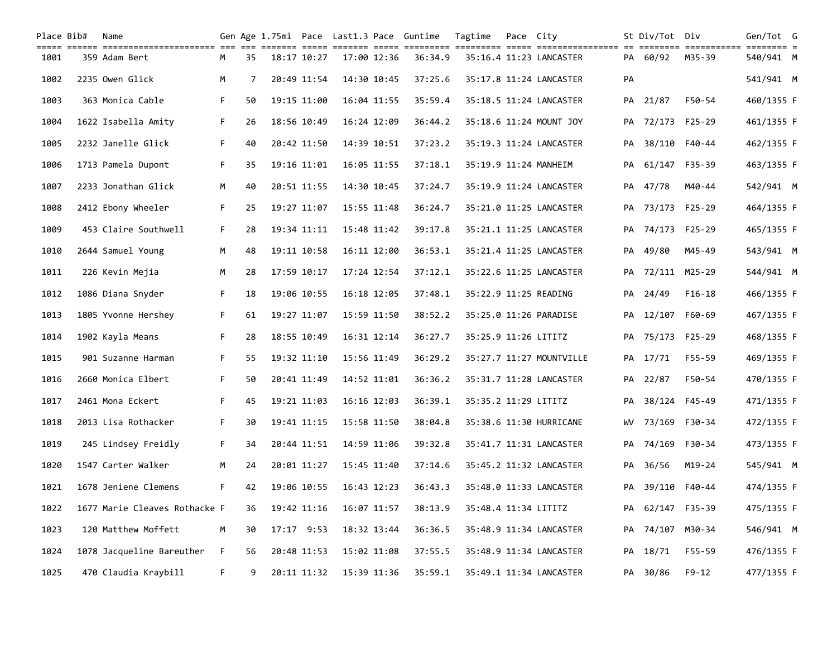| Place Bib# | Name                                                                                                                            |    |    |              |             |             | Gen Age 1.75mi Pace Last1.3 Pace Guntime | Tagtime              | Pace City |                          |    | St Div/Tot Div   |            | Gen/Tot G  |  |
|------------|---------------------------------------------------------------------------------------------------------------------------------|----|----|--------------|-------------|-------------|------------------------------------------|----------------------|-----------|--------------------------|----|------------------|------------|------------|--|
| 1001       | acco coro concorrectamento de se serior com coron com content contin como any extendiones of concert concertiv<br>359 Adam Bert | м  | 35 | 18:17 10:27  |             | 17:00 12:36 | 36:34.9                                  |                      |           | 35:16.4 11:23 LANCASTER  |    | PA 60/92         | M35-39     | 540/941 M  |  |
| 1002       | 2235 Owen Glick                                                                                                                 | M  | 7  | 20:49 11:54  |             | 14:30 10:45 | 37:25.6                                  |                      |           | 35:17.8 11:24 LANCASTER  | PA |                  |            | 541/941 M  |  |
| 1003       | 363 Monica Cable                                                                                                                | F. | 50 | 19:15 11:00  |             | 16:04 11:55 | 35:59.4                                  |                      |           | 35:18.5 11:24 LANCASTER  |    | PA 21/87         | F50-54     | 460/1355 F |  |
| 1004       | 1622 Isabella Amity                                                                                                             | F. | 26 | 18:56 10:49  |             | 16:24 12:09 | 36:44.2                                  |                      |           | 35:18.6 11:24 MOUNT JOY  | PA | 72/173           | F25-29     | 461/1355 F |  |
| 1005       | 2232 Janelle Glick                                                                                                              | F. | 40 | 20:42 11:50  |             | 14:39 10:51 | 37:23.2                                  |                      |           | 35:19.3 11:24 LANCASTER  |    | PA 38/110 F40-44 |            | 462/1355 F |  |
| 1006       | 1713 Pamela Dupont                                                                                                              | F. | 35 | 19:16 11:01  |             | 16:05 11:55 | 37:18.1                                  |                      |           | 35:19.9 11:24 MANHEIM    | PA | 61/147 F35-39    |            | 463/1355 F |  |
| 1007       | 2233 Jonathan Glick                                                                                                             | M  | 40 | 20:51 11:55  |             | 14:30 10:45 | 37:24.7                                  |                      |           | 35:19.9 11:24 LANCASTER  |    | PA 47/78         | M40-44     | 542/941 M  |  |
| 1008       | 2412 Ebony Wheeler                                                                                                              | F. | 25 | 19:27 11:07  |             | 15:55 11:48 | 36:24.7                                  |                      |           | 35:21.0 11:25 LANCASTER  |    | PA 73/173 F25-29 |            | 464/1355 F |  |
| 1009       | 453 Claire Southwell                                                                                                            | F. | 28 | 19:34 11:11  | 15:48 11:42 |             | 39:17.8                                  |                      |           | 35:21.1 11:25 LANCASTER  |    | PA 74/173 F25-29 |            | 465/1355 F |  |
| 1010       | 2644 Samuel Young                                                                                                               | М  | 48 | 19:11 10:58  |             | 16:11 12:00 | 36:53.1                                  |                      |           | 35:21.4 11:25 LANCASTER  | PA | 49/80            | M45-49     | 543/941 M  |  |
| 1011       | 226 Kevin Mejia                                                                                                                 | M  | 28 | 17:59 10:17  |             | 17:24 12:54 | 37:12.1                                  |                      |           | 35:22.6 11:25 LANCASTER  |    | PA 72/111 M25-29 |            | 544/941 M  |  |
| 1012       | 1086 Diana Snyder                                                                                                               | F. | 18 | 19:06 10:55  | 16:18 12:05 |             | 37:48.1                                  |                      |           | 35:22.9 11:25 READING    | PA | 24/49            | $F16-18$   | 466/1355 F |  |
| 1013       | 1805 Yvonne Hershey                                                                                                             | F. | 61 | 19:27 11:07  |             | 15:59 11:50 | 38:52.2                                  |                      |           | 35:25.0 11:26 PARADISE   |    | PA 12/107 F60-69 |            | 467/1355 F |  |
| 1014       | 1902 Kayla Means                                                                                                                | F. | 28 | 18:55 10:49  |             | 16:31 12:14 | 36:27.7                                  | 35:25.9 11:26 LITITZ |           |                          |    | PA 75/173 F25-29 |            | 468/1355 F |  |
| 1015       | 901 Suzanne Harman                                                                                                              | F. | 55 | 19:32 11:10  |             | 15:56 11:49 | 36:29.2                                  |                      |           | 35:27.7 11:27 MOUNTVILLE |    | PA 17/71         | F55-59     | 469/1355 F |  |
| 1016       | 2660 Monica Elbert                                                                                                              | F. | 50 | 20:41 11:49  |             | 14:52 11:01 | 36:36.2                                  |                      |           | 35:31.7 11:28 LANCASTER  |    | PA 22/87         | F50-54     | 470/1355 F |  |
| 1017       | 2461 Mona Eckert                                                                                                                | F. | 45 | 19:21 11:03  |             | 16:16 12:03 | 36:39.1                                  | 35:35.2 11:29 LITITZ |           |                          | PA | 38/124           | F45-49     | 471/1355 F |  |
| 1018       | 2013 Lisa Rothacker                                                                                                             | F. | 30 | 19:41 11:15  |             | 15:58 11:50 | 38:04.8                                  |                      |           | 35:38.6 11:30 HURRICANE  |    | WV 73/169 F30-34 |            | 472/1355 F |  |
| 1019       | 245 Lindsey Freidly                                                                                                             | F. | 34 | 20:44 11:51  |             | 14:59 11:06 | 39:32.8                                  |                      |           | 35:41.7 11:31 LANCASTER  |    | PA 74/169 F30-34 |            | 473/1355 F |  |
| 1020       | 1547 Carter Walker                                                                                                              | M  | 24 | 20:01 11:27  |             | 15:45 11:40 | 37:14.6                                  |                      |           | 35:45.2 11:32 LANCASTER  |    | PA 36/56         | $M19 - 24$ | 545/941 M  |  |
| 1021       | 1678 Jeniene Clemens                                                                                                            | F. | 42 | 19:06 10:55  | 16:43 12:23 |             | 36:43.3                                  |                      |           | 35:48.0 11:33 LANCASTER  |    | PA 39/110        | F40-44     | 474/1355 F |  |
| 1022       | 1677 Marie Cleaves Rothacke F                                                                                                   |    | 36 | 19:42 11:16  |             | 16:07 11:57 | 38:13.9                                  | 35:48.4 11:34 LITITZ |           |                          |    | PA 62/147 F35-39 |            | 475/1355 F |  |
| 1023       | 120 Matthew Moffett                                                                                                             | М  | 30 | $17:17$ 9:53 |             | 18:32 13:44 | 36:36.5                                  |                      |           | 35:48.9 11:34 LANCASTER  | PA | 74/107 M30-34    |            | 546/941 M  |  |
| 1024       | 1078 Jacqueline Bareuther                                                                                                       | F. | 56 | 20:48 11:53  |             | 15:02 11:08 | 37:55.5                                  |                      |           | 35:48.9 11:34 LANCASTER  |    | PA 18/71         | F55-59     | 476/1355 F |  |
| 1025       | 470 Claudia Kraybill                                                                                                            | F. | 9  | 20:11 11:32  | 15:39 11:36 |             | 35:59.1                                  |                      |           | 35:49.1 11:34 LANCASTER  |    | PA 30/86         | $F9 - 12$  | 477/1355 F |  |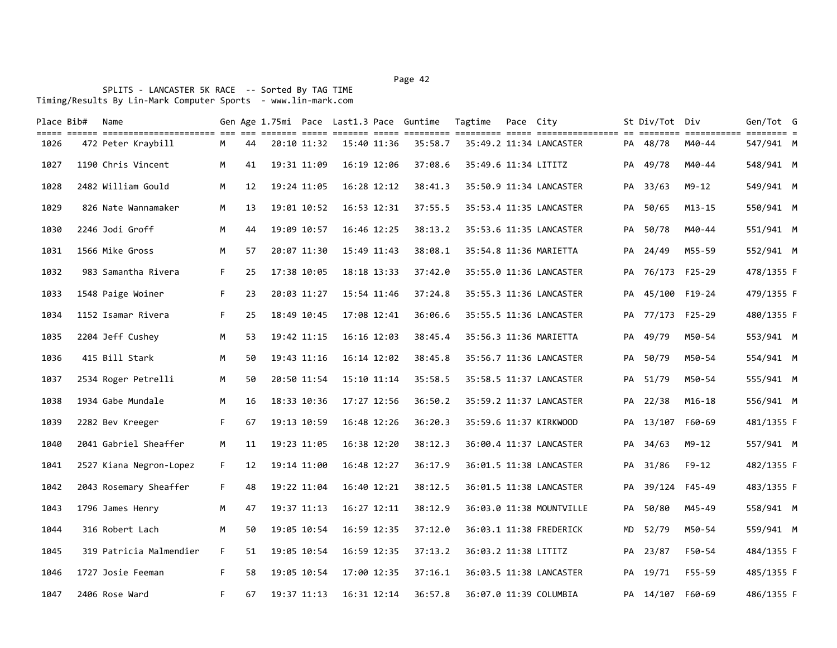### Page 42 and the state of the state of the state of the state of the state of the state of the state of the state of the state of the state of the state of the state of the state of the state of the state of the state of th

| Place Bib# | Name<br>colo colo colociociociocio di se citili colo citili colo colocio citili colocio colo colociocio e citili citili |    |    |             |             |             | Gen Age 1.75mi Pace Last1.3 Pace Guntime | Tagtime              | Pace City |                          |    | St Div/Tot Div   |            | Gen/Tot G  |  |
|------------|-------------------------------------------------------------------------------------------------------------------------|----|----|-------------|-------------|-------------|------------------------------------------|----------------------|-----------|--------------------------|----|------------------|------------|------------|--|
| 1026       | 472 Peter Kraybill                                                                                                      | М  | 44 | 20:10 11:32 |             | 15:40 11:36 | 35:58.7                                  |                      |           | 35:49.2 11:34 LANCASTER  |    | PA 48/78         | M40-44     | 547/941 M  |  |
| 1027       | 1190 Chris Vincent                                                                                                      | M  | 41 | 19:31 11:09 |             | 16:19 12:06 | 37:08.6                                  | 35:49.6 11:34 LITITZ |           |                          |    | PA 49/78         | M40-44     | 548/941 M  |  |
| 1028       | 2482 William Gould                                                                                                      | M  | 12 | 19:24 11:05 |             | 16:28 12:12 | 38:41.3                                  |                      |           | 35:50.9 11:34 LANCASTER  |    | PA 33/63         | $M9 - 12$  | 549/941 M  |  |
| 1029       | 826 Nate Wannamaker                                                                                                     | M  | 13 | 19:01 10:52 | 16:53 12:31 |             | 37:55.5                                  |                      |           | 35:53.4 11:35 LANCASTER  |    | PA 50/65         | $M13 - 15$ | 550/941 M  |  |
| 1030       | 2246 Jodi Groff                                                                                                         | M  | 44 | 19:09 10:57 |             | 16:46 12:25 | 38:13.2                                  |                      |           | 35:53.6 11:35 LANCASTER  |    | PA 50/78         | M40-44     | 551/941 M  |  |
| 1031       | 1566 Mike Gross                                                                                                         | M  | 57 | 20:07 11:30 | 15:49 11:43 |             | 38:08.1                                  |                      |           | 35:54.8 11:36 MARIETTA   |    | PA 24/49         | M55-59     | 552/941 M  |  |
| 1032       | 983 Samantha Rivera                                                                                                     | F. | 25 | 17:38 10:05 | 18:18 13:33 |             | 37:42.0                                  |                      |           | 35:55.0 11:36 LANCASTER  |    | PA 76/173 F25-29 |            | 478/1355 F |  |
| 1033       | 1548 Paige Woiner                                                                                                       | F. | 23 | 20:03 11:27 |             | 15:54 11:46 | 37:24.8                                  |                      |           | 35:55.3 11:36 LANCASTER  |    | PA 45/100 F19-24 |            | 479/1355 F |  |
| 1034       | 1152 Isamar Rivera                                                                                                      | F. | 25 | 18:49 10:45 |             | 17:08 12:41 | 36:06.6                                  |                      |           | 35:55.5 11:36 LANCASTER  |    | PA 77/173 F25-29 |            | 480/1355 F |  |
| 1035       | 2204 Jeff Cushey                                                                                                        | M  | 53 | 19:42 11:15 | 16:16 12:03 |             | 38:45.4                                  |                      |           | 35:56.3 11:36 MARIETTA   |    | PA 49/79         | M50-54     | 553/941 M  |  |
| 1036       | 415 Bill Stark                                                                                                          | M  | 50 | 19:43 11:16 |             | 16:14 12:02 | 38:45.8                                  |                      |           | 35:56.7 11:36 LANCASTER  |    | PA 50/79         | M50-54     | 554/941 M  |  |
| 1037       | 2534 Roger Petrelli                                                                                                     | M  | 50 | 20:50 11:54 | 15:10 11:14 |             | 35:58.5                                  |                      |           | 35:58.5 11:37 LANCASTER  |    | PA 51/79         | M50-54     | 555/941 M  |  |
| 1038       | 1934 Gabe Mundale                                                                                                       | M  | 16 | 18:33 10:36 |             | 17:27 12:56 | 36:50.2                                  |                      |           | 35:59.2 11:37 LANCASTER  |    | PA 22/38         | $M16 - 18$ | 556/941 M  |  |
| 1039       | 2282 Bev Kreeger                                                                                                        | F. | 67 | 19:13 10:59 | 16:48 12:26 |             | 36:20.3                                  |                      |           | 35:59.6 11:37 KIRKWOOD   |    | PA 13/107 F60-69 |            | 481/1355 F |  |
| 1040       | 2041 Gabriel Sheaffer                                                                                                   | M  | 11 | 19:23 11:05 |             | 16:38 12:20 | 38:12.3                                  |                      |           | 36:00.4 11:37 LANCASTER  | PA | 34/63            | M9-12      | 557/941 M  |  |
| 1041       | 2527 Kiana Negron-Lopez                                                                                                 | F. | 12 | 19:14 11:00 |             | 16:48 12:27 | 36:17.9                                  |                      |           | 36:01.5 11:38 LANCASTER  |    | PA 31/86         | F9-12      | 482/1355 F |  |
| 1042       | 2043 Rosemary Sheaffer                                                                                                  | F. | 48 | 19:22 11:04 |             | 16:40 12:21 | 38:12.5                                  |                      |           | 36:01.5 11:38 LANCASTER  |    | PA 39/124 F45-49 |            | 483/1355 F |  |
| 1043       | 1796 James Henry                                                                                                        | M  | 47 | 19:37 11:13 |             | 16:27 12:11 | 38:12.9                                  |                      |           | 36:03.0 11:38 MOUNTVILLE | PA | 50/80            | M45-49     | 558/941 M  |  |
| 1044       | 316 Robert Lach                                                                                                         | M  | 50 | 19:05 10:54 |             | 16:59 12:35 | 37:12.0                                  |                      |           | 36:03.1 11:38 FREDERICK  |    | MD 52/79         | M50-54     | 559/941 M  |  |
| 1045       | 319 Patricia Malmendier                                                                                                 | F. | 51 | 19:05 10:54 |             | 16:59 12:35 | 37:13.2                                  | 36:03.2 11:38 LITITZ |           |                          |    | PA 23/87         | F50-54     | 484/1355 F |  |
| 1046       | 1727 Josie Feeman                                                                                                       | F. | 58 | 19:05 10:54 | 17:00 12:35 |             | 37:16.1                                  |                      |           | 36:03.5 11:38 LANCASTER  | PA | 19/71            | F55-59     | 485/1355 F |  |
| 1047       | 2406 Rose Ward                                                                                                          | F. | 67 | 19:37 11:13 |             | 16:31 12:14 | 36:57.8                                  |                      |           | 36:07.0 11:39 COLUMBIA   |    | PA 14/107 F60-69 |            | 486/1355 F |  |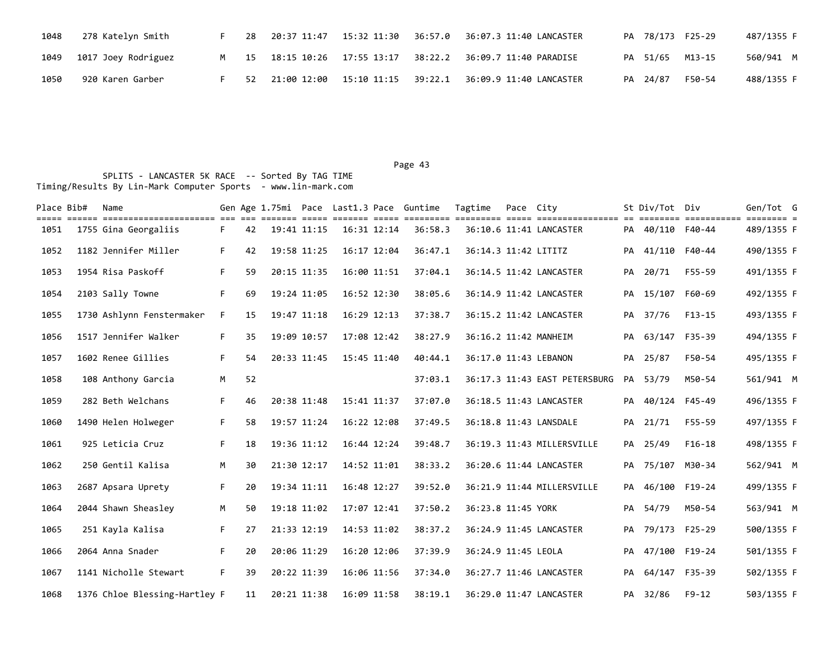| 1048 | 278 Katelyn Smith        |  |  | 28   20:37   11:47   15:32   11:30   36:57.0   36:07.3   11:40   LANCASTER | PA 78/173 F25-29 | 487/1355 F |
|------|--------------------------|--|--|----------------------------------------------------------------------------|------------------|------------|
|      | 1049 1017 Joey Rodriguez |  |  | M 15 18:15 10:26 17:55 13:17 38:22.2 36:09.7 11:40 PARADISE                | PA 51/65 M13-15  | 560/941 M  |
| 1050 | 920 Karen Garber         |  |  | 52   21:00   12:00   15:10   11:15   39:22.1   36:09.9   11:40   LANCASTER | PA 24/87 F50-54  | 488/1355 F |

| Place Bib# | Name<br>stici initionistici ini in the control of the server of the server of the server of the server initionistic of |    |    |             |                 | Gen Age 1.75mi Pace Last1.3 Pace Guntime | Tagtime               | Pace City |                               |    | St Div/Tot Div   | ========= ============ ======== = | Gen/Tot G  |  |
|------------|------------------------------------------------------------------------------------------------------------------------|----|----|-------------|-----------------|------------------------------------------|-----------------------|-----------|-------------------------------|----|------------------|-----------------------------------|------------|--|
| 1051       | 1755 Gina Georgaliis                                                                                                   | F. | 42 | 19:41 11:15 | $16:31$ $12:14$ | 36:58.3                                  |                       |           | 36:10.6 11:41 LANCASTER       |    | PA 40/110 F40-44 |                                   | 489/1355 F |  |
| 1052       | 1182 Jennifer Miller                                                                                                   | F. | 42 | 19:58 11:25 | 16:17 12:04     | 36:47.1                                  | 36:14.3 11:42 LITITZ  |           |                               | PA | 41/110 F40-44    |                                   | 490/1355 F |  |
| 1053       | 1954 Risa Paskoff                                                                                                      | F. | 59 | 20:15 11:35 | 16:00 11:51     | 37:04.1                                  |                       |           | 36:14.5 11:42 LANCASTER       |    | PA 20/71         | F55-59                            | 491/1355 F |  |
| 1054       | 2103 Sally Towne                                                                                                       | F. | 69 | 19:24 11:05 | 16:52 12:30     | 38:05.6                                  |                       |           | 36:14.9 11:42 LANCASTER       |    | PA 15/107 F60-69 |                                   | 492/1355 F |  |
| 1055       | 1730 Ashlynn Fenstermaker                                                                                              | F. | 15 | 19:47 11:18 | 16:29 12:13     | 37:38.7                                  |                       |           | 36:15.2 11:42 LANCASTER       |    | PA 37/76         | $F13-15$                          | 493/1355 F |  |
| 1056       | 1517 Jennifer Walker                                                                                                   | F. | 35 | 19:09 10:57 | 17:08 12:42     | 38:27.9                                  | 36:16.2 11:42 MANHEIM |           |                               |    | PA 63/147 F35-39 |                                   | 494/1355 F |  |
| 1057       | 1602 Renee Gillies                                                                                                     | F. | 54 | 20:33 11:45 | 15:45 11:40     | 40:44.1                                  | 36:17.0 11:43 LEBANON |           |                               |    | PA 25/87         | F50-54                            | 495/1355 F |  |
| 1058       | 108 Anthony Garcia                                                                                                     | M  | 52 |             |                 | 37:03.1                                  |                       |           | 36:17.3 11:43 EAST PETERSBURG |    | PA 53/79         | M50-54                            | 561/941 M  |  |
| 1059       | 282 Beth Welchans                                                                                                      | F. | 46 | 20:38 11:48 | 15:41 11:37     | 37:07.0                                  |                       |           | 36:18.5 11:43 LANCASTER       |    | PA 40/124 F45-49 |                                   | 496/1355 F |  |
| 1060       | 1490 Helen Holweger                                                                                                    | F. | 58 | 19:57 11:24 | 16:22 12:08     | 37:49.5                                  |                       |           | 36:18.8 11:43 LANSDALE        |    | PA 21/71         | F55-59                            | 497/1355 F |  |
| 1061       | 925 Leticia Cruz                                                                                                       | F. | 18 | 19:36 11:12 | 16:44 12:24     | 39:48.7                                  |                       |           | 36:19.3 11:43 MILLERSVILLE    |    | PA 25/49         | $F16-18$                          | 498/1355 F |  |
| 1062       | 250 Gentil Kalisa                                                                                                      | M  | 30 | 21:30 12:17 | 14:52 11:01     | 38:33.2                                  |                       |           | 36:20.6 11:44 LANCASTER       |    | PA 75/107 M30-34 |                                   | 562/941 M  |  |
| 1063       | 2687 Apsara Uprety                                                                                                     | F. | 20 | 19:34 11:11 | 16:48 12:27     | 39:52.0                                  |                       |           | 36:21.9 11:44 MILLERSVILLE    |    | PA 46/100 F19-24 |                                   | 499/1355 F |  |
| 1064       | 2044 Shawn Sheasley                                                                                                    | M  | 50 | 19:18 11:02 | 17:07 12:41     | 37:50.2                                  | 36:23.8 11:45 YORK    |           |                               |    | PA 54/79         | M50-54                            | 563/941 M  |  |
| 1065       | 251 Kayla Kalisa                                                                                                       | F. | 27 | 21:33 12:19 | 14:53 11:02     | 38:37.2                                  |                       |           | 36:24.9 11:45 LANCASTER       |    | PA 79/173 F25-29 |                                   | 500/1355 F |  |
| 1066       | 2064 Anna Snader                                                                                                       | F. | 20 | 20:06 11:29 | 16:20 12:06     | 37:39.9                                  | 36:24.9 11:45 LEOLA   |           |                               |    | PA 47/100 F19-24 |                                   | 501/1355 F |  |
| 1067       | 1141 Nicholle Stewart                                                                                                  | F. | 39 | 20:22 11:39 | 16:06 11:56     | 37:34.0                                  |                       |           | 36:27.7 11:46 LANCASTER       |    | PA 64/147 F35-39 |                                   | 502/1355 F |  |
| 1068       | 1376 Chloe Blessing-Hartley F                                                                                          |    | 11 | 20:21 11:38 | 16:09 11:58     | 38:19.1                                  |                       |           | 36:29.0 11:47 LANCASTER       |    | PA 32/86         | $F9-12$                           | 503/1355 F |  |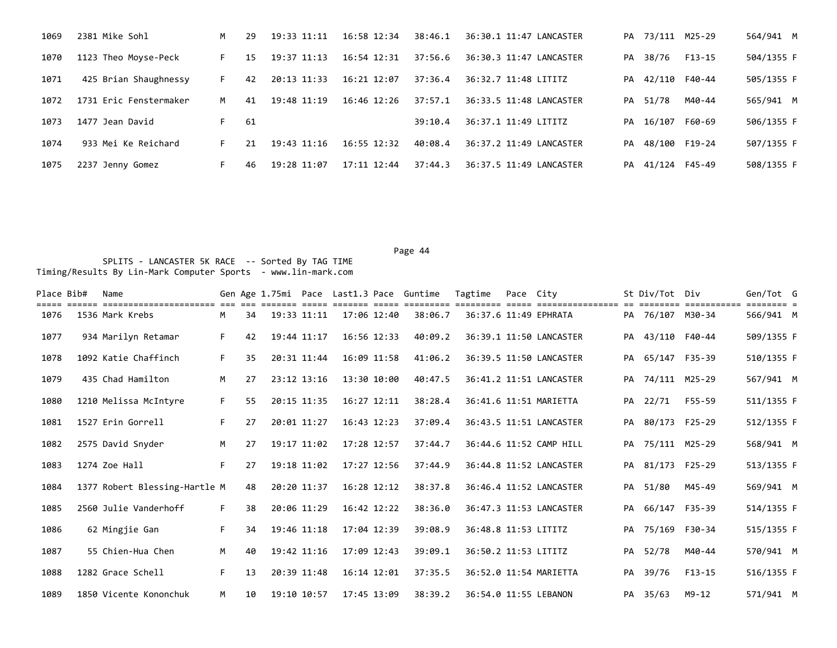| 1069 | 2381 Mike Sohl         | M  | 29 | 19:33 11:11 | 16:58 12:34     | 38:46.1 | 36:30.1 11:47 LANCASTER |    | PA 73/111 M25-29 |        | 564/941 M  |
|------|------------------------|----|----|-------------|-----------------|---------|-------------------------|----|------------------|--------|------------|
| 1070 | 1123 Theo Moyse-Peck   | F. | 15 | 19:37 11:13 | $16:54$ $12:31$ | 37:56.6 | 36:30.3 11:47 LANCASTER | PA | 38/76            | F13-15 | 504/1355 F |
| 1071 | 425 Brian Shaughnessy  | F. | 42 | 20:13 11:33 | 16:21 12:07     | 37:36.4 | 36:32.7 11:48 LITITZ    | PA | 42/110 F40-44    |        | 505/1355 F |
| 1072 | 1731 Eric Fenstermaker | M  | 41 | 19:48 11:19 | $16:46$ $12:26$ | 37:57.1 | 36:33.5 11:48 LANCASTER |    | PA 51/78         | M40-44 | 565/941 M  |
| 1073 | 1477 Jean David        | F. | 61 |             |                 | 39:10.4 | 36:37.1 11:49 LITITZ    | PA | 16/107           | F60-69 | 506/1355 F |
| 1074 | 933 Mei Ke Reichard    | F. | 21 | 19:43 11:16 | $16:55$ $12:32$ | 40:08.4 | 36:37.2 11:49 LANCASTER | PA | 48/100 F19-24    |        | 507/1355 F |
| 1075 | 2237 Jenny Gomez       | F. | 46 | 19:28 11:07 | 17:11 12:44     | 37:44.3 | 36:37.5 11:49 LANCASTER | PA | 41/124 F45-49    |        | 508/1355 F |

| Place Bib# | Name                                    |    |    |             |             | Gen Age 1.75mi Pace Last1.3 Pace Guntime |         | Tagtime              | Pace City |                         |    | St Div/Tot       | Div        | Gen/Tot G  |  |
|------------|-----------------------------------------|----|----|-------------|-------------|------------------------------------------|---------|----------------------|-----------|-------------------------|----|------------------|------------|------------|--|
| 1076       | --------------------<br>1536 Mark Krebs | M  | 34 |             | 19:33 11:11 | 17:06 12:40                              | 38:06.7 |                      |           | 36:37.6 11:49 EPHRATA   |    | PA 76/107 M30-34 | :========= | 566/941 M  |  |
| 1077       | 934 Marilyn Retamar                     | F. | 42 | 19:44 11:17 |             | 16:56 12:33                              | 40:09.2 |                      |           | 36:39.1 11:50 LANCASTER |    | PA 43/110 F40-44 |            | 509/1355 F |  |
| 1078       | 1092 Katie Chaffinch                    | F. | 35 |             | 20:31 11:44 | 16:09 11:58                              | 41:06.2 |                      |           | 36:39.5 11:50 LANCASTER | PA | 65/147 F35-39    |            | 510/1355 F |  |
| 1079       | 435 Chad Hamilton                       | M  | 27 |             | 23:12 13:16 | 13:30 10:00                              | 40:47.5 |                      |           | 36:41.2 11:51 LANCASTER | PA | 74/111 M25-29    |            | 567/941 M  |  |
| 1080       | 1210 Melissa McIntyre                   | F. | 55 | 20:15 11:35 |             | $16:27$ $12:11$                          | 38:28.4 |                      |           | 36:41.6 11:51 MARIETTA  |    | PA 22/71         | F55-59     | 511/1355 F |  |
| 1081       | 1527 Erin Gorrell                       | F. | 27 |             | 20:01 11:27 | 16:43 12:23                              | 37:09.4 |                      |           | 36:43.5 11:51 LANCASTER | PA | 80/173 F25-29    |            | 512/1355 F |  |
| 1082       | 2575 David Snyder                       | M  | 27 |             | 19:17 11:02 | 17:28 12:57                              | 37:44.7 |                      |           | 36:44.6 11:52 CAMP HILL |    | PA 75/111 M25-29 |            | 568/941 M  |  |
| 1083       | 1274 Zoe Hall                           | F. | 27 |             | 19:18 11:02 | 17:27 12:56                              | 37:44.9 |                      |           | 36:44.8 11:52 LANCASTER |    | PA 81/173 F25-29 |            | 513/1355 F |  |
| 1084       | 1377 Robert Blessing-Hartle M           |    | 48 |             | 20:20 11:37 | 16:28 12:12                              | 38:37.8 |                      |           | 36:46.4 11:52 LANCASTER |    | PA 51/80         | M45-49     | 569/941 M  |  |
| 1085       | 2560 Julie Vanderhoff                   | F. | 38 |             | 20:06 11:29 | 16:42 12:22                              | 38:36.0 |                      |           | 36:47.3 11:53 LANCASTER | PA | 66/147 F35-39    |            | 514/1355 F |  |
| 1086       | 62 Mingjie Gan                          | F. | 34 |             | 19:46 11:18 | 17:04 12:39                              | 39:08.9 | 36:48.8 11:53 LITITZ |           |                         | PA | 75/169 F30-34    |            | 515/1355 F |  |
| 1087       | 55 Chien-Hua Chen                       | M  | 40 | 19:42 11:16 |             | 17:09 12:43                              | 39:09.1 | 36:50.2 11:53 LITITZ |           |                         | PA | 52/78            | M40-44     | 570/941 M  |  |
| 1088       | 1282 Grace Schell                       | F. | 13 |             | 20:39 11:48 | 16:14 12:01                              | 37:35.5 |                      |           | 36:52.0 11:54 MARIETTA  | PA | 39/76            | $F13-15$   | 516/1355 F |  |
| 1089       | 1850 Vicente Kononchuk                  | M  | 10 | 19:10 10:57 |             | 17:45 13:09                              | 38:39.2 |                      |           | 36:54.0 11:55 LEBANON   |    | PA 35/63         | M9-12      | 571/941 M  |  |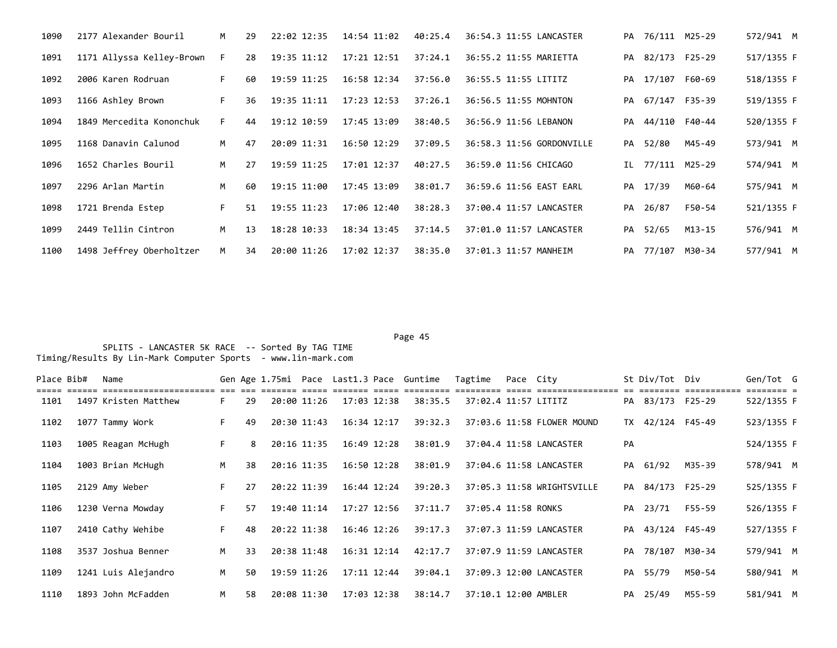| 1090 | 2177 Alexander Bouril     | M  | 29 | 22:02 12:35 | 14:54 11:02 | 40:25.4 | 36:54.3 11:55 LANCASTER   | PA 76/111 M25-29 |        | 572/941 M  |  |
|------|---------------------------|----|----|-------------|-------------|---------|---------------------------|------------------|--------|------------|--|
| 1091 | 1171 Allyssa Kelley-Brown | F. | 28 | 19:35 11:12 | 17:21 12:51 | 37:24.1 | 36:55.2 11:55 MARIETTA    | PA 82/173 F25-29 |        | 517/1355 F |  |
| 1092 | 2006 Karen Rodruan        | F. | 60 | 19:59 11:25 | 16:58 12:34 | 37:56.0 | 36:55.5 11:55 LITITZ      | PA 17/107 F60-69 |        | 518/1355 F |  |
| 1093 | 1166 Ashley Brown         | F. | 36 | 19:35 11:11 | 17:23 12:53 | 37:26.1 | 36:56.5 11:55 MOHNTON     | PA 67/147 F35-39 |        | 519/1355 F |  |
| 1094 | 1849 Mercedita Kononchuk  | F. | 44 | 19:12 10:59 | 17:45 13:09 | 38:40.5 | 36:56.9 11:56 LEBANON     | PA 44/110 F40-44 |        | 520/1355 F |  |
| 1095 | 1168 Danavin Calunod      | M  | 47 | 20:09 11:31 | 16:50 12:29 | 37:09.5 | 36:58.3 11:56 GORDONVILLE | PA 52/80         | M45-49 | 573/941 M  |  |
| 1096 | 1652 Charles Bouril       | M  | 27 | 19:59 11:25 | 17:01 12:37 | 40:27.5 | 36:59.0 11:56 CHICAGO     | IL 77/111 M25-29 |        | 574/941 M  |  |
| 1097 | 2296 Arlan Martin         | M  | 60 | 19:15 11:00 | 17:45 13:09 | 38:01.7 | 36:59.6 11:56 EAST EARL   | PA 17/39         | M60-64 | 575/941 M  |  |
| 1098 | 1721 Brenda Estep         | F. | 51 | 19:55 11:23 | 17:06 12:40 | 38:28.3 | 37:00.4 11:57 LANCASTER   | PA 26/87         | F50-54 | 521/1355 F |  |
| 1099 | 2449 Tellin Cintron       | M  | 13 | 18:28 10:33 | 18:34 13:45 | 37:14.5 | 37:01.0 11:57 LANCASTER   | PA 52/65         | M13-15 | 576/941 M  |  |
| 1100 | 1498 Jeffrey Oberholtzer  | M  | 34 | 20:00 11:26 | 17:02 12:37 | 38:35.0 | 37:01.3 11:57 MANHEIM     | PA 77/107 M30-34 |        | 577/941 M  |  |

| Place Bib# | Name                 |    |    |                 |                 | Gen Age 1.75mi Pace Last1.3 Pace Guntime | Tagtime              | Pace City |                            |    | St Div/Tot Div   |        | Gen/Tot G                |  |
|------------|----------------------|----|----|-----------------|-----------------|------------------------------------------|----------------------|-----------|----------------------------|----|------------------|--------|--------------------------|--|
| 1101       | 1497 Kristen Matthew | F. | 29 | 20:00 11:26     | 17:03 12:38     | 38:35.5                                  | 37:02.4 11:57 LITITZ |           |                            |    | PA 83/173 F25-29 |        | ======== =<br>522/1355 F |  |
| 1102       | 1077 Tammy Work      | F. | 49 | 20:30 11:43     | 16:34 12:17     | 39:32.3                                  |                      |           | 37:03.6 11:58 FLOWER MOUND |    | TX 42/124 F45-49 |        | 523/1355 F               |  |
| 1103       | 1005 Reagan McHugh   | F. | 8  | 20:16 11:35     | $16:49$ $12:28$ | 38:01.9                                  |                      |           | 37:04.4 11:58 LANCASTER    | PA |                  |        | 524/1355 F               |  |
| 1104       | 1003 Brian McHugh    | M  | 38 | 20:16 11:35     | 16:50 12:28     | 38:01.9                                  |                      |           | 37:04.6 11:58 LANCASTER    |    | PA 61/92         | M35-39 | 578/941 M                |  |
| 1105       | 2129 Amy Weber       | F. | 27 | 20:22 11:39     | $16:44$ $12:24$ | 39:20.3                                  |                      |           | 37:05.3 11:58 WRIGHTSVILLE |    | PA 84/173 F25-29 |        | 525/1355 F               |  |
| 1106       | 1230 Verna Mowday    | F. | 57 | $19:40$ $11:14$ | 17:27 12:56     | 37:11.7                                  | 37:05.4 11:58 RONKS  |           |                            |    | PA 23/71         | F55-59 | 526/1355 F               |  |
| 1107       | 2410 Cathy Wehibe    | F. | 48 | 20:22 11:38     | 16:46 12:26     | 39:17.3                                  |                      |           | 37:07.3 11:59 LANCASTER    |    | PA 43/124 F45-49 |        | 527/1355 F               |  |
| 1108       | 3537 Joshua Benner   | M  | 33 | 20:38 11:48     | $16:31$ $12:14$ | 42:17.7                                  |                      |           | 37:07.9 11:59 LANCASTER    |    | PA 78/107 M30-34 |        | 579/941 M                |  |
| 1109       | 1241 Luis Alejandro  | M  | 50 | 19:59 11:26     | 17:11 12:44     | 39:04.1                                  |                      |           | 37:09.3 12:00 LANCASTER    |    | PA 55/79         | M50-54 | 580/941 M                |  |
| 1110       | 1893 John McFadden   | M  | 58 | 20:08 11:30     | 17:03 12:38     | 38:14.7                                  | 37:10.1 12:00 AMBLER |           |                            |    | PA 25/49         | M55-59 | 581/941 M                |  |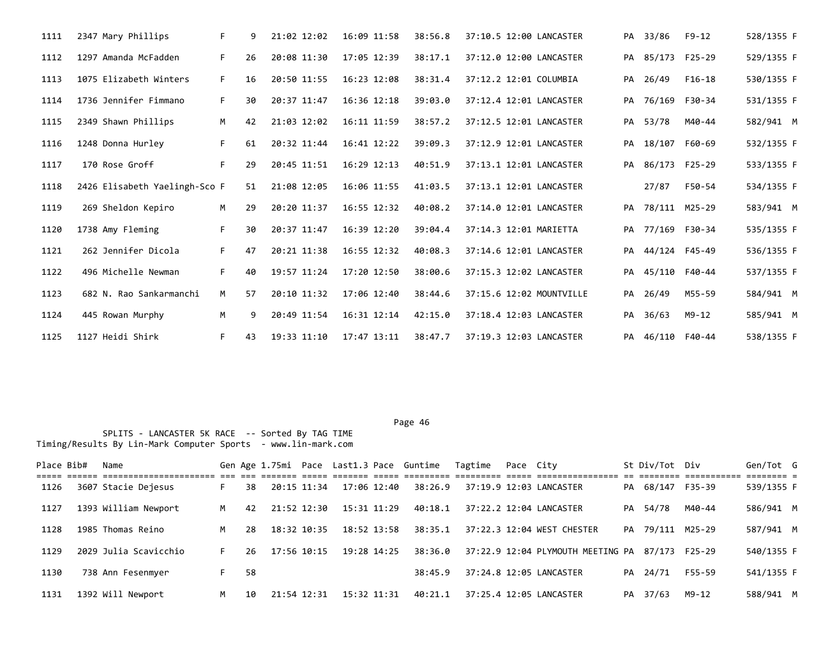| 1111 | 2347 Mary Phillips            | F. | 9  | 21:02 12:02 | 16:09 11:58     | 38:56.8 | 37:10.5 12:00 LANCASTER  |    | PA 33/86         | $F9 - 12$     | 528/1355 F |
|------|-------------------------------|----|----|-------------|-----------------|---------|--------------------------|----|------------------|---------------|------------|
| 1112 | 1297 Amanda McFadden          | F. | 26 | 20:08 11:30 | 17:05 12:39     | 38:17.1 | 37:12.0 12:00 LANCASTER  | PA | 85/173 F25-29    |               | 529/1355 F |
| 1113 | 1075 Elizabeth Winters        | F. | 16 | 20:50 11:55 | 16:23 12:08     | 38:31.4 | 37:12.2 12:01 COLUMBIA   | PA | 26/49            | $F16-18$      | 530/1355 F |
| 1114 | 1736 Jennifer Fimmano         | F. | 30 | 20:37 11:47 | $16:36$ $12:18$ | 39:03.0 | 37:12.4 12:01 LANCASTER  | PA | 76/169 F30-34    |               | 531/1355 F |
| 1115 | 2349 Shawn Phillips           | M  | 42 | 21:03 12:02 | 16:11 11:59     | 38:57.2 | 37:12.5 12:01 LANCASTER  | PA | 53/78            | M40-44        | 582/941 M  |
| 1116 | 1248 Donna Hurley             | F. | 61 | 20:32 11:44 | $16:41$ $12:22$ | 39:09.3 | 37:12.9 12:01 LANCASTER  | PA | 18/107 F60-69    |               | 532/1355 F |
| 1117 | 170 Rose Groff                | F. | 29 | 20:45 11:51 | $16:29$ $12:13$ | 40:51.9 | 37:13.1 12:01 LANCASTER  |    | PA 86/173 F25-29 |               | 533/1355 F |
| 1118 | 2426 Elisabeth Yaelingh-Sco F |    | 51 | 21:08 12:05 | 16:06 11:55     | 41:03.5 | 37:13.1 12:01 LANCASTER  |    | 27/87            | F50-54        | 534/1355 F |
| 1119 | 269 Sheldon Kepiro            | M  | 29 | 20:20 11:37 | $16:55$ $12:32$ | 40:08.2 | 37:14.0 12:01 LANCASTER  | PA | 78/111 M25-29    |               | 583/941 M  |
| 1120 | 1738 Amy Fleming              | F. | 30 | 20:37 11:47 | 16:39 12:20     | 39:04.4 | 37:14.3 12:01 MARIETTA   | PA | 77/169 F30-34    |               | 535/1355 F |
| 1121 | 262 Jennifer Dicola           | F. | 47 | 20:21 11:38 | $16:55$ $12:32$ | 40:08.3 | 37:14.6 12:01 LANCASTER  | PA |                  | 44/124 F45-49 | 536/1355 F |
| 1122 | 496 Michelle Newman           | F. | 40 | 19:57 11:24 | 17:20 12:50     | 38:00.6 | 37:15.3 12:02 LANCASTER  | PA |                  | 45/110 F40-44 | 537/1355 F |
| 1123 | 682 N. Rao Sankarmanchi       | M  | 57 | 20:10 11:32 | 17:06 12:40     | 38:44.6 | 37:15.6 12:02 MOUNTVILLE | PA | 26/49            | M55-59        | 584/941 M  |
| 1124 | 445 Rowan Murphy              | M  | 9  | 20:49 11:54 | $16:31$ $12:14$ | 42:15.0 | 37:18.4 12:03 LANCASTER  | PA | 36/63            | M9-12         | 585/941 M  |
| 1125 | 1127 Heidi Shirk              | F. | 43 | 19:33 11:10 | 17:47 13:11     | 38:47.7 | 37:19.3 12:03 LANCASTER  |    | PA 46/110 F40-44 |               | 538/1355 F |

| Place Bib# | Name                  |   |     |             |             | Gen Age 1.75mi Pace Last1.3 Pace Guntime Tagtime | Pace City |                                                 | St Div/Tot Div   |                                 | Gen/Tot G  |  |
|------------|-----------------------|---|-----|-------------|-------------|--------------------------------------------------|-----------|-------------------------------------------------|------------------|---------------------------------|------------|--|
| 1126       | 3607 Stacie Dejesus   |   | 38  | 20:15 11:34 | 17:06 12:40 | 38:26.9                                          |           | 37:19.9 12:03 LANCASTER                         | PA 68/147 F35-39 | --------- ----------- ------- - | 539/1355 F |  |
| 1127       | 1393 William Newport  | M | 42  | 21:52 12:30 | 15:31 11:29 | 40:18.1                                          |           | 37:22.2 12:04 LANCASTER                         | PA 54/78         | M40-44                          | 586/941 M  |  |
| 1128       | 1985 Thomas Reino     | м | 28  | 18:32 10:35 | 18:52 13:58 | 38:35.1                                          |           | 37:22.3 12:04 WEST CHESTER                      | PA 79/111 M25-29 |                                 | 587/941 M  |  |
| 1129       | 2029 Julia Scavicchio |   | 26. | 17:56 10:15 | 19:28 14:25 | 38:36.0                                          |           | 37:22.9 12:04 PLYMOUTH MEETING PA 87/173 F25-29 |                  |                                 | 540/1355 F |  |
| 1130       | 738 Ann Fesenmyer     |   | 58  |             |             | 38:45.9                                          |           | 37:24.8 12:05 LANCASTER                         | PA 24/71         | F55-59                          | 541/1355 F |  |
| 1131       | 1392 Will Newport     | M | 10  | 21:54 12:31 | 15:32 11:31 | 40:21.1                                          |           | 37:25.4 12:05 LANCASTER                         | PA 37/63         | M9-12                           | 588/941 M  |  |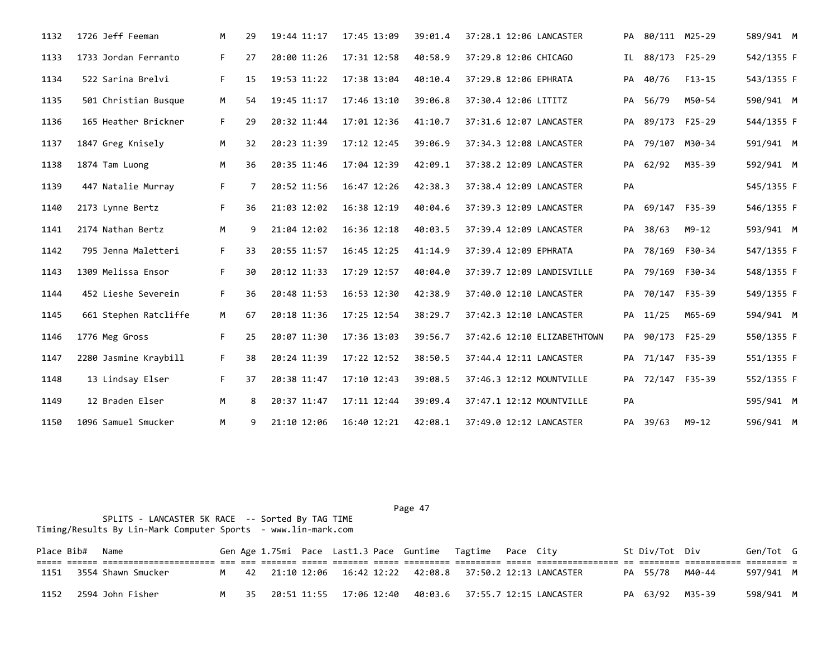| 1132 | 1726 Jeff Feeman      | M  | 29 | 19:44 11:17 | 17:45 13:09 | 39:01.4 | 37:28.1 12:06 LANCASTER     |     | PA 80/111 M25-29 |                  | 589/941 M  |
|------|-----------------------|----|----|-------------|-------------|---------|-----------------------------|-----|------------------|------------------|------------|
| 1133 | 1733 Jordan Ferranto  | F. | 27 | 20:00 11:26 | 17:31 12:58 | 40:58.9 | 37:29.8 12:06 CHICAGO       | IL. |                  | 88/173 F25-29    | 542/1355 F |
| 1134 | 522 Sarina Brelvi     | F. | 15 | 19:53 11:22 | 17:38 13:04 | 40:10.4 | 37:29.8 12:06 EPHRATA       |     | PA 40/76         | F13-15           | 543/1355 F |
| 1135 | 501 Christian Busque  | M  | 54 | 19:45 11:17 | 17:46 13:10 | 39:06.8 | 37:30.4 12:06 LITITZ        |     | PA 56/79         | M50-54           | 590/941 M  |
| 1136 | 165 Heather Brickner  | F. | 29 | 20:32 11:44 | 17:01 12:36 | 41:10.7 | 37:31.6 12:07 LANCASTER     |     | PA 89/173 F25-29 |                  | 544/1355 F |
| 1137 | 1847 Greg Knisely     | M  | 32 | 20:23 11:39 | 17:12 12:45 | 39:06.9 | 37:34.3 12:08 LANCASTER     |     |                  | PA 79/107 M30-34 | 591/941 M  |
| 1138 | 1874 Tam Luong        | M  | 36 | 20:35 11:46 | 17:04 12:39 | 42:09.1 | 37:38.2 12:09 LANCASTER     |     | PA 62/92         | M35-39           | 592/941 M  |
| 1139 | 447 Natalie Murray    | F. | 7  | 20:52 11:56 | 16:47 12:26 | 42:38.3 | 37:38.4 12:09 LANCASTER     | PA  |                  |                  | 545/1355 F |
| 1140 | 2173 Lynne Bertz      | F. | 36 | 21:03 12:02 | 16:38 12:19 | 40:04.6 | 37:39.3 12:09 LANCASTER     |     | PA 69/147 F35-39 |                  | 546/1355 F |
| 1141 | 2174 Nathan Bertz     | M  | 9  | 21:04 12:02 | 16:36 12:18 | 40:03.5 | 37:39.4 12:09 LANCASTER     |     | PA 38/63         | M9-12            | 593/941 M  |
| 1142 | 795 Jenna Maletteri   | F. | 33 | 20:55 11:57 | 16:45 12:25 | 41:14.9 | 37:39.4 12:09 EPHRATA       |     | PA 78/169 F30-34 |                  | 547/1355 F |
| 1143 | 1309 Melissa Ensor    | F. | 30 | 20:12 11:33 | 17:29 12:57 | 40:04.0 | 37:39.7 12:09 LANDISVILLE   |     | PA 79/169 F30-34 |                  | 548/1355 F |
| 1144 | 452 Lieshe Severein   | F. | 36 | 20:48 11:53 | 16:53 12:30 | 42:38.9 | 37:40.0 12:10 LANCASTER     |     | PA 70/147 F35-39 |                  | 549/1355 F |
| 1145 | 661 Stephen Ratcliffe | M  | 67 | 20:18 11:36 | 17:25 12:54 | 38:29.7 | 37:42.3 12:10 LANCASTER     |     | PA 11/25         | M65-69           | 594/941 M  |
| 1146 | 1776 Meg Gross        | F. | 25 | 20:07 11:30 | 17:36 13:03 | 39:56.7 | 37:42.6 12:10 ELIZABETHTOWN |     | PA 90/173 F25-29 |                  | 550/1355 F |
| 1147 | 2280 Jasmine Kraybill | F. | 38 | 20:24 11:39 | 17:22 12:52 | 38:50.5 | 37:44.4 12:11 LANCASTER     |     | PA 71/147 F35-39 |                  | 551/1355 F |
| 1148 | 13 Lindsay Elser      | F. | 37 | 20:38 11:47 | 17:10 12:43 | 39:08.5 | 37:46.3 12:12 MOUNTVILLE    |     | PA 72/147 F35-39 |                  | 552/1355 F |
| 1149 | 12 Braden Elser       | M  | 8  | 20:37 11:47 | 17:11 12:44 | 39:09.4 | 37:47.1 12:12 MOUNTVILLE    | PA  |                  |                  | 595/941 M  |
| 1150 | 1096 Samuel Smucker   | M  | 9  | 21:10 12:06 | 16:40 12:21 | 42:08.1 | 37:49.0 12:12 LANCASTER     |     | PA 39/63         | M9-12            | 596/941 M  |

 SPLITS - LANCASTER 5K RACE -- Sorted By TAG TIME Timing/Results By Lin-Mark Computer Sports - www.lin-mark.com

Place Bib# Name 6en Sen Age 1.75mi Pace Last1.3 Pace Guntime Tagtime Pace City 5t Div/Tot Div Gen/Tot G ===== ====== ====================== === === ======= ===== ======= ===== ========= ========= ===== ================ == ======== =========== ======== = 1151 3554 Shawn Smucker M 42 21:10 12:06 16:42 12:22 42:08.8 37:50.2 12:13 LANCASTER PA 55/78 M40-44 597/941 M 1152 2594 John Fisher M 35 20:51 11:55 17:06 12:40 40:03.6 37:55.7 12:15 LANCASTER PA 63/92 M35-39 598/941 M

# Page 47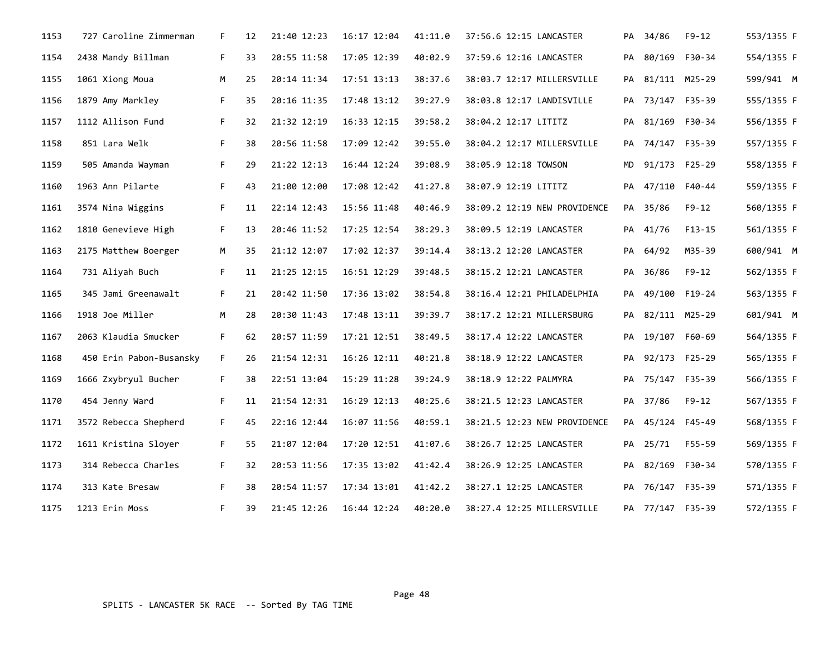| 1153 | 727 Caroline Zimmerman  | F. | 12 | 21:40 12:23 | 16:17 12:04 | 41:11.0 | 37:56.6 12:15 LANCASTER      |           | PA 34/86         | $F9 - 12$     | 553/1355 F |
|------|-------------------------|----|----|-------------|-------------|---------|------------------------------|-----------|------------------|---------------|------------|
| 1154 | 2438 Mandy Billman      | F. | 33 | 20:55 11:58 | 17:05 12:39 | 40:02.9 | 37:59.6 12:16 LANCASTER      | PA        |                  | 80/169 F30-34 | 554/1355 F |
| 1155 | 1061 Xiong Moua         | M  | 25 | 20:14 11:34 | 17:51 13:13 | 38:37.6 | 38:03.7 12:17 MILLERSVILLE   | PA        | 81/111 M25-29    |               | 599/941 M  |
| 1156 | 1879 Amy Markley        | F. | 35 | 20:16 11:35 | 17:48 13:12 | 39:27.9 | 38:03.8 12:17 LANDISVILLE    |           | PA 73/147 F35-39 |               | 555/1355 F |
| 1157 | 1112 Allison Fund       | F. | 32 | 21:32 12:19 | 16:33 12:15 | 39:58.2 | 38:04.2 12:17 LITITZ         | PA        | 81/169 F30-34    |               | 556/1355 F |
| 1158 | 851 Lara Welk           | F. | 38 | 20:56 11:58 | 17:09 12:42 | 39:55.0 | 38:04.2 12:17 MILLERSVILLE   |           | PA 74/147 F35-39 |               | 557/1355 F |
| 1159 | 505 Amanda Wayman       | F. | 29 | 21:22 12:13 | 16:44 12:24 | 39:08.9 | 38:05.9 12:18 TOWSON         | <b>MD</b> |                  | 91/173 F25-29 | 558/1355 F |
| 1160 | 1963 Ann Pilarte        | F. | 43 | 21:00 12:00 | 17:08 12:42 | 41:27.8 | 38:07.9 12:19 LITITZ         | PA        |                  | 47/110 F40-44 | 559/1355 F |
| 1161 | 3574 Nina Wiggins       | F. | 11 | 22:14 12:43 | 15:56 11:48 | 40:46.9 | 38:09.2 12:19 NEW PROVIDENCE |           | PA 35/86         | $F9 - 12$     | 560/1355 F |
| 1162 | 1810 Genevieve High     | F. | 13 | 20:46 11:52 | 17:25 12:54 | 38:29.3 | 38:09.5 12:19 LANCASTER      |           | PA 41/76         | $F13-15$      | 561/1355 F |
| 1163 | 2175 Matthew Boerger    | M  | 35 | 21:12 12:07 | 17:02 12:37 | 39:14.4 | 38:13.2 12:20 LANCASTER      | PA        | 64/92            | M35-39        | 600/941 M  |
| 1164 | 731 Aliyah Buch         | F. | 11 | 21:25 12:15 | 16:51 12:29 | 39:48.5 | 38:15.2 12:21 LANCASTER      |           | PA 36/86         | F9-12         | 562/1355 F |
| 1165 | 345 Jami Greenawalt     | F. | 21 | 20:42 11:50 | 17:36 13:02 | 38:54.8 | 38:16.4 12:21 PHILADELPHIA   | PA        | 49/100 F19-24    |               | 563/1355 F |
| 1166 | 1918 Joe Miller         | М  | 28 | 20:30 11:43 | 17:48 13:11 | 39:39.7 | 38:17.2 12:21 MILLERSBURG    | PA        |                  | 82/111 M25-29 | 601/941 M  |
| 1167 | 2063 Klaudia Smucker    | F. | 62 | 20:57 11:59 | 17:21 12:51 | 38:49.5 | 38:17.4 12:22 LANCASTER      |           | PA 19/107 F60-69 |               | 564/1355 F |
| 1168 | 450 Erin Pabon-Busansky | F. | 26 | 21:54 12:31 | 16:26 12:11 | 40:21.8 | 38:18.9 12:22 LANCASTER      | PA        | 92/173 F25-29    |               | 565/1355 F |
| 1169 | 1666 Zxybryul Bucher    | F. | 38 | 22:51 13:04 | 15:29 11:28 | 39:24.9 | 38:18.9 12:22 PALMYRA        |           | PA 75/147 F35-39 |               | 566/1355 F |
| 1170 | 454 Jenny Ward          | F. | 11 | 21:54 12:31 | 16:29 12:13 | 40:25.6 | 38:21.5 12:23 LANCASTER      |           | PA 37/86         | $F9-12$       | 567/1355 F |
| 1171 | 3572 Rebecca Shepherd   | F. | 45 | 22:16 12:44 | 16:07 11:56 | 40:59.1 | 38:21.5 12:23 NEW PROVIDENCE |           | PA 45/124 F45-49 |               | 568/1355 F |
| 1172 | 1611 Kristina Sloyer    | F. | 55 | 21:07 12:04 | 17:20 12:51 | 41:07.6 | 38:26.7 12:25 LANCASTER      | PA        | 25/71            | F55-59        | 569/1355 F |
| 1173 | 314 Rebecca Charles     | F. | 32 | 20:53 11:56 | 17:35 13:02 | 41:42.4 | 38:26.9 12:25 LANCASTER      |           | PA 82/169 F30-34 |               | 570/1355 F |
| 1174 | 313 Kate Bresaw         | F. | 38 | 20:54 11:57 | 17:34 13:01 | 41:42.2 | 38:27.1 12:25 LANCASTER      |           | PA 76/147 F35-39 |               | 571/1355 F |
| 1175 | 1213 Erin Moss          | F. | 39 | 21:45 12:26 | 16:44 12:24 | 40:20.0 | 38:27.4 12:25 MILLERSVILLE   |           | PA 77/147 F35-39 |               | 572/1355 F |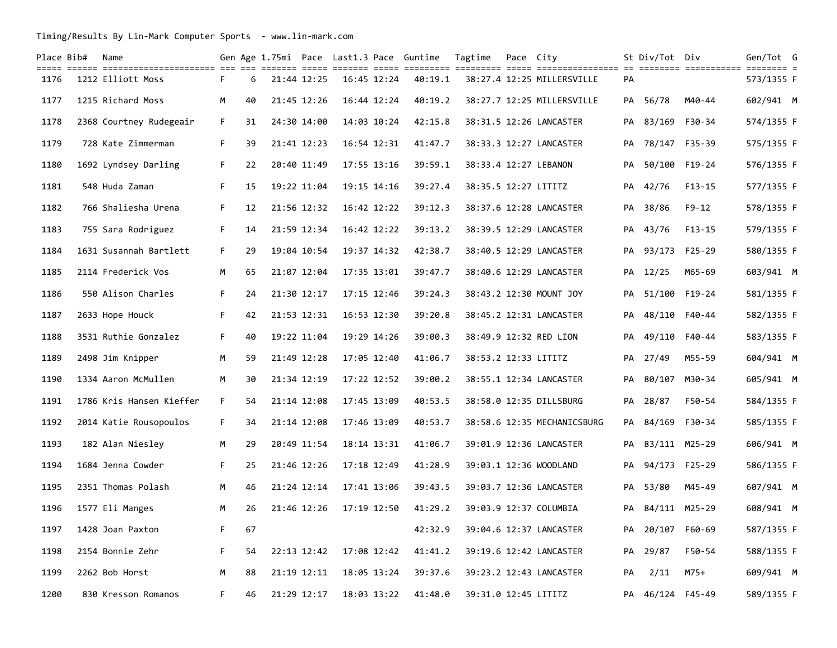Timing/Results By Lin-Mark Computer Sports - www.lin-mark.com

| Place Bib# | Name                     |    |    |             |                 | Gen Age 1.75mi Pace Last1.3 Pace Guntime | Tagtime              | Pace City |                             |    | St Div/Tot Div   |               | Gen/Tot G  |  |
|------------|--------------------------|----|----|-------------|-----------------|------------------------------------------|----------------------|-----------|-----------------------------|----|------------------|---------------|------------|--|
| 1176       | 1212 Elliott Moss        | F. | 6  | 21:44 12:25 | $16:45$ $12:24$ | 40:19.1                                  |                      |           | 38:27.4 12:25 MILLERSVILLE  | PA |                  |               | 573/1355 F |  |
| 1177       | 1215 Richard Moss        | M  | 40 | 21:45 12:26 | 16:44 12:24     | 40:19.2                                  |                      |           | 38:27.7 12:25 MILLERSVILLE  |    | PA 56/78         | M40-44        | 602/941 M  |  |
| 1178       | 2368 Courtney Rudegeair  | F. | 31 | 24:30 14:00 | 14:03 10:24     | 42:15.8                                  |                      |           | 38:31.5 12:26 LANCASTER     |    | PA 83/169 F30-34 |               | 574/1355 F |  |
| 1179       | 728 Kate Zimmerman       | F. | 39 | 21:41 12:23 | 16:54 12:31     | 41:47.7                                  |                      |           | 38:33.3 12:27 LANCASTER     |    | PA 78/147 F35-39 |               | 575/1355 F |  |
| 1180       | 1692 Lyndsey Darling     | F. | 22 | 20:40 11:49 | 17:55 13:16     | 39:59.1                                  |                      |           | 38:33.4 12:27 LEBANON       |    | PA 50/100 F19-24 |               | 576/1355 F |  |
| 1181       | 548 Huda Zaman           | F. | 15 | 19:22 11:04 | 19:15 14:16     | 39:27.4                                  | 38:35.5 12:27 LITITZ |           |                             |    | PA 42/76         | $F13 - 15$    | 577/1355 F |  |
| 1182       | 766 Shaliesha Urena      | F. | 12 | 21:56 12:32 | 16:42 12:22     | 39:12.3                                  |                      |           | 38:37.6 12:28 LANCASTER     |    | PA 38/86         | $F9 - 12$     | 578/1355 F |  |
| 1183       | 755 Sara Rodriguez       | F. | 14 | 21:59 12:34 | 16:42 12:22     | 39:13.2                                  |                      |           | 38:39.5 12:29 LANCASTER     | PA | 43/76            | $F13 - 15$    | 579/1355 F |  |
| 1184       | 1631 Susannah Bartlett   | F. | 29 | 19:04 10:54 | 19:37 14:32     | 42:38.7                                  |                      |           | 38:40.5 12:29 LANCASTER     |    | PA 93/173 F25-29 |               | 580/1355 F |  |
| 1185       | 2114 Frederick Vos       | М  | 65 | 21:07 12:04 | 17:35 13:01     | 39:47.7                                  |                      |           | 38:40.6 12:29 LANCASTER     |    | PA 12/25         | M65-69        | 603/941 M  |  |
| 1186       | 550 Alison Charles       | F. | 24 | 21:30 12:17 | 17:15 12:46     | 39:24.3                                  |                      |           | 38:43.2 12:30 MOUNT JOY     |    | PA 51/100 F19-24 |               | 581/1355 F |  |
| 1187       | 2633 Hope Houck          | F. | 42 | 21:53 12:31 | 16:53 12:30     | 39:20.8                                  |                      |           | 38:45.2 12:31 LANCASTER     | PA | 48/110           | F40-44        | 582/1355 F |  |
| 1188       | 3531 Ruthie Gonzalez     | F. | 40 | 19:22 11:04 | 19:29 14:26     | 39:00.3                                  |                      |           | 38:49.9 12:32 RED LION      |    | PA 49/110 F40-44 |               | 583/1355 F |  |
| 1189       | 2498 Jim Knipper         | M  | 59 | 21:49 12:28 | 17:05 12:40     | 41:06.7                                  | 38:53.2 12:33 LITITZ |           |                             |    | PA 27/49         | M55-59        | 604/941 M  |  |
| 1190       | 1334 Aaron McMullen      | M  | 30 | 21:34 12:19 | 17:22 12:52     | 39:00.2                                  |                      |           | 38:55.1 12:34 LANCASTER     |    | PA 80/107        | M30-34        | 605/941 M  |  |
| 1191       | 1786 Kris Hansen Kieffer | F. | 54 | 21:14 12:08 | 17:45 13:09     | 40:53.5                                  |                      |           | 38:58.0 12:35 DILLSBURG     |    | PA 28/87         | F50-54        | 584/1355 F |  |
| 1192       | 2014 Katie Rousopoulos   | F. | 34 | 21:14 12:08 | 17:46 13:09     | 40:53.7                                  |                      |           | 38:58.6 12:35 MECHANICSBURG |    | PA 84/169 F30-34 |               | 585/1355 F |  |
| 1193       | 182 Alan Niesley         | M  | 29 | 20:49 11:54 | 18:14 13:31     | 41:06.7                                  |                      |           | 39:01.9 12:36 LANCASTER     |    | PA 83/111 M25-29 |               | 606/941 M  |  |
| 1194       | 1684 Jenna Cowder        | F. | 25 | 21:46 12:26 | 17:18 12:49     | 41:28.9                                  |                      |           | 39:03.1 12:36 WOODLAND      |    | PA 94/173 F25-29 |               | 586/1355 F |  |
| 1195       | 2351 Thomas Polash       | M  | 46 | 21:24 12:14 | 17:41 13:06     | 39:43.5                                  |                      |           | 39:03.7 12:36 LANCASTER     |    | PA 53/80         | M45-49        | 607/941 M  |  |
| 1196       | 1577 Eli Manges          | М  | 26 | 21:46 12:26 | 17:19 12:50     | 41:29.2                                  |                      |           | 39:03.9 12:37 COLUMBIA      | PA |                  | 84/111 M25-29 | 608/941 M  |  |
| 1197       | 1428 Joan Paxton         | F. | 67 |             |                 | 42:32.9                                  |                      |           | 39:04.6 12:37 LANCASTER     |    | PA 20/107 F60-69 |               | 587/1355 F |  |
| 1198       | 2154 Bonnie Zehr         | F. | 54 | 22:13 12:42 | 17:08 12:42     | 41:41.2                                  |                      |           | 39:19.6 12:42 LANCASTER     |    | PA 29/87         | F50-54        | 588/1355 F |  |
| 1199       | 2262 Bob Horst           | M  | 88 | 21:19 12:11 | 18:05 13:24     | 39:37.6                                  |                      |           | 39:23.2 12:43 LANCASTER     | PA | 2/11             | $M75+$        | 609/941 M  |  |
| 1200       | 830 Kresson Romanos      | F. | 46 | 21:29 12:17 | 18:03 13:22     | 41:48.0                                  | 39:31.0 12:45 LITITZ |           |                             |    | PA 46/124 F45-49 |               | 589/1355 F |  |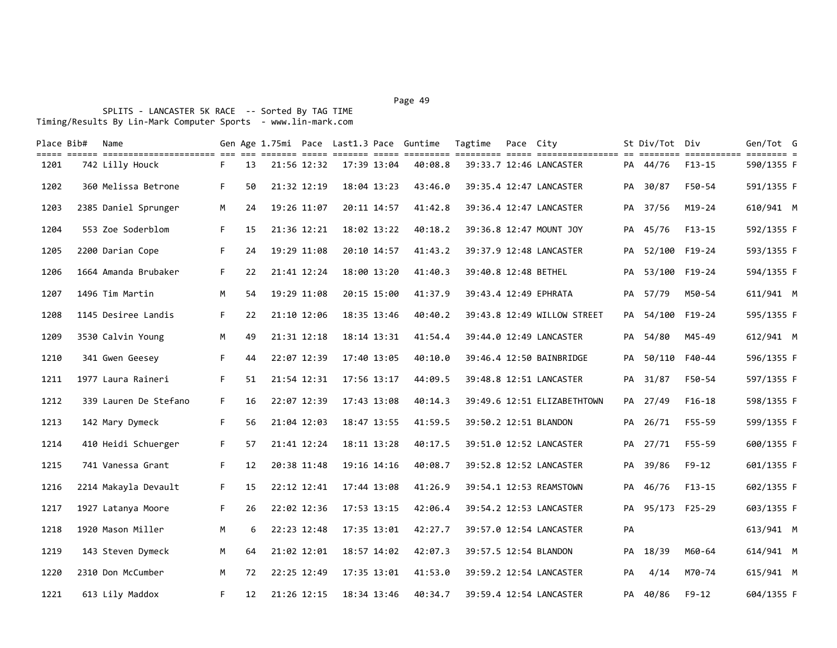| till ander bebegendengendenen der der senden denn andere anden den dennen denn andengendenen an bebegen andene | F.                                                                                                                                                                                                                                                                                                                                                                                                                                                              | 13 |  |                                                                                                                                                                                                                                                                                                                         | 40:08.8                                                                                                                                                                                                                                                     |                                                          |  |                                                                                                                                                                                                                                                                                                                                                                                                                                                                                                                                                                                     |       | $F13 - 15$                                                                                                                                                                  | 590/1355 F                                                                   |  |
|----------------------------------------------------------------------------------------------------------------|-----------------------------------------------------------------------------------------------------------------------------------------------------------------------------------------------------------------------------------------------------------------------------------------------------------------------------------------------------------------------------------------------------------------------------------------------------------------|----|--|-------------------------------------------------------------------------------------------------------------------------------------------------------------------------------------------------------------------------------------------------------------------------------------------------------------------------|-------------------------------------------------------------------------------------------------------------------------------------------------------------------------------------------------------------------------------------------------------------|----------------------------------------------------------|--|-------------------------------------------------------------------------------------------------------------------------------------------------------------------------------------------------------------------------------------------------------------------------------------------------------------------------------------------------------------------------------------------------------------------------------------------------------------------------------------------------------------------------------------------------------------------------------------|-------|-----------------------------------------------------------------------------------------------------------------------------------------------------------------------------|------------------------------------------------------------------------------|--|
|                                                                                                                | F.                                                                                                                                                                                                                                                                                                                                                                                                                                                              | 50 |  |                                                                                                                                                                                                                                                                                                                         | 43:46.0                                                                                                                                                                                                                                                     |                                                          |  |                                                                                                                                                                                                                                                                                                                                                                                                                                                                                                                                                                                     |       | F50-54                                                                                                                                                                      | 591/1355 F                                                                   |  |
|                                                                                                                | M                                                                                                                                                                                                                                                                                                                                                                                                                                                               | 24 |  |                                                                                                                                                                                                                                                                                                                         | 41:42.8                                                                                                                                                                                                                                                     |                                                          |  |                                                                                                                                                                                                                                                                                                                                                                                                                                                                                                                                                                                     |       | $M19-24$                                                                                                                                                                    | 610/941 M                                                                    |  |
|                                                                                                                | F.                                                                                                                                                                                                                                                                                                                                                                                                                                                              | 15 |  |                                                                                                                                                                                                                                                                                                                         | 40:18.2                                                                                                                                                                                                                                                     |                                                          |  |                                                                                                                                                                                                                                                                                                                                                                                                                                                                                                                                                                                     |       | $F13 - 15$                                                                                                                                                                  | 592/1355 F                                                                   |  |
|                                                                                                                | F.                                                                                                                                                                                                                                                                                                                                                                                                                                                              | 24 |  |                                                                                                                                                                                                                                                                                                                         | 41:43.2                                                                                                                                                                                                                                                     |                                                          |  |                                                                                                                                                                                                                                                                                                                                                                                                                                                                                                                                                                                     |       |                                                                                                                                                                             | 593/1355 F                                                                   |  |
|                                                                                                                | F.                                                                                                                                                                                                                                                                                                                                                                                                                                                              | 22 |  |                                                                                                                                                                                                                                                                                                                         | 41:40.3                                                                                                                                                                                                                                                     |                                                          |  |                                                                                                                                                                                                                                                                                                                                                                                                                                                                                                                                                                                     |       |                                                                                                                                                                             | 594/1355 F                                                                   |  |
|                                                                                                                | M                                                                                                                                                                                                                                                                                                                                                                                                                                                               | 54 |  |                                                                                                                                                                                                                                                                                                                         | 41:37.9                                                                                                                                                                                                                                                     |                                                          |  |                                                                                                                                                                                                                                                                                                                                                                                                                                                                                                                                                                                     |       | M50-54                                                                                                                                                                      | 611/941 M                                                                    |  |
|                                                                                                                | F.                                                                                                                                                                                                                                                                                                                                                                                                                                                              | 22 |  |                                                                                                                                                                                                                                                                                                                         | 40:40.2                                                                                                                                                                                                                                                     |                                                          |  |                                                                                                                                                                                                                                                                                                                                                                                                                                                                                                                                                                                     |       |                                                                                                                                                                             | 595/1355 F                                                                   |  |
|                                                                                                                | M                                                                                                                                                                                                                                                                                                                                                                                                                                                               | 49 |  |                                                                                                                                                                                                                                                                                                                         | 41:54.4                                                                                                                                                                                                                                                     |                                                          |  |                                                                                                                                                                                                                                                                                                                                                                                                                                                                                                                                                                                     |       | M45-49                                                                                                                                                                      | 612/941 M                                                                    |  |
|                                                                                                                | F.                                                                                                                                                                                                                                                                                                                                                                                                                                                              | 44 |  |                                                                                                                                                                                                                                                                                                                         | 40:10.0                                                                                                                                                                                                                                                     |                                                          |  |                                                                                                                                                                                                                                                                                                                                                                                                                                                                                                                                                                                     |       | F40-44                                                                                                                                                                      | 596/1355 F                                                                   |  |
|                                                                                                                | F.                                                                                                                                                                                                                                                                                                                                                                                                                                                              | 51 |  |                                                                                                                                                                                                                                                                                                                         | 44:09.5                                                                                                                                                                                                                                                     |                                                          |  |                                                                                                                                                                                                                                                                                                                                                                                                                                                                                                                                                                                     |       | F50-54                                                                                                                                                                      | 597/1355 F                                                                   |  |
|                                                                                                                | F.                                                                                                                                                                                                                                                                                                                                                                                                                                                              | 16 |  |                                                                                                                                                                                                                                                                                                                         | 40:14.3                                                                                                                                                                                                                                                     |                                                          |  |                                                                                                                                                                                                                                                                                                                                                                                                                                                                                                                                                                                     |       | $F16-18$                                                                                                                                                                    | 598/1355 F                                                                   |  |
|                                                                                                                | F.                                                                                                                                                                                                                                                                                                                                                                                                                                                              | 56 |  |                                                                                                                                                                                                                                                                                                                         | 41:59.5                                                                                                                                                                                                                                                     |                                                          |  |                                                                                                                                                                                                                                                                                                                                                                                                                                                                                                                                                                                     |       | $F55 - 59$                                                                                                                                                                  | 599/1355 F                                                                   |  |
|                                                                                                                | F.                                                                                                                                                                                                                                                                                                                                                                                                                                                              | 57 |  |                                                                                                                                                                                                                                                                                                                         | 40:17.5                                                                                                                                                                                                                                                     |                                                          |  |                                                                                                                                                                                                                                                                                                                                                                                                                                                                                                                                                                                     |       | $F55 - 59$                                                                                                                                                                  | 600/1355 F                                                                   |  |
|                                                                                                                | F.                                                                                                                                                                                                                                                                                                                                                                                                                                                              | 12 |  |                                                                                                                                                                                                                                                                                                                         | 40:08.7                                                                                                                                                                                                                                                     |                                                          |  |                                                                                                                                                                                                                                                                                                                                                                                                                                                                                                                                                                                     |       | $F9 - 12$                                                                                                                                                                   | 601/1355 F                                                                   |  |
|                                                                                                                | F.                                                                                                                                                                                                                                                                                                                                                                                                                                                              | 15 |  |                                                                                                                                                                                                                                                                                                                         | 41:26.9                                                                                                                                                                                                                                                     |                                                          |  |                                                                                                                                                                                                                                                                                                                                                                                                                                                                                                                                                                                     | 46/76 | $F13 - 15$                                                                                                                                                                  | 602/1355 F                                                                   |  |
|                                                                                                                | F.                                                                                                                                                                                                                                                                                                                                                                                                                                                              | 26 |  |                                                                                                                                                                                                                                                                                                                         | 42:06.4                                                                                                                                                                                                                                                     |                                                          |  |                                                                                                                                                                                                                                                                                                                                                                                                                                                                                                                                                                                     |       |                                                                                                                                                                             | 603/1355 F                                                                   |  |
|                                                                                                                | M                                                                                                                                                                                                                                                                                                                                                                                                                                                               | 6  |  |                                                                                                                                                                                                                                                                                                                         | 42:27.7                                                                                                                                                                                                                                                     |                                                          |  | PA                                                                                                                                                                                                                                                                                                                                                                                                                                                                                                                                                                                  |       |                                                                                                                                                                             | 613/941 M                                                                    |  |
|                                                                                                                | M                                                                                                                                                                                                                                                                                                                                                                                                                                                               | 64 |  |                                                                                                                                                                                                                                                                                                                         | 42:07.3                                                                                                                                                                                                                                                     |                                                          |  |                                                                                                                                                                                                                                                                                                                                                                                                                                                                                                                                                                                     |       | M60-64                                                                                                                                                                      | 614/941 M                                                                    |  |
|                                                                                                                | M                                                                                                                                                                                                                                                                                                                                                                                                                                                               | 72 |  |                                                                                                                                                                                                                                                                                                                         | 41:53.0                                                                                                                                                                                                                                                     |                                                          |  | PA                                                                                                                                                                                                                                                                                                                                                                                                                                                                                                                                                                                  | 4/14  | M70-74                                                                                                                                                                      | 615/941 M                                                                    |  |
|                                                                                                                | F.                                                                                                                                                                                                                                                                                                                                                                                                                                                              | 12 |  |                                                                                                                                                                                                                                                                                                                         | 40:34.7                                                                                                                                                                                                                                                     |                                                          |  |                                                                                                                                                                                                                                                                                                                                                                                                                                                                                                                                                                                     |       | $F9 - 12$                                                                                                                                                                   | 604/1355 F                                                                   |  |
|                                                                                                                | 742 Lilly Houck<br>360 Melissa Betrone<br>2385 Daniel Sprunger<br>553 Zoe Soderblom<br>2200 Darian Cope<br>1664 Amanda Brubaker<br>1496 Tim Martin<br>1145 Desiree Landis<br>3530 Calvin Young<br>341 Gwen Geesey<br>1977 Laura Raineri<br>339 Lauren De Stefano<br>142 Mary Dymeck<br>410 Heidi Schuerger<br>741 Vanessa Grant<br>2214 Makayla Devault<br>1927 Latanya Moore<br>1920 Mason Miller<br>143 Steven Dymeck<br>2310 Don McCumber<br>613 Lily Maddox |    |  | 21:56 12:32<br>21:32 12:19<br>19:26 11:07<br>21:36 12:21<br>19:29 11:08<br>21:41 12:24<br>19:29 11:08<br>21:10 12:06<br>21:31 12:18<br>22:07 12:39<br>21:54 12:31<br>22:07 12:39<br>21:04 12:03<br>21:41 12:24<br>20:38 11:48<br>22:12 12:41<br>22:02 12:36<br>22:23 12:48<br>21:02 12:01<br>22:25 12:49<br>21:26 12:15 | 17:39 13:04<br>20:11 14:57<br>18:02 13:22<br>20:10 14:57<br>18:00 13:20<br>20:15 15:00<br>18:35 13:46<br>17:40 13:05<br>17:56 13:17<br>17:43 13:08<br>18:47 13:55<br>18:11 13:28<br>19:16 14:16<br>17:44 13:08<br>17:53 13:15<br>17:35 13:01<br>18:57 14:02 | 18:04 13:23<br>18:14 13:31<br>17:35 13:01<br>18:34 13:46 |  | 39:33.7 12:46 LANCASTER<br>39:35.4 12:47 LANCASTER<br>39:36.4 12:47 LANCASTER<br>39:36.8 12:47 MOUNT JOY<br>39:37.9 12:48 LANCASTER<br>39:40.8 12:48 BETHEL<br>39:43.4 12:49 EPHRATA<br>39:43.8 12:49 WILLOW STREET<br>39:44.0 12:49 LANCASTER<br>39:46.4 12:50 BAINBRIDGE<br>39:48.8 12:51 LANCASTER<br>39:49.6 12:51 ELIZABETHTOWN<br>39:50.2 12:51 BLANDON<br>39:51.0 12:52 LANCASTER<br>39:52.8 12:52 LANCASTER<br>39:54.1 12:53 REAMSTOWN<br>39:54.2 12:53 LANCASTER<br>39:57.0 12:54 LANCASTER<br>39:57.5 12:54 BLANDON<br>39:59.2 12:54 LANCASTER<br>39:59.4 12:54 LANCASTER |       | PA 44/76<br>PA 30/87<br>PA 37/56<br>PA 45/76<br>PA 57/79<br>PA 54/80<br>PA 50/110<br>PA 31/87<br>PA 27/49<br>PA 26/71<br>PA 27/71<br>PA 39/86<br>PA<br>PA 18/39<br>PA 40/86 | PA 52/100 F19-24<br>PA 53/100 F19-24<br>PA 54/100 F19-24<br>PA 95/173 F25-29 |  |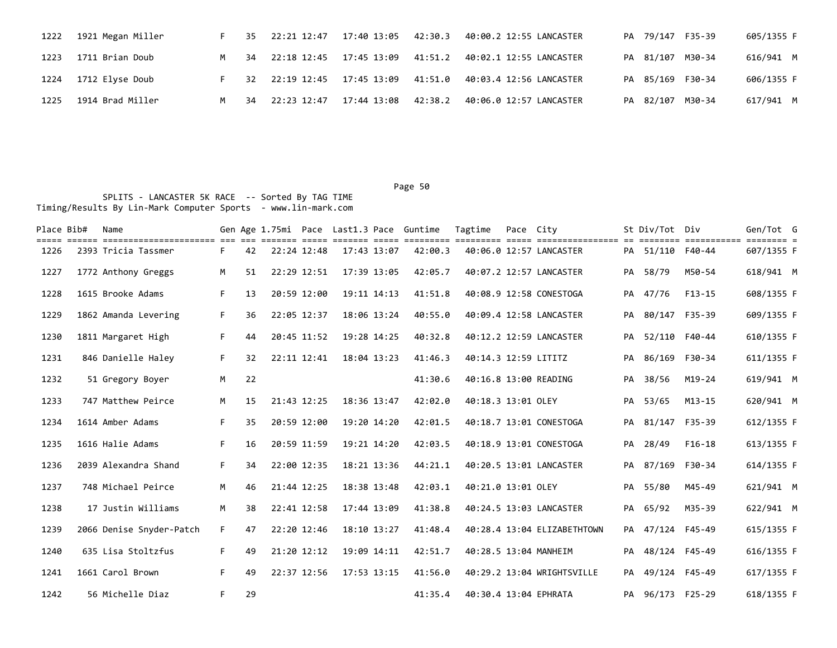| 1222 | 1921 Megan Miller    |     | 35 | 22:21 12:47 | 17:40 13:05 42:30.3     |         | 40:00.2 12:55 LANCASTER                                       |  | PA 79/147 F35-39 | 605/1355 F |
|------|----------------------|-----|----|-------------|-------------------------|---------|---------------------------------------------------------------|--|------------------|------------|
| 1223 | 1711 Brian Doub      | M . | 34 |             | 22:18 12:45 17:45 13:09 | 41:51.2 | 40:02.1 12:55 LANCASTER                                       |  | PA 81/107 M30-34 | 616/941 M  |
|      | 1224 1712 Elyse Doub |     | 32 |             |                         |         | 22:19 12:45  17:45  13:09  41:51.0  40:03.4  12:56  LANCASTER |  | PA 85/169 F30-34 | 606/1355 F |
| 1225 | 1914 Brad Miller     | M . | 34 | 22:23 12:47 | 17:44 13:08 42:38.2     |         | 40:06.0 12:57 LANCASTER                                       |  | PA 82/107 M30-34 | 617/941 M  |

| Place Bib# | Name                                                                |    |    |             |             |             |                 | Gen Age 1.75mi Pace Last1.3 Pace Guntime | Tagtime              | Pace City |                             |    | St Div/Tot Div   |                                       | Gen/Tot G  |  |
|------------|---------------------------------------------------------------------|----|----|-------------|-------------|-------------|-----------------|------------------------------------------|----------------------|-----------|-----------------------------|----|------------------|---------------------------------------|------------|--|
| 1226       | ===== ====== ======================= === ===<br>2393 Tricia Tassmer | F. | 42 | 22:24 12:48 |             |             | 17:43 13:07     | 42:00.3                                  |                      |           | 40:06.0 12:57 LANCASTER     |    | PA 51/110 F40-44 | <u>-------- ----------- ------- -</u> | 607/1355 F |  |
| 1227       | 1772 Anthony Greggs                                                 | М  | 51 | 22:29 12:51 |             |             | 17:39 13:05     | 42:05.7                                  |                      |           | 40:07.2 12:57 LANCASTER     |    | PA 58/79         | M50-54                                | 618/941 M  |  |
| 1228       | 1615 Brooke Adams                                                   | F. | 13 |             | 20:59 12:00 | 19:11 14:13 |                 | 41:51.8                                  |                      |           | 40:08.9 12:58 CONESTOGA     |    | PA 47/76         | $F13-15$                              | 608/1355 F |  |
| 1229       | 1862 Amanda Levering                                                | F. | 36 | 22:05 12:37 |             |             | 18:06 13:24     | 40:55.0                                  |                      |           | 40:09.4 12:58 LANCASTER     | PA | 80/147 F35-39    |                                       | 609/1355 F |  |
| 1230       | 1811 Margaret High                                                  | F. | 44 |             | 20:45 11:52 | 19:28 14:25 |                 | 40:32.8                                  |                      |           | 40:12.2 12:59 LANCASTER     | PA | 52/110 F40-44    |                                       | 610/1355 F |  |
| 1231       | 846 Danielle Haley                                                  | F. | 32 |             | 22:11 12:41 | 18:04 13:23 |                 | 41:46.3                                  | 40:14.3 12:59 LITITZ |           |                             | PA | 86/169 F30-34    |                                       | 611/1355 F |  |
| 1232       | 51 Gregory Boyer                                                    | M  | 22 |             |             |             |                 | 41:30.6                                  |                      |           | 40:16.8 13:00 READING       |    | PA 38/56         | M19-24                                | 619/941 M  |  |
| 1233       | 747 Matthew Peirce                                                  | M  | 15 | 21:43 12:25 |             |             | 18:36 13:47     | 42:02.0                                  | 40:18.3 13:01 OLEY   |           |                             |    | PA 53/65         | M13-15                                | 620/941 M  |  |
| 1234       | 1614 Amber Adams                                                    | F. | 35 |             | 20:59 12:00 |             | 19:20 14:20     | 42:01.5                                  |                      |           | 40:18.7 13:01 CONESTOGA     |    | PA 81/147 F35-39 |                                       | 612/1355 F |  |
| 1235       | 1616 Halie Adams                                                    | F. | 16 | 20:59 11:59 |             |             | 19:21 14:20     | 42:03.5                                  |                      |           | 40:18.9 13:01 CONESTOGA     | PA | 28/49            | $F16-18$                              | 613/1355 F |  |
| 1236       | 2039 Alexandra Shand                                                | F. | 34 | 22:00 12:35 |             |             | $18:21$ $13:36$ | 44:21.1                                  |                      |           | 40:20.5 13:01 LANCASTER     |    | PA 87/169 F30-34 |                                       | 614/1355 F |  |
| 1237       | 748 Michael Peirce                                                  | M  | 46 | 21:44 12:25 |             |             | 18:38 13:48     | 42:03.1                                  | 40:21.0 13:01 OLEY   |           |                             |    | PA 55/80         | M45-49                                | 621/941 M  |  |
| 1238       | 17 Justin Williams                                                  | M  | 38 |             | 22:41 12:58 |             | 17:44 13:09     | 41:38.8                                  |                      |           | 40:24.5 13:03 LANCASTER     |    | PA 65/92         | M35-39                                | 622/941 M  |  |
| 1239       | 2066 Denise Snyder-Patch                                            | F. | 47 | 22:20 12:46 |             | 18:10 13:27 |                 | 41:48.4                                  |                      |           | 40:28.4 13:04 ELIZABETHTOWN | PA | 47/124 F45-49    |                                       | 615/1355 F |  |
| 1240       | 635 Lisa Stoltzfus                                                  | F. | 49 |             | 21:20 12:12 |             | 19:09 14:11     | 42:51.7                                  |                      |           | 40:28.5 13:04 MANHEIM       |    | PA 48/124 F45-49 |                                       | 616/1355 F |  |
| 1241       | 1661 Carol Brown                                                    | F. | 49 | 22:37 12:56 |             |             | 17:53 13:15     | 41:56.0                                  |                      |           | 40:29.2 13:04 WRIGHTSVILLE  |    | PA 49/124 F45-49 |                                       | 617/1355 F |  |
| 1242       | 56 Michelle Diaz                                                    | F. | 29 |             |             |             |                 | 41:35.4                                  |                      |           | 40:30.4 13:04 EPHRATA       |    | PA 96/173 F25-29 |                                       | 618/1355 F |  |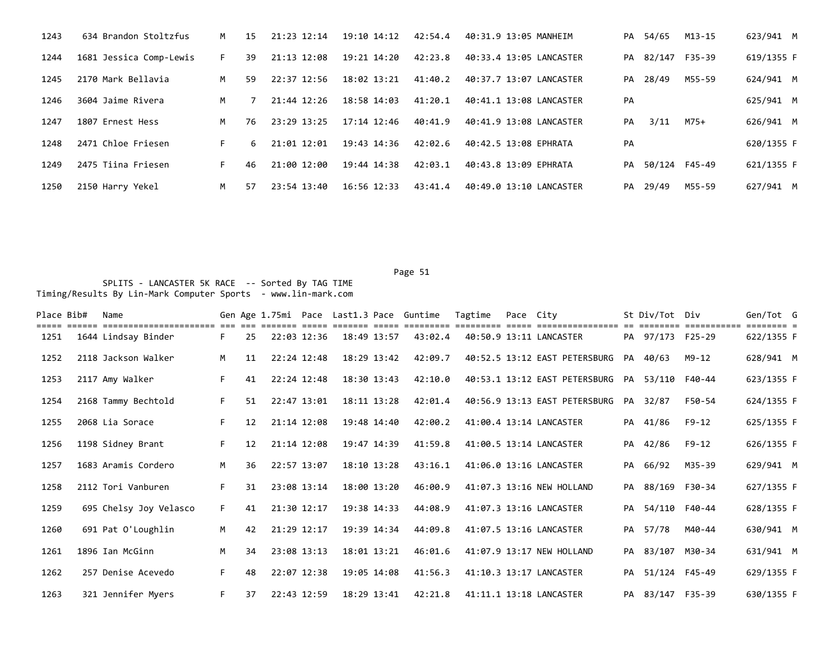| 1243 | 634 Brandon Stoltzfus   | M  | 15  | 21:23 12:14 | 19:10 14:12     | 42:54.4 | 40:31.9 13:05 MANHEIM   |    | PA 54/65         | M13-15 | 623/941 M  |
|------|-------------------------|----|-----|-------------|-----------------|---------|-------------------------|----|------------------|--------|------------|
| 1244 | 1681 Jessica Comp-Lewis | F. | 39  | 21:13 12:08 | 19:21 14:20     | 42:23.8 | 40:33.4 13:05 LANCASTER |    | PA 82/147 F35-39 |        | 619/1355 F |
| 1245 | 2170 Mark Bellavia      | M  | 59. | 22:37 12:56 | 18:02 13:21     | 41:40.2 | 40:37.7 13:07 LANCASTER | PA | 28/49            | M55-59 | 624/941 M  |
| 1246 | 3604 Jaime Rivera       | M  |     | 21:44 12:26 | 18:58 14:03     | 41:20.1 | 40:41.1 13:08 LANCASTER | PA |                  |        | 625/941 M  |
| 1247 | 1807 Ernest Hess        | M  | 76  | 23:29 13:25 | $17:14$ $12:46$ | 40:41.9 | 40:41.9 13:08 LANCASTER | PA | 3/11             | M75+   | 626/941 M  |
| 1248 | 2471 Chloe Friesen      | F. | 6   | 21:01 12:01 | 19:43 14:36     | 42:02.6 | 40:42.5 13:08 EPHRATA   | PA |                  |        | 620/1355 F |
| 1249 | 2475 Tiina Friesen      | F. | 46  | 21:00 12:00 | 19:44 14:38     | 42:03.1 | 40:43.8 13:09 EPHRATA   |    | PA 50/124 F45-49 |        | 621/1355 F |
| 1250 | 2150 Harry Yekel        | M  | 57  | 23:54 13:40 | $16:56$ $12:33$ | 43:41.4 | 40:49.0 13:10 LANCASTER | PA | 29/49            | M55-59 | 627/941 M  |

| Place Bib# | Name                   |    |    |               |             |             | Gen Age 1.75mi Pace Last1.3 Pace Guntime | Tagtime | Pace City |                                                |    | St Div/Tot Div   |           | Gen/Tot G  |  |
|------------|------------------------|----|----|---------------|-------------|-------------|------------------------------------------|---------|-----------|------------------------------------------------|----|------------------|-----------|------------|--|
| 1251       | 1644 Lindsay Binder    | F. | 25 |               | 22:03 12:36 | 18:49 13:57 | 43:02.4                                  |         |           | 40:50.9 13:11 LANCASTER                        |    | PA 97/173 F25-29 |           | 622/1355 F |  |
| 1252       | 2118 Jackson Walker    | M  | 11 | $22:24$ 12:48 |             | 18:29 13:42 | 42:09.7                                  |         |           | 40:52.5 13:12 EAST PETERSBURG                  |    | PA 40/63         | M9-12     | 628/941 M  |  |
| 1253       | 2117 Amy Walker        | F. | 41 | 22:24 12:48   |             | 18:30 13:43 | 42:10.0                                  |         |           | 40:53.1 13:12 EAST PETERSBURG PA 53/110 F40-44 |    |                  |           | 623/1355 F |  |
| 1254       | 2168 Tammy Bechtold    | F. | 51 | 22:47 13:01   |             | 18:11 13:28 | 42:01.4                                  |         |           | 40:56.9 13:13 EAST PETERSBURG                  |    | PA 32/87         | F50-54    | 624/1355 F |  |
| 1255       | 2068 Lia Sorace        | F. | 12 | 21:14 12:08   |             | 19:48 14:40 | 42:00.2                                  |         |           | 41:00.4 13:14 LANCASTER                        |    | PA 41/86         | F9-12     | 625/1355 F |  |
| 1256       | 1198 Sidney Brant      | F. | 12 |               | 21:14 12:08 | 19:47 14:39 | 41:59.8                                  |         |           | 41:00.5 13:14 LANCASTER                        | PA | 42/86            | $F9 - 12$ | 626/1355 F |  |
| 1257       | 1683 Aramis Cordero    | M  | 36 | 22:57 13:07   |             | 18:10 13:28 | 43:16.1                                  |         |           | 41:06.0 13:16 LANCASTER                        | PA | 66/92            | M35-39    | 629/941 M  |  |
| 1258       | 2112 Tori Vanburen     | F. | 31 | 23:08 13:14   |             | 18:00 13:20 | 46:00.9                                  |         |           | 41:07.3 13:16 NEW HOLLAND                      |    | PA 88/169 F30-34 |           | 627/1355 F |  |
| 1259       | 695 Chelsy Joy Velasco | F. | 41 | 21:30 12:17   |             | 19:38 14:33 | 44:08.9                                  |         |           | 41:07.3 13:16 LANCASTER                        |    | PA 54/110 F40-44 |           | 628/1355 F |  |
| 1260       | 691 Pat O'Loughlin     | M  | 42 | 21:29 12:17   |             | 19:39 14:34 | 44:09.8                                  |         |           | 41:07.5 13:16 LANCASTER                        |    | PA 57/78         | M40-44    | 630/941 M  |  |
| 1261       | 1896 Ian McGinn        | M  | 34 | 23:08 13:13   |             | 18:01 13:21 | 46:01.6                                  |         |           | 41:07.9 13:17 NEW HOLLAND                      |    | PA 83/107 M30-34 |           | 631/941 M  |  |
| 1262       | 257 Denise Acevedo     | F. | 48 |               | 22:07 12:38 | 19:05 14:08 | 41:56.3                                  |         |           | 41:10.3 13:17 LANCASTER                        |    | PA 51/124 F45-49 |           | 629/1355 F |  |
| 1263       | 321 Jennifer Myers     | F. | 37 | 22:43 12:59   |             | 18:29 13:41 | 42:21.8                                  |         |           | 41:11.1 13:18 LANCASTER                        |    | PA 83/147 F35-39 |           | 630/1355 F |  |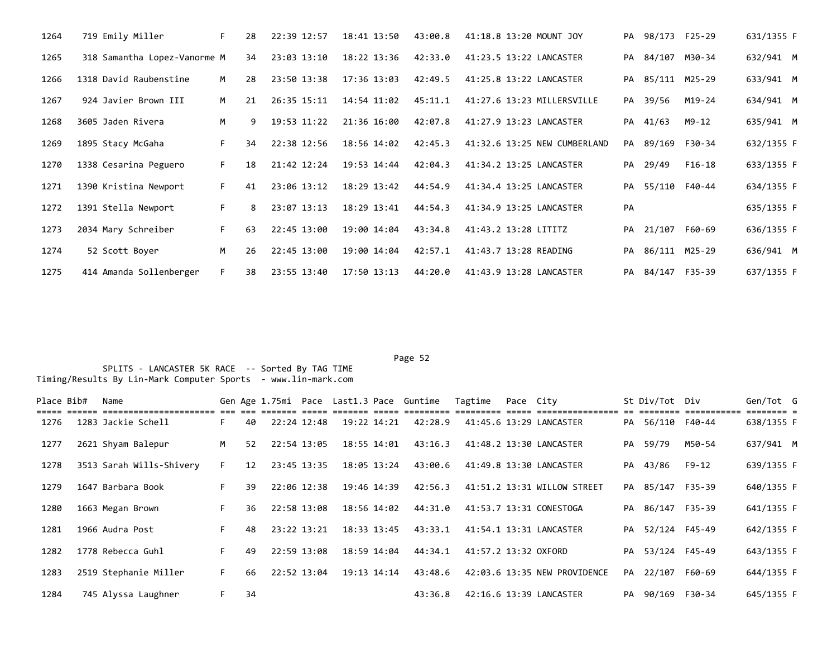| 1264 | 719 Emily Miller             | F. | 28 | 22:39 12:57     | 18:41 13:50     | 43:00.8 | 41:18.8 13:20 MOUNT JOY      |    | PA 98/173 F25-29 |        | 631/1355 F |  |
|------|------------------------------|----|----|-----------------|-----------------|---------|------------------------------|----|------------------|--------|------------|--|
| 1265 | 318 Samantha Lopez-Vanorme M |    | 34 | 23:03 13:10     | $18:22$ $13:36$ | 42:33.0 | 41:23.5 13:22 LANCASTER      |    | PA 84/107 M30-34 |        | 632/941 M  |  |
| 1266 | 1318 David Raubenstine       | M  | 28 | 23:50 13:38     | 17:36 13:03     | 42:49.5 | 41:25.8 13:22 LANCASTER      | PA | 85/111 M25-29    |        | 633/941 M  |  |
| 1267 | 924 Javier Brown III         | M  | 21 | 26:35 15:11     | 14:54 11:02     | 45:11.1 | 41:27.6 13:23 MILLERSVILLE   |    | PA 39/56         | M19-24 | 634/941 M  |  |
| 1268 | 3605 Jaden Rivera            | M  | 9  | $19:53$ $11:22$ | 21:36 16:00     | 42:07.8 | 41:27.9 13:23 LANCASTER      | PA | 41/63            | M9-12  | 635/941 M  |  |
| 1269 | 1895 Stacy McGaha            | F. | 34 | 22:38 12:56     | 18:56 14:02     | 42:45.3 | 41:32.6 13:25 NEW CUMBERLAND | PA | 89/169           | F30-34 | 632/1355 F |  |
| 1270 | 1338 Cesarina Peguero        | F. | 18 | 21:42 12:24     | 19:53 14:44     | 42:04.3 | 41:34.2 13:25 LANCASTER      |    | PA 29/49         | F16-18 | 633/1355 F |  |
| 1271 | 1390 Kristina Newport        | F. | 41 | 23:06 13:12     | 18:29 13:42     | 44:54.9 | 41:34.4 13:25 LANCASTER      | PA | 55/110 F40-44    |        | 634/1355 F |  |
| 1272 | 1391 Stella Newport          | F. | 8  | 23:07 13:13     | 18:29 13:41     | 44:54.3 | 41:34.9 13:25 LANCASTER      | PA |                  |        | 635/1355 F |  |
| 1273 | 2034 Mary Schreiber          | F. | 63 | 22:45 13:00     | 19:00 14:04     | 43:34.8 | 41:43.2 13:28 LITITZ         |    | PA 21/107 F60-69 |        | 636/1355 F |  |
| 1274 | 52 Scott Boyer               | M  | 26 | 22:45 13:00     | 19:00 14:04     | 42:57.1 | 41:43.7 13:28 READING        | PA | 86/111 M25-29    |        | 636/941 M  |  |
| 1275 | 414 Amanda Sollenberger      | F. | 38 | 23:55 13:40     | 17:50 13:13     | 44:20.0 | 41:43.9 13:28 LANCASTER      | PA | 84/147 F35-39    |        | 637/1355 F |  |

Page 52 and the contract of the contract of the contract of the contract of the contract of the contract of the contract of the contract of the contract of the contract of the contract of the contract of the contract of th

| Place Bib# | Name                     |    |    |             |             |             | Gen Age 1.75mi Pace Last1.3 Pace Guntime | Tagtime              | Pace City |                              | St Div/Tot Div   |        | Gen/Tot G  |  |
|------------|--------------------------|----|----|-------------|-------------|-------------|------------------------------------------|----------------------|-----------|------------------------------|------------------|--------|------------|--|
| 1276       | 1283 Jackie Schell       | F. | 40 | 22:24 12:48 | 19:22 14:21 |             | 42:28.9                                  |                      |           | 41:45.6 13:29 LANCASTER      | PA 56/110 F40-44 |        | 638/1355 F |  |
| 1277       | 2621 Shyam Balepur       | M  | 52 | 22:54 13:05 | 18:55 14:01 |             | 43:16.3                                  |                      |           | 41:48.2 13:30 LANCASTER      | PA 59/79         | M50-54 | 637/941 M  |  |
| 1278       | 3513 Sarah Wills-Shivery | F. | 12 | 23:45 13:35 | 18:05 13:24 |             | 43:00.6                                  |                      |           | 41:49.8 13:30 LANCASTER      | PA 43/86         | F9-12  | 639/1355 F |  |
| 1279       | 1647 Barbara Book        |    | 39 | 22:06 12:38 |             | 19:46 14:39 | 42:56.3                                  |                      |           | 41:51.2 13:31 WILLOW STREET  | PA 85/147 F35-39 |        | 640/1355 F |  |
| 1280       | 1663 Megan Brown         | F. | 36 | 22:58 13:08 | 18:56 14:02 |             | 44:31.0                                  |                      |           | 41:53.7 13:31 CONESTOGA      | PA 86/147 F35-39 |        | 641/1355 F |  |
| 1281       | 1966 Audra Post          | F. | 48 | 23:22 13:21 |             | 18:33 13:45 | 43:33.1                                  |                      |           | 41:54.1 13:31 LANCASTER      | PA 52/124 F45-49 |        | 642/1355 F |  |
| 1282       | 1778 Rebecca Guhl        | F. | 49 | 22:59 13:08 |             | 18:59 14:04 | 44:34.1                                  | 41:57.2 13:32 OXFORD |           |                              | PA 53/124 F45-49 |        | 643/1355 F |  |
| 1283       | 2519 Stephanie Miller    | F. | 66 | 22:52 13:04 | 19:13 14:14 |             | 43:48.6                                  |                      |           | 42:03.6 13:35 NEW PROVIDENCE | PA 22/107        | F60-69 | 644/1355 F |  |
| 1284       | 745 Alyssa Laughner      | F. | 34 |             |             |             | 43:36.8                                  |                      |           | 42:16.6 13:39 LANCASTER      | PA 90/169 F30-34 |        | 645/1355 F |  |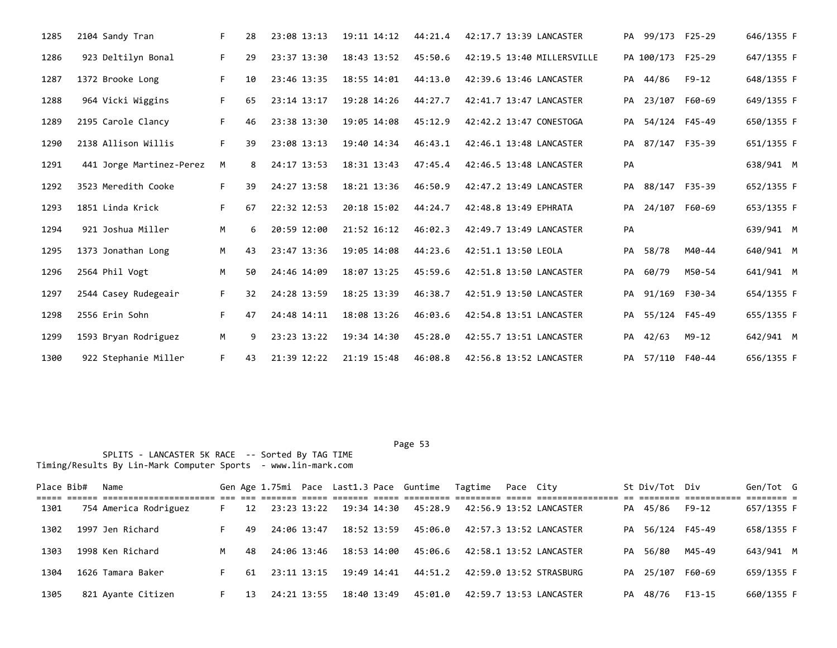| 1285 | 2104 Sandy Tran          | F. | 28 | 23:08 13:13 | 19:11 14:12 | 44:21.4 | 42:17.7 13:39 LANCASTER    |    | PA 99/173 F25-29  |               | 646/1355 F |
|------|--------------------------|----|----|-------------|-------------|---------|----------------------------|----|-------------------|---------------|------------|
| 1286 | 923 Deltilyn Bonal       | F. | 29 | 23:37 13:30 | 18:43 13:52 | 45:50.6 | 42:19.5 13:40 MILLERSVILLE |    | PA 100/173 F25-29 |               | 647/1355 F |
| 1287 | 1372 Brooke Long         | F. | 10 | 23:46 13:35 | 18:55 14:01 | 44:13.0 | 42:39.6 13:46 LANCASTER    |    | PA 44/86          | $F9 - 12$     | 648/1355 F |
| 1288 | 964 Vicki Wiggins        | F. | 65 | 23:14 13:17 | 19:28 14:26 | 44:27.7 | 42:41.7 13:47 LANCASTER    | PA | 23/107 F60-69     |               | 649/1355 F |
| 1289 | 2195 Carole Clancy       | F. | 46 | 23:38 13:30 | 19:05 14:08 | 45:12.9 | 42:42.2 13:47 CONESTOGA    | PA |                   | 54/124 F45-49 | 650/1355 F |
| 1290 | 2138 Allison Willis      | F. | 39 | 23:08 13:13 | 19:40 14:34 | 46:43.1 | 42:46.1 13:48 LANCASTER    |    | PA 87/147 F35-39  |               | 651/1355 F |
| 1291 | 441 Jorge Martinez-Perez | M  | 8  | 24:17 13:53 | 18:31 13:43 | 47:45.4 | 42:46.5 13:48 LANCASTER    | PA |                   |               | 638/941 M  |
| 1292 | 3523 Meredith Cooke      | F. | 39 | 24:27 13:58 | 18:21 13:36 | 46:50.9 | 42:47.2 13:49 LANCASTER    | PA | 88/147 F35-39     |               | 652/1355 F |
| 1293 | 1851 Linda Krick         | F. | 67 | 22:32 12:53 | 20:18 15:02 | 44:24.7 | 42:48.8 13:49 EPHRATA      | PA |                   | 24/107 F60-69 | 653/1355 F |
| 1294 | 921 Joshua Miller        | M  | 6. | 20:59 12:00 | 21:52 16:12 | 46:02.3 | 42:49.7 13:49 LANCASTER    | PA |                   |               | 639/941 M  |
| 1295 | 1373 Jonathan Long       | M  | 43 | 23:47 13:36 | 19:05 14:08 | 44:23.6 | 42:51.1 13:50 LEOLA        | PA | 58/78             | M40-44        | 640/941 M  |
| 1296 | 2564 Phil Vogt           | M  | 50 | 24:46 14:09 | 18:07 13:25 | 45:59.6 | 42:51.8 13:50 LANCASTER    | PA | 60/79             | M50-54        | 641/941 M  |
| 1297 | 2544 Casey Rudegeair     | F. | 32 | 24:28 13:59 | 18:25 13:39 | 46:38.7 | 42:51.9 13:50 LANCASTER    | PA | 91/169 F30-34     |               | 654/1355 F |
| 1298 | 2556 Erin Sohn           | F. | 47 | 24:48 14:11 | 18:08 13:26 | 46:03.6 | 42:54.8 13:51 LANCASTER    |    | PA 55/124 F45-49  |               | 655/1355 F |
| 1299 | 1593 Bryan Rodriguez     | M  | 9  | 23:23 13:22 | 19:34 14:30 | 45:28.0 | 42:55.7 13:51 LANCASTER    | PA | 42/63             | M9-12         | 642/941 M  |
| 1300 | 922 Stephanie Miller     | F. | 43 | 21:39 12:22 | 21:19 15:48 | 46:08.8 | 42:56.8 13:52 LANCASTER    |    | PA 57/110 F40-44  |               | 656/1355 F |

| Place Bib# | Name                  |    |    |             |             | Gen Age 1.75mi Pace Last1.3 Pace Guntime Tagtime | Pace Citv |                         |    | St Div/Tot Div   |         | Gen/Tot G                |  |
|------------|-----------------------|----|----|-------------|-------------|--------------------------------------------------|-----------|-------------------------|----|------------------|---------|--------------------------|--|
| 1301       | 754 America Rodriguez | F. | 12 | 23:23 13:22 | 19:34 14:30 | 45:28.9                                          |           | 42:56.9 13:52 LANCASTER |    | PA 45/86         | $F9-12$ | -------- -<br>657/1355 F |  |
| 1302       | 1997 Jen Richard      |    | 49 | 24:06 13:47 | 18:52 13:59 | 45:06.0                                          |           | 42:57.3 13:52 LANCASTER |    | PA 56/124 F45-49 |         | 658/1355 F               |  |
| 1303       | 1998 Ken Richard      | M  | 48 | 24:06 13:46 | 18:53 14:00 | 45:06.6                                          |           | 42:58.1 13:52 LANCASTER |    | PA 56/80         | M45-49  | 643/941 M                |  |
| 1304       | 1626 Tamara Baker     |    | 61 | 23:11 13:15 | 19:49 14:41 | 44:51.2                                          |           | 42:59.0 13:52 STRASBURG |    | PA 25/107        | F60-69  | 659/1355 F               |  |
| 1305       | 821 Ayante Citizen    | F. | 13 | 24:21 13:55 | 18:40 13:49 | 45:01.0                                          |           | 42:59.7 13:53 LANCASTER | PA | 48/76            | F13-15  | 660/1355 F               |  |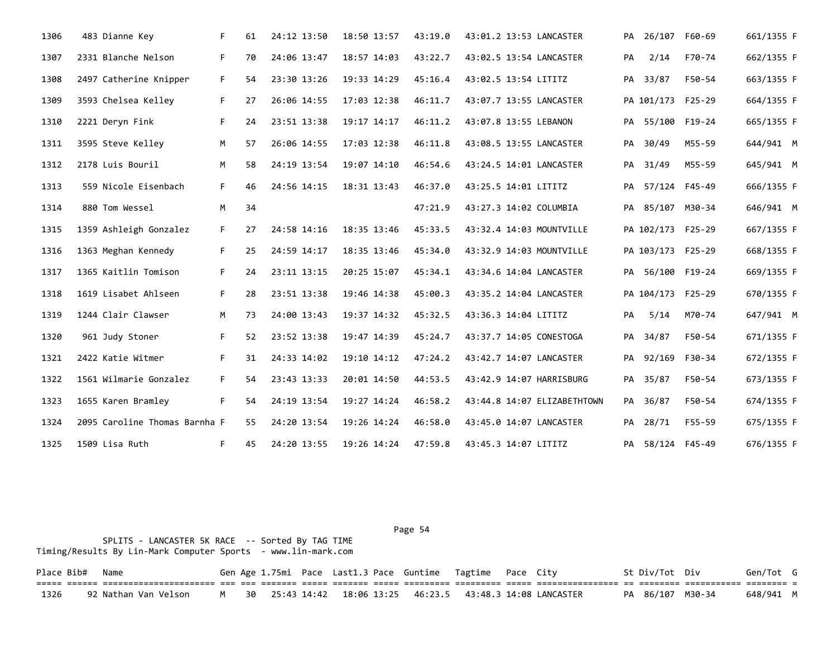| 1306 | 483 Dianne Key                | F. | 61 | 24:12 13:50 | 18:50 13:57 | 43:19.0 | 43:01.2 13:53 LANCASTER     |    | PA 26/107 F60-69  |        | 661/1355 F |
|------|-------------------------------|----|----|-------------|-------------|---------|-----------------------------|----|-------------------|--------|------------|
| 1307 | 2331 Blanche Nelson           | F. | 70 | 24:06 13:47 | 18:57 14:03 | 43:22.7 | 43:02.5 13:54 LANCASTER     | PA | 2/14              | F70-74 | 662/1355 F |
| 1308 | 2497 Catherine Knipper        | F. | 54 | 23:30 13:26 | 19:33 14:29 | 45:16.4 | 43:02.5 13:54 LITITZ        |    | PA 33/87          | F50-54 | 663/1355 F |
| 1309 | 3593 Chelsea Kelley           | F. | 27 | 26:06 14:55 | 17:03 12:38 | 46:11.7 | 43:07.7 13:55 LANCASTER     |    | PA 101/173 F25-29 |        | 664/1355 F |
| 1310 | 2221 Deryn Fink               | F. | 24 | 23:51 13:38 | 19:17 14:17 | 46:11.2 | 43:07.8 13:55 LEBANON       |    | PA 55/100 F19-24  |        | 665/1355 F |
| 1311 | 3595 Steve Kelley             | M  | 57 | 26:06 14:55 | 17:03 12:38 | 46:11.8 | 43:08.5 13:55 LANCASTER     |    | PA 30/49          | M55-59 | 644/941 M  |
| 1312 | 2178 Luis Bouril              | M  | 58 | 24:19 13:54 | 19:07 14:10 | 46:54.6 | 43:24.5 14:01 LANCASTER     |    | PA 31/49          | M55-59 | 645/941 M  |
| 1313 | 559 Nicole Eisenbach          | F. | 46 | 24:56 14:15 | 18:31 13:43 | 46:37.0 | 43:25.5 14:01 LITITZ        |    | PA 57/124 F45-49  |        | 666/1355 F |
| 1314 | 880 Tom Wessel                | M  | 34 |             |             | 47:21.9 | 43:27.3 14:02 COLUMBIA      |    | PA 85/107 M30-34  |        | 646/941 M  |
| 1315 | 1359 Ashleigh Gonzalez        | F. | 27 | 24:58 14:16 | 18:35 13:46 | 45:33.5 | 43:32.4 14:03 MOUNTVILLE    |    | PA 102/173 F25-29 |        | 667/1355 F |
| 1316 | 1363 Meghan Kennedy           | F. | 25 | 24:59 14:17 | 18:35 13:46 | 45:34.0 | 43:32.9 14:03 MOUNTVILLE    |    | PA 103/173 F25-29 |        | 668/1355 F |
| 1317 | 1365 Kaitlin Tomison          | F. | 24 | 23:11 13:15 | 20:25 15:07 | 45:34.1 | 43:34.6 14:04 LANCASTER     |    | PA 56/100 F19-24  |        | 669/1355 F |
| 1318 | 1619 Lisabet Ahlseen          | F. | 28 | 23:51 13:38 | 19:46 14:38 | 45:00.3 | 43:35.2 14:04 LANCASTER     |    | PA 104/173 F25-29 |        | 670/1355 F |
| 1319 | 1244 Clair Clawser            | M  | 73 | 24:00 13:43 | 19:37 14:32 | 45:32.5 | 43:36.3 14:04 LITITZ        | PA | 5/14              | M70-74 | 647/941 M  |
| 1320 | 961 Judy Stoner               | F. | 52 | 23:52 13:38 | 19:47 14:39 | 45:24.7 | 43:37.7 14:05 CONESTOGA     |    | PA 34/87          | F50-54 | 671/1355 F |
| 1321 | 2422 Katie Witmer             | F. | 31 | 24:33 14:02 | 19:10 14:12 | 47:24.2 | 43:42.7 14:07 LANCASTER     |    | PA 92/169 F30-34  |        | 672/1355 F |
| 1322 | 1561 Wilmarie Gonzalez        | F. | 54 | 23:43 13:33 | 20:01 14:50 | 44:53.5 | 43:42.9 14:07 HARRISBURG    |    | PA 35/87          | F50-54 | 673/1355 F |
| 1323 | 1655 Karen Bramley            | F. | 54 | 24:19 13:54 | 19:27 14:24 | 46:58.2 | 43:44.8 14:07 ELIZABETHTOWN | PA | 36/87             | F50-54 | 674/1355 F |
| 1324 | 2095 Caroline Thomas Barnha F |    | 55 | 24:20 13:54 | 19:26 14:24 | 46:58.0 | 43:45.0 14:07 LANCASTER     | PA | 28/71             | F55-59 | 675/1355 F |
| 1325 | 1509 Lisa Ruth                | F. | 45 | 24:20 13:55 | 19:26 14:24 | 47:59.8 | 43:45.3 14:07 LITITZ        |    | PA 58/124 F45-49  |        | 676/1355 F |

|      | Place Bib# Name |                                                                                                                                    |  |  |  | Gen Age 1.75mi Pace Last1.3 Pace Guntime Tagtime Pace City |  |                                                                    | St Div/Tot Div |                            | Gen/Tot G |  |
|------|-----------------|------------------------------------------------------------------------------------------------------------------------------------|--|--|--|------------------------------------------------------------|--|--------------------------------------------------------------------|----------------|----------------------------|-----------|--|
|      |                 | <u>tioi cotto conticoticoticotic de co contic como contre como contico contico como conticoticos en contico conticot contico c</u> |  |  |  |                                                            |  |                                                                    |                |                            |           |  |
| 1326 |                 | 92 Nathan Van Velson                                                                                                               |  |  |  |                                                            |  | M   30  25:43 14:42  18:06 13:25  46:23.5  43:48.3 14:08 LANCASTER |                | PA 86/107 M30-34 648/941 M |           |  |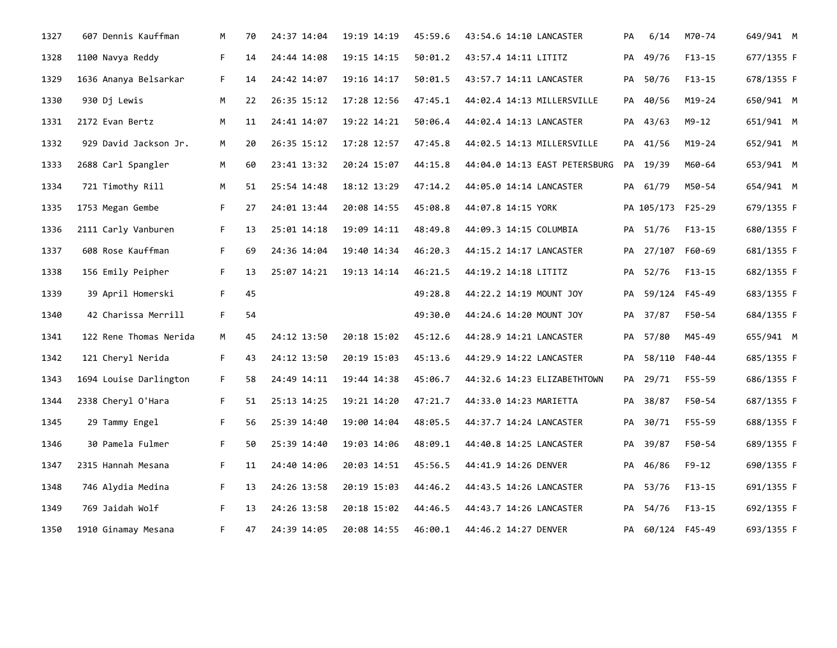| 1327 | 607 Dennis Kauffman    | M  | 70 | 24:37 14:04 | 19:19 14:19 | 45:59.6 | 43:54.6 14:10 LANCASTER       | PA | 6/14              | M70-74     | 649/941 M  |
|------|------------------------|----|----|-------------|-------------|---------|-------------------------------|----|-------------------|------------|------------|
| 1328 | 1100 Navya Reddy       | F. | 14 | 24:44 14:08 | 19:15 14:15 | 50:01.2 | 43:57.4 14:11 LITITZ          | PA | 49/76             | $F13-15$   | 677/1355 F |
| 1329 | 1636 Ananya Belsarkar  | F. | 14 | 24:42 14:07 | 19:16 14:17 | 50:01.5 | 43:57.7 14:11 LANCASTER       |    | PA 50/76          | F13-15     | 678/1355 F |
| 1330 | 930 Dj Lewis           | M  | 22 | 26:35 15:12 | 17:28 12:56 | 47:45.1 | 44:02.4 14:13 MILLERSVILLE    | PA | 40/56             | $M19 - 24$ | 650/941 M  |
| 1331 | 2172 Evan Bertz        | M  | 11 | 24:41 14:07 | 19:22 14:21 | 50:06.4 | 44:02.4 14:13 LANCASTER       |    | PA 43/63          | $M9 - 12$  | 651/941 M  |
| 1332 | 929 David Jackson Jr.  | M  | 20 | 26:35 15:12 | 17:28 12:57 | 47:45.8 | 44:02.5 14:13 MILLERSVILLE    |    | PA 41/56          | M19-24     | 652/941 M  |
| 1333 | 2688 Carl Spangler     | M  | 60 | 23:41 13:32 | 20:24 15:07 | 44:15.8 | 44:04.0 14:13 EAST PETERSBURG |    | PA 19/39          | M60-64     | 653/941 M  |
| 1334 | 721 Timothy Rill       | M  | 51 | 25:54 14:48 | 18:12 13:29 | 47:14.2 | 44:05.0 14:14 LANCASTER       |    | PA 61/79          | M50-54     | 654/941 M  |
| 1335 | 1753 Megan Gembe       | F. | 27 | 24:01 13:44 | 20:08 14:55 | 45:08.8 | 44:07.8 14:15 YORK            |    | PA 105/173 F25-29 |            | 679/1355 F |
| 1336 | 2111 Carly Vanburen    | F. | 13 | 25:01 14:18 | 19:09 14:11 | 48:49.8 | 44:09.3 14:15 COLUMBIA        |    | PA 51/76          | $F13-15$   | 680/1355 F |
| 1337 | 608 Rose Kauffman      | F. | 69 | 24:36 14:04 | 19:40 14:34 | 46:20.3 | 44:15.2 14:17 LANCASTER       |    | PA 27/107 F60-69  |            | 681/1355 F |
| 1338 | 156 Emily Peipher      | F. | 13 | 25:07 14:21 | 19:13 14:14 | 46:21.5 | 44:19.2 14:18 LITITZ          |    | PA 52/76          | $F13-15$   | 682/1355 F |
| 1339 | 39 April Homerski      | F. | 45 |             |             | 49:28.8 | 44:22.2 14:19 MOUNT JOY       |    | PA 59/124 F45-49  |            | 683/1355 F |
| 1340 | 42 Charissa Merrill    | F. | 54 |             |             | 49:30.0 | 44:24.6 14:20 MOUNT JOY       | PA | 37/87             | F50-54     | 684/1355 F |
| 1341 | 122 Rene Thomas Nerida | M  | 45 | 24:12 13:50 | 20:18 15:02 | 45:12.6 | 44:28.9 14:21 LANCASTER       |    | PA 57/80          | M45-49     | 655/941 M  |
| 1342 | 121 Cheryl Nerida      | F. | 43 | 24:12 13:50 | 20:19 15:03 | 45:13.6 | 44:29.9 14:22 LANCASTER       | PA | 58/110 F40-44     |            | 685/1355 F |
| 1343 | 1694 Louise Darlington | F. | 58 | 24:49 14:11 | 19:44 14:38 | 45:06.7 | 44:32.6 14:23 ELIZABETHTOWN   |    | PA 29/71          | F55-59     | 686/1355 F |
| 1344 | 2338 Cheryl O'Hara     | F. | 51 | 25:13 14:25 | 19:21 14:20 | 47:21.7 | 44:33.0 14:23 MARIETTA        |    | PA 38/87          | F50-54     | 687/1355 F |
| 1345 | 29 Tammy Engel         | F. | 56 | 25:39 14:40 | 19:00 14:04 | 48:05.5 | 44:37.7 14:24 LANCASTER       | PA | 30/71             | F55-59     | 688/1355 F |
| 1346 | 30 Pamela Fulmer       | F. | 50 | 25:39 14:40 | 19:03 14:06 | 48:09.1 | 44:40.8 14:25 LANCASTER       |    | PA 39/87          | F50-54     | 689/1355 F |
| 1347 | 2315 Hannah Mesana     | F. | 11 | 24:40 14:06 | 20:03 14:51 | 45:56.5 | 44:41.9 14:26 DENVER          | PA | 46/86             | F9-12      | 690/1355 F |
| 1348 | 746 Alydia Medina      | F. | 13 | 24:26 13:58 | 20:19 15:03 | 44:46.2 | 44:43.5 14:26 LANCASTER       |    | PA 53/76          | F13-15     | 691/1355 F |
| 1349 | 769 Jaidah Wolf        | F. | 13 | 24:26 13:58 | 20:18 15:02 | 44:46.5 | 44:43.7 14:26 LANCASTER       | PA | 54/76             | $F13-15$   | 692/1355 F |
| 1350 | 1910 Ginamay Mesana    | F. | 47 | 24:39 14:05 | 20:08 14:55 | 46:00.1 | 44:46.2 14:27 DENVER          |    | PA 60/124 F45-49  |            | 693/1355 F |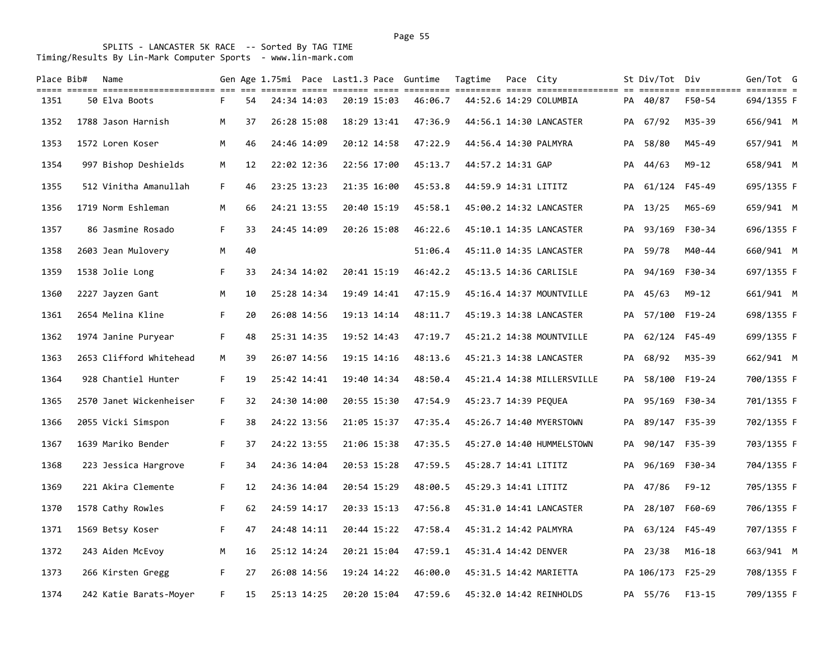| Place Bib# | Name<br>till denn dinistillingingen am de sterft den sterft denn sterften sterfte den sterftensten af dinist sterften s |    |    |             |             | Gen Age 1.75mi Pace Last1.3 Pace Guntime | Tagtime              | Pace City |                            |    | St Div/Tot Div    |               | Gen/Tot G  |  |
|------------|-------------------------------------------------------------------------------------------------------------------------|----|----|-------------|-------------|------------------------------------------|----------------------|-----------|----------------------------|----|-------------------|---------------|------------|--|
| 1351       | 50 Elva Boots                                                                                                           | F. | 54 | 24:34 14:03 | 20:19 15:03 | 46:06.7                                  |                      |           | 44:52.6 14:29 COLUMBIA     |    | PA 40/87          | F50-54        | 694/1355 F |  |
| 1352       | 1788 Jason Harnish                                                                                                      | M  | 37 | 26:28 15:08 | 18:29 13:41 | 47:36.9                                  |                      |           | 44:56.1 14:30 LANCASTER    |    | PA 67/92          | M35-39        | 656/941 M  |  |
| 1353       | 1572 Loren Koser                                                                                                        | M  | 46 | 24:46 14:09 | 20:12 14:58 | 47:22.9                                  |                      |           | 44:56.4 14:30 PALMYRA      |    | PA 58/80          | M45-49        | 657/941 M  |  |
| 1354       | 997 Bishop Deshields                                                                                                    | M  | 12 | 22:02 12:36 | 22:56 17:00 | 45:13.7                                  | 44:57.2 14:31 GAP    |           |                            |    | PA 44/63          | M9-12         | 658/941 M  |  |
| 1355       | 512 Vinitha Amanullah                                                                                                   | F. | 46 | 23:25 13:23 | 21:35 16:00 | 45:53.8                                  | 44:59.9 14:31 LITITZ |           |                            |    | PA 61/124 F45-49  |               | 695/1355 F |  |
| 1356       | 1719 Norm Eshleman                                                                                                      | M  | 66 | 24:21 13:55 | 20:40 15:19 | 45:58.1                                  |                      |           | 45:00.2 14:32 LANCASTER    |    | PA 13/25          | M65-69        | 659/941 M  |  |
| 1357       | 86 Jasmine Rosado                                                                                                       | F. | 33 | 24:45 14:09 | 20:26 15:08 | 46:22.6                                  |                      |           | 45:10.1 14:35 LANCASTER    | PA | 93/169            | F30-34        | 696/1355 F |  |
| 1358       | 2603 Jean Mulovery                                                                                                      | M  | 40 |             |             | 51:06.4                                  |                      |           | 45:11.0 14:35 LANCASTER    |    | PA 59/78          | M40-44        | 660/941 M  |  |
| 1359       | 1538 Jolie Long                                                                                                         | F. | 33 | 24:34 14:02 | 20:41 15:19 | 46:42.2                                  |                      |           | 45:13.5 14:36 CARLISLE     | PA | 94/169            | F30-34        | 697/1355 F |  |
| 1360       | 2227 Jayzen Gant                                                                                                        | M  | 10 | 25:28 14:34 | 19:49 14:41 | 47:15.9                                  |                      |           | 45:16.4 14:37 MOUNTVILLE   |    | PA 45/63          | $M9 - 12$     | 661/941 M  |  |
| 1361       | 2654 Melina Kline                                                                                                       | F. | 20 | 26:08 14:56 | 19:13 14:14 | 48:11.7                                  |                      |           | 45:19.3 14:38 LANCASTER    |    | PA 57/100 F19-24  |               | 698/1355 F |  |
| 1362       | 1974 Janine Puryear                                                                                                     | F. | 48 | 25:31 14:35 | 19:52 14:43 | 47:19.7                                  |                      |           | 45:21.2 14:38 MOUNTVILLE   |    | PA 62/124 F45-49  |               | 699/1355 F |  |
| 1363       | 2653 Clifford Whitehead                                                                                                 | M  | 39 | 26:07 14:56 | 19:15 14:16 | 48:13.6                                  |                      |           | 45:21.3 14:38 LANCASTER    | PA | 68/92             | M35-39        | 662/941 M  |  |
| 1364       | 928 Chantiel Hunter                                                                                                     | F. | 19 | 25:42 14:41 | 19:40 14:34 | 48:50.4                                  |                      |           | 45:21.4 14:38 MILLERSVILLE |    | PA 58/100 F19-24  |               | 700/1355 F |  |
| 1365       | 2570 Janet Wickenheiser                                                                                                 | F. | 32 | 24:30 14:00 | 20:55 15:30 | 47:54.9                                  | 45:23.7 14:39 PEQUEA |           |                            | PA | 95/169 F30-34     |               | 701/1355 F |  |
| 1366       | 2055 Vicki Simspon                                                                                                      | F. | 38 | 24:22 13:56 | 21:05 15:37 | 47:35.4                                  |                      |           | 45:26.7 14:40 MYERSTOWN    |    | PA 89/147 F35-39  |               | 702/1355 F |  |
| 1367       | 1639 Mariko Bender                                                                                                      | F. | 37 | 24:22 13:55 | 21:06 15:38 | 47:35.5                                  |                      |           | 45:27.0 14:40 HUMMELSTOWN  | PA |                   | 90/147 F35-39 | 703/1355 F |  |
| 1368       | 223 Jessica Hargrove                                                                                                    | F. | 34 | 24:36 14:04 | 20:53 15:28 | 47:59.5                                  | 45:28.7 14:41 LITITZ |           |                            | PA |                   | 96/169 F30-34 | 704/1355 F |  |
| 1369       | 221 Akira Clemente                                                                                                      | F. | 12 | 24:36 14:04 | 20:54 15:29 | 48:00.5                                  | 45:29.3 14:41 LITITZ |           |                            | PA | 47/86             | $F9 - 12$     | 705/1355 F |  |
| 1370       | 1578 Cathy Rowles                                                                                                       | F. | 62 | 24:59 14:17 | 20:33 15:13 | 47:56.8                                  |                      |           | 45:31.0 14:41 LANCASTER    |    | PA 28/107         | F60-69        | 706/1355 F |  |
| 1371       | 1569 Betsy Koser                                                                                                        | F. | 47 | 24:48 14:11 | 20:44 15:22 | 47:58.4                                  |                      |           | 45:31.2 14:42 PALMYRA      |    | PA 63/124 F45-49  |               | 707/1355 F |  |
| 1372       | 243 Aiden McEvoy                                                                                                        | M  | 16 | 25:12 14:24 | 20:21 15:04 | 47:59.1                                  | 45:31.4 14:42 DENVER |           |                            |    | PA 23/38          | $M16 - 18$    | 663/941 M  |  |
| 1373       | 266 Kirsten Gregg                                                                                                       | F. | 27 | 26:08 14:56 | 19:24 14:22 | 46:00.0                                  |                      |           | 45:31.5 14:42 MARIETTA     |    | PA 106/173 F25-29 |               | 708/1355 F |  |
| 1374       | 242 Katie Barats-Moyer                                                                                                  | F. | 15 | 25:13 14:25 | 20:20 15:04 | 47:59.6                                  |                      |           | 45:32.0 14:42 REINHOLDS    |    | PA 55/76          | $F13-15$      | 709/1355 F |  |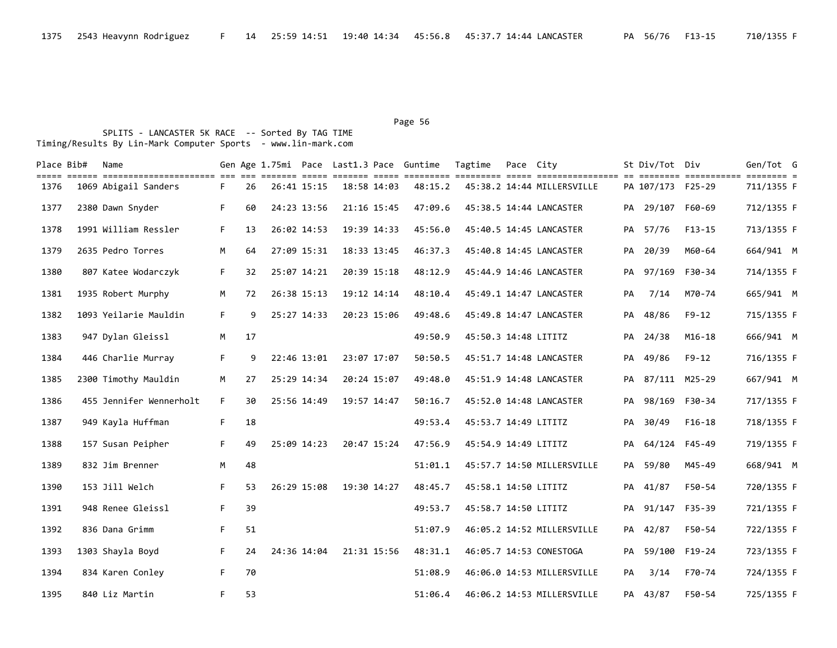### Page 56 and the state of the state of the state of the state of the state of the state of the state of the state of the state of the state of the state of the state of the state of the state of the state of the state of th

| Place Bib# | Name<br>====== ======================= === === |    |    |             |             |             | Gen Age 1.75mi Pace Last1.3 Pace Guntime | Tagtime              | Pace City |                            |    | St Div/Tot Div    |            | Gen/Tot G  |  |
|------------|------------------------------------------------|----|----|-------------|-------------|-------------|------------------------------------------|----------------------|-----------|----------------------------|----|-------------------|------------|------------|--|
| 1376       | 1069 Abigail Sanders                           | F. | 26 | 26:41 15:15 |             | 18:58 14:03 | 48:15.2                                  |                      |           | 45:38.2 14:44 MILLERSVILLE |    | PA 107/173 F25-29 |            | 711/1355 F |  |
| 1377       | 2380 Dawn Snyder                               | F. | 60 | 24:23 13:56 |             | 21:16 15:45 | 47:09.6                                  |                      |           | 45:38.5 14:44 LANCASTER    |    | PA 29/107         | F60-69     | 712/1355 F |  |
| 1378       | 1991 William Ressler                           | F. | 13 | 26:02 14:53 |             | 19:39 14:33 | 45:56.0                                  |                      |           | 45:40.5 14:45 LANCASTER    |    | PA 57/76          | $F13-15$   | 713/1355 F |  |
| 1379       | 2635 Pedro Torres                              | M  | 64 | 27:09 15:31 |             | 18:33 13:45 | 46:37.3                                  |                      |           | 45:40.8 14:45 LANCASTER    |    | PA 20/39          | M60-64     | 664/941 M  |  |
| 1380       | 807 Katee Wodarczyk                            | F. | 32 | 25:07 14:21 |             | 20:39 15:18 | 48:12.9                                  |                      |           | 45:44.9 14:46 LANCASTER    |    | PA 97/169 F30-34  |            | 714/1355 F |  |
| 1381       | 1935 Robert Murphy                             | M  | 72 | 26:38 15:13 |             | 19:12 14:14 | 48:10.4                                  |                      |           | 45:49.1 14:47 LANCASTER    | PA | 7/14              | M70-74     | 665/941 M  |  |
| 1382       | 1093 Yeilarie Mauldin                          | F. | 9  | 25:27 14:33 |             | 20:23 15:06 | 49:48.6                                  |                      |           | 45:49.8 14:47 LANCASTER    |    | PA 48/86          | $F9 - 12$  | 715/1355 F |  |
| 1383       | 947 Dylan Gleissl                              | М  | 17 |             |             |             | 49:50.9                                  | 45:50.3 14:48 LITITZ |           |                            |    | PA 24/38          | $M16 - 18$ | 666/941 M  |  |
| 1384       | 446 Charlie Murray                             | F. | 9  | 22:46 13:01 |             | 23:07 17:07 | 50:50.5                                  |                      |           | 45:51.7 14:48 LANCASTER    |    | PA 49/86          | $F9 - 12$  | 716/1355 F |  |
| 1385       | 2300 Timothy Mauldin                           | M  | 27 | 25:29 14:34 |             | 20:24 15:07 | 49:48.0                                  |                      |           | 45:51.9 14:48 LANCASTER    |    | PA 87/111 M25-29  |            | 667/941 M  |  |
| 1386       | 455 Jennifer Wennerholt                        | F. | 30 | 25:56 14:49 | 19:57 14:47 |             | 50:16.7                                  |                      |           | 45:52.0 14:48 LANCASTER    |    | PA 98/169 F30-34  |            | 717/1355 F |  |
| 1387       | 949 Kayla Huffman                              | F. | 18 |             |             |             | 49:53.4                                  | 45:53.7 14:49 LITITZ |           |                            | PA | 30/49             | $F16-18$   | 718/1355 F |  |
| 1388       | 157 Susan Peipher                              | F. | 49 | 25:09 14:23 |             | 20:47 15:24 | 47:56.9                                  | 45:54.9 14:49 LITITZ |           |                            | PA | 64/124            | F45-49     | 719/1355 F |  |
| 1389       | 832 Jim Brenner                                | M  | 48 |             |             |             | 51:01.1                                  |                      |           | 45:57.7 14:50 MILLERSVILLE |    | PA 59/80          | M45-49     | 668/941 M  |  |
| 1390       | 153 Jill Welch                                 | F. | 53 | 26:29 15:08 | 19:30 14:27 |             | 48:45.7                                  | 45:58.1 14:50 LITITZ |           |                            |    | PA 41/87          | F50-54     | 720/1355 F |  |
| 1391       | 948 Renee Gleissl                              | F. | 39 |             |             |             | 49:53.7                                  | 45:58.7 14:50 LITITZ |           |                            |    | PA 91/147         | F35-39     | 721/1355 F |  |
| 1392       | 836 Dana Grimm                                 | F. | 51 |             |             |             | 51:07.9                                  |                      |           | 46:05.2 14:52 MILLERSVILLE |    | PA 42/87          | F50-54     | 722/1355 F |  |
| 1393       | 1303 Shayla Boyd                               | F. | 24 | 24:36 14:04 |             | 21:31 15:56 | 48:31.1                                  |                      |           | 46:05.7 14:53 CONESTOGA    | PA | 59/100            | $F19-24$   | 723/1355 F |  |
| 1394       | 834 Karen Conley                               | F. | 70 |             |             |             | 51:08.9                                  |                      |           | 46:06.0 14:53 MILLERSVILLE | PA | 3/14              | F70-74     | 724/1355 F |  |
| 1395       | 840 Liz Martin                                 | F. | 53 |             |             |             | 51:06.4                                  |                      |           | 46:06.2 14:53 MILLERSVILLE |    | PA 43/87          | F50-54     | 725/1355 F |  |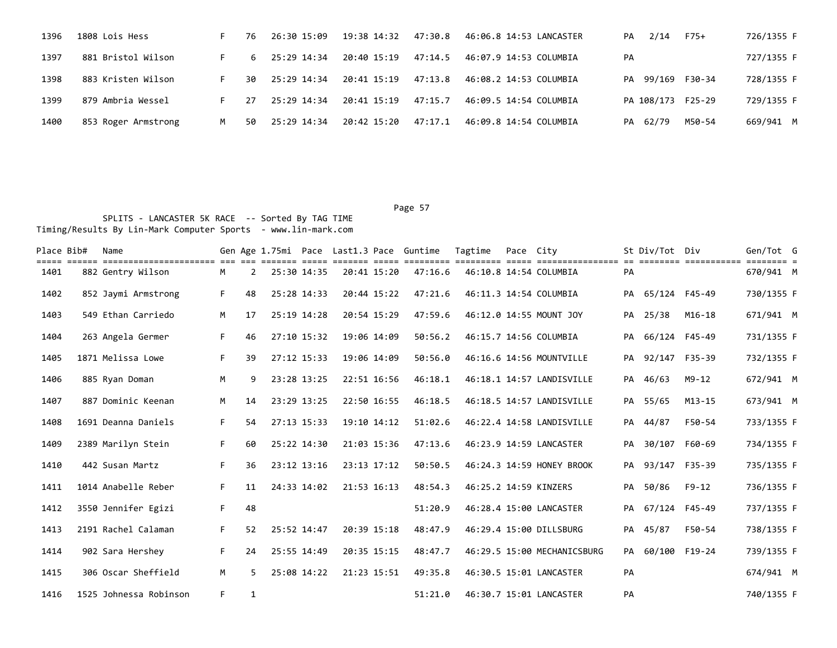| 1396 | 1808 Lois Hess      |   | 76 | 26:30 15:09             | 19:38 14:32 47:30.8 |         | 46:06.8 14:53 LANCASTER | PA | 2/14              | F75+   | 726/1355 F |
|------|---------------------|---|----|-------------------------|---------------------|---------|-------------------------|----|-------------------|--------|------------|
| 1397 | 881 Bristol Wilson  |   | 6  | 25:29 14:34             | 20:40 15:19         | 47:14.5 | 46:07.9 14:53 COLUMBIA  | PA |                   |        | 727/1355 F |
| 1398 | 883 Kristen Wilson  |   | 30 | 25:29 14:34             | 20:41 15:19         | 47:13.8 | 46:08.2 14:53 COLUMBIA  |    | PA 99/169 F30-34  |        | 728/1355 F |
| 1399 | 879 Ambria Wessel   |   | 27 | 25:29 14:34 20:41 15:19 |                     | 47:15.7 | 46:09.5 14:54 COLUMBIA  |    | PA 108/173 F25-29 |        | 729/1355 F |
| 1400 | 853 Roger Armstrong | M | 50 | 25:29 14:34             | 20:42 15:20         | 47:17.1 | 46:09.8 14:54 COLUMBIA  |    | PA 62/79          | M50-54 | 669/941 M  |

| Place Bib# | Name<br>======================= |    |                |             |             |             | Gen Age 1.75mi Pace Last1.3 Pace Guntime | Tagtime               | Pace City |                                            |    | St Div/Tot Div   |                       | Gen/Tot G  |  |
|------------|---------------------------------|----|----------------|-------------|-------------|-------------|------------------------------------------|-----------------------|-----------|--------------------------------------------|----|------------------|-----------------------|------------|--|
| 1401       | 882 Gentry Wilson               | М  | $\overline{2}$ | 25:30 14:35 |             | 20:41 15:20 | 47:16.6                                  |                       |           | ================<br>46:10.8 14:54 COLUMBIA | PA |                  | ========= =========== | 670/941 M  |  |
| 1402       | 852 Jaymi Armstrong             | F. | 48             | 25:28 14:33 |             | 20:44 15:22 | 47:21.6                                  |                       |           | 46:11.3 14:54 COLUMBIA                     |    | PA 65/124 F45-49 |                       | 730/1355 F |  |
| 1403       | 549 Ethan Carriedo              | M  | 17             | 25:19 14:28 |             | 20:54 15:29 | 47:59.6                                  |                       |           | 46:12.0 14:55 MOUNT JOY                    | PA | 25/38            | $M16 - 18$            | 671/941 M  |  |
| 1404       | 263 Angela Germer               | F. | 46             | 27:10 15:32 | 19:06 14:09 |             | 50:56.2                                  |                       |           | 46:15.7 14:56 COLUMBIA                     |    | PA 66/124 F45-49 |                       | 731/1355 F |  |
| 1405       | 1871 Melissa Lowe               | F. | 39             | 27:12 15:33 | 19:06 14:09 |             | 50:56.0                                  |                       |           | 46:16.6 14:56 MOUNTVILLE                   | PA | 92/147 F35-39    |                       | 732/1355 F |  |
| 1406       | 885 Ryan Doman                  | M  | 9              | 23:28 13:25 |             | 22:51 16:56 | 46:18.1                                  |                       |           | 46:18.1 14:57 LANDISVILLE                  |    | PA 46/63         | $M9 - 12$             | 672/941 M  |  |
| 1407       | 887 Dominic Keenan              | M  | 14             | 23:29 13:25 |             | 22:50 16:55 | 46:18.5                                  |                       |           | 46:18.5 14:57 LANDISVILLE                  |    | PA 55/65         | $M13 - 15$            | 673/941 M  |  |
| 1408       | 1691 Deanna Daniels             | F. | 54             | 27:13 15:33 |             | 19:10 14:12 | 51:02.6                                  |                       |           | 46:22.4 14:58 LANDISVILLE                  |    | PA 44/87         | F50-54                | 733/1355 F |  |
| 1409       | 2389 Marilyn Stein              | F. | 60             | 25:22 14:30 |             | 21:03 15:36 | 47:13.6                                  |                       |           | 46:23.9 14:59 LANCASTER                    | PA | 30/107 F60-69    |                       | 734/1355 F |  |
| 1410       | 442 Susan Martz                 | F. | 36             | 23:12 13:16 |             | 23:13 17:12 | 50:50.5                                  |                       |           | 46:24.3 14:59 HONEY BROOK                  |    | PA 93/147 F35-39 |                       | 735/1355 F |  |
| 1411       | 1014 Anabelle Reber             | F. | 11             | 24:33 14:02 | 21:53 16:13 |             | 48:54.3                                  | 46:25.2 14:59 KINZERS |           |                                            | PA | 50/86            | $F9 - 12$             | 736/1355 F |  |
| 1412       | 3550 Jennifer Egizi             | F. | 48             |             |             |             | 51:20.9                                  |                       |           | 46:28.4 15:00 LANCASTER                    |    | PA 67/124 F45-49 |                       | 737/1355 F |  |
| 1413       | 2191 Rachel Calaman             | F. | 52             | 25:52 14:47 |             | 20:39 15:18 | 48:47.9                                  |                       |           | 46:29.4 15:00 DILLSBURG                    | PA | 45/87            | F50-54                | 738/1355 F |  |
| 1414       | 902 Sara Hershey                | F. | 24             | 25:55 14:49 |             | 20:35 15:15 | 48:47.7                                  |                       |           | 46:29.5 15:00 MECHANICSBURG                | PA | 60/100 F19-24    |                       | 739/1355 F |  |
| 1415       | 306 Oscar Sheffield             | M  | 5.             | 25:08 14:22 |             | 21:23 15:51 | 49:35.8                                  |                       |           | 46:30.5 15:01 LANCASTER                    | PA |                  |                       | 674/941 M  |  |
| 1416       | 1525 Johnessa Robinson          | F. | 1              |             |             |             | 51:21.0                                  |                       |           | 46:30.7 15:01 LANCASTER                    | PA |                  |                       | 740/1355 F |  |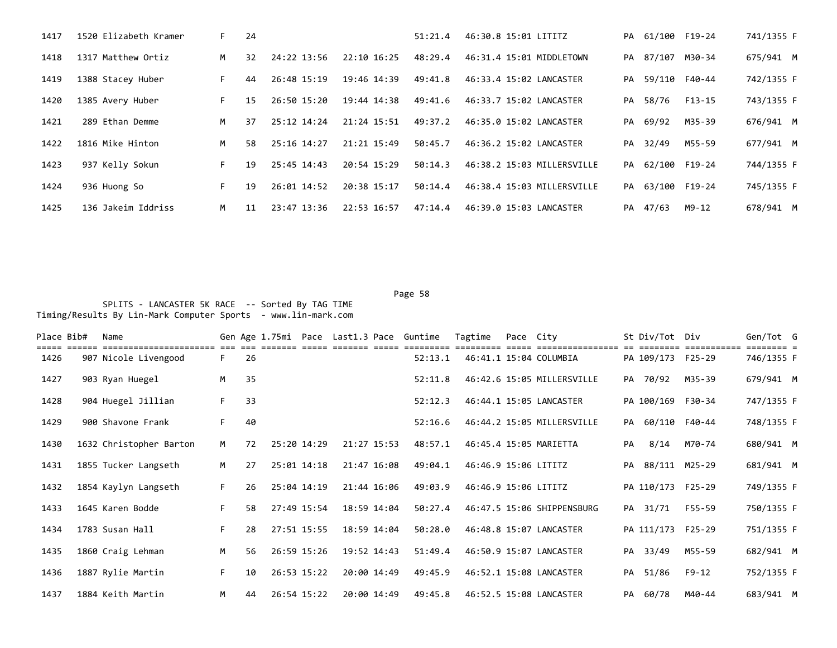| 1417 | 1520 Elizabeth Kramer | F. | 24 |             |                 | 51:21.4 | 46:30.8 15:01 LITITZ       |    | PA 61/100 F19-24 |        | 741/1355 F |
|------|-----------------------|----|----|-------------|-----------------|---------|----------------------------|----|------------------|--------|------------|
| 1418 | 1317 Matthew Ortiz    | M  | 32 | 24:22 13:56 | 22:10 16:25     | 48:29.4 | 46:31.4 15:01 MIDDLETOWN   |    | PA 87/107 M30-34 |        | 675/941 M  |
| 1419 | 1388 Stacey Huber     | F. | 44 | 26:48 15:19 | 19:46 14:39     | 49:41.8 | 46:33.4 15:02 LANCASTER    |    | PA 59/110 F40-44 |        | 742/1355 F |
| 1420 | 1385 Avery Huber      | F. | 15 | 26:50 15:20 | 19:44 14:38     | 49:41.6 | 46:33.7 15:02 LANCASTER    | PA | 58/76            | F13-15 | 743/1355 F |
| 1421 | 289 Ethan Demme       | M  | 37 | 25:12 14:24 | 21:24 15:51     | 49:37.2 | 46:35.0 15:02 LANCASTER    |    | PA 69/92         | M35-39 | 676/941 M  |
| 1422 | 1816 Mike Hinton      | M  | 58 | 25:16 14:27 | $21:21$ $15:49$ | 50:45.7 | 46:36.2 15:02 LANCASTER    |    | PA 32/49         | M55-59 | 677/941 M  |
| 1423 | 937 Kelly Sokun       | F. | 19 | 25:45 14:43 | 20:54 15:29     | 50:14.3 | 46:38.2 15:03 MILLERSVILLE |    | PA 62/100 F19-24 |        | 744/1355 F |
| 1424 | 936 Huong So          | F. | 19 | 26:01 14:52 | 20:38 15:17     | 50:14.4 | 46:38.4 15:03 MILLERSVILLE |    | PA 63/100 F19-24 |        | 745/1355 F |
| 1425 | 136 Jakeim Iddriss    | M  | 11 | 23:47 13:36 | 22:53 16:57     | 47:14.4 | 46:39.0 15:03 LANCASTER    |    | PA 47/63         | M9-12  | 678/941 M  |

Page 58 and the contract of the contract of the contract of the contract of the contract of the contract of the contract of the contract of the contract of the contract of the contract of the contract of the contract of th SPLITS - LANCASTER 5K RACE -- Sorted By TAG TIME Timing/Results By Lin-Mark Computer Sports - www.lin-mark.com

| Place Bib# | Name                    |    |    |             |             | Gen Age 1.75mi Pace Last1.3 Pace Guntime | Tagtime              | Pace City |                            |    | St Div/Tot Div    |        | Gen/Tot G  |  |
|------------|-------------------------|----|----|-------------|-------------|------------------------------------------|----------------------|-----------|----------------------------|----|-------------------|--------|------------|--|
| 1426       | 907 Nicole Livengood    | F. | 26 |             |             | 52:13.1                                  |                      |           | 46:41.1 15:04 COLUMBIA     |    | PA 109/173 F25-29 |        | 746/1355 F |  |
| 1427       | 903 Ryan Huegel         | M  | 35 |             |             | 52:11.8                                  |                      |           | 46:42.6 15:05 MILLERSVILLE |    | PA 70/92          | M35-39 | 679/941 M  |  |
| 1428       | 904 Huegel Jillian      | F. | 33 |             |             | 52:12.3                                  |                      |           | 46:44.1 15:05 LANCASTER    |    | PA 100/169 F30-34 |        | 747/1355 F |  |
| 1429       | 900 Shavone Frank       | F. | 40 |             |             | 52:16.6                                  |                      |           | 46:44.2 15:05 MILLERSVILLE |    | PA 60/110 F40-44  |        | 748/1355 F |  |
| 1430       | 1632 Christopher Barton | M  | 72 | 25:20 14:29 | 21:27 15:53 | 48:57.1                                  |                      |           | 46:45.4 15:05 MARIETTA     | PA | 8/14              | M70-74 | 680/941 M  |  |
| 1431       | 1855 Tucker Langseth    | M  | 27 | 25:01 14:18 | 21:47 16:08 | 49:04.1                                  | 46:46.9 15:06 LITITZ |           |                            |    | PA 88/111 M25-29  |        | 681/941 M  |  |
| 1432       | 1854 Kaylyn Langseth    | F. | 26 | 25:04 14:19 | 21:44 16:06 | 49:03.9                                  | 46:46.9 15:06 LITITZ |           |                            |    | PA 110/173 F25-29 |        | 749/1355 F |  |
| 1433       | 1645 Karen Bodde        | F. | 58 | 27:49 15:54 | 18:59 14:04 | 50:27.4                                  |                      |           | 46:47.5 15:06 SHIPPENSBURG |    | PA 31/71          | F55-59 | 750/1355 F |  |
| 1434       | 1783 Susan Hall         | F. | 28 | 27:51 15:55 | 18:59 14:04 | 50:28.0                                  |                      |           | 46:48.8 15:07 LANCASTER    |    | PA 111/173 F25-29 |        | 751/1355 F |  |
| 1435       | 1860 Craig Lehman       | M  | 56 | 26:59 15:26 | 19:52 14:43 | 51:49.4                                  |                      |           | 46:50.9 15:07 LANCASTER    |    | PA 33/49          | M55-59 | 682/941 M  |  |
| 1436       | 1887 Rylie Martin       | F. | 10 | 26:53 15:22 | 20:00 14:49 | 49:45.9                                  |                      |           | 46:52.1 15:08 LANCASTER    |    | PA 51/86          | F9-12  | 752/1355 F |  |
| 1437       | 1884 Keith Martin       | M  | 44 | 26:54 15:22 | 20:00 14:49 | 49:45.8                                  |                      |           | 46:52.5 15:08 LANCASTER    |    | PA 60/78          | M40-44 | 683/941 M  |  |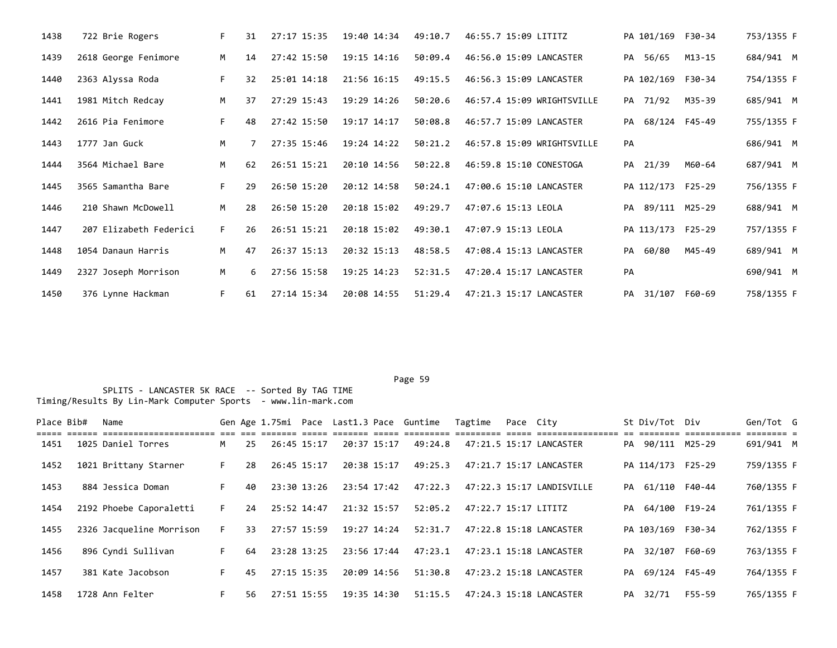| 1438 | 722 Brie Rogers        | F. | 31 | 27:17 15:35 | 19:40 14:34 | 49:10.7 | 46:55.7 15:09 LITITZ       | PA 101/169 F30-34 |               | 753/1355 F |
|------|------------------------|----|----|-------------|-------------|---------|----------------------------|-------------------|---------------|------------|
| 1439 | 2618 George Fenimore   | M  | 14 | 27:42 15:50 | 19:15 14:16 | 50:09.4 | 46:56.0 15:09 LANCASTER    | PA<br>56/65       | M13-15        | 684/941 M  |
| 1440 | 2363 Alyssa Roda       | F. | 32 | 25:01 14:18 | 21:56 16:15 | 49:15.5 | 46:56.3 15:09 LANCASTER    | PA 102/169 F30-34 |               | 754/1355 F |
| 1441 | 1981 Mitch Redcay      | M  | 37 | 27:29 15:43 | 19:29 14:26 | 50:20.6 | 46:57.4 15:09 WRIGHTSVILLE | PA 71/92          | M35-39        | 685/941 M  |
| 1442 | 2616 Pia Fenimore      | F. | 48 | 27:42 15:50 | 19:17 14:17 | 50:08.8 | 46:57.7 15:09 LANCASTER    | PA                | 68/124 F45-49 | 755/1355 F |
| 1443 | 1777 Jan Guck          | M  |    | 27:35 15:46 | 19:24 14:22 | 50:21.2 | 46:57.8 15:09 WRIGHTSVILLE | PA                |               | 686/941 M  |
| 1444 | 3564 Michael Bare      | M  | 62 | 26:51 15:21 | 20:10 14:56 | 50:22.8 | 46:59.8 15:10 CONESTOGA    | PA 21/39          | M60-64        | 687/941 M  |
| 1445 | 3565 Samantha Bare     | F. | 29 | 26:50 15:20 | 20:12 14:58 | 50:24.1 | 47:00.6 15:10 LANCASTER    | PA 112/173 F25-29 |               | 756/1355 F |
| 1446 | 210 Shawn McDowell     | M  | 28 | 26:50 15:20 | 20:18 15:02 | 49:29.7 | 47:07.6 15:13 LEOLA        | PA 89/111 M25-29  |               | 688/941 M  |
| 1447 | 207 Elizabeth Federici | F. | 26 | 26:51 15:21 | 20:18 15:02 | 49:30.1 | 47:07.9 15:13 LEOLA        | PA 113/173 F25-29 |               | 757/1355 F |
| 1448 | 1054 Danaun Harris     | M  | 47 | 26:37 15:13 | 20:32 15:13 | 48:58.5 | 47:08.4 15:13 LANCASTER    | 60/80<br>PA       | M45-49        | 689/941 M  |
| 1449 | 2327 Joseph Morrison   | M  | 6. | 27:56 15:58 | 19:25 14:23 | 52:31.5 | 47:20.4 15:17 LANCASTER    | PA                |               | 690/941 M  |
| 1450 | 376 Lynne Hackman      | F. | 61 | 27:14 15:34 | 20:08 14:55 | 51:29.4 | 47:21.3 15:17 LANCASTER    | PA 31/107 F60-69  |               | 758/1355 F |

Page 59 **Page 59** 

| Place Bib# | Name                     |     |    |             |             | --- --- ------- ----- ------ | Gen Age 1.75mi Pace Last1.3 Pace Guntime | Tagtime              | Pace Citv |                           |    | St Div/Tot Div    |                           | Gen/Tot G              |  |
|------------|--------------------------|-----|----|-------------|-------------|------------------------------|------------------------------------------|----------------------|-----------|---------------------------|----|-------------------|---------------------------|------------------------|--|
| 1451       | 1025 Daniel Torres       | M . | 25 |             | 26:45 15:17 | 20:37 15:17                  | 49:24.8                                  |                      |           | 47:21.5 15:17 LANCASTER   |    | PA 90/111 M25-29  | -- --------- ------------ | accocco c<br>691/941 M |  |
| 1452       | 1021 Brittany Starner    | F.  | 28 |             | 26:45 15:17 | 20:38 15:17                  | 49:25.3                                  |                      |           | 47:21.7 15:17 LANCASTER   |    | PA 114/173 F25-29 |                           | 759/1355 F             |  |
| 1453       | 884 Jessica Doman        | F.  | 40 |             | 23:30 13:26 | 23:54 17:42                  | 47:22.3                                  |                      |           | 47:22.3 15:17 LANDISVILLE |    | PA 61/110 F40-44  |                           | 760/1355 F             |  |
| 1454       | 2192 Phoebe Caporaletti  | F.  | 24 | 25:52 14:47 |             | 21:32 15:57                  | 52:05.2                                  | 47:22.7 15:17 LITITZ |           |                           |    | PA 64/100 F19-24  |                           | 761/1355 F             |  |
| 1455       | 2326 Jacqueline Morrison | F.  | 33 | 27:57 15:59 |             | 19:27 14:24                  | 52:31.7                                  |                      |           | 47:22.8 15:18 LANCASTER   |    | PA 103/169 F30-34 |                           | 762/1355 F             |  |
| 1456       | 896 Cyndi Sullivan       | F.  | 64 | 23:28 13:25 |             | 23:56 17:44                  | 47:23.1                                  |                      |           | 47:23.1 15:18 LANCASTER   | PA | 32/107            | F60-69                    | 763/1355 F             |  |
| 1457       | 381 Kate Jacobson        | F.  | 45 | 27:15 15:35 |             | 20:09 14:56                  | 51:30.8                                  |                      |           | 47:23.2 15:18 LANCASTER   |    | PA 69/124 F45-49  |                           | 764/1355 F             |  |
| 1458       | 1728 Ann Felter          |     | 56 |             | 27:51 15:55 | 19:35 14:30                  | 51:15.5                                  |                      |           | 47:24.3 15:18 LANCASTER   | PA | 32/71             | F55-59                    | 765/1355 F             |  |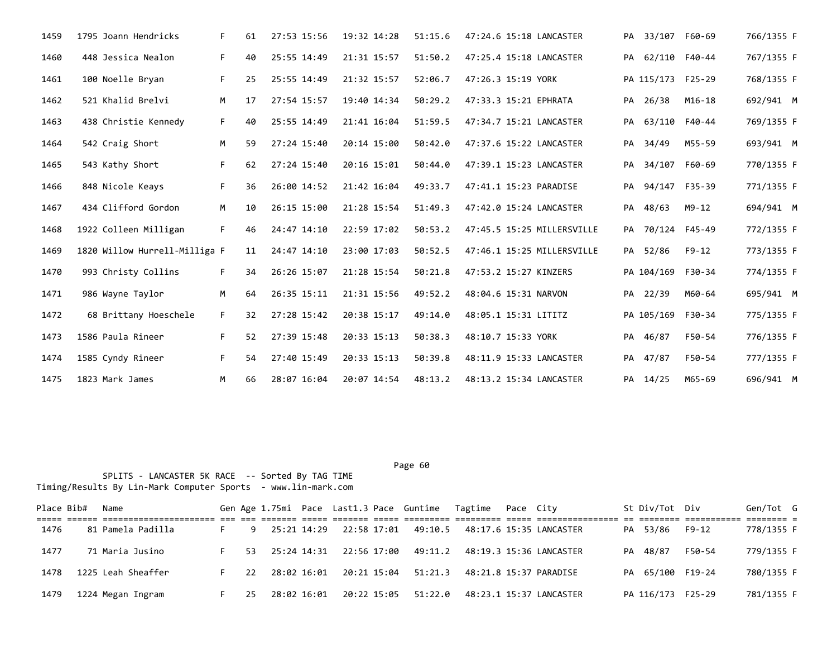| 1459 | 1795 Joann Hendricks          | F. | 61 | 27:53 15:56 | 19:32 14:28 | 51:15.6 | 47:24.6 15:18 LANCASTER    |    | PA 33/107 F60-69  |          | 766/1355 F |
|------|-------------------------------|----|----|-------------|-------------|---------|----------------------------|----|-------------------|----------|------------|
| 1460 | 448 Jessica Nealon            | F. | 40 | 25:55 14:49 | 21:31 15:57 | 51:50.2 | 47:25.4 15:18 LANCASTER    |    | PA 62/110 F40-44  |          | 767/1355 F |
| 1461 | 100 Noelle Bryan              | F. | 25 | 25:55 14:49 | 21:32 15:57 | 52:06.7 | 47:26.3 15:19 YORK         |    | PA 115/173 F25-29 |          | 768/1355 F |
| 1462 | 521 Khalid Brelvi             | M  | 17 | 27:54 15:57 | 19:40 14:34 | 50:29.2 | 47:33.3 15:21 EPHRATA      |    | PA 26/38          | $M16-18$ | 692/941 M  |
| 1463 | 438 Christie Kennedy          | F. | 40 | 25:55 14:49 | 21:41 16:04 | 51:59.5 | 47:34.7 15:21 LANCASTER    |    | PA 63/110 F40-44  |          | 769/1355 F |
| 1464 | 542 Craig Short               | M  | 59 | 27:24 15:40 | 20:14 15:00 | 50:42.0 | 47:37.6 15:22 LANCASTER    | PA | 34/49             | M55-59   | 693/941 M  |
| 1465 | 543 Kathy Short               | F. | 62 | 27:24 15:40 | 20:16 15:01 | 50:44.0 | 47:39.1 15:23 LANCASTER    | PA | 34/107 F60-69     |          | 770/1355 F |
| 1466 | 848 Nicole Keays              | F. | 36 | 26:00 14:52 | 21:42 16:04 | 49:33.7 | 47:41.1 15:23 PARADISE     | PA | 94/147 F35-39     |          | 771/1355 F |
| 1467 | 434 Clifford Gordon           | M  | 10 | 26:15 15:00 | 21:28 15:54 | 51:49.3 | 47:42.0 15:24 LANCASTER    | PA | 48/63             | M9-12    | 694/941 M  |
| 1468 | 1922 Colleen Milligan         | F. | 46 | 24:47 14:10 | 22:59 17:02 | 50:53.2 | 47:45.5 15:25 MILLERSVILLE | PA | 70/124 F45-49     |          | 772/1355 F |
| 1469 | 1820 Willow Hurrell-Milliga F |    | 11 | 24:47 14:10 | 23:00 17:03 | 50:52.5 | 47:46.1 15:25 MILLERSVILLE |    | PA 52/86          | $F9-12$  | 773/1355 F |
| 1470 | 993 Christy Collins           | F. | 34 | 26:26 15:07 | 21:28 15:54 | 50:21.8 | 47:53.2 15:27 KINZERS      |    | PA 104/169 F30-34 |          | 774/1355 F |
| 1471 | 986 Wayne Taylor              | M  | 64 | 26:35 15:11 | 21:31 15:56 | 49:52.2 | 48:04.6 15:31 NARVON       |    | PA 22/39          | M60-64   | 695/941 M  |
| 1472 | 68 Brittany Hoeschele         | F. | 32 | 27:28 15:42 | 20:38 15:17 | 49:14.0 | 48:05.1 15:31 LITITZ       |    | PA 105/169 F30-34 |          | 775/1355 F |
| 1473 | 1586 Paula Rineer             | F. | 52 | 27:39 15:48 | 20:33 15:13 | 50:38.3 | 48:10.7 15:33 YORK         |    | PA 46/87          | F50-54   | 776/1355 F |
| 1474 | 1585 Cyndy Rineer             | F. | 54 | 27:40 15:49 | 20:33 15:13 | 50:39.8 | 48:11.9 15:33 LANCASTER    |    | PA 47/87          | F50-54   | 777/1355 F |
| 1475 | 1823 Mark James               | M  | 66 | 28:07 16:04 | 20:07 14:54 | 48:13.2 | 48:13.2 15:34 LANCASTER    |    | PA 14/25          | M65-69   | 696/941 M  |

| Place Bib# | Name               |      |             |  | Gen Age 1.75mi Pace Last1.3 Pace Guntime Tagtime Pace City  |  |                                                                          | St Div/Tot Div    |        | Gen/Tot G  |  |
|------------|--------------------|------|-------------|--|-------------------------------------------------------------|--|--------------------------------------------------------------------------|-------------------|--------|------------|--|
|            |                    |      |             |  |                                                             |  |                                                                          |                   |        |            |  |
| 1476       | 81 Pamela Padilla  |      |             |  |                                                             |  | 9   25:21  14:29   22:58   17:01   49:10.5   48:17.6   15:35   LANCASTER | PA 53/86          | F9-12  | 778/1355 F |  |
| 1477       | 71 Maria Jusino    |      |             |  |                                                             |  | 53  25:24  14:31  22:56  17:00  49:11.2  48:19.3  15:36  LANCASTER       | PA 48/87          | F50-54 | 779/1355 F |  |
| 1478       | 1225 Leah Sheaffer | 22   |             |  | 28:02 16:01  20:21 15:04  51:21.3  48:21.8  15:37  PARADISE |  |                                                                          | PA 65/100 F19-24  |        | 780/1355 F |  |
| 1479       | 1224 Megan Ingram  | - 25 | 28:02 16:01 |  |                                                             |  |                                                                          | PA 116/173 F25-29 |        | 781/1355 F |  |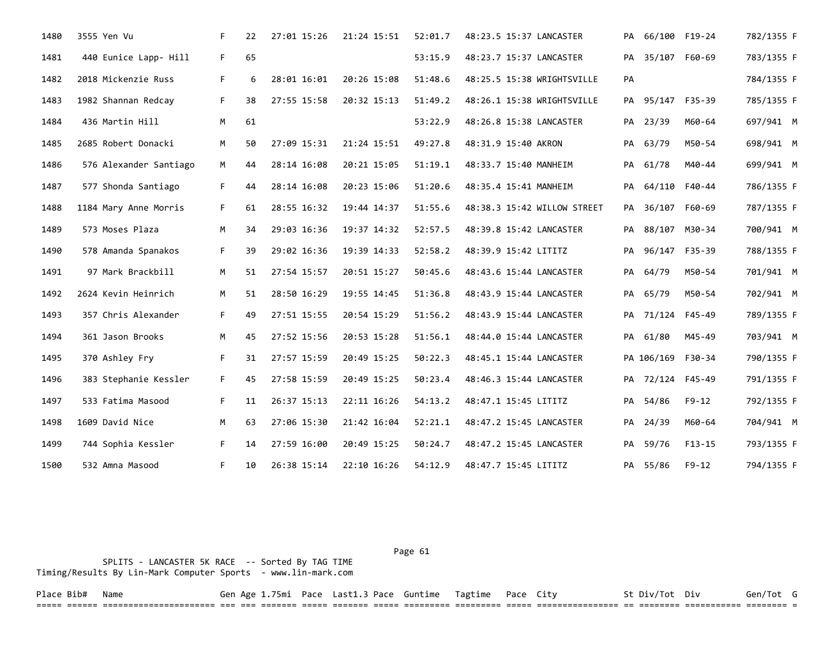| 1480 | 3555 Yen Vu            | F. | 22 | 27:01 15:26 | 21:24 15:51 | 52:01.7 | 48:23.5 15:37 LANCASTER     |    | PA 66/100 F19-24  |               | 782/1355 F |
|------|------------------------|----|----|-------------|-------------|---------|-----------------------------|----|-------------------|---------------|------------|
| 1481 | 440 Eunice Lapp- Hill  | F. | 65 |             |             | 53:15.9 | 48:23.7 15:37 LANCASTER     | PA |                   | 35/107 F60-69 | 783/1355 F |
| 1482 | 2018 Mickenzie Russ    | F. | 6  | 28:01 16:01 | 20:26 15:08 | 51:48.6 | 48:25.5 15:38 WRIGHTSVILLE  | PA |                   |               | 784/1355 F |
| 1483 | 1982 Shannan Redcay    | F. | 38 | 27:55 15:58 | 20:32 15:13 | 51:49.2 | 48:26.1 15:38 WRIGHTSVILLE  |    | PA 95/147 F35-39  |               | 785/1355 F |
| 1484 | 436 Martin Hill        | M  | 61 |             |             | 53:22.9 | 48:26.8 15:38 LANCASTER     |    | PA 23/39          | M60-64        | 697/941 M  |
| 1485 | 2685 Robert Donacki    | M  | 50 | 27:09 15:31 | 21:24 15:51 | 49:27.8 | 48:31.9 15:40 AKRON         |    | PA 63/79          | M50-54        | 698/941 M  |
| 1486 | 576 Alexander Santiago | M  | 44 | 28:14 16:08 | 20:21 15:05 | 51:19.1 | 48:33.7 15:40 MANHEIM       |    | PA 61/78          | M40-44        | 699/941 M  |
| 1487 | 577 Shonda Santiago    | F. | 44 | 28:14 16:08 | 20:23 15:06 | 51:20.6 | 48:35.4 15:41 MANHEIM       | PA | 64/110 F40-44     |               | 786/1355 F |
| 1488 | 1184 Mary Anne Morris  | F. | 61 | 28:55 16:32 | 19:44 14:37 | 51:55.6 | 48:38.3 15:42 WILLOW STREET |    | PA 36/107 F60-69  |               | 787/1355 F |
| 1489 | 573 Moses Plaza        | M  | 34 | 29:03 16:36 | 19:37 14:32 | 52:57.5 | 48:39.8 15:42 LANCASTER     | PA | 88/107 M30-34     |               | 700/941 M  |
| 1490 | 578 Amanda Spanakos    | F. | 39 | 29:02 16:36 | 19:39 14:33 | 52:58.2 | 48:39.9 15:42 LITITZ        |    | PA 96/147 F35-39  |               | 788/1355 F |
| 1491 | 97 Mark Brackbill      | M  | 51 | 27:54 15:57 | 20:51 15:27 | 50:45.6 | 48:43.6 15:44 LANCASTER     |    | PA 64/79          | M50-54        | 701/941 M  |
| 1492 | 2624 Kevin Heinrich    | M  | 51 | 28:50 16:29 | 19:55 14:45 | 51:36.8 | 48:43.9 15:44 LANCASTER     |    | PA 65/79          | M50-54        | 702/941 M  |
| 1493 | 357 Chris Alexander    | F. | 49 | 27:51 15:55 | 20:54 15:29 | 51:56.2 | 48:43.9 15:44 LANCASTER     |    | PA 71/124 F45-49  |               | 789/1355 F |
| 1494 | 361 Jason Brooks       | M  | 45 | 27:52 15:56 | 20:53 15:28 | 51:56.1 | 48:44.0 15:44 LANCASTER     |    | PA 61/80          | M45-49        | 703/941 M  |
| 1495 | 370 Ashley Fry         | F. | 31 | 27:57 15:59 | 20:49 15:25 | 50:22.3 | 48:45.1 15:44 LANCASTER     |    | PA 106/169 F30-34 |               | 790/1355 F |
| 1496 | 383 Stephanie Kessler  | F. | 45 | 27:58 15:59 | 20:49 15:25 | 50:23.4 | 48:46.3 15:44 LANCASTER     |    | PA 72/124 F45-49  |               | 791/1355 F |
| 1497 | 533 Fatima Masood      | F. | 11 | 26:37 15:13 | 22:11 16:26 | 54:13.2 | 48:47.1 15:45 LITITZ        |    | PA 54/86          | $F9 - 12$     | 792/1355 F |
| 1498 | 1609 David Nice        | M  | 63 | 27:06 15:30 | 21:42 16:04 | 52:21.1 | 48:47.2 15:45 LANCASTER     |    | PA 24/39          | M60-64        | 704/941 M  |
| 1499 | 744 Sophia Kessler     | F. | 14 | 27:59 16:00 | 20:49 15:25 | 50:24.7 | 48:47.2 15:45 LANCASTER     |    | PA 59/76          | $F13-15$      | 793/1355 F |
| 1500 | 532 Amna Masood        | F. | 10 | 26:38 15:14 | 22:10 16:26 | 54:12.9 | 48:47.7 15:45 LITITZ        |    | PA 55/86          | F9-12         | 794/1355 F |

 SPLITS - LANCASTER 5K RACE -- Sorted By TAG TIME Timing/Results By Lin-Mark Computer Sports - www.lin-mark.com Page 61

Place Bib# Name Gen Age 1.75mi Pace Last1.3 Pace Guntime Tagtime Pace City St Div/Tot Div Gen/Tot G ===== ====== ====================== === === ======= ===== ======= ===== ========= ========= ===== ================ == ======== =========== ======== =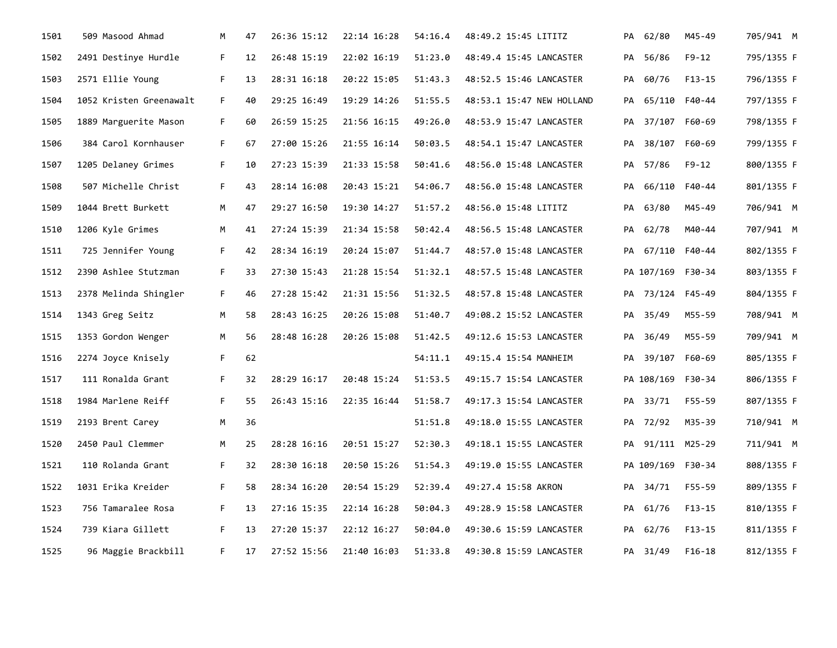| 1501 | 509 Masood Ahmad        | М  | 47 | 26:36 15:12 | 22:14 16:28 | 54:16.4 | 48:49.2 15:45 LITITZ      |    | PA 62/80          | M45-49        | 705/941 M  |  |
|------|-------------------------|----|----|-------------|-------------|---------|---------------------------|----|-------------------|---------------|------------|--|
| 1502 | 2491 Destinye Hurdle    | F. | 12 | 26:48 15:19 | 22:02 16:19 | 51:23.0 | 48:49.4 15:45 LANCASTER   | PA | 56/86             | F9-12         | 795/1355 F |  |
| 1503 | 2571 Ellie Young        | F. | 13 | 28:31 16:18 | 20:22 15:05 | 51:43.3 | 48:52.5 15:46 LANCASTER   |    | PA 60/76          | $F13-15$      | 796/1355 F |  |
| 1504 | 1052 Kristen Greenawalt | F. | 40 | 29:25 16:49 | 19:29 14:26 | 51:55.5 | 48:53.1 15:47 NEW HOLLAND | PA | 65/110 F40-44     |               | 797/1355 F |  |
| 1505 | 1889 Marguerite Mason   | F. | 60 | 26:59 15:25 | 21:56 16:15 | 49:26.0 | 48:53.9 15:47 LANCASTER   |    | PA 37/107 F60-69  |               | 798/1355 F |  |
| 1506 | 384 Carol Kornhauser    | F. | 67 | 27:00 15:26 | 21:55 16:14 | 50:03.5 | 48:54.1 15:47 LANCASTER   | PA |                   | 38/107 F60-69 | 799/1355 F |  |
| 1507 | 1205 Delaney Grimes     | F. | 10 | 27:23 15:39 | 21:33 15:58 | 50:41.6 | 48:56.0 15:48 LANCASTER   |    | PA 57/86          | F9-12         | 800/1355 F |  |
| 1508 | 507 Michelle Christ     | F. | 43 | 28:14 16:08 | 20:43 15:21 | 54:06.7 | 48:56.0 15:48 LANCASTER   | PA |                   | 66/110 F40-44 | 801/1355 F |  |
| 1509 | 1044 Brett Burkett      | M  | 47 | 29:27 16:50 | 19:30 14:27 | 51:57.2 | 48:56.0 15:48 LITITZ      |    | PA 63/80          | M45-49        | 706/941 M  |  |
| 1510 | 1206 Kyle Grimes        | M  | 41 | 27:24 15:39 | 21:34 15:58 | 50:42.4 | 48:56.5 15:48 LANCASTER   | PA | 62/78             | M40-44        | 707/941 M  |  |
| 1511 | 725 Jennifer Young      | F. | 42 | 28:34 16:19 | 20:24 15:07 | 51:44.7 | 48:57.0 15:48 LANCASTER   |    | PA 67/110 F40-44  |               | 802/1355 F |  |
| 1512 | 2390 Ashlee Stutzman    | F. | 33 | 27:30 15:43 | 21:28 15:54 | 51:32.1 | 48:57.5 15:48 LANCASTER   |    | PA 107/169 F30-34 |               | 803/1355 F |  |
| 1513 | 2378 Melinda Shingler   | F. | 46 | 27:28 15:42 | 21:31 15:56 | 51:32.5 | 48:57.8 15:48 LANCASTER   |    | PA 73/124 F45-49  |               | 804/1355 F |  |
| 1514 | 1343 Greg Seitz         | M  | 58 | 28:43 16:25 | 20:26 15:08 | 51:40.7 | 49:08.2 15:52 LANCASTER   | PA | 35/49             | M55-59        | 708/941 M  |  |
| 1515 | 1353 Gordon Wenger      | M  | 56 | 28:48 16:28 | 20:26 15:08 | 51:42.5 | 49:12.6 15:53 LANCASTER   | PA | 36/49             | M55-59        | 709/941 M  |  |
| 1516 | 2274 Joyce Knisely      | F. | 62 |             |             | 54:11.1 | 49:15.4 15:54 MANHEIM     | PA |                   | 39/107 F60-69 | 805/1355 F |  |
| 1517 | 111 Ronalda Grant       | F. | 32 | 28:29 16:17 | 20:48 15:24 | 51:53.5 | 49:15.7 15:54 LANCASTER   |    | PA 108/169 F30-34 |               | 806/1355 F |  |
| 1518 | 1984 Marlene Reiff      | F. | 55 | 26:43 15:16 | 22:35 16:44 | 51:58.7 | 49:17.3 15:54 LANCASTER   |    | PA 33/71          | F55-59        | 807/1355 F |  |
| 1519 | 2193 Brent Carey        | М  | 36 |             |             | 51:51.8 | 49:18.0 15:55 LANCASTER   |    | PA 72/92          | M35-39        | 710/941 M  |  |
| 1520 | 2450 Paul Clemmer       | M  | 25 | 28:28 16:16 | 20:51 15:27 | 52:30.3 | 49:18.1 15:55 LANCASTER   |    | PA 91/111 M25-29  |               | 711/941 M  |  |
| 1521 | 110 Rolanda Grant       | F. | 32 | 28:30 16:18 | 20:50 15:26 | 51:54.3 | 49:19.0 15:55 LANCASTER   |    | PA 109/169 F30-34 |               | 808/1355 F |  |
| 1522 | 1031 Erika Kreider      | F. | 58 | 28:34 16:20 | 20:54 15:29 | 52:39.4 | 49:27.4 15:58 AKRON       |    | PA 34/71          | F55-59        | 809/1355 F |  |
| 1523 | 756 Tamaralee Rosa      | F. | 13 | 27:16 15:35 | 22:14 16:28 | 50:04.3 | 49:28.9 15:58 LANCASTER   | PA | 61/76             | F13-15        | 810/1355 F |  |
| 1524 | 739 Kiara Gillett       | F. | 13 | 27:20 15:37 | 22:12 16:27 | 50:04.0 | 49:30.6 15:59 LANCASTER   |    | PA 62/76          | $F13-15$      | 811/1355 F |  |
| 1525 | 96 Maggie Brackbill     | F. | 17 | 27:52 15:56 | 21:40 16:03 | 51:33.8 | 49:30.8 15:59 LANCASTER   |    | PA 31/49          | F16-18        | 812/1355 F |  |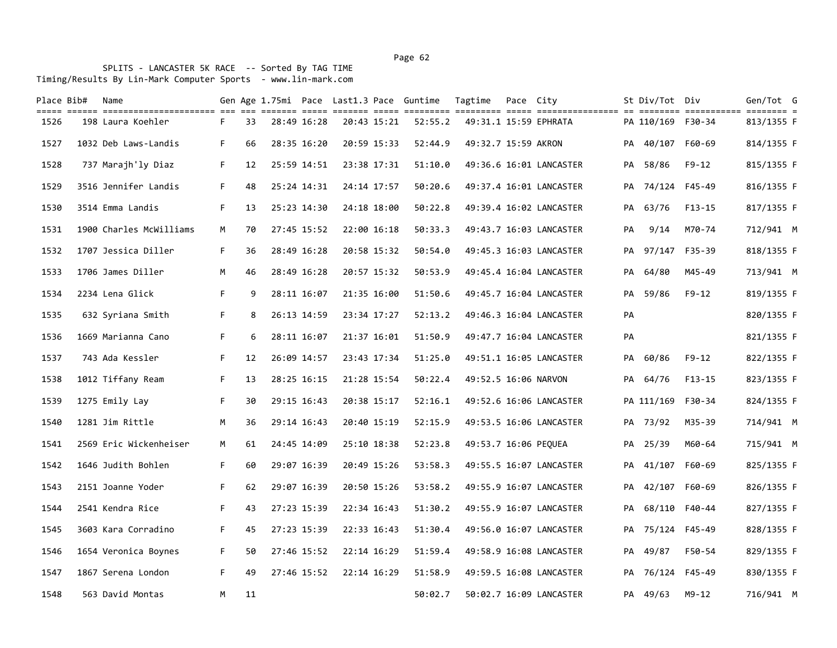SPLITS - LANCASTER 5K RACE -- Sorted By TAG TIME Timing/Results By Lin-Mark Computer Sports - www.lin-mark.com

| Place Bib# | Name                                                                                                                                 |    |    |             |             | Gen Age 1.75mi Pace Last1.3 Pace Guntime | Tagtime              | Pace City |                         |    | St Div/Tot Div    |           | Gen/Tot G  |  |
|------------|--------------------------------------------------------------------------------------------------------------------------------------|----|----|-------------|-------------|------------------------------------------|----------------------|-----------|-------------------------|----|-------------------|-----------|------------|--|
| 1526       | colo colo coloriolicoliciti de la citili dell'itali colo colo colori colori colo colorioliciti di colori colori<br>198 Laura Koehler | F. | 33 | 28:49 16:28 | 20:43 15:21 | 52:55.2                                  |                      |           | 49:31.1 15:59 EPHRATA   |    | PA 110/169 F30-34 |           | 813/1355 F |  |
| 1527       | 1032 Deb Laws-Landis                                                                                                                 | F. | 66 | 28:35 16:20 | 20:59 15:33 | 52:44.9                                  | 49:32.7 15:59 AKRON  |           |                         |    | PA 40/107         | F60-69    | 814/1355 F |  |
| 1528       | 737 Marajh'ly Diaz                                                                                                                   | F. | 12 | 25:59 14:51 | 23:38 17:31 | 51:10.0                                  |                      |           | 49:36.6 16:01 LANCASTER | PA | 58/86             | $F9 - 12$ | 815/1355 F |  |
| 1529       | 3516 Jennifer Landis                                                                                                                 | F. | 48 | 25:24 14:31 | 24:14 17:57 | 50:20.6                                  |                      |           | 49:37.4 16:01 LANCASTER |    | PA 74/124 F45-49  |           | 816/1355 F |  |
| 1530       | 3514 Emma Landis                                                                                                                     | F. | 13 | 25:23 14:30 | 24:18 18:00 | 50:22.8                                  |                      |           | 49:39.4 16:02 LANCASTER |    | PA 63/76          | $F13-15$  | 817/1355 F |  |
| 1531       | 1900 Charles McWilliams                                                                                                              | М  | 70 | 27:45 15:52 | 22:00 16:18 | 50:33.3                                  |                      |           | 49:43.7 16:03 LANCASTER | PA | 9/14              | M70-74    | 712/941 M  |  |
| 1532       | 1707 Jessica Diller                                                                                                                  | F. | 36 | 28:49 16:28 | 20:58 15:32 | 50:54.0                                  |                      |           | 49:45.3 16:03 LANCASTER |    | PA 97/147 F35-39  |           | 818/1355 F |  |
| 1533       | 1706 James Diller                                                                                                                    | М  | 46 | 28:49 16:28 | 20:57 15:32 | 50:53.9                                  |                      |           | 49:45.4 16:04 LANCASTER | PA | 64/80             | M45-49    | 713/941 M  |  |
| 1534       | 2234 Lena Glick                                                                                                                      | F. | 9  | 28:11 16:07 | 21:35 16:00 | 51:50.6                                  |                      |           | 49:45.7 16:04 LANCASTER |    | PA 59/86          | $F9 - 12$ | 819/1355 F |  |
| 1535       | 632 Syriana Smith                                                                                                                    | F. | 8  | 26:13 14:59 | 23:34 17:27 | 52:13.2                                  |                      |           | 49:46.3 16:04 LANCASTER | PA |                   |           | 820/1355 F |  |
| 1536       | 1669 Marianna Cano                                                                                                                   | F. | 6  | 28:11 16:07 | 21:37 16:01 | 51:50.9                                  |                      |           | 49:47.7 16:04 LANCASTER | PA |                   |           | 821/1355 F |  |
| 1537       | 743 Ada Kessler                                                                                                                      | F. | 12 | 26:09 14:57 | 23:43 17:34 | 51:25.0                                  |                      |           | 49:51.1 16:05 LANCASTER | PA | 60/86             | F9-12     | 822/1355 F |  |
| 1538       | 1012 Tiffany Ream                                                                                                                    | F. | 13 | 28:25 16:15 | 21:28 15:54 | 50:22.4                                  | 49:52.5 16:06 NARVON |           |                         |    | PA 64/76          | $F13-15$  | 823/1355 F |  |
| 1539       | 1275 Emily Lay                                                                                                                       | F. | 30 | 29:15 16:43 | 20:38 15:17 | 52:16.1                                  |                      |           | 49:52.6 16:06 LANCASTER |    | PA 111/169 F30-34 |           | 824/1355 F |  |
| 1540       | 1281 Jim Rittle                                                                                                                      | M  | 36 | 29:14 16:43 | 20:40 15:19 | 52:15.9                                  |                      |           | 49:53.5 16:06 LANCASTER |    | PA 73/92          | M35-39    | 714/941 M  |  |
| 1541       | 2569 Eric Wickenheiser                                                                                                               | М  | 61 | 24:45 14:09 | 25:10 18:38 | 52:23.8                                  | 49:53.7 16:06 PEQUEA |           |                         |    | PA 25/39          | M60-64    | 715/941 M  |  |
| 1542       | 1646 Judith Bohlen                                                                                                                   | F. | 60 | 29:07 16:39 | 20:49 15:26 | 53:58.3                                  |                      |           | 49:55.5 16:07 LANCASTER |    | PA 41/107         | F60-69    | 825/1355 F |  |
| 1543       | 2151 Joanne Yoder                                                                                                                    | F. | 62 | 29:07 16:39 | 20:50 15:26 | 53:58.2                                  |                      |           | 49:55.9 16:07 LANCASTER |    | PA 42/107 F60-69  |           | 826/1355 F |  |
| 1544       | 2541 Kendra Rice                                                                                                                     | F. | 43 | 27:23 15:39 | 22:34 16:43 | 51:30.2                                  |                      |           | 49:55.9 16:07 LANCASTER |    | PA 68/110 F40-44  |           | 827/1355 F |  |
| 1545       | 3603 Kara Corradino                                                                                                                  | F. | 45 | 27:23 15:39 | 22:33 16:43 | 51:30.4                                  |                      |           | 49:56.0 16:07 LANCASTER |    | PA 75/124 F45-49  |           | 828/1355 F |  |
| 1546       | 1654 Veronica Boynes                                                                                                                 | F. | 50 | 27:46 15:52 | 22:14 16:29 | 51:59.4                                  |                      |           | 49:58.9 16:08 LANCASTER |    | PA 49/87          | F50-54    | 829/1355 F |  |
| 1547       | 1867 Serena London                                                                                                                   | F. | 49 | 27:46 15:52 | 22:14 16:29 | 51:58.9                                  |                      |           | 49:59.5 16:08 LANCASTER |    | PA 76/124 F45-49  |           | 830/1355 F |  |
| 1548       | 563 David Montas                                                                                                                     | M  | 11 |             |             | 50:02.7                                  |                      |           | 50:02.7 16:09 LANCASTER |    | PA 49/63          | $M9 - 12$ | 716/941 M  |  |

Page 62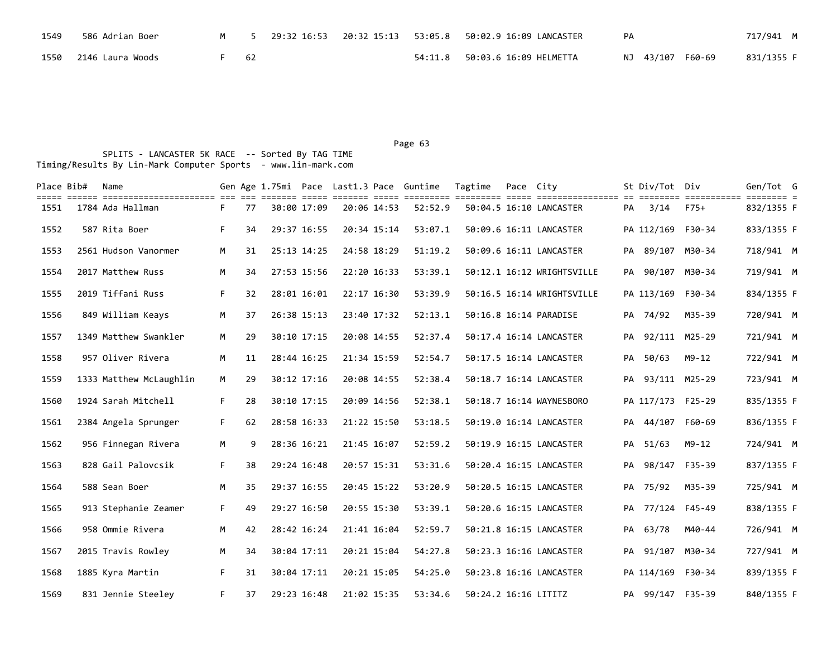| 1549 | 586 Adrian Boer       |    |  |                                         | PA |                  | 717/941 M  |
|------|-----------------------|----|--|-----------------------------------------|----|------------------|------------|
|      | 1550 2146 Laura Woods | 62 |  | 54:11.8    50:03.6    16:09    HELMETTA |    | NJ 43/107 F60-69 | 831/1355 F |

| Place Bib# | Name<br>title elere bittitlerinistitler eit die steiten bitte bitten bitte bittitlen bittitlen bittitleritenen en bittitle bittitlen bittitlen d |    |    |             |             |             |             | Gen Age 1.75mi Pace Last1.3 Pace Guntime | Tagtime              | Pace City |                            |    | St Div/Tot Div    |           | Gen/Tot G  |  |
|------------|--------------------------------------------------------------------------------------------------------------------------------------------------|----|----|-------------|-------------|-------------|-------------|------------------------------------------|----------------------|-----------|----------------------------|----|-------------------|-----------|------------|--|
| 1551       | 1784 Ada Hallman                                                                                                                                 | F. | 77 |             | 30:00 17:09 | 20:06 14:53 |             | 52:52.9                                  |                      |           | 50:04.5 16:10 LANCASTER    |    | PA 3/14 F75+      |           | 832/1355 F |  |
| 1552       | 587 Rita Boer                                                                                                                                    | F. | 34 | 29:37 16:55 |             | 20:34 15:14 |             | 53:07.1                                  |                      |           | 50:09.6 16:11 LANCASTER    |    | PA 112/169 F30-34 |           | 833/1355 F |  |
| 1553       | 2561 Hudson Vanormer                                                                                                                             | M  | 31 | 25:13 14:25 |             | 24:58 18:29 |             | 51:19.2                                  |                      |           | 50:09.6 16:11 LANCASTER    | PA | 89/107 M30-34     |           | 718/941 M  |  |
| 1554       | 2017 Matthew Russ                                                                                                                                | М  | 34 | 27:53 15:56 |             | 22:20 16:33 |             | 53:39.1                                  |                      |           | 50:12.1 16:12 WRIGHTSVILLE | PA | 90/107 M30-34     |           | 719/941 M  |  |
| 1555       | 2019 Tiffani Russ                                                                                                                                | F. | 32 | 28:01 16:01 |             | 22:17 16:30 |             | 53:39.9                                  |                      |           | 50:16.5 16:14 WRIGHTSVILLE |    | PA 113/169 F30-34 |           | 834/1355 F |  |
| 1556       | 849 William Keays                                                                                                                                | M  | 37 |             | 26:38 15:13 | 23:40 17:32 |             | 52:13.1                                  |                      |           | 50:16.8 16:14 PARADISE     |    | PA 74/92          | M35-39    | 720/941 M  |  |
| 1557       | 1349 Matthew Swankler                                                                                                                            | M  | 29 |             | 30:10 17:15 | 20:08 14:55 |             | 52:37.4                                  |                      |           | 50:17.4 16:14 LANCASTER    | PA | 92/111 M25-29     |           | 721/941 M  |  |
| 1558       | 957 Oliver Rivera                                                                                                                                | M  | 11 | 28:44 16:25 |             | 21:34 15:59 |             | 52:54.7                                  |                      |           | 50:17.5 16:14 LANCASTER    | PA | 50/63             | $M9 - 12$ | 722/941 M  |  |
| 1559       | 1333 Matthew McLaughlin                                                                                                                          | M  | 29 |             | 30:12 17:16 | 20:08 14:55 |             | 52:38.4                                  |                      |           | 50:18.7 16:14 LANCASTER    |    | PA 93/111 M25-29  |           | 723/941 M  |  |
| 1560       | 1924 Sarah Mitchell                                                                                                                              | F. | 28 |             | 30:10 17:15 | 20:09 14:56 |             | 52:38.1                                  |                      |           | 50:18.7 16:14 WAYNESBORO   |    | PA 117/173 F25-29 |           | 835/1355 F |  |
| 1561       | 2384 Angela Sprunger                                                                                                                             | F. | 62 | 28:58 16:33 |             | 21:22 15:50 |             | 53:18.5                                  |                      |           | 50:19.0 16:14 LANCASTER    |    | PA 44/107 F60-69  |           | 836/1355 F |  |
| 1562       | 956 Finnegan Rivera                                                                                                                              | M  | 9  |             | 28:36 16:21 | 21:45 16:07 |             | 52:59.2                                  |                      |           | 50:19.9 16:15 LANCASTER    |    | PA 51/63          | $M9 - 12$ | 724/941 M  |  |
| 1563       | 828 Gail Palovcsik                                                                                                                               | F. | 38 | 29:24 16:48 |             | 20:57 15:31 |             | 53:31.6                                  |                      |           | 50:20.4 16:15 LANCASTER    |    | PA 98/147 F35-39  |           | 837/1355 F |  |
| 1564       | 588 Sean Boer                                                                                                                                    | M  | 35 | 29:37 16:55 |             |             | 20:45 15:22 | 53:20.9                                  |                      |           | 50:20.5 16:15 LANCASTER    |    | PA 75/92          | M35-39    | 725/941 M  |  |
| 1565       | 913 Stephanie Zeamer                                                                                                                             | F. | 49 | 29:27 16:50 |             |             | 20:55 15:30 | 53:39.1                                  |                      |           | 50:20.6 16:15 LANCASTER    |    | PA 77/124 F45-49  |           | 838/1355 F |  |
| 1566       | 958 Ommie Rivera                                                                                                                                 | М  | 42 | 28:42 16:24 |             | 21:41 16:04 |             | 52:59.7                                  |                      |           | 50:21.8 16:15 LANCASTER    | PA | 63/78             | M40-44    | 726/941 M  |  |
| 1567       | 2015 Travis Rowley                                                                                                                               | M  | 34 |             | 30:04 17:11 |             | 20:21 15:04 | 54:27.8                                  |                      |           | 50:23.3 16:16 LANCASTER    | PA | 91/107 M30-34     |           | 727/941 M  |  |
| 1568       | 1885 Kyra Martin                                                                                                                                 | F. | 31 | 30:04 17:11 |             |             | 20:21 15:05 | 54:25.0                                  |                      |           | 50:23.8 16:16 LANCASTER    |    | PA 114/169 F30-34 |           | 839/1355 F |  |
| 1569       | 831 Jennie Steeley                                                                                                                               | F. | 37 | 29:23 16:48 |             | 21:02 15:35 |             | 53:34.6                                  | 50:24.2 16:16 LITITZ |           |                            |    | PA 99/147 F35-39  |           | 840/1355 F |  |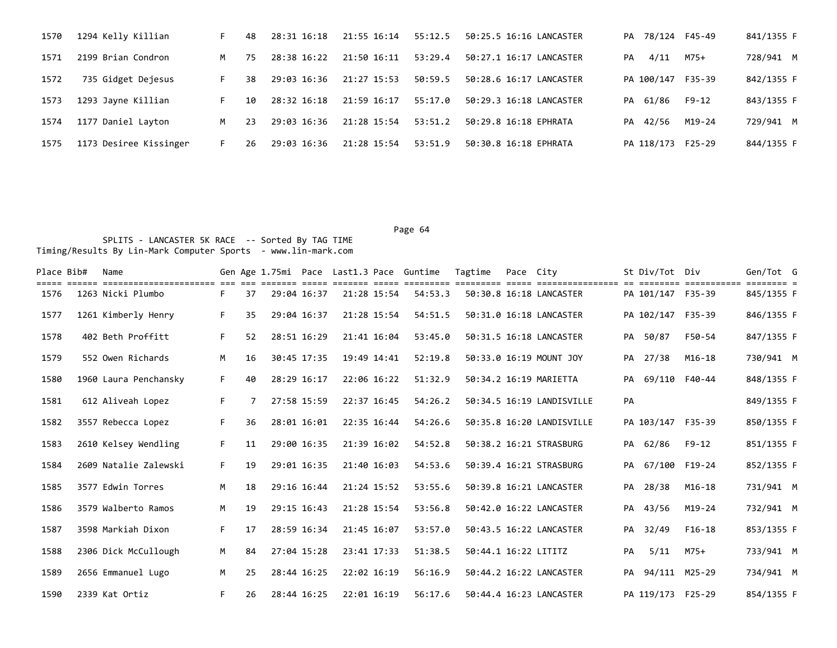| 1570 | 1294 Kelly Killian     | F. | 48  | 28:31 16:18 | 21:55 16:14 | 55:12.5 | 50:25.5 16:16 LANCASTER |            |      | PA 78/124 F45-49  | 841/1355 F |
|------|------------------------|----|-----|-------------|-------------|---------|-------------------------|------------|------|-------------------|------------|
| 1571 | 2199 Brian Condron     | M  | 75. | 28:38 16:22 | 21:50 16:11 | 53:29.4 | 50:27.1 16:17 LANCASTER | PA         | 4/11 | M75+              | 728/941 M  |
| 1572 | 735 Gidget Dejesus     | F. | 38  | 29:03 16:36 | 21:27 15:53 | 50:59.5 | 50:28.6 16:17 LANCASTER |            |      | PA 100/147 F35-39 | 842/1355 F |
| 1573 | 1293 Jayne Killian     | F. | 10  | 28:32 16:18 | 21:59 16:17 | 55:17.0 | 50:29.3 16:18 LANCASTER | PA 61/86   |      | F9-12             | 843/1355 F |
| 1574 | 1177 Daniel Layton     | M  | 23  | 29:03 16:36 | 21:28 15:54 | 53:51.2 | 50:29.8 16:18 EPHRATA   | PA 42/56   |      | M19-24            | 729/941 M  |
| 1575 | 1173 Desiree Kissinger | F. | 26  | 29:03 16:36 | 21:28 15:54 | 53:51.9 | 50:30.8 16:18 EPHRATA   | PA 118/173 |      | F25-29            | 844/1355 F |

| Place Bib# | Name                  |    |    |             |             |             | Gen Age 1.75mi Pace Last1.3 Pace Guntime | Tagtime              | Pace City |                           |    | St Div/Tot Div    | =========== | Gen/Tot G  |  |
|------------|-----------------------|----|----|-------------|-------------|-------------|------------------------------------------|----------------------|-----------|---------------------------|----|-------------------|-------------|------------|--|
| 1576       | 1263 Nicki Plumbo     | F. | 37 | 29:04 16:37 |             | 21:28 15:54 | 54:53.3                                  |                      |           | 50:30.8 16:18 LANCASTER   |    | PA 101/147 F35-39 |             | 845/1355 F |  |
| 1577       | 1261 Kimberly Henry   | F. | 35 | 29:04 16:37 |             | 21:28 15:54 | 54:51.5                                  |                      |           | 50:31.0 16:18 LANCASTER   |    | PA 102/147 F35-39 |             | 846/1355 F |  |
| 1578       | 402 Beth Proffitt     | F. | 52 | 28:51 16:29 |             | 21:41 16:04 | 53:45.0                                  |                      |           | 50:31.5 16:18 LANCASTER   |    | PA 50/87          | F50-54      | 847/1355 F |  |
| 1579       | 552 Owen Richards     | M  | 16 |             | 30:45 17:35 | 19:49 14:41 | 52:19.8                                  |                      |           | 50:33.0 16:19 MOUNT JOY   | PA | 27/38             | $M16 - 18$  | 730/941 M  |  |
| 1580       | 1960 Laura Penchansky | F. | 40 | 28:29 16:17 |             | 22:06 16:22 | 51:32.9                                  |                      |           | 50:34.2 16:19 MARIETTA    |    | PA 69/110 F40-44  |             | 848/1355 F |  |
| 1581       | 612 Aliveah Lopez     | F. |    | 27:58 15:59 |             | 22:37 16:45 | 54:26.2                                  |                      |           | 50:34.5 16:19 LANDISVILLE | PA |                   |             | 849/1355 F |  |
| 1582       | 3557 Rebecca Lopez    | F. | 36 | 28:01 16:01 |             | 22:35 16:44 | 54:26.6                                  |                      |           | 50:35.8 16:20 LANDISVILLE |    | PA 103/147 F35-39 |             | 850/1355 F |  |
| 1583       | 2610 Kelsey Wendling  | F. | 11 | 29:00 16:35 |             | 21:39 16:02 | 54:52.8                                  |                      |           | 50:38.2 16:21 STRASBURG   |    | PA 62/86          | F9-12       | 851/1355 F |  |
| 1584       | 2609 Natalie Zalewski | F. | 19 | 29:01 16:35 |             | 21:40 16:03 | 54:53.6                                  |                      |           | 50:39.4 16:21 STRASBURG   |    | PA 67/100 F19-24  |             | 852/1355 F |  |
| 1585       | 3577 Edwin Torres     | M  | 18 | 29:16 16:44 |             | 21:24 15:52 | 53:55.6                                  |                      |           | 50:39.8 16:21 LANCASTER   |    | PA 28/38          | M16-18      | 731/941 M  |  |
| 1586       | 3579 Walberto Ramos   | M  | 19 | 29:15 16:43 |             | 21:28 15:54 | 53:56.8                                  |                      |           | 50:42.0 16:22 LANCASTER   | PA | 43/56             | $M19-24$    | 732/941 M  |  |
| 1587       | 3598 Markiah Dixon    | F. | 17 | 28:59 16:34 |             | 21:45 16:07 | 53:57.0                                  |                      |           | 50:43.5 16:22 LANCASTER   | PA | 32/49             | F16-18      | 853/1355 F |  |
| 1588       | 2306 Dick McCullough  | M  | 84 | 27:04 15:28 |             | 23:41 17:33 | 51:38.5                                  | 50:44.1 16:22 LITITZ |           |                           | PA | 5/11              | M75+        | 733/941 M  |  |
| 1589       | 2656 Emmanuel Lugo    | M  | 25 | 28:44 16:25 |             | 22:02 16:19 | 56:16.9                                  |                      |           | 50:44.2 16:22 LANCASTER   |    | PA 94/111 M25-29  |             | 734/941 M  |  |
| 1590       | 2339 Kat Ortiz        | F. | 26 | 28:44 16:25 |             | 22:01 16:19 | 56:17.6                                  |                      |           | 50:44.4 16:23 LANCASTER   |    | PA 119/173 F25-29 |             | 854/1355 F |  |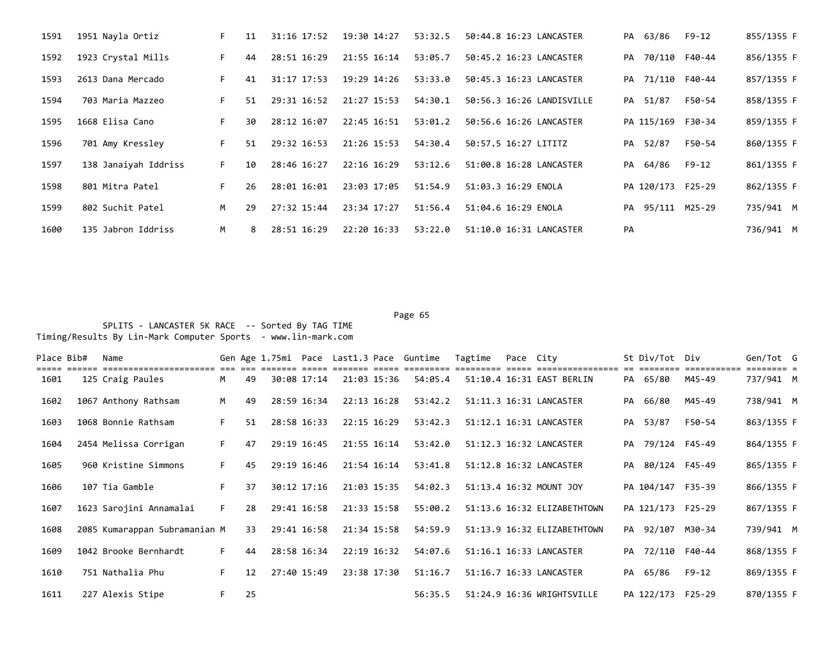| 1591 | 1951 Nayla Ortiz     | F. | 11 | 31:16 17:52 | 19:30 14:27 | 53:32.5 | 50:44.8 16:23 LANCASTER   |    | PA 63/86          | F9-12  | 855/1355 F |
|------|----------------------|----|----|-------------|-------------|---------|---------------------------|----|-------------------|--------|------------|
| 1592 | 1923 Crystal Mills   | F. | 44 | 28:51 16:29 | 21:55 16:14 | 53:05.7 | 50:45.2 16:23 LANCASTER   |    | PA 70/110 F40-44  |        | 856/1355 F |
| 1593 | 2613 Dana Mercado    | F. | 41 | 31:17 17:53 | 19:29 14:26 | 53:33.0 | 50:45.3 16:23 LANCASTER   |    | PA 71/110 F40-44  |        | 857/1355 F |
| 1594 | 703 Maria Mazzeo     | F. | 51 | 29:31 16:52 | 21:27 15:53 | 54:30.1 | 50:56.3 16:26 LANDISVILLE |    | PA 51/87          | F50-54 | 858/1355 F |
| 1595 | 1668 Elisa Cano      | F. | 30 | 28:12 16:07 | 22:45 16:51 | 53:01.2 | 50:56.6 16:26 LANCASTER   |    | PA 115/169 F30-34 |        | 859/1355 F |
| 1596 | 701 Amy Kressley     | F. | 51 | 29:32 16:53 | 21:26 15:53 | 54:30.4 | 50:57.5 16:27 LITITZ      |    | PA 52/87          | F50-54 | 860/1355 F |
| 1597 | 138 Janaiyah Iddriss | F. | 10 | 28:46 16:27 | 22:16 16:29 | 53:12.6 | 51:00.8 16:28 LANCASTER   |    | PA 64/86          | F9-12  | 861/1355 F |
| 1598 | 801 Mitra Patel      | F. | 26 | 28:01 16:01 | 23:03 17:05 | 51:54.9 | 51:03.3 16:29 ENOLA       |    | PA 120/173 F25-29 |        | 862/1355 F |
| 1599 | 802 Suchit Patel     | M  | 29 | 27:32 15:44 | 23:34 17:27 | 51:56.4 | 51:04.6 16:29 ENOLA       |    | PA 95/111 M25-29  |        | 735/941 M  |
| 1600 | 135 Jabron Iddriss   | M  | 8  | 28:51 16:29 | 22:20 16:33 | 53:22.0 | 51:10.0 16:31 LANCASTER   | PA |                   |        | 736/941 M  |

Page 65 SPLITS - LANCASTER 5K RACE -- Sorted By TAG TIME

Timing/Results By Lin-Mark Computer Sports - www.lin-mark.com

| Place Bib# | Name                                        |    |    |             |             | Gen Age 1.75mi Pace Last1.3 Pace Guntime | Tagtime | Pace City |                             |    | St Div/Tot Div    |                                   | Gen/Tot G                            |  |
|------------|---------------------------------------------|----|----|-------------|-------------|------------------------------------------|---------|-----------|-----------------------------|----|-------------------|-----------------------------------|--------------------------------------|--|
| 1601       | =======================<br>125 Craig Paules | M  | 49 | 30:08 17:14 | 21:03 15:36 | 54:05.4                                  |         |           | 51:10.4 16:31 EAST BERLIN   |    | PA 65/80          | $=$ = = = = = = = = = :<br>M45-49 | $=$ $=$ $=$ $=$ $=$ $=$<br>737/941 M |  |
| 1602       | 1067 Anthony Rathsam                        | M  | 49 | 28:59 16:34 | 22:13 16:28 | 53:42.2                                  |         |           | 51:11.3 16:31 LANCASTER     |    | PA 66/80          | M45-49                            | 738/941 M                            |  |
| 1603       | 1068 Bonnie Rathsam                         | F. | 51 | 28:58 16:33 | 22:15 16:29 | 53:42.3                                  |         |           | 51:12.1 16:31 LANCASTER     |    | PA 53/87          | F50-54                            | 863/1355 F                           |  |
| 1604       | 2454 Melissa Corrigan                       | F. | 47 | 29:19 16:45 | 21:55 16:14 | 53:42.0                                  |         |           | 51:12.3 16:32 LANCASTER     |    | PA 79/124 F45-49  |                                   | 864/1355 F                           |  |
| 1605       | 960 Kristine Simmons                        | F. | 45 | 29:19 16:46 | 21:54 16:14 | 53:41.8                                  |         |           | 51:12.8 16:32 LANCASTER     |    | PA 80/124 F45-49  |                                   | 865/1355 F                           |  |
| 1606       | 107 Tia Gamble                              | F. | 37 | 30:12 17:16 | 21:03 15:35 | 54:02.3                                  |         |           | 51:13.4 16:32 MOUNT JOY     |    | PA 104/147 F35-39 |                                   | 866/1355 F                           |  |
| 1607       | 1623 Sarojini Annamalai                     | F  | 28 | 29:41 16:58 | 21:33 15:58 | 55:00.2                                  |         |           | 51:13.6 16:32 ELIZABETHTOWN |    | PA 121/173 F25-29 |                                   | 867/1355 F                           |  |
| 1608       | 2085 Kumarappan Subramanian M               |    | 33 | 29:41 16:58 | 21:34 15:58 | 54:59.9                                  |         |           | 51:13.9 16:32 ELIZABETHTOWN |    | PA 92/107 M30-34  |                                   | 739/941 M                            |  |
| 1609       | 1042 Brooke Bernhardt                       | F. | 44 | 28:58 16:34 | 22:19 16:32 | 54:07.6                                  |         |           | 51:16.1 16:33 LANCASTER     |    | PA 72/110 F40-44  |                                   | 868/1355 F                           |  |
| 1610       | 751 Nathalia Phu                            | F. | 12 | 27:40 15:49 | 23:38 17:30 | 51:16.7                                  |         |           | 51:16.7 16:33 LANCASTER     | PA | 65/86             | F9-12                             | 869/1355 F                           |  |
| 1611       | 227 Alexis Stipe                            | F. | 25 |             |             | 56:35.5                                  |         |           | 51:24.9 16:36 WRIGHTSVILLE  |    | PA 122/173 F25-29 |                                   | 870/1355 F                           |  |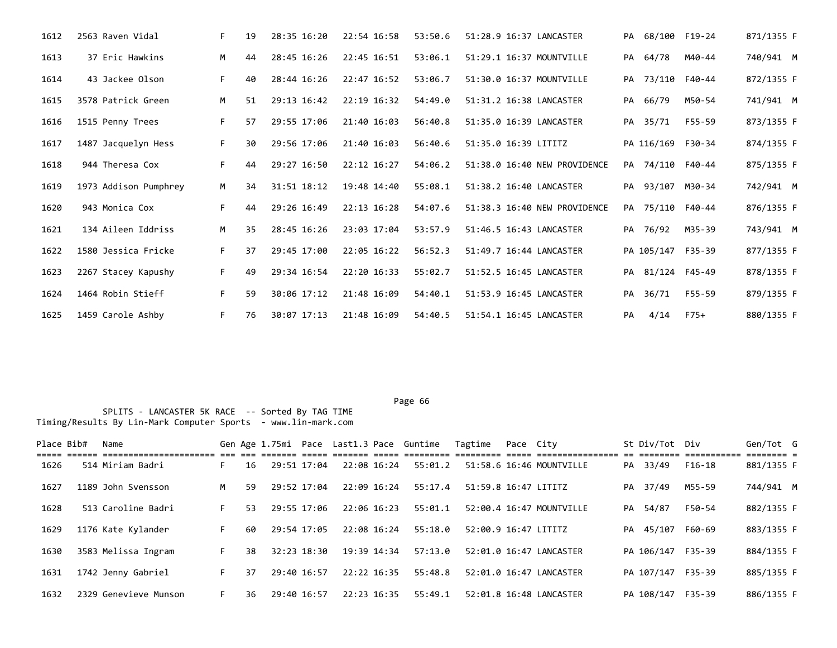| 1612 | 2563 Raven Vidal      | F. | 19 | 28:35 16:20 | 22:54 16:58     | 53:50.6 | 51:28.9 16:37 LANCASTER      |    | PA 68/100 F19-24  |        | 871/1355 F |
|------|-----------------------|----|----|-------------|-----------------|---------|------------------------------|----|-------------------|--------|------------|
| 1613 | 37 Eric Hawkins       | M  | 44 | 28:45 16:26 | 22:45 16:51     | 53:06.1 | 51:29.1 16:37 MOUNTVILLE     |    | PA 64/78          | M40-44 | 740/941 M  |
| 1614 | 43 Jackee Olson       | F. | 40 | 28:44 16:26 | 22:47 16:52     | 53:06.7 | 51:30.0 16:37 MOUNTVILLE     |    | PA 73/110 F40-44  |        | 872/1355 F |
| 1615 | 3578 Patrick Green    | M  | 51 | 29:13 16:42 | 22:19 16:32     | 54:49.0 | 51:31.2 16:38 LANCASTER      |    | PA 66/79          | M50-54 | 741/941 M  |
| 1616 | 1515 Penny Trees      | F. | 57 | 29:55 17:06 | 21:40 16:03     | 56:40.8 | 51:35.0 16:39 LANCASTER      |    | PA 35/71          | F55-59 | 873/1355 F |
| 1617 | 1487 Jacquelyn Hess   | F. | 30 | 29:56 17:06 | 21:40 16:03     | 56:40.6 | 51:35.0 16:39 LITITZ         |    | PA 116/169 F30-34 |        | 874/1355 F |
| 1618 | 944 Theresa Cox       | F. | 44 | 29:27 16:50 | $22:12$ $16:27$ | 54:06.2 | 51:38.0 16:40 NEW PROVIDENCE |    | PA 74/110 F40-44  |        | 875/1355 F |
| 1619 | 1973 Addison Pumphrey | M  | 34 | 31:51 18:12 | 19:48 14:40     | 55:08.1 | 51:38.2 16:40 LANCASTER      |    | PA 93/107 M30-34  |        | 742/941 M  |
| 1620 | 943 Monica Cox        | F. | 44 | 29:26 16:49 | 22:13 16:28     | 54:07.6 | 51:38.3 16:40 NEW PROVIDENCE |    | PA 75/110 F40-44  |        | 876/1355 F |
| 1621 | 134 Aileen Iddriss    | M  | 35 | 28:45 16:26 | 23:03 17:04     | 53:57.9 | 51:46.5 16:43 LANCASTER      |    | PA 76/92          | M35-39 | 743/941 M  |
| 1622 | 1580 Jessica Fricke   | F. | 37 | 29:45 17:00 | 22:05 16:22     | 56:52.3 | 51:49.7 16:44 LANCASTER      |    | PA 105/147 F35-39 |        | 877/1355 F |
| 1623 | 2267 Stacey Kapushy   | F. | 49 | 29:34 16:54 | 22:20 16:33     | 55:02.7 | 51:52.5 16:45 LANCASTER      |    | PA 81/124 F45-49  |        | 878/1355 F |
| 1624 | 1464 Robin Stieff     | F. | 59 | 30:06 17:12 | 21:48 16:09     | 54:40.1 | 51:53.9 16:45 LANCASTER      | PA | 36/71             | F55-59 | 879/1355 F |
| 1625 | 1459 Carole Ashby     | F. | 76 | 30:07 17:13 | 21:48 16:09     | 54:40.5 | 51:54.1 16:45 LANCASTER      | PA | 4/14              | F75+   | 880/1355 F |

| Place Bib# | Name                  |    |    |             |             |             | Gen Age 1.75mi Pace Last1.3 Pace Guntime | Tagtime              | Pace City |                          |    | St Div/Tot Div    |        | Gen/Tot G  |  |
|------------|-----------------------|----|----|-------------|-------------|-------------|------------------------------------------|----------------------|-----------|--------------------------|----|-------------------|--------|------------|--|
| 1626       | 514 Miriam Badri      | F. | 16 |             | 29:51 17:04 | 22:08 16:24 | 55:01.2                                  |                      |           | 51:58.6 16:46 MOUNTVILLE |    | PA 33/49          | F16-18 | 881/1355 F |  |
| 1627       | 1189 John Svensson    | м  | 59 |             | 29:52 17:04 | 22:09 16:24 | 55:17.4                                  | 51:59.8 16:47 LITITZ |           |                          | PA | 37/49             | M55-59 | 744/941 M  |  |
| 1628       | 513 Caroline Badri    | F. | 53 |             | 29:55 17:06 | 22:06 16:23 | 55:01.1                                  |                      |           | 52:00.4 16:47 MOUNTVILLE |    | PA 54/87          | F50-54 | 882/1355 F |  |
| 1629       | 1176 Kate Kylander    | F. | 60 |             | 29:54 17:05 | 22:08 16:24 | 55:18.0                                  | 52:00.9 16:47 LITITZ |           |                          |    | PA 45/107         | F60-69 | 883/1355 F |  |
| 1630       | 3583 Melissa Ingram   | F. | 38 |             | 32:23 18:30 | 19:39 14:34 | 57:13.0                                  |                      |           | 52:01.0 16:47 LANCASTER  |    | PA 106/147 F35-39 |        | 884/1355 F |  |
| 1631       | 1742 Jenny Gabriel    | F. | 37 |             | 29:40 16:57 | 22:22 16:35 | 55:48.8                                  |                      |           | 52:01.0 16:47 LANCASTER  |    | PA 107/147 F35-39 |        | 885/1355 F |  |
| 1632       | 2329 Genevieve Munson |    | 36 | 29:40 16:57 |             | 22:23 16:35 | 55:49.1                                  |                      |           | 52:01.8 16:48 LANCASTER  |    | PA 108/147 F35-39 |        | 886/1355 F |  |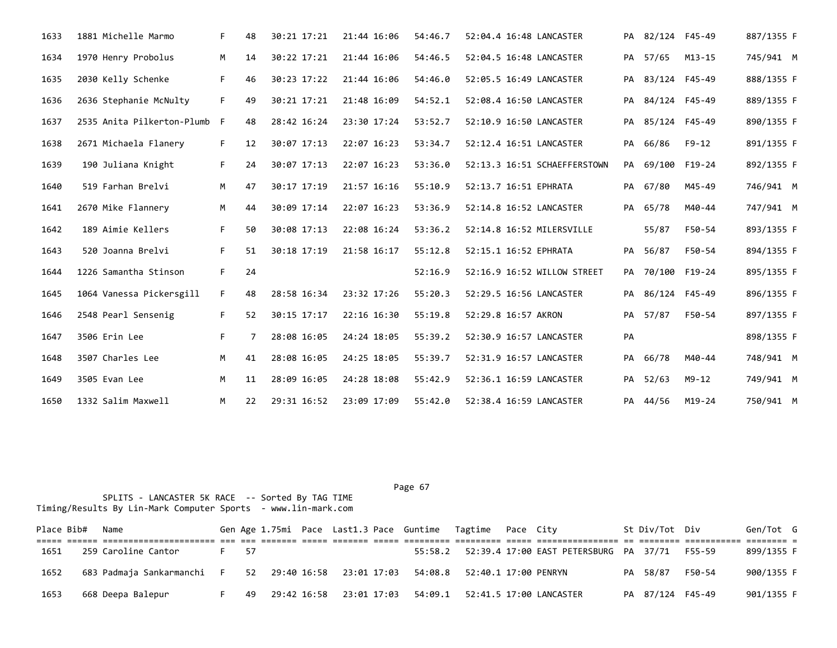| 1633 | 1881 Michelle Marmo        | F. | 48 | 30:21 17:21 | 21:44 16:06 | 54:46.7 | 52:04.4 16:48 LANCASTER      |    | PA 82/124 F45-49 |            | 887/1355 F |  |
|------|----------------------------|----|----|-------------|-------------|---------|------------------------------|----|------------------|------------|------------|--|
| 1634 | 1970 Henry Probolus        | M  | 14 | 30:22 17:21 | 21:44 16:06 | 54:46.5 | 52:04.5 16:48 LANCASTER      | PA | 57/65            | $M13 - 15$ | 745/941 M  |  |
| 1635 | 2030 Kelly Schenke         | F. | 46 | 30:23 17:22 | 21:44 16:06 | 54:46.0 | 52:05.5 16:49 LANCASTER      |    | PA 83/124 F45-49 |            | 888/1355 F |  |
| 1636 | 2636 Stephanie McNulty     | F. | 49 | 30:21 17:21 | 21:48 16:09 | 54:52.1 | 52:08.4 16:50 LANCASTER      | PA | 84/124 F45-49    |            | 889/1355 F |  |
| 1637 | 2535 Anita Pilkerton-Plumb | F  | 48 | 28:42 16:24 | 23:30 17:24 | 53:52.7 | 52:10.9 16:50 LANCASTER      | PA | 85/124 F45-49    |            | 890/1355 F |  |
| 1638 | 2671 Michaela Flanery      | F. | 12 | 30:07 17:13 | 22:07 16:23 | 53:34.7 | 52:12.4 16:51 LANCASTER      | PA | 66/86            | F9-12      | 891/1355 F |  |
| 1639 | 190 Juliana Knight         | F. | 24 | 30:07 17:13 | 22:07 16:23 | 53:36.0 | 52:13.3 16:51 SCHAEFFERSTOWN | PA | 69/100 F19-24    |            | 892/1355 F |  |
| 1640 | 519 Farhan Brelvi          | M  | 47 | 30:17 17:19 | 21:57 16:16 | 55:10.9 | 52:13.7 16:51 EPHRATA        |    | PA 67/80         | M45-49     | 746/941 M  |  |
| 1641 | 2670 Mike Flannery         | M  | 44 | 30:09 17:14 | 22:07 16:23 | 53:36.9 | 52:14.8 16:52 LANCASTER      |    | PA 65/78         | M40-44     | 747/941 M  |  |
| 1642 | 189 Aimie Kellers          | F. | 50 | 30:08 17:13 | 22:08 16:24 | 53:36.2 | 52:14.8 16:52 MILERSVILLE    |    | 55/87            | F50-54     | 893/1355 F |  |
| 1643 | 520 Joanna Brelvi          | F. | 51 | 30:18 17:19 | 21:58 16:17 | 55:12.8 | 52:15.1 16:52 EPHRATA        |    | PA 56/87         | F50-54     | 894/1355 F |  |
| 1644 | 1226 Samantha Stinson      | F. | 24 |             |             | 52:16.9 | 52:16.9 16:52 WILLOW STREET  |    | PA 70/100 F19-24 |            | 895/1355 F |  |
| 1645 | 1064 Vanessa Pickersgill   | F. | 48 | 28:58 16:34 | 23:32 17:26 | 55:20.3 | 52:29.5 16:56 LANCASTER      | PA | 86/124 F45-49    |            | 896/1355 F |  |
| 1646 | 2548 Pearl Sensenig        | F. | 52 | 30:15 17:17 | 22:16 16:30 | 55:19.8 | 52:29.8 16:57 AKRON          |    | PA 57/87         | F50-54     | 897/1355 F |  |
| 1647 | 3506 Erin Lee              | F. |    | 28:08 16:05 | 24:24 18:05 | 55:39.2 | 52:30.9 16:57 LANCASTER      | PA |                  |            | 898/1355 F |  |
| 1648 | 3507 Charles Lee           | M  | 41 | 28:08 16:05 | 24:25 18:05 | 55:39.7 | 52:31.9 16:57 LANCASTER      | PA | 66/78            | M40-44     | 748/941 M  |  |
| 1649 | 3505 Evan Lee              | М  | 11 | 28:09 16:05 | 24:28 18:08 | 55:42.9 | 52:36.1 16:59 LANCASTER      |    | PA 52/63         | $M9 - 12$  | 749/941 M  |  |
| 1650 | 1332 Salim Maxwell         | М  | 22 | 29:31 16:52 | 23:09 17:09 | 55:42.0 | 52:38.4 16:59 LANCASTER      |    | PA 44/56         | M19-24     | 750/941 M  |  |

| Place Bib# | Name                                                                               |    |      |  | Gen Age 1.75mi Pace Last1.3 Pace Guntime Tagtime Pace City                       |  |                                                                                     | St Div/Tot Div   | Gen/Tot G  |  |
|------------|------------------------------------------------------------------------------------|----|------|--|----------------------------------------------------------------------------------|--|-------------------------------------------------------------------------------------|------------------|------------|--|
|            |                                                                                    |    |      |  |                                                                                  |  | <u>tii siistii siisi osaasi oosaa aast saaraasi oosaasii oosa aastaastaasiisti </u> |                  |            |  |
| 1651       | 259 Caroline Cantor                                                                |    | - 57 |  |                                                                                  |  | 55:58.2    52:39.4    17:00    EAST PETERSBURG    PA    37/71    F55-59             |                  | 899/1355 F |  |
| 1652       | 683 Padmaja Sankarmanchi F 52 29:40 16:58 23:01 17:03 54:08.8 52:40.1 17:00 PENRYN |    |      |  |                                                                                  |  |                                                                                     | PA 58/87 F50-54  | 900/1355 F |  |
| 1653       | 668 Deepa Balepur                                                                  | E. |      |  | 49  29:42  16:58  23:01  17:03  54:09.1  52:41.5  17:00                LANCASTER |  |                                                                                     | PA 87/124 F45-49 | 901/1355 F |  |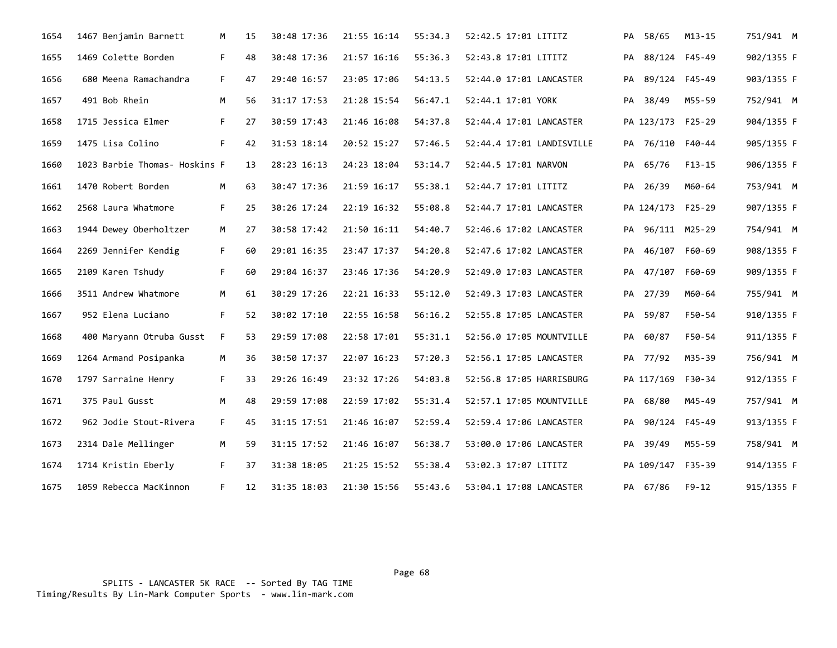| 1654 | 1467 Benjamin Barnett         | M  | 15                | 30:48 17:36 | 21:55 16:14 | 55:34.3 | 52:42.5 17:01 LITITZ      |    | PA 58/65          | $M13 - 15$ | 751/941 M  |
|------|-------------------------------|----|-------------------|-------------|-------------|---------|---------------------------|----|-------------------|------------|------------|
| 1655 | 1469 Colette Borden           | F. | 48                | 30:48 17:36 | 21:57 16:16 | 55:36.3 | 52:43.8 17:01 LITITZ      | PA | 88/124 F45-49     |            | 902/1355 F |
| 1656 | 680 Meena Ramachandra         | F. | 47                | 29:40 16:57 | 23:05 17:06 | 54:13.5 | 52:44.0 17:01 LANCASTER   | PA | 89/124 F45-49     |            | 903/1355 F |
| 1657 | 491 Bob Rhein                 | M  | 56                | 31:17 17:53 | 21:28 15:54 | 56:47.1 | 52:44.1 17:01 YORK        | PA | 38/49             | M55-59     | 752/941 M  |
| 1658 | 1715 Jessica Elmer            | F. | 27                | 30:59 17:43 | 21:46 16:08 | 54:37.8 | 52:44.4 17:01 LANCASTER   |    | PA 123/173 F25-29 |            | 904/1355 F |
| 1659 | 1475 Lisa Colino              | F. | 42                | 31:53 18:14 | 20:52 15:27 | 57:46.5 | 52:44.4 17:01 LANDISVILLE |    | PA 76/110 F40-44  |            | 905/1355 F |
| 1660 | 1023 Barbie Thomas- Hoskins F |    | 13                | 28:23 16:13 | 24:23 18:04 | 53:14.7 | 52:44.5 17:01 NARVON      | PA | 65/76             | $F13-15$   | 906/1355 F |
| 1661 | 1470 Robert Borden            | M  | 63                | 30:47 17:36 | 21:59 16:17 | 55:38.1 | 52:44.7 17:01 LITITZ      |    | PA 26/39          | M60-64     | 753/941 M  |
| 1662 | 2568 Laura Whatmore           | F. | 25                | 30:26 17:24 | 22:19 16:32 | 55:08.8 | 52:44.7 17:01 LANCASTER   |    | PA 124/173 F25-29 |            | 907/1355 F |
| 1663 | 1944 Dewey Oberholtzer        | M  | 27                | 30:58 17:42 | 21:50 16:11 | 54:40.7 | 52:46.6 17:02 LANCASTER   |    | PA 96/111 M25-29  |            | 754/941 M  |
| 1664 | 2269 Jennifer Kendig          | F. | 60                | 29:01 16:35 | 23:47 17:37 | 54:20.8 | 52:47.6 17:02 LANCASTER   | PA | 46/107 F60-69     |            | 908/1355 F |
| 1665 | 2109 Karen Tshudy             | F. | 60                | 29:04 16:37 | 23:46 17:36 | 54:20.9 | 52:49.0 17:03 LANCASTER   |    | PA 47/107 F60-69  |            | 909/1355 F |
| 1666 | 3511 Andrew Whatmore          | M  | 61                | 30:29 17:26 | 22:21 16:33 | 55:12.0 | 52:49.3 17:03 LANCASTER   | PA | 27/39             | M60-64     | 755/941 M  |
| 1667 | 952 Elena Luciano             | F. | 52                | 30:02 17:10 | 22:55 16:58 | 56:16.2 | 52:55.8 17:05 LANCASTER   | PA | 59/87             | F50-54     | 910/1355 F |
| 1668 | 400 Maryann Otruba Gusst      | F. | 53                | 29:59 17:08 | 22:58 17:01 | 55:31.1 | 52:56.0 17:05 MOUNTVILLE  |    | PA 60/87          | F50-54     | 911/1355 F |
| 1669 | 1264 Armand Posipanka         | M  | 36                | 30:50 17:37 | 22:07 16:23 | 57:20.3 | 52:56.1 17:05 LANCASTER   |    | PA 77/92          | M35-39     | 756/941 M  |
| 1670 | 1797 Sarraine Henry           | F. | 33                | 29:26 16:49 | 23:32 17:26 | 54:03.8 | 52:56.8 17:05 HARRISBURG  |    | PA 117/169 F30-34 |            | 912/1355 F |
| 1671 | 375 Paul Gusst                | M  | 48                | 29:59 17:08 | 22:59 17:02 | 55:31.4 | 52:57.1 17:05 MOUNTVILLE  |    | PA 68/80          | M45-49     | 757/941 M  |
| 1672 | 962 Jodie Stout-Rivera        | F. | 45                | 31:15 17:51 | 21:46 16:07 | 52:59.4 | 52:59.4 17:06 LANCASTER   |    | PA 90/124 F45-49  |            | 913/1355 F |
| 1673 | 2314 Dale Mellinger           | M  | 59                | 31:15 17:52 | 21:46 16:07 | 56:38.7 | 53:00.0 17:06 LANCASTER   | PA | 39/49             | M55-59     | 758/941 M  |
| 1674 | 1714 Kristin Eberly           | F. | 37                | 31:38 18:05 | 21:25 15:52 | 55:38.4 | 53:02.3 17:07 LITITZ      |    | PA 109/147 F35-39 |            | 914/1355 F |
| 1675 | 1059 Rebecca MacKinnon        | F. | $12 \overline{ }$ | 31:35 18:03 | 21:30 15:56 | 55:43.6 | 53:04.1 17:08 LANCASTER   |    | PA 67/86          | F9-12      | 915/1355 F |

Page 68 and the state of the state of the state of the state of the state of the state of the state of the state of the state of the state of the state of the state of the state of the state of the state of the state of th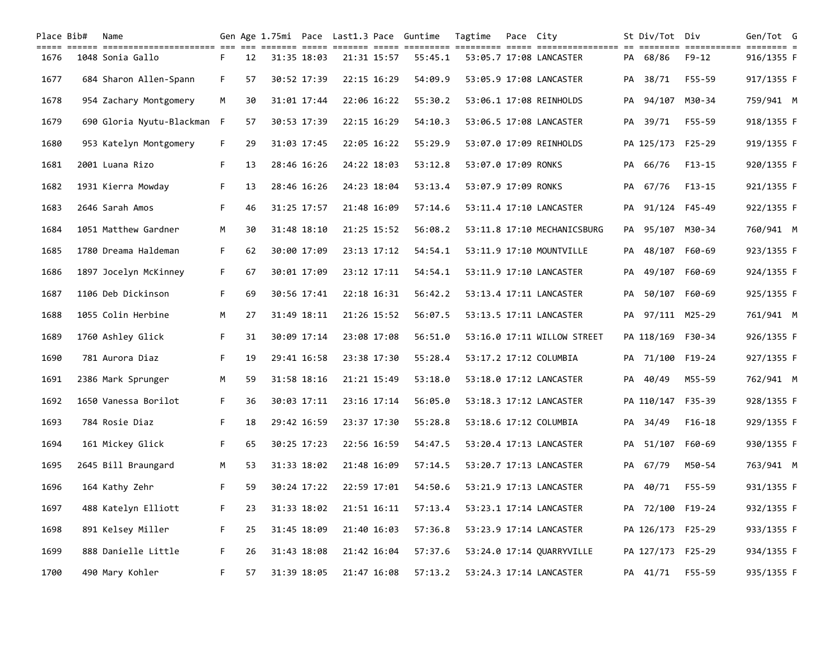| Place Bib# | Name                                                                                                                                |    |    |             |             | Gen Age 1.75mi Pace Last1.3 Pace Guntime | Tagtime             | Pace City |                             |    | St Div/Tot Div    |           | Gen/Tot G  |  |
|------------|-------------------------------------------------------------------------------------------------------------------------------------|----|----|-------------|-------------|------------------------------------------|---------------------|-----------|-----------------------------|----|-------------------|-----------|------------|--|
| 1676       | colo colo coloriolicoliciti de la citili dell'itali colo colo colori colori colo colorioliciti di colori colori<br>1048 Sonia Gallo | F. | 12 | 31:35 18:03 | 21:31 15:57 | 55:45.1                                  |                     |           | 53:05.7 17:08 LANCASTER     |    | PA 68/86          | $F9 - 12$ | 916/1355 F |  |
| 1677       | 684 Sharon Allen-Spann                                                                                                              | F. | 57 | 30:52 17:39 | 22:15 16:29 | 54:09.9                                  |                     |           | 53:05.9 17:08 LANCASTER     |    | PA 38/71          | F55-59    | 917/1355 F |  |
| 1678       | 954 Zachary Montgomery                                                                                                              | M  | 30 | 31:01 17:44 | 22:06 16:22 | 55:30.2                                  |                     |           | 53:06.1 17:08 REINHOLDS     |    | PA 94/107 M30-34  |           | 759/941 M  |  |
| 1679       | 690 Gloria Nyutu-Blackman F                                                                                                         |    | 57 | 30:53 17:39 | 22:15 16:29 | 54:10.3                                  |                     |           | 53:06.5 17:08 LANCASTER     | PA | 39/71             | F55-59    | 918/1355 F |  |
| 1680       | 953 Katelyn Montgomery                                                                                                              | F. | 29 | 31:03 17:45 | 22:05 16:22 | 55:29.9                                  |                     |           | 53:07.0 17:09 REINHOLDS     |    | PA 125/173 F25-29 |           | 919/1355 F |  |
| 1681       | 2001 Luana Rizo                                                                                                                     | F. | 13 | 28:46 16:26 | 24:22 18:03 | 53:12.8                                  | 53:07.0 17:09 RONKS |           |                             |    | PA 66/76          | $F13-15$  | 920/1355 F |  |
| 1682       | 1931 Kierra Mowday                                                                                                                  | F. | 13 | 28:46 16:26 | 24:23 18:04 | 53:13.4                                  | 53:07.9 17:09 RONKS |           |                             |    | PA 67/76          | F13-15    | 921/1355 F |  |
| 1683       | 2646 Sarah Amos                                                                                                                     | F. | 46 | 31:25 17:57 | 21:48 16:09 | 57:14.6                                  |                     |           | 53:11.4 17:10 LANCASTER     |    | PA 91/124 F45-49  |           | 922/1355 F |  |
| 1684       | 1051 Matthew Gardner                                                                                                                | М  | 30 | 31:48 18:10 | 21:25 15:52 | 56:08.2                                  |                     |           | 53:11.8 17:10 MECHANICSBURG |    | PA 95/107 M30-34  |           | 760/941 M  |  |
| 1685       | 1780 Dreama Haldeman                                                                                                                | F. | 62 | 30:00 17:09 | 23:13 17:12 | 54:54.1                                  |                     |           | 53:11.9 17:10 MOUNTVILLE    | PA | 48/107 F60-69     |           | 923/1355 F |  |
| 1686       | 1897 Jocelyn McKinney                                                                                                               | F. | 67 | 30:01 17:09 | 23:12 17:11 | 54:54.1                                  |                     |           | 53:11.9 17:10 LANCASTER     | PA | 49/107 F60-69     |           | 924/1355 F |  |
| 1687       | 1106 Deb Dickinson                                                                                                                  | F. | 69 | 30:56 17:41 | 22:18 16:31 | 56:42.2                                  |                     |           | 53:13.4 17:11 LANCASTER     | PA | 50/107 F60-69     |           | 925/1355 F |  |
| 1688       | 1055 Colin Herbine                                                                                                                  | M  | 27 | 31:49 18:11 | 21:26 15:52 | 56:07.5                                  |                     |           | 53:13.5 17:11 LANCASTER     |    | PA 97/111 M25-29  |           | 761/941 M  |  |
| 1689       | 1760 Ashley Glick                                                                                                                   | F. | 31 | 30:09 17:14 | 23:08 17:08 | 56:51.0                                  |                     |           | 53:16.0 17:11 WILLOW STREET |    | PA 118/169 F30-34 |           | 926/1355 F |  |
| 1690       | 781 Aurora Diaz                                                                                                                     | F. | 19 | 29:41 16:58 | 23:38 17:30 | 55:28.4                                  |                     |           | 53:17.2 17:12 COLUMBIA      |    | PA 71/100 F19-24  |           | 927/1355 F |  |
| 1691       | 2386 Mark Sprunger                                                                                                                  | М  | 59 | 31:58 18:16 | 21:21 15:49 | 53:18.0                                  |                     |           | 53:18.0 17:12 LANCASTER     | PA | 40/49             | M55-59    | 762/941 M  |  |
| 1692       | 1650 Vanessa Borilot                                                                                                                | F. | 36 | 30:03 17:11 | 23:16 17:14 | 56:05.0                                  |                     |           | 53:18.3 17:12 LANCASTER     |    | PA 110/147 F35-39 |           | 928/1355 F |  |
| 1693       | 784 Rosie Diaz                                                                                                                      | F. | 18 | 29:42 16:59 | 23:37 17:30 | 55:28.8                                  |                     |           | 53:18.6 17:12 COLUMBIA      |    | PA 34/49          | $F16-18$  | 929/1355 F |  |
| 1694       | 161 Mickey Glick                                                                                                                    | F. | 65 | 30:25 17:23 | 22:56 16:59 | 54:47.5                                  |                     |           | 53:20.4 17:13 LANCASTER     |    | PA 51/107 F60-69  |           | 930/1355 F |  |
| 1695       | 2645 Bill Braungard                                                                                                                 | M  | 53 | 31:33 18:02 | 21:48 16:09 | 57:14.5                                  |                     |           | 53:20.7 17:13 LANCASTER     |    | PA 67/79          | M50-54    | 763/941 M  |  |
| 1696       | 164 Kathy Zehr                                                                                                                      | F. | 59 | 30:24 17:22 | 22:59 17:01 | 54:50.6                                  |                     |           | 53:21.9 17:13 LANCASTER     | PA | 40/71             | F55-59    | 931/1355 F |  |
| 1697       | 488 Katelyn Elliott                                                                                                                 | F. | 23 | 31:33 18:02 | 21:51 16:11 | 57:13.4                                  |                     |           | 53:23.1 17:14 LANCASTER     |    | PA 72/100 F19-24  |           | 932/1355 F |  |
| 1698       | 891 Kelsey Miller                                                                                                                   | F. | 25 | 31:45 18:09 | 21:40 16:03 | 57:36.8                                  |                     |           | 53:23.9 17:14 LANCASTER     |    | PA 126/173 F25-29 |           | 933/1355 F |  |
| 1699       | 888 Danielle Little                                                                                                                 | F. | 26 | 31:43 18:08 | 21:42 16:04 | 57:37.6                                  |                     |           | 53:24.0 17:14 QUARRYVILLE   |    | PA 127/173 F25-29 |           | 934/1355 F |  |
| 1700       | 490 Mary Kohler                                                                                                                     | F. | 57 | 31:39 18:05 | 21:47 16:08 | 57:13.2                                  |                     |           | 53:24.3 17:14 LANCASTER     |    | PA 41/71          | F55-59    | 935/1355 F |  |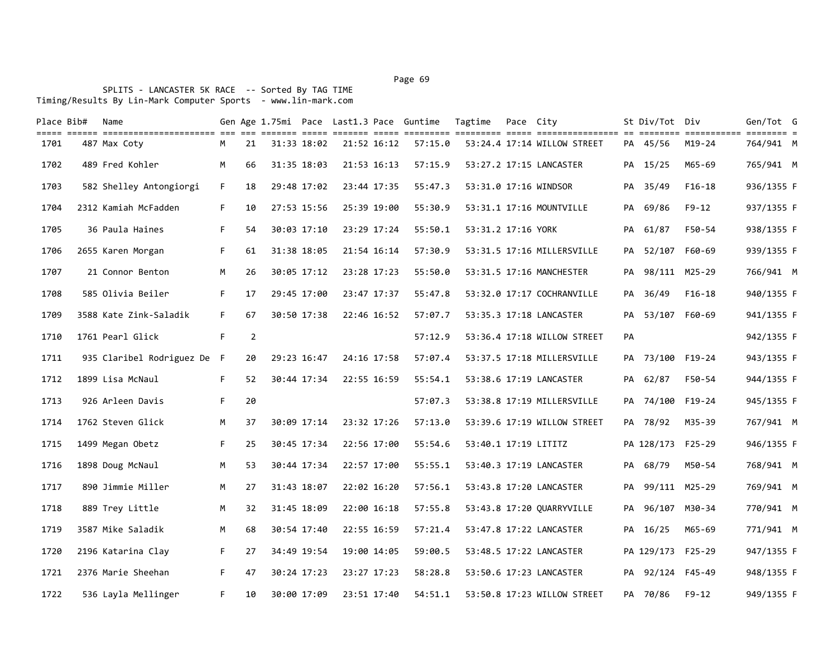| Place Bib# | Name                                                                                                                                                     |    |                |             |             |             | Gen Age 1.75mi Pace Last1.3 Pace Guntime | Tagtime              | Pace City |                             |    | St Div/Tot Div    |           | Gen/Tot G  |  |
|------------|----------------------------------------------------------------------------------------------------------------------------------------------------------|----|----------------|-------------|-------------|-------------|------------------------------------------|----------------------|-----------|-----------------------------|----|-------------------|-----------|------------|--|
| 1701       | title elere bittitlerinistitler eit die steiten bitte bitten bitte bittitlen bittitlen bittitleritenen en bittitle bittitlen bittitlen d<br>487 Max Coty | М  | 21             | 31:33 18:02 | 21:52 16:12 |             | 57:15.0                                  |                      |           | 53:24.4 17:14 WILLOW STREET |    | PA 45/56          | M19-24    | 764/941 M  |  |
| 1702       | 489 Fred Kohler                                                                                                                                          | M  | 66             | 31:35 18:03 |             | 21:53 16:13 | 57:15.9                                  |                      |           | 53:27.2 17:15 LANCASTER     |    | PA 15/25          | M65-69    | 765/941 M  |  |
| 1703       | 582 Shelley Antongiorgi                                                                                                                                  | F. | 18             | 29:48 17:02 |             | 23:44 17:35 | 55:47.3                                  |                      |           | 53:31.0 17:16 WINDSOR       |    | PA 35/49          | $F16-18$  | 936/1355 F |  |
| 1704       | 2312 Kamiah McFadden                                                                                                                                     | F. | 10             | 27:53 15:56 |             | 25:39 19:00 | 55:30.9                                  |                      |           | 53:31.1 17:16 MOUNTVILLE    |    | PA 69/86          | $F9 - 12$ | 937/1355 F |  |
| 1705       | 36 Paula Haines                                                                                                                                          | F. | 54             | 30:03 17:10 |             | 23:29 17:24 | 55:50.1                                  | 53:31.2 17:16 YORK   |           |                             |    | PA 61/87          | F50-54    | 938/1355 F |  |
| 1706       | 2655 Karen Morgan                                                                                                                                        | F. | 61             | 31:38 18:05 |             | 21:54 16:14 | 57:30.9                                  |                      |           | 53:31.5 17:16 MILLERSVILLE  | PA | 52/107 F60-69     |           | 939/1355 F |  |
| 1707       | 21 Connor Benton                                                                                                                                         | M  | 26             | 30:05 17:12 |             | 23:28 17:23 | 55:50.0                                  |                      |           | 53:31.5 17:16 MANCHESTER    |    | PA 98/111 M25-29  |           | 766/941 M  |  |
| 1708       | 585 Olivia Beiler                                                                                                                                        | F. | 17             | 29:45 17:00 |             | 23:47 17:37 | 55:47.8                                  |                      |           | 53:32.0 17:17 COCHRANVILLE  |    | PA 36/49          | $F16-18$  | 940/1355 F |  |
| 1709       | 3588 Kate Zink-Saladik                                                                                                                                   | F. | 67             | 30:50 17:38 |             | 22:46 16:52 | 57:07.7                                  |                      |           | 53:35.3 17:18 LANCASTER     | PA | 53/107 F60-69     |           | 941/1355 F |  |
| 1710       | 1761 Pearl Glick                                                                                                                                         | F. | $\overline{2}$ |             |             |             | 57:12.9                                  |                      |           | 53:36.4 17:18 WILLOW STREET | PA |                   |           | 942/1355 F |  |
| 1711       | 935 Claribel Rodriguez De F                                                                                                                              |    | 20             | 29:23 16:47 |             | 24:16 17:58 | 57:07.4                                  |                      |           | 53:37.5 17:18 MILLERSVILLE  |    | PA 73/100 F19-24  |           | 943/1355 F |  |
| 1712       | 1899 Lisa McNaul                                                                                                                                         | F. | 52             | 30:44 17:34 |             | 22:55 16:59 | 55:54.1                                  |                      |           | 53:38.6 17:19 LANCASTER     | PA | 62/87             | F50-54    | 944/1355 F |  |
| 1713       | 926 Arleen Davis                                                                                                                                         | F. | 20             |             |             |             | 57:07.3                                  |                      |           | 53:38.8 17:19 MILLERSVILLE  |    | PA 74/100 F19-24  |           | 945/1355 F |  |
| 1714       | 1762 Steven Glick                                                                                                                                        | M  | 37             | 30:09 17:14 |             | 23:32 17:26 | 57:13.0                                  |                      |           | 53:39.6 17:19 WILLOW STREET |    | PA 78/92          | M35-39    | 767/941 M  |  |
| 1715       | 1499 Megan Obetz                                                                                                                                         | F. | 25             | 30:45 17:34 |             | 22:56 17:00 | 55:54.6                                  | 53:40.1 17:19 LITITZ |           |                             |    | PA 128/173 F25-29 |           | 946/1355 F |  |
| 1716       | 1898 Doug McNaul                                                                                                                                         | M  | 53             | 30:44 17:34 |             | 22:57 17:00 | 55:55.1                                  |                      |           | 53:40.3 17:19 LANCASTER     |    | PA 68/79          | M50-54    | 768/941 M  |  |
| 1717       | 890 Jimmie Miller                                                                                                                                        | M  | 27             | 31:43 18:07 |             | 22:02 16:20 | 57:56.1                                  |                      |           | 53:43.8 17:20 LANCASTER     |    | PA 99/111 M25-29  |           | 769/941 M  |  |
| 1718       | 889 Trey Little                                                                                                                                          | M  | 32             | 31:45 18:09 |             | 22:00 16:18 | 57:55.8                                  |                      |           | 53:43.8 17:20 QUARRYVILLE   |    | PA 96/107 M30-34  |           | 770/941 M  |  |
| 1719       | 3587 Mike Saladik                                                                                                                                        | M  | 68             | 30:54 17:40 |             | 22:55 16:59 | 57:21.4                                  |                      |           | 53:47.8 17:22 LANCASTER     |    | PA 16/25          | M65-69    | 771/941 M  |  |
| 1720       | 2196 Katarina Clay                                                                                                                                       | F. | 27             | 34:49 19:54 | 19:00 14:05 |             | 59:00.5                                  |                      |           | 53:48.5 17:22 LANCASTER     |    | PA 129/173 F25-29 |           | 947/1355 F |  |
| 1721       | 2376 Marie Sheehan                                                                                                                                       | F. | 47             | 30:24 17:23 |             | 23:27 17:23 | 58:28.8                                  |                      |           | 53:50.6 17:23 LANCASTER     |    | PA 92/124 F45-49  |           | 948/1355 F |  |
| 1722       | 536 Layla Mellinger                                                                                                                                      | F. | 10             | 30:00 17:09 |             | 23:51 17:40 | 54:51.1                                  |                      |           | 53:50.8 17:23 WILLOW STREET |    | PA 70/86          | F9-12     | 949/1355 F |  |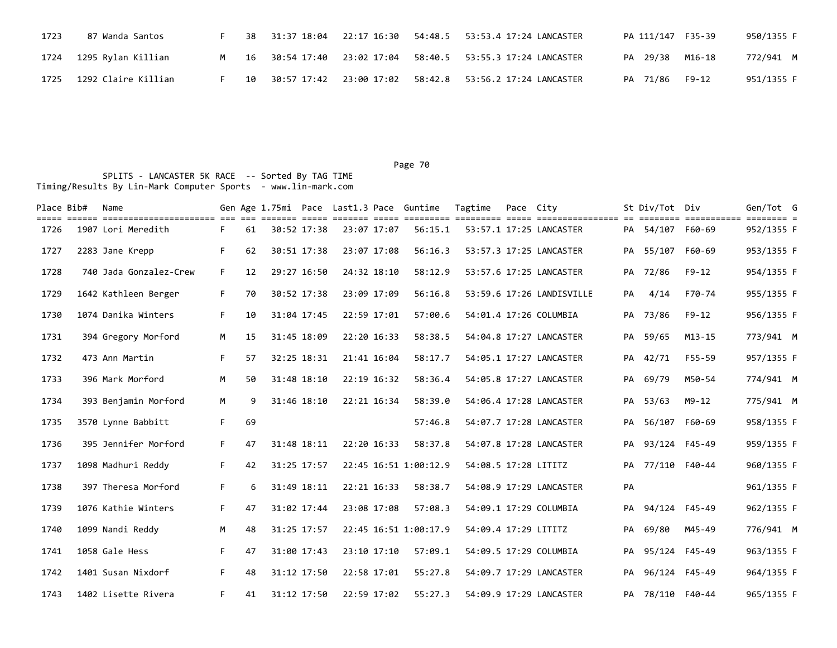| 1723 | 87 Wanda Santos          |  |  | 38 31:37 18:04 22:17 16:30 54:48.5 53:53.4 17:24 LANCASTER         | PA 111/147 F35-39 | 950/1355 F |
|------|--------------------------|--|--|--------------------------------------------------------------------|-------------------|------------|
|      | 1724 1295 Rylan Killian  |  |  | M 16 30:54 17:40 23:02 17:04 58:40.5 53:55.3 17:24 LANCASTER       | PA 29/38 M16-18   | 772/941 M  |
|      | 1725 1292 Claire Killian |  |  | 10   30:57 17:42   23:00 17:02   58:42.8   53:56.2 17:24 LANCASTER | PA 71/86 F9-12    | 951/1355 F |

| Place Bib# | Name                   |    |    |             |             | Gen Age 1.75mi Pace Last1.3 Pace Guntime | Tagtime              | Pace City |                           |    | St Div/Tot Div   |            | Gen/Tot G  |  |
|------------|------------------------|----|----|-------------|-------------|------------------------------------------|----------------------|-----------|---------------------------|----|------------------|------------|------------|--|
| 1726       | 1907 Lori Meredith     | F. | 61 | 30:52 17:38 | 23:07 17:07 | 56:15.1                                  |                      |           | 53:57.1 17:25 LANCASTER   |    | PA 54/107 F60-69 |            | 952/1355 F |  |
| 1727       | 2283 Jane Krepp        | F. | 62 | 30:51 17:38 | 23:07 17:08 | 56:16.3                                  |                      |           | 53:57.3 17:25 LANCASTER   |    | PA 55/107 F60-69 |            | 953/1355 F |  |
| 1728       | 740 Jada Gonzalez-Crew | F. | 12 | 29:27 16:50 | 24:32 18:10 | 58:12.9                                  |                      |           | 53:57.6 17:25 LANCASTER   |    | PA 72/86         | $F9 - 12$  | 954/1355 F |  |
| 1729       | 1642 Kathleen Berger   | F. | 70 | 30:52 17:38 | 23:09 17:09 | 56:16.8                                  |                      |           | 53:59.6 17:26 LANDISVILLE | PA | 4/14             | F70-74     | 955/1355 F |  |
| 1730       | 1074 Danika Winters    | F. | 10 | 31:04 17:45 | 22:59 17:01 | 57:00.6                                  |                      |           | 54:01.4 17:26 COLUMBIA    |    | PA 73/86         | $F9 - 12$  | 956/1355 F |  |
| 1731       | 394 Gregory Morford    | M  | 15 | 31:45 18:09 | 22:20 16:33 | 58:38.5                                  |                      |           | 54:04.8 17:27 LANCASTER   |    | PA 59/65         | $M13 - 15$ | 773/941 M  |  |
| 1732       | 473 Ann Martin         | F. | 57 | 32:25 18:31 | 21:41 16:04 | 58:17.7                                  |                      |           | 54:05.1 17:27 LANCASTER   |    | PA 42/71         | $F55 - 59$ | 957/1355 F |  |
| 1733       | 396 Mark Morford       | M  | 50 | 31:48 18:10 | 22:19 16:32 | 58:36.4                                  |                      |           | 54:05.8 17:27 LANCASTER   |    | PA 69/79         | M50-54     | 774/941 M  |  |
| 1734       | 393 Benjamin Morford   | M  | 9  | 31:46 18:10 | 22:21 16:34 | 58:39.0                                  |                      |           | 54:06.4 17:28 LANCASTER   |    | PA 53/63         | $M9 - 12$  | 775/941 M  |  |
| 1735       | 3570 Lynne Babbitt     | F. | 69 |             |             | 57:46.8                                  |                      |           | 54:07.7 17:28 LANCASTER   |    | PA 56/107 F60-69 |            | 958/1355 F |  |
| 1736       | 395 Jennifer Morford   | F. | 47 | 31:48 18:11 | 22:20 16:33 | 58:37.8                                  |                      |           | 54:07.8 17:28 LANCASTER   |    | PA 93/124 F45-49 |            | 959/1355 F |  |
| 1737       | 1098 Madhuri Reddy     | F. | 42 | 31:25 17:57 |             | 22:45 16:51 1:00:12.9                    | 54:08.5 17:28 LITITZ |           |                           |    | PA 77/110 F40-44 |            | 960/1355 F |  |
| 1738       | 397 Theresa Morford    | F. | 6  | 31:49 18:11 | 22:21 16:33 | 58:38.7                                  |                      |           | 54:08.9 17:29 LANCASTER   | PA |                  |            | 961/1355 F |  |
| 1739       | 1076 Kathie Winters    | F. | 47 | 31:02 17:44 | 23:08 17:08 | 57:08.3                                  |                      |           | 54:09.1 17:29 COLUMBIA    |    | PA 94/124 F45-49 |            | 962/1355 F |  |
| 1740       | 1099 Nandi Reddy       | M  | 48 | 31:25 17:57 |             | 22:45 16:51 1:00:17.9                    | 54:09.4 17:29 LITITZ |           |                           | PA | 69/80            | M45-49     | 776/941 M  |  |
| 1741       | 1058 Gale Hess         | F. | 47 | 31:00 17:43 | 23:10 17:10 | 57:09.1                                  |                      |           | 54:09.5 17:29 COLUMBIA    |    | PA 95/124 F45-49 |            | 963/1355 F |  |
| 1742       | 1401 Susan Nixdorf     | F. | 48 | 31:12 17:50 | 22:58 17:01 | 55:27.8                                  |                      |           | 54:09.7 17:29 LANCASTER   |    | PA 96/124 F45-49 |            | 964/1355 F |  |
| 1743       | 1402 Lisette Rivera    | F. | 41 | 31:12 17:50 | 22:59 17:02 | 55:27.3                                  |                      |           | 54:09.9 17:29 LANCASTER   |    | PA 78/110 F40-44 |            | 965/1355 F |  |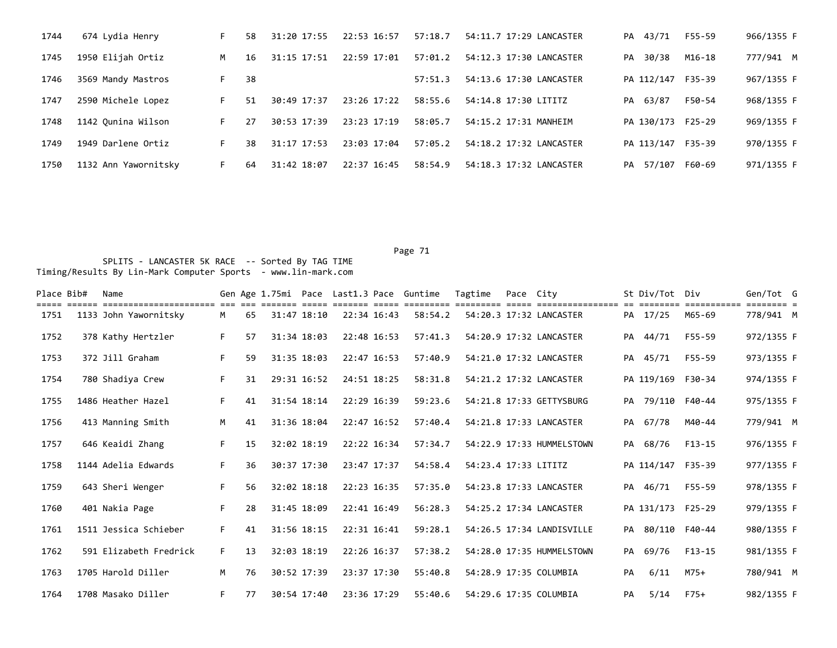| 1744 | 674 Lydia Henry      | F. | 58 | 31:20 17:55 | 22:53 16:57 | 57:18.7 | 54:11.7 17:29 LANCASTER | 43/71<br>PA       | F55-59 | 966/1355 F |
|------|----------------------|----|----|-------------|-------------|---------|-------------------------|-------------------|--------|------------|
| 1745 | 1950 Elijah Ortiz    | M  | 16 | 31:15 17:51 | 22:59 17:01 | 57:01.2 | 54:12.3 17:30 LANCASTER | 30/38<br>PA       | M16-18 | 777/941 M  |
| 1746 | 3569 Mandy Mastros   | F. | 38 |             |             | 57:51.3 | 54:13.6 17:30 LANCASTER | PA 112/147 F35-39 |        | 967/1355 F |
| 1747 | 2590 Michele Lopez   |    | 51 | 30:49 17:37 | 23:26 17:22 | 58:55.6 | 54:14.8 17:30 LITITZ    | 63/87<br>PA       | F50-54 | 968/1355 F |
| 1748 | 1142 Ounina Wilson   | F. | 27 | 30:53 17:39 | 23:23 17:19 | 58:05.7 | 54:15.2 17:31 MANHEIM   | PA 130/173 F25-29 |        | 969/1355 F |
| 1749 | 1949 Darlene Ortiz   | F. | 38 | 31:17 17:53 | 23:03 17:04 | 57:05.2 | 54:18.2 17:32 LANCASTER | PA 113/147 F35-39 |        | 970/1355 F |
| 1750 | 1132 Ann Yawornitsky | F. | 64 | 31:42 18:07 | 22:37 16:45 | 58:54.9 | 54:18.3 17:32 LANCASTER | 57/107<br>PA      | F60-69 | 971/1355 F |

| Place Bib# | Name                   |    |    |             | Gen Age 1.75mi Pace Last1.3 Pace Guntime |         | Tagtime              | Pace City |                           |    | St Div/Tot        | Div    | Gen/Tot G  |  |
|------------|------------------------|----|----|-------------|------------------------------------------|---------|----------------------|-----------|---------------------------|----|-------------------|--------|------------|--|
| 1751       | 1133 John Yawornitsky  | M  | 65 | 31:47 18:10 | 22:34 16:43                              | 58:54.2 |                      |           | 54:20.3 17:32 LANCASTER   |    | PA 17/25          | M65-69 | 778/941 M  |  |
| 1752       | 378 Kathy Hertzler     | F. | 57 | 31:34 18:03 | 22:48 16:53                              | 57:41.3 |                      |           | 54:20.9 17:32 LANCASTER   |    | PA 44/71          | F55-59 | 972/1355 F |  |
| 1753       | 372 Jill Graham        | F. | 59 | 31:35 18:03 | 22:47 16:53                              | 57:40.9 |                      |           | 54:21.0 17:32 LANCASTER   |    | PA 45/71          | F55-59 | 973/1355 F |  |
| 1754       | 780 Shadiya Crew       | F. | 31 | 29:31 16:52 | 24:51 18:25                              | 58:31.8 |                      |           | 54:21.2 17:32 LANCASTER   |    | PA 119/169 F30-34 |        | 974/1355 F |  |
| 1755       | 1486 Heather Hazel     | F. | 41 | 31:54 18:14 | 22:29 16:39                              | 59:23.6 |                      |           | 54:21.8 17:33 GETTYSBURG  |    | PA 79/110 F40-44  |        | 975/1355 F |  |
| 1756       | 413 Manning Smith      | M  | 41 | 31:36 18:04 | 22:47 16:52                              | 57:40.4 |                      |           | 54:21.8 17:33 LANCASTER   |    | PA 67/78          | M40-44 | 779/941 M  |  |
| 1757       | 646 Keaidi Zhang       | F. | 15 | 32:02 18:19 | 22:22 16:34                              | 57:34.7 |                      |           | 54:22.9 17:33 HUMMELSTOWN |    | PA 68/76          | F13-15 | 976/1355 F |  |
| 1758       | 1144 Adelia Edwards    | F. | 36 | 30:37 17:30 | 23:47 17:37                              | 54:58.4 | 54:23.4 17:33 LITITZ |           |                           |    | PA 114/147 F35-39 |        | 977/1355 F |  |
| 1759       | 643 Sheri Wenger       | F. | 56 | 32:02 18:18 | 22:23 16:35                              | 57:35.0 |                      |           | 54:23.8 17:33 LANCASTER   |    | PA 46/71          | F55-59 | 978/1355 F |  |
| 1760       | 401 Nakia Page         | F. | 28 | 31:45 18:09 | 22:41 16:49                              | 56:28.3 |                      |           | 54:25.2 17:34 LANCASTER   |    | PA 131/173 F25-29 |        | 979/1355 F |  |
| 1761       | 1511 Jessica Schieber  | F. | 41 | 31:56 18:15 | 22:31 16:41                              | 59:28.1 |                      |           | 54:26.5 17:34 LANDISVILLE | PA | 80/110 F40-44     |        | 980/1355 F |  |
| 1762       | 591 Elizabeth Fredrick | F. | 13 | 32:03 18:19 | 22:26 16:37                              | 57:38.2 |                      |           | 54:28.0 17:35 HUMMELSTOWN |    | PA 69/76          | F13-15 | 981/1355 F |  |
| 1763       | 1705 Harold Diller     | M  | 76 | 30:52 17:39 | 23:37 17:30                              | 55:40.8 |                      |           | 54:28.9 17:35 COLUMBIA    | PA | 6/11              | M75+   | 780/941 M  |  |
| 1764       | 1708 Masako Diller     | F. | 77 | 30:54 17:40 | 23:36 17:29                              | 55:40.6 |                      |           | 54:29.6 17:35 COLUMBIA    | PA | 5/14              | $F75+$ | 982/1355 F |  |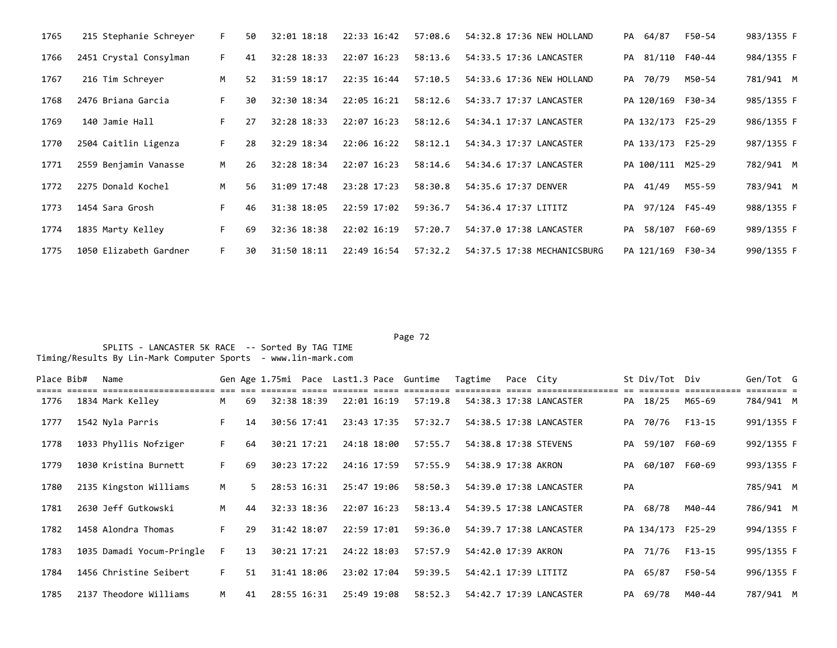| 1765 | 215 Stephanie Schreyer | F. | 50 | 32:01 18:18 | 22:33 16:42 | 57:08.6 | 54:32.8 17:36 NEW HOLLAND   |    | PA 64/87          | F50-54 | 983/1355 F |
|------|------------------------|----|----|-------------|-------------|---------|-----------------------------|----|-------------------|--------|------------|
| 1766 | 2451 Crystal Consylman | F. | 41 | 32:28 18:33 | 22:07 16:23 | 58:13.6 | 54:33.5 17:36 LANCASTER     |    | PA 81/110 F40-44  |        | 984/1355 F |
| 1767 | 216 Tim Schrever       | M  | 52 | 31:59 18:17 | 22:35 16:44 | 57:10.5 | 54:33.6 17:36 NEW HOLLAND   |    | PA 70/79          | M50-54 | 781/941 M  |
| 1768 | 2476 Briana Garcia     | F. | 30 | 32:30 18:34 | 22:05 16:21 | 58:12.6 | 54:33.7 17:37 LANCASTER     |    | PA 120/169 F30-34 |        | 985/1355 F |
| 1769 | 140 Jamie Hall         | F. | 27 | 32:28 18:33 | 22:07 16:23 | 58:12.6 | 54:34.1 17:37 LANCASTER     |    | PA 132/173 F25-29 |        | 986/1355 F |
| 1770 | 2504 Caitlin Ligenza   | F. | 28 | 32:29 18:34 | 22:06 16:22 | 58:12.1 | 54:34.3 17:37 LANCASTER     |    | PA 133/173 F25-29 |        | 987/1355 F |
| 1771 | 2559 Benjamin Vanasse  | M  | 26 | 32:28 18:34 | 22:07 16:23 | 58:14.6 | 54:34.6 17:37 LANCASTER     |    | PA 100/111 M25-29 |        | 782/941 M  |
| 1772 | 2275 Donald Kochel     | M  | 56 | 31:09 17:48 | 23:28 17:23 | 58:30.8 | 54:35.6 17:37 DENVER        | PA | 41/49             | M55-59 | 783/941 M  |
| 1773 | 1454 Sara Grosh        | F. | 46 | 31:38 18:05 | 22:59 17:02 | 59:36.7 | 54:36.4 17:37 LITITZ        |    | PA 97/124 F45-49  |        | 988/1355 F |
| 1774 | 1835 Marty Kelley      | F. | 69 | 32:36 18:38 | 22:02 16:19 | 57:20.7 | 54:37.0 17:38 LANCASTER     |    | PA 58/107 F60-69  |        | 989/1355 F |
| 1775 | 1050 Elizabeth Gardner | F. | 30 | 31:50 18:11 | 22:49 16:54 | 57:32.2 | 54:37.5 17:38 MECHANICSBURG |    | PA 121/169 F30-34 |        | 990/1355 F |

#### Page 72 and the contract of the contract of the contract of the contract of the contract of the contract of the contract of the contract of the contract of the contract of the contract of the contract of the contract of th

| Place Bib# | Name                      |    |    |             |             | Gen Age 1.75mi Pace Last1.3 Pace Guntime | Tagtime              | Pace City |                         |    | St Div/Tot Div    |        | Gen/Tot G                            |  |
|------------|---------------------------|----|----|-------------|-------------|------------------------------------------|----------------------|-----------|-------------------------|----|-------------------|--------|--------------------------------------|--|
| 1776       | 1834 Mark Kelley          | M  | 69 | 32:38 18:39 | 22:01 16:19 | 57:19.8                                  |                      |           | 54:38.3 17:38 LANCASTER |    | PA 18/25          | M65-69 | $=$ $=$ $=$ $=$ $=$ $=$<br>784/941 M |  |
| 1777       | 1542 Nyla Parris          | F. | 14 | 30:56 17:41 | 23:43 17:35 | 57:32.7                                  |                      |           | 54:38.5 17:38 LANCASTER |    | PA 70/76          | F13-15 | 991/1355 F                           |  |
| 1778       | 1033 Phyllis Nofziger     | F. | 64 | 30:21 17:21 | 24:18 18:00 | 57:55.7                                  |                      |           | 54:38.8 17:38 STEVENS   |    | PA 59/107 F60-69  |        | 992/1355 F                           |  |
| 1779       | 1030 Kristina Burnett     | F. | 69 | 30:23 17:22 | 24:16 17:59 | 57:55.9                                  | 54:38.9 17:38 AKRON  |           |                         | PA | 60/107 F60-69     |        | 993/1355 F                           |  |
| 1780       | 2135 Kingston Williams    | M  | 5. | 28:53 16:31 | 25:47 19:06 | 58:50.3                                  |                      |           | 54:39.0 17:38 LANCASTER | PA |                   |        | 785/941 M                            |  |
| 1781       | 2630 Jeff Gutkowski       | M  | 44 | 32:33 18:36 | 22:07 16:23 | 58:13.4                                  |                      |           | 54:39.5 17:38 LANCASTER |    | PA 68/78          | M40-44 | 786/941 M                            |  |
| 1782       | 1458 Alondra Thomas       | F. | 29 | 31:42 18:07 | 22:59 17:01 | 59:36.0                                  |                      |           | 54:39.7 17:38 LANCASTER |    | PA 134/173 F25-29 |        | 994/1355 F                           |  |
| 1783       | 1035 Damadi Yocum-Pringle | F. | 13 | 30:21 17:21 | 24:22 18:03 | 57:57.9                                  | 54:42.0 17:39 AKRON  |           |                         |    | PA 71/76          | F13-15 | 995/1355 F                           |  |
| 1784       | 1456 Christine Seibert    | F. | 51 | 31:41 18:06 | 23:02 17:04 | 59:39.5                                  | 54:42.1 17:39 LITITZ |           |                         |    | PA 65/87          | F50-54 | 996/1355 F                           |  |
| 1785       | 2137 Theodore Williams    | M  | 41 | 28:55 16:31 | 25:49 19:08 | 58:52.3                                  |                      |           | 54:42.7 17:39 LANCASTER |    | PA 69/78          | M40-44 | 787/941 M                            |  |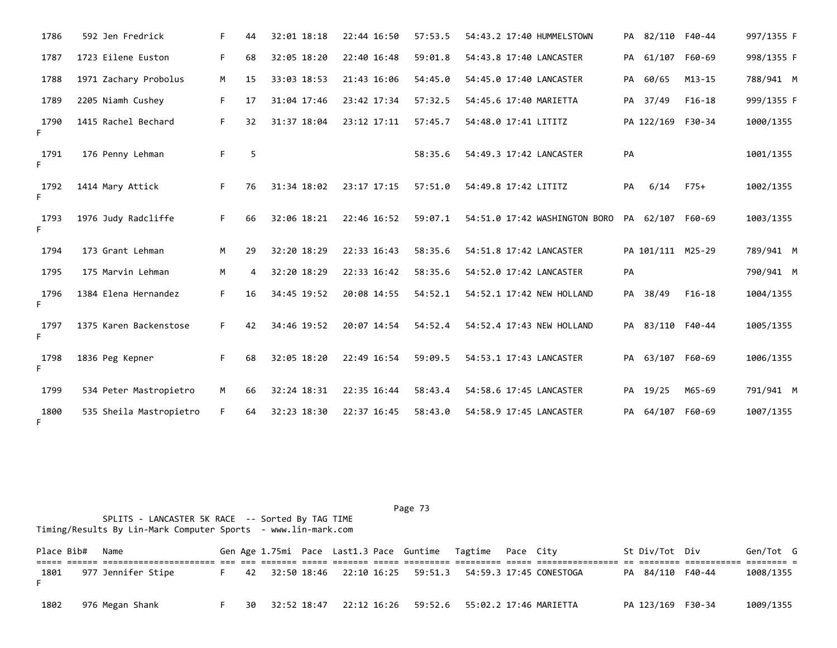| 1786       | 592 Jen Fredrick        | F. | 44 | 32:01 18:18 | 22:44 16:50 | 57:53.5 | 54:43.2 17:40 HUMMELSTOWN     |    | PA 82/110         | F40-44     | 997/1355 F |
|------------|-------------------------|----|----|-------------|-------------|---------|-------------------------------|----|-------------------|------------|------------|
| 1787       | 1723 Eilene Euston      | F. | 68 | 32:05 18:20 | 22:40 16:48 | 59:01.8 | 54:43.8 17:40 LANCASTER       |    | PA 61/107         | F60-69     | 998/1355 F |
| 1788       | 1971 Zachary Probolus   | М  | 15 | 33:03 18:53 | 21:43 16:06 | 54:45.0 | 54:45.0 17:40 LANCASTER       |    | PA 60/65          | $M13 - 15$ | 788/941 M  |
| 1789       | 2205 Niamh Cushey       | F. | 17 | 31:04 17:46 | 23:42 17:34 | 57:32.5 | 54:45.6 17:40 MARIETTA        |    | PA 37/49          | $F16-18$   | 999/1355 F |
| 1790<br>F. | 1415 Rachel Bechard     | F. | 32 | 31:37 18:04 | 23:12 17:11 | 57:45.7 | 54:48.0 17:41 LITITZ          |    | PA 122/169 F30-34 |            | 1000/1355  |
| 1791<br>F. | 176 Penny Lehman        | F. | 5  |             |             | 58:35.6 | 54:49.3 17:42 LANCASTER       | PA |                   |            | 1001/1355  |
| 1792<br>F. | 1414 Mary Attick        | F. | 76 | 31:34 18:02 | 23:17 17:15 | 57:51.0 | 54:49.8 17:42 LITITZ          | PA | 6/14              | $F75+$     | 1002/1355  |
| 1793<br>F. | 1976 Judy Radcliffe     | F. | 66 | 32:06 18:21 | 22:46 16:52 | 59:07.1 | 54:51.0 17:42 WASHINGTON BORO |    | PA 62/107 F60-69  |            | 1003/1355  |
| 1794       | 173 Grant Lehman        | M  | 29 | 32:20 18:29 | 22:33 16:43 | 58:35.6 | 54:51.8 17:42 LANCASTER       |    | PA 101/111 M25-29 |            | 789/941 M  |
| 1795       | 175 Marvin Lehman       | M  | 4  | 32:20 18:29 | 22:33 16:42 | 58:35.6 | 54:52.0 17:42 LANCASTER       | PA |                   |            | 790/941 M  |
| 1796<br>F. | 1384 Elena Hernandez    | F. | 16 | 34:45 19:52 | 20:08 14:55 | 54:52.1 | 54:52.1 17:42 NEW HOLLAND     |    | PA 38/49          | $F16-18$   | 1004/1355  |
| 1797<br>F. | 1375 Karen Backenstose  | F. | 42 | 34:46 19:52 | 20:07 14:54 | 54:52.4 | 54:52.4 17:43 NEW HOLLAND     |    | PA 83/110 F40-44  |            | 1005/1355  |
| 1798<br>F. | 1836 Peg Kepner         | F. | 68 | 32:05 18:20 | 22:49 16:54 | 59:09.5 | 54:53.1 17:43 LANCASTER       |    | PA 63/107 F60-69  |            | 1006/1355  |
| 1799       | 534 Peter Mastropietro  | M  | 66 | 32:24 18:31 | 22:35 16:44 | 58:43.4 | 54:58.6 17:45 LANCASTER       |    | PA 19/25          | M65-69     | 791/941 M  |
| 1800<br>F. | 535 Sheila Mastropietro | F. | 64 | 32:23 18:30 | 22:37 16:45 | 58:43.0 | 54:58.9 17:45 LANCASTER       | PA | 64/107            | F60-69     | 1007/1355  |

Place Bib# Name 6en Sen Age 1.75mi Pace Last1.3 Pace Guntime Tagtime Pace City 5t Div/Tot Div Gen/Tot G ===== ====== ====================== === === ======= ===== ======= ===== ========= ========= ===== ================ == ======== =========== ======== = 1801 977 Jennifer Stipe F 42 32:50 18:46 22:10 16:25 59:51.3 54:59.3 17:45 CONESTOGA PA 84/110 F40-44 1008/1355 F 1802 976 Megan Shank F 30 32:52 18:47 22:12 16:26 59:52.6 55:02.2 17:46 MARIETTA PA 123/169 F30-34 1009/1355

Page 73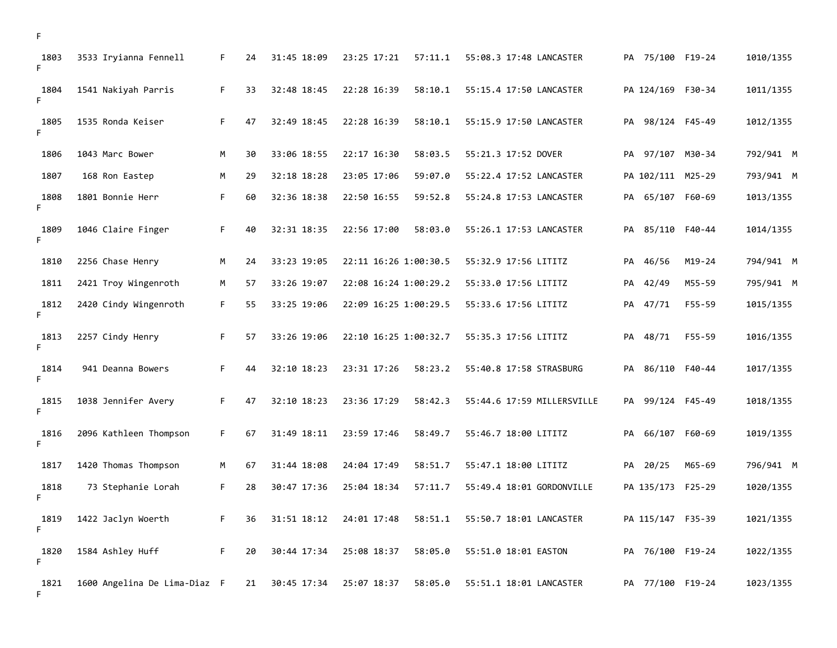| 1803<br>F. | 3533 Iryianna Fennell        | F. | 24 | 31:45 18:09 | 23:25 17:21           | 57:11.1 | 55:08.3 17:48 LANCASTER    |    | PA 75/100 F19-24  |               | 1010/1355 |
|------------|------------------------------|----|----|-------------|-----------------------|---------|----------------------------|----|-------------------|---------------|-----------|
| 1804<br>F. | 1541 Nakiyah Parris          | F. | 33 | 32:48 18:45 | 22:28 16:39           | 58:10.1 | 55:15.4 17:50 LANCASTER    |    | PA 124/169 F30-34 |               | 1011/1355 |
| 1805<br>F. | 1535 Ronda Keiser            | F. | 47 | 32:49 18:45 | 22:28 16:39           | 58:10.1 | 55:15.9 17:50 LANCASTER    |    | PA 98/124 F45-49  |               | 1012/1355 |
| 1806       | 1043 Marc Bower              | M  | 30 | 33:06 18:55 | 22:17 16:30           | 58:03.5 | 55:21.3 17:52 DOVER        | PA |                   | 97/107 M30-34 | 792/941 M |
| 1807       | 168 Ron Eastep               | M  | 29 | 32:18 18:28 | 23:05 17:06           | 59:07.0 | 55:22.4 17:52 LANCASTER    |    | PA 102/111 M25-29 |               | 793/941 M |
| 1808<br>F. | 1801 Bonnie Herr             | F  | 60 | 32:36 18:38 | 22:50 16:55           | 59:52.8 | 55:24.8 17:53 LANCASTER    | PA |                   | 65/107 F60-69 | 1013/1355 |
| 1809<br>F. | 1046 Claire Finger           | F  | 40 | 32:31 18:35 | 22:56 17:00           | 58:03.0 | 55:26.1 17:53 LANCASTER    | PA |                   | 85/110 F40-44 | 1014/1355 |
| 1810       | 2256 Chase Henry             | M  | 24 | 33:23 19:05 | 22:11 16:26 1:00:30.5 |         | 55:32.9 17:56 LITITZ       |    | PA 46/56          | $M19 - 24$    | 794/941 M |
| 1811       | 2421 Troy Wingenroth         | M  | 57 | 33:26 19:07 | 22:08 16:24 1:00:29.2 |         | 55:33.0 17:56 LITITZ       | PA | 42/49             | M55-59        | 795/941 M |
| 1812<br>F. | 2420 Cindy Wingenroth        | F. | 55 | 33:25 19:06 | 22:09 16:25 1:00:29.5 |         | 55:33.6 17:56 LITITZ       | PA | 47/71             | F55-59        | 1015/1355 |
| 1813<br>F  | 2257 Cindy Henry             | F. | 57 | 33:26 19:06 | 22:10 16:25 1:00:32.7 |         | 55:35.3 17:56 LITITZ       | PA | 48/71             | F55-59        | 1016/1355 |
| 1814<br>F. | 941 Deanna Bowers            | F. | 44 | 32:10 18:23 | 23:31 17:26           | 58:23.2 | 55:40.8 17:58 STRASBURG    | PA |                   | 86/110 F40-44 | 1017/1355 |
| 1815<br>F. | 1038 Jennifer Avery          | F. | 47 | 32:10 18:23 | 23:36 17:29           | 58:42.3 | 55:44.6 17:59 MILLERSVILLE | PA |                   | 99/124 F45-49 | 1018/1355 |
| 1816<br>F. | 2096 Kathleen Thompson       | F. | 67 | 31:49 18:11 | 23:59 17:46           | 58:49.7 | 55:46.7 18:00 LITITZ       | PA |                   | 66/107 F60-69 | 1019/1355 |
| 1817       | 1420 Thomas Thompson         | М  | 67 | 31:44 18:08 | 24:04 17:49           | 58:51.7 | 55:47.1 18:00 LITITZ       |    | PA 20/25          | M65-69        | 796/941 M |
| 1818<br>F. | 73 Stephanie Lorah           | F  | 28 | 30:47 17:36 | 25:04 18:34           | 57:11.7 | 55:49.4 18:01 GORDONVILLE  |    | PA 135/173 F25-29 |               | 1020/1355 |
| 1819<br>F  | 1422 Jaclyn Woerth           | F. | 36 | 31:51 18:12 | 24:01 17:48           | 58:51.1 | 55:50.7 18:01 LANCASTER    |    | PA 115/147 F35-39 |               | 1021/1355 |
| 1820<br>F. | 1584 Ashley Huff             | F  | 20 | 30:44 17:34 | 25:08 18:37           | 58:05.0 | 55:51.0 18:01 EASTON       |    | PA 76/100 F19-24  |               | 1022/1355 |
| 1821<br>F. | 1600 Angelina De Lima-Diaz F |    | 21 | 30:45 17:34 | 25:07 18:37           | 58:05.0 | 55:51.1 18:01 LANCASTER    |    | PA 77/100 F19-24  |               | 1023/1355 |

F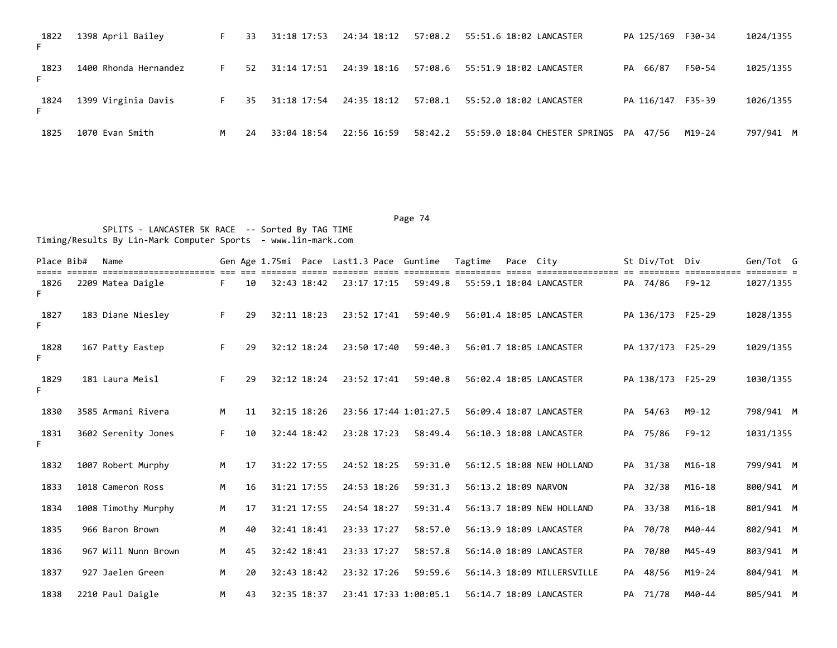| 1822       | 1398 April Bailey     | F. | 33 | 31:18 17:53 | 24:34 18:12 | 57:08.2 | 55:51.6 18:02 LANCASTER          |    | PA 125/169 F30-34 |        | 1024/1355 |
|------------|-----------------------|----|----|-------------|-------------|---------|----------------------------------|----|-------------------|--------|-----------|
| 1823<br>F. | 1400 Rhonda Hernandez | F. | 52 | 31:14 17:51 | 24:39 18:16 | 57:08.6 | 55:51.9 18:02 LANCASTER          | PA | 66/87             | F50-54 | 1025/1355 |
| 1824       | 1399 Virginia Davis   | F. | 35 | 31:18 17:54 | 24:35 18:12 | 57:08.1 | 55:52.0 18:02 LANCASTER          |    | PA 116/147 F35-39 |        | 1026/1355 |
| 1825       | 1070 Evan Smith       | м  | 24 | 33:04 18:54 | 22:56 16:59 | 58:42.2 | 55:59.0 18:04 CHESTER SPRINGS PA |    | 47/56             | M19-24 | 797/941 M |

| Place Bib# | Name                |    |    |             |             |             | Gen Age 1.75mi Pace Last1.3 Pace Guntime | Tagtime              | Pace City |                            | St Div/Tot Div    |            | Gen/Tot G |  |
|------------|---------------------|----|----|-------------|-------------|-------------|------------------------------------------|----------------------|-----------|----------------------------|-------------------|------------|-----------|--|
| 1826<br>Ė. | 2209 Matea Daigle   | F. | 10 |             | 32:43 18:42 | 23:17 17:15 | 59:49.8                                  |                      |           | 55:59.1 18:04 LANCASTER    | PA 74/86          | $F9-12$    | 1027/1355 |  |
| 1827<br>F. | 183 Diane Niesley   | F. | 29 |             | 32:11 18:23 | 23:52 17:41 | 59:40.9                                  |                      |           | 56:01.4 18:05 LANCASTER    | PA 136/173 F25-29 |            | 1028/1355 |  |
| 1828<br>F. | 167 Patty Eastep    | F. | 29 |             | 32:12 18:24 | 23:50 17:40 | 59:40.3                                  |                      |           | 56:01.7 18:05 LANCASTER    | PA 137/173 F25-29 |            | 1029/1355 |  |
| 1829<br>F. | 181 Laura Meisl     | F. | 29 |             | 32:12 18:24 | 23:52 17:41 | 59:40.8                                  |                      |           | 56:02.4 18:05 LANCASTER    | PA 138/173 F25-29 |            | 1030/1355 |  |
| 1830       | 3585 Armani Rivera  | M  | 11 |             | 32:15 18:26 |             | 23:56 17:44 1:01:27.5                    |                      |           | 56:09.4 18:07 LANCASTER    | PA 54/63          | $M9 - 12$  | 798/941 M |  |
| 1831<br>E. | 3602 Serenity Jones | F. | 10 |             | 32:44 18:42 | 23:28 17:23 | 58:49.4                                  |                      |           | 56:10.3 18:08 LANCASTER    | PA 75/86          | $F9 - 12$  | 1031/1355 |  |
| 1832       | 1007 Robert Murphy  | M  | 17 |             | 31:22 17:55 | 24:52 18:25 | 59:31.0                                  |                      |           | 56:12.5 18:08 NEW HOLLAND  | PA 31/38          | $M16 - 18$ | 799/941 M |  |
| 1833       | 1018 Cameron Ross   | M  | 16 |             | 31:21 17:55 | 24:53 18:26 | 59:31.3                                  | 56:13.2 18:09 NARVON |           |                            | PA 32/38          | $M16 - 18$ | 800/941 M |  |
| 1834       | 1008 Timothy Murphy | M  | 17 |             | 31:21 17:55 | 24:54 18:27 | 59:31.4                                  |                      |           | 56:13.7 18:09 NEW HOLLAND  | PA 33/38          | $M16 - 18$ | 801/941 M |  |
| 1835       | 966 Baron Brown     | M  | 40 | 32:41 18:41 |             | 23:33 17:27 | 58:57.0                                  |                      |           | 56:13.9 18:09 LANCASTER    | PA 70/78          | M40-44     | 802/941 M |  |
| 1836       | 967 Will Nunn Brown | M  | 45 |             | 32:42 18:41 | 23:33 17:27 | 58:57.8                                  |                      |           | 56:14.0 18:09 LANCASTER    | PA 70/80          | M45-49     | 803/941 M |  |
| 1837       | 927 Jaelen Green    | M  | 20 |             | 32:43 18:42 | 23:32 17:26 | 59:59.6                                  |                      |           | 56:14.3 18:09 MILLERSVILLE | PA 48/56          | M19-24     | 804/941 M |  |
| 1838       | 2210 Paul Daigle    | M  | 43 |             | 32:35 18:37 |             | 23:41 17:33 1:00:05.1                    |                      |           | 56:14.7 18:09 LANCASTER    | PA 71/78          | M40-44     | 805/941 M |  |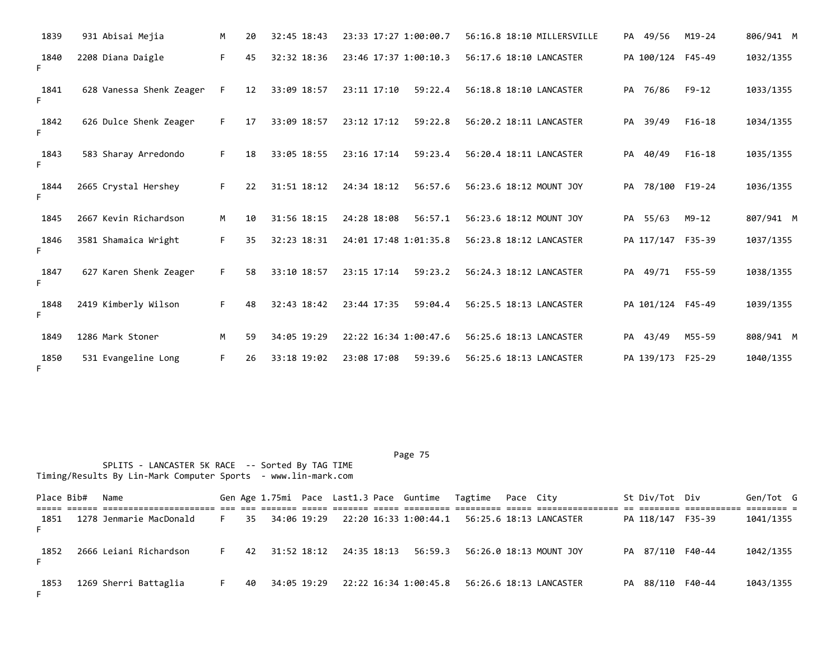| 1839       | 931 Abisai Mejia         | M  | 20 | 32:45 18:43 | 23:33 17:27 1:00:00.7  | 56:16.8 18:10 MILLERSVILLE | PA 49/56          | $M19 - 24$ | 806/941 M |
|------------|--------------------------|----|----|-------------|------------------------|----------------------------|-------------------|------------|-----------|
| 1840<br>F. | 2208 Diana Daigle        | F. | 45 | 32:32 18:36 | 23:46 17:37 1:00:10.3  | 56:17.6 18:10 LANCASTER    | PA 100/124 F45-49 |            | 1032/1355 |
| 1841<br>F. | 628 Vanessa Shenk Zeager | F  | 12 | 33:09 18:57 | 23:11 17:10<br>59:22.4 | 56:18.8 18:10 LANCASTER    | PA 76/86          | $F9 - 12$  | 1033/1355 |
| 1842<br>F. | 626 Dulce Shenk Zeager   | F. | 17 | 33:09 18:57 | 23:12 17:12<br>59:22.8 | 56:20.2 18:11 LANCASTER    | PA 39/49          | $F16-18$   | 1034/1355 |
| 1843<br>F. | 583 Sharay Arredondo     | F. | 18 | 33:05 18:55 | 23:16 17:14<br>59:23.4 | 56:20.4 18:11 LANCASTER    | PA 40/49          | $F16-18$   | 1035/1355 |
| 1844       | 2665 Crystal Hershey     | F. | 22 | 31:51 18:12 | 24:34 18:12<br>56:57.6 | 56:23.6 18:12 MOUNT JOY    | PA 78/100 F19-24  |            | 1036/1355 |
| 1845       | 2667 Kevin Richardson    | M  | 10 | 31:56 18:15 | 24:28 18:08<br>56:57.1 | 56:23.6 18:12 MOUNT JOY    | PA 55/63          | $M9 - 12$  | 807/941 M |
| 1846<br>F. | 3581 Shamaica Wright     | F. | 35 | 32:23 18:31 | 24:01 17:48 1:01:35.8  | 56:23.8 18:12 LANCASTER    | PA 117/147        | F35-39     | 1037/1355 |
| 1847<br>F. | 627 Karen Shenk Zeager   | F. | 58 | 33:10 18:57 | 23:15 17:14<br>59:23.2 | 56:24.3 18:12 LANCASTER    | PA 49/71          | F55-59     | 1038/1355 |
| 1848<br>F. | 2419 Kimberly Wilson     | F. | 48 | 32:43 18:42 | 23:44 17:35<br>59:04.4 | 56:25.5 18:13 LANCASTER    | PA 101/124 F45-49 |            | 1039/1355 |
| 1849       | 1286 Mark Stoner         | M  | 59 | 34:05 19:29 | 22:22 16:34 1:00:47.6  | 56:25.6 18:13 LANCASTER    | PA 43/49          | M55-59     | 808/941 M |
| 1850<br>F. | 531 Evangeline Long      | F. | 26 | 33:18 19:02 | 23:08 17:08<br>59:39.6 | 56:25.6 18:13 LANCASTER    | PA 139/173 F25-29 |            | 1040/1355 |

Place Bib# Name 6en Sen Age 1.75mi Pace Last1.3 Pace Guntime Tagtime Pace City 5t Div/Tot Div Gen/Tot G ===== ====== ====================== === === ======= ===== ======= ===== ========= ========= ===== ================ == ======== =========== ======== = 1851 1278 Jenmarie MacDonald F 35 34:06 19:29 22:20 16:33 1:00:44.1 56:25.6 18:13 LANCASTER PA 118/147 F35-39 1041/1355 F 1852 2666 Leiani Richardson F 42 31:52 18:12 24:35 18:13 56:59.3 56:26.0 18:13 MOUNT JOY PA 87/110 F40-44 1042/1355 F 1853 1269 Sherri Battaglia F 40 34:05 19:29 22:22 16:34 1:00:45.8 56:26.6 18:13 LANCASTER PA 88/110 F40-44 1043/1355 F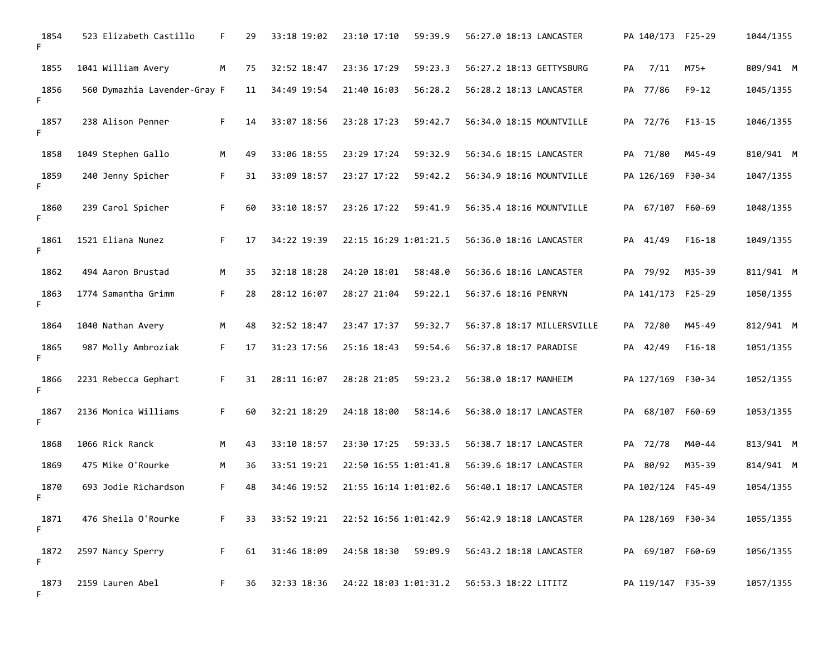| 1854<br>F. | 523 Elizabeth Castillo       | F. | 29 | 33:18 19:02 | 23:10 17:10           | 59:39.9 | 56:27.0 18:13 LANCASTER    | PA 140/173 F25-29 |            | 1044/1355 |
|------------|------------------------------|----|----|-------------|-----------------------|---------|----------------------------|-------------------|------------|-----------|
| 1855       | 1041 William Avery           | M  | 75 | 32:52 18:47 | 23:36 17:29           | 59:23.3 | 56:27.2 18:13 GETTYSBURG   | PA<br>7/11        | $M75+$     | 809/941 M |
| 1856<br>F. | 560 Dymazhia Lavender-Gray F |    | 11 | 34:49 19:54 | 21:40 16:03           | 56:28.2 | 56:28.2 18:13 LANCASTER    | PA 77/86          | $F9 - 12$  | 1045/1355 |
| 1857<br>F. | 238 Alison Penner            | F. | 14 | 33:07 18:56 | 23:28 17:23           | 59:42.7 | 56:34.0 18:15 MOUNTVILLE   | PA 72/76          | $F13 - 15$ | 1046/1355 |
| 1858       | 1049 Stephen Gallo           | M  | 49 | 33:06 18:55 | 23:29 17:24           | 59:32.9 | 56:34.6 18:15 LANCASTER    | PA 71/80          | M45-49     | 810/941 M |
| 1859<br>F. | 240 Jenny Spicher            | F. | 31 | 33:09 18:57 | 23:27 17:22           | 59:42.2 | 56:34.9 18:16 MOUNTVILLE   | PA 126/169 F30-34 |            | 1047/1355 |
| 1860<br>F. | 239 Carol Spicher            | F. | 60 | 33:10 18:57 | 23:26 17:22           | 59:41.9 | 56:35.4 18:16 MOUNTVILLE   | PA 67/107 F60-69  |            | 1048/1355 |
| 1861<br>F. | 1521 Eliana Nunez            | F. | 17 | 34:22 19:39 | 22:15 16:29 1:01:21.5 |         | 56:36.0 18:16 LANCASTER    | PA 41/49          | $F16-18$   | 1049/1355 |
| 1862       | 494 Aaron Brustad            | М  | 35 | 32:18 18:28 | 24:20 18:01           | 58:48.0 | 56:36.6 18:16 LANCASTER    | PA 79/92          | M35-39     | 811/941 M |
| 1863<br>F. | 1774 Samantha Grimm          | F. | 28 | 28:12 16:07 | 28:27 21:04           | 59:22.1 | 56:37.6 18:16 PENRYN       | PA 141/173 F25-29 |            | 1050/1355 |
| 1864       | 1040 Nathan Avery            | М  | 48 | 32:52 18:47 | 23:47 17:37           | 59:32.7 | 56:37.8 18:17 MILLERSVILLE | PA 72/80          | M45-49     | 812/941 M |
| 1865<br>F. | 987 Molly Ambroziak          | F. | 17 | 31:23 17:56 | 25:16 18:43           | 59:54.6 | 56:37.8 18:17 PARADISE     | PA 42/49          | $F16-18$   | 1051/1355 |
| 1866<br>F. | 2231 Rebecca Gephart         | F. | 31 | 28:11 16:07 | 28:28 21:05           | 59:23.2 | 56:38.0 18:17 MANHEIM      | PA 127/169 F30-34 |            | 1052/1355 |
| 1867<br>F. | 2136 Monica Williams         | F. | 60 | 32:21 18:29 | 24:18 18:00           | 58:14.6 | 56:38.0 18:17 LANCASTER    | PA 68/107 F60-69  |            | 1053/1355 |
| 1868       | 1066 Rick Ranck              | M  | 43 | 33:10 18:57 | 23:30 17:25           | 59:33.5 | 56:38.7 18:17 LANCASTER    | PA 72/78          | M40-44     | 813/941 M |
| 1869       | 475 Mike O'Rourke            | М  | 36 | 33:51 19:21 | 22:50 16:55 1:01:41.8 |         | 56:39.6 18:17 LANCASTER    | PA 80/92          | M35-39     | 814/941 M |
| 1870<br>F. | 693 Jodie Richardson         | F. | 48 | 34:46 19:52 | 21:55 16:14 1:01:02.6 |         | 56:40.1 18:17 LANCASTER    | PA 102/124 F45-49 |            | 1054/1355 |
| 1871<br>F. | 476 Sheila O'Rourke          | F. | 33 |             |                       |         | 56:42.9 18:18 LANCASTER    | PA 128/169 F30-34 |            | 1055/1355 |
| 1872<br>F. | 2597 Nancy Sperry            | F. | 61 | 31:46 18:09 | 24:58 18:30 59:09.9   |         | 56:43.2 18:18 LANCASTER    | PA 69/107 F60-69  |            | 1056/1355 |
| 1873<br>F. | 2159 Lauren Abel             | F. | 36 | 32:33 18:36 | 24:22 18:03 1:01:31.2 |         | 56:53.3 18:22 LITITZ       | PA 119/147 F35-39 |            | 1057/1355 |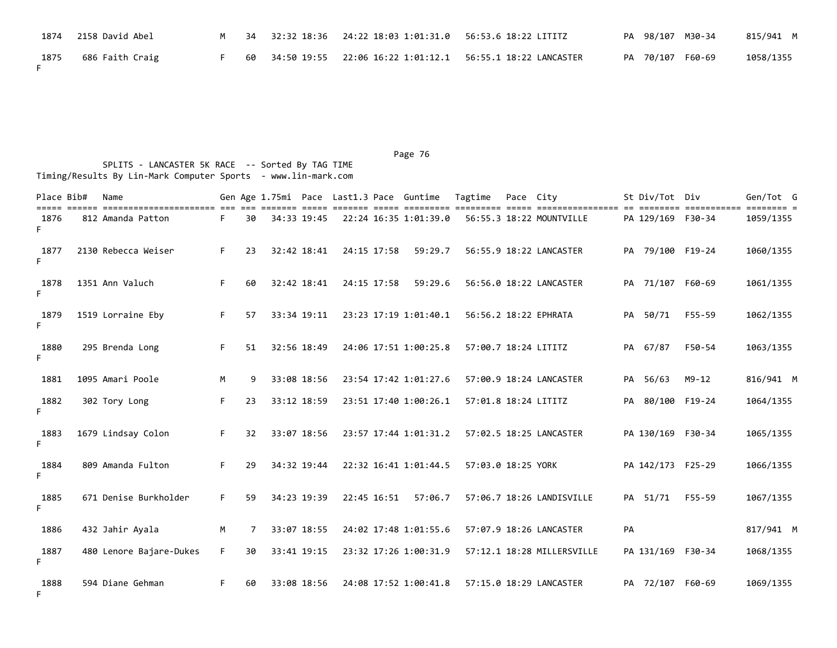| 1874 | 2158 David Abel |  | 34     32:32    18:36     24:22    18:03    1:01:31.0     56:53.6    18:22    LITITZ |                                                              |  | PA 98/107 M30-34 | 815/941 M |
|------|-----------------|--|--------------------------------------------------------------------------------------|--------------------------------------------------------------|--|------------------|-----------|
| 1875 | 686 Faith Craig |  |                                                                                      | 60 34:50 19:55 22:06 16:22 1:01:12.1 56:55.1 18:22 LANCASTER |  | PA 70/107 F60-69 | 1058/1355 |

| Place Bib# | Name                    |    |    |             |             |             | Gen Age 1.75mi Pace Last1.3 Pace Guntime | Tagtime              | Pace City | <u>sisti sitisti sitis titististi titistist sitis titistististististi ol sitistis titististis titistis t</u> |    | St Div/Tot Div    |           | Gen/Tot G |
|------------|-------------------------|----|----|-------------|-------------|-------------|------------------------------------------|----------------------|-----------|--------------------------------------------------------------------------------------------------------------|----|-------------------|-----------|-----------|
| 1876<br>F. | 812 Amanda Patton       | F. | 30 | 34:33 19:45 |             |             | 22:24 16:35 1:01:39.0                    |                      |           | 56:55.3 18:22 MOUNTVILLE                                                                                     |    | PA 129/169 F30-34 |           | 1059/1355 |
| 1877<br>F. | 2130 Rebecca Weiser     | F. | 23 | 32:42 18:41 |             | 24:15 17:58 | 59:29.7                                  |                      |           | 56:55.9 18:22 LANCASTER                                                                                      |    | PA 79/100 F19-24  |           | 1060/1355 |
| 1878<br>F. | 1351 Ann Valuch         | F. | 60 | 32:42 18:41 | 24:15 17:58 |             | 59:29.6                                  |                      |           | 56:56.0 18:22 LANCASTER                                                                                      |    | PA 71/107 F60-69  |           | 1061/1355 |
| 1879<br>F. | 1519 Lorraine Eby       | F. | 57 | 33:34 19:11 |             |             | 23:23 17:19 1:01:40.1                    |                      |           | 56:56.2 18:22 EPHRATA                                                                                        |    | PA 50/71          | F55-59    | 1062/1355 |
| 1880<br>F. | 295 Brenda Long         | F. | 51 | 32:56 18:49 |             |             | 24:06 17:51 1:00:25.8                    | 57:00.7 18:24 LITITZ |           |                                                                                                              |    | PA 67/87          | F50-54    | 1063/1355 |
| 1881       | 1095 Amari Poole        | М  | 9  | 33:08 18:56 |             |             | 23:54 17:42 1:01:27.6                    |                      |           | 57:00.9 18:24 LANCASTER                                                                                      |    | PA 56/63          | $M9 - 12$ | 816/941 M |
| 1882<br>F. | 302 Tory Long           | F. | 23 | 33:12 18:59 |             |             | 23:51 17:40 1:00:26.1                    | 57:01.8 18:24 LITITZ |           |                                                                                                              | PA | 80/100 F19-24     |           | 1064/1355 |
| 1883<br>F. | 1679 Lindsay Colon      | F. | 32 | 33:07 18:56 |             |             | 23:57 17:44 1:01:31.2                    |                      |           | 57:02.5 18:25 LANCASTER                                                                                      |    | PA 130/169 F30-34 |           | 1065/1355 |
| 1884<br>F. | 809 Amanda Fulton       | F. | 29 | 34:32 19:44 |             |             | 22:32 16:41 1:01:44.5                    | 57:03.0 18:25 YORK   |           |                                                                                                              |    | PA 142/173 F25-29 |           | 1066/1355 |
| 1885<br>F. | 671 Denise Burkholder   | F. | 59 | 34:23 19:39 | 22:45 16:51 |             | 57:06.7                                  |                      |           | 57:06.7 18:26 LANDISVILLE                                                                                    |    | PA 51/71          | F55-59    | 1067/1355 |
| 1886       | 432 Jahir Ayala         | M  | 7  | 33:07 18:55 |             |             | 24:02 17:48 1:01:55.6                    |                      |           | 57:07.9 18:26 LANCASTER                                                                                      | PA |                   |           | 817/941 M |
| 1887<br>F  | 480 Lenore Bajare-Dukes | F. | 30 | 33:41 19:15 |             |             | 23:32 17:26 1:00:31.9                    |                      |           | 57:12.1 18:28 MILLERSVILLE                                                                                   |    | PA 131/169 F30-34 |           | 1068/1355 |
| 1888<br>F. | 594 Diane Gehman        | F. | 60 | 33:08 18:56 |             |             | 24:08 17:52 1:00:41.8                    |                      |           | 57:15.0 18:29 LANCASTER                                                                                      |    | PA 72/107 F60-69  |           | 1069/1355 |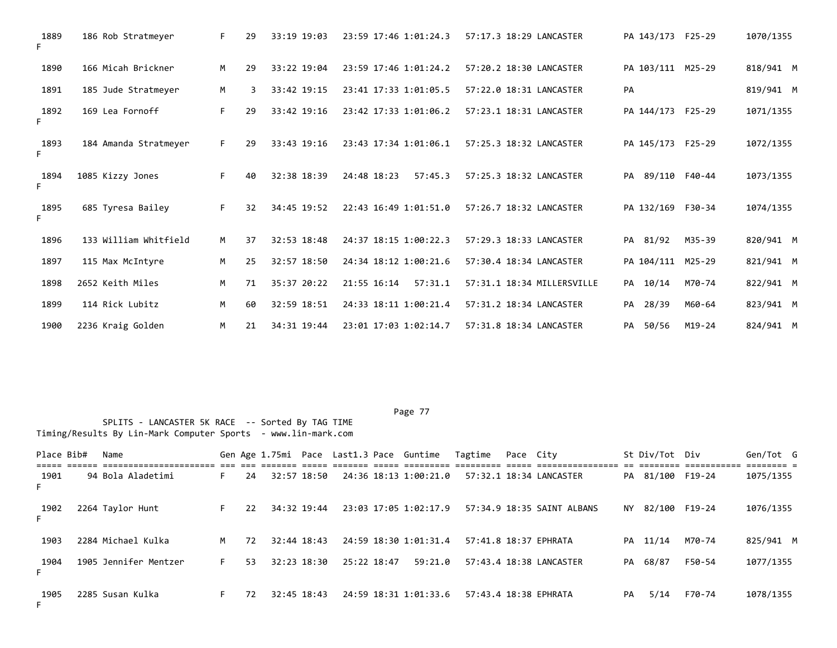| 1889<br>F. | 186 Rob Stratmeyer    | F. | 29 | 33:19 19:03 | 23:59 17:46 1:01:24.3  | 57:17.3 18:29 LANCASTER    | PA 143/173 F25-29 |            | 1070/1355 |
|------------|-----------------------|----|----|-------------|------------------------|----------------------------|-------------------|------------|-----------|
| 1890       | 166 Micah Brickner    | M  | 29 | 33:22 19:04 | 23:59 17:46 1:01:24.2  | 57:20.2 18:30 LANCASTER    | PA 103/111 M25-29 |            | 818/941 M |
| 1891       | 185 Jude Stratmeyer   | M  | 3  | 33:42 19:15 | 23:41 17:33 1:01:05.5  | 57:22.0 18:31 LANCASTER    | PA                |            | 819/941 M |
| 1892<br>F. | 169 Lea Fornoff       | F. | 29 | 33:42 19:16 | 23:42 17:33 1:01:06.2  | 57:23.1 18:31 LANCASTER    | PA 144/173 F25-29 |            | 1071/1355 |
| 1893<br>F. | 184 Amanda Stratmeyer | F. | 29 | 33:43 19:16 | 23:43 17:34 1:01:06.1  | 57:25.3 18:32 LANCASTER    | PA 145/173 F25-29 |            | 1072/1355 |
| 1894<br>F. | 1085 Kizzy Jones      | F. | 40 | 32:38 18:39 | 24:48 18:23<br>57:45.3 | 57:25.3 18:32 LANCASTER    | 89/110<br>PA      | F40-44     | 1073/1355 |
| 1895<br>F. | 685 Tyresa Bailey     | F. | 32 | 34:45 19:52 | 22:43 16:49 1:01:51.0  | 57:26.7 18:32 LANCASTER    | PA 132/169 F30-34 |            | 1074/1355 |
| 1896       | 133 William Whitfield | M  | 37 | 32:53 18:48 | 24:37 18:15 1:00:22.3  | 57:29.3 18:33 LANCASTER    | PA 81/92          | M35-39     | 820/941 M |
| 1897       | 115 Max McIntyre      | M  | 25 | 32:57 18:50 | 24:34 18:12 1:00:21.6  | 57:30.4 18:34 LANCASTER    | PA 104/111 M25-29 |            | 821/941 M |
| 1898       | 2652 Keith Miles      | M  | 71 | 35:37 20:22 | 21:55 16:14<br>57:31.1 | 57:31.1 18:34 MILLERSVILLE | PA 10/14          | M70-74     | 822/941 M |
| 1899       | 114 Rick Lubitz       | M  | 60 | 32:59 18:51 | 24:33 18:11 1:00:21.4  | 57:31.2 18:34 LANCASTER    | PA 28/39          | M60-64     | 823/941 M |
| 1900       | 2236 Kraig Golden     | M  | 21 | 34:31 19:44 | 23:01 17:03 1:02:14.7  | 57:31.8 18:34 LANCASTER    | PA 50/56          | $M19 - 24$ | 824/941 M |

|            | SPLITS - LANCASTER 5K RACE -- Sorted By TAG TIME<br>Timing/Results By Lin-Mark Computer Sports - www.lin-mark.com<br>Place Bib#<br>Gen Age 1.75mi Pace Last1.3 Pace Guntime Tagtime<br>St Div/Tot Div<br>Pace City |                       |    |    |  |             |             |  |                       |  |  |                            |    |                  |        |           |
|------------|--------------------------------------------------------------------------------------------------------------------------------------------------------------------------------------------------------------------|-----------------------|----|----|--|-------------|-------------|--|-----------------------|--|--|----------------------------|----|------------------|--------|-----------|
|            |                                                                                                                                                                                                                    | Name                  |    |    |  |             |             |  |                       |  |  |                            |    |                  |        | Gen/Tot G |
| 1901<br>F. |                                                                                                                                                                                                                    | 94 Bola Aladetimi     | F. | 24 |  | 32:57 18:50 |             |  | 24:36 18:13 1:00:21.0 |  |  | 57:32.1 18:34 LANCASTER    |    | PA 81/100 F19-24 |        | 1075/1355 |
| 1902<br>F. |                                                                                                                                                                                                                    | 2264 Taylor Hunt      | F. | 22 |  | 34:32 19:44 |             |  | 23:03 17:05 1:02:17.9 |  |  | 57:34.9 18:35 SAINT ALBANS |    | NY 82/100 F19-24 |        | 1076/1355 |
| 1903       |                                                                                                                                                                                                                    | 2284 Michael Kulka    | M  | 72 |  | 32:44 18:43 |             |  | 24:59 18:30 1:01:31.4 |  |  | 57:41.8 18:37 EPHRATA      |    | PA 11/14         | M70-74 | 825/941 M |
| 1904<br>F. |                                                                                                                                                                                                                    | 1905 Jennifer Mentzer | F. | 53 |  | 32:23 18:30 | 25:22 18:47 |  | 59:21.0               |  |  | 57:43.4 18:38 LANCASTER    |    | PA 68/87         | F50-54 | 1077/1355 |
| 1905<br>F. |                                                                                                                                                                                                                    | 2285 Susan Kulka      | F. | 72 |  | 32:45 18:43 |             |  | 24:59 18:31 1:01:33.6 |  |  | 57:43.4 18:38 EPHRATA      | PA | 5/14             | F70-74 | 1078/1355 |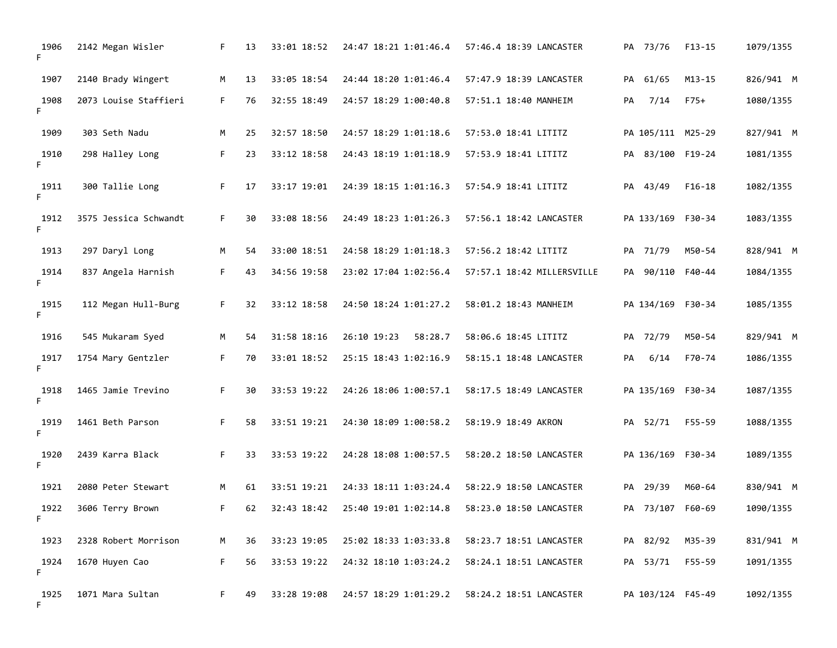| 1906<br>F. | 2142 Megan Wisler     | F. | 13 | 33:01 18:52 | 24:47 18:21 1:01:46.4  | 57:46.4 18:39 LANCASTER    | PA 73/76          | $F13 - 15$ | 1079/1355 |
|------------|-----------------------|----|----|-------------|------------------------|----------------------------|-------------------|------------|-----------|
| 1907       | 2140 Brady Wingert    | M  | 13 | 33:05 18:54 | 24:44 18:20 1:01:46.4  | 57:47.9 18:39 LANCASTER    | PA 61/65          | M13-15     | 826/941 M |
| 1908<br>F. | 2073 Louise Staffieri | F. | 76 | 32:55 18:49 | 24:57 18:29 1:00:40.8  | 57:51.1 18:40 MANHEIM      | 7/14<br>PA        | F75+       | 1080/1355 |
| 1909       | 303 Seth Nadu         | М  | 25 | 32:57 18:50 | 24:57 18:29 1:01:18.6  | 57:53.0 18:41 LITITZ       | PA 105/111 M25-29 |            | 827/941 M |
| 1910<br>F. | 298 Halley Long       | F. | 23 | 33:12 18:58 | 24:43 18:19 1:01:18.9  | 57:53.9 18:41 LITITZ       | PA 83/100 F19-24  |            | 1081/1355 |
| 1911<br>F  | 300 Tallie Long       | F. | 17 | 33:17 19:01 | 24:39 18:15 1:01:16.3  | 57:54.9 18:41 LITITZ       | PA 43/49          | $F16-18$   | 1082/1355 |
| 1912<br>F. | 3575 Jessica Schwandt | F. | 30 | 33:08 18:56 | 24:49 18:23 1:01:26.3  | 57:56.1 18:42 LANCASTER    | PA 133/169 F30-34 |            | 1083/1355 |
| 1913       | 297 Daryl Long        | М  | 54 | 33:00 18:51 | 24:58 18:29 1:01:18.3  | 57:56.2 18:42 LITITZ       | PA 71/79          | M50-54     | 828/941 M |
| 1914<br>F. | 837 Angela Harnish    | F. | 43 | 34:56 19:58 | 23:02 17:04 1:02:56.4  | 57:57.1 18:42 MILLERSVILLE | PA 90/110 F40-44  |            | 1084/1355 |
| 1915<br>F. | 112 Megan Hull-Burg   | F. | 32 | 33:12 18:58 | 24:50 18:24 1:01:27.2  | 58:01.2 18:43 MANHEIM      | PA 134/169 F30-34 |            | 1085/1355 |
| 1916       | 545 Mukaram Syed      | М  | 54 | 31:58 18:16 | 26:10 19:23<br>58:28.7 | 58:06.6 18:45 LITITZ       | PA 72/79          | M50-54     | 829/941 M |
| 1917<br>F. | 1754 Mary Gentzler    | F. | 70 | 33:01 18:52 | 25:15 18:43 1:02:16.9  | 58:15.1 18:48 LANCASTER    | 6/14<br>PA        | F70-74     | 1086/1355 |
| 1918<br>F. | 1465 Jamie Trevino    | F. | 30 | 33:53 19:22 | 24:26 18:06 1:00:57.1  | 58:17.5 18:49 LANCASTER    | PA 135/169 F30-34 |            | 1087/1355 |
| 1919<br>F. | 1461 Beth Parson      | F. | 58 | 33:51 19:21 | 24:30 18:09 1:00:58.2  | 58:19.9 18:49 AKRON        | PA 52/71          | F55-59     | 1088/1355 |
| 1920<br>F. | 2439 Karra Black      | F. | 33 | 33:53 19:22 | 24:28 18:08 1:00:57.5  | 58:20.2 18:50 LANCASTER    | PA 136/169 F30-34 |            | 1089/1355 |
| 1921       | 2080 Peter Stewart    | М  | 61 | 33:51 19:21 | 24:33 18:11 1:03:24.4  | 58:22.9 18:50 LANCASTER    | PA 29/39          | M60-64     | 830/941 M |
| 1922<br>F  | 3606 Terry Brown      | F. | 62 | 32:43 18:42 | 25:40 19:01 1:02:14.8  | 58:23.0 18:50 LANCASTER    | PA 73/107         | F60-69     | 1090/1355 |
| 1923       | 2328 Robert Morrison  | М  | 36 | 33:23 19:05 | 25:02 18:33 1:03:33.8  | 58:23.7 18:51 LANCASTER    | PA 82/92          | M35-39     | 831/941 M |
| 1924<br>F  | 1670 Huyen Cao        | F. | 56 | 33:53 19:22 | 24:32 18:10 1:03:24.2  | 58:24.1 18:51 LANCASTER    | PA 53/71          | F55-59     | 1091/1355 |
| 1925<br>F. | 1071 Mara Sultan      | F. | 49 | 33:28 19:08 | 24:57 18:29 1:01:29.2  | 58:24.2 18:51 LANCASTER    | PA 103/124 F45-49 |            | 1092/1355 |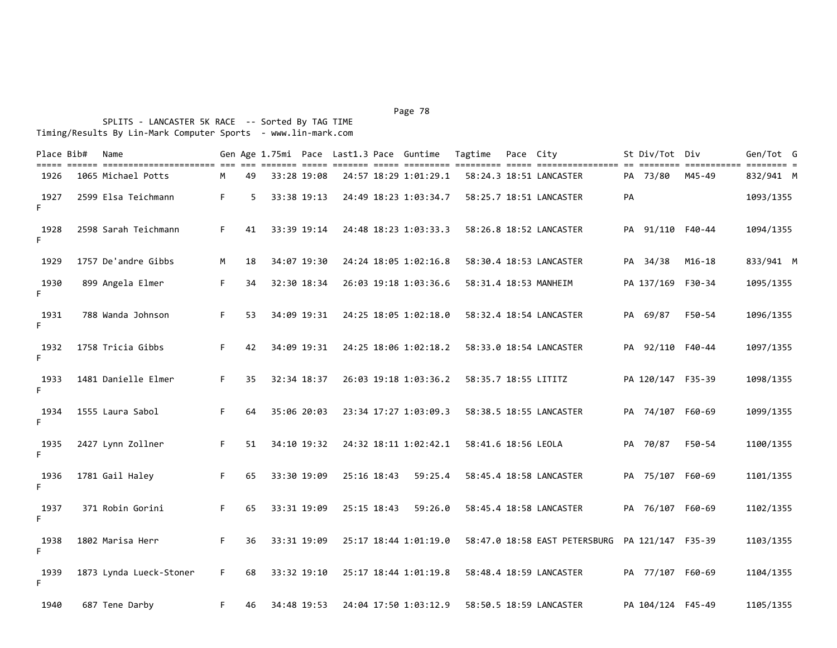| Place Bib# | Name                    |    |    |             |             | Gen Age 1.75mi Pace Last1.3 Pace Guntime | Tagtime              | Pace City |                                                 |    | St Div/Tot Div    |                                     | Gen/Tot G |
|------------|-------------------------|----|----|-------------|-------------|------------------------------------------|----------------------|-----------|-------------------------------------------------|----|-------------------|-------------------------------------|-----------|
| 1926       | 1065 Michael Potts      | M  | 49 | 33:28 19:08 |             | 24:57 18:29 1:01:29.1                    |                      |           | 58:24.3 18:51 LANCASTER                         |    | PA 73/80          | ======== =========== ====<br>M45-49 | 832/941 M |
| 1927<br>F. | 2599 Elsa Teichmann     | F. | 5  | 33:38 19:13 |             | 24:49 18:23 1:03:34.7                    |                      |           | 58:25.7 18:51 LANCASTER                         | PA |                   |                                     | 1093/1355 |
| 1928<br>F. | 2598 Sarah Teichmann    | F. | 41 | 33:39 19:14 |             | 24:48 18:23 1:03:33.3                    |                      |           | 58:26.8 18:52 LANCASTER                         |    | PA 91/110 F40-44  |                                     | 1094/1355 |
| 1929       | 1757 De'andre Gibbs     | M  | 18 | 34:07 19:30 |             | 24:24 18:05 1:02:16.8                    |                      |           | 58:30.4 18:53 LANCASTER                         |    | PA 34/38          | $M16-18$                            | 833/941 M |
| 1930<br>F. | 899 Angela Elmer        | F. | 34 | 32:30 18:34 |             | 26:03 19:18 1:03:36.6                    |                      |           | 58:31.4 18:53 MANHEIM                           |    | PA 137/169 F30-34 |                                     | 1095/1355 |
| 1931<br>F. | 788 Wanda Johnson       | F. | 53 | 34:09 19:31 |             | 24:25 18:05 1:02:18.0                    |                      |           | 58:32.4 18:54 LANCASTER                         |    | PA 69/87          | F50-54                              | 1096/1355 |
| 1932<br>F. | 1758 Tricia Gibbs       | F. | 42 | 34:09 19:31 |             | 24:25 18:06 1:02:18.2                    |                      |           | 58:33.0 18:54 LANCASTER                         |    | PA 92/110 F40-44  |                                     | 1097/1355 |
| 1933<br>F. | 1481 Danielle Elmer     | F. | 35 | 32:34 18:37 |             | 26:03 19:18 1:03:36.2                    | 58:35.7 18:55 LITITZ |           |                                                 |    | PA 120/147 F35-39 |                                     | 1098/1355 |
| 1934<br>F. | 1555 Laura Sabol        | F. | 64 | 35:06 20:03 |             | 23:34 17:27 1:03:09.3                    |                      |           | 58:38.5 18:55 LANCASTER                         |    | PA 74/107 F60-69  |                                     | 1099/1355 |
| 1935<br>F. | 2427 Lynn Zollner       | F. | 51 | 34:10 19:32 |             | 24:32 18:11 1:02:42.1                    | 58:41.6 18:56 LEOLA  |           |                                                 |    | PA 70/87          | F50-54                              | 1100/1355 |
| 1936<br>F. | 1781 Gail Haley         | F. | 65 | 33:30 19:09 | 25:16 18:43 | 59:25.4                                  |                      |           | 58:45.4 18:58 LANCASTER                         |    | PA 75/107 F60-69  |                                     | 1101/1355 |
| 1937<br>F. | 371 Robin Gorini        | F. | 65 | 33:31 19:09 | 25:15 18:43 | 59:26.0                                  |                      |           | 58:45.4 18:58 LANCASTER                         |    | PA 76/107 F60-69  |                                     | 1102/1355 |
| 1938<br>F. | 1802 Marisa Herr        | F. | 36 | 33:31 19:09 |             | 25:17 18:44 1:01:19.0                    |                      |           | 58:47.0 18:58 EAST PETERSBURG PA 121/147 F35-39 |    |                   |                                     | 1103/1355 |
| 1939<br>F. | 1873 Lynda Lueck-Stoner | F. | 68 | 33:32 19:10 |             | 25:17 18:44 1:01:19.8                    |                      |           | 58:48.4 18:59 LANCASTER                         |    | PA 77/107 F60-69  |                                     | 1104/1355 |
| 1940       | 687 Tene Darby          | F. | 46 | 34:48 19:53 |             | 24:04 17:50 1:03:12.9                    |                      |           | 58:50.5 18:59 LANCASTER                         |    | PA 104/124 F45-49 |                                     | 1105/1355 |

Page 78 and the contract of the contract of the contract of the contract of the contract of the contract of the contract of the contract of the contract of the contract of the contract of the contract of the contract of th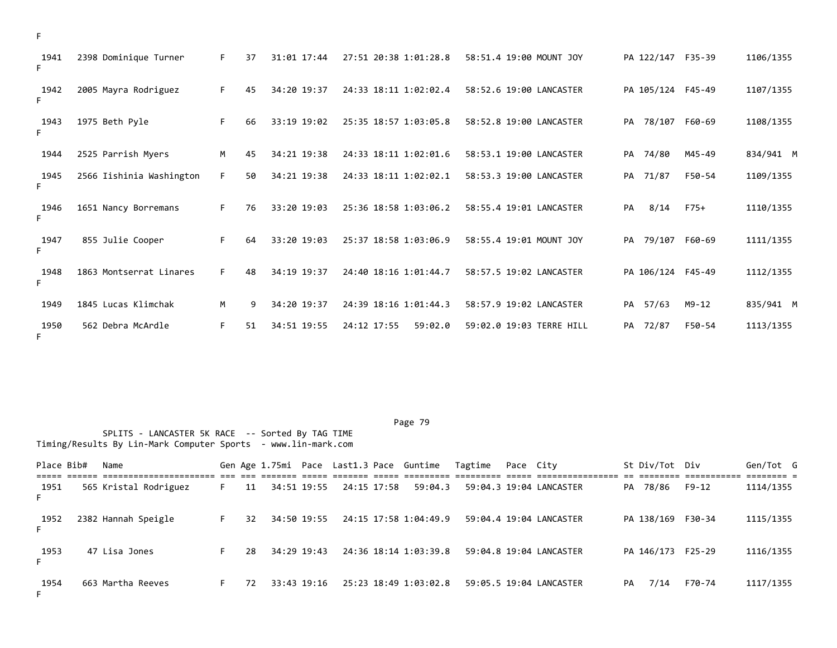| 1941<br>F. | 2398 Dominique Turner    | F. | 37 | 31:01 17:44 | 27:51 20:38 1:01:28.8  | 58:51.4 19:00 MOUNT JOY  |             | PA 122/147 F35-39 | 1106/1355 |
|------------|--------------------------|----|----|-------------|------------------------|--------------------------|-------------|-------------------|-----------|
| 1942<br>F. | 2005 Mayra Rodriguez     | F. | 45 | 34:20 19:37 | 24:33 18:11 1:02:02.4  | 58:52.6 19:00 LANCASTER  |             | PA 105/124 F45-49 | 1107/1355 |
| 1943<br>F. | 1975 Beth Pyle           | F. | 66 | 33:19 19:02 | 25:35 18:57 1:03:05.8  | 58:52.8 19:00 LANCASTER  | PA 78/107   | F60-69            | 1108/1355 |
| 1944       | 2525 Parrish Myers       | M  | 45 | 34:21 19:38 | 24:33 18:11 1:02:01.6  | 58:53.1 19:00 LANCASTER  | 74/80<br>PA | M45-49            | 834/941 M |
| 1945<br>F. | 2566 Iishinia Washington | F. | 50 | 34:21 19:38 | 24:33 18:11 1:02:02.1  | 58:53.3 19:00 LANCASTER  | PA 71/87    | F50-54            | 1109/1355 |
| 1946<br>F. | 1651 Nancy Borremans     | F. | 76 | 33:20 19:03 | 25:36 18:58 1:03:06.2  | 58:55.4 19:01 LANCASTER  | PA          | 8/14<br>$F75+$    | 1110/1355 |
| 1947<br>F. | 855 Julie Cooper         | F. | 64 | 33:20 19:03 | 25:37 18:58 1:03:06.9  | 58:55.4 19:01 MOUNT JOY  | PA          | 79/107<br>F60-69  | 1111/1355 |
| 1948<br>F. | 1863 Montserrat Linares  | F. | 48 | 34:19 19:37 | 24:40 18:16 1:01:44.7  | 58:57.5 19:02 LANCASTER  |             | PA 106/124 F45-49 | 1112/1355 |
| 1949       | 1845 Lucas Klimchak      | M  | 9  | 34:20 19:37 | 24:39 18:16 1:01:44.3  | 58:57.9 19:02 LANCASTER  | PA 57/63    | $M9 - 12$         | 835/941 M |
| 1950<br>F. | 562 Debra McArdle        | F. | 51 | 34:51 19:55 | 24:12 17:55<br>59:02.0 | 59:02.0 19:03 TERRE HILL | PA 72/87    | F50-54            | 1113/1355 |

Place Bib# Name Same Gen Age 1.75mi Pace Last1.3 Pace Guntime Tagtime Pace City St Div/Tot Div Gen/Tot G ===== ====== ====================== === === ======= ===== ======= ===== ========= ========= ===== ================ == ======== =========== ======== = 11 34:51 19:55 24:15 17:58 59:04.3 F 1952 2382 Hannah Speigle F 32 34:50 19:55 24:15 17:58 1:04:49.9 59:04.4 19:04 LANCASTER PA 138/169 F30-34 1115/1355 F 1953 47 Lisa Jones F 28 34:29 19:43 24:36 18:14 1:03:39.8 59:04.8 19:04 LANCASTER PA 146/173 F25-29 1116/1355 F 1954 663 Martha Reeves F 72 33:43 19:16 25:23 18:49 1:03:02.8 59:05.5 19:04 LANCASTER PA 7/14 F70-74 1117/1355 F

F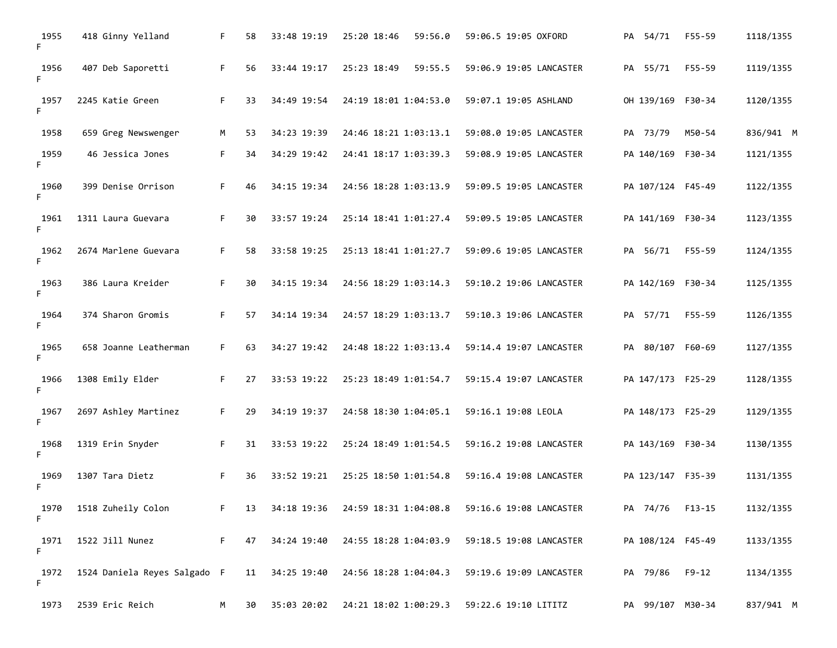| 1955<br>F. | 418 Ginny Yelland                           | F. | 58 | 33:48 19:19 | 25:20 18:46<br>59:56.0 | 59:06.5 19:05 OXFORD                             | PA 54/71 | F55-59            | 1118/1355 |
|------------|---------------------------------------------|----|----|-------------|------------------------|--------------------------------------------------|----------|-------------------|-----------|
| 1956<br>F. | 407 Deb Saporetti                           | F. | 56 | 33:44 19:17 | 25:23 18:49<br>59:55.5 | 59:06.9 19:05 LANCASTER                          | PA 55/71 | F55-59            | 1119/1355 |
| 1957<br>F. | 2245 Katie Green                            | F. | 33 | 34:49 19:54 | 24:19 18:01 1:04:53.0  | 59:07.1 19:05 ASHLAND                            |          | OH 139/169 F30-34 | 1120/1355 |
| 1958       | 659 Greg Newswenger                         | м  | 53 | 34:23 19:39 | 24:46 18:21 1:03:13.1  | 59:08.0 19:05 LANCASTER                          | PA 73/79 | M50-54            | 836/941 M |
| 1959<br>F. | 46 Jessica Jones                            | F. | 34 | 34:29 19:42 | 24:41 18:17 1:03:39.3  | 59:08.9 19:05 LANCASTER                          |          | PA 140/169 F30-34 | 1121/1355 |
| 1960<br>F. | 399 Denise Orrison                          | F. | 46 | 34:15 19:34 | 24:56 18:28 1:03:13.9  | 59:09.5 19:05 LANCASTER                          |          | PA 107/124 F45-49 | 1122/1355 |
| 1961<br>F. | 1311 Laura Guevara                          | F. | 30 | 33:57 19:24 | 25:14 18:41 1:01:27.4  | 59:09.5 19:05 LANCASTER                          |          | PA 141/169 F30-34 | 1123/1355 |
| 1962<br>F. | 2674 Marlene Guevara                        | F. | 58 | 33:58 19:25 | 25:13 18:41 1:01:27.7  | 59:09.6 19:05 LANCASTER                          | PA 56/71 | F55-59            | 1124/1355 |
| 1963<br>F. | 386 Laura Kreider                           | F. | 30 | 34:15 19:34 | 24:56 18:29 1:03:14.3  | 59:10.2 19:06 LANCASTER                          |          | PA 142/169 F30-34 | 1125/1355 |
| 1964<br>F. | 374 Sharon Gromis                           | F. | 57 | 34:14 19:34 | 24:57 18:29 1:03:13.7  | 59:10.3 19:06 LANCASTER                          | PA 57/71 | F55-59            | 1126/1355 |
| 1965<br>F. | 658 Joanne Leatherman                       | F. | 63 | 34:27 19:42 | 24:48 18:22 1:03:13.4  | 59:14.4 19:07 LANCASTER                          |          | PA 80/107 F60-69  | 1127/1355 |
| 1966<br>F. | 1308 Emily Elder                            | F. | 27 | 33:53 19:22 | 25:23 18:49 1:01:54.7  | 59:15.4 19:07 LANCASTER                          |          | PA 147/173 F25-29 | 1128/1355 |
| 1967<br>F. | 2697 Ashley Martinez                        | F. | 29 | 34:19 19:37 | 24:58 18:30 1:04:05.1  | 59:16.1 19:08 LEOLA                              |          | PA 148/173 F25-29 | 1129/1355 |
| 1968<br>F. | 1319 Erin Snyder                            | F. | 31 | 33:53 19:22 | 25:24 18:49 1:01:54.5  | 59:16.2 19:08 LANCASTER                          |          | PA 143/169 F30-34 | 1130/1355 |
| 1969<br>F. | 1307 Tara Dietz                             | F. | 36 | 33:52 19:21 | 25:25 18:50 1:01:54.8  | 59:16.4 19:08 LANCASTER                          |          | PA 123/147 F35-39 | 1131/1355 |
| 1970<br>F. | 1518 Zuheily Colon                          | F. | 13 | 34:18 19:36 |                        | 24:59 18:31 1:04:08.8    59:16.6 19:08 LANCASTER |          | PA 74/76 F13-15   | 1132/1355 |
| 1971<br>F. | 1522 Jill Nunez                             | F. | 47 | 34:24 19:40 |                        | 24:55 18:28 1:04:03.9 59:18.5 19:08 LANCASTER    |          | PA 108/124 F45-49 | 1133/1355 |
| 1972<br>F. | 1524 Daniela Reyes Salgado F 11 34:25 19:40 |    |    |             | 24:56 18:28 1:04:04.3  | 59:19.6 19:09 LANCASTER                          |          | PA 79/86 F9-12    | 1134/1355 |
| 1973       | 2539 Eric Reich                             | м  | 30 | 35:03 20:02 | 24:21 18:02 1:00:29.3  | 59:22.6 19:10 LITITZ                             |          | PA 99/107 M30-34  | 837/941 M |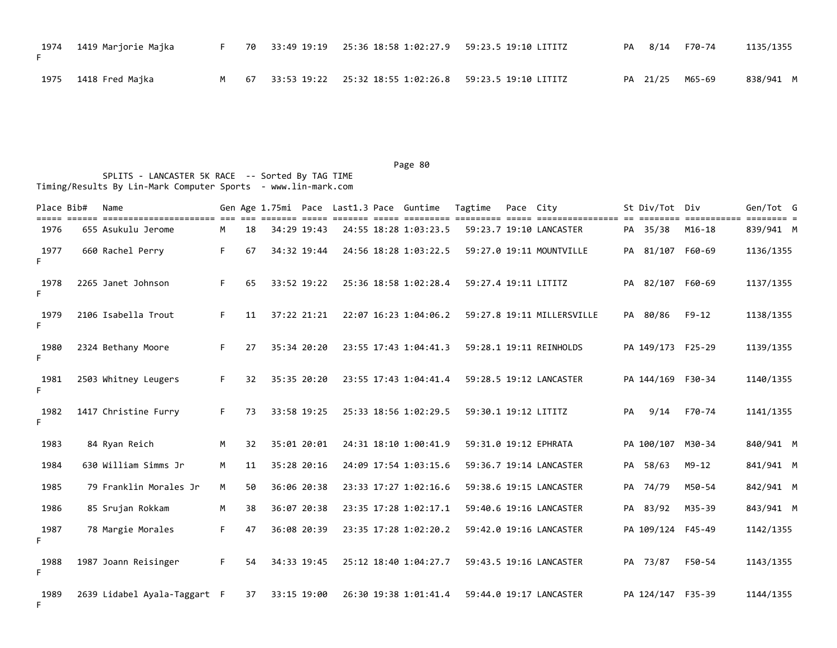| 1974 - 1419 Marjorie Majka |  | F 70 33:49 19:19 25:36 18:58 1:02:27.9 59:23.5 19:10 LITITZ |  | PA 8/14 F70-74  | 1135/1355 |
|----------------------------|--|-------------------------------------------------------------|--|-----------------|-----------|
| 1975 - 1418 Fred Majka     |  | M 67 33:53 19:22 25:32 18:55 1:02:26.8 59:23.5 19:10 LITITZ |  | PA 21/25 M65-69 | 838/941 M |

| Place Bib# | Name                                                |    |    |             |  | Gen Age 1.75mi Pace Last1.3 Pace Guntime | Tagtime              | Pace City |                            |    | St Div/Tot Div    |                       | Gen/Tot G           |
|------------|-----------------------------------------------------|----|----|-------------|--|------------------------------------------|----------------------|-----------|----------------------------|----|-------------------|-----------------------|---------------------|
| 1976       | =============================<br>655 Asukulu Jerome | M  | 18 | 34:29 19:43 |  | 24:55 18:28 1:03:23.5                    |                      |           | 59:23.7 19:10 LANCASTER    |    | PA 35/38          | ===========<br>M16-18 | ==== =<br>839/941 M |
| 1977<br>F. | 660 Rachel Perry                                    | F. | 67 | 34:32 19:44 |  | 24:56 18:28 1:03:22.5                    |                      |           | 59:27.0 19:11 MOUNTVILLE   |    | PA 81/107 F60-69  |                       | 1136/1355           |
| 1978<br>F. | 2265 Janet Johnson                                  | F. | 65 | 33:52 19:22 |  | 25:36 18:58 1:02:28.4                    | 59:27.4 19:11 LITITZ |           |                            |    | PA 82/107 F60-69  |                       | 1137/1355           |
| 1979<br>F. | 2106 Isabella Trout                                 | F. | 11 | 37:22 21:21 |  | 22:07 16:23 1:04:06.2                    |                      |           | 59:27.8 19:11 MILLERSVILLE |    | PA 80/86          | $F9 - 12$             | 1138/1355           |
| 1980<br>E. | 2324 Bethany Moore                                  | F. | 27 | 35:34 20:20 |  | 23:55 17:43 1:04:41.3                    |                      |           | 59:28.1 19:11 REINHOLDS    |    | PA 149/173 F25-29 |                       | 1139/1355           |
| 1981<br>F. | 2503 Whitney Leugers                                | F. | 32 | 35:35 20:20 |  | 23:55 17:43 1:04:41.4                    |                      |           | 59:28.5 19:12 LANCASTER    |    | PA 144/169 F30-34 |                       | 1140/1355           |
| 1982<br>F. | 1417 Christine Furry                                | F. | 73 | 33:58 19:25 |  | 25:33 18:56 1:02:29.5                    | 59:30.1 19:12 LITITZ |           |                            | PA | 9/14              | F70-74                | 1141/1355           |
| 1983       | 84 Ryan Reich                                       | M  | 32 | 35:01 20:01 |  | 24:31 18:10 1:00:41.9                    |                      |           | 59:31.0 19:12 EPHRATA      |    | PA 100/107 M30-34 |                       | 840/941 M           |
| 1984       | 630 William Simms Jr                                | M  | 11 | 35:28 20:16 |  | 24:09 17:54 1:03:15.6                    |                      |           | 59:36.7 19:14 LANCASTER    |    | PA 58/63          | $M9 - 12$             | 841/941 M           |
| 1985       | 79 Franklin Morales Jr                              | M  | 50 | 36:06 20:38 |  | 23:33 17:27 1:02:16.6                    |                      |           | 59:38.6 19:15 LANCASTER    |    | PA 74/79          | M50-54                | 842/941 M           |
| 1986       | 85 Srujan Rokkam                                    | M  | 38 | 36:07 20:38 |  | 23:35 17:28 1:02:17.1                    |                      |           | 59:40.6 19:16 LANCASTER    |    | PA 83/92          | M35-39                | 843/941 M           |
| 1987<br>F. | 78 Margie Morales                                   | F. | 47 | 36:08 20:39 |  | 23:35 17:28 1:02:20.2                    |                      |           | 59:42.0 19:16 LANCASTER    |    | PA 109/124 F45-49 |                       | 1142/1355           |
| 1988<br>F. | 1987 Joann Reisinger                                | F. | 54 | 34:33 19:45 |  | 25:12 18:40 1:04:27.7                    |                      |           | 59:43.5 19:16 LANCASTER    |    | PA 73/87          | F50-54                | 1143/1355           |
| 1989<br>F. | 2639 Lidabel Ayala-Taggart F                        |    | 37 | 33:15 19:00 |  | 26:30 19:38 1:01:41.4                    |                      |           | 59:44.0 19:17 LANCASTER    |    | PA 124/147 F35-39 |                       | 1144/1355           |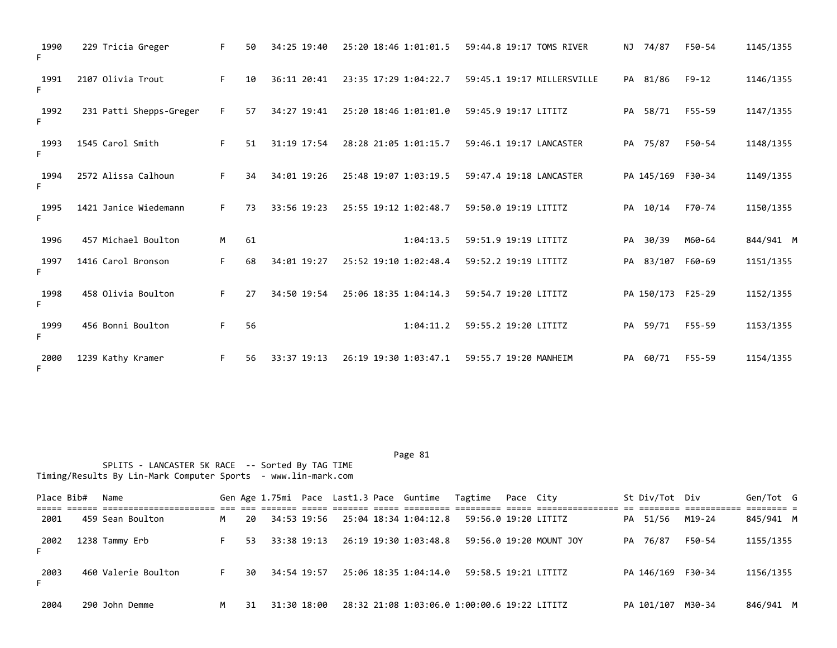| 1990<br>F. | 229 Tricia Greger       | F. | 50 | 34:25 19:40 | 25:20 18:46 1:01:01.5 | 59:44.8 19:17 TOMS RIVER   |    | NJ 74/87          | F50-54    | 1145/1355 |
|------------|-------------------------|----|----|-------------|-----------------------|----------------------------|----|-------------------|-----------|-----------|
| 1991<br>F. | 2107 Olivia Trout       | F. | 10 | 36:11 20:41 | 23:35 17:29 1:04:22.7 | 59:45.1 19:17 MILLERSVILLE |    | PA 81/86          | $F9 - 12$ | 1146/1355 |
| 1992<br>F. | 231 Patti Shepps-Greger | F. | 57 | 34:27 19:41 | 25:20 18:46 1:01:01.0 | 59:45.9 19:17 LITITZ       |    | PA 58/71          | F55-59    | 1147/1355 |
| 1993<br>F. | 1545 Carol Smith        | F. | 51 | 31:19 17:54 | 28:28 21:05 1:01:15.7 | 59:46.1 19:17 LANCASTER    |    | PA 75/87          | F50-54    | 1148/1355 |
| 1994<br>F. | 2572 Alissa Calhoun     | F. | 34 | 34:01 19:26 | 25:48 19:07 1:03:19.5 | 59:47.4 19:18 LANCASTER    |    | PA 145/169 F30-34 |           | 1149/1355 |
| 1995<br>F. | 1421 Janice Wiedemann   | F. | 73 | 33:56 19:23 | 25:55 19:12 1:02:48.7 | 59:50.0 19:19 LITITZ       |    | PA 10/14          | F70-74    | 1150/1355 |
| 1996       | 457 Michael Boulton     | M  | 61 |             | 1:04:13.5             | 59:51.9 19:19 LITITZ       | PA | 30/39             | M60-64    | 844/941 M |
| 1997<br>F. | 1416 Carol Bronson      | F. | 68 | 34:01 19:27 | 25:52 19:10 1:02:48.4 | 59:52.2 19:19 LITITZ       |    | PA 83/107         | F60-69    | 1151/1355 |
| 1998<br>F. | 458 Olivia Boulton      | F. | 27 | 34:50 19:54 | 25:06 18:35 1:04:14.3 | 59:54.7 19:20 LITITZ       |    | PA 150/173 F25-29 |           | 1152/1355 |
| 1999<br>F. | 456 Bonni Boulton       | F. | 56 |             | 1:04:11.2             | 59:55.2 19:20 LITITZ       | PA | 59/71             | F55-59    | 1153/1355 |
| 2000<br>F. | 1239 Kathy Kramer       | F. | 56 | 33:37 19:13 | 26:19 19:30 1:03:47.1 | 59:55.7 19:20 MANHEIM      |    | PA 60/71          | F55-59    | 1154/1355 |

Place Bib# Name 6en Sen Age 1.75mi Pace Last1.3 Pace Guntime Tagtime Pace City 5t Div/Tot Div Gen/Tot G ===== ====== ====================== === === ======= ===== ======= ===== ========= ========= ===== ================ == ======== =========== ======== = 2001 459 Sean Boulton M 20 34:53 19:56 25:04 18:34 1:04:12.8 59:56.0 19:20 LITITZ PA 51/56 M19-24 845/941 M 2002 1238 Tammy Erb F 53 33:38 19:13 26:19 19:30 1:03:48.8 59:56.0 19:20 MOUNT JOY PA 76/87 F50-54 1155/1355 F 2003 460 Valerie Boulton F 30 34:54 19:57 25:06 18:35 1:04:14.0 59:58.5 19:21 LITITZ PA 146/169 F30-34 1156/1355 F 2004 290 John Demme M 31 31:30 18:00 28:32 21:08 1:03:06.0 1:00:00.6 19:22 LITITZ PA 101/107 M30-34 846/941 M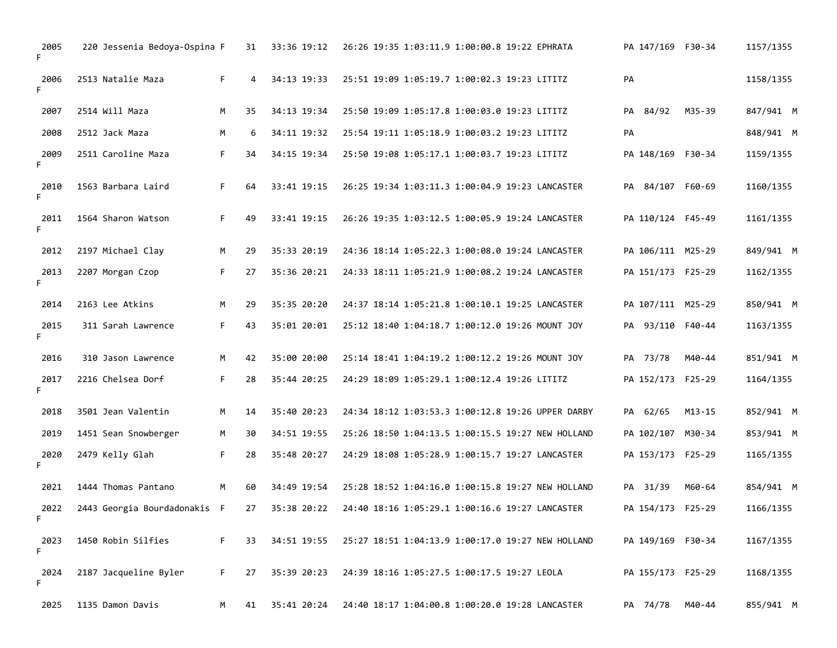| 2005<br>F. | 220 Jessenia Bedoya-Ospina F |    | 31 | 33:36 19:12 | 26:26 19:35 1:03:11.9 1:00:00.8 19:22 EPHRATA     | PA 147/169 F30-34 |        | 1157/1355 |
|------------|------------------------------|----|----|-------------|---------------------------------------------------|-------------------|--------|-----------|
| 2006<br>F. | 2513 Natalie Maza            | F. | 4  | 34:13 19:33 | 25:51 19:09 1:05:19.7 1:00:02.3 19:23 LITITZ      | PA                |        | 1158/1355 |
| 2007       | 2514 Will Maza               | M  | 35 | 34:13 19:34 | 25:50 19:09 1:05:17.8 1:00:03.0 19:23 LITITZ      | PA 84/92          | M35-39 | 847/941 M |
| 2008       | 2512 Jack Maza               | M  | 6  | 34:11 19:32 | 25:54 19:11 1:05:18.9 1:00:03.2 19:23 LITITZ      | PA                |        | 848/941 M |
| 2009<br>F. | 2511 Caroline Maza           | F. | 34 | 34:15 19:34 | 25:50 19:08 1:05:17.1 1:00:03.7 19:23 LITITZ      | PA 148/169 F30-34 |        | 1159/1355 |
| 2010<br>F. | 1563 Barbara Laird           | F. | 64 | 33:41 19:15 | 26:25 19:34 1:03:11.3 1:00:04.9 19:23 LANCASTER   | PA 84/107 F60-69  |        | 1160/1355 |
| 2011<br>F. | 1564 Sharon Watson           | F. | 49 | 33:41 19:15 | 26:26 19:35 1:03:12.5 1:00:05.9 19:24 LANCASTER   | PA 110/124 F45-49 |        | 1161/1355 |
| 2012       | 2197 Michael Clay            | M  | 29 | 35:33 20:19 | 24:36 18:14 1:05:22.3 1:00:08.0 19:24 LANCASTER   | PA 106/111 M25-29 |        | 849/941 M |
| 2013<br>F. | 2207 Morgan Czop             | F. | 27 | 35:36 20:21 | 24:33 18:11 1:05:21.9 1:00:08.2 19:24 LANCASTER   | PA 151/173 F25-29 |        | 1162/1355 |
| 2014       | 2163 Lee Atkins              | M  | 29 | 35:35 20:20 | 24:37 18:14 1:05:21.8 1:00:10.1 19:25 LANCASTER   | PA 107/111 M25-29 |        | 850/941 M |
| 2015<br>F. | 311 Sarah Lawrence           | F. | 43 | 35:01 20:01 | 25:12 18:40 1:04:18.7 1:00:12.0 19:26 MOUNT JOY   | PA 93/110 F40-44  |        | 1163/1355 |
| 2016       | 310 Jason Lawrence           | M  | 42 | 35:00 20:00 | 25:14 18:41 1:04:19.2 1:00:12.2 19:26 MOUNT JOY   | PA 73/78          | M40-44 | 851/941 M |
| 2017<br>F. | 2216 Chelsea Dorf            | F. | 28 | 35:44 20:25 | 24:29 18:09 1:05:29.1 1:00:12.4 19:26 LITITZ      | PA 152/173 F25-29 |        | 1164/1355 |
| 2018       | 3501 Jean Valentin           | м  | 14 | 35:40 20:23 | 24:34 18:12 1:03:53.3 1:00:12.8 19:26 UPPER DARBY | PA 62/65          | M13-15 | 852/941 M |
| 2019       | 1451 Sean Snowberger         | M  | 30 | 34:51 19:55 | 25:26 18:50 1:04:13.5 1:00:15.5 19:27 NEW HOLLAND | PA 102/107 M30-34 |        | 853/941 M |
| 2020<br>F. | 2479 Kelly Glah              | F. | 28 | 35:48 20:27 | 24:29 18:08 1:05:28.9 1:00:15.7 19:27 LANCASTER   | PA 153/173 F25-29 |        | 1165/1355 |
| 2021       | 1444 Thomas Pantano          | M  | 60 | 34:49 19:54 | 25:28 18:52 1:04:16.0 1:00:15.8 19:27 NEW HOLLAND | PA 31/39          | M60-64 | 854/941 M |
| 2022<br>F  | 2443 Georgia Bourdadonakis   | -F | 27 | 35:38 20:22 | 24:40 18:16 1:05:29.1 1:00:16.6 19:27 LANCASTER   | PA 154/173 F25-29 |        | 1166/1355 |
| 2023<br>F. | 1450 Robin Silfies           | F. | 33 | 34:51 19:55 | 25:27 18:51 1:04:13.9 1:00:17.0 19:27 NEW HOLLAND | PA 149/169 F30-34 |        | 1167/1355 |
| 2024<br>F. | 2187 Jacqueline Byler        | F. | 27 | 35:39 20:23 | 24:39 18:16 1:05:27.5 1:00:17.5 19:27 LEOLA       | PA 155/173 F25-29 |        | 1168/1355 |
| 2025       | 1135 Damon Davis             | M  | 41 | 35:41 20:24 | 24:40 18:17 1:04:00.8 1:00:20.0 19:28 LANCASTER   | PA 74/78          | M40-44 | 855/941 M |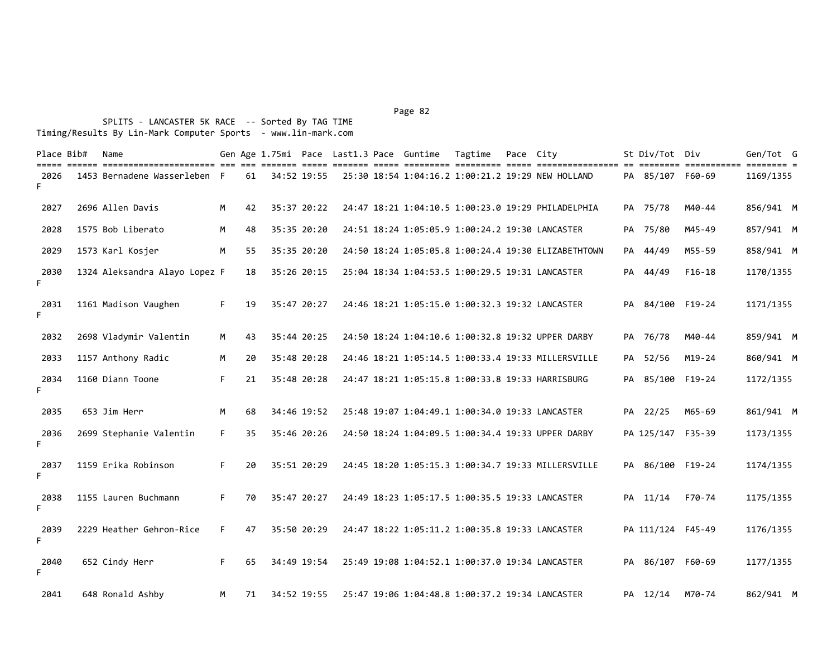| Place Bib# | Name                                                                                                                                         |    |    |             |  | Gen Age 1.75mi Pace Last1.3 Pace Guntime | Tagtime Pace City |                                                     | St Div/Tot Div    |             | Gen/Tot G                            |  |
|------------|----------------------------------------------------------------------------------------------------------------------------------------------|----|----|-------------|--|------------------------------------------|-------------------|-----------------------------------------------------|-------------------|-------------|--------------------------------------|--|
| 2026<br>F. | soon ookon ookokokokokokokokoko ole ole alakaa alake oleraa olere oleraaka ookokoko olere oleraalaakaasaa ol<br>1453 Bernadene Wasserleben F |    | 61 | 34:52 19:55 |  |                                          |                   | 25:30 18:54 1:04:16.2 1:00:21.2 19:29 NEW HOLLAND   | PA 85/107 F60-69  | =========== | $=$ $=$ $=$ $=$ $=$ $=$<br>1169/1355 |  |
| 2027       | 2696 Allen Davis                                                                                                                             | M  | 42 | 35:37 20:22 |  |                                          |                   | 24:47 18:21 1:04:10.5 1:00:23.0 19:29 PHILADELPHIA  | PA 75/78          | M40-44      | 856/941 M                            |  |
| 2028       | 1575 Bob Liberato                                                                                                                            | M  | 48 | 35:35 20:20 |  |                                          |                   | 24:51 18:24 1:05:05.9 1:00:24.2 19:30 LANCASTER     | PA 75/80          | M45-49      | 857/941 M                            |  |
| 2029       | 1573 Karl Kosjer                                                                                                                             | M  | 55 | 35:35 20:20 |  |                                          |                   | 24:50 18:24 1:05:05.8 1:00:24.4 19:30 ELIZABETHTOWN | PA 44/49          | M55-59      | 858/941 M                            |  |
| 2030<br>F. | 1324 Aleksandra Alayo Lopez F                                                                                                                |    | 18 | 35:26 20:15 |  |                                          |                   | 25:04 18:34 1:04:53.5 1:00:29.5 19:31 LANCASTER     | PA 44/49          | $F16-18$    | 1170/1355                            |  |
| 2031<br>F. | 1161 Madison Vaughen                                                                                                                         | F. | 19 | 35:47 20:27 |  |                                          |                   | 24:46 18:21 1:05:15.0 1:00:32.3 19:32 LANCASTER     | PA 84/100 F19-24  |             | 1171/1355                            |  |
| 2032       | 2698 Vladymir Valentin                                                                                                                       | M  | 43 | 35:44 20:25 |  |                                          |                   | 24:50 18:24 1:04:10.6 1:00:32.8 19:32 UPPER DARBY   | PA 76/78          | M40-44      | 859/941 M                            |  |
| 2033       | 1157 Anthony Radic                                                                                                                           | M  | 20 | 35:48 20:28 |  |                                          |                   | 24:46 18:21 1:05:14.5 1:00:33.4 19:33 MILLERSVILLE  | PA 52/56          | $M19 - 24$  | 860/941 M                            |  |
| 2034<br>F. | 1160 Diann Toone                                                                                                                             | F. | 21 | 35:48 20:28 |  |                                          |                   | 24:47 18:21 1:05:15.8 1:00:33.8 19:33 HARRISBURG    | PA 85/100 F19-24  |             | 1172/1355                            |  |
| 2035       | 653 Jim Herr                                                                                                                                 | M  | 68 | 34:46 19:52 |  |                                          |                   | 25:48 19:07 1:04:49.1 1:00:34.0 19:33 LANCASTER     | PA 22/25          | M65-69      | 861/941 M                            |  |
| 2036<br>F. | 2699 Stephanie Valentin                                                                                                                      | F. | 35 | 35:46 20:26 |  |                                          |                   | 24:50 18:24 1:04:09.5 1:00:34.4 19:33 UPPER DARBY   | PA 125/147 F35-39 |             | 1173/1355                            |  |
| 2037<br>F. | 1159 Erika Robinson                                                                                                                          | F. | 20 | 35:51 20:29 |  |                                          |                   | 24:45 18:20 1:05:15.3 1:00:34.7 19:33 MILLERSVILLE  | PA 86/100 F19-24  |             | 1174/1355                            |  |
| 2038<br>F. | 1155 Lauren Buchmann                                                                                                                         | F. | 70 | 35:47 20:27 |  |                                          |                   | 24:49 18:23 1:05:17.5 1:00:35.5 19:33 LANCASTER     | PA 11/14          | F70-74      | 1175/1355                            |  |
| 2039<br>F. | 2229 Heather Gehron-Rice                                                                                                                     | F. | 47 | 35:50 20:29 |  |                                          |                   | 24:47 18:22 1:05:11.2 1:00:35.8 19:33 LANCASTER     | PA 111/124 F45-49 |             | 1176/1355                            |  |
| 2040<br>F. | 652 Cindy Herr                                                                                                                               | F. | 65 | 34:49 19:54 |  |                                          |                   | 25:49 19:08 1:04:52.1 1:00:37.0 19:34 LANCASTER     | PA 86/107 F60-69  |             | 1177/1355                            |  |
| 2041       | 648 Ronald Ashby                                                                                                                             | M  | 71 | 34:52 19:55 |  |                                          |                   | 25:47 19:06 1:04:48.8 1:00:37.2 19:34 LANCASTER     | PA 12/14          | M70-74      | 862/941 M                            |  |

Page 82 and the state of the state of the state of the state of the state of the state of the state of the state of the state of the state of the state of the state of the state of the state of the state of the state of th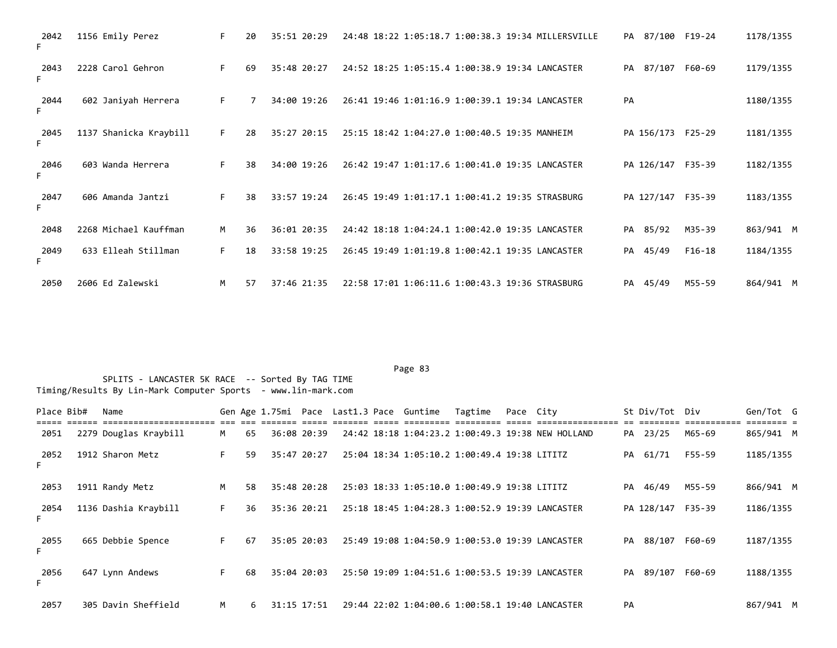| 2042<br>F. | 1156 Emily Perez       | F. | 20 | 35:51 20:29 | 24:48 18:22 1:05:18.7 1:00:38.3 19:34 MILLERSVILLE<br>PA 87/100 F19-24 | 1178/1355             |
|------------|------------------------|----|----|-------------|------------------------------------------------------------------------|-----------------------|
| 2043<br>F. | 2228 Carol Gehron      | F. | 69 | 35:48 20:27 | 24:52 18:25 1:05:15.4 1:00:38.9 19:34 LANCASTER<br>PA 87/107           | 1179/1355<br>F60-69   |
| 2044<br>F. | 602 Janiyah Herrera    | F. |    | 34:00 19:26 | PA<br>26:41 19:46 1:01:16.9 1:00:39.1 19:34 LANCASTER                  | 1180/1355             |
| 2045<br>F. | 1137 Shanicka Kraybill | F. | 28 | 35:27 20:15 | 25:15 18:42 1:04:27.0 1:00:40.5 19:35 MANHEIM<br>PA 156/173 F25-29     | 1181/1355             |
| 2046<br>F. | 603 Wanda Herrera      | F. | 38 | 34:00 19:26 | 26:42 19:47 1:01:17.6 1:00:41.0 19:35 LANCASTER<br>PA 126/147          | F35-39<br>1182/1355   |
| 2047<br>F. | 606 Amanda Jantzi      | F. | 38 | 33:57 19:24 | PA 127/147<br>26:45 19:49 1:01:17.1 1:00:41.2 19:35 STRASBURG          | F35-39<br>1183/1355   |
| 2048       | 2268 Michael Kauffman  | M  | 36 | 36:01 20:35 | 85/92<br>24:42 18:18 1:04:24.1 1:00:42.0 19:35 LANCASTER<br>PA         | M35-39<br>863/941 M   |
| 2049<br>F. | 633 Elleah Stillman    | F  | 18 | 33:58 19:25 | 26:45 19:49 1:01:19.8 1:00:42.1 19:35 LANCASTER<br>PA 45/49            | $F16-18$<br>1184/1355 |
| 2050       | 2606 Ed Zalewski       | M  | 57 | 37:46 21:35 | 22:58 17:01 1:06:11.6 1:00:43.3 19:36 STRASBURG<br>PA 45/49            | 864/941 M<br>M55-59   |

Page 83 and the state of the state of the state of the state of the state of the state of the state of the state of the state of the state of the state of the state of the state of the state of the state of the state of th

| Place Bib# | Name                  |    |    |             |  | Gen Age 1.75mi Pace Last1.3 Pace Guntime | Tagtime                                         | Pace City |                                                   |    | St Div/Tot Div |        | Gen/Tot G |  |
|------------|-----------------------|----|----|-------------|--|------------------------------------------|-------------------------------------------------|-----------|---------------------------------------------------|----|----------------|--------|-----------|--|
| 2051       | 2279 Douglas Kraybill | M  | 65 | 36:08 20:39 |  |                                          |                                                 |           | 24:42 18:18 1:04:23.2 1:00:49.3 19:38 NEW HOLLAND |    | PA 23/25       | M65-69 | 865/941 M |  |
| 2052       | 1912 Sharon Metz      | F. | 59 | 35:47 20:27 |  |                                          | 25:04 18:34 1:05:10.2 1:00:49.4 19:38 LITITZ    |           |                                                   |    | PA 61/71       | F55-59 | 1185/1355 |  |
| 2053       | 1911 Randy Metz       | M  | 58 | 35:48 20:28 |  |                                          | 25:03 18:33 1:05:10.0 1:00:49.9 19:38 LITITZ    |           |                                                   |    | PA 46/49       | M55-59 | 866/941 M |  |
| 2054<br>F. | 1136 Dashia Kraybill  | F. | 36 | 35:36 20:21 |  |                                          | 25:18 18:45 1:04:28.3 1:00:52.9 19:39 LANCASTER |           |                                                   |    | PA 128/147     | F35-39 | 1186/1355 |  |
| 2055       | 665 Debbie Spence     | F. | 67 | 35:05 20:03 |  |                                          | 25:49 19:08 1:04:50.9 1:00:53.0 19:39 LANCASTER |           |                                                   |    | PA 88/107      | F60-69 | 1187/1355 |  |
| 2056       | 647 Lynn Andews       | F. | 68 | 35:04 20:03 |  |                                          | 25:50 19:09 1:04:51.6 1:00:53.5 19:39 LANCASTER |           |                                                   |    | PA 89/107      | F60-69 | 1188/1355 |  |
| 2057       | 305 Davin Sheffield   | M  | 6. | 31:15 17:51 |  |                                          | 29:44 22:02 1:04:00.6 1:00:58.1 19:40 LANCASTER |           |                                                   | PA |                |        | 867/941 M |  |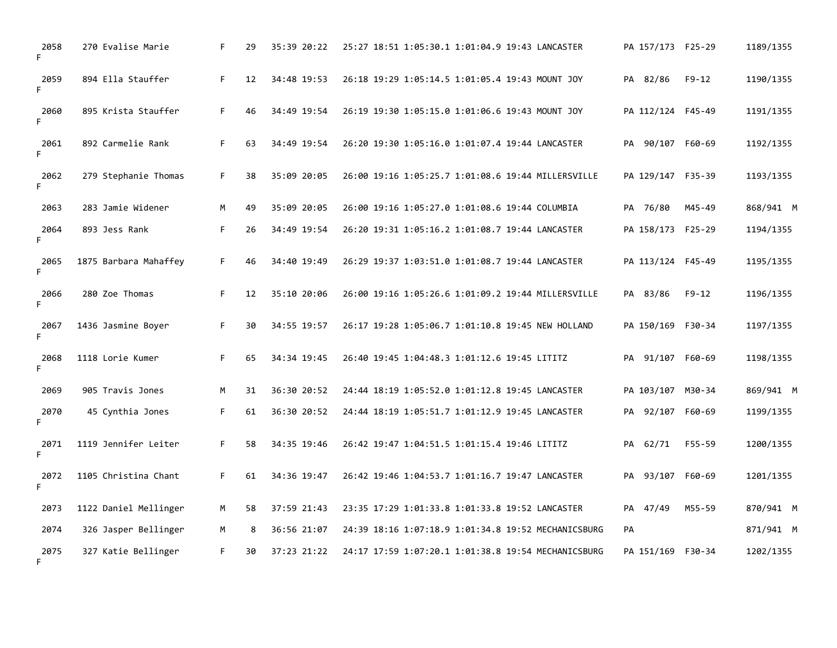| 2058<br>F  | 270 Evalise Marie     | F. | 29 | 35:39 20:22 | 25:27 18:51 1:05:30.1 1:01:04.9 19:43 LANCASTER<br>PA 157/173 F25-29        | 1189/1355 |
|------------|-----------------------|----|----|-------------|-----------------------------------------------------------------------------|-----------|
| 2059<br>F. | 894 Ella Stauffer     | F. | 12 | 34:48 19:53 | $F9 - 12$<br>26:18 19:29 1:05:14.5 1:01:05.4 19:43 MOUNT JOY<br>PA 82/86    | 1190/1355 |
| 2060<br>F. | 895 Krista Stauffer   | F. | 46 | 34:49 19:54 | 26:19 19:30 1:05:15.0 1:01:06.6 19:43 MOUNT JOY<br>PA 112/124 F45-49        | 1191/1355 |
| 2061<br>F. | 892 Carmelie Rank     | F. | 63 | 34:49 19:54 | 26:20 19:30 1:05:16.0 1:01:07.4 19:44 LANCASTER<br>PA 90/107 F60-69         | 1192/1355 |
| 2062<br>F. | 279 Stephanie Thomas  | F. | 38 | 35:09 20:05 | 26:00 19:16 1:05:25.7 1:01:08.6 19:44 MILLERSVILLE<br>PA 129/147 F35-39     | 1193/1355 |
| 2063       | 283 Jamie Widener     | M  | 49 | 35:09 20:05 | PA 76/80<br>26:00 19:16 1:05:27.0 1:01:08.6 19:44 COLUMBIA<br>M45-49        | 868/941 M |
| 2064<br>F. | 893 Jess Rank         | F. | 26 | 34:49 19:54 | 26:20 19:31 1:05:16.2 1:01:08.7 19:44 LANCASTER<br>PA 158/173 F25-29        | 1194/1355 |
| 2065<br>F. | 1875 Barbara Mahaffey | F. | 46 | 34:40 19:49 | PA 113/124 F45-49<br>26:29 19:37 1:03:51.0 1:01:08.7 19:44 LANCASTER        | 1195/1355 |
| 2066<br>F. | 280 Zoe Thomas        | F. | 12 | 35:10 20:06 | PA 83/86<br>$F9 - 12$<br>26:00 19:16 1:05:26.6 1:01:09.2 19:44 MILLERSVILLE | 1196/1355 |
| 2067<br>F. | 1436 Jasmine Boyer    | F. | 30 | 34:55 19:57 | 26:17 19:28 1:05:06.7 1:01:10.8 19:45 NEW HOLLAND<br>PA 150/169 F30-34      | 1197/1355 |
| 2068<br>F. | 1118 Lorie Kumer      | F. | 65 | 34:34 19:45 | 26:40 19:45 1:04:48.3 1:01:12.6 19:45 LITITZ<br>PA 91/107 F60-69            | 1198/1355 |
| 2069       | 905 Travis Jones      | M  | 31 | 36:30 20:52 | 24:44 18:19 1:05:52.0 1:01:12.8 19:45 LANCASTER<br>PA 103/107 M30-34        | 869/941 M |
| 2070<br>F. | 45 Cynthia Jones      | F. | 61 | 36:30 20:52 | 24:44 18:19 1:05:51.7 1:01:12.9 19:45 LANCASTER<br>PA 92/107 F60-69         | 1199/1355 |
| 2071<br>F. | 1119 Jennifer Leiter  | F. | 58 | 34:35 19:46 | PA 62/71<br>F55-59<br>26:42 19:47 1:04:51.5 1:01:15.4 19:46 LITITZ          | 1200/1355 |
| 2072<br>F. | 1105 Christina Chant  | F. | 61 | 34:36 19:47 | 93/107 F60-69<br>26:42 19:46 1:04:53.7 1:01:16.7 19:47 LANCASTER<br>PA      | 1201/1355 |
| 2073       | 1122 Daniel Mellinger | M  | 58 | 37:59 21:43 | 23:35 17:29 1:01:33.8 1:01:33.8 19:52 LANCASTER<br>PA 47/49<br>M55-59       | 870/941 M |
| 2074       | 326 Jasper Bellinger  | M  | 8  | 36:56 21:07 | 24:39 18:16 1:07:18.9 1:01:34.8 19:52 MECHANICSBURG<br>PA                   | 871/941 M |
| 2075<br>F  | 327 Katie Bellinger   | F. | 30 | 37:23 21:22 | 24:17 17:59 1:07:20.1 1:01:38.8 19:54 MECHANICSBURG<br>PA 151/169 F30-34    | 1202/1355 |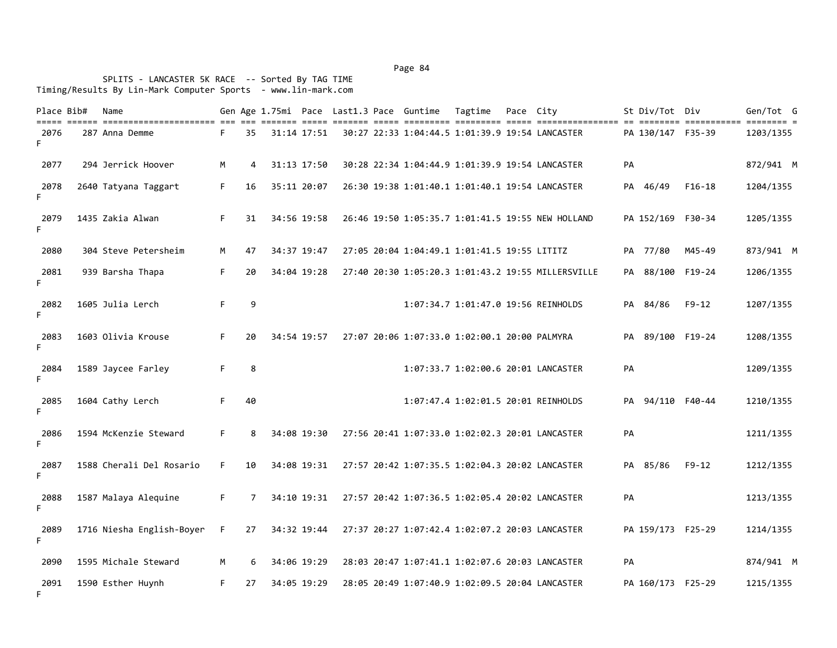| Place Bib#<br>===== ====== | Name                      |    |    |             |  | Gen Age 1.75mi Pace Last1.3 Pace Guntime      | Tagtime | Pace City |                                                    |    | St Div/Tot Div    | ======== ============ ======== = | Gen/Tot G |
|----------------------------|---------------------------|----|----|-------------|--|-----------------------------------------------|---------|-----------|----------------------------------------------------|----|-------------------|----------------------------------|-----------|
| 2076<br>F.                 | 287 Anna Demme            | F. | 35 | 31:14 17:51 |  |                                               |         |           | 30:27 22:33 1:04:44.5 1:01:39.9 19:54 LANCASTER    |    | PA 130/147 F35-39 |                                  | 1203/1355 |
| 2077                       | 294 Jerrick Hoover        | М  | 4  | 31:13 17:50 |  |                                               |         |           | 30:28 22:34 1:04:44.9 1:01:39.9 19:54 LANCASTER    | PA |                   |                                  | 872/941 M |
| 2078<br>F.                 | 2640 Tatyana Taggart      | F. | 16 | 35:11 20:07 |  |                                               |         |           | 26:30 19:38 1:01:40.1 1:01:40.1 19:54 LANCASTER    |    | PA 46/49          | $F16-18$                         | 1204/1355 |
| 2079<br>F.                 | 1435 Zakia Alwan          | F. | 31 | 34:56 19:58 |  |                                               |         |           | 26:46 19:50 1:05:35.7 1:01:41.5 19:55 NEW HOLLAND  |    | PA 152/169 F30-34 |                                  | 1205/1355 |
| 2080                       | 304 Steve Petersheim      | M  | 47 | 34:37 19:47 |  | 27:05 20:04 1:04:49.1 1:01:41.5 19:55 LITITZ  |         |           |                                                    |    | PA 77/80          | M45-49                           | 873/941 M |
| 2081<br>F.                 | 939 Barsha Thapa          | F. | 20 | 34:04 19:28 |  |                                               |         |           | 27:40 20:30 1:05:20.3 1:01:43.2 19:55 MILLERSVILLE |    | PA 88/100 F19-24  |                                  | 1206/1355 |
| 2082<br>F.                 | 1605 Julia Lerch          | F. | 9  |             |  |                                               |         |           | 1:07:34.7 1:01:47.0 19:56 REINHOLDS                |    | PA 84/86          | $F9-12$                          | 1207/1355 |
| 2083<br>F.                 | 1603 Olivia Krouse        | F. | 20 | 34:54 19:57 |  | 27:07 20:06 1:07:33.0 1:02:00.1 20:00 PALMYRA |         |           |                                                    |    | PA 89/100 F19-24  |                                  | 1208/1355 |
| 2084<br>F.                 | 1589 Jaycee Farley        | F. | 8  |             |  |                                               |         |           | 1:07:33.7 1:02:00.6 20:01 LANCASTER                | PA |                   |                                  | 1209/1355 |
| 2085<br>F.                 | 1604 Cathy Lerch          | F. | 40 |             |  |                                               |         |           | 1:07:47.4 1:02:01.5 20:01 REINHOLDS                |    | PA 94/110 F40-44  |                                  | 1210/1355 |
| 2086<br>F.                 | 1594 McKenzie Steward     | F. | 8  | 34:08 19:30 |  |                                               |         |           | 27:56 20:41 1:07:33.0 1:02:02.3 20:01 LANCASTER    | PA |                   |                                  | 1211/1355 |
| 2087<br>F.                 | 1588 Cherali Del Rosario  | F. | 10 | 34:08 19:31 |  |                                               |         |           | 27:57 20:42 1:07:35.5 1:02:04.3 20:02 LANCASTER    |    | PA 85/86          | $F9-12$                          | 1212/1355 |
| 2088<br>F.                 | 1587 Malaya Alequine      | F. | 7  | 34:10 19:31 |  |                                               |         |           | 27:57 20:42 1:07:36.5 1:02:05.4 20:02 LANCASTER    | PA |                   |                                  | 1213/1355 |
| 2089<br>F.                 | 1716 Niesha English-Boyer | F. | 27 | 34:32 19:44 |  |                                               |         |           | 27:37 20:27 1:07:42.4 1:02:07.2 20:03 LANCASTER    |    | PA 159/173 F25-29 |                                  | 1214/1355 |
| 2090                       | 1595 Michale Steward      | M  | 6  | 34:06 19:29 |  |                                               |         |           | 28:03 20:47 1:07:41.1 1:02:07.6 20:03 LANCASTER    | PA |                   |                                  | 874/941 M |
| 2091<br>F.                 | 1590 Esther Huynh         | F. | 27 | 34:05 19:29 |  |                                               |         |           | 28:05 20:49 1:07:40.9 1:02:09.5 20:04 LANCASTER    |    | PA 160/173 F25-29 |                                  | 1215/1355 |

Page 84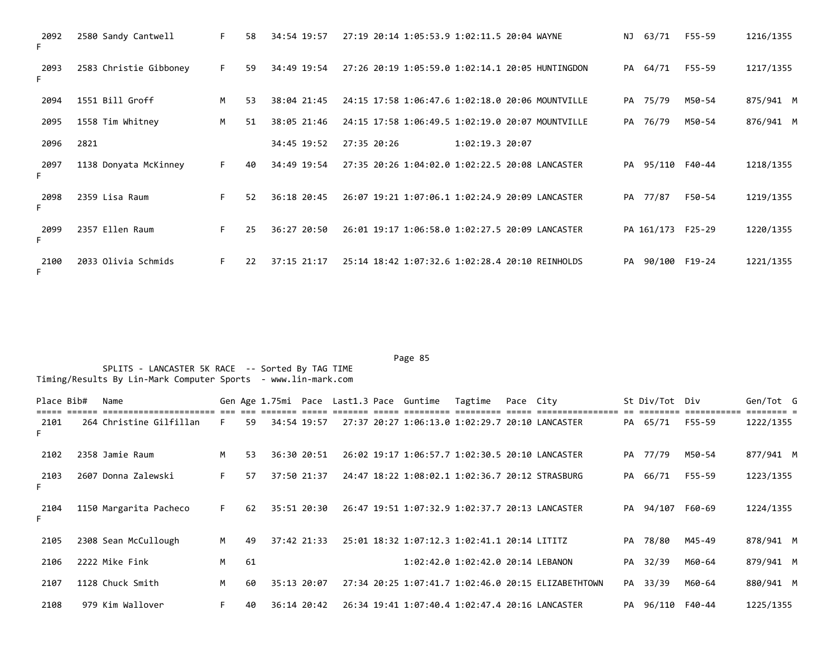| 2092<br>F. | 2580 Sandy Cantwell    | F. | 58  | 34:54 19:57     | 27:19 20:14 1:05:53.9 1:02:11.5 20:04 WAYNE      |                   | NJ | 63/71             | F55-59 | 1216/1355 |
|------------|------------------------|----|-----|-----------------|--------------------------------------------------|-------------------|----|-------------------|--------|-----------|
| 2093<br>F. | 2583 Christie Gibboney | F. | -59 | 34:49 19:54     | 27:26 20:19 1:05:59.0 1:02:14.1 20:05 HUNTINGDON |                   |    | PA 64/71          | F55-59 | 1217/1355 |
| 2094       | 1551 Bill Groff        | M  | -53 | 38:04 21:45     | 24:15 17:58 1:06:47.6 1:02:18.0 20:06 MOUNTVILLE |                   |    | PA 75/79          | M50-54 | 875/941 M |
| 2095       | 1558 Tim Whitney       | M  | 51  | 38:05 21:46     | 24:15 17:58 1:06:49.5 1:02:19.0 20:07 MOUNTVILLE |                   |    | PA 76/79          | M50-54 | 876/941 M |
| 2096       | 2821                   |    |     | 34:45 19:52     | 27:35 20:26                                      | $1:02:19.3$ 20:07 |    |                   |        |           |
| 2097<br>F. | 1138 Donyata McKinney  | F. | 40  | 34:49 19:54     | 27:35 20:26 1:04:02.0 1:02:22.5 20:08 LANCASTER  |                   |    | PA 95/110 F40-44  |        | 1218/1355 |
| 2098<br>F. | 2359 Lisa Raum         | F. | 52  | 36:18 20:45     | 26:07 19:21 1:07:06.1 1:02:24.9 20:09 LANCASTER  |                   |    | PA 77/87          | F50-54 | 1219/1355 |
| 2099<br>F. | 2357 Ellen Raum        | F. | 25  | 36:27 20:50     | 26:01 19:17 1:06:58.0 1:02:27.5 20:09 LANCASTER  |                   |    | PA 161/173 F25-29 |        | 1220/1355 |
| 2100<br>F. | 2033 Olivia Schmids    | F. | 22  | $37:15$ $21:17$ | 25:14 18:42 1:07:32.6 1:02:28.4 20:10 REINHOLDS  |                   | PA | 90/100 F19-24     |        | 1221/1355 |

| Place Bib# | Name                    |    |    |             |  | Gen Age 1.75mi Pace Last1.3 Pace Guntime | Tagtime                                         | Pace City |                                                     |    | St Div/Tot Div   |        | Gen/Tot G |  |
|------------|-------------------------|----|----|-------------|--|------------------------------------------|-------------------------------------------------|-----------|-----------------------------------------------------|----|------------------|--------|-----------|--|
| 2101       | 264 Christine Gilfillan | F. | 59 | 34:54 19:57 |  |                                          | 27:37 20:27 1:06:13.0 1:02:29.7 20:10 LANCASTER |           |                                                     |    | PA 65/71         | F55-59 | 1222/1355 |  |
| 2102       | 2358 Jamie Raum         | M  | 53 | 36:30 20:51 |  |                                          | 26:02 19:17 1:06:57.7 1:02:30.5 20:10 LANCASTER |           |                                                     |    | PA 77/79         | M50-54 | 877/941 M |  |
| 2103       | 2607 Donna Zalewski     | F. | 57 | 37:50 21:37 |  |                                          | 24:47 18:22 1:08:02.1 1:02:36.7 20:12 STRASBURG |           |                                                     |    | PA 66/71         | F55-59 | 1223/1355 |  |
| 2104       | 1150 Margarita Pacheco  | F. | 62 | 35:51 20:30 |  |                                          | 26:47 19:51 1:07:32.9 1:02:37.7 20:13 LANCASTER |           |                                                     | PA | 94/107           | F60-69 | 1224/1355 |  |
| 2105       | 2308 Sean McCullough    | M  | 49 | 37:42 21:33 |  |                                          | 25:01 18:32 1:07:12.3 1:02:41.1 20:14 LITITZ    |           |                                                     | PA | 78/80            | M45-49 | 878/941 M |  |
| 2106       | 2222 Mike Fink          | M  | 61 |             |  |                                          | 1:02:42.0 1:02:42.0 20:14 LEBANON               |           |                                                     |    | PA 32/39         | M60-64 | 879/941 M |  |
| 2107       | 1128 Chuck Smith        | M  | 60 | 35:13 20:07 |  |                                          |                                                 |           | 27:34 20:25 1:07:41.7 1:02:46.0 20:15 ELIZABETHTOWN |    | PA 33/39         | M60-64 | 880/941 M |  |
| 2108       | 979 Kim Wallover        | F. | 40 | 36:14 20:42 |  |                                          | 26:34 19:41 1:07:40.4 1:02:47.4 20:16 LANCASTER |           |                                                     |    | PA 96/110 F40-44 |        | 1225/1355 |  |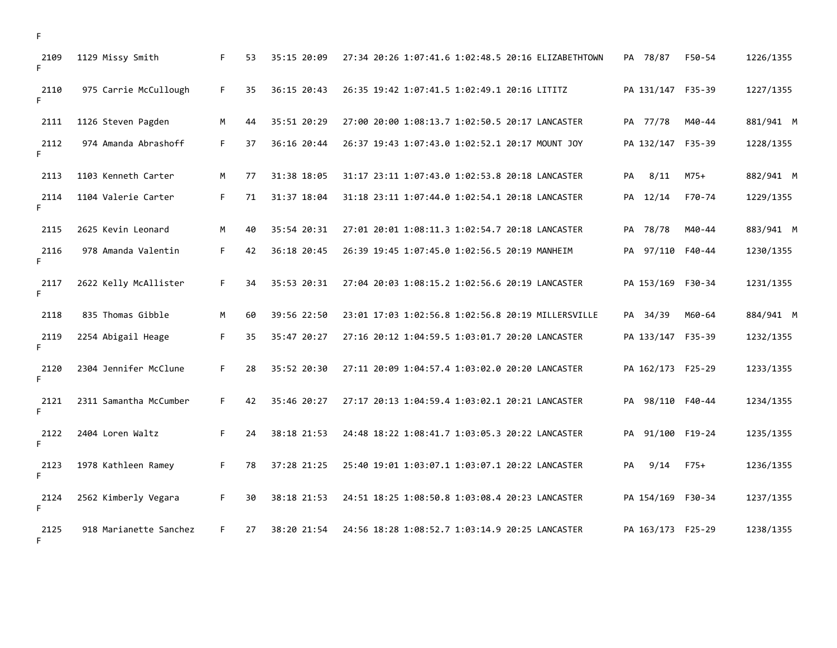| 2109<br>F  | 1129 Missy Smith       | F. | 53 | 35:15 20:09 | 27:34 20:26 1:07:41.6 1:02:48.5 20:16 ELIZABETHTOWN | PA 78/87          | F50-54 | 1226/1355 |
|------------|------------------------|----|----|-------------|-----------------------------------------------------|-------------------|--------|-----------|
| 2110<br>F  | 975 Carrie McCullough  | F. | 35 | 36:15 20:43 | 26:35 19:42 1:07:41.5 1:02:49.1 20:16 LITITZ        | PA 131/147 F35-39 |        | 1227/1355 |
| 2111       | 1126 Steven Pagden     | M  | 44 | 35:51 20:29 | 27:00 20:00 1:08:13.7 1:02:50.5 20:17 LANCASTER     | PA 77/78          | M40-44 | 881/941 M |
| 2112<br>F  | 974 Amanda Abrashoff   | F. | 37 | 36:16 20:44 | 26:37 19:43 1:07:43.0 1:02:52.1 20:17 MOUNT JOY     | PA 132/147 F35-39 |        | 1228/1355 |
| 2113       | 1103 Kenneth Carter    | M  | 77 | 31:38 18:05 | 31:17 23:11 1:07:43.0 1:02:53.8 20:18 LANCASTER     | 8/11<br>PA        | $M75+$ | 882/941 M |
| 2114<br>F  | 1104 Valerie Carter    | F. | 71 | 31:37 18:04 | 31:18 23:11 1:07:44.0 1:02:54.1 20:18 LANCASTER     | PA 12/14          | F70-74 | 1229/1355 |
| 2115       | 2625 Kevin Leonard     | M  | 40 | 35:54 20:31 | 27:01 20:01 1:08:11.3 1:02:54.7 20:18 LANCASTER     | PA 78/78          | M40-44 | 883/941 M |
| 2116<br>F  | 978 Amanda Valentin    | F. | 42 | 36:18 20:45 | 26:39 19:45 1:07:45.0 1:02:56.5 20:19 MANHEIM       | PA 97/110 F40-44  |        | 1230/1355 |
| 2117<br>F  | 2622 Kelly McAllister  | F. | 34 | 35:53 20:31 | 27:04 20:03 1:08:15.2 1:02:56.6 20:19 LANCASTER     | PA 153/169 F30-34 |        | 1231/1355 |
| 2118       | 835 Thomas Gibble      | M  | 60 | 39:56 22:50 | 23:01 17:03 1:02:56.8 1:02:56.8 20:19 MILLERSVILLE  | PA 34/39          | M60-64 | 884/941 M |
| 2119<br>F. | 2254 Abigail Heage     | F. | 35 | 35:47 20:27 | 27:16 20:12 1:04:59.5 1:03:01.7 20:20 LANCASTER     | PA 133/147 F35-39 |        | 1232/1355 |
| 2120<br>F  | 2304 Jennifer McClune  | F. | 28 | 35:52 20:30 | 27:11 20:09 1:04:57.4 1:03:02.0 20:20 LANCASTER     | PA 162/173 F25-29 |        | 1233/1355 |
| 2121<br>F  | 2311 Samantha McCumber | F. | 42 | 35:46 20:27 | 27:17 20:13 1:04:59.4 1:03:02.1 20:21 LANCASTER     | PA 98/110 F40-44  |        | 1234/1355 |
| 2122<br>F  | 2404 Loren Waltz       | F. | 24 | 38:18 21:53 | 24:48 18:22 1:08:41.7 1:03:05.3 20:22 LANCASTER     | PA 91/100 F19-24  |        | 1235/1355 |
| 2123<br>F  | 1978 Kathleen Ramey    | F. | 78 | 37:28 21:25 | 25:40 19:01 1:03:07.1 1:03:07.1 20:22 LANCASTER     | 9/14<br>PA        | $F75+$ | 1236/1355 |
| 2124<br>F. | 2562 Kimberly Vegara   | F. | 30 | 38:18 21:53 | 24:51 18:25 1:08:50.8 1:03:08.4 20:23 LANCASTER     | PA 154/169 F30-34 |        | 1237/1355 |
| 2125<br>F. | 918 Marianette Sanchez | F. | 27 | 38:20 21:54 | 24:56 18:28 1:08:52.7 1:03:14.9 20:25 LANCASTER     | PA 163/173 F25-29 |        | 1238/1355 |

F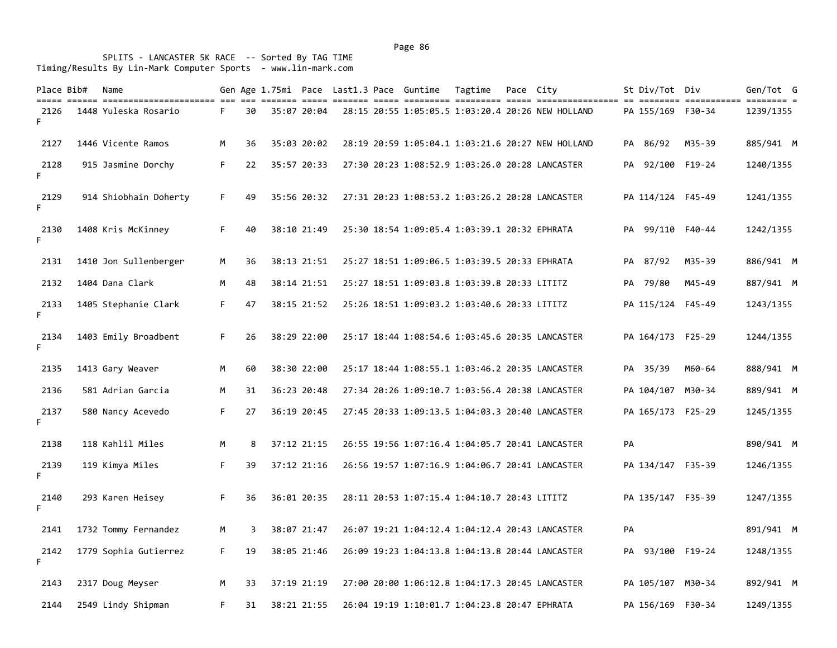| Place Bib# | Name<br>till denn dinistillingingen am de sterft den sterft denn sterften sterfte den sterftensten af dinist sterften s |    |    |             |  | Gen Age 1.75mi Pace Last1.3 Pace Guntime Tagtime | Pace City |                                                   |    | St Div/Tot Div    |        | Gen/Tot G |
|------------|-------------------------------------------------------------------------------------------------------------------------|----|----|-------------|--|--------------------------------------------------|-----------|---------------------------------------------------|----|-------------------|--------|-----------|
| 2126<br>F. | 1448 Yuleska Rosario                                                                                                    | F. | 30 | 35:07 20:04 |  |                                                  |           | 28:15 20:55 1:05:05.5 1:03:20.4 20:26 NEW HOLLAND |    | PA 155/169 F30-34 |        | 1239/1355 |
| 2127       | 1446 Vicente Ramos                                                                                                      | M  | 36 | 35:03 20:02 |  |                                                  |           | 28:19 20:59 1:05:04.1 1:03:21.6 20:27 NEW HOLLAND |    | PA 86/92 M35-39   |        | 885/941 M |
| 2128<br>F. | 915 Jasmine Dorchy                                                                                                      | F. | 22 | 35:57 20:33 |  |                                                  |           | 27:30 20:23 1:08:52.9 1:03:26.0 20:28 LANCASTER   |    | PA 92/100 F19-24  |        | 1240/1355 |
| 2129<br>F. | 914 Shiobhain Doherty                                                                                                   | F. | 49 | 35:56 20:32 |  |                                                  |           | 27:31 20:23 1:08:53.2 1:03:26.2 20:28 LANCASTER   |    | PA 114/124 F45-49 |        | 1241/1355 |
| 2130<br>F. | 1408 Kris McKinney                                                                                                      | F. | 40 | 38:10 21:49 |  | 25:30 18:54 1:09:05.4 1:03:39.1 20:32 EPHRATA    |           |                                                   |    | PA 99/110 F40-44  |        | 1242/1355 |
| 2131       | 1410 Jon Sullenberger                                                                                                   | Μ  | 36 | 38:13 21:51 |  | 25:27 18:51 1:09:06.5 1:03:39.5 20:33 EPHRATA    |           |                                                   |    | PA 87/92          | M35-39 | 886/941 M |
| 2132       | 1404 Dana Clark                                                                                                         | M  | 48 | 38:14 21:51 |  | 25:27 18:51 1:09:03.8 1:03:39.8 20:33 LITITZ     |           |                                                   |    | PA 79/80          | M45-49 | 887/941 M |
| 2133<br>F. | 1405 Stephanie Clark                                                                                                    | F. | 47 | 38:15 21:52 |  | 25:26 18:51 1:09:03.2 1:03:40.6 20:33 LITITZ     |           |                                                   |    | PA 115/124 F45-49 |        | 1243/1355 |
| 2134<br>F. | 1403 Emily Broadbent                                                                                                    | F. | 26 | 38:29 22:00 |  |                                                  |           | 25:17 18:44 1:08:54.6 1:03:45.6 20:35 LANCASTER   |    | PA 164/173 F25-29 |        | 1244/1355 |
| 2135       | 1413 Gary Weaver                                                                                                        | Μ  | 60 | 38:30 22:00 |  |                                                  |           | 25:17 18:44 1:08:55.1 1:03:46.2 20:35 LANCASTER   |    | PA 35/39          | M60-64 | 888/941 M |
| 2136       | 581 Adrian Garcia                                                                                                       | M  | 31 | 36:23 20:48 |  |                                                  |           | 27:34 20:26 1:09:10.7 1:03:56.4 20:38 LANCASTER   |    | PA 104/107 M30-34 |        | 889/941 M |
| 2137<br>F. | 580 Nancy Acevedo                                                                                                       | F. | 27 | 36:19 20:45 |  |                                                  |           | 27:45 20:33 1:09:13.5 1:04:03.3 20:40 LANCASTER   |    | PA 165/173 F25-29 |        | 1245/1355 |
| 2138       | 118 Kahlil Miles                                                                                                        | Μ  | 8  | 37:12 21:15 |  |                                                  |           | 26:55 19:56 1:07:16.4 1:04:05.7 20:41 LANCASTER   | PA |                   |        | 890/941 M |
| 2139<br>F. | 119 Kimya Miles                                                                                                         | F. | 39 | 37:12 21:16 |  |                                                  |           | 26:56 19:57 1:07:16.9 1:04:06.7 20:41 LANCASTER   |    | PA 134/147 F35-39 |        | 1246/1355 |
| 2140<br>F. | 293 Karen Heisey                                                                                                        | F. | 36 | 36:01 20:35 |  | 28:11 20:53 1:07:15.4 1:04:10.7 20:43 LITITZ     |           |                                                   |    | PA 135/147 F35-39 |        | 1247/1355 |
| 2141       | 1732 Tommy Fernandez                                                                                                    | М  | 3  | 38:07 21:47 |  |                                                  |           | 26:07 19:21 1:04:12.4 1:04:12.4 20:43 LANCASTER   | PA |                   |        | 891/941 M |
| 2142<br>F. | 1779 Sophia Gutierrez                                                                                                   | F. | 19 | 38:05 21:46 |  |                                                  |           | 26:09 19:23 1:04:13.8 1:04:13.8 20:44 LANCASTER   |    | PA 93/100 F19-24  |        | 1248/1355 |
| 2143       | 2317 Doug Meyser                                                                                                        | M  | 33 | 37:19 21:19 |  |                                                  |           | 27:00 20:00 1:06:12.8 1:04:17.3 20:45 LANCASTER   |    | PA 105/107 M30-34 |        | 892/941 M |
| 2144       | 2549 Lindy Shipman                                                                                                      | F. | 31 | 38:21 21:55 |  | 26:04 19:19 1:10:01.7 1:04:23.8 20:47 EPHRATA    |           |                                                   |    | PA 156/169 F30-34 |        | 1249/1355 |

Page 86 and the state of the state of the state of the state of the state of the state of the state of the state of the state of the state of the state of the state of the state of the state of the state of the state of th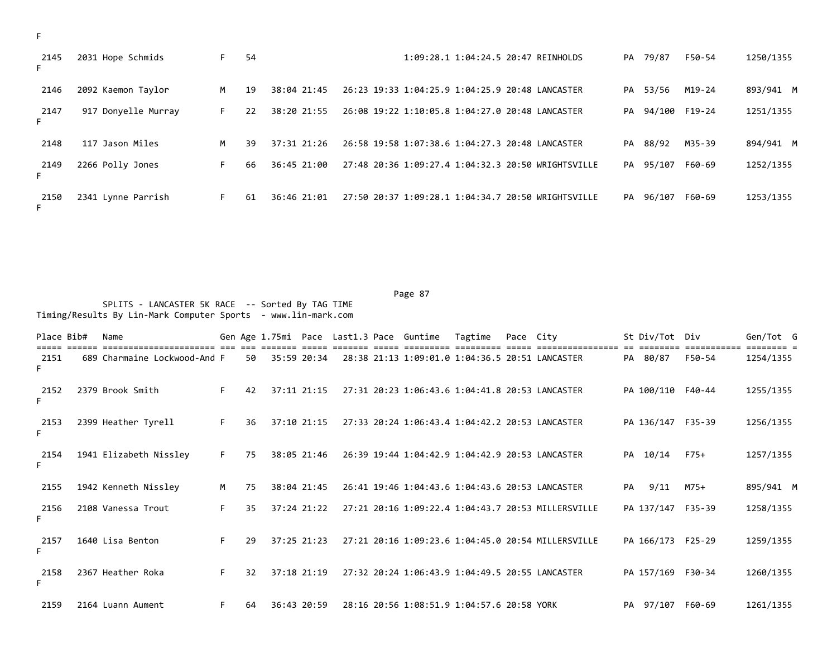| ۰   |  |
|-----|--|
| . . |  |

| 2145       | 2031 Hope Schmids   | F. | 54 |                 |                                                    | 1:09:28.1 1:04:24.5 20:47 REINHOLDS |  | PA 79/87  | F50-54 | 1250/1355 |
|------------|---------------------|----|----|-----------------|----------------------------------------------------|-------------------------------------|--|-----------|--------|-----------|
| 2146       | 2092 Kaemon Taylor  | M  | 19 | 38:04 21:45     | 26:23 19:33 1:04:25.9 1:04:25.9 20:48 LANCASTER    |                                     |  | PA 53/56  | M19-24 | 893/941 M |
| 2147       | 917 Donyelle Murray | F. | 22 | 38:20 21:55     | 26:08 19:22 1:10:05.8 1:04:27.0 20:48 LANCASTER    |                                     |  | PA 94/100 | F19-24 | 1251/1355 |
| 2148       | 117 Jason Miles     | M  | 39 | $37:31$ $21:26$ | 26:58 19:58 1:07:38.6 1:04:27.3 20:48 LANCASTER    |                                     |  | PA 88/92  | M35-39 | 894/941 M |
| 2149<br>F. | 2266 Polly Jones    | F. | 66 | 36:45 21:00     | 27:48 20:36 1:09:27.4 1:04:32.3 20:50 WRIGHTSVILLE |                                     |  | PA 95/107 | F60-69 | 1252/1355 |
| 2150<br>F. | 2341 Lynne Parrish  | F. | 61 | 36:46 21:01     | 27:50 20:37 1:09:28.1 1:04:34.7 20:50 WRIGHTSVILLE |                                     |  | PA 96/107 | F60-69 | 1253/1355 |

Page 87 (1999) 2002 12:30 (1999) 2003 12:30 (1999) 2004 12:30 (1999) 2004 12:30 (1999) 2004 12:30 (1999) 2004 1 SPLITS - LANCASTER 5K RACE -- Sorted By TAG TIME Timing/Results By Lin-Mark Computer Sports - www.lin-mark.com

Place Bib# Name Same Gen Age 1.75mi Pace Last1.3 Pace Guntime Tagtime Pace City St Div/Tot Div Gen/Tot G ===== ====== ====================== === === ======= ===== ======= ===== ========= ========= ===== ================ == ======== =========== ======== = 2151 689 Charmaine Lockwood-And F 50 35:59 20:34 28:38 21:13 1:09:01.0 1:04:36.5 20:51 LANCASTER PA 80/87 F50-54 1254/1355 F 2152 2379 Brook Smith F 42 37:11 21:15 27:31 20:23 1:06:43.6 1:04:41.8 20:53 LANCASTER PA 100/110 F40-44 1255/1355 F 2153 2399 Heather Tyrell F 36 37:10 21:15 27:33 20:24 1:06:43.4 1:04:42.2 20:53 LANCASTER PA 136/147 F35-39 1256/1355 F 2154 1941 Elizabeth Nissley F 75 38:05 21:46 26:39 19:44 1:04:42.9 1:04:42.9 20:53 LANCASTER PA 10/14 F75+ 1257/1355 F 2155 1942 Kenneth Nissley M 75 38:04 21:45 26:41 19:46 1:04:43.6 1:04:43.6 20:53 LANCASTER PA 9/11 M75+ 895/941 M 2156 2108 Vanessa Trout F 35 37:24 21:22 27:21 20:16 1:09:22.4 1:04:43.7 20:53 MILLERSVILLE PA 137/147 F35-39 1258/1355 F 2157 1640 Lisa Benton F 29 37:25 21:23 27:21 20:16 1:09:23.6 1:04:45.0 20:54 MILLERSVILLE PA 166/173 F25-29 1259/1355 F 2158 2367 Heather Roka F 32 37:18 21:19 27:32 20:24 1:06:43.9 1:04:49.5 20:55 LANCASTER PA 157/169 F30-34 1260/1355 F 2159 2164 Luann Aument F 64 36:43 20:59 28:16 20:56 1:08:51.9 1:04:57.6 20:58 YORK PA 97/107 F60-69 1261/1355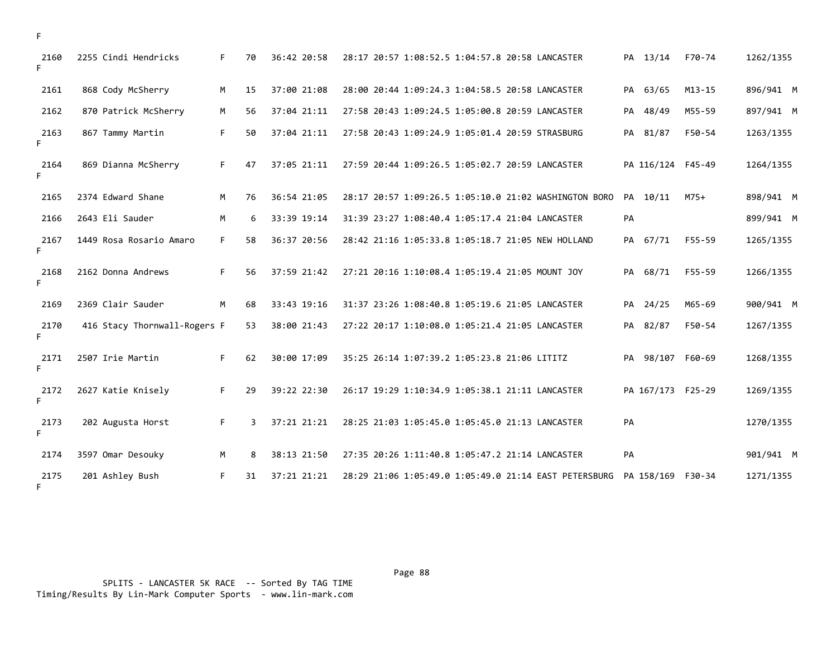| 2160<br>F. | 2255 Cindi Hendricks         | F. | 70 | 36:42 20:58 | 28:17 20:57 1:08:52.5 1:04:57.8 20:58 LANCASTER<br>PA 13/14<br>F70-74         | 1262/1355 |
|------------|------------------------------|----|----|-------------|-------------------------------------------------------------------------------|-----------|
| 2161       | 868 Cody McSherry            | M  | 15 | 37:00 21:08 | PA 63/65<br>$M13 - 15$<br>28:00 20:44 1:09:24.3 1:04:58.5 20:58 LANCASTER     | 896/941 M |
| 2162       | 870 Patrick McSherry         | M  | 56 | 37:04 21:11 | M55-59<br>27:58 20:43 1:09:24.5 1:05:00.8 20:59 LANCASTER<br>PA 48/49         | 897/941 M |
| 2163<br>F. | 867 Tammy Martin             | F. | 50 | 37:04 21:11 | PA 81/87<br>F50-54<br>27:58 20:43 1:09:24.9 1:05:01.4 20:59 STRASBURG         | 1263/1355 |
| 2164<br>F. | 869 Dianna McSherry          | F. | 47 | 37:05 21:11 | 27:59 20:44 1:09:26.5 1:05:02.7 20:59 LANCASTER<br>PA 116/124 F45-49          | 1264/1355 |
| 2165       | 2374 Edward Shane            | M  | 76 | 36:54 21:05 | PA 10/11<br>28:17 20:57 1:09:26.5 1:05:10.0 21:02 WASHINGTON BORO<br>$M75+$   | 898/941 M |
| 2166       | 2643 Eli Sauder              | М  | 6  | 33:39 19:14 | PA<br>31:39 23:27 1:08:40.4 1:05:17.4 21:04 LANCASTER                         | 899/941 M |
| 2167<br>F. | 1449 Rosa Rosario Amaro      | F. | 58 | 36:37 20:56 | PA 67/71<br>F55-59<br>28:42 21:16 1:05:33.8 1:05:18.7 21:05 NEW HOLLAND       | 1265/1355 |
| 2168<br>F. | 2162 Donna Andrews           | F. | 56 | 37:59 21:42 | PA 68/71<br>F55-59<br>27:21 20:16 1:10:08.4 1:05:19.4 21:05 MOUNT JOY         | 1266/1355 |
| 2169       | 2369 Clair Sauder            | M  | 68 | 33:43 19:16 | 31:37 23:26 1:08:40.8 1:05:19.6 21:05 LANCASTER<br>PA 24/25<br>M65-69         | 900/941 M |
| 2170<br>F. | 416 Stacy Thornwall-Rogers F |    | 53 | 38:00 21:43 | 27:22 20:17 1:10:08.0 1:05:21.4 21:05 LANCASTER<br>PA 82/87<br>F50-54         | 1267/1355 |
| 2171<br>F. | 2507 Irie Martin             | F. | 62 | 30:00 17:09 | 35:25 26:14 1:07:39.2 1:05:23.8 21:06 LITITZ<br>PA 98/107<br>F60-69           | 1268/1355 |
| 2172<br>F. | 2627 Katie Knisely           | F. | 29 | 39:22 22:30 | 26:17 19:29 1:10:34.9 1:05:38.1 21:11 LANCASTER<br>PA 167/173 F25-29          | 1269/1355 |
| 2173<br>F. | 202 Augusta Horst            | F. | 3  | 37:21 21:21 | 28:25 21:03 1:05:45.0 1:05:45.0 21:13 LANCASTER<br>PA                         | 1270/1355 |
| 2174       | 3597 Omar Desouky            | M  | 8  | 38:13 21:50 | 27:35 20:26 1:11:40.8 1:05:47.2 21:14 LANCASTER<br>PA                         | 901/941 M |
| 2175<br>F. | 201 Ashley Bush              | F. | 31 | 37:21 21:21 | 28:29 21:06 1:05:49.0 1:05:49.0 21:14 EAST PETERSBURG<br>PA 158/169<br>F30-34 | 1271/1355 |

Page 88 and the state of the state of the state of the state of the state of the state of the state of the state of the state of the state of the state of the state of the state of the state of the state of the state of th

F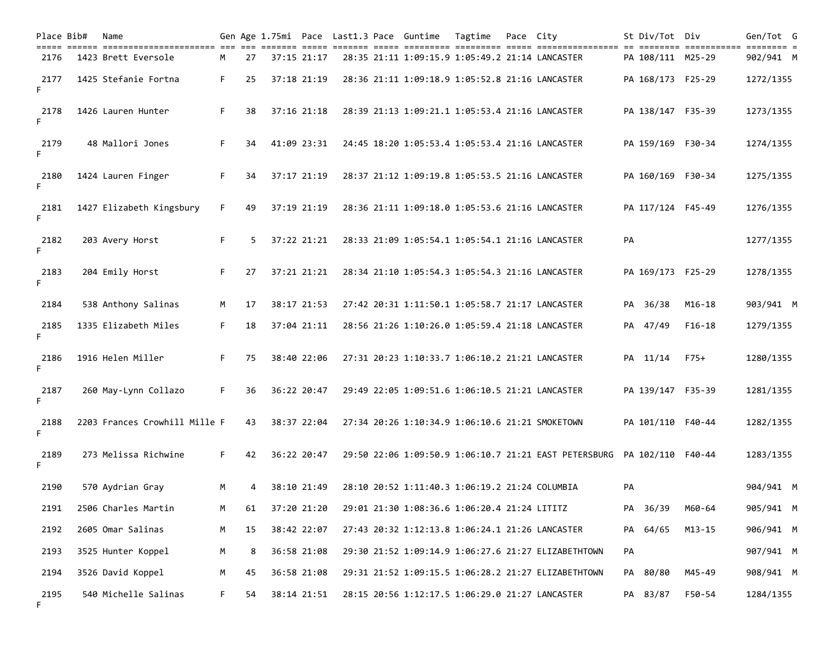| Place Bib# | Name                                                                   |    |    |             |  | Gen Age 1.75mi Pace Last1.3 Pace Guntime       | Tagtime | Pace City |                                                                         | St Div/Tot Div    |                                  | Gen/Tot G |
|------------|------------------------------------------------------------------------|----|----|-------------|--|------------------------------------------------|---------|-----------|-------------------------------------------------------------------------|-------------------|----------------------------------|-----------|
| 2176       | ===== ====== ======================= === === ==<br>1423 Brett Eversole | M  | 27 | 37:15 21:17 |  |                                                |         |           | 28:35 21:11 1:09:15.9 1:05:49.2 21:14 LANCASTER                         | PA 108/111 M25-29 | ======== ============ ======== = | 902/941 M |
| 2177<br>F. | 1425 Stefanie Fortna                                                   | F. | 25 | 37:18 21:19 |  |                                                |         |           | 28:36 21:11 1:09:18.9 1:05:52.8 21:16 LANCASTER                         | PA 168/173 F25-29 |                                  | 1272/1355 |
| 2178<br>F. | 1426 Lauren Hunter                                                     | F. | 38 | 37:16 21:18 |  |                                                |         |           | 28:39 21:13 1:09:21.1 1:05:53.4 21:16 LANCASTER                         | PA 138/147 F35-39 |                                  | 1273/1355 |
| 2179<br>F. | 48 Mallori Jones                                                       | F. | 34 | 41:09 23:31 |  |                                                |         |           | 24:45 18:20 1:05:53.4 1:05:53.4 21:16 LANCASTER                         | PA 159/169 F30-34 |                                  | 1274/1355 |
| 2180<br>F. | 1424 Lauren Finger                                                     | F. | 34 | 37:17 21:19 |  |                                                |         |           | 28:37 21:12 1:09:19.8 1:05:53.5 21:16 LANCASTER                         | PA 160/169 F30-34 |                                  | 1275/1355 |
| 2181<br>F. | 1427 Elizabeth Kingsbury                                               | F. | 49 | 37:19 21:19 |  |                                                |         |           | 28:36 21:11 1:09:18.0 1:05:53.6 21:16 LANCASTER                         | PA 117/124 F45-49 |                                  | 1276/1355 |
| 2182<br>F. | 203 Avery Horst                                                        | F. | 5. | 37:22 21:21 |  |                                                |         |           | 28:33 21:09 1:05:54.1 1:05:54.1 21:16 LANCASTER                         | PA                |                                  | 1277/1355 |
| 2183<br>F. | 204 Emily Horst                                                        | F. | 27 | 37:21 21:21 |  |                                                |         |           | 28:34 21:10 1:05:54.3 1:05:54.3 21:16 LANCASTER                         | PA 169/173 F25-29 |                                  | 1278/1355 |
| 2184       | 538 Anthony Salinas                                                    | M  | 17 | 38:17 21:53 |  |                                                |         |           | 27:42 20:31 1:11:50.1 1:05:58.7 21:17 LANCASTER                         | PA 36/38          | $M16 - 18$                       | 903/941 M |
| 2185<br>F. | 1335 Elizabeth Miles                                                   | F. | 18 | 37:04 21:11 |  |                                                |         |           | 28:56 21:26 1:10:26.0 1:05:59.4 21:18 LANCASTER                         | PA 47/49          | $F16-18$                         | 1279/1355 |
| 2186<br>F. | 1916 Helen Miller                                                      | F. | 75 | 38:40 22:06 |  |                                                |         |           | 27:31 20:23 1:10:33.7 1:06:10.2 21:21 LANCASTER                         | PA 11/14          | $F75+$                           | 1280/1355 |
| 2187<br>F. | 260 May-Lynn Collazo                                                   | F. | 36 | 36:22 20:47 |  |                                                |         |           | 29:49 22:05 1:09:51.6 1:06:10.5 21:21 LANCASTER                         | PA 139/147 F35-39 |                                  | 1281/1355 |
| 2188<br>F. | 2203 Frances Crowhill Mille F                                          |    | 43 | 38:37 22:04 |  |                                                |         |           | 27:34 20:26 1:10:34.9 1:06:10.6 21:21 SMOKETOWN                         | PA 101/110 F40-44 |                                  | 1282/1355 |
| 2189<br>F. | 273 Melissa Richwine                                                   | F. | 42 | 36:22 20:47 |  |                                                |         |           | 29:50 22:06 1:09:50.9 1:06:10.7 21:21 EAST PETERSBURG PA 102/110 F40-44 |                   |                                  | 1283/1355 |
| 2190       | 570 Aydrian Gray                                                       | M  |    | 38:10 21:49 |  | 28:10 20:52 1:11:40.3 1:06:19.2 21:24 COLUMBIA |         |           |                                                                         | PA                |                                  | 904/941 M |
| 2191       | 2506 Charles Martin                                                    | M  | 61 | 37:20 21:20 |  | 29:01 21:30 1:08:36.6 1:06:20.4 21:24 LITITZ   |         |           |                                                                         | PA 36/39          | M60-64                           | 905/941 M |
| 2192       | 2605 Omar Salinas                                                      | M  | 15 | 38:42 22:07 |  |                                                |         |           | 27:43 20:32 1:12:13.8 1:06:24.1 21:26 LANCASTER                         | PA 64/65          | $M13 - 15$                       | 906/941 M |
| 2193       | 3525 Hunter Koppel                                                     | M  | 8  | 36:58 21:08 |  |                                                |         |           | 29:30 21:52 1:09:14.9 1:06:27.6 21:27 ELIZABETHTOWN                     | PA                |                                  | 907/941 M |
| 2194       | 3526 David Koppel                                                      | M  | 45 | 36:58 21:08 |  |                                                |         |           | 29:31 21:52 1:09:15.5 1:06:28.2 21:27 ELIZABETHTOWN                     | PA 80/80          | M45-49                           | 908/941 M |
| 2195<br>F. | 540 Michelle Salinas                                                   | F. | 54 | 38:14 21:51 |  |                                                |         |           | 28:15 20:56 1:12:17.5 1:06:29.0 21:27 LANCASTER                         | PA 83/87          | F50-54                           | 1284/1355 |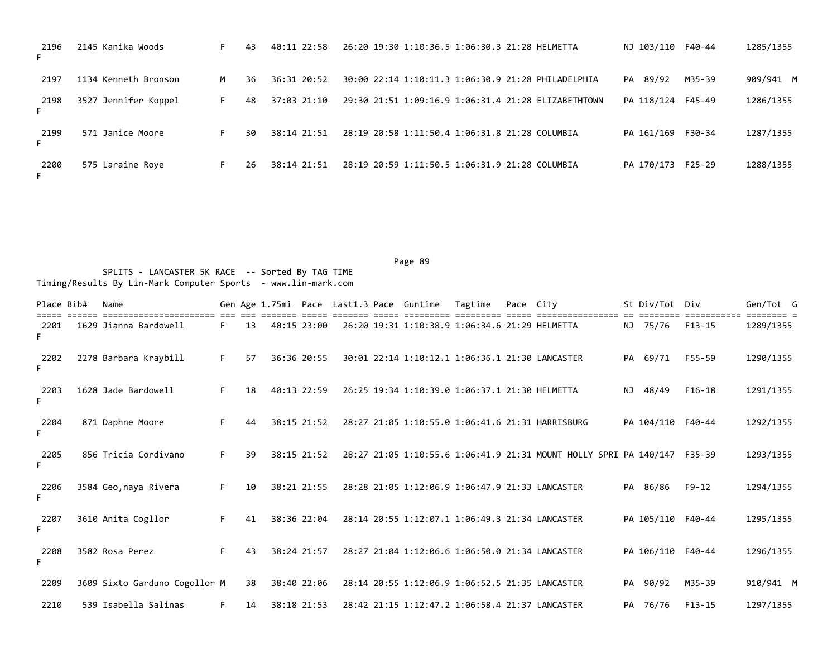| 2196<br>F. | 2145 Kanika Woods    | F. | 43 | 40:11 22:58   | 26:20 19:30 1:10:36.5 1:06:30.3 21:28 HELMETTA<br>NJ 103/110 F40-44      | 1285/1355 |
|------------|----------------------|----|----|---------------|--------------------------------------------------------------------------|-----------|
| 2197       | 1134 Kenneth Bronson | м  | 36 | $36:31$ 20:52 | PA 89/92<br>M35-39<br>30:00 22:14 1:10:11.3 1:06:30.9 21:28 PHILADELPHIA | 909/941 M |
| 2198<br>F. | 3527 Jennifer Koppel | F. | 48 | 37:03 21:10   | 29:30 21:51 1:09:16.9 1:06:31.4 21:28 ELIZABETHTOWN<br>PA 118/124 F45-49 | 1286/1355 |
| 2199<br>F. | 571 Janice Moore     |    | 30 | $38:14$ 21:51 | PA 161/169 F30-34<br>28:19 20:58 1:11:50.4 1:06:31.8 21:28 COLUMBIA      | 1287/1355 |
| 2200<br>F. | 575 Laraine Roye     | F. | 26 | 38:14 21:51   | 28:19 20:59 1:11:50.5 1:06:31.9 21:28 COLUMBIA<br>PA 170/173<br>F25-29   | 1288/1355 |

| Place Bib# | Name                          |    |    |             |             |  | Gen Age 1.75mi Pace Last1.3 Pace Guntime        | Tagtime | Pace City |                                                                   |    | St Div/Tot Div    |                          | Gen/Tot G |
|------------|-------------------------------|----|----|-------------|-------------|--|-------------------------------------------------|---------|-----------|-------------------------------------------------------------------|----|-------------------|--------------------------|-----------|
| 2201       | 1629 Jianna Bardowell         | F. | 13 |             | 40:15 23:00 |  | 26:20 19:31 1:10:38.9 1:06:34.6 21:29 HELMETTA  |         |           |                                                                   |    | NJ 75/76          | ==========<br>$F13 - 15$ | 1289/1355 |
| 2202<br>F. | 2278 Barbara Kraybill         | F. | 57 |             | 36:36 20:55 |  | 30:01 22:14 1:10:12.1 1:06:36.1 21:30 LANCASTER |         |           |                                                                   |    | PA 69/71          | F55-59                   | 1290/1355 |
| 2203<br>F. | 1628 Jade Bardowell           | F. | 18 | 40:13 22:59 |             |  | 26:25 19:34 1:10:39.0 1:06:37.1 21:30 HELMETTA  |         |           |                                                                   | NJ | 48/49             | $F16-18$                 | 1291/1355 |
| 2204<br>F. | 871 Daphne Moore              | F. | 44 |             | 38:15 21:52 |  |                                                 |         |           | 28:27 21:05 1:10:55.0 1:06:41.6 21:31 HARRISBURG                  |    | PA 104/110 F40-44 |                          | 1292/1355 |
| 2205<br>F. | 856 Tricia Cordivano          | F. | 39 |             | 38:15 21:52 |  |                                                 |         |           | 28:27 21:05 1:10:55.6 1:06:41.9 21:31 MOUNT HOLLY SPRI PA 140/147 |    |                   | F35-39                   | 1293/1355 |
| 2206<br>F. | 3584 Geo, naya Rivera         | F. | 10 |             | 38:21 21:55 |  | 28:28 21:05 1:12:06.9 1:06:47.9 21:33 LANCASTER |         |           |                                                                   |    | PA 86/86          | $F9-12$                  | 1294/1355 |
| 2207<br>F. | 3610 Anita Cogllor            | F. | 41 |             | 38:36 22:04 |  | 28:14 20:55 1:12:07.1 1:06:49.3 21:34 LANCASTER |         |           |                                                                   |    | PA 105/110 F40-44 |                          | 1295/1355 |
| 2208       | 3582 Rosa Perez               | F. | 43 |             | 38:24 21:57 |  | 28:27 21:04 1:12:06.6 1:06:50.0 21:34 LANCASTER |         |           |                                                                   |    | PA 106/110 F40-44 |                          | 1296/1355 |
| 2209       | 3609 Sixto Garduno Cogollor M |    | 38 |             | 38:40 22:06 |  | 28:14 20:55 1:12:06.9 1:06:52.5 21:35 LANCASTER |         |           |                                                                   |    | PA 90/92          | M35-39                   | 910/941 M |
| 2210       | 539 Isabella Salinas          | F. | 14 |             | 38:18 21:53 |  | 28:42 21:15 1:12:47.2 1:06:58.4 21:37 LANCASTER |         |           |                                                                   |    | PA 76/76          | $F13 - 15$               | 1297/1355 |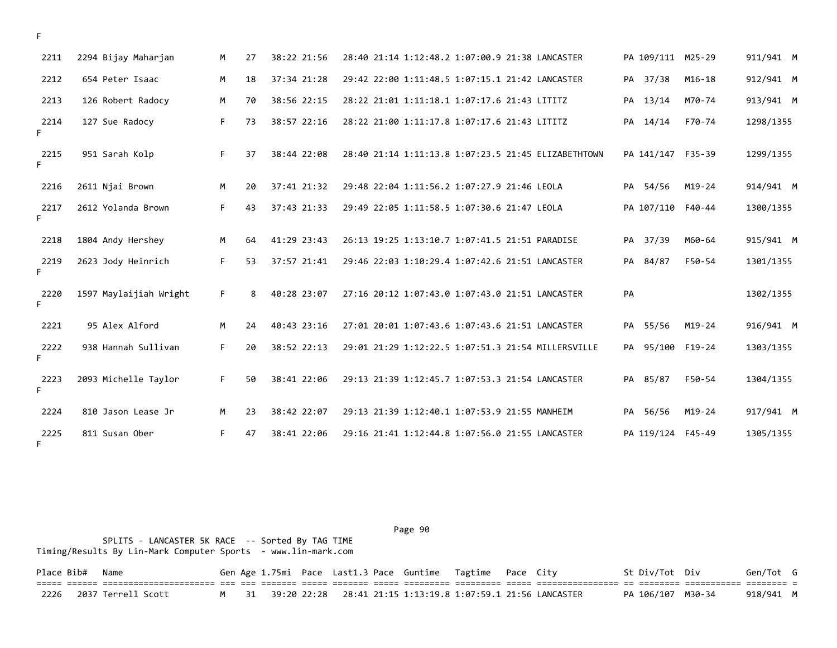| 2211       | 2294 Bijay Maharjan    | M  | 27 | 38:22 21:56 | 28:40 21:14 1:12:48.2 1:07:00.9 21:38 LANCASTER<br>PA 109/111 M25-29      | 911/941 M |
|------------|------------------------|----|----|-------------|---------------------------------------------------------------------------|-----------|
| 2212       | 654 Peter Isaac        | M  | 18 | 37:34 21:28 | 29:42 22:00 1:11:48.5 1:07:15.1 21:42 LANCASTER<br>PA 37/38<br>$M16 - 18$ | 912/941 M |
| 2213       | 126 Robert Radocy      | M  | 70 | 38:56 22:15 | M70-74<br>28:22 21:01 1:11:18.1 1:07:17.6 21:43 LITITZ<br>PA 13/14        | 913/941 M |
| 2214<br>F. | 127 Sue Radocy         | F. | 73 | 38:57 22:16 | 28:22 21:00 1:11:17.8 1:07:17.6 21:43 LITITZ<br>PA 14/14<br>F70-74        | 1298/1355 |
| 2215<br>F. | 951 Sarah Kolp         | F. | 37 | 38:44 22:08 | 28:40 21:14 1:11:13.8 1:07:23.5 21:45 ELIZABETHTOWN<br>PA 141/147 F35-39  | 1299/1355 |
| 2216       | 2611 Njai Brown        | M  | 20 | 37:41 21:32 | 29:48 22:04 1:11:56.2 1:07:27.9 21:46 LEOLA<br>PA 54/56<br>$M19-24$       | 914/941 M |
| 2217<br>F. | 2612 Yolanda Brown     | F. | 43 | 37:43 21:33 | PA 107/110 F40-44<br>29:49 22:05 1:11:58.5 1:07:30.6 21:47 LEOLA          | 1300/1355 |
| 2218       | 1804 Andy Hershey      | M  | 64 | 41:29 23:43 | PA 37/39<br>26:13 19:25 1:13:10.7 1:07:41.5 21:51 PARADISE<br>M60-64      | 915/941 M |
| 2219<br>F. | 2623 Jody Heinrich     | F. | 53 | 37:57 21:41 | PA 84/87<br>29:46 22:03 1:10:29.4 1:07:42.6 21:51 LANCASTER<br>F50-54     | 1301/1355 |
| 2220<br>F. | 1597 Maylaijiah Wright | F. | 8  | 40:28 23:07 | 27:16 20:12 1:07:43.0 1:07:43.0 21:51 LANCASTER<br>PA                     | 1302/1355 |
| 2221       | 95 Alex Alford         | M  | 24 | 40:43 23:16 | 27:01 20:01 1:07:43.6 1:07:43.6 21:51 LANCASTER<br>PA 55/56<br>$M19-24$   | 916/941 M |
| 2222<br>F. | 938 Hannah Sullivan    | F. | 20 | 38:52 22:13 | 95/100 F19-24<br>29:01 21:29 1:12:22.5 1:07:51.3 21:54 MILLERSVILLE<br>PA | 1303/1355 |
| 2223<br>F. | 2093 Michelle Taylor   | F. | 50 | 38:41 22:06 | 29:13 21:39 1:12:45.7 1:07:53.3 21:54 LANCASTER<br>PA 85/87<br>F50-54     | 1304/1355 |
| 2224       | 810 Jason Lease Jr     | M  | 23 | 38:42 22:07 | $M19-24$<br>29:13 21:39 1:12:40.1 1:07:53.9 21:55 MANHEIM<br>PA 56/56     | 917/941 M |
| 2225<br>F. | 811 Susan Ober         | F. | 47 | 38:41 22:06 | 29:16 21:41 1:12:44.8 1:07:56.0 21:55 LANCASTER<br>PA 119/124 F45-49      | 1305/1355 |

 SPLITS - LANCASTER 5K RACE -- Sorted By TAG TIME Timing/Results By Lin-Mark Computer Sports - www.lin-mark.com

| Place Bib# Name |                                                                                                                                     |  |  |  | Gen Age 1.75mi Pace Last1.3 Pace Guntime Tagtime Pace City |  |                                                                       | St Div/Tot Div |                             | Gen/Tot G |  |
|-----------------|-------------------------------------------------------------------------------------------------------------------------------------|--|--|--|------------------------------------------------------------|--|-----------------------------------------------------------------------|----------------|-----------------------------|-----------|--|
|                 | <u>tion coord concercrectioners ar es coord coor coord coor coordig concerc coordige coordigence of coordig coordige coordige t</u> |  |  |  |                                                            |  |                                                                       |                |                             |           |  |
|                 | 2226 2037 Terrell Scott                                                                                                             |  |  |  |                                                            |  | M   31  39:20 22:28   28:41 21:15 1:13:19.8 1:07:59.1 21:56 LANCASTER |                | PA 106/107 M30-34 918/941 M |           |  |

F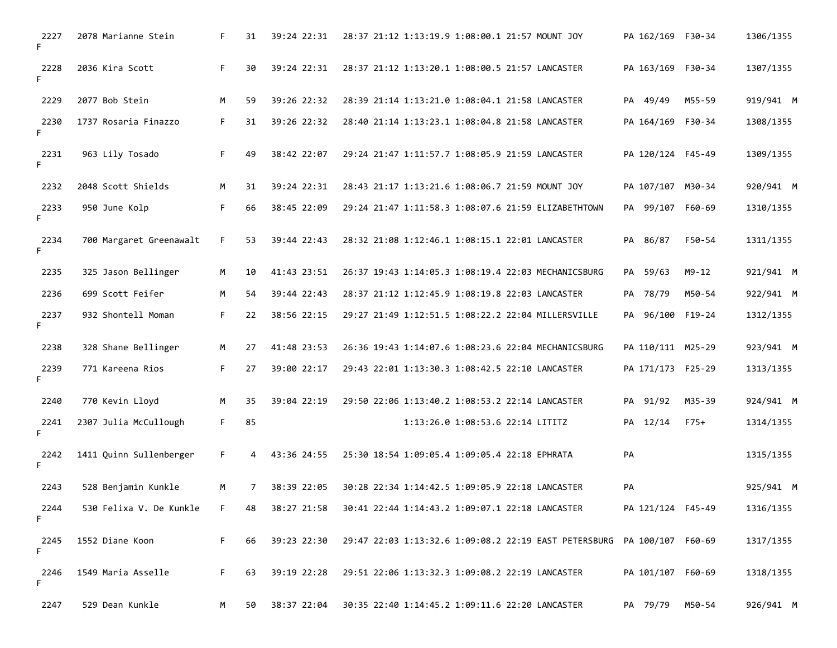| 2227<br>F. | 2078 Marianne Stein     | F. | 31 | 39:24 22:31 | 28:37 21:12 1:13:19.9 1:08:00.1 21:57 MOUNT JOY<br>PA 162/169 F30-34         | 1306/1355 |
|------------|-------------------------|----|----|-------------|------------------------------------------------------------------------------|-----------|
| 2228<br>F. | 2036 Kira Scott         | F. | 30 | 39:24 22:31 | 28:37 21:12 1:13:20.1 1:08:00.5 21:57 LANCASTER<br>PA 163/169 F30-34         | 1307/1355 |
| 2229       | 2077 Bob Stein          | M  | 59 | 39:26 22:32 | PA 49/49<br>M55-59<br>28:39 21:14 1:13:21.0 1:08:04.1 21:58 LANCASTER        | 919/941 M |
| 2230<br>F. | 1737 Rosaria Finazzo    | F. | 31 | 39:26 22:32 | 28:40 21:14 1:13:23.1 1:08:04.8 21:58 LANCASTER<br>PA 164/169 F30-34         | 1308/1355 |
| 2231<br>F. | 963 Lily Tosado         | F. | 49 | 38:42 22:07 | 29:24 21:47 1:11:57.7 1:08:05.9 21:59 LANCASTER<br>PA 120/124 F45-49         | 1309/1355 |
| 2232       | 2048 Scott Shields      | M  | 31 | 39:24 22:31 | 28:43 21:17 1:13:21.6 1:08:06.7 21:59 MOUNT JOY<br>PA 107/107 M30-34         | 920/941 M |
| 2233<br>F. | 950 June Kolp           | F. | 66 | 38:45 22:09 | 29:24 21:47 1:11:58.3 1:08:07.6 21:59 ELIZABETHTOWN<br>PA 99/107 F60-69      | 1310/1355 |
| 2234<br>F. | 700 Margaret Greenawalt | F. | 53 | 39:44 22:43 | F50-54<br>28:32 21:08 1:12:46.1 1:08:15.1 22:01 LANCASTER<br>PA 86/87        | 1311/1355 |
| 2235       | 325 Jason Bellinger     | M  | 10 | 41:43 23:51 | PA 59/63<br>$M9 - 12$<br>26:37 19:43 1:14:05.3 1:08:19.4 22:03 MECHANICSBURG | 921/941 M |
| 2236       | 699 Scott Feifer        | М  | 54 | 39:44 22:43 | 28:37 21:12 1:12:45.9 1:08:19.8 22:03 LANCASTER<br>PA 78/79<br>M50-54        | 922/941 M |
| 2237<br>F. | 932 Shontell Moman      | F. | 22 | 38:56 22:15 | PA 96/100 F19-24<br>29:27 21:49 1:12:51.5 1:08:22.2 22:04 MILLERSVILLE       | 1312/1355 |
| 2238       | 328 Shane Bellinger     | M  | 27 | 41:48 23:53 | 26:36 19:43 1:14:07.6 1:08:23.6 22:04 MECHANICSBURG<br>PA 110/111 M25-29     | 923/941 M |
| 2239<br>F. | 771 Kareena Rios        | F. | 27 | 39:00 22:17 | 29:43 22:01 1:13:30.3 1:08:42.5 22:10 LANCASTER<br>PA 171/173 F25-29         | 1313/1355 |
| 2240       | 770 Kevin Lloyd         | M  | 35 | 39:04 22:19 | 29:50 22:06 1:13:40.2 1:08:53.2 22:14 LANCASTER<br>PA 91/92<br>M35-39        | 924/941 M |
| 2241<br>F. | 2307 Julia McCullough   | F. | 85 |             | PA 12/14<br>1:13:26.0 1:08:53.6 22:14 LITITZ<br>$F75+$                       | 1314/1355 |
| 2242<br>F. | 1411 Quinn Sullenberger | F. | 4  | 43:36 24:55 | 25:30 18:54 1:09:05.4 1:09:05.4 22:18 EPHRATA<br>PA                          | 1315/1355 |
| 2243       | 528 Benjamin Kunkle     | M  | 7  | 38:39 22:05 | 30:28 22:34 1:14:42.5 1:09:05.9 22:18 LANCASTER<br>PA                        | 925/941 M |
| 2244<br>F. | 530 Felixa V. De Kunkle | F. | 48 | 38:27 21:58 | 30:41 22:44 1:14:43.2 1:09:07.1 22:18 LANCASTER<br>PA 121/124 F45-49         | 1316/1355 |
| 2245<br>F. | 1552 Diane Koon         | F. | 66 | 39:23 22:30 | 29:47 22:03 1:13:32.6 1:09:08.2 22:19 EAST PETERSBURG PA 100/107 F60-69      | 1317/1355 |
| 2246<br>F. | 1549 Maria Asselle      | F. | 63 | 39:19 22:28 | 29:51 22:06 1:13:32.3 1:09:08.2 22:19 LANCASTER<br>PA 101/107 F60-69         | 1318/1355 |
| 2247       | 529 Dean Kunkle         | M  | 50 | 38:37 22:04 | 30:35 22:40 1:14:45.2 1:09:11.6 22:20 LANCASTER<br>PA 79/79<br>M50-54        | 926/941 M |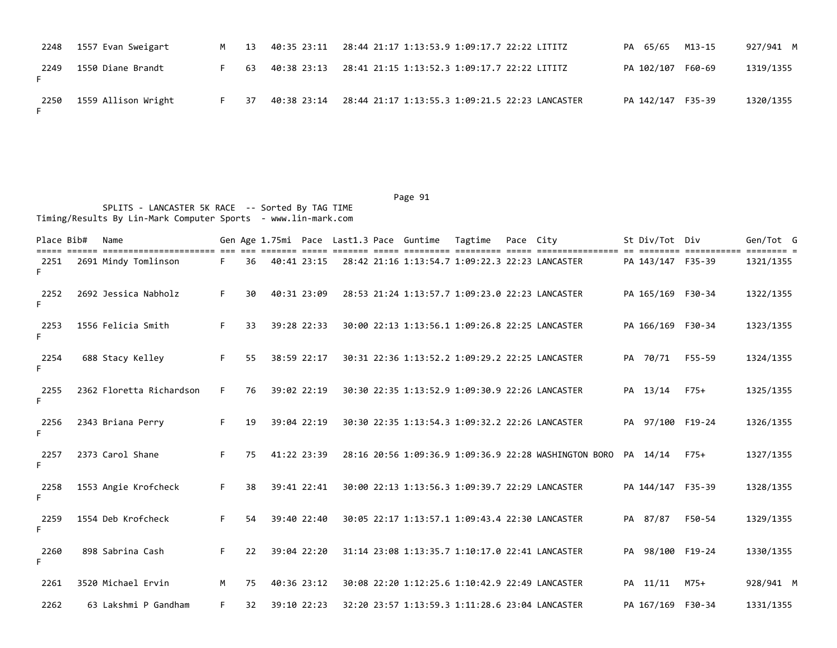| 2248 | 1557 Evan Sweigart  | M . | 13  |             |                                                 | PA 65/65          | M13-15 | 927/941 M |
|------|---------------------|-----|-----|-------------|-------------------------------------------------|-------------------|--------|-----------|
| 2249 | 1550 Diane Brandt   | F.  | 63  | 40:38 23:13 | 28:41 21:15 1:13:52.3 1:09:17.7 22:22 LITITZ    | PA 102/107 F60-69 |        | 1319/1355 |
| 2250 | 1559 Allison Wright | F.  | -37 | 40:38 23:14 | 28:44 21:17 1:13:55.3 1:09:21.5 22:23 LANCASTER | PA 142/147 F35-39 |        | 1320/1355 |

Page 91

 SPLITS - LANCASTER 5K RACE -- Sorted By TAG TIME Timing/Results By Lin-Mark Computer Sports - www.lin-mark.com

| Place Bib# | Name                     |    |    |             |  | Gen Age 1.75mi Pace Last1.3 Pace Guntime | Tagtime                                         | Pace City |                                                       | St Div/Tot Div    |            | Gen/Tot G |
|------------|--------------------------|----|----|-------------|--|------------------------------------------|-------------------------------------------------|-----------|-------------------------------------------------------|-------------------|------------|-----------|
| 2251<br>F. | 2691 Mindy Tomlinson     | F. | 36 | 40:41 23:15 |  |                                          | 28:42 21:16 1:13:54.7 1:09:22.3 22:23 LANCASTER |           |                                                       | PA 143/147 F35-39 | ========== | 1321/1355 |
| 2252<br>F. | 2692 Jessica Nabholz     | F. | 30 | 40:31 23:09 |  |                                          |                                                 |           | 28:53 21:24 1:13:57.7 1:09:23.0 22:23 LANCASTER       | PA 165/169 F30-34 |            | 1322/1355 |
| 2253<br>F. | 1556 Felicia Smith       | F. | 33 | 39:28 22:33 |  |                                          |                                                 |           | 30:00 22:13 1:13:56.1 1:09:26.8 22:25 LANCASTER       | PA 166/169 F30-34 |            | 1323/1355 |
| 2254<br>F. | 688 Stacy Kelley         | F. | 55 | 38:59 22:17 |  |                                          | 30:31 22:36 1:13:52.2 1:09:29.2 22:25 LANCASTER |           |                                                       | PA 70/71          | F55-59     | 1324/1355 |
| 2255<br>F. | 2362 Floretta Richardson | F. | 76 | 39:02 22:19 |  |                                          | 30:30 22:35 1:13:52.9 1:09:30.9 22:26 LANCASTER |           |                                                       | PA 13/14          | $F75+$     | 1325/1355 |
| 2256<br>F. | 2343 Briana Perry        | F. | 19 | 39:04 22:19 |  |                                          |                                                 |           | 30:30 22:35 1:13:54.3 1:09:32.2 22:26 LANCASTER       | PA 97/100 F19-24  |            | 1326/1355 |
| 2257<br>F. | 2373 Carol Shane         | F. | 75 | 41:22 23:39 |  |                                          |                                                 |           | 28:16 20:56 1:09:36.9 1:09:36.9 22:28 WASHINGTON BORO | PA 14/14          | $F75+$     | 1327/1355 |
| 2258<br>F. | 1553 Angie Krofcheck     | F. | 38 | 39:41 22:41 |  |                                          |                                                 |           | 30:00 22:13 1:13:56.3 1:09:39.7 22:29 LANCASTER       | PA 144/147 F35-39 |            | 1328/1355 |
| 2259<br>F. | 1554 Deb Krofcheck       | F. | 54 | 39:40 22:40 |  |                                          | 30:05 22:17 1:13:57.1 1:09:43.4 22:30 LANCASTER |           |                                                       | PA 87/87          | F50-54     | 1329/1355 |
| 2260<br>F. | 898 Sabrina Cash         | F. | 22 | 39:04 22:20 |  |                                          | 31:14 23:08 1:13:35.7 1:10:17.0 22:41 LANCASTER |           |                                                       | PA 98/100 F19-24  |            | 1330/1355 |
| 2261       | 3520 Michael Ervin       | M  | 75 | 40:36 23:12 |  |                                          | 30:08 22:20 1:12:25.6 1:10:42.9 22:49 LANCASTER |           |                                                       | PA 11/11          | M75+       | 928/941 M |
| 2262       | 63 Lakshmi P Gandham     | F. | 32 | 39:10 22:23 |  |                                          | 32:20 23:57 1:13:59.3 1:11:28.6 23:04 LANCASTER |           |                                                       | PA 167/169 F30-34 |            | 1331/1355 |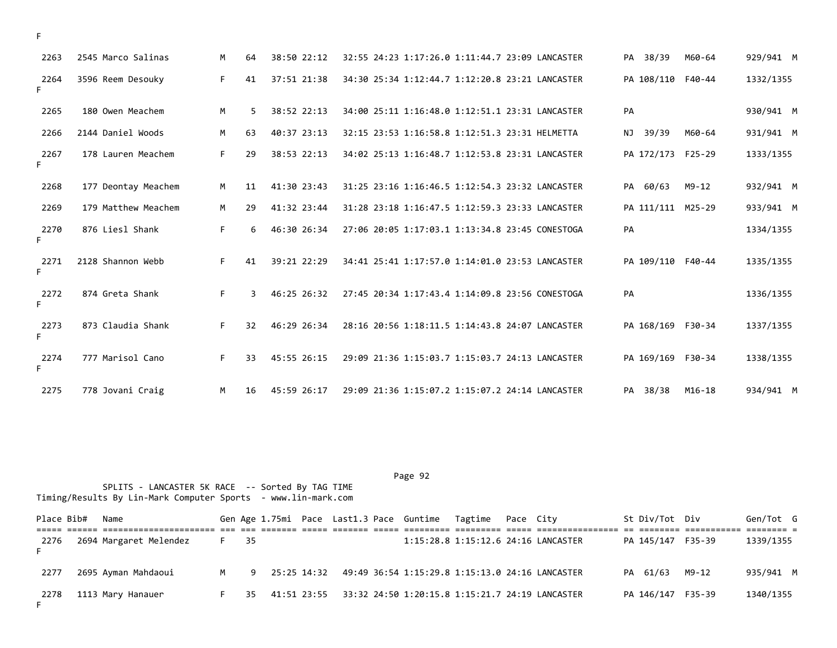| 2263       | 2545 Marco Salinas  | M  | 64 | 38:50 22:12 | 32:55 24:23 1:17:26.0 1:11:44.7 23:09 LANCASTER<br>PA 38/39          | 929/941 M<br>M60-64 |
|------------|---------------------|----|----|-------------|----------------------------------------------------------------------|---------------------|
| 2264<br>F. | 3596 Reem Desouky   | F. | 41 | 37:51 21:38 | PA 108/110 F40-44<br>34:30 25:34 1:12:44.7 1:12:20.8 23:21 LANCASTER | 1332/1355           |
| 2265       | 180 Owen Meachem    | M  | 5. | 38:52 22:13 | PA<br>34:00 25:11 1:16:48.0 1:12:51.1 23:31 LANCASTER                | 930/941 M           |
| 2266       | 2144 Daniel Woods   | M  | 63 | 40:37 23:13 | 32:15 23:53 1:16:58.8 1:12:51.3 23:31 HELMETTA<br>NJ 39/39           | 931/941 M<br>M60-64 |
| 2267<br>F. | 178 Lauren Meachem  | F. | 29 | 38:53 22:13 | 34:02 25:13 1:16:48.7 1:12:53.8 23:31 LANCASTER<br>PA 172/173 F25-29 | 1333/1355           |
| 2268       | 177 Deontay Meachem | M  | 11 | 41:30 23:43 | 31:25 23:16 1:16:46.5 1:12:54.3 23:32 LANCASTER<br>PA 60/63<br>M9-12 | 932/941 M           |
| 2269       | 179 Matthew Meachem | M  | 29 | 41:32 23:44 | 31:28 23:18 1:16:47.5 1:12:59.3 23:33 LANCASTER<br>PA 111/111 M25-29 | 933/941 M           |
| 2270<br>F. | 876 Liesl Shank     | F. | 6  | 46:30 26:34 | PA<br>27:06 20:05 1:17:03.1 1:13:34.8 23:45 CONESTOGA                | 1334/1355           |
| 2271<br>F. | 2128 Shannon Webb   | F. | 41 | 39:21 22:29 | 34:41 25:41 1:17:57.0 1:14:01.0 23:53 LANCASTER<br>PA 109/110 F40-44 | 1335/1355           |
| 2272<br>F. | 874 Greta Shank     | F. | 3  | 46:25 26:32 | 27:45 20:34 1:17:43.4 1:14:09.8 23:56 CONESTOGA<br>PA                | 1336/1355           |
| 2273<br>F. | 873 Claudia Shank   | F. | 32 | 46:29 26:34 | 28:16 20:56 1:18:11.5 1:14:43.8 24:07 LANCASTER<br>PA 168/169 F30-34 | 1337/1355           |
| 2274<br>F. | 777 Marisol Cano    | F. | 33 | 45:55 26:15 | 29:09 21:36 1:15:03.7 1:15:03.7 24:13 LANCASTER<br>PA 169/169 F30-34 | 1338/1355           |
| 2275       | 778 Jovani Craig    | M  | 16 | 45:59 26:17 | 29:09 21:36 1:15:07.2 1:15:07.2 24:14 LANCASTER<br>PA 38/38          | M16-18<br>934/941 M |

Page 92

 SPLITS - LANCASTER 5K RACE -- Sorted By TAG TIME Timing/Results By Lin-Mark Computer Sports - www.lin-mark.com

| Place Bib# | Name                   |                |  | Gen Age 1.75mi Pace Last1.3 Pace Guntime Tagtime Pace City     |  |                                     | St Div/Tot Div    |       | Gen/Tot G |
|------------|------------------------|----------------|--|----------------------------------------------------------------|--|-------------------------------------|-------------------|-------|-----------|
| 2276       | 2694 Margaret Melendez | F 35           |  |                                                                |  | 1:15:28.8 1:15:12.6 24:16 LANCASTER | PA 145/147 F35-39 |       | 1339/1355 |
| 2277       | 2695 Ayman Mahdaoui    | M <sub>N</sub> |  | 9 25:25 14:32 49:49 36:54 1:15:29.8 1:15:13.0 24:16 LANCASTER  |  |                                     | PA 61/63          | M9-12 | 935/941 M |
| 2278       | 1113 Mary Hanauer      |                |  | 35 41:51 23:55 33:32 24:50 1:20:15.8 1:15:21.7 24:19 LANCASTER |  |                                     | PA 146/147 F35-39 |       | 1340/1355 |

F

F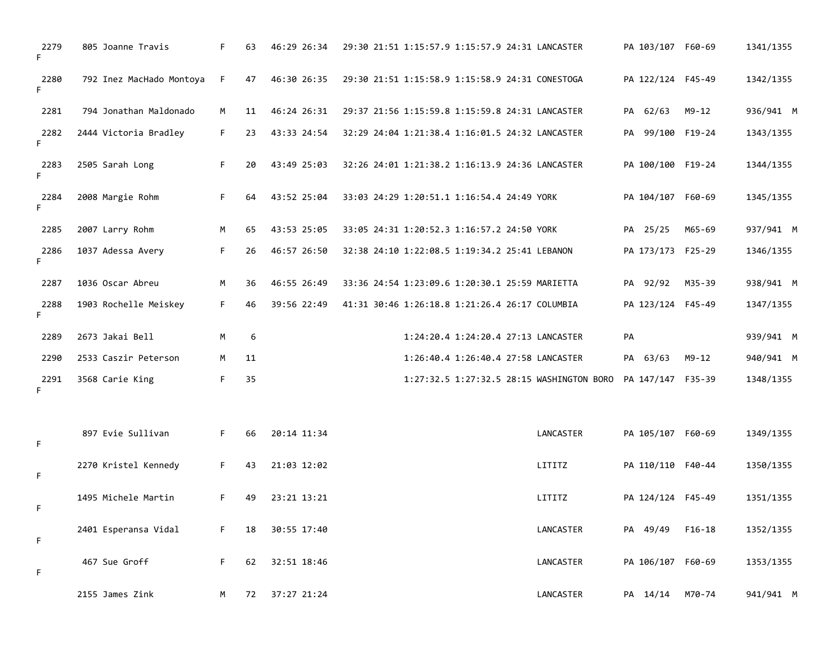| 2279<br>F. | 805 Joanne Travis        | F. | 63 | 46:29 26:34 | 29:30 21:51 1:15:57.9 1:15:57.9 24:31 LANCASTER |                                           | PA 103/107 F60-69 |           | 1341/1355 |
|------------|--------------------------|----|----|-------------|-------------------------------------------------|-------------------------------------------|-------------------|-----------|-----------|
| 2280<br>F. | 792 Inez MacHado Montoya | F. | 47 | 46:30 26:35 | 29:30 21:51 1:15:58.9 1:15:58.9 24:31 CONESTOGA |                                           | PA 122/124 F45-49 |           | 1342/1355 |
| 2281       | 794 Jonathan Maldonado   | M  | 11 | 46:24 26:31 | 29:37 21:56 1:15:59.8 1:15:59.8 24:31 LANCASTER |                                           | PA 62/63          | $M9 - 12$ | 936/941 M |
| 2282<br>F. | 2444 Victoria Bradley    | F. | 23 | 43:33 24:54 | 32:29 24:04 1:21:38.4 1:16:01.5 24:32 LANCASTER |                                           | PA 99/100 F19-24  |           | 1343/1355 |
| 2283<br>F. | 2505 Sarah Long          | F. | 20 | 43:49 25:03 | 32:26 24:01 1:21:38.2 1:16:13.9 24:36 LANCASTER |                                           | PA 100/100 F19-24 |           | 1344/1355 |
| 2284<br>F. | 2008 Margie Rohm         | F. | 64 | 43:52 25:04 | 33:03 24:29 1:20:51.1 1:16:54.4 24:49 YORK      |                                           | PA 104/107 F60-69 |           | 1345/1355 |
| 2285       | 2007 Larry Rohm          | M  | 65 | 43:53 25:05 | 33:05 24:31 1:20:52.3 1:16:57.2 24:50 YORK      |                                           | PA 25/25          | M65-69    | 937/941 M |
| 2286<br>F. | 1037 Adessa Avery        | F. | 26 | 46:57 26:50 | 32:38 24:10 1:22:08.5 1:19:34.2 25:41 LEBANON   |                                           | PA 173/173 F25-29 |           | 1346/1355 |
| 2287       | 1036 Oscar Abreu         | M  | 36 | 46:55 26:49 | 33:36 24:54 1:23:09.6 1:20:30.1 25:59 MARIETTA  |                                           | PA 92/92          | M35-39    | 938/941 M |
| 2288<br>F. | 1903 Rochelle Meiskey    | F. | 46 | 39:56 22:49 | 41:31 30:46 1:26:18.8 1:21:26.4 26:17 COLUMBIA  |                                           | PA 123/124 F45-49 |           | 1347/1355 |
| 2289       | 2673 Jakai Bell          | M  | 6  |             | 1:24:20.4 1:24:20.4 27:13 LANCASTER             |                                           | PA                |           | 939/941 M |
| 2290       | 2533 Caszir Peterson     | M  | 11 |             | 1:26:40.4 1:26:40.4 27:58 LANCASTER             |                                           | PA 63/63          | $M9 - 12$ | 940/941 M |
| 2291<br>F. | 3568 Carie King          | F. | 35 |             |                                                 | 1:27:32.5 1:27:32.5 28:15 WASHINGTON BORO | PA 147/147 F35-39 |           | 1348/1355 |
| F          | 897 Evie Sullivan        | F. | 66 | 20:14 11:34 |                                                 | LANCASTER                                 | PA 105/107 F60-69 |           | 1349/1355 |
| F.         | 2270 Kristel Kennedy     | F. | 43 | 21:03 12:02 |                                                 | LITITZ                                    | PA 110/110 F40-44 |           | 1350/1355 |
| F          | 1495 Michele Martin      | F. | 49 | 23:21 13:21 |                                                 | LITITZ                                    | PA 124/124 F45-49 |           | 1351/1355 |
| F          | 2401 Esperansa Vidal     | F. | 18 | 30:55 17:40 |                                                 | LANCASTER                                 | PA 49/49          | $F16-18$  | 1352/1355 |
| F.         | 467 Sue Groff            | F. | 62 | 32:51 18:46 |                                                 | LANCASTER                                 | PA 106/107 F60-69 |           | 1353/1355 |
|            | 2155 James Zink          | M  | 72 | 37:27 21:24 |                                                 | LANCASTER                                 | PA 14/14          | M70-74    | 941/941 M |